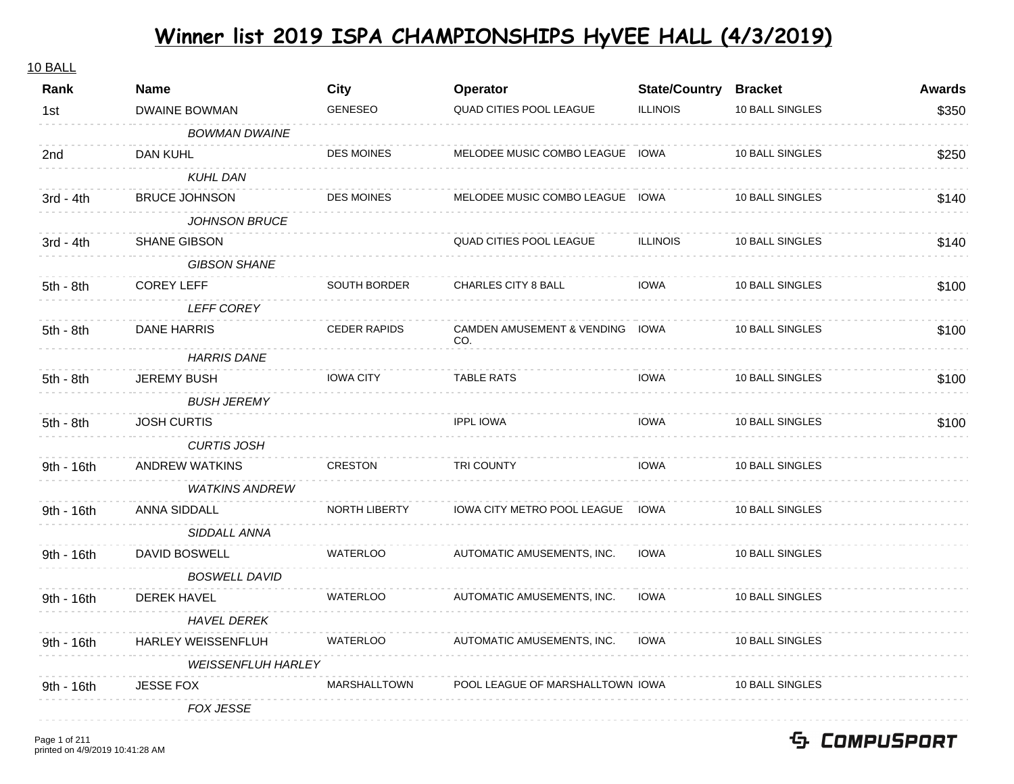#### 10 BALL

| Rank        | <b>Name</b>               | <b>City</b>          | Operator                               | <b>State/Country Bracket</b> |                 | <b>Awards</b> |
|-------------|---------------------------|----------------------|----------------------------------------|------------------------------|-----------------|---------------|
| 1st         | <b>DWAINE BOWMAN</b>      | <b>GENESEO</b>       | <b>QUAD CITIES POOL LEAGUE</b>         | <b>ILLINOIS</b>              | 10 BALL SINGLES | \$350         |
|             | <b>BOWMAN DWAINE</b>      |                      |                                        |                              |                 |               |
| 2nd         | DAN KUHL                  | <b>DES MOINES</b>    | MELODEE MUSIC COMBO LEAGUE IOWA        |                              | 10 BALL SINGLES | \$250         |
|             | <b>KUHL DAN</b>           |                      |                                        |                              |                 |               |
| $3rd - 4th$ | <b>BRUCE JOHNSON</b>      | <b>DES MOINES</b>    | MELODEE MUSIC COMBO LEAGUE IOWA        |                              | 10 BALL SINGLES | \$140         |
|             | <b>JOHNSON BRUCE</b>      |                      |                                        |                              |                 |               |
| $3rd - 4th$ | <b>SHANE GIBSON</b>       |                      | QUAD CITIES POOL LEAGUE                | <b>ILLINOIS</b>              | 10 BALL SINGLES | \$140         |
|             | <b>GIBSON SHANE</b>       |                      |                                        |                              |                 |               |
| 5th - 8th   | <b>COREY LEFF</b>         | SOUTH BORDER         | CHARLES CITY 8 BALL                    | <b>IOWA</b>                  | 10 BALL SINGLES | \$100         |
|             | <b>LEFF COREY</b>         |                      |                                        |                              |                 |               |
| 5th - 8th   | DANE HARRIS               | <b>CEDER RAPIDS</b>  | CAMDEN AMUSEMENT & VENDING IOWA<br>CO. |                              | 10 BALL SINGLES | \$100         |
|             | <b>HARRIS DANE</b>        |                      |                                        |                              |                 |               |
| 5th - 8th   | <b>JEREMY BUSH</b>        | <b>IOWA CITY</b>     | <b>TABLE RATS</b>                      | <b>IOWA</b>                  | 10 BALL SINGLES | \$100         |
|             | <b>BUSH JEREMY</b>        |                      |                                        |                              |                 |               |
| 5th - 8th   | <b>JOSH CURTIS</b>        |                      | <b>IPPL IOWA</b>                       | <b>IOWA</b>                  | 10 BALL SINGLES | \$100         |
|             | <b>CURTIS JOSH</b>        |                      |                                        |                              |                 |               |
| 9th - 16th  | <b>ANDREW WATKINS</b>     | CRESTON              | <b>TRI COUNTY</b>                      | <b>IOWA</b>                  | 10 BALL SINGLES |               |
|             | <b>WATKINS ANDREW</b>     |                      |                                        |                              |                 |               |
| 9th - 16th  | ANNA SIDDALL              | <b>NORTH LIBERTY</b> | IOWA CITY METRO POOL LEAGUE            | <b>IOWA</b>                  | 10 BALL SINGLES |               |
|             | SIDDALL ANNA              |                      |                                        |                              |                 |               |
| 9th - 16th  | DAVID BOSWELL             | <b>WATERLOO</b>      | AUTOMATIC AMUSEMENTS, INC.             | <b>IOWA</b>                  | 10 BALL SINGLES |               |
|             | <b>BOSWELL DAVID</b>      |                      |                                        |                              |                 |               |
| 9th - 16th  | <b>DEREK HAVEL</b>        | <b>WATERLOO</b>      | AUTOMATIC AMUSEMENTS, INC.             | <b>IOWA</b>                  | 10 BALL SINGLES |               |
|             | <b>HAVEL DEREK</b>        |                      |                                        |                              |                 |               |
| 9th - 16th  | <b>HARLEY WEISSENFLUH</b> | WATERLOO             | AUTOMATIC AMUSEMENTS, INC.             | IOWA                         | 10 BALL SINGLES |               |
|             | <b>WEISSENFLUH HARLEY</b> |                      |                                        |                              |                 |               |
| 9th - 16th  | <b>JESSE FOX</b>          | MARSHALLTOWN         | POOL LEAGUE OF MARSHALLTOWN IOWA       |                              | 10 BALL SINGLES |               |
|             | FOX JESSE                 |                      |                                        |                              |                 |               |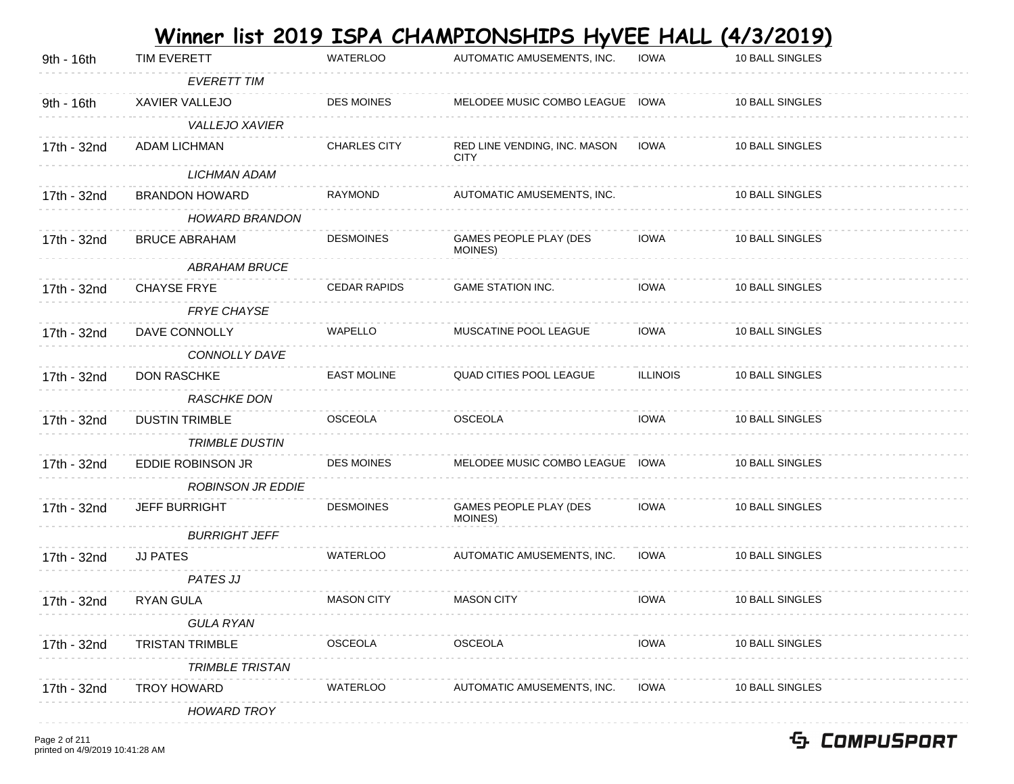| TIM EVERETT              | <b>WATERLOO</b>     | AUTOMATIC AMUSEMENTS, INC.                  | <b>IOWA</b>     | 10 BALL SINGLES                                                    |                                                                  |
|--------------------------|---------------------|---------------------------------------------|-----------------|--------------------------------------------------------------------|------------------------------------------------------------------|
| <b>EVERETT TIM</b>       |                     |                                             |                 |                                                                    |                                                                  |
| XAVIER VALLEJO           | <b>DES MOINES</b>   |                                             |                 | 10 BALL SINGLES                                                    |                                                                  |
| <b>VALLEJO XAVIER</b>    |                     |                                             |                 |                                                                    |                                                                  |
| ADAM LICHMAN             | <b>CHARLES CITY</b> | RED LINE VENDING, INC. MASON<br><b>CITY</b> | <b>IOWA</b>     | 10 BALL SINGLES                                                    |                                                                  |
| <b>LICHMAN ADAM</b>      |                     |                                             |                 |                                                                    |                                                                  |
| <b>BRANDON HOWARD</b>    | <b>RAYMOND</b>      | AUTOMATIC AMUSEMENTS, INC.                  |                 | 10 BALL SINGLES                                                    |                                                                  |
| <b>HOWARD BRANDON</b>    |                     |                                             |                 |                                                                    |                                                                  |
| <b>BRUCE ABRAHAM</b>     | <b>DESMOINES</b>    | GAMES PEOPLE PLAY (DES<br>MOINES)           | <b>IOWA</b>     | 10 BALL SINGLES                                                    |                                                                  |
| <b>ABRAHAM BRUCE</b>     |                     |                                             |                 |                                                                    |                                                                  |
| <b>CHAYSE FRYE</b>       | <b>CEDAR RAPIDS</b> | <b>GAME STATION INC.</b>                    | <b>IOWA</b>     | 10 BALL SINGLES                                                    |                                                                  |
| <b>FRYE CHAYSE</b>       |                     |                                             |                 |                                                                    |                                                                  |
| DAVE CONNOLLY            | <b>WAPELLO</b>      | MUSCATINE POOL LEAGUE                       | <b>IOWA</b>     | 10 BALL SINGLES                                                    |                                                                  |
| CONNOLLY DAVE            |                     |                                             |                 |                                                                    |                                                                  |
| <b>DON RASCHKE</b>       | <b>EAST MOLINE</b>  | <b>QUAD CITIES POOL LEAGUE</b>              | <b>ILLINOIS</b> | 10 BALL SINGLES                                                    |                                                                  |
| RASCHKE DON              |                     |                                             |                 |                                                                    |                                                                  |
| <b>DUSTIN TRIMBLE</b>    | OSCEOLA             | <b>OSCEOLA</b>                              | <b>IOWA</b>     | 10 BALL SINGLES                                                    |                                                                  |
| <b>TRIMBLE DUSTIN</b>    |                     |                                             |                 |                                                                    |                                                                  |
| EDDIE ROBINSON JR        | <b>DES MOINES</b>   |                                             |                 | 10 BALL SINGLES                                                    |                                                                  |
| <b>ROBINSON JR EDDIE</b> |                     |                                             |                 |                                                                    |                                                                  |
| <b>JEFF BURRIGHT</b>     | <b>DESMOINES</b>    | GAMES PEOPLE PLAY (DES<br>MOINES)           | <b>IOWA</b>     | 10 BALL SINGLES                                                    |                                                                  |
| <b>BURRIGHT JEFF</b>     |                     |                                             |                 |                                                                    |                                                                  |
| <b>JJ PATES</b>          | <b>WATERLOO</b>     | AUTOMATIC AMUSEMENTS, INC.                  | <b>IOWA</b>     | 10 BALL SINGLES                                                    |                                                                  |
| <b>PATES JJ</b>          |                     |                                             |                 |                                                                    |                                                                  |
| RYAN GULA                | <b>MASON CITY</b>   | <b>MASON CITY</b>                           | <b>IOWA</b>     | 10 BALL SINGLES                                                    |                                                                  |
| <b>GULA RYAN</b>         |                     |                                             |                 |                                                                    |                                                                  |
| <b>TRISTAN TRIMBLE</b>   | OSCEOLA             | OSCEOLA                                     | <b>IOWA</b>     | 10 BALL SINGLES                                                    |                                                                  |
| <b>TRIMBLE TRISTAN</b>   |                     |                                             |                 |                                                                    |                                                                  |
| TROY HOWARD              | WATERLOO            | AUTOMATIC AMUSEMENTS, INC.                  | <b>IOWA</b>     | 10 BALL SINGLES                                                    |                                                                  |
| <b>HOWARD TROY</b>       |                     |                                             |                 |                                                                    |                                                                  |
|                          |                     |                                             |                 | MELODEE MUSIC COMBO LEAGUE IOWA<br>MELODEE MUSIC COMBO LEAGUE IOWA | <u>Winner list 2019 ISPA CHAMPIONSHIPS HyVEE HALL (4/3/2019)</u> |

Page 2 of 211 printed on 4/9/2019 10:41:28 AM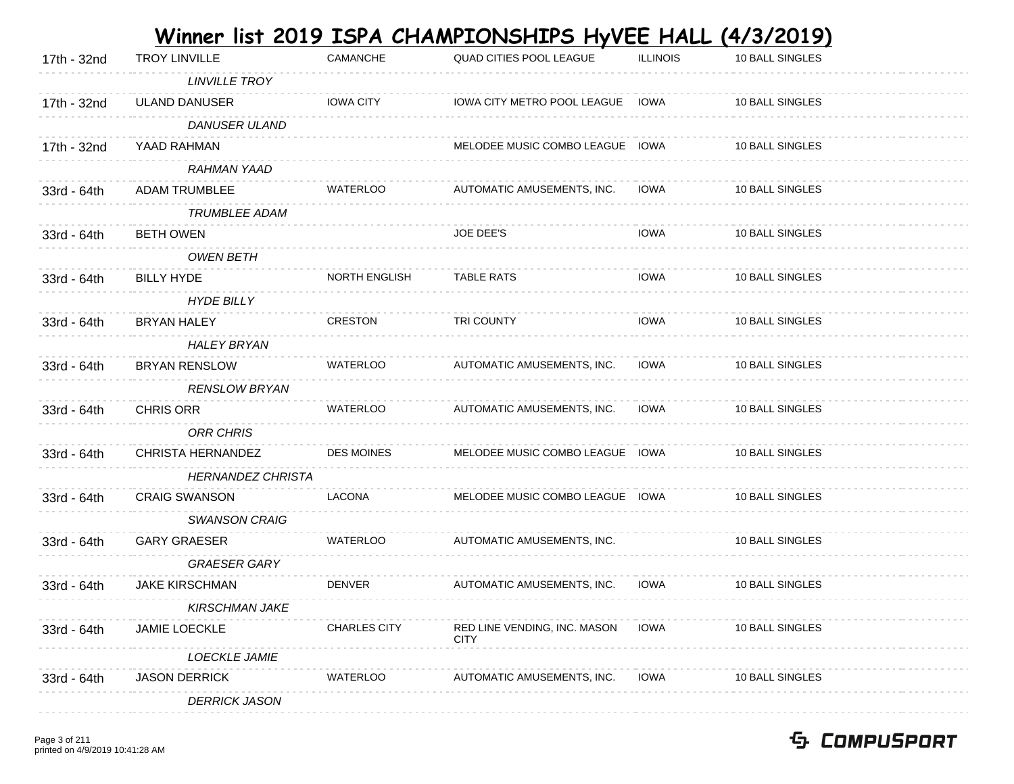|             |                          |                     | Winner list 2019 ISPA CHAMPIONSHIPS HyVEE HALL |                 | <u>(4/3/2019)</u> |
|-------------|--------------------------|---------------------|------------------------------------------------|-----------------|-------------------|
| 17th - 32nd | <b>TROY LINVILLE</b>     | CAMANCHE            | QUAD CITIES POOL LEAGUE                        | <b>ILLINOIS</b> | 10 BALL SINGLES   |
|             | <b>LINVILLE TROY</b>     |                     |                                                |                 |                   |
| 17th - 32nd | <b>ULAND DANUSER</b>     | <b>IOWA CITY</b>    | IOWA CITY METRO POOL LEAGUE IOWA               |                 | 10 BALL SINGLES   |
|             | <b>DANUSER ULAND</b>     |                     |                                                |                 |                   |
| 17th - 32nd | YAAD RAHMAN              |                     | MELODEE MUSIC COMBO LEAGUE IOWA                |                 | 10 BALL SINGLES   |
|             | RAHMAN YAAD              |                     |                                                |                 |                   |
| 33rd - 64th | <b>ADAM TRUMBLEE</b>     | WATERLOO            | AUTOMATIC AMUSEMENTS, INC.                     | <b>IOWA</b>     | 10 BALL SINGLES   |
|             | <b>TRUMBLEE ADAM</b>     |                     |                                                |                 |                   |
| 33rd - 64th | <b>BETH OWEN</b>         |                     | JOE DEE'S                                      | <b>IOWA</b>     | 10 BALL SINGLES   |
|             | <b>OWEN BETH</b>         |                     |                                                |                 |                   |
| 33rd - 64th | <b>BILLY HYDE</b>        | NORTH ENGLISH       | <b>TABLE RATS</b>                              | <b>IOWA</b>     | 10 BALL SINGLES   |
|             | <b>HYDE BILLY</b>        |                     |                                                |                 |                   |
| 33rd - 64th | <b>BRYAN HALEY</b>       | <b>CRESTON</b>      | <b>TRI COUNTY</b>                              | <b>IOWA</b>     | 10 BALL SINGLES   |
|             | <b>HALEY BRYAN</b>       |                     |                                                |                 |                   |
| 33rd - 64th | BRYAN RENSLOW            | <b>WATERLOO</b>     | AUTOMATIC AMUSEMENTS, INC.                     | <b>IOWA</b>     | 10 BALL SINGLES   |
|             | <b>RENSLOW BRYAN</b>     |                     |                                                |                 |                   |
| 33rd - 64th | <b>CHRIS ORR</b>         | WATERLOO            | AUTOMATIC AMUSEMENTS, INC.                     | <b>IOWA</b>     | 10 BALL SINGLES   |
|             | <b>ORR CHRIS</b>         |                     |                                                |                 |                   |
| 33rd - 64th | CHRISTA HERNANDEZ        | <b>DES MOINES</b>   | MELODEE MUSIC COMBO LEAGUE IOWA                |                 | 10 BALL SINGLES   |
|             | <b>HERNANDEZ CHRISTA</b> |                     |                                                |                 |                   |
| 33rd - 64th | <b>CRAIG SWANSON</b>     | LACONA              | MELODEE MUSIC COMBO LEAGUE IOWA                |                 | 10 BALL SINGLES   |
|             | <b>SWANSON CRAIG</b>     |                     |                                                |                 |                   |
| 33rd - 64th | <b>GARY GRAESER</b>      | <b>WATERLOO</b>     | AUTOMATIC AMUSEMENTS, INC.                     |                 | 10 BALL SINGLES   |
|             | <b>GRAESER GARY</b>      |                     |                                                |                 |                   |
| 33rd - 64th | <b>JAKE KIRSCHMAN</b>    | <b>DENVER</b>       | AUTOMATIC AMUSEMENTS, INC.                     | <b>IOWA</b>     | 10 BALL SINGLES   |
|             | <b>KIRSCHMAN JAKE</b>    |                     |                                                |                 |                   |
| 33rd - 64th | JAMIE LOECKLE            | <b>CHARLES CITY</b> | RED LINE VENDING, INC. MASON<br><b>CITY</b>    | <b>IOWA</b>     | 10 BALL SINGLES   |
|             | LOECKLE JAMIE            |                     |                                                |                 |                   |
| 33rd - 64th | <b>JASON DERRICK</b>     | <b>WATERLOO</b>     | AUTOMATIC AMUSEMENTS, INC.                     | <b>IOWA</b>     | 10 BALL SINGLES   |
|             | <b>DERRICK JASON</b>     |                     |                                                |                 |                   |
|             |                          |                     |                                                |                 |                   |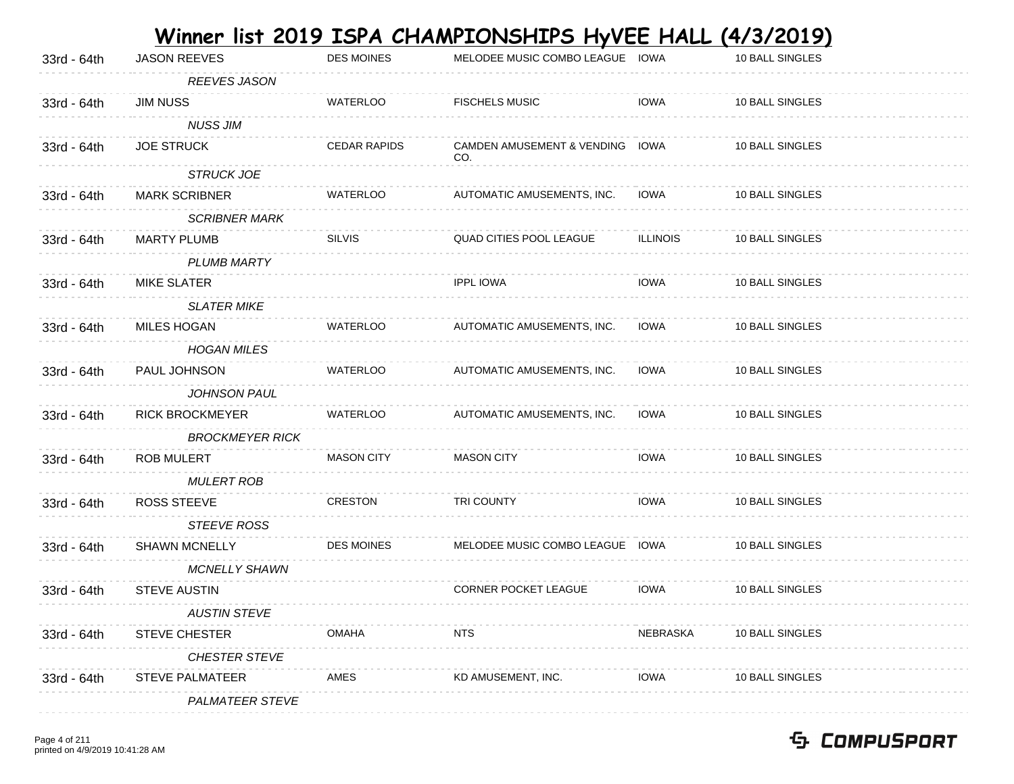|             |                        |                     | Winner list 2019 ISPA CHAMPIONSHIPS HyVEE HALL |                 | <u>(4/3/2019)</u> |
|-------------|------------------------|---------------------|------------------------------------------------|-----------------|-------------------|
| 33rd - 64th | <b>JASON REEVES</b>    | <b>DES MOINES</b>   | MELODEE MUSIC COMBO LEAGUE IOWA                |                 | 10 BALL SINGLES   |
|             | <b>REEVES JASON</b>    |                     |                                                |                 |                   |
| 33rd - 64th | <b>JIM NUSS</b>        | <b>WATERLOO</b>     | <b>FISCHELS MUSIC</b>                          | <b>IOWA</b>     | 10 BALL SINGLES   |
|             | <b>NUSS JIM</b>        |                     |                                                |                 |                   |
| 33rd - 64th | <b>JOE STRUCK</b>      | <b>CEDAR RAPIDS</b> | CAMDEN AMUSEMENT & VENDING IOWA<br>CO.         |                 | 10 BALL SINGLES   |
|             | <b>STRUCK JOE</b>      |                     |                                                |                 |                   |
| 33rd - 64th | <b>MARK SCRIBNER</b>   | <b>WATERLOO</b>     | AUTOMATIC AMUSEMENTS, INC.                     | <b>IOWA</b>     | 10 BALL SINGLES   |
|             | <b>SCRIBNER MARK</b>   |                     |                                                |                 |                   |
| 33rd - 64th | <b>MARTY PLUMB</b>     | <b>SILVIS</b>       | QUAD CITIES POOL LEAGUE                        | <b>ILLINOIS</b> | 10 BALL SINGLES   |
|             | <b>PLUMB MARTY</b>     |                     |                                                |                 |                   |
| 33rd - 64th | <b>MIKE SLATER</b>     |                     | <b>IPPL IOWA</b>                               | <b>IOWA</b>     | 10 BALL SINGLES   |
|             | <b>SLATER MIKE</b>     |                     |                                                |                 |                   |
| 33rd - 64th | <b>MILES HOGAN</b>     | <b>WATERLOO</b>     | AUTOMATIC AMUSEMENTS, INC.                     | <b>IOWA</b>     | 10 BALL SINGLES   |
|             | <b>HOGAN MILES</b>     |                     |                                                |                 |                   |
| 33rd - 64th | PAUL JOHNSON           | <b>WATERLOO</b>     | AUTOMATIC AMUSEMENTS, INC.                     | <b>IOWA</b>     | 10 BALL SINGLES   |
|             | <b>JOHNSON PAUL</b>    |                     |                                                |                 |                   |
| 33rd - 64th | <b>RICK BROCKMEYER</b> | <b>WATERLOO</b>     | AUTOMATIC AMUSEMENTS, INC.                     | <b>IOWA</b>     | 10 BALL SINGLES   |
|             | <b>BROCKMEYER RICK</b> |                     |                                                |                 |                   |
| 33rd - 64th | <b>ROB MULERT</b>      | <b>MASON CITY</b>   | <b>MASON CITY</b>                              | <b>IOWA</b>     | 10 BALL SINGLES   |
|             | MULERT ROB             |                     |                                                |                 |                   |
| 33rd - 64th | <b>ROSS STEEVE</b>     | <b>CRESTON</b>      | <b>TRI COUNTY</b>                              | <b>IOWA</b>     | 10 BALL SINGLES   |
|             | <b>STEEVE ROSS</b>     |                     |                                                |                 |                   |
| 33rd - 64th | <b>SHAWN MCNELLY</b>   | <b>DES MOINES</b>   | MELODEE MUSIC COMBO LEAGUE IOWA                |                 | 10 BALL SINGLES   |
|             | <b>MCNELLY SHAWN</b>   |                     |                                                |                 |                   |
| 33rd - 64th | <b>STEVE AUSTIN</b>    |                     | CORNER POCKET LEAGUE                           | <b>IOWA</b>     | 10 BALL SINGLES   |
|             | <b>AUSTIN STEVE</b>    |                     |                                                |                 |                   |
| 33rd - 64th | STEVE CHESTER          | <b>OMAHA</b>        | <b>NTS</b>                                     | <b>NEBRASKA</b> | 10 BALL SINGLES   |
|             | <b>CHESTER STEVE</b>   |                     |                                                |                 |                   |
| 33rd - 64th | <b>STEVE PALMATEER</b> | AMES                | KD AMUSEMENT, INC.                             | <b>IOWA</b>     | 10 BALL SINGLES   |
|             | <b>PALMATEER STEVE</b> |                     |                                                |                 |                   |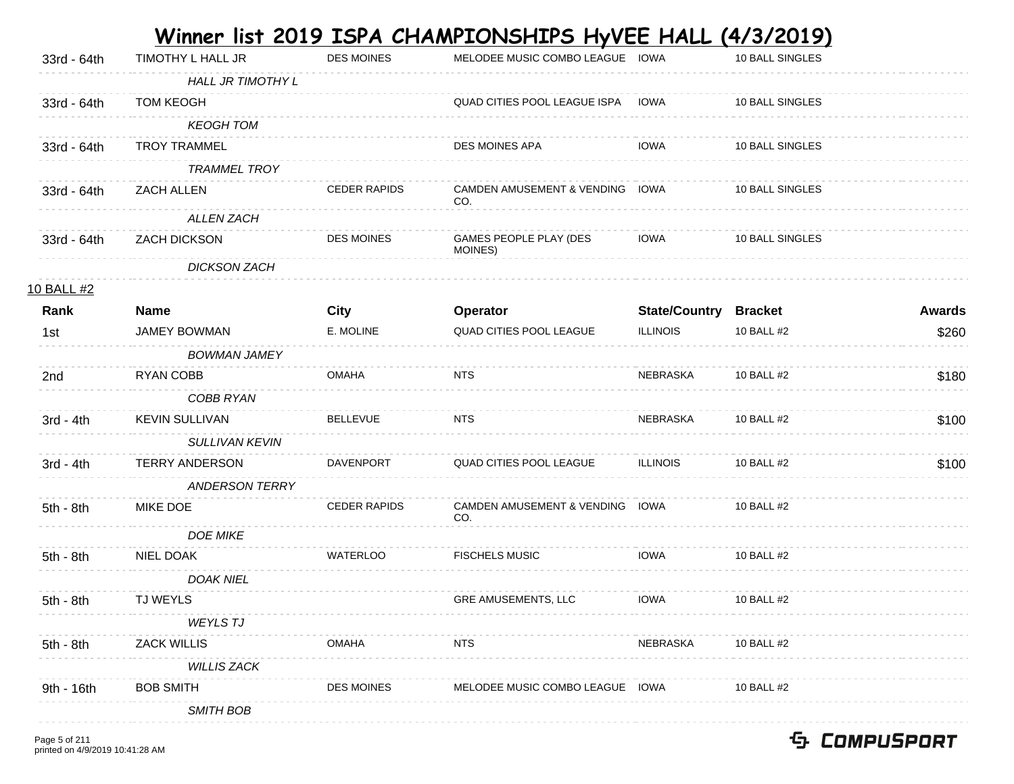|             |                          |                     | <u>Winner list 2019 ISPA CHAMPIONSHIPS HyVEE HALL (4/3/2019)</u> |                              |                 |               |
|-------------|--------------------------|---------------------|------------------------------------------------------------------|------------------------------|-----------------|---------------|
| 33rd - 64th | TIMOTHY L HALL JR        | <b>DES MOINES</b>   | MELODEE MUSIC COMBO LEAGUE IOWA                                  |                              | 10 BALL SINGLES |               |
|             | <b>HALL JR TIMOTHY L</b> |                     |                                                                  |                              |                 |               |
| 33rd - 64th | <b>TOM KEOGH</b>         |                     | QUAD CITIES POOL LEAGUE ISPA                                     | IOWA                         | 10 BALL SINGLES |               |
|             | <b>KEOGH TOM</b>         |                     |                                                                  |                              |                 |               |
| 33rd - 64th | <b>TROY TRAMMEL</b>      |                     | DES MOINES APA                                                   | <b>IOWA</b>                  | 10 BALL SINGLES |               |
|             | <b>TRAMMEL TROY</b>      |                     |                                                                  |                              |                 |               |
| 33rd - 64th | <b>ZACH ALLEN</b>        | <b>CEDER RAPIDS</b> | CAMDEN AMUSEMENT & VENDING IOWA<br>CO.                           |                              | 10 BALL SINGLES |               |
|             | ALLEN ZACH               |                     |                                                                  |                              |                 |               |
| 33rd - 64th | ZACH DICKSON             | <b>DES MOINES</b>   | GAMES PEOPLE PLAY (DES<br>MOINES)                                | IOWA                         | 10 BALL SINGLES |               |
|             | <b>DICKSON ZACH</b>      |                     |                                                                  |                              |                 |               |
| 10 BALL #2  |                          |                     |                                                                  |                              |                 |               |
| Rank        | <b>Name</b>              | <b>City</b>         | Operator                                                         | <b>State/Country Bracket</b> |                 | <b>Awards</b> |
| 1st         | JAMEY BOWMAN             | E. MOLINE           | QUAD CITIES POOL LEAGUE                                          | <b>ILLINOIS</b>              | 10 BALL #2      | \$260         |
|             | <b>BOWMAN JAMEY</b>      |                     |                                                                  |                              |                 |               |
| 2nd         | RYAN COBB                | <b>OMAHA</b>        | NTS                                                              | <b>NEBRASKA</b>              | 10 BALL #2      | \$180         |
|             | COBB RYAN                |                     |                                                                  |                              |                 |               |
| $3rd - 4th$ | <b>KEVIN SULLIVAN</b>    | <b>BELLEVUE</b>     | NTS                                                              | NEBRASKA                     | 10 BALL #2      | \$100         |
|             | SULLIVAN KEVIN           |                     |                                                                  |                              |                 |               |
| $3rd - 4th$ | <b>TERRY ANDERSON</b>    | <b>DAVENPORT</b>    | QUAD CITIES POOL LEAGUE                                          | <b>ILLINOIS</b>              | 10 BALL #2      | \$100         |
|             | <b>ANDERSON TERRY</b>    |                     |                                                                  |                              |                 |               |
| 5th - 8th   | MIKE DOE                 | <b>CEDER RAPIDS</b> | CAMDEN AMUSEMENT & VENDING IOWA<br>CO.                           |                              | 10 BALL #2      |               |
|             | <b>DOE MIKE</b>          |                     |                                                                  |                              |                 |               |
| $5th - 8th$ | NIEL DOAK                | <b>WATERLOO</b>     | <b>FISCHELS MUSIC</b>                                            | <b>IOWA</b>                  | 10 BALL #2      |               |
|             | <b>DOAK NIEL</b>         |                     |                                                                  |                              |                 |               |
| 5th - 8th   | <b>TJ WEYLS</b>          |                     | GRE AMUSEMENTS, LLC                                              | <b>IOWA</b>                  | 10 BALL #2      |               |
|             | <b>WEYLS TJ</b>          |                     |                                                                  |                              |                 |               |
| 5th - 8th   | <b>ZACK WILLIS</b>       | <b>OMAHA</b>        | NTS.                                                             | NEBRASKA                     | 10 BALL #2      |               |
|             | <b>WILLIS ZACK</b>       |                     |                                                                  |                              |                 |               |
| 9th - 16th  | <b>BOB SMITH</b>         | <b>DES MOINES</b>   | MELODEE MUSIC COMBO LEAGUE IOWA                                  |                              | 10 BALL #2      |               |
|             | <b>SMITH BOB</b>         |                     |                                                                  |                              |                 |               |
|             |                          |                     |                                                                  |                              |                 |               |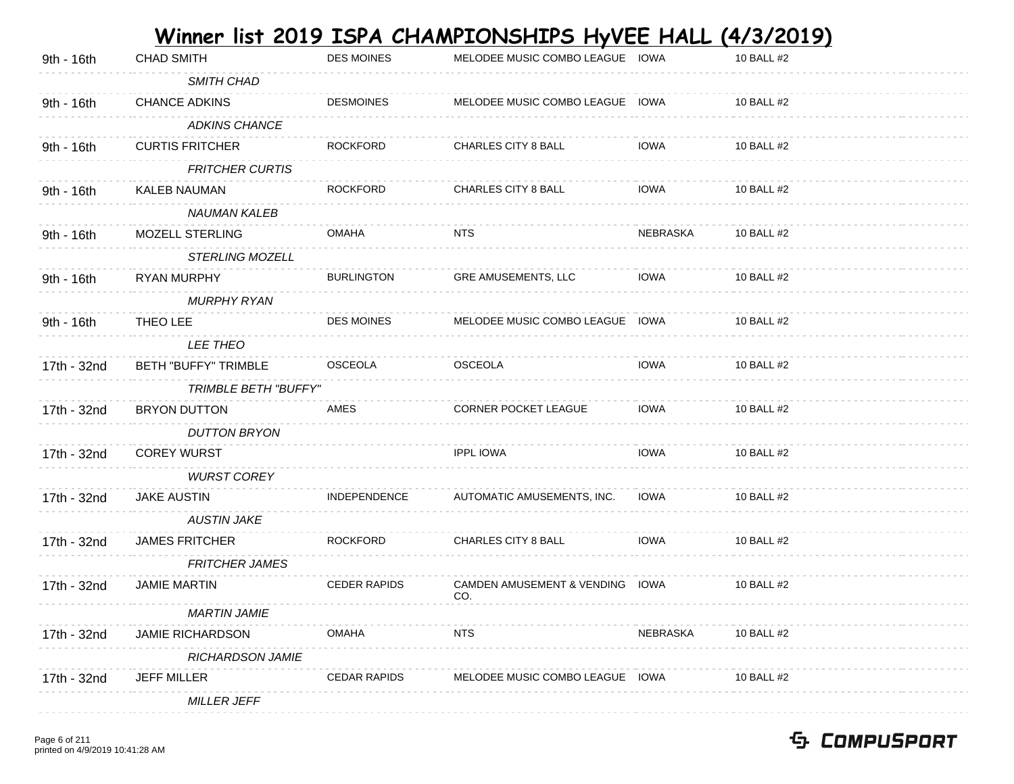|             |                             |                     | Winner list 2019 ISPA CHAMPIONSHIPS HyVEE HALL (4/3/2019) |                 |            |
|-------------|-----------------------------|---------------------|-----------------------------------------------------------|-----------------|------------|
| 9th - 16th  | <b>CHAD SMITH</b>           | <b>DES MOINES</b>   | MELODEE MUSIC COMBO LEAGUE IOWA                           |                 | 10 BALL #2 |
|             | SMITH CHAD                  |                     |                                                           |                 |            |
| 9th - 16th  | <b>CHANCE ADKINS</b>        | <b>DESMOINES</b>    | MELODEE MUSIC COMBO LEAGUE                                | IOWA            | 10 BALL #2 |
|             | <b>ADKINS CHANCE</b>        |                     |                                                           |                 |            |
| 9th - 16th  | <b>CURTIS FRITCHER</b>      | <b>ROCKFORD</b>     | <b>CHARLES CITY 8 BALL</b>                                | <b>IOWA</b>     | 10 BALL #2 |
|             | <b>FRITCHER CURTIS</b>      |                     |                                                           |                 |            |
| 9th - 16th  | KALEB NAUMAN                | <b>ROCKFORD</b>     | <b>CHARLES CITY 8 BALL</b>                                | <b>IOWA</b>     | 10 BALL #2 |
|             | NAUMAN KALEB                |                     |                                                           |                 |            |
| 9th - 16th  | MOZELL STERLING             | OMAHA               | NTS                                                       | <b>NEBRASKA</b> | 10 BALL #2 |
|             | <b>STERLING MOZELL</b>      |                     |                                                           |                 |            |
| 9th - 16th  | RYAN MURPHY                 | <b>BURLINGTON</b>   | GRE AMUSEMENTS, LLC                                       | <b>IOWA</b>     | 10 BALL #2 |
|             | <b>MURPHY RYAN</b>          |                     |                                                           |                 |            |
| 9th - 16th  | THEO LEE                    | <b>DES MOINES</b>   | MELODEE MUSIC COMBO LEAGUE                                | IOWA            | 10 BALL #2 |
|             | LEE THEO                    |                     |                                                           |                 |            |
| 17th - 32nd | <b>BETH "BUFFY" TRIMBLE</b> | <b>OSCEOLA</b>      | <b>OSCEOLA</b>                                            | <b>IOWA</b>     | 10 BALL #2 |
|             | <b>TRIMBLE BETH "BUFFY"</b> |                     |                                                           |                 |            |
| 17th - 32nd | <b>BRYON DUTTON</b>         | AMES                | <b>CORNER POCKET LEAGUE</b>                               | <b>IOWA</b>     | 10 BALL #2 |
|             | <b>DUTTON BRYON</b>         |                     |                                                           |                 |            |
| 17th - 32nd | <b>COREY WURST</b>          |                     | <b>IPPL IOWA</b>                                          | <b>IOWA</b>     | 10 BALL #2 |
|             | <b>WURST COREY</b>          |                     |                                                           |                 |            |
| 17th - 32nd | <b>JAKE AUSTIN</b>          | INDEPENDENCE        | AUTOMATIC AMUSEMENTS, INC.                                | <b>IOWA</b>     | 10 BALL #2 |
|             | <b>AUSTIN JAKE</b>          |                     |                                                           |                 |            |
| 17th - 32nd | <b>JAMES FRITCHER</b>       | <b>ROCKFORD</b>     | <b>CHARLES CITY 8 BALL</b>                                | <b>IOWA</b>     | 10 BALL #2 |
|             | <b>FRITCHER JAMES</b>       |                     |                                                           |                 |            |
| 17th - 32nd | <b>JAMIE MARTIN</b>         | <b>CEDER RAPIDS</b> | <b>CAMDEN AMUSEMENT &amp; VENDING</b><br>CO.              | IOWA            | 10 BALL #2 |
|             | <b>MARTIN JAMIE</b>         |                     |                                                           |                 |            |
| 17th - 32nd | <b>JAMIE RICHARDSON</b>     | OMAHA               | <b>NTS</b>                                                | NEBRASKA        | 10 BALL #2 |
|             | <b>RICHARDSON JAMIE</b>     |                     |                                                           |                 |            |
| 17th - 32nd | <b>JEFF MILLER</b>          | <b>CEDAR RAPIDS</b> | MELODEE MUSIC COMBO LEAGUE                                | IOWA            | 10 BALL #2 |
|             | <b>MILLER JEFF</b>          |                     |                                                           |                 |            |
|             |                             |                     |                                                           |                 |            |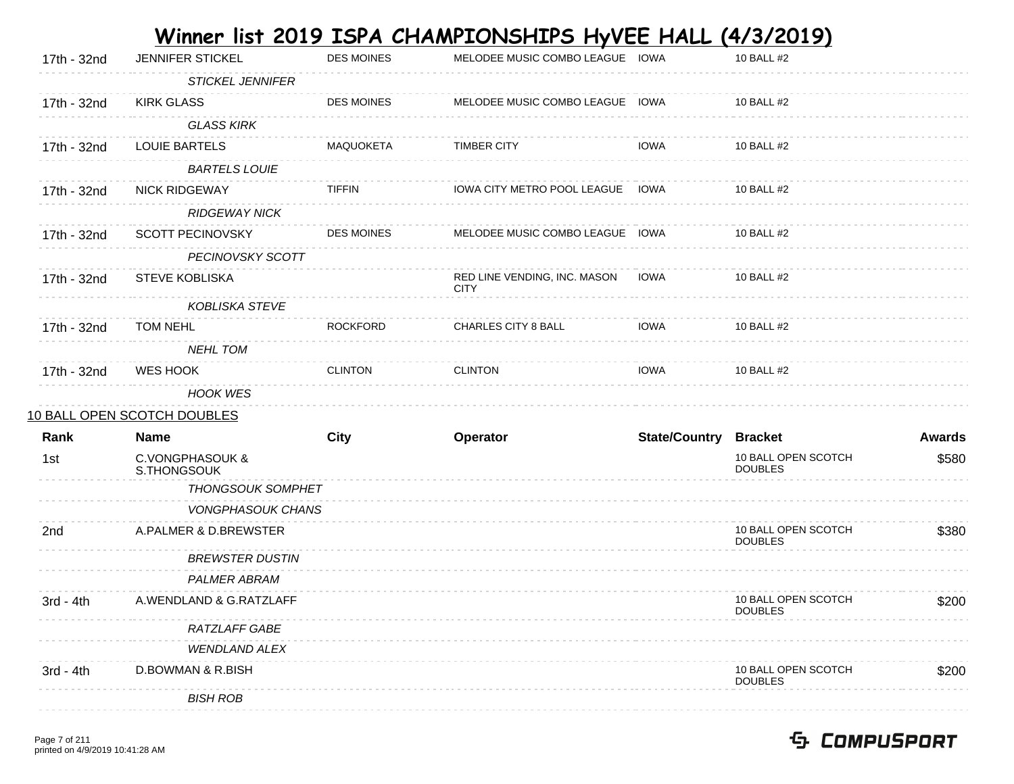|             |                                |                   | Winner list <u>2019 ISPA CHAMPIONSHIPS HyVEE HALL (4/3/2019)</u> |                              |                                       |               |
|-------------|--------------------------------|-------------------|------------------------------------------------------------------|------------------------------|---------------------------------------|---------------|
| 17th - 32nd | <b>JENNIFER STICKEL</b>        | <b>DES MOINES</b> | MELODEE MUSIC COMBO LEAGUE IOWA                                  |                              | 10 BALL #2                            |               |
|             | <b>STICKEL JENNIFER</b>        |                   |                                                                  |                              |                                       |               |
| 17th - 32nd | <b>KIRK GLASS</b>              | <b>DES MOINES</b> | MELODEE MUSIC COMBO LEAGUE IOWA                                  |                              | 10 BALL #2                            |               |
|             | <b>GLASS KIRK</b>              |                   |                                                                  |                              |                                       |               |
| 17th - 32nd | <b>LOUIE BARTELS</b>           | MAQUOKETA         | <b>TIMBER CITY</b>                                               | <b>IOWA</b>                  | 10 BALL #2                            |               |
|             | <b>BARTELS LOUIE</b>           |                   |                                                                  |                              |                                       |               |
| 17th - 32nd | <b>NICK RIDGEWAY</b>           | <b>TIFFIN</b>     | IOWA CITY METRO POOL LEAGUE IOWA                                 |                              | 10 BALL #2                            |               |
|             | <b>RIDGEWAY NICK</b>           |                   |                                                                  |                              |                                       |               |
| 17th - 32nd | <b>SCOTT PECINOVSKY</b>        | <b>DES MOINES</b> | MELODEE MUSIC COMBO LEAGUE IOWA                                  |                              | 10 BALL #2                            |               |
|             | PECINOVSKY SCOTT               |                   |                                                                  |                              |                                       |               |
| 17th - 32nd | <b>STEVE KOBLISKA</b>          |                   | RED LINE VENDING, INC. MASON<br><b>CITY</b>                      | IOWA                         | 10 BALL #2                            |               |
|             | <b>KOBLISKA STEVE</b>          |                   |                                                                  |                              |                                       |               |
| 17th - 32nd | TOM NEHL                       | <b>ROCKFORD</b>   | <b>CHARLES CITY 8 BALL</b>                                       | <b>IOWA</b>                  | 10 BALL #2                            |               |
|             | <b>NEHL TOM</b>                |                   |                                                                  |                              |                                       |               |
| 17th - 32nd | WES HOOK                       | <b>CLINTON</b>    | <b>CLINTON</b>                                                   | <b>IOWA</b>                  | 10 BALL #2                            |               |
|             | <b>HOOK WES</b>                |                   |                                                                  |                              |                                       |               |
|             | 10 BALL OPEN SCOTCH DOUBLES    |                   |                                                                  |                              |                                       |               |
| Rank        | Name                           | <b>City</b>       | Operator                                                         | <b>State/Country Bracket</b> |                                       | <b>Awards</b> |
| 1st         | C.VONGPHASOUK &<br>S.THONGSOUK |                   |                                                                  |                              | 10 BALL OPEN SCOTCH<br><b>DOUBLES</b> | \$580         |
|             | <b>THONGSOUK SOMPHET</b>       |                   |                                                                  |                              |                                       |               |
|             | <b>VONGPHASOUK CHANS</b>       |                   |                                                                  |                              |                                       |               |
| 2nd         | A.PALMER & D.BREWSTER          |                   |                                                                  |                              | 10 BALL OPEN SCOTCH<br><b>DOUBLES</b> | \$380         |
|             | <b>BREWSTER DUSTIN</b>         |                   |                                                                  |                              |                                       |               |
|             | <b>PALMER ABRAM</b>            |                   |                                                                  |                              |                                       |               |
| 3rd - 4th   | A.WENDLAND & G.RATZLAFF        |                   |                                                                  |                              | 10 BALL OPEN SCOTCH<br><b>DOUBLES</b> | \$200         |
|             | RATZLAFF GABE                  |                   |                                                                  |                              |                                       |               |
|             | <b>WENDLAND ALEX</b>           |                   |                                                                  |                              |                                       |               |
| $3rd - 4th$ | D.BOWMAN & R.BISH              |                   |                                                                  |                              | 10 BALL OPEN SCOTCH<br><b>DOUBLES</b> | \$200         |
|             | <b>BISH ROB</b>                |                   |                                                                  |                              |                                       |               |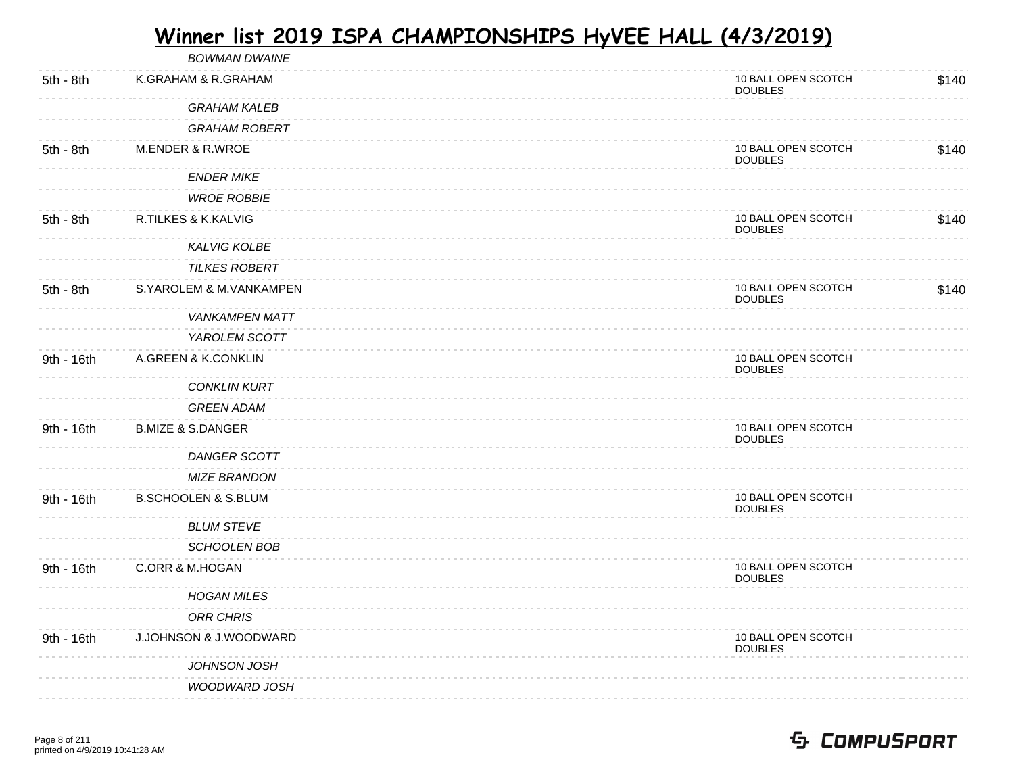|            | <b>BOWMAN DWAINE</b>           |                                       |       |
|------------|--------------------------------|---------------------------------------|-------|
| 5th - 8th  | K.GRAHAM & R.GRAHAM            | 10 BALL OPEN SCOTCH<br><b>DOUBLES</b> | \$140 |
|            | <b>GRAHAM KALEB</b>            |                                       |       |
|            | <b>GRAHAM ROBERT</b>           |                                       |       |
| 5th - 8th  | <b>M.ENDER &amp; R.WROE</b>    | 10 BALL OPEN SCOTCH<br><b>DOUBLES</b> | \$140 |
|            | <b>ENDER MIKE</b>              |                                       |       |
|            | <b>WROE ROBBIE</b>             |                                       |       |
| 5th - 8th  | R.TILKES & K.KALVIG            | 10 BALL OPEN SCOTCH<br><b>DOUBLES</b> | \$140 |
|            | <b>KALVIG KOLBE</b>            |                                       |       |
|            | <b>TILKES ROBERT</b>           |                                       |       |
| 5th - 8th  | S.YAROLEM & M.VANKAMPEN        | 10 BALL OPEN SCOTCH<br><b>DOUBLES</b> | \$140 |
|            | <b>VANKAMPEN MATT</b>          |                                       |       |
|            | YAROLEM SCOTT                  |                                       |       |
| 9th - 16th | A.GREEN & K.CONKLIN            | 10 BALL OPEN SCOTCH<br><b>DOUBLES</b> |       |
|            | <b>CONKLIN KURT</b>            |                                       |       |
|            | <b>GREEN ADAM</b>              |                                       |       |
| 9th - 16th | <b>B.MIZE &amp; S.DANGER</b>   | 10 BALL OPEN SCOTCH<br><b>DOUBLES</b> |       |
|            | <b>DANGER SCOTT</b>            |                                       |       |
|            | <b>MIZE BRANDON</b>            |                                       |       |
| 9th - 16th | <b>B.SCHOOLEN &amp; S.BLUM</b> | 10 BALL OPEN SCOTCH<br><b>DOUBLES</b> |       |
|            | <b>BLUM STEVE</b>              |                                       |       |
|            | <b>SCHOOLEN BOB</b>            |                                       |       |
| 9th - 16th | C.ORR & M.HOGAN                | 10 BALL OPEN SCOTCH<br><b>DOUBLES</b> |       |
|            | <b>HOGAN MILES</b>             |                                       |       |
|            | <b>ORR CHRIS</b>               |                                       |       |
| 9th - 16th | J.JOHNSON & J.WOODWARD         | 10 BALL OPEN SCOTCH<br><b>DOUBLES</b> |       |
|            | JOHNSON JOSH                   |                                       |       |
|            | <b>WOODWARD JOSH</b>           |                                       |       |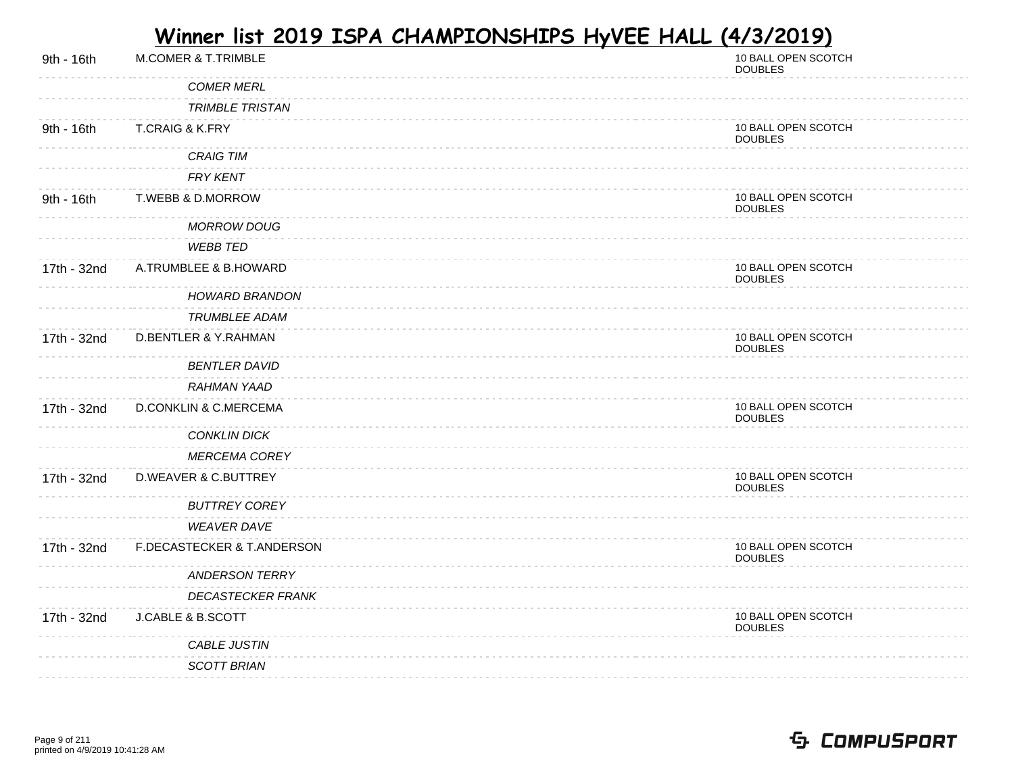| 9th - 16th  | <b>M.COMER &amp; T.TRIMBLE</b>   | 10 BALL OPEN SCOTCH<br><b>DOUBLES</b> |
|-------------|----------------------------------|---------------------------------------|
|             | <b>COMER MERL</b>                |                                       |
|             | <b>TRIMBLE TRISTAN</b>           |                                       |
| 9th - 16th  | <b>T.CRAIG &amp; K.FRY</b>       | 10 BALL OPEN SCOTCH<br><b>DOUBLES</b> |
|             | <b>CRAIG TIM</b>                 |                                       |
|             | FRY KENT                         |                                       |
| 9th - 16th  | T.WEBB & D.MORROW                | 10 BALL OPEN SCOTCH<br><b>DOUBLES</b> |
|             | <b>MORROW DOUG</b>               |                                       |
|             | <b>WEBB TED</b>                  |                                       |
| 17th - 32nd | A.TRUMBLEE & B.HOWARD            | 10 BALL OPEN SCOTCH<br><b>DOUBLES</b> |
|             | <b>HOWARD BRANDON</b>            |                                       |
|             | <b>TRUMBLEE ADAM</b>             |                                       |
| 17th - 32nd | <b>D.BENTLER &amp; Y.RAHMAN</b>  | 10 BALL OPEN SCOTCH<br><b>DOUBLES</b> |
|             | <b>BENTLER DAVID</b>             |                                       |
|             | <b>RAHMAN YAAD</b>               |                                       |
| 17th - 32nd | <b>D.CONKLIN &amp; C.MERCEMA</b> | 10 BALL OPEN SCOTCH<br><b>DOUBLES</b> |
|             | <b>CONKLIN DICK</b>              |                                       |
|             | <b>MERCEMA COREY</b>             |                                       |
| 17th - 32nd | <b>D.WEAVER &amp; C.BUTTREY</b>  | 10 BALL OPEN SCOTCH<br><b>DOUBLES</b> |
|             | <b>BUTTREY COREY</b>             |                                       |
|             | <b>WEAVER DAVE</b>               |                                       |
| 17th - 32nd | F.DECASTECKER & T.ANDERSON       | 10 BALL OPEN SCOTCH<br><b>DOUBLES</b> |
|             | <b>ANDERSON TERRY</b>            |                                       |
|             | <b>DECASTECKER FRANK</b>         |                                       |
| 17th - 32nd | <b>J.CABLE &amp; B.SCOTT</b>     | 10 BALL OPEN SCOTCH<br><b>DOUBLES</b> |
|             | CABLE JUSTIN                     |                                       |
|             | <b>SCOTT BRIAN</b>               |                                       |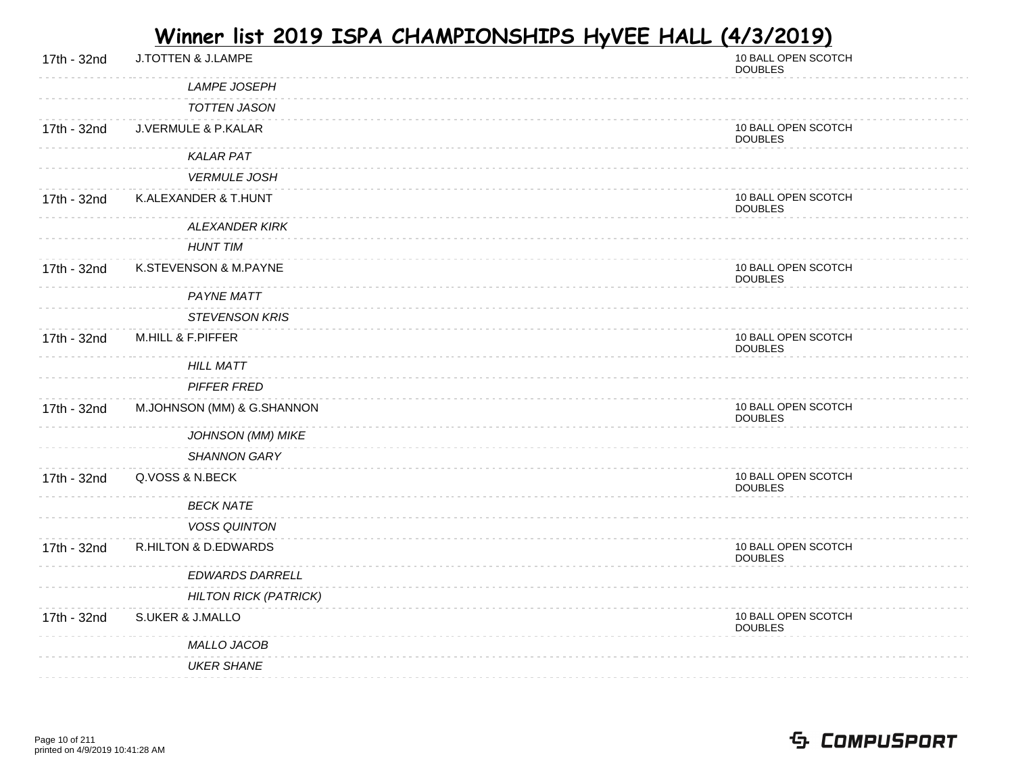| 17th - 32nd | J.TOTTEN & J.LAMPE             | 10 BALL OPEN SCOTCH<br><b>DOUBLES</b> |
|-------------|--------------------------------|---------------------------------------|
|             | <b>LAMPE JOSEPH</b>            |                                       |
|             | <b>TOTTEN JASON</b>            |                                       |
| 17th - 32nd | <b>J.VERMULE &amp; P.KALAR</b> | 10 BALL OPEN SCOTCH<br><b>DOUBLES</b> |
|             | <b>KALAR PAT</b>               |                                       |
|             | <b>VERMULE JOSH</b>            |                                       |
| 17th - 32nd | K.ALEXANDER & T.HUNT           | 10 BALL OPEN SCOTCH<br><b>DOUBLES</b> |
|             | <b>ALEXANDER KIRK</b>          |                                       |
|             | <b>HUNT TIM</b>                |                                       |
| 17th - 32nd | K.STEVENSON & M.PAYNE          | 10 BALL OPEN SCOTCH<br><b>DOUBLES</b> |
|             | <b>PAYNE MATT</b>              |                                       |
|             | <b>STEVENSON KRIS</b>          |                                       |
| 17th - 32nd | M.HILL & F.PIFFER              | 10 BALL OPEN SCOTCH<br><b>DOUBLES</b> |
|             | <b>HILL MATT</b>               |                                       |
|             | PIFFER FRED                    |                                       |
| 17th - 32nd | M.JOHNSON (MM) & G.SHANNON     | 10 BALL OPEN SCOTCH<br><b>DOUBLES</b> |
|             | <b>JOHNSON (MM) MIKE</b>       |                                       |
|             | <b>SHANNON GARY</b>            |                                       |
| 17th - 32nd | Q.VOSS & N.BECK                | 10 BALL OPEN SCOTCH<br><b>DOUBLES</b> |
|             | <b>BECK NATE</b>               |                                       |
|             | <b>VOSS QUINTON</b>            |                                       |
| 17th - 32nd | R.HILTON & D.EDWARDS           | 10 BALL OPEN SCOTCH<br><b>DOUBLES</b> |
|             | EDWARDS DARRELL                |                                       |
|             | <b>HILTON RICK (PATRICK)</b>   |                                       |
| 17th - 32nd | <b>S.UKER &amp; J.MALLO</b>    | 10 BALL OPEN SCOTCH<br><b>DOUBLES</b> |
|             | MALLO JACOB                    |                                       |
|             | <b>UKER SHANE</b>              |                                       |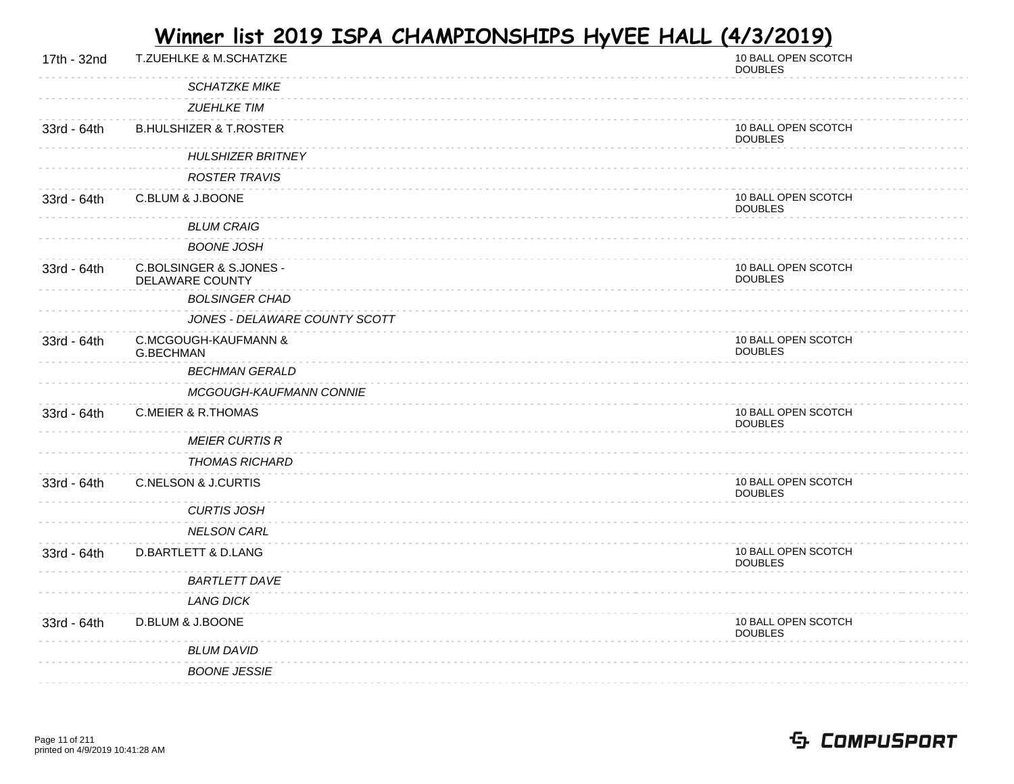| 17th - 32nd | T.ZUEHLKE & M.SCHATZKE                            | 10 BALL OPEN SCOTCH<br><b>DOUBLES</b> |
|-------------|---------------------------------------------------|---------------------------------------|
|             | <b>SCHATZKE MIKE</b>                              |                                       |
|             | <b>ZUEHLKE TIM</b>                                |                                       |
| 33rd - 64th | <b>B.HULSHIZER &amp; T.ROSTER</b>                 | 10 BALL OPEN SCOTCH<br><b>DOUBLES</b> |
|             | <b>HULSHIZER BRITNEY</b>                          |                                       |
|             | <b>ROSTER TRAVIS</b>                              |                                       |
| 33rd - 64th | C.BLUM & J.BOONE                                  | 10 BALL OPEN SCOTCH<br><b>DOUBLES</b> |
|             | <b>BLUM CRAIG</b>                                 |                                       |
|             | <b>BOONE JOSH</b>                                 |                                       |
| 33rd - 64th | C.BOLSINGER & S.JONES -<br><b>DELAWARE COUNTY</b> | 10 BALL OPEN SCOTCH<br><b>DOUBLES</b> |
|             | <b>BOLSINGER CHAD</b>                             |                                       |
|             | JONES - DELAWARE COUNTY SCOTT                     |                                       |
| 33rd - 64th | C.MCGOUGH-KAUFMANN &<br>G.BECHMAN                 | 10 BALL OPEN SCOTCH<br><b>DOUBLES</b> |
|             | <b>BECHMAN GERALD</b>                             |                                       |
|             | MCGOUGH-KAUFMANN CONNIE                           |                                       |
| 33rd - 64th | <b>C.MEIER &amp; R.THOMAS</b>                     | 10 BALL OPEN SCOTCH<br><b>DOUBLES</b> |
|             | <b>MEIER CURTIS R</b>                             |                                       |
|             | <b>THOMAS RICHARD</b>                             |                                       |
| 33rd - 64th | <b>C.NELSON &amp; J.CURTIS</b>                    | 10 BALL OPEN SCOTCH<br><b>DOUBLES</b> |
|             | <b>CURTIS JOSH</b>                                |                                       |
|             | <b>NELSON CARL</b>                                |                                       |
| 33rd - 64th | <b>D.BARTLETT &amp; D.LANG</b>                    | 10 BALL OPEN SCOTCH<br><b>DOUBLES</b> |
|             | <b>BARTLETT DAVE</b>                              |                                       |
|             | <b>LANG DICK</b>                                  |                                       |
| 33rd - 64th | D.BLUM & J.BOONE                                  | 10 BALL OPEN SCOTCH<br><b>DOUBLES</b> |
|             | <b>BLUM DAVID</b>                                 |                                       |
|             | <b>BOONE JESSIE</b>                               |                                       |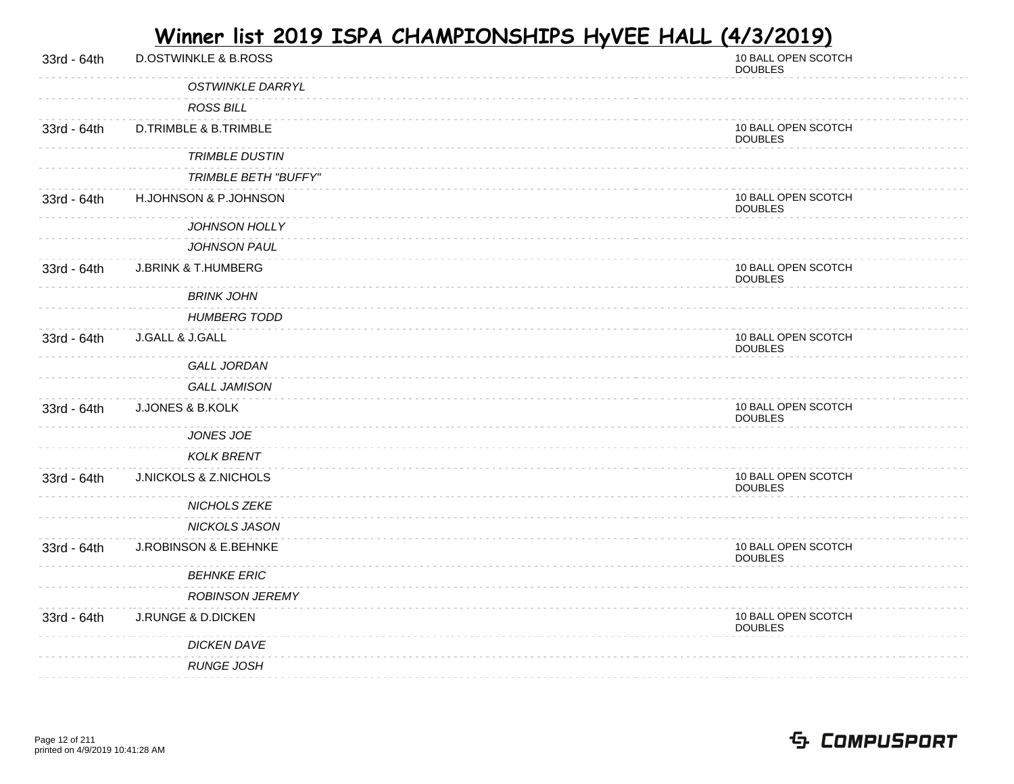| 33rd - 64th | <b>D.OSTWINKLE &amp; B.ROSS</b>  | 10 BALL OPEN SCOTCH<br><b>DOUBLES</b> |
|-------------|----------------------------------|---------------------------------------|
|             | <b>OSTWINKLE DARRYL</b>          |                                       |
|             | <b>ROSS BILL</b>                 |                                       |
| 33rd - 64th | <b>D.TRIMBLE &amp; B.TRIMBLE</b> | 10 BALL OPEN SCOTCH<br><b>DOUBLES</b> |
|             | <b>TRIMBLE DUSTIN</b>            |                                       |
|             | TRIMBLE BETH "BUFFY"             |                                       |
| 33rd - 64th | H.JOHNSON & P.JOHNSON            | 10 BALL OPEN SCOTCH<br><b>DOUBLES</b> |
|             | <b>JOHNSON HOLLY</b>             |                                       |
|             | <b>JOHNSON PAUL</b>              |                                       |
| 33rd - 64th | <b>J.BRINK &amp; T.HUMBERG</b>   | 10 BALL OPEN SCOTCH<br><b>DOUBLES</b> |
|             | <b>BRINK JOHN</b>                |                                       |
|             | <b>HUMBERG TODD</b>              |                                       |
| 33rd - 64th | J.GALL & J.GALL                  | 10 BALL OPEN SCOTCH<br><b>DOUBLES</b> |
|             | <b>GALL JORDAN</b>               |                                       |
|             | <b>GALL JAMISON</b>              |                                       |
| 33rd - 64th | J.JONES & B.KOLK                 | 10 BALL OPEN SCOTCH<br><b>DOUBLES</b> |
|             | JONES JOE                        |                                       |
|             | <b>KOLK BRENT</b>                |                                       |
| 33rd - 64th | J.NICKOLS & Z.NICHOLS            | 10 BALL OPEN SCOTCH<br><b>DOUBLES</b> |
|             | NICHOLS ZEKE                     |                                       |
|             | <b>NICKOLS JASON</b>             |                                       |
| 33rd - 64th | J.ROBINSON & E.BEHNKE            | 10 BALL OPEN SCOTCH<br><b>DOUBLES</b> |
|             | <b>BEHNKE ERIC</b>               |                                       |
|             | <b>ROBINSON JEREMY</b>           |                                       |
| 33rd - 64th | <b>J.RUNGE &amp; D.DICKEN</b>    | 10 BALL OPEN SCOTCH<br><b>DOUBLES</b> |
|             | <b>DICKEN DAVE</b>               |                                       |
|             | <b>RUNGE JOSH</b>                |                                       |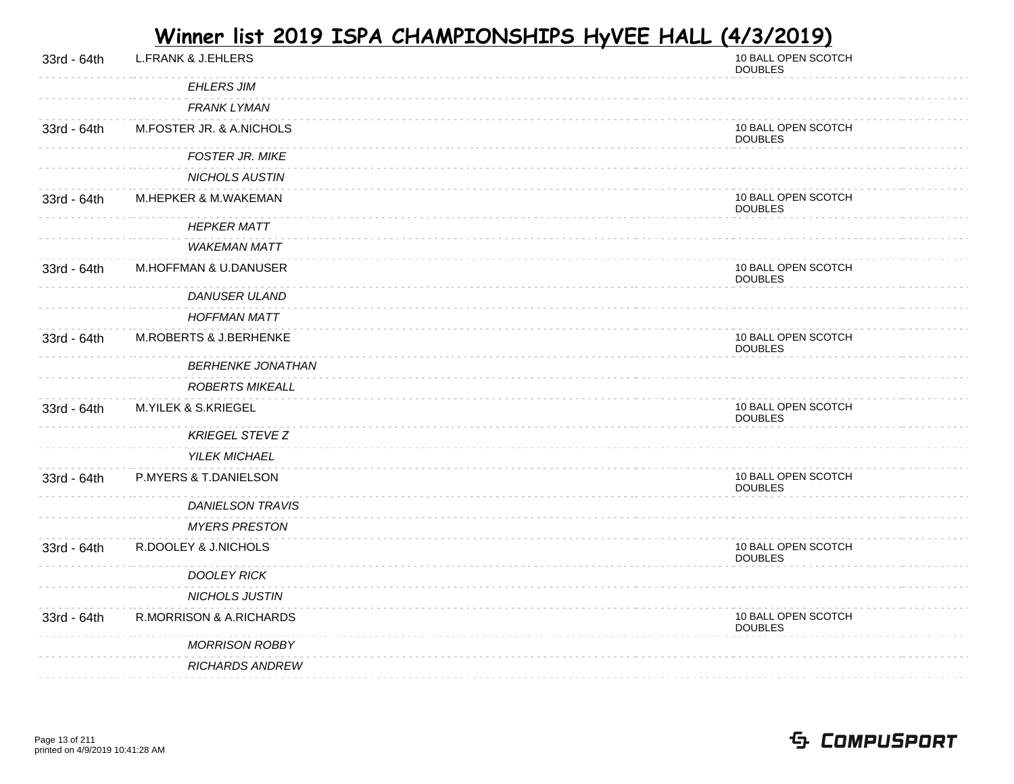| 33rd - 64th | <b>L.FRANK &amp; J.EHLERS</b>  | 10 BALL OPEN SCOTCH<br><b>DOUBLES</b> |
|-------------|--------------------------------|---------------------------------------|
|             | <b>EHLERS JIM</b>              |                                       |
|             | <b>FRANK LYMAN</b>             |                                       |
| 33rd - 64th | M.FOSTER JR. & A.NICHOLS       | 10 BALL OPEN SCOTCH<br><b>DOUBLES</b> |
|             | <b>FOSTER JR. MIKE</b>         |                                       |
|             | <b>NICHOLS AUSTIN</b>          |                                       |
| 33rd - 64th | M.HEPKER & M.WAKEMAN           | 10 BALL OPEN SCOTCH<br><b>DOUBLES</b> |
|             | <b>HEPKER MATT</b>             |                                       |
|             | <b>WAKEMAN MATT</b>            |                                       |
| 33rd - 64th | M.HOFFMAN & U.DANUSER          | 10 BALL OPEN SCOTCH<br><b>DOUBLES</b> |
|             | <b>DANUSER ULAND</b>           |                                       |
|             | <b>HOFFMAN MATT</b>            |                                       |
| 33rd - 64th | M.ROBERTS & J.BERHENKE         | 10 BALL OPEN SCOTCH<br><b>DOUBLES</b> |
|             | <b>BERHENKE JONATHAN</b>       |                                       |
|             | <b>ROBERTS MIKEALL</b>         |                                       |
| 33rd - 64th | <b>M.YILEK &amp; S.KRIEGEL</b> | 10 BALL OPEN SCOTCH<br><b>DOUBLES</b> |
|             | <b>KRIEGEL STEVE Z</b>         |                                       |
|             | <b>YILEK MICHAEL</b>           |                                       |
| 33rd - 64th | P.MYERS & T.DANIELSON          | 10 BALL OPEN SCOTCH<br><b>DOUBLES</b> |
|             | <b>DANIELSON TRAVIS</b>        |                                       |
|             | <b>MYERS PRESTON</b>           |                                       |
| 33rd - 64th | R.DOOLEY & J.NICHOLS           | 10 BALL OPEN SCOTCH<br><b>DOUBLES</b> |
|             | <b>DOOLEY RICK</b>             |                                       |
|             | NICHOLS JUSTIN                 |                                       |
| 33rd - 64th | R.MORRISON & A.RICHARDS        | 10 BALL OPEN SCOTCH<br><b>DOUBLES</b> |
|             | <b>MORRISON ROBBY</b>          |                                       |
|             | <b>RICHARDS ANDREW</b>         |                                       |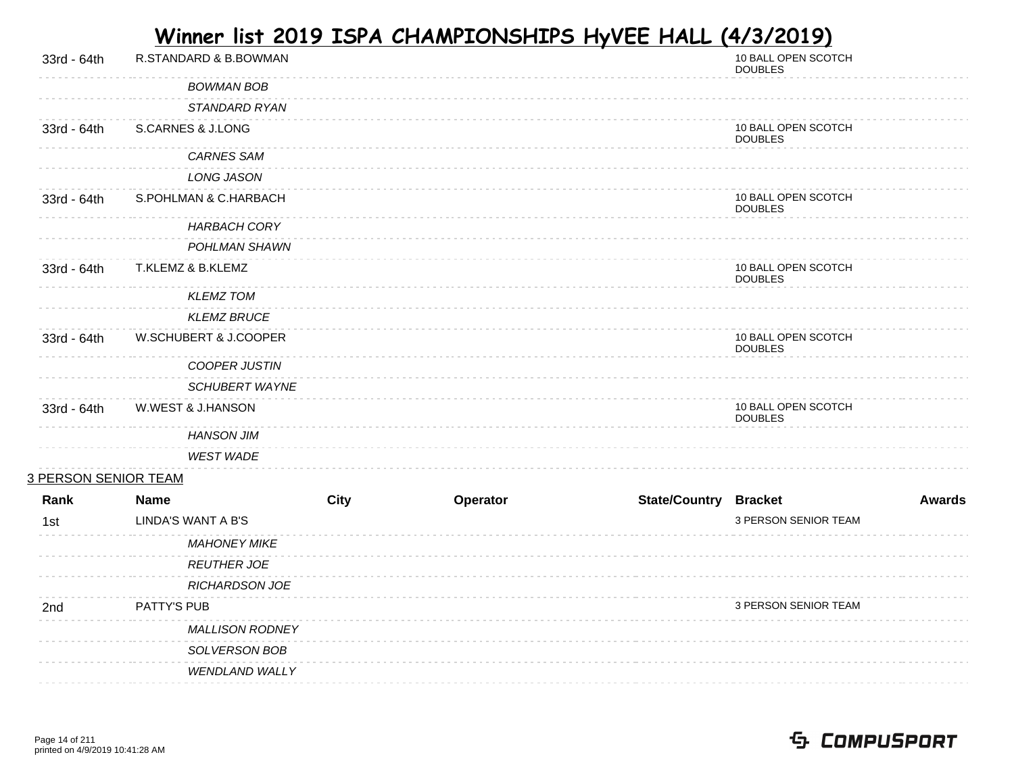| 33rd - 64th                 | R.STANDARD & B.BOWMAN  |             |          |                              | 10 BALL OPEN SCOTCH<br><b>DOUBLES</b> |               |
|-----------------------------|------------------------|-------------|----------|------------------------------|---------------------------------------|---------------|
|                             | <b>BOWMAN BOB</b>      |             |          |                              |                                       |               |
|                             | STANDARD RYAN          |             |          |                              |                                       |               |
| 33rd - 64th                 | S.CARNES & J.LONG      |             |          |                              | 10 BALL OPEN SCOTCH<br><b>DOUBLES</b> |               |
|                             | <b>CARNES SAM</b>      |             |          |                              |                                       |               |
|                             | <b>LONG JASON</b>      |             |          |                              |                                       |               |
| 33rd - 64th                 | S.POHLMAN & C.HARBACH  |             |          |                              | 10 BALL OPEN SCOTCH<br><b>DOUBLES</b> |               |
|                             | <b>HARBACH CORY</b>    |             |          |                              |                                       |               |
|                             | POHLMAN SHAWN          |             |          |                              |                                       |               |
| 33rd - 64th                 | T.KLEMZ & B.KLEMZ      |             |          |                              | 10 BALL OPEN SCOTCH<br><b>DOUBLES</b> |               |
|                             | <b>KLEMZ TOM</b>       |             |          |                              |                                       |               |
|                             | <b>KLEMZ BRUCE</b>     |             |          |                              |                                       |               |
| 33rd - 64th                 | W.SCHUBERT & J.COOPER  |             |          |                              | 10 BALL OPEN SCOTCH<br><b>DOUBLES</b> |               |
|                             | COOPER JUSTIN          |             |          |                              |                                       |               |
|                             | <b>SCHUBERT WAYNE</b>  |             |          |                              |                                       |               |
| 33rd - 64th                 | W.WEST & J.HANSON      |             |          |                              | 10 BALL OPEN SCOTCH<br><b>DOUBLES</b> |               |
|                             | <b>HANSON JIM</b>      |             |          |                              |                                       |               |
|                             | <b>WEST WADE</b>       |             |          |                              |                                       |               |
| <u>3 PERSON SENIOR TEAM</u> |                        |             |          |                              |                                       |               |
| Rank                        | <b>Name</b>            | <b>City</b> | Operator | <b>State/Country Bracket</b> |                                       | <b>Awards</b> |
| 1st                         | LINDA'S WANT A B'S     |             |          |                              | 3 PERSON SENIOR TEAM                  |               |
|                             | <b>MAHONEY MIKE</b>    |             |          |                              |                                       |               |
|                             | <b>REUTHER JOE</b>     |             |          |                              |                                       |               |
|                             | <b>RICHARDSON JOE</b>  |             |          |                              |                                       |               |
| 2nd                         | PATTY'S PUB            |             |          |                              | 3 PERSON SENIOR TEAM                  |               |
|                             | <b>MALLISON RODNEY</b> |             |          |                              |                                       |               |
|                             | SOLVERSON BOB          |             |          |                              |                                       |               |
|                             | <b>WENDLAND WALLY</b>  |             |          |                              |                                       |               |
|                             |                        |             |          |                              |                                       |               |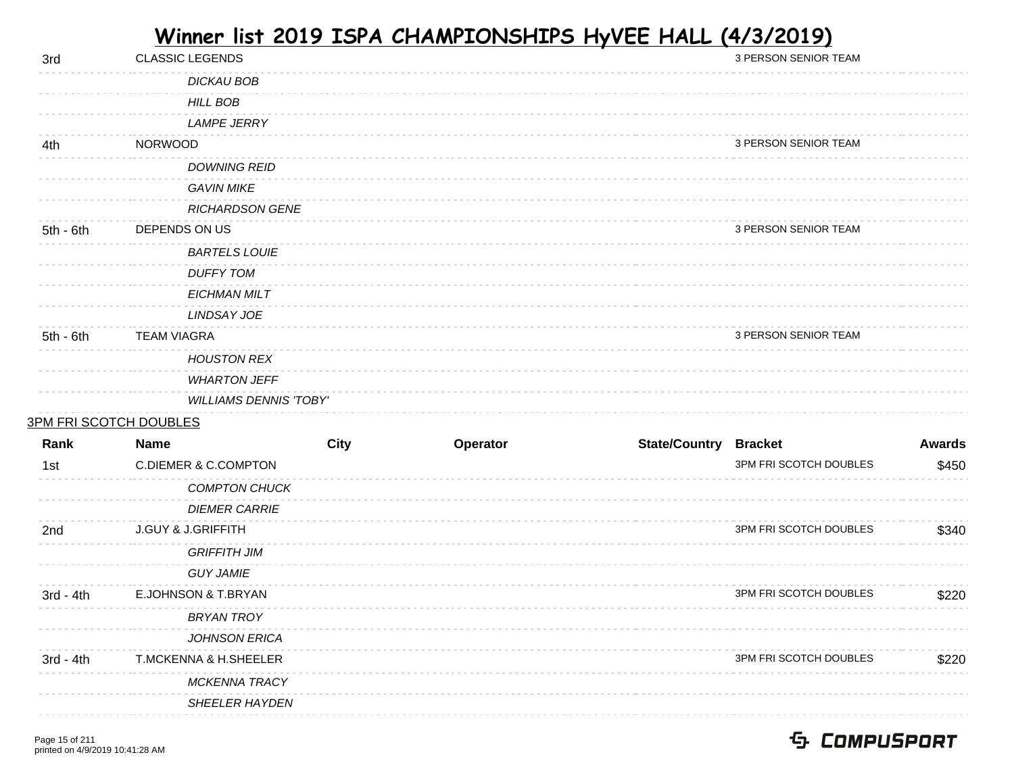| 3rd         | <b>CLASSIC LEGENDS</b>          |             |          |                              | 3 PERSON SENIOR TEAM   |               |
|-------------|---------------------------------|-------------|----------|------------------------------|------------------------|---------------|
|             | <b>DICKAU BOB</b>               |             |          |                              |                        |               |
|             | <b>HILL BOB</b>                 |             |          |                              |                        |               |
|             | <b>LAMPE JERRY</b>              |             |          |                              |                        |               |
| 4th         | <b>NORWOOD</b>                  |             |          |                              | 3 PERSON SENIOR TEAM   |               |
|             | <b>DOWNING REID</b>             |             |          |                              |                        |               |
|             | <b>GAVIN MIKE</b>               |             |          |                              |                        |               |
|             | <b>RICHARDSON GENE</b>          |             |          |                              |                        |               |
| $5th - 6th$ | DEPENDS ON US                   |             |          |                              | 3 PERSON SENIOR TEAM   |               |
|             | <b>BARTELS LOUIE</b>            |             |          |                              |                        |               |
|             | <b>DUFFY TOM</b>                |             |          |                              |                        |               |
|             | <b>EICHMAN MILT</b>             |             |          |                              |                        |               |
|             | LINDSAY JOE                     |             |          |                              |                        |               |
| $5th - 6th$ | <b>TEAM VIAGRA</b>              |             |          |                              | 3 PERSON SENIOR TEAM   |               |
|             | <b>HOUSTON REX</b>              |             |          |                              |                        |               |
|             | <b>WHARTON JEFF</b>             |             |          |                              |                        |               |
|             | <b>WILLIAMS DENNIS 'TOBY'</b>   |             |          |                              |                        |               |
|             | <b>3PM FRI SCOTCH DOUBLES</b>   |             |          |                              |                        |               |
| Rank        | Name                            | <b>City</b> | Operator | <b>State/Country Bracket</b> |                        | <b>Awards</b> |
| 1st         | <b>C.DIEMER &amp; C.COMPTON</b> |             |          |                              | 3PM FRI SCOTCH DOUBLES | \$450         |
|             | <b>COMPTON CHUCK</b>            |             |          |                              |                        |               |
|             | <b>DIEMER CARRIE</b>            |             |          |                              |                        |               |
| 2nd         | <b>J.GUY &amp; J.GRIFFITH</b>   |             |          |                              | 3PM FRI SCOTCH DOUBLES | \$340         |
|             | <b>GRIFFITH JIM</b>             |             |          |                              |                        |               |
|             | <b>GUY JAMIE</b>                |             |          |                              |                        |               |
| $3rd - 4th$ | E.JOHNSON & T.BRYAN             |             |          |                              | 3PM FRI SCOTCH DOUBLES | \$220         |
|             | <b>BRYAN TROY</b>               |             |          |                              |                        |               |
|             | JOHNSON ERICA                   |             |          |                              |                        |               |
| $3rd - 4th$ | T.MCKENNA & H.SHEELER           |             |          |                              | 3PM FRI SCOTCH DOUBLES | \$220         |
|             | MCKENNA TRACY                   |             |          |                              |                        |               |
|             | SHEELER HAYDEN                  |             |          |                              |                        |               |
|             |                                 |             |          |                              |                        |               |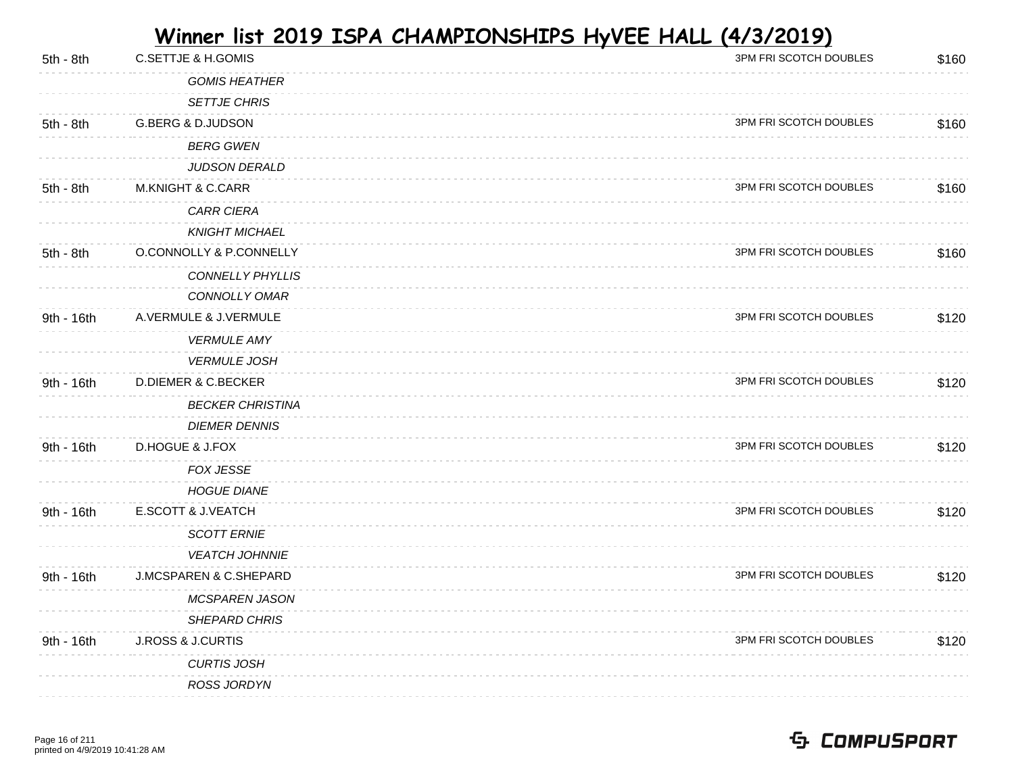| 5th - 8th   | <b>C.SETTJE &amp; H.GOMIS</b>  | 3PM FRI SCOTCH DOUBLES | \$160 |
|-------------|--------------------------------|------------------------|-------|
|             | <b>GOMIS HEATHER</b>           |                        |       |
|             | <b>SETTJE CHRIS</b>            |                        |       |
| 5th - 8th   | <b>G.BERG &amp; D.JUDSON</b>   | 3PM FRI SCOTCH DOUBLES | \$160 |
|             | <b>BERG GWEN</b>               |                        |       |
|             | JUDSON DERALD                  |                        |       |
| 5th - 8th   | <b>M.KNIGHT &amp; C.CARR</b>   | 3PM FRI SCOTCH DOUBLES | \$160 |
|             | CARR CIERA                     |                        |       |
|             | <b>KNIGHT MICHAEL</b>          |                        |       |
| $5th - 8th$ | O.CONNOLLY & P.CONNELLY        | 3PM FRI SCOTCH DOUBLES | \$160 |
|             | <b>CONNELLY PHYLLIS</b>        |                        |       |
|             | CONNOLLY OMAR                  |                        |       |
| 9th - 16th  | A.VERMULE & J.VERMULE          | 3PM FRI SCOTCH DOUBLES | \$120 |
|             | <b>VERMULE AMY</b>             |                        |       |
|             | <b>VERMULE JOSH</b>            |                        |       |
| 9th - 16th  | <b>D.DIEMER &amp; C.BECKER</b> | 3PM FRI SCOTCH DOUBLES | \$120 |
|             | <b>BECKER CHRISTINA</b>        |                        |       |
|             | <b>DIEMER DENNIS</b>           |                        |       |
| 9th - 16th  | D.HOGUE & J.FOX                | 3PM FRI SCOTCH DOUBLES | \$120 |
|             | <b>FOX JESSE</b>               |                        |       |
|             | <b>HOGUE DIANE</b>             |                        |       |
| 9th - 16th  | E.SCOTT & J.VEATCH             | 3PM FRI SCOTCH DOUBLES | \$120 |
|             | <b>SCOTT ERNIE</b>             |                        |       |
|             | <b>VEATCH JOHNNIE</b>          |                        |       |
| 9th - 16th  | J.MCSPAREN & C.SHEPARD         | 3PM FRI SCOTCH DOUBLES | \$120 |
|             | <b>MCSPAREN JASON</b>          |                        |       |
|             | SHEPARD CHRIS                  |                        |       |
| 9th - 16th  | <b>J.ROSS &amp; J.CURTIS</b>   | 3PM FRI SCOTCH DOUBLES | \$120 |
|             | <b>CURTIS JOSH</b>             |                        |       |
|             | ROSS JORDYN                    |                        |       |
|             |                                |                        |       |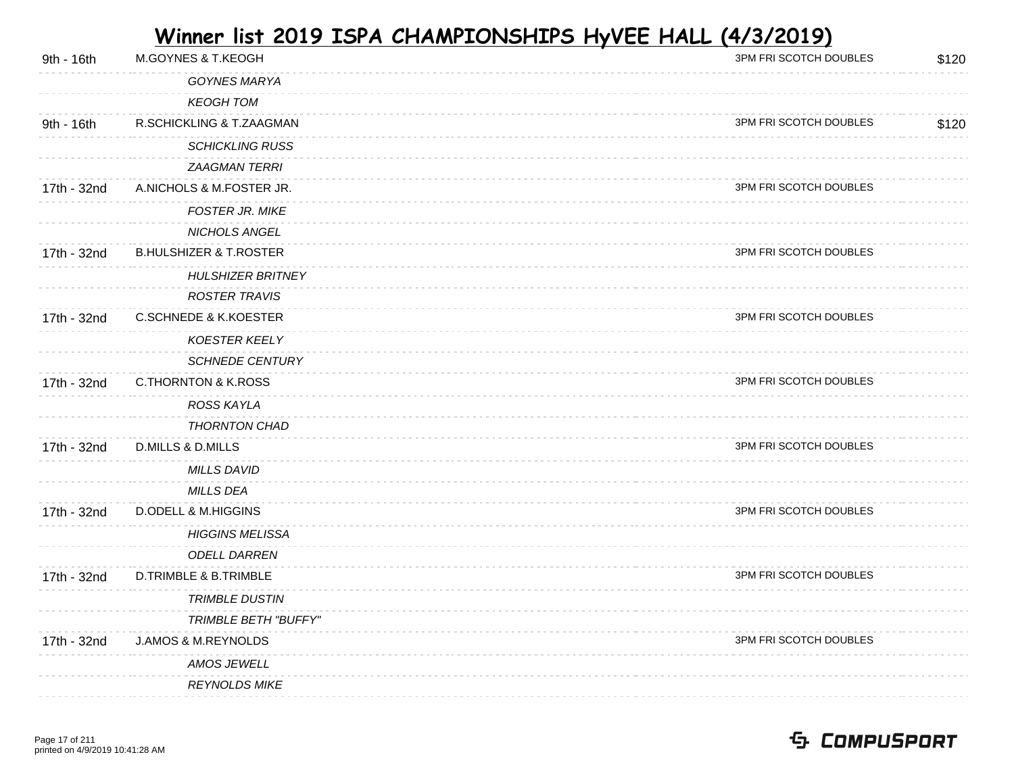| 9th - 16th  | <b>M.GOYNES &amp; T.KEOGH</b>     | 3PM FRI SCOTCH DOUBLES | \$120 |
|-------------|-----------------------------------|------------------------|-------|
|             | <b>GOYNES MARYA</b>               |                        |       |
|             | <b>KEOGH TOM</b>                  |                        |       |
| 9th - 16th  | R.SCHICKLING & T.ZAAGMAN          | 3PM FRI SCOTCH DOUBLES | \$120 |
|             | <b>SCHICKLING RUSS</b>            |                        |       |
|             | <b>ZAAGMAN TERRI</b>              |                        |       |
| 17th - 32nd | A.NICHOLS & M.FOSTER JR.          | 3PM FRI SCOTCH DOUBLES |       |
|             | FOSTER JR. MIKE                   |                        |       |
|             | NICHOLS ANGEL                     |                        |       |
| 17th - 32nd | <b>B.HULSHIZER &amp; T.ROSTER</b> | 3PM FRI SCOTCH DOUBLES |       |
|             | <b>HULSHIZER BRITNEY</b>          |                        |       |
|             | <b>ROSTER TRAVIS</b>              |                        |       |
| 17th - 32nd | <b>C.SCHNEDE &amp; K.KOESTER</b>  | 3PM FRI SCOTCH DOUBLES |       |
|             | <b>KOESTER KEELY</b>              |                        |       |
|             | <b>SCHNEDE CENTURY</b>            |                        |       |
| 17th - 32nd | <b>C.THORNTON &amp; K.ROSS</b>    | 3PM FRI SCOTCH DOUBLES |       |
|             | ROSS KAYLA                        |                        |       |
|             | THORNTON CHAD                     |                        |       |
| 17th - 32nd | <b>D.MILLS &amp; D.MILLS</b>      | 3PM FRI SCOTCH DOUBLES |       |
|             | <b>MILLS DAVID</b>                |                        |       |
|             | <b>MILLS DEA</b>                  |                        |       |
| 17th - 32nd | <b>D.ODELL &amp; M.HIGGINS</b>    | 3PM FRI SCOTCH DOUBLES |       |
|             | <b>HIGGINS MELISSA</b>            |                        |       |
|             | <b>ODELL DARREN</b>               |                        |       |
| 17th - 32nd | D.TRIMBLE & B.TRIMBLE             | 3PM FRI SCOTCH DOUBLES |       |
|             | <b>TRIMBLE DUSTIN</b>             |                        |       |
|             | <b>TRIMBLE BETH "BUFFY"</b>       |                        |       |
| 17th - 32nd | <b>J.AMOS &amp; M.REYNOLDS</b>    | 3PM FRI SCOTCH DOUBLES |       |
|             | AMOS JEWELL                       |                        |       |
|             | <b>REYNOLDS MIKE</b>              |                        |       |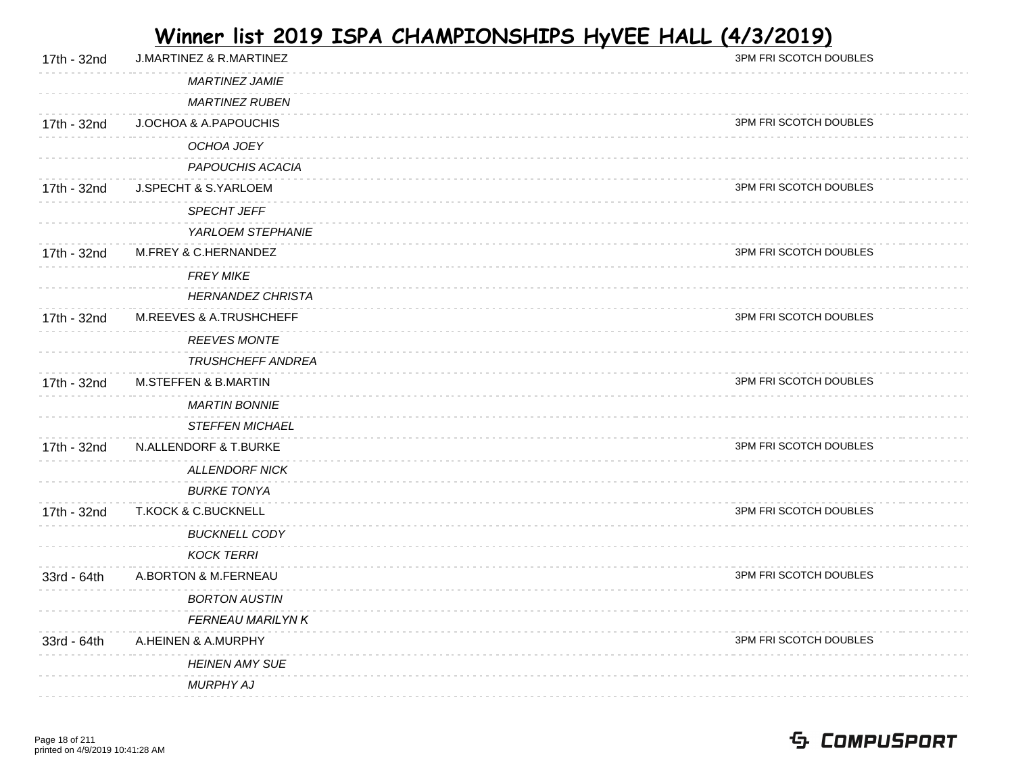| 17th - 32nd | <b>J.MARTINEZ &amp; R.MARTINEZ</b> | 3PM FRI SCOTCH DOUBLES |
|-------------|------------------------------------|------------------------|
|             | <b>MARTINEZ JAMIE</b>              |                        |
|             | <b>MARTINEZ RUBEN</b>              |                        |
| 17th - 32nd | J.OCHOA & A.PAPOUCHIS              | 3PM FRI SCOTCH DOUBLES |
|             | OCHOA JOEY                         |                        |
|             | PAPOUCHIS ACACIA                   |                        |
| 17th - 32nd | J.SPECHT & S.YARLOEM               | 3PM FRI SCOTCH DOUBLES |
|             | SPECHT JEFF                        |                        |
|             | YARLOEM STEPHANIE                  |                        |
| 17th - 32nd | M.FREY & C.HERNANDEZ               | 3PM FRI SCOTCH DOUBLES |
|             | <b>FREY MIKE</b>                   |                        |
|             | <b>HERNANDEZ CHRISTA</b>           |                        |
| 17th - 32nd | M.REEVES & A.TRUSHCHEFF            | 3PM FRI SCOTCH DOUBLES |
|             | <b>REEVES MONTE</b>                |                        |
|             | <b>TRUSHCHEFF ANDREA</b>           |                        |
| 17th - 32nd | <b>M.STEFFEN &amp; B.MARTIN</b>    | 3PM FRI SCOTCH DOUBLES |
|             | <b>MARTIN BONNIE</b>               |                        |
|             | <b>STEFFEN MICHAEL</b>             |                        |
| 17th - 32nd | N.ALLENDORF & T.BURKE              | 3PM FRI SCOTCH DOUBLES |
|             | <b>ALLENDORF NICK</b>              |                        |
|             | <b>BURKE TONYA</b>                 |                        |
| 17th - 32nd | <b>T.KOCK &amp; C.BUCKNELL</b>     | 3PM FRI SCOTCH DOUBLES |
|             | <b>BUCKNELL CODY</b>               |                        |
|             | <b>KOCK TERRI</b>                  |                        |
| 33rd - 64th | A.BORTON & M.FERNEAU               | 3PM FRI SCOTCH DOUBLES |
|             | <b>BORTON AUSTIN</b>               |                        |
|             | <b>FERNEAU MARILYN K</b>           |                        |
| 33rd - 64th | A.HEINEN & A.MURPHY                | 3PM FRI SCOTCH DOUBLES |
|             | <b>HEINEN AMY SUE</b>              |                        |
|             | MURPHY AJ                          |                        |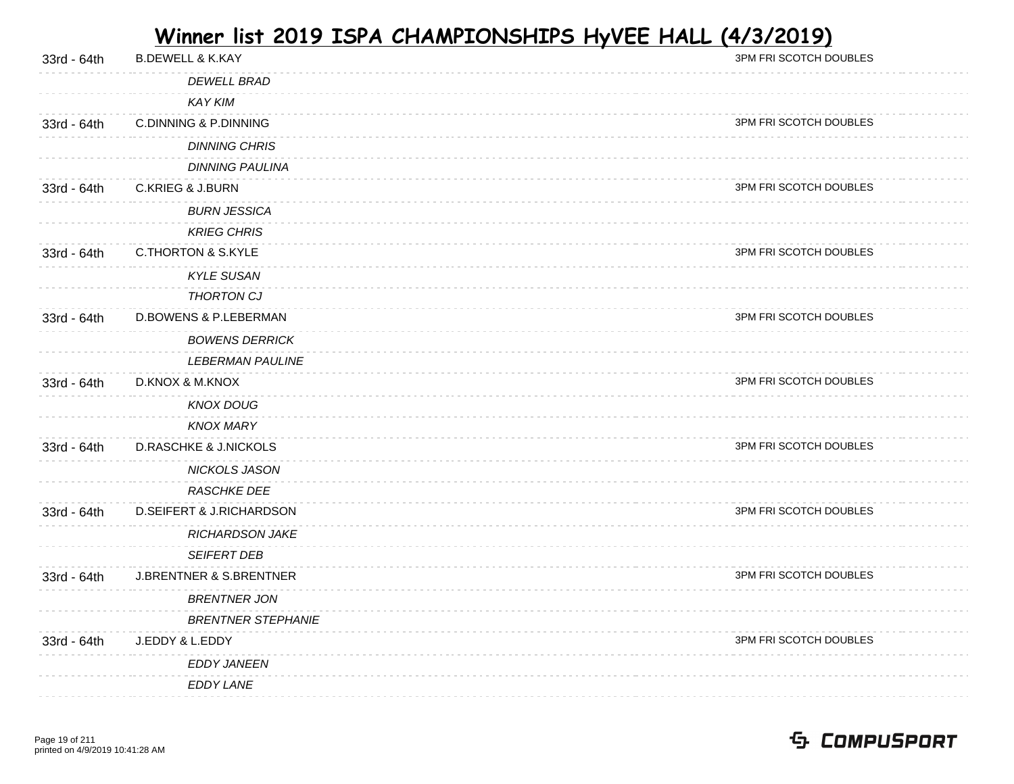| 33rd - 64th | <b>B.DEWELL &amp; K.KAY</b>        | 3PM FRI SCOTCH DOUBLES |
|-------------|------------------------------------|------------------------|
|             | <b>DEWELL BRAD</b>                 |                        |
|             | <b>KAY KIM</b>                     |                        |
| 33rd - 64th | <b>C.DINNING &amp; P.DINNING</b>   | 3PM FRI SCOTCH DOUBLES |
|             | <b>DINNING CHRIS</b>               |                        |
|             | <b>DINNING PAULINA</b>             |                        |
| 33rd - 64th | <b>C.KRIEG &amp; J.BURN</b>        | 3PM FRI SCOTCH DOUBLES |
|             | <b>BURN JESSICA</b>                |                        |
|             | <b>KRIEG CHRIS</b>                 |                        |
| 33rd - 64th | <b>C.THORTON &amp; S.KYLE</b>      | 3PM FRI SCOTCH DOUBLES |
|             | <b>KYLE SUSAN</b>                  |                        |
|             | <b>THORTON CJ</b>                  |                        |
| 33rd - 64th | <b>D.BOWENS &amp; P.LEBERMAN</b>   | 3PM FRI SCOTCH DOUBLES |
|             | <b>BOWENS DERRICK</b>              |                        |
|             | <b>LEBERMAN PAULINE</b>            |                        |
| 33rd - 64th | D.KNOX & M.KNOX                    | 3PM FRI SCOTCH DOUBLES |
|             | <b>KNOX DOUG</b>                   |                        |
|             | <b>KNOX MARY</b>                   |                        |
| 33rd - 64th | <b>D.RASCHKE &amp; J.NICKOLS</b>   | 3PM FRI SCOTCH DOUBLES |
|             | NICKOLS JASON                      |                        |
|             | <b>RASCHKE DEE</b>                 |                        |
| 33rd - 64th | D.SEIFERT & J.RICHARDSON           | 3PM FRI SCOTCH DOUBLES |
|             | <b>RICHARDSON JAKE</b>             |                        |
|             | SEIFERT DEB                        |                        |
| 33rd - 64th | <b>J.BRENTNER &amp; S.BRENTNER</b> | 3PM FRI SCOTCH DOUBLES |
|             | <b>BRENTNER JON</b>                |                        |
|             | <b>BRENTNER STEPHANIE</b>          |                        |
| 33rd - 64th | J.EDDY & L.EDDY                    | 3PM FRI SCOTCH DOUBLES |
|             | <b>EDDY JANEEN</b>                 |                        |
|             | EDDY LANE                          |                        |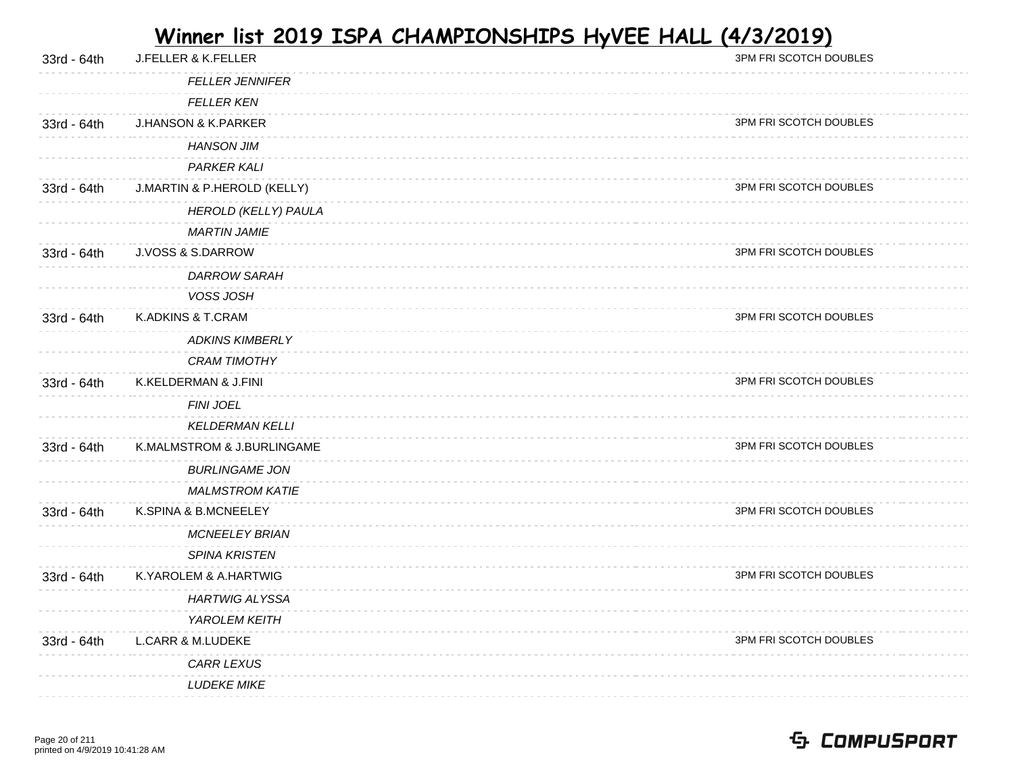| 33rd - 64th | J.FELLER & K.FELLER            | 3PM FRI SCOTCH DOUBLES |
|-------------|--------------------------------|------------------------|
|             | <b>FELLER JENNIFER</b>         |                        |
|             | <b>FELLER KEN</b>              |                        |
| 33rd - 64th | <b>J.HANSON &amp; K.PARKER</b> | 3PM FRI SCOTCH DOUBLES |
|             | <b>HANSON JIM</b>              |                        |
|             | PARKER KALI                    |                        |
| 33rd - 64th | J.MARTIN & P.HEROLD (KELLY)    | 3PM FRI SCOTCH DOUBLES |
|             | HEROLD (KELLY) PAULA           |                        |
|             | <b>MARTIN JAMIE</b>            |                        |
| 33rd - 64th | J.VOSS & S.DARROW              | 3PM FRI SCOTCH DOUBLES |
|             | <b>DARROW SARAH</b>            |                        |
|             | VOSS JOSH                      |                        |
| 33rd - 64th | K.ADKINS & T.CRAM              | 3PM FRI SCOTCH DOUBLES |
|             | <b>ADKINS KIMBERLY</b>         |                        |
|             | <b>CRAM TIMOTHY</b>            |                        |
| 33rd - 64th | K.KELDERMAN & J.FINI           | 3PM FRI SCOTCH DOUBLES |
|             | FINI JOEL                      |                        |
|             | <b>KELDERMAN KELLI</b>         |                        |
| 33rd - 64th | K.MALMSTROM & J.BURLINGAME     | 3PM FRI SCOTCH DOUBLES |
|             | <b>BURLINGAME JON</b>          |                        |
|             | <b>MALMSTROM KATIE</b>         |                        |
| 33rd - 64th | K.SPINA & B.MCNEELEY           | 3PM FRI SCOTCH DOUBLES |
|             | <b>MCNEELEY BRIAN</b>          |                        |
|             | <b>SPINA KRISTEN</b>           |                        |
| 33rd - 64th | K.YAROLEM & A.HARTWIG          | 3PM FRI SCOTCH DOUBLES |
|             | <b>HARTWIG ALYSSA</b>          |                        |
|             | YAROLEM KEITH                  |                        |
| 33rd - 64th | <b>L.CARR &amp; M.LUDEKE</b>   | 3PM FRI SCOTCH DOUBLES |
|             | <b>CARR LEXUS</b>              |                        |
|             | <b>LUDEKE MIKE</b>             |                        |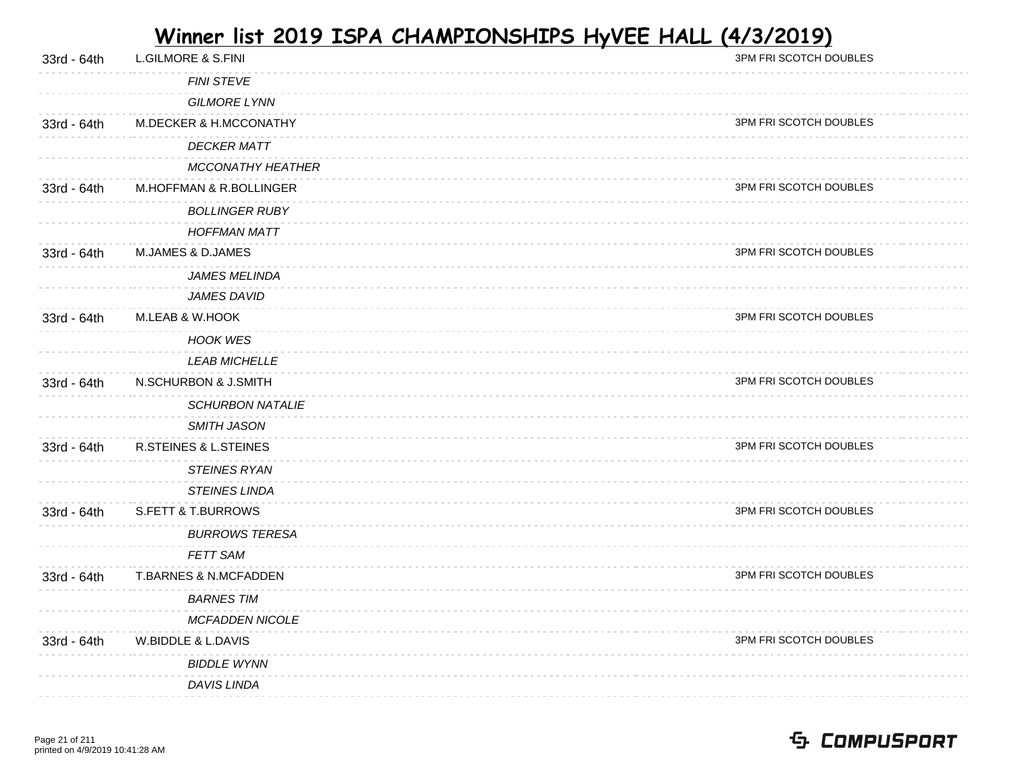| 33rd - 64th | <b>L.GILMORE &amp; S.FINI</b>    | 3PM FRI SCOTCH DOUBLES |
|-------------|----------------------------------|------------------------|
|             | <b>FINI STEVE</b>                |                        |
|             | <b>GILMORE LYNN</b>              |                        |
| 33rd - 64th | M.DECKER & H.MCCONATHY           | 3PM FRI SCOTCH DOUBLES |
|             | <b>DECKER MATT</b>               |                        |
|             | <b>MCCONATHY HEATHER</b>         |                        |
| 33rd - 64th | M.HOFFMAN & R.BOLLINGER          | 3PM FRI SCOTCH DOUBLES |
|             | <b>BOLLINGER RUBY</b>            |                        |
|             | <b>HOFFMAN MATT</b>              |                        |
| 33rd - 64th | M.JAMES & D.JAMES                | 3PM FRI SCOTCH DOUBLES |
|             | <b>JAMES MELINDA</b>             |                        |
|             | <b>JAMES DAVID</b>               |                        |
| 33rd - 64th | M.LEAB & W.HOOK                  | 3PM FRI SCOTCH DOUBLES |
|             | <b>HOOK WES</b>                  |                        |
|             | <b>LEAB MICHELLE</b>             |                        |
| 33rd - 64th | N.SCHURBON & J.SMITH             | 3PM FRI SCOTCH DOUBLES |
|             | <b>SCHURBON NATALIE</b>          |                        |
|             | <b>SMITH JASON</b>               |                        |
| 33rd - 64th | <b>R.STEINES &amp; L.STEINES</b> | 3PM FRI SCOTCH DOUBLES |
|             | <b>STEINES RYAN</b>              |                        |
|             | <b>STEINES LINDA</b>             |                        |
| 33rd - 64th | <b>S.FETT &amp; T.BURROWS</b>    | 3PM FRI SCOTCH DOUBLES |
|             | <b>BURROWS TERESA</b>            |                        |
|             | FETT SAM                         |                        |
| 33rd - 64th | T.BARNES & N.MCFADDEN            | 3PM FRI SCOTCH DOUBLES |
|             | <b>BARNES TIM</b>                |                        |
|             | <b>MCFADDEN NICOLE</b>           |                        |
| 33rd - 64th | W.BIDDLE & L.DAVIS               | 3PM FRI SCOTCH DOUBLES |
|             | <b>BIDDLE WYNN</b>               |                        |
|             | DAVIS LINDA                      |                        |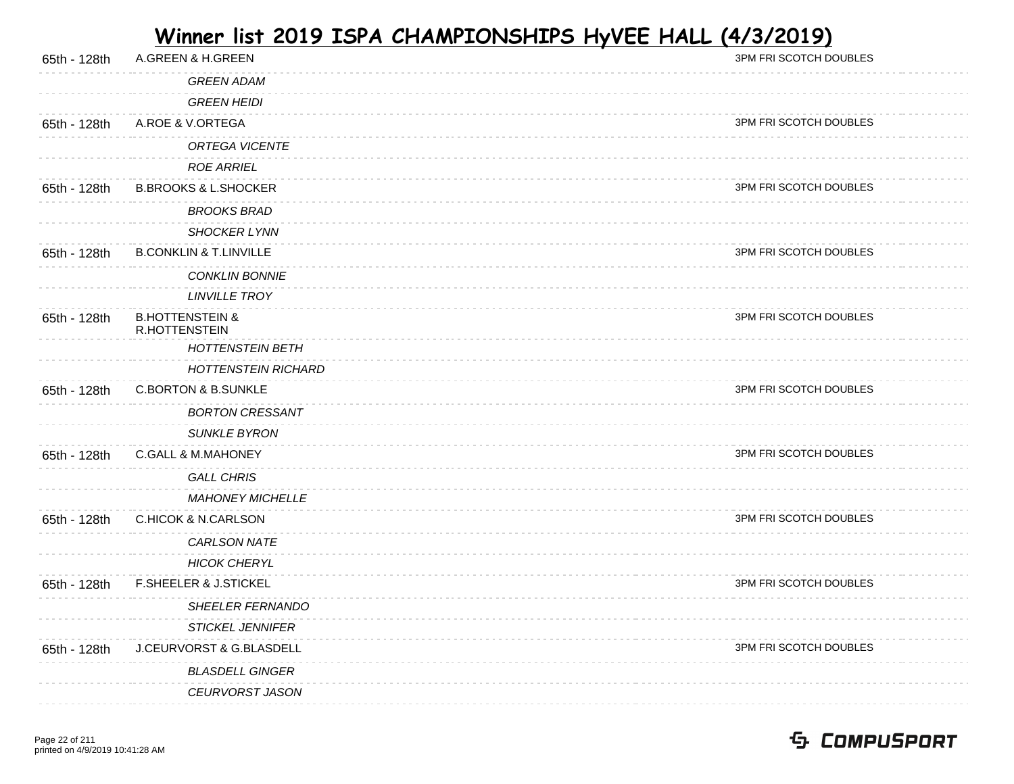| A.GREEN & H.GREEN                                  | 3PM FRI SCOTCH DOUBLES |
|----------------------------------------------------|------------------------|
| <b>GREEN ADAM</b>                                  |                        |
| <b>GREEN HEIDI</b>                                 |                        |
| A.ROE & V.ORTEGA                                   | 3PM FRI SCOTCH DOUBLES |
| ORTEGA VICENTE                                     |                        |
| <b>ROE ARRIEL</b>                                  |                        |
| <b>B.BROOKS &amp; L.SHOCKER</b>                    | 3PM FRI SCOTCH DOUBLES |
| <b>BROOKS BRAD</b>                                 |                        |
| SHOCKER LYNN                                       |                        |
| <b>B.CONKLIN &amp; T.LINVILLE</b>                  | 3PM FRI SCOTCH DOUBLES |
| <b>CONKLIN BONNIE</b>                              |                        |
| <b>LINVILLE TROY</b>                               |                        |
| <b>B.HOTTENSTEIN &amp;</b><br><b>R.HOTTENSTEIN</b> | 3PM FRI SCOTCH DOUBLES |
| <b>HOTTENSTEIN BETH</b>                            |                        |
| <b>HOTTENSTEIN RICHARD</b>                         |                        |
| <b>C.BORTON &amp; B.SUNKLE</b>                     | 3PM FRI SCOTCH DOUBLES |
| <b>BORTON CRESSANT</b>                             |                        |
| <b>SUNKLE BYRON</b>                                |                        |
| <b>C.GALL &amp; M.MAHONEY</b>                      | 3PM FRI SCOTCH DOUBLES |
| <b>GALL CHRIS</b>                                  |                        |
| <b>MAHONEY MICHELLE</b>                            |                        |
| <b>C.HICOK &amp; N.CARLSON</b>                     | 3PM FRI SCOTCH DOUBLES |
| <b>CARLSON NATE</b>                                |                        |
| <b>HICOK CHERYL</b>                                |                        |
| F.SHEELER & J.STICKEL                              | 3PM FRI SCOTCH DOUBLES |
| <b>SHEELER FERNANDO</b>                            |                        |
| <b>STICKEL JENNIFER</b>                            |                        |
| J.CEURVORST & G.BLASDELL                           | 3PM FRI SCOTCH DOUBLES |
| <b>BLASDELL GINGER</b>                             |                        |
| CEURVORST JASON                                    |                        |
|                                                    |                        |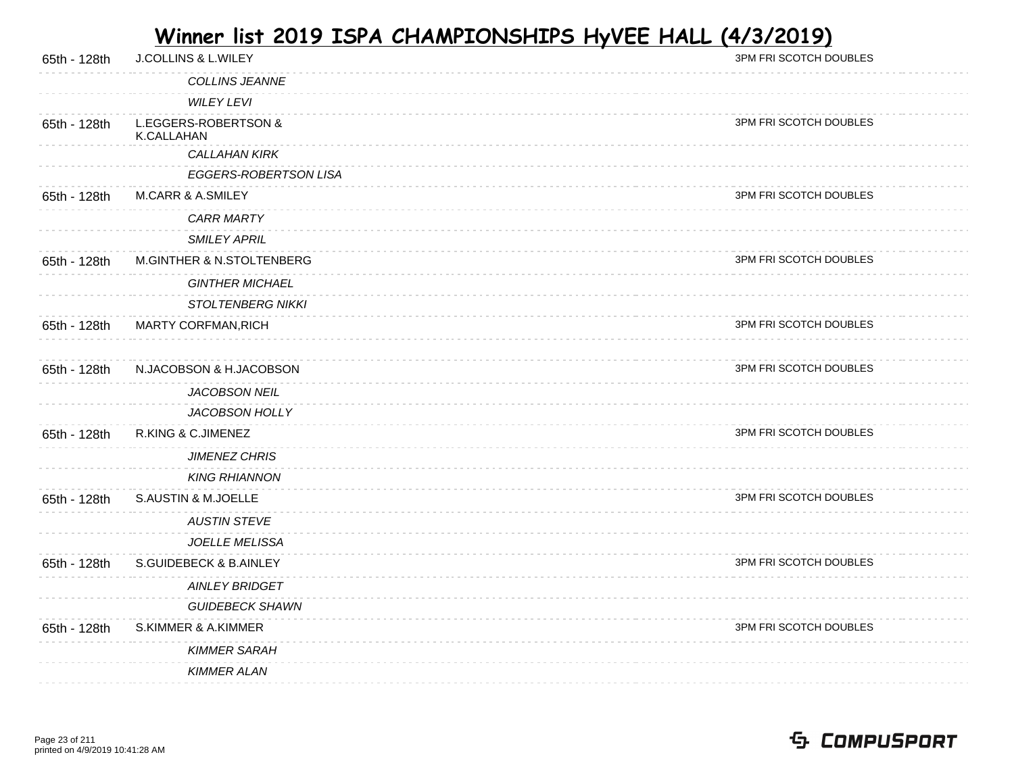| 65th - 128th | <b>J.COLLINS &amp; L.WILEY</b>     | 3PM FRI SCOTCH DOUBLES |
|--------------|------------------------------------|------------------------|
|              | COLLINS JEANNE                     |                        |
|              | <b>WILEY LEVI</b>                  |                        |
| 65th - 128th | L.EGGERS-ROBERTSON &<br>K.CALLAHAN | 3PM FRI SCOTCH DOUBLES |
|              | <b>CALLAHAN KIRK</b>               |                        |
|              | EGGERS-ROBERTSON LISA              |                        |
| 65th - 128th | <b>M.CARR &amp; A.SMILEY</b>       | 3PM FRI SCOTCH DOUBLES |
|              | <b>CARR MARTY</b>                  |                        |
|              | <b>SMILEY APRIL</b>                |                        |
| 65th - 128th | M.GINTHER & N.STOLTENBERG          | 3PM FRI SCOTCH DOUBLES |
|              | <b>GINTHER MICHAEL</b>             |                        |
|              | <b>STOLTENBERG NIKKI</b>           |                        |
| 65th - 128th | MARTY CORFMAN, RICH                | 3PM FRI SCOTCH DOUBLES |
|              |                                    |                        |
| 65th - 128th | N.JACOBSON & H.JACOBSON            | 3PM FRI SCOTCH DOUBLES |
|              | JACOBSON NEIL                      |                        |
|              | JACOBSON HOLLY                     |                        |
| 65th - 128th | R.KING & C.JIMENEZ                 | 3PM FRI SCOTCH DOUBLES |
|              | <b>JIMENEZ CHRIS</b>               |                        |
|              | <b>KING RHIANNON</b>               |                        |
| 65th - 128th | S.AUSTIN & M.JOELLE                | 3PM FRI SCOTCH DOUBLES |
|              | <b>AUSTIN STEVE</b>                |                        |
|              | <b>JOELLE MELISSA</b>              |                        |
| 65th - 128th | <b>S.GUIDEBECK &amp; B.AINLEY</b>  | 3PM FRI SCOTCH DOUBLES |
|              | <b>AINLEY BRIDGET</b>              |                        |
|              | <b>GUIDEBECK SHAWN</b>             |                        |
| 65th - 128th | S.KIMMER & A.KIMMER                | 3PM FRI SCOTCH DOUBLES |
|              | <b>KIMMER SARAH</b>                |                        |
|              | <b>KIMMER ALAN</b>                 |                        |
|              |                                    |                        |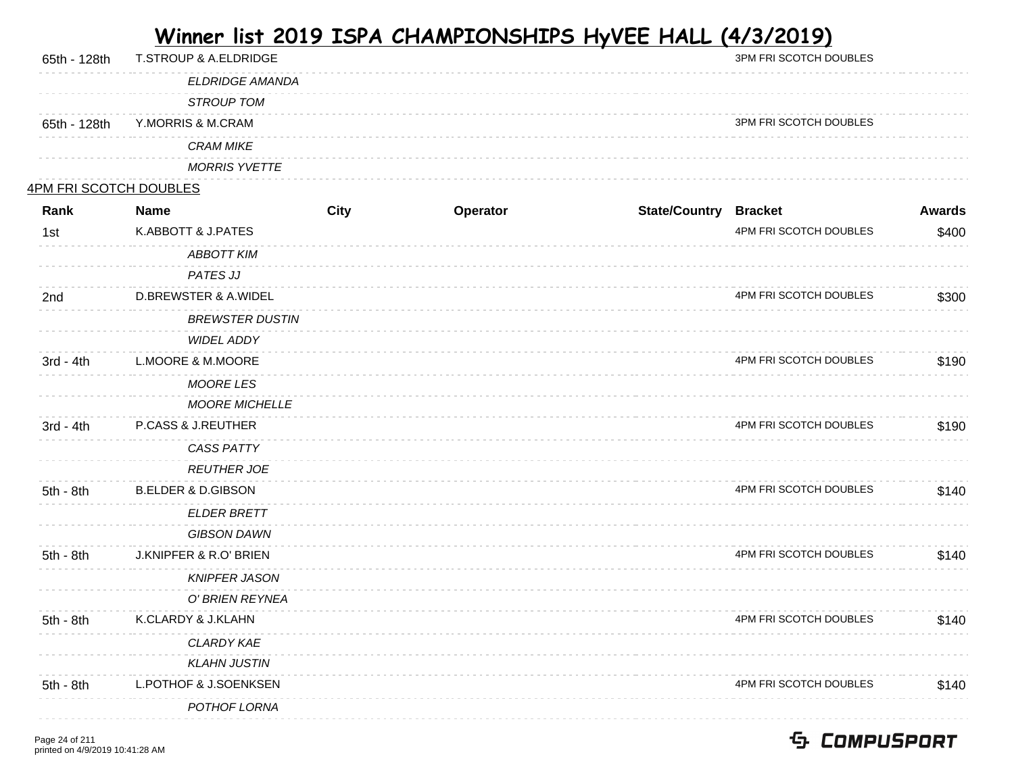| 65th - 128th                  | T.STROUP & A.ELDRIDGE           |      |          |                              | 3PM FRI SCOTCH DOUBLES |               |
|-------------------------------|---------------------------------|------|----------|------------------------------|------------------------|---------------|
|                               | <b>ELDRIDGE AMANDA</b>          |      |          |                              |                        |               |
|                               | <b>STROUP TOM</b>               |      |          |                              |                        |               |
| 65th - 128th                  | Y.MORRIS & M.CRAM               |      |          |                              | 3PM FRI SCOTCH DOUBLES |               |
|                               | <b>CRAM MIKE</b>                |      |          |                              |                        |               |
|                               | <b>MORRIS YVETTE</b>            |      |          |                              |                        |               |
| <u>4PM FRI SCOTCH DOUBLES</u> |                                 |      |          |                              |                        |               |
| Rank                          | <b>Name</b>                     | City | Operator | <b>State/Country Bracket</b> |                        | <b>Awards</b> |
| 1st                           | K.ABBOTT & J.PATES              |      |          |                              | 4PM FRI SCOTCH DOUBLES | \$400         |
|                               | <b>ABBOTT KIM</b>               |      |          |                              |                        |               |
|                               | <b>PATES JJ</b>                 |      |          |                              |                        |               |
| 2nd                           | <b>D.BREWSTER &amp; A.WIDEL</b> |      |          |                              | 4PM FRI SCOTCH DOUBLES | \$300         |
|                               | <b>BREWSTER DUSTIN</b>          |      |          |                              |                        |               |
|                               | <b>WIDEL ADDY</b>               |      |          |                              |                        |               |
| $3rd - 4th$                   | L.MOORE & M.MOORE               |      |          |                              | 4PM FRI SCOTCH DOUBLES | \$190         |
|                               | <b>MOORE LES</b>                |      |          |                              |                        |               |
|                               | <b>MOORE MICHELLE</b>           |      |          |                              |                        |               |
| 3rd - 4th                     | P.CASS & J.REUTHER              |      |          |                              | 4PM FRI SCOTCH DOUBLES | \$190         |
|                               | <b>CASS PATTY</b>               |      |          |                              |                        |               |
|                               | <b>REUTHER JOE</b>              |      |          |                              |                        |               |
| 5th - 8th                     | <b>B.ELDER &amp; D.GIBSON</b>   |      |          |                              | 4PM FRI SCOTCH DOUBLES | \$140         |
|                               | <b>ELDER BRETT</b>              |      |          |                              |                        |               |
|                               | <b>GIBSON DAWN</b>              |      |          |                              |                        |               |
| 5th - 8th                     | J.KNIPFER & R.O' BRIEN          |      |          |                              | 4PM FRI SCOTCH DOUBLES | \$140         |
|                               | <b>KNIPFER JASON</b>            |      |          |                              |                        |               |
|                               | O' BRIEN REYNEA                 |      |          |                              |                        |               |
| 5th - 8th                     | K.CLARDY & J.KLAHN              |      |          |                              | 4PM FRI SCOTCH DOUBLES | \$140         |
|                               | CLARDY KAE                      |      |          |                              |                        |               |
|                               | <b>KLAHN JUSTIN</b>             |      |          |                              |                        |               |
| 5th - 8th                     | L.POTHOF & J.SOENKSEN           |      |          |                              | 4PM FRI SCOTCH DOUBLES | \$140         |
|                               | POTHOF LORNA                    |      |          |                              |                        |               |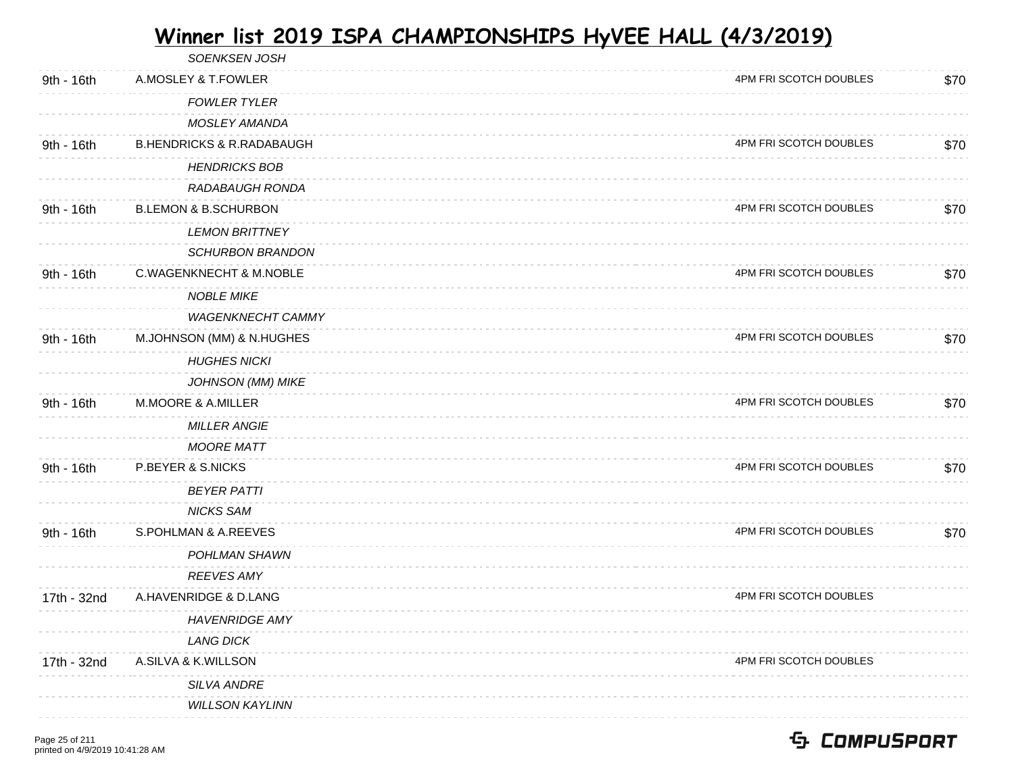|             | SOENKSEN JOSH                        |                        |      |
|-------------|--------------------------------------|------------------------|------|
| 9th - 16th  | A.MOSLEY & T.FOWLER                  | 4PM FRI SCOTCH DOUBLES | \$70 |
|             | <b>FOWLER TYLER</b>                  |                        |      |
|             | <b>MOSLEY AMANDA</b>                 |                        |      |
| 9th - 16th  | <b>B.HENDRICKS &amp; R.RADABAUGH</b> | 4PM FRI SCOTCH DOUBLES | \$70 |
|             | <b>HENDRICKS BOB</b>                 |                        |      |
|             | RADABAUGH RONDA                      |                        |      |
| 9th - 16th  | <b>B.LEMON &amp; B.SCHURBON</b>      | 4PM FRI SCOTCH DOUBLES | \$70 |
|             | <b>LEMON BRITTNEY</b>                |                        |      |
|             | <b>SCHURBON BRANDON</b>              |                        |      |
| 9th - 16th  | <b>C.WAGENKNECHT &amp; M.NOBLE</b>   | 4PM FRI SCOTCH DOUBLES | \$70 |
|             | <b>NOBLE MIKE</b>                    |                        |      |
|             | <b>WAGENKNECHT CAMMY</b>             |                        |      |
| 9th - 16th  | M.JOHNSON (MM) & N.HUGHES            | 4PM FRI SCOTCH DOUBLES | \$70 |
|             | <b>HUGHES NICKI</b>                  |                        |      |
|             | <b>JOHNSON (MM) MIKE</b>             |                        |      |
| 9th - 16th  | M.MOORE & A.MILLER                   | 4PM FRI SCOTCH DOUBLES | \$70 |
|             | <b>MILLER ANGIE</b>                  |                        |      |
|             | <b>MOORE MATT</b>                    |                        |      |
| 9th - 16th  | P.BEYER & S.NICKS                    | 4PM FRI SCOTCH DOUBLES | \$70 |
|             | <b>BEYER PATTI</b>                   |                        |      |
|             | <b>NICKS SAM</b>                     |                        |      |
| 9th - 16th  | S.POHLMAN & A.REEVES                 | 4PM FRI SCOTCH DOUBLES | \$70 |
|             | POHLMAN SHAWN                        |                        |      |
|             | <b>REEVES AMY</b>                    |                        |      |
| 17th - 32nd | A.HAVENRIDGE & D.LANG                | 4PM FRI SCOTCH DOUBLES |      |
|             | <b>HAVENRIDGE AMY</b>                |                        |      |
|             | <b>LANG DICK</b>                     |                        |      |
| 17th - 32nd | A.SILVA & K.WILLSON                  | 4PM FRI SCOTCH DOUBLES |      |
|             | <b>SILVA ANDRE</b>                   |                        |      |
|             | <b>WILLSON KAYLINN</b>               |                        |      |
|             |                                      |                        |      |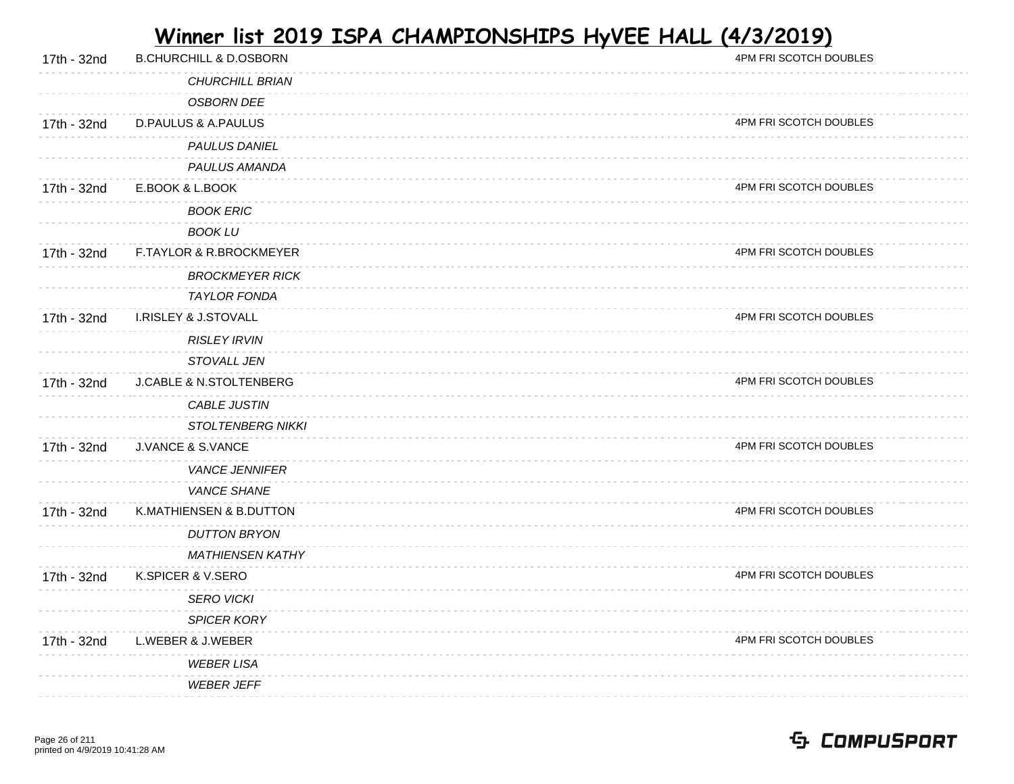| 17th - 32nd | <b>B.CHURCHILL &amp; D.OSBORN</b>  | 4PM FRI SCOTCH DOUBLES |
|-------------|------------------------------------|------------------------|
|             | <b>CHURCHILL BRIAN</b>             |                        |
|             | <b>OSBORN DEE</b>                  |                        |
| 17th - 32nd | <b>D.PAULUS &amp; A.PAULUS</b>     | 4PM FRI SCOTCH DOUBLES |
|             | PAULUS DANIEL                      |                        |
|             | PAULUS AMANDA                      |                        |
| 17th - 32nd | E.BOOK & L.BOOK                    | 4PM FRI SCOTCH DOUBLES |
|             | <b>BOOK ERIC</b>                   |                        |
|             | <b>BOOK LU</b>                     |                        |
| 17th - 32nd | F.TAYLOR & R.BROCKMEYER            | 4PM FRI SCOTCH DOUBLES |
|             | <b>BROCKMEYER RICK</b>             |                        |
|             | <b>TAYLOR FONDA</b>                |                        |
| 17th - 32nd | <b>I.RISLEY &amp; J.STOVALL</b>    | 4PM FRI SCOTCH DOUBLES |
|             | <b>RISLEY IRVIN</b>                |                        |
|             | STOVALL JEN                        |                        |
| 17th - 32nd | <b>J.CABLE &amp; N.STOLTENBERG</b> | 4PM FRI SCOTCH DOUBLES |
|             | CABLE JUSTIN                       |                        |
|             | <b>STOLTENBERG NIKKI</b>           |                        |
| 17th - 32nd | <b>J.VANCE &amp; S.VANCE</b>       | 4PM FRI SCOTCH DOUBLES |
|             | <b>VANCE JENNIFER</b>              |                        |
|             | <b>VANCE SHANE</b>                 |                        |
| 17th - 32nd | K.MATHIENSEN & B.DUTTON            | 4PM FRI SCOTCH DOUBLES |
|             | <b>DUTTON BRYON</b>                |                        |
|             | <b>MATHIENSEN KATHY</b>            |                        |
| 17th - 32nd | K.SPICER & V.SERO                  | 4PM FRI SCOTCH DOUBLES |
|             | <b>SERO VICKI</b>                  |                        |
|             | SPICER KORY                        |                        |
| 17th - 32nd | L.WEBER & J.WEBER                  | 4PM FRI SCOTCH DOUBLES |
|             | <b>WEBER LISA</b>                  |                        |
|             | <b>WEBER JEFF</b>                  |                        |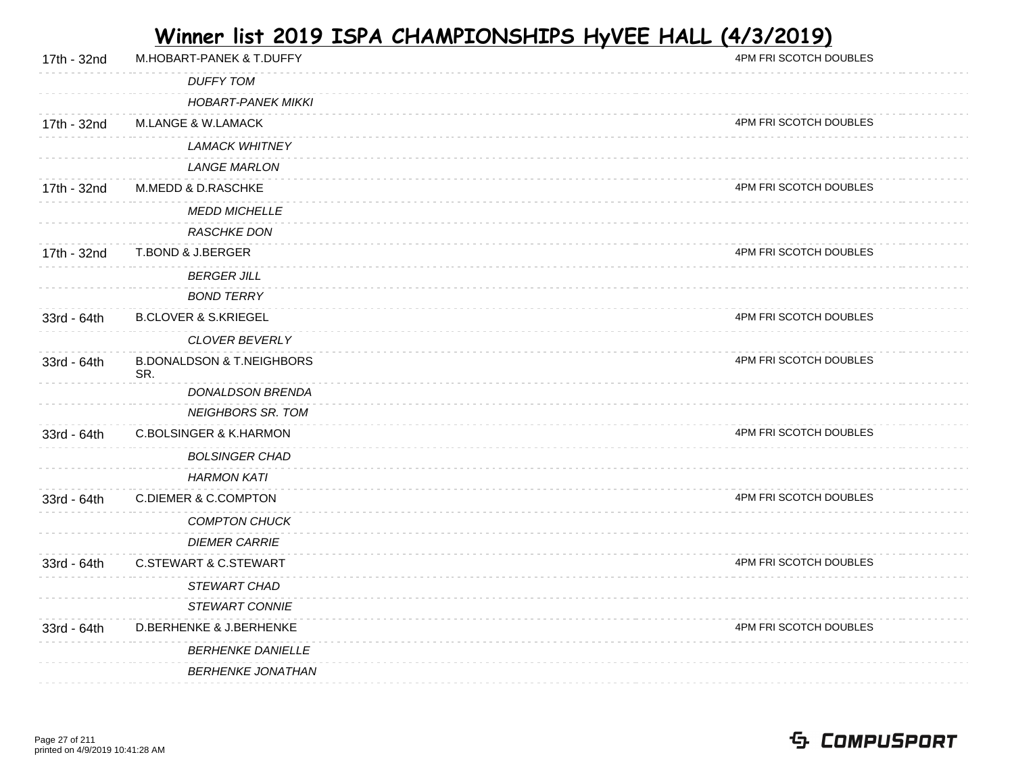| 17th - 32nd | M.HOBART-PANEK & T.DUFFY                    | 4PM FRI SCOTCH DOUBLES |
|-------------|---------------------------------------------|------------------------|
|             | <b>DUFFY TOM</b>                            |                        |
|             | <b>HOBART-PANEK MIKKI</b>                   |                        |
| 17th - 32nd | M.LANGE & W.LAMACK                          | 4PM FRI SCOTCH DOUBLES |
|             | <b>LAMACK WHITNEY</b>                       |                        |
|             | <b>LANGE MARLON</b>                         |                        |
| 17th - 32nd | M.MEDD & D.RASCHKE                          | 4PM FRI SCOTCH DOUBLES |
|             | <b>MEDD MICHELLE</b>                        |                        |
|             | <b>RASCHKE DON</b>                          |                        |
| 17th - 32nd | T.BOND & J.BERGER                           | 4PM FRI SCOTCH DOUBLES |
|             | <b>BERGER JILL</b>                          |                        |
|             | <b>BOND TERRY</b>                           |                        |
| 33rd - 64th | <b>B.CLOVER &amp; S.KRIEGEL</b>             | 4PM FRI SCOTCH DOUBLES |
|             | <b>CLOVER BEVERLY</b>                       |                        |
| 33rd - 64th | <b>B.DONALDSON &amp; T.NEIGHBORS</b><br>SR. | 4PM FRI SCOTCH DOUBLES |
|             | DONALDSON BRENDA                            |                        |
|             | <b>NEIGHBORS SR. TOM</b>                    |                        |
| 33rd - 64th | <b>C.BOLSINGER &amp; K.HARMON</b>           | 4PM FRI SCOTCH DOUBLES |
|             | <b>BOLSINGER CHAD</b>                       |                        |
|             | <b>HARMON KATI</b>                          |                        |
| 33rd - 64th | <b>C.DIEMER &amp; C.COMPTON</b>             | 4PM FRI SCOTCH DOUBLES |
|             | <b>COMPTON CHUCK</b>                        |                        |
|             | <b>DIEMER CARRIE</b>                        |                        |
| 33rd - 64th | <b>C.STEWART &amp; C.STEWART</b>            | 4PM FRI SCOTCH DOUBLES |
|             | STEWART CHAD                                |                        |
|             | <b>STEWART CONNIE</b>                       |                        |
| 33rd - 64th | <b>D.BERHENKE &amp; J.BERHENKE</b>          | 4PM FRI SCOTCH DOUBLES |
|             | <b>BERHENKE DANIELLE</b>                    |                        |
|             | <b>BERHENKE JONATHAN</b>                    |                        |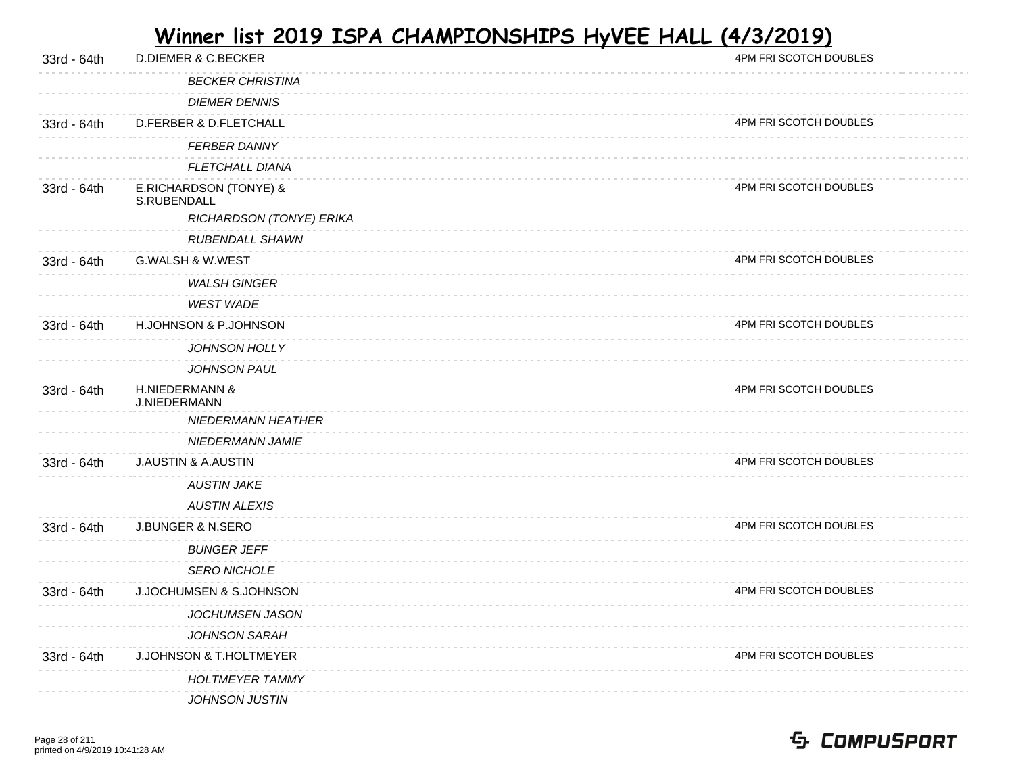| 33rd - 64th | <b>D.DIEMER &amp; C.BECKER</b>            | 4PM FRI SCOTCH DOUBLES |
|-------------|-------------------------------------------|------------------------|
|             | <b>BECKER CHRISTINA</b>                   |                        |
|             | <b>DIEMER DENNIS</b>                      |                        |
| 33rd - 64th | D.FERBER & D.FLETCHALL                    | 4PM FRI SCOTCH DOUBLES |
|             | <b>FERBER DANNY</b>                       |                        |
|             | <b>FLETCHALL DIANA</b>                    |                        |
| 33rd - 64th | E.RICHARDSON (TONYE) &<br>S.RUBENDALL     | 4PM FRI SCOTCH DOUBLES |
|             | RICHARDSON (TONYE) ERIKA                  |                        |
|             | RUBENDALL SHAWN                           |                        |
| 33rd - 64th | G.WALSH & W.WEST                          | 4PM FRI SCOTCH DOUBLES |
|             | <b>WALSH GINGER</b>                       |                        |
|             | <b>WEST WADE</b>                          |                        |
| 33rd - 64th | H.JOHNSON & P.JOHNSON                     | 4PM FRI SCOTCH DOUBLES |
|             | <b>JOHNSON HOLLY</b>                      |                        |
|             | JOHNSON PAUL                              |                        |
| 33rd - 64th | <b>H.NIEDERMANN &amp;</b><br>J.NIEDERMANN | 4PM FRI SCOTCH DOUBLES |
|             | NIEDERMANN HEATHER                        |                        |
|             | NIEDERMANN JAMIE                          |                        |
| 33rd - 64th | <b>J.AUSTIN &amp; A.AUSTIN</b>            | 4PM FRI SCOTCH DOUBLES |
|             | <b>AUSTIN JAKE</b>                        |                        |
|             | <b>AUSTIN ALEXIS</b>                      |                        |
| 33rd - 64th | <b>J.BUNGER &amp; N.SERO</b>              | 4PM FRI SCOTCH DOUBLES |
|             | <b>BUNGER JEFF</b>                        |                        |
|             | <b>SERO NICHOLE</b>                       |                        |
| 33rd - 64th | J.JOCHUMSEN & S.JOHNSON                   | 4PM FRI SCOTCH DOUBLES |
|             | JOCHUMSEN JASON                           |                        |
|             | <b>JOHNSON SARAH</b>                      |                        |
| 33rd - 64th | J.JOHNSON & T.HOLTMEYER                   | 4PM FRI SCOTCH DOUBLES |
|             | <b>HOLTMEYER TAMMY</b>                    |                        |
|             | JOHNSON JUSTIN                            |                        |
|             |                                           |                        |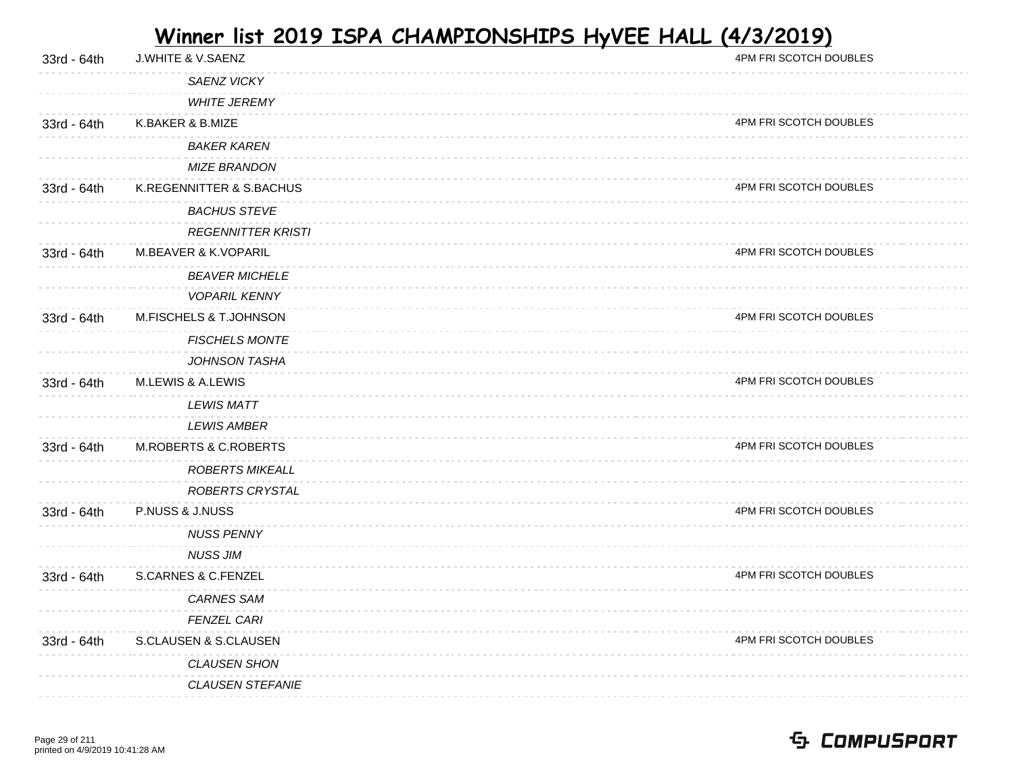| 33rd - 64th | J.WHITE & V.SAENZ                | 4PM FRI SCOTCH DOUBLES |
|-------------|----------------------------------|------------------------|
|             | SAENZ VICKY                      |                        |
|             | <b>WHITE JEREMY</b>              |                        |
| 33rd - 64th | K.BAKER & B.MIZE                 | 4PM FRI SCOTCH DOUBLES |
|             | <b>BAKER KAREN</b>               |                        |
|             | <b>MIZE BRANDON</b>              |                        |
| 33rd - 64th | K.REGENNITTER & S.BACHUS         | 4PM FRI SCOTCH DOUBLES |
|             | <b>BACHUS STEVE</b>              |                        |
|             | <b>REGENNITTER KRISTI</b>        |                        |
| 33rd - 64th | M.BEAVER & K.VOPARIL             | 4PM FRI SCOTCH DOUBLES |
|             | <b>BEAVER MICHELE</b>            |                        |
|             | <b>VOPARIL KENNY</b>             |                        |
| 33rd - 64th | M.FISCHELS & T.JOHNSON           | 4PM FRI SCOTCH DOUBLES |
|             | <b>FISCHELS MONTE</b>            |                        |
|             | <b>JOHNSON TASHA</b>             |                        |
| 33rd - 64th | M.LEWIS & A.LEWIS                | 4PM FRI SCOTCH DOUBLES |
|             | <b>LEWIS MATT</b>                |                        |
|             | <b>LEWIS AMBER</b>               |                        |
| 33rd - 64th | <b>M.ROBERTS &amp; C.ROBERTS</b> | 4PM FRI SCOTCH DOUBLES |
|             | <b>ROBERTS MIKEALL</b>           |                        |
|             | ROBERTS CRYSTAL                  |                        |
| 33rd - 64th | P.NUSS & J.NUSS                  | 4PM FRI SCOTCH DOUBLES |
|             | <b>NUSS PENNY</b>                |                        |
|             | <b>NUSS JIM</b>                  |                        |
| 33rd - 64th | <b>S.CARNES &amp; C.FENZEL</b>   | 4PM FRI SCOTCH DOUBLES |
|             | <b>CARNES SAM</b>                |                        |
|             | <b>FENZEL CARI</b>               |                        |
| 33rd - 64th | S.CLAUSEN & S.CLAUSEN            | 4PM FRI SCOTCH DOUBLES |
|             | <b>CLAUSEN SHON</b>              |                        |
|             | <b>CLAUSEN STEFANIE</b>          |                        |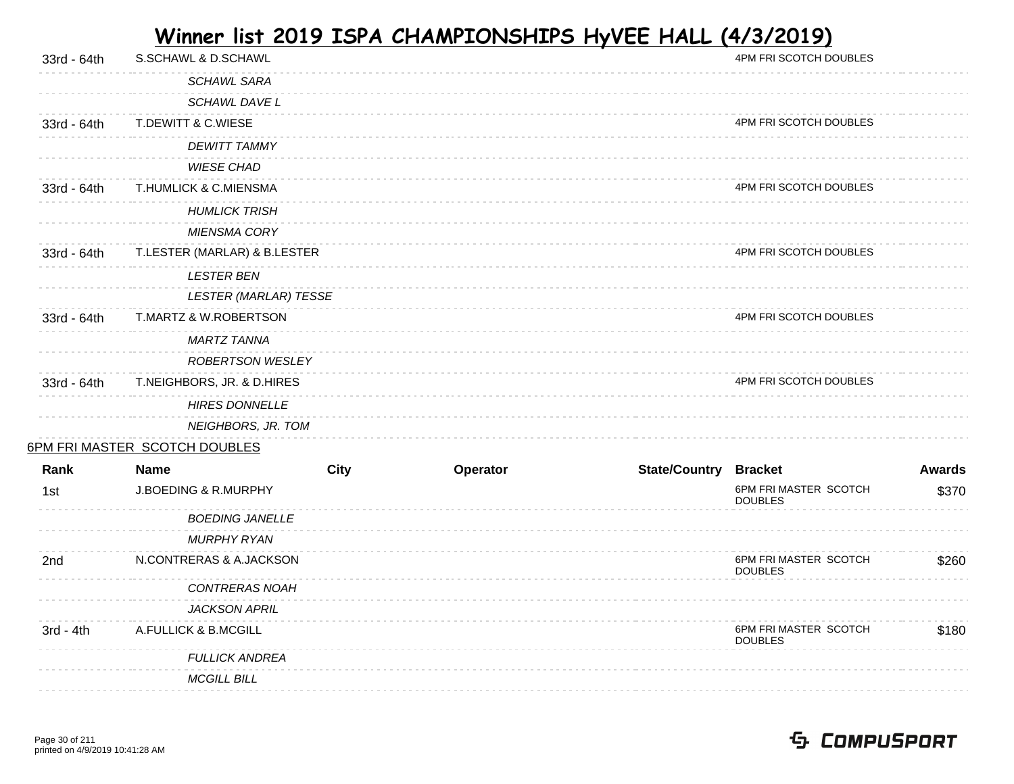| 33rd - 64th | S.SCHAWL & D.SCHAWL             |             |          |                              | 4PM FRI SCOTCH DOUBLES                  |               |
|-------------|---------------------------------|-------------|----------|------------------------------|-----------------------------------------|---------------|
|             | <b>SCHAWL SARA</b>              |             |          |                              |                                         |               |
|             | SCHAWL DAVE L                   |             |          |                              |                                         |               |
| 33rd - 64th | T.DEWITT & C.WIESE              |             |          |                              | 4PM FRI SCOTCH DOUBLES                  |               |
|             | <b>DEWITT TAMMY</b>             |             |          |                              |                                         |               |
|             | <b>WIESE CHAD</b>               |             |          |                              |                                         |               |
| 33rd - 64th | T.HUMLICK & C.MIENSMA           |             |          |                              | 4PM FRI SCOTCH DOUBLES                  |               |
|             | <b>HUMLICK TRISH</b>            |             |          |                              |                                         |               |
|             | <b>MIENSMA CORY</b>             |             |          |                              |                                         |               |
| 33rd - 64th | T.LESTER (MARLAR) & B.LESTER    |             |          |                              | 4PM FRI SCOTCH DOUBLES                  |               |
|             | <b>LESTER BEN</b>               |             |          |                              |                                         |               |
|             | <b>LESTER (MARLAR) TESSE</b>    |             |          |                              |                                         |               |
| 33rd - 64th | T.MARTZ & W.ROBERTSON           |             |          |                              | 4PM FRI SCOTCH DOUBLES                  |               |
|             | <b>MARTZ TANNA</b>              |             |          |                              |                                         |               |
|             | ROBERTSON WESLEY                |             |          |                              |                                         |               |
| 33rd - 64th | T.NEIGHBORS, JR. & D.HIRES      |             |          |                              | 4PM FRI SCOTCH DOUBLES                  |               |
|             | <b>HIRES DONNELLE</b>           |             |          |                              |                                         |               |
|             | NEIGHBORS, JR. TOM              |             |          |                              |                                         |               |
|             | 6PM FRI MASTER SCOTCH DOUBLES   |             |          |                              |                                         |               |
| Rank        | <b>Name</b>                     | <b>City</b> | Operator | <b>State/Country Bracket</b> |                                         | <b>Awards</b> |
| 1st         | <b>J.BOEDING &amp; R.MURPHY</b> |             |          |                              | 6PM FRI MASTER SCOTCH<br><b>DOUBLES</b> | \$370         |
|             | <b>BOEDING JANELLE</b>          |             |          |                              |                                         |               |
|             | <b>MURPHY RYAN</b>              |             |          |                              |                                         |               |
| 2nd         | N.CONTRERAS & A.JACKSON         |             |          |                              | 6PM FRI MASTER SCOTCH<br><b>DOUBLES</b> | \$260         |
|             | CONTRERAS NOAH                  |             |          |                              |                                         |               |
|             | <b>JACKSON APRIL</b>            |             |          |                              |                                         |               |
| $3rd - 4th$ | A.FULLICK & B.MCGILL            |             |          |                              | 6PM FRI MASTER SCOTCH<br><b>DOUBLES</b> | \$180         |
|             | <b>FULLICK ANDREA</b>           |             |          |                              |                                         |               |
|             | <b>MCGILL BILL</b>              |             |          |                              |                                         |               |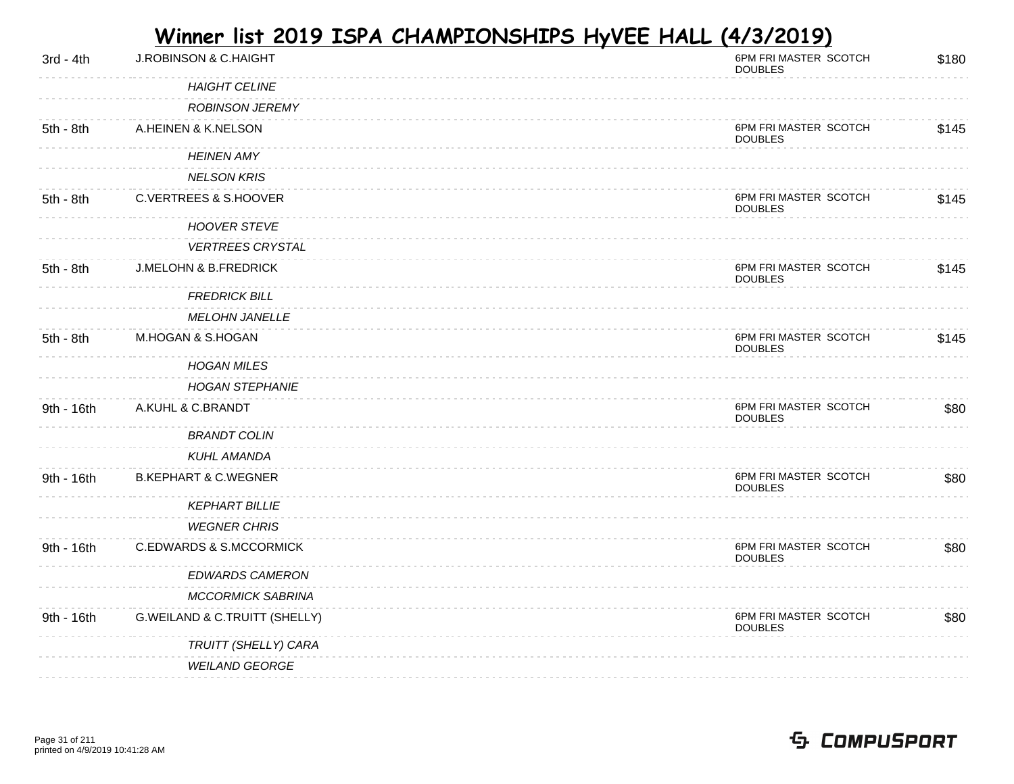| $3rd - 4th$ | <b>J.ROBINSON &amp; C.HAIGHT</b>   | 6PM FRI MASTER SCOTCH<br><b>DOUBLES</b> | \$180 |
|-------------|------------------------------------|-----------------------------------------|-------|
|             | <b>HAIGHT CELINE</b>               |                                         |       |
|             | <b>ROBINSON JEREMY</b>             |                                         |       |
| $5th - 8th$ | A.HEINEN & K.NELSON                | 6PM FRI MASTER SCOTCH<br><b>DOUBLES</b> | \$145 |
|             | <b>HEINEN AMY</b>                  |                                         |       |
|             | <b>NELSON KRIS</b>                 |                                         |       |
| 5th - 8th   | <b>C.VERTREES &amp; S.HOOVER</b>   | 6PM FRI MASTER SCOTCH<br><b>DOUBLES</b> | \$145 |
|             | <b>HOOVER STEVE</b>                |                                         |       |
|             | <b>VERTREES CRYSTAL</b>            |                                         |       |
| 5th - 8th   | <b>J.MELOHN &amp; B.FREDRICK</b>   | 6PM FRI MASTER SCOTCH<br><b>DOUBLES</b> | \$145 |
|             | <b>FREDRICK BILL</b>               |                                         |       |
|             | <b>MELOHN JANELLE</b>              |                                         |       |
| 5th - 8th   | M.HOGAN & S.HOGAN                  | 6PM FRI MASTER SCOTCH<br><b>DOUBLES</b> | \$145 |
|             | <b>HOGAN MILES</b>                 |                                         |       |
|             | <b>HOGAN STEPHANIE</b>             |                                         |       |
| 9th - 16th  | A.KUHL & C.BRANDT                  | 6PM FRI MASTER SCOTCH<br><b>DOUBLES</b> | \$80  |
|             | <b>BRANDT COLIN</b>                |                                         |       |
|             | <b>KUHL AMANDA</b>                 |                                         |       |
| 9th - 16th  | <b>B.KEPHART &amp; C.WEGNER</b>    | 6PM FRI MASTER SCOTCH<br><b>DOUBLES</b> | \$80  |
|             | <b>KEPHART BILLIE</b>              |                                         |       |
|             | <b>WEGNER CHRIS</b>                |                                         |       |
| 9th - 16th  | <b>C.EDWARDS &amp; S.MCCORMICK</b> | 6PM FRI MASTER SCOTCH<br><b>DOUBLES</b> | \$80  |
|             | <b>EDWARDS CAMERON</b>             |                                         |       |
|             | <b>MCCORMICK SABRINA</b>           |                                         |       |
| 9th - 16th  | G.WEILAND & C.TRUITT (SHELLY)      | 6PM FRI MASTER SCOTCH<br><b>DOUBLES</b> | \$80  |
|             | TRUITT (SHELLY) CARA               |                                         |       |
|             | <b>WEILAND GEORGE</b>              |                                         |       |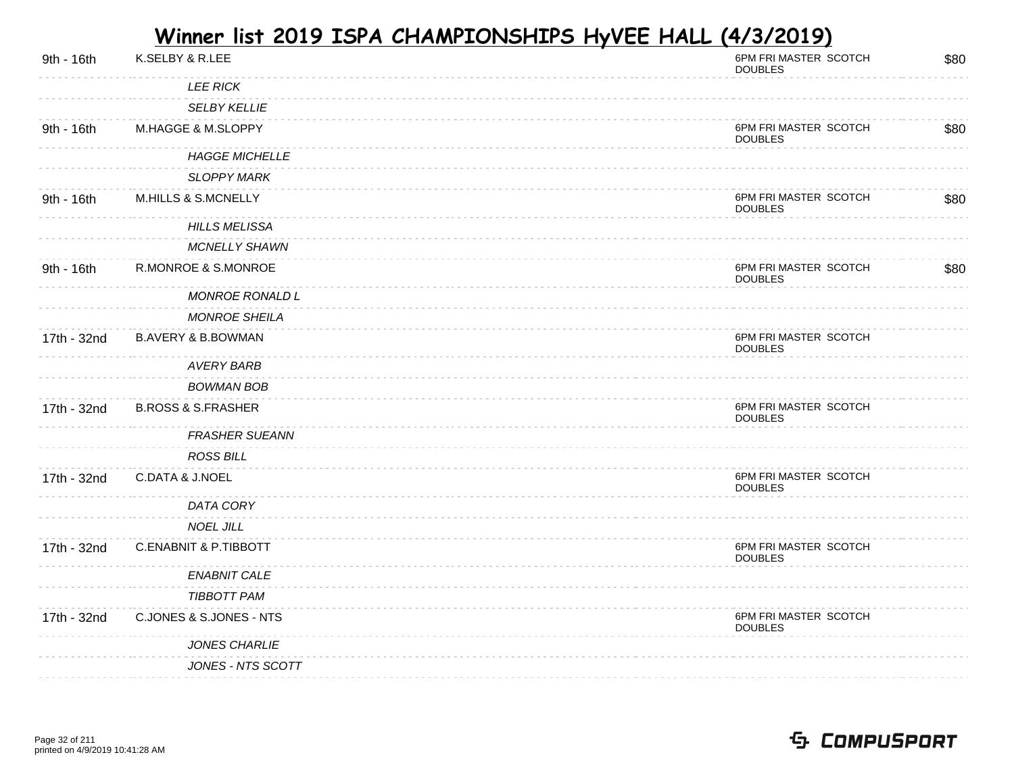| 9th - 16th  | K.SELBY & R.LEE                  | 6PM FRI MASTER SCOTCH<br><b>DOUBLES</b> | \$80 |
|-------------|----------------------------------|-----------------------------------------|------|
|             | <b>LEE RICK</b>                  |                                         |      |
|             | <b>SELBY KELLIE</b>              |                                         |      |
| 9th - 16th  | M.HAGGE & M.SLOPPY               | 6PM FRI MASTER SCOTCH<br><b>DOUBLES</b> | \$80 |
|             | <b>HAGGE MICHELLE</b>            |                                         |      |
|             | <b>SLOPPY MARK</b>               |                                         |      |
| 9th - 16th  | <b>M.HILLS &amp; S.MCNELLY</b>   | 6PM FRI MASTER SCOTCH<br><b>DOUBLES</b> | \$80 |
|             | <b>HILLS MELISSA</b>             |                                         |      |
|             | <b>MCNELLY SHAWN</b>             |                                         |      |
| 9th - 16th  | R.MONROE & S.MONROE              | 6PM FRI MASTER SCOTCH<br><b>DOUBLES</b> | \$80 |
|             | <b>MONROE RONALD L</b>           |                                         |      |
|             | <b>MONROE SHEILA</b>             |                                         |      |
| 17th - 32nd | <b>B.AVERY &amp; B.BOWMAN</b>    | 6PM FRI MASTER SCOTCH<br><b>DOUBLES</b> |      |
|             | <b>AVERY BARB</b>                |                                         |      |
|             | <b>BOWMAN BOB</b>                |                                         |      |
| 17th - 32nd | <b>B.ROSS &amp; S.FRASHER</b>    | 6PM FRI MASTER SCOTCH<br><b>DOUBLES</b> |      |
|             | <b>FRASHER SUEANN</b>            |                                         |      |
|             | <b>ROSS BILL</b>                 |                                         |      |
| 17th - 32nd | C.DATA & J.NOEL                  | 6PM FRI MASTER SCOTCH<br><b>DOUBLES</b> |      |
|             | DATA CORY                        |                                         |      |
|             | <b>NOEL JILL</b>                 |                                         |      |
| 17th - 32nd | <b>C.ENABNIT &amp; P.TIBBOTT</b> | 6PM FRI MASTER SCOTCH<br><b>DOUBLES</b> |      |
|             | <b>ENABNIT CALE</b>              |                                         |      |
|             | <b>TIBBOTT PAM</b>               |                                         |      |
| 17th - 32nd | C.JONES & S.JONES - NTS          | 6PM FRI MASTER SCOTCH<br><b>DOUBLES</b> |      |
|             | <b>JONES CHARLIE</b>             |                                         |      |
|             | JONES - NTS SCOTT                |                                         |      |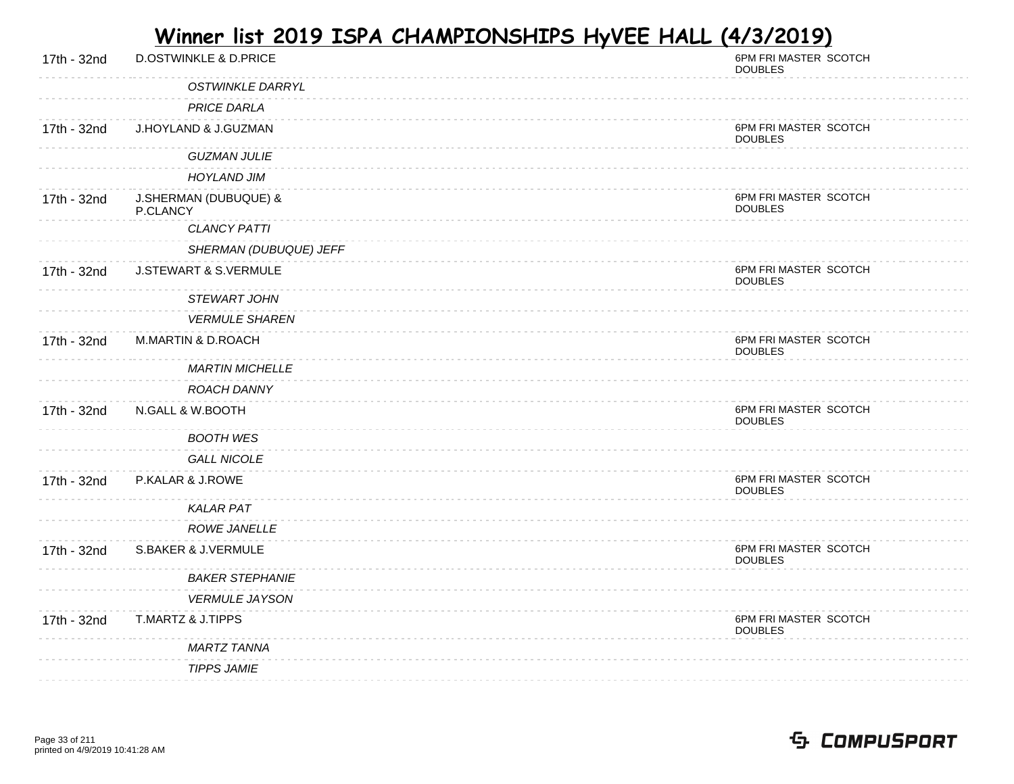| 17th - 32nd | <b>D.OSTWINKLE &amp; D.PRICE</b>  | 6PM FRI MASTER SCOTCH<br><b>DOUBLES</b> |
|-------------|-----------------------------------|-----------------------------------------|
|             | <b>OSTWINKLE DARRYL</b>           |                                         |
|             | <b>PRICE DARLA</b>                |                                         |
| 17th - 32nd | J.HOYLAND & J.GUZMAN              | 6PM FRI MASTER SCOTCH<br><b>DOUBLES</b> |
|             | <b>GUZMAN JULIE</b>               |                                         |
|             | <b>HOYLAND JIM</b>                |                                         |
| 17th - 32nd | J.SHERMAN (DUBUQUE) &<br>P.CLANCY | 6PM FRI MASTER SCOTCH<br><b>DOUBLES</b> |
|             | <b>CLANCY PATTI</b>               |                                         |
|             | SHERMAN (DUBUQUE) JEFF            |                                         |
| 17th - 32nd | J.STEWART & S.VERMULE             | 6PM FRI MASTER SCOTCH<br><b>DOUBLES</b> |
|             | STEWART JOHN                      |                                         |
|             | <b>VERMULE SHAREN</b>             |                                         |
| 17th - 32nd | <b>M.MARTIN &amp; D.ROACH</b>     | 6PM FRI MASTER SCOTCH<br><b>DOUBLES</b> |
|             | <b>MARTIN MICHELLE</b>            |                                         |
|             | ROACH DANNY                       |                                         |
| 17th - 32nd | N.GALL & W.BOOTH                  | 6PM FRI MASTER SCOTCH<br><b>DOUBLES</b> |
|             | <b>BOOTH WES</b>                  |                                         |
|             | <b>GALL NICOLE</b>                |                                         |
| 17th - 32nd | P.KALAR & J.ROWE                  | 6PM FRI MASTER SCOTCH<br><b>DOUBLES</b> |
|             | <b>KALAR PAT</b>                  |                                         |
|             | ROWE JANELLE                      |                                         |
| 17th - 32nd | S.BAKER & J.VERMULE               | 6PM FRI MASTER SCOTCH<br><b>DOUBLES</b> |
|             | <b>BAKER STEPHANIE</b>            |                                         |
|             | <b>VERMULE JAYSON</b>             |                                         |
| 17th - 32nd | T.MARTZ & J.TIPPS                 | 6PM FRI MASTER SCOTCH<br><b>DOUBLES</b> |
|             | MARTZ TANNA                       |                                         |
|             | <b>TIPPS JAMIE</b>                |                                         |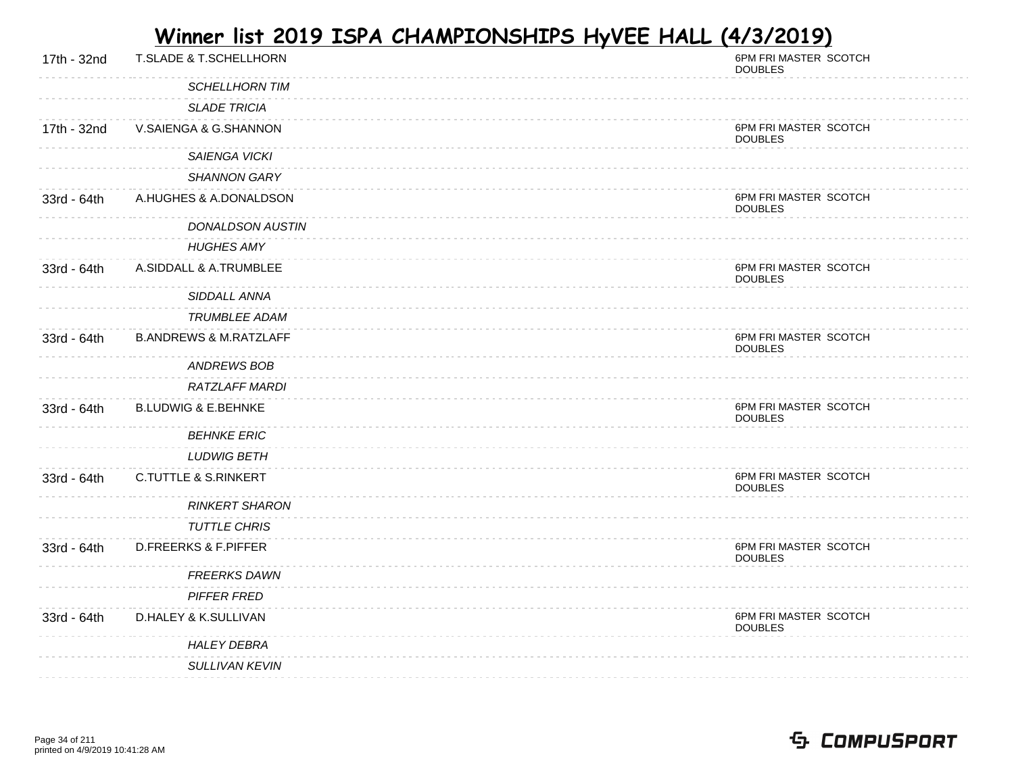| 17th - 32nd | <b>T.SLADE &amp; T.SCHELLHORN</b> | 6PM FRI MASTER SCOTCH<br><b>DOUBLES</b> |
|-------------|-----------------------------------|-----------------------------------------|
|             | <b>SCHELLHORN TIM</b>             |                                         |
|             | <b>SLADE TRICIA</b>               |                                         |
| 17th - 32nd | V.SAIENGA & G.SHANNON             | 6PM FRI MASTER SCOTCH<br><b>DOUBLES</b> |
|             | <b>SAIENGA VICKI</b>              |                                         |
|             | <b>SHANNON GARY</b>               |                                         |
| 33rd - 64th | A.HUGHES & A.DONALDSON            | 6PM FRI MASTER SCOTCH<br><b>DOUBLES</b> |
|             | <b>DONALDSON AUSTIN</b>           |                                         |
|             | <b>HUGHES AMY</b>                 |                                         |
| 33rd - 64th | A.SIDDALL & A.TRUMBLEE            | 6PM FRI MASTER SCOTCH<br><b>DOUBLES</b> |
|             | SIDDALL ANNA                      |                                         |
|             | TRUMBLEE ADAM                     |                                         |
| 33rd - 64th | <b>B.ANDREWS &amp; M.RATZLAFF</b> | 6PM FRI MASTER SCOTCH<br><b>DOUBLES</b> |
|             | <b>ANDREWS BOB</b>                |                                         |
|             | RATZLAFF MARDI                    |                                         |
| 33rd - 64th | <b>B.LUDWIG &amp; E.BEHNKE</b>    | 6PM FRI MASTER SCOTCH<br><b>DOUBLES</b> |
|             | <b>BEHNKE ERIC</b>                |                                         |
|             | <b>LUDWIG BETH</b>                |                                         |
| 33rd - 64th | <b>C.TUTTLE &amp; S.RINKERT</b>   | 6PM FRI MASTER SCOTCH<br><b>DOUBLES</b> |
|             | <b>RINKERT SHARON</b>             |                                         |
|             | <b>TUTTLE CHRIS</b>               |                                         |
| 33rd - 64th | <b>D.FREERKS &amp; F.PIFFER</b>   | 6PM FRI MASTER SCOTCH<br><b>DOUBLES</b> |
|             | <b>FREERKS DAWN</b>               |                                         |
|             | <b>PIFFER FRED</b>                |                                         |
| 33rd - 64th | D.HALEY & K.SULLIVAN              | 6PM FRI MASTER SCOTCH<br><b>DOUBLES</b> |
|             | <b>HALEY DEBRA</b>                |                                         |
|             | <b>SULLIVAN KEVIN</b>             |                                         |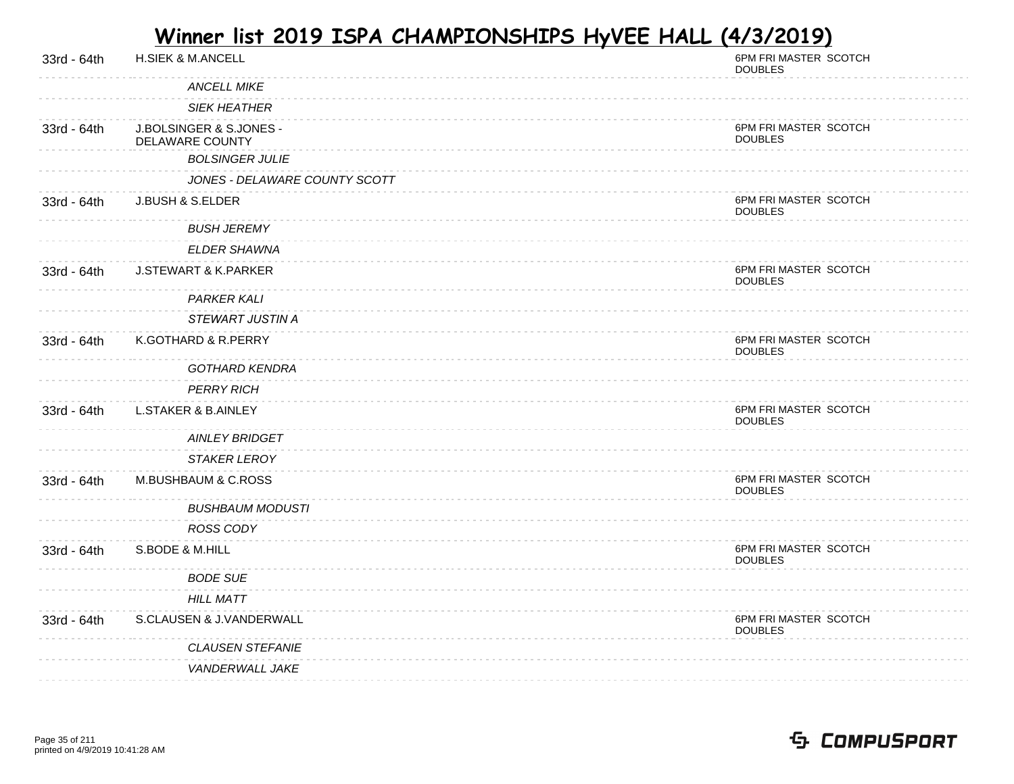| 33rd - 64th | <b>H.SIEK &amp; M.ANCELL</b>               | 6PM FRI MASTER SCOTCH<br><b>DOUBLES</b> |
|-------------|--------------------------------------------|-----------------------------------------|
|             | <b>ANCELL MIKE</b>                         |                                         |
|             | <b>SIEK HEATHER</b>                        |                                         |
| 33rd - 64th | J.BOLSINGER & S.JONES -<br>DELAWARE COUNTY | 6PM FRI MASTER SCOTCH<br><b>DOUBLES</b> |
|             | <b>BOLSINGER JULIE</b>                     |                                         |
|             | JONES - DELAWARE COUNTY SCOTT              |                                         |
| 33rd - 64th | J.BUSH & S.ELDER                           | 6PM FRI MASTER SCOTCH<br><b>DOUBLES</b> |
|             | <b>BUSH JEREMY</b>                         |                                         |
|             | <b>ELDER SHAWNA</b>                        |                                         |
| 33rd - 64th | <b>J.STEWART &amp; K.PARKER</b>            | 6PM FRI MASTER SCOTCH<br><b>DOUBLES</b> |
|             | <b>PARKER KALI</b>                         |                                         |
|             | STEWART JUSTIN A                           |                                         |
| 33rd - 64th | K.GOTHARD & R.PERRY                        | 6PM FRI MASTER SCOTCH<br><b>DOUBLES</b> |
|             | <b>GOTHARD KENDRA</b>                      |                                         |
|             | <b>PERRY RICH</b>                          |                                         |
| 33rd - 64th | <b>L.STAKER &amp; B.AINLEY</b>             | 6PM FRI MASTER SCOTCH<br><b>DOUBLES</b> |
|             | <b>AINLEY BRIDGET</b>                      |                                         |
|             | <b>STAKER LEROY</b>                        |                                         |
| 33rd - 64th | M.BUSHBAUM & C.ROSS                        | 6PM FRI MASTER SCOTCH<br><b>DOUBLES</b> |
|             | <b>BUSHBAUM MODUSTI</b>                    |                                         |
|             | ROSS CODY                                  |                                         |
| 33rd - 64th | S.BODE & M.HILL                            | 6PM FRI MASTER SCOTCH<br><b>DOUBLES</b> |
|             | <b>BODE SUE</b>                            |                                         |
|             | <b>HILL MATT</b>                           |                                         |
| 33rd - 64th | S.CLAUSEN & J.VANDERWALL                   | 6PM FRI MASTER SCOTCH<br><b>DOUBLES</b> |
|             | <b>CLAUSEN STEFANIE</b>                    |                                         |
|             | VANDERWALL JAKE                            |                                         |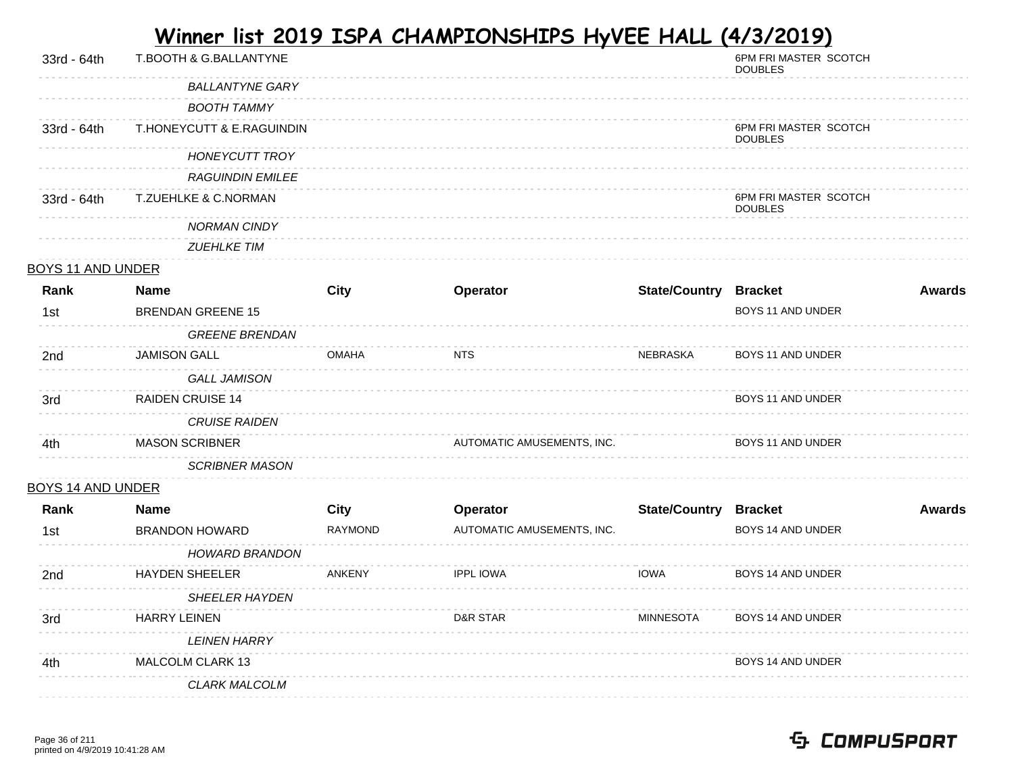| 33rd - 64th              | T.BOOTH & G.BALLANTYNE    |                |                            |                              | 6PM FRI MASTER SCOTCH<br><b>DOUBLES</b> |               |
|--------------------------|---------------------------|----------------|----------------------------|------------------------------|-----------------------------------------|---------------|
|                          | <b>BALLANTYNE GARY</b>    |                |                            |                              |                                         |               |
|                          | <b>BOOTH TAMMY</b>        |                |                            |                              |                                         |               |
| 33rd - 64th              | T.HONEYCUTT & E.RAGUINDIN |                |                            |                              | 6PM FRI MASTER SCOTCH<br><b>DOUBLES</b> |               |
|                          | <b>HONEYCUTT TROY</b>     |                |                            |                              |                                         |               |
|                          | <b>RAGUINDIN EMILEE</b>   |                |                            |                              |                                         |               |
| 33rd - 64th              | T.ZUEHLKE & C.NORMAN      |                |                            |                              | 6PM FRI MASTER SCOTCH<br><b>DOUBLES</b> |               |
|                          | <b>NORMAN CINDY</b>       |                |                            |                              |                                         |               |
|                          | <b>ZUEHLKE TIM</b>        |                |                            |                              |                                         |               |
| <b>BOYS 11 AND UNDER</b> |                           |                |                            |                              |                                         |               |
| Rank                     | <b>Name</b>               | <b>City</b>    | Operator                   | <b>State/Country Bracket</b> |                                         | Awards        |
| 1st                      | <b>BRENDAN GREENE 15</b>  |                |                            |                              | BOYS 11 AND UNDER                       |               |
|                          | <b>GREENE BRENDAN</b>     |                |                            |                              |                                         |               |
| 2nd                      | <b>JAMISON GALL</b>       | <b>OMAHA</b>   | <b>NTS</b>                 | NEBRASKA                     | BOYS 11 AND UNDER                       |               |
|                          | <b>GALL JAMISON</b>       |                |                            |                              |                                         |               |
| 3rd                      | <b>RAIDEN CRUISE 14</b>   |                |                            |                              | BOYS 11 AND UNDER                       |               |
|                          | <b>CRUISE RAIDEN</b>      |                |                            |                              |                                         |               |
| 4th                      | <b>MASON SCRIBNER</b>     |                | AUTOMATIC AMUSEMENTS, INC. |                              | BOYS 11 AND UNDER                       |               |
|                          | <b>SCRIBNER MASON</b>     |                |                            |                              |                                         |               |
| <b>BOYS 14 AND UNDER</b> |                           |                |                            |                              |                                         |               |
| Rank                     | <b>Name</b>               | <b>City</b>    | Operator                   | <b>State/Country Bracket</b> |                                         | <b>Awards</b> |
| 1st                      | <b>BRANDON HOWARD</b>     | <b>RAYMOND</b> | AUTOMATIC AMUSEMENTS, INC. |                              | BOYS 14 AND UNDER                       |               |
|                          | <b>HOWARD BRANDON</b>     |                |                            |                              |                                         |               |
| 2nd                      | <b>HAYDEN SHEELER</b>     | ANKENY         | <b>IPPL IOWA</b>           | <b>IOWA</b>                  | BOYS 14 AND UNDER                       |               |
|                          | <b>SHEELER HAYDEN</b>     |                |                            |                              |                                         |               |
| 3rd                      | <b>HARRY LEINEN</b>       |                | D&R STAR                   | <b>MINNESOTA</b>             | BOYS 14 AND UNDER                       |               |
|                          | <b>LEINEN HARRY</b>       |                |                            |                              |                                         |               |
| 4th                      | MALCOLM CLARK 13          |                |                            |                              | BOYS 14 AND UNDER                       |               |
|                          | CLARK MALCOLM             |                |                            |                              |                                         |               |
|                          |                           |                |                            |                              |                                         |               |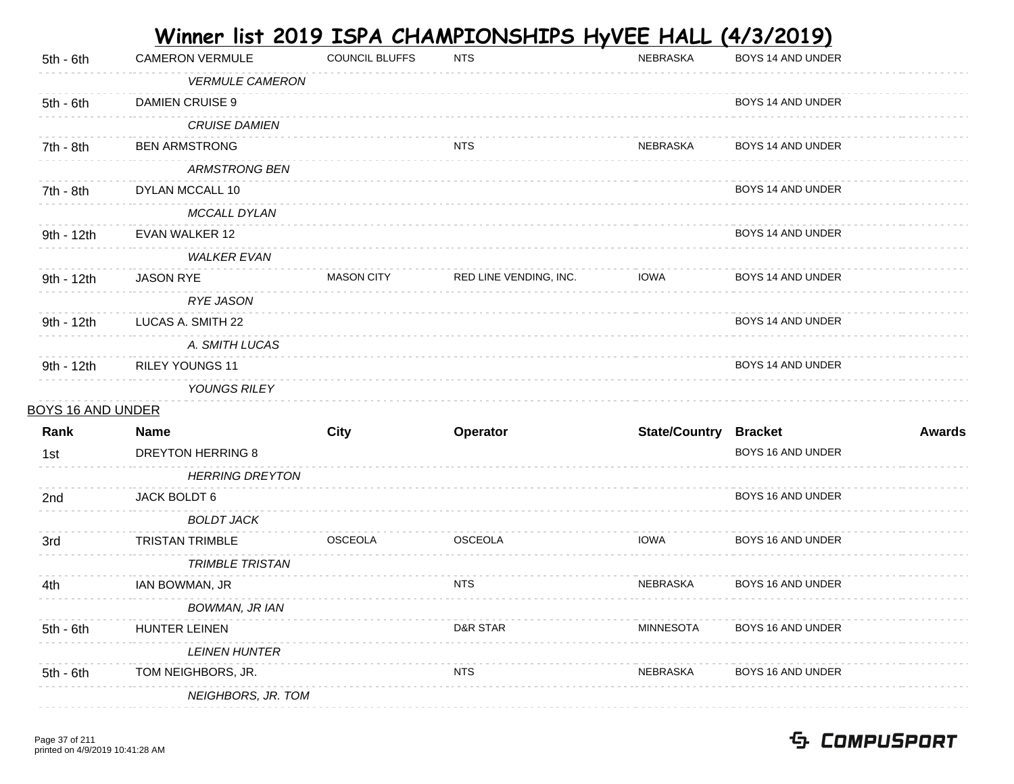|                          |                          |                       | <u>Winner list 2019 ISPA CHAMPIONSHIPS HyVEE HALL </u> |                              | <u>(4/3/2019)</u>        |               |
|--------------------------|--------------------------|-----------------------|--------------------------------------------------------|------------------------------|--------------------------|---------------|
| $5th - 6th$              | <b>CAMERON VERMULE</b>   | <b>COUNCIL BLUFFS</b> | <b>NTS</b>                                             | NEBRASKA                     | BOYS 14 AND UNDER        |               |
|                          | <b>VERMULE CAMERON</b>   |                       |                                                        |                              |                          |               |
| $5th - 6th$              | <b>DAMIEN CRUISE 9</b>   |                       |                                                        |                              | BOYS 14 AND UNDER        |               |
|                          | <b>CRUISE DAMIEN</b>     |                       |                                                        |                              |                          |               |
| 7th - 8th                | <b>BEN ARMSTRONG</b>     |                       | <b>NTS</b>                                             | NEBRASKA                     | BOYS 14 AND UNDER        |               |
|                          | <b>ARMSTRONG BEN</b>     |                       |                                                        |                              |                          |               |
| 7th - 8th                | DYLAN MCCALL 10          |                       |                                                        |                              | BOYS 14 AND UNDER        |               |
|                          | MCCALL DYLAN             |                       |                                                        |                              |                          |               |
| 9th - 12th               | EVAN WALKER 12           |                       |                                                        |                              | BOYS 14 AND UNDER        |               |
|                          | <b>WALKER EVAN</b>       |                       |                                                        |                              |                          |               |
| 9th - 12th               | <b>JASON RYE</b>         | <b>MASON CITY</b>     | RED LINE VENDING, INC.                                 | <b>IOWA</b>                  | BOYS 14 AND UNDER        |               |
|                          | <b>RYE JASON</b>         |                       |                                                        |                              |                          |               |
| 9th - 12th               | LUCAS A. SMITH 22        |                       |                                                        |                              | BOYS 14 AND UNDER        |               |
|                          | A. SMITH LUCAS           |                       |                                                        |                              |                          |               |
| 9th - 12th               | <b>RILEY YOUNGS 11</b>   |                       |                                                        |                              | BOYS 14 AND UNDER        |               |
|                          | YOUNGS RILEY             |                       |                                                        |                              |                          |               |
| <b>BOYS 16 AND UNDER</b> |                          |                       |                                                        |                              |                          |               |
| Rank                     | <b>Name</b>              | <b>City</b>           | Operator                                               | <b>State/Country Bracket</b> |                          | <b>Awards</b> |
| 1st                      | <b>DREYTON HERRING 8</b> |                       |                                                        |                              | BOYS 16 AND UNDER        |               |
|                          | <b>HERRING DREYTON</b>   |                       |                                                        |                              |                          |               |
| 2nd                      | JACK BOLDT 6             |                       |                                                        |                              | BOYS 16 AND UNDER        |               |
|                          | <b>BOLDT JACK</b>        |                       |                                                        |                              |                          |               |
| 3rd                      | <b>TRISTAN TRIMBLE</b>   | <b>OSCEOLA</b>        | <b>OSCEOLA</b>                                         | <b>IOWA</b>                  | <b>BOYS 16 AND UNDER</b> |               |
|                          | <b>TRIMBLE TRISTAN</b>   |                       |                                                        |                              |                          |               |
| 4th                      | IAN BOWMAN, JR           |                       | NTS                                                    | NEBRASKA                     | BOYS 16 AND UNDER        |               |
|                          | <b>BOWMAN, JR IAN</b>    |                       |                                                        |                              |                          |               |
| $5th - 6th$              | <b>HUNTER LEINEN</b>     |                       | D&R STAR                                               | <b>MINNESOTA</b>             | BOYS 16 AND UNDER        |               |
|                          | <b>LEINEN HUNTER</b>     |                       |                                                        |                              |                          |               |
| 5th - 6th                | TOM NEIGHBORS, JR.       |                       | <b>NTS</b>                                             | NEBRASKA                     | BOYS 16 AND UNDER        |               |
|                          | NEIGHBORS, JR. TOM       |                       |                                                        |                              |                          |               |
|                          |                          |                       |                                                        |                              |                          |               |

 **Contract Contract**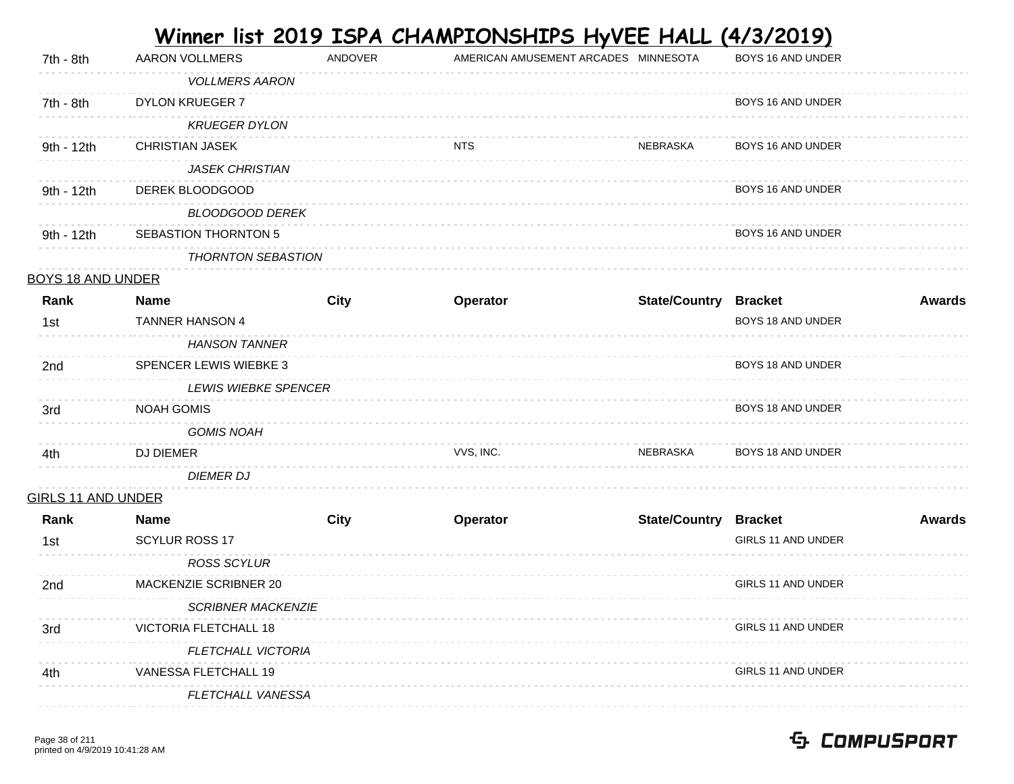|                           |                               |             |            | Winner list 2019 ISPA CHAMPIONSHIPS HyVEE HALL (4/3/2019) |                           |               |
|---------------------------|-------------------------------|-------------|------------|-----------------------------------------------------------|---------------------------|---------------|
| 7th - 8th                 | <b>AARON VOLLMERS</b>         | ANDOVER     |            | AMERICAN AMUSEMENT ARCADES MINNESOTA                      | BOYS 16 AND UNDER         |               |
|                           | <b>VOLLMERS AARON</b>         |             |            |                                                           |                           |               |
| 7th - 8th                 | <b>DYLON KRUEGER 7</b>        |             |            |                                                           | BOYS 16 AND UNDER         |               |
|                           | <b>KRUEGER DYLON</b>          |             |            |                                                           |                           |               |
| 9th - 12th                | <b>CHRISTIAN JASEK</b>        |             | <b>NTS</b> | NEBRASKA                                                  | BOYS 16 AND UNDER         |               |
|                           | <b>JASEK CHRISTIAN</b>        |             |            |                                                           |                           |               |
| 9th - 12th                | DEREK BLOODGOOD               |             |            |                                                           | BOYS 16 AND UNDER         |               |
|                           | <b>BLOODGOOD DEREK</b>        |             |            |                                                           |                           |               |
| 9th - 12th                | <b>SEBASTION THORNTON 5</b>   |             |            |                                                           | BOYS 16 AND UNDER         |               |
|                           | <b>THORNTON SEBASTION</b>     |             |            |                                                           |                           |               |
| <b>BOYS 18 AND UNDER</b>  |                               |             |            |                                                           |                           |               |
| Rank                      | <b>Name</b>                   | <b>City</b> | Operator   | <b>State/Country Bracket</b>                              |                           | <b>Awards</b> |
| 1st                       | <b>TANNER HANSON 4</b>        |             |            |                                                           | BOYS 18 AND UNDER         |               |
|                           | <b>HANSON TANNER</b>          |             |            |                                                           |                           |               |
| 2nd                       | <b>SPENCER LEWIS WIEBKE 3</b> |             |            |                                                           | BOYS 18 AND UNDER         |               |
|                           | <b>LEWIS WIEBKE SPENCER</b>   |             |            |                                                           |                           |               |
| 3rd                       | <b>NOAH GOMIS</b>             |             |            |                                                           | BOYS 18 AND UNDER         |               |
|                           | <b>GOMIS NOAH</b>             |             |            |                                                           |                           |               |
| 4th                       | <b>DJ DIEMER</b>              |             | VVS, INC.  | NEBRASKA                                                  | BOYS 18 AND UNDER         |               |
|                           | <b>DIEMER DJ</b>              |             |            |                                                           |                           |               |
| <b>GIRLS 11 AND UNDER</b> |                               |             |            |                                                           |                           |               |
| Rank                      | <b>Name</b>                   | <b>City</b> | Operator   | <b>State/Country Bracket</b>                              |                           | <b>Awards</b> |
| 1st                       | <b>SCYLUR ROSS 17</b>         |             |            |                                                           | GIRLS 11 AND UNDER        |               |
|                           | <b>ROSS SCYLUR</b>            |             |            |                                                           |                           |               |
| 2 <sub>nd</sub>           | MACKENZIE SCRIBNER 20         |             |            |                                                           | GIRLS 11 AND UNDER        |               |
|                           | <b>SCRIBNER MACKENZIE</b>     |             |            |                                                           |                           |               |
| 3rd                       | <b>VICTORIA FLETCHALL 18</b>  |             |            |                                                           | GIRLS 11 AND UNDER        |               |
|                           | <b>FLETCHALL VICTORIA</b>     |             |            |                                                           |                           |               |
| 4th                       | VANESSA FLETCHALL 19          |             |            |                                                           | <b>GIRLS 11 AND UNDER</b> |               |
|                           | FLETCHALL VANESSA             |             |            |                                                           |                           |               |

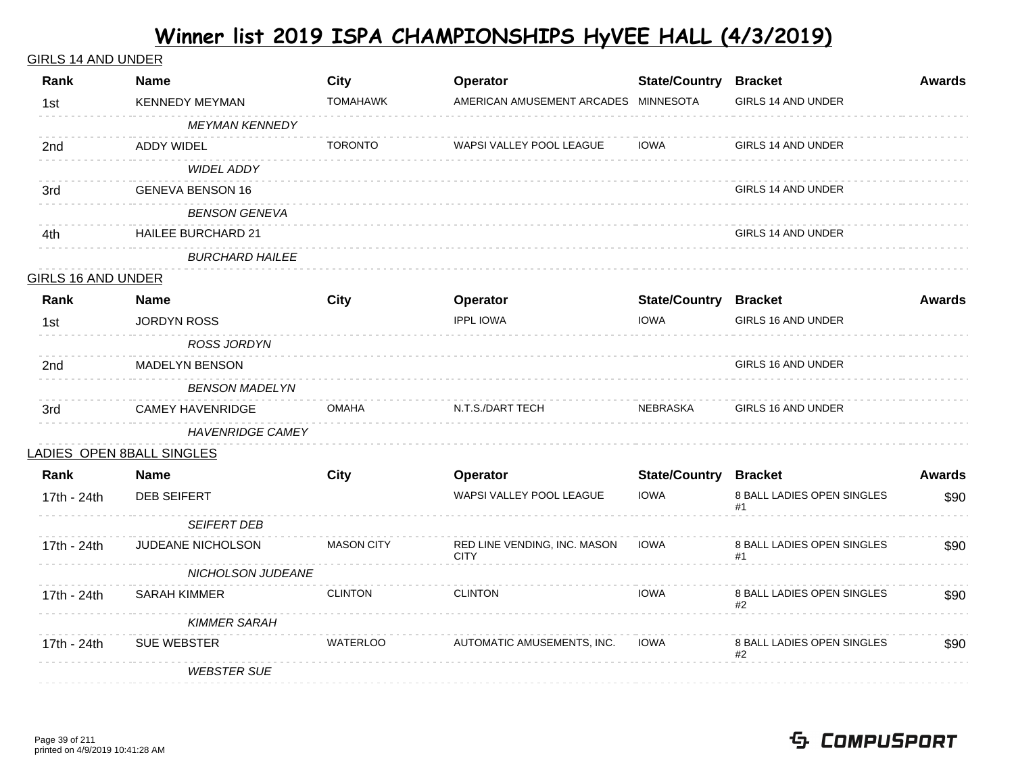#### GIRLS 14 AND UNDER

| Rank                      | <b>Name</b>               | <b>City</b>       | Operator                                    | <b>State/Country Bracket</b> |                                  | <b>Awards</b> |
|---------------------------|---------------------------|-------------------|---------------------------------------------|------------------------------|----------------------------------|---------------|
| 1st                       | <b>KENNEDY MEYMAN</b>     | <b>TOMAHAWK</b>   | AMERICAN AMUSEMENT ARCADES MINNESOTA        |                              | GIRLS 14 AND UNDER               |               |
|                           | <b>MEYMAN KENNEDY</b>     |                   |                                             |                              |                                  |               |
| 2nd                       | <b>ADDY WIDEL</b>         | <b>TORONTO</b>    | WAPSI VALLEY POOL LEAGUE                    | <b>IOWA</b>                  | GIRLS 14 AND UNDER               |               |
|                           | <b>WIDEL ADDY</b>         |                   |                                             |                              |                                  |               |
| 3rd                       | <b>GENEVA BENSON 16</b>   |                   |                                             |                              | GIRLS 14 AND UNDER               |               |
|                           | <b>BENSON GENEVA</b>      |                   |                                             |                              |                                  |               |
| 4th                       | <b>HAILEE BURCHARD 21</b> |                   |                                             |                              | GIRLS 14 AND UNDER               |               |
|                           | <b>BURCHARD HAILEE</b>    |                   |                                             |                              |                                  |               |
| <b>GIRLS 16 AND UNDER</b> |                           |                   |                                             |                              |                                  |               |
| Rank                      | <b>Name</b>               | <b>City</b>       | Operator                                    | <b>State/Country Bracket</b> |                                  | <b>Awards</b> |
| 1st                       | <b>JORDYN ROSS</b>        |                   | <b>IPPL IOWA</b>                            | <b>IOWA</b>                  | GIRLS 16 AND UNDER               |               |
|                           | <b>ROSS JORDYN</b>        |                   |                                             |                              |                                  |               |
| 2nd                       | <b>MADELYN BENSON</b>     |                   |                                             |                              | GIRLS 16 AND UNDER               |               |
|                           | <b>BENSON MADELYN</b>     |                   |                                             |                              |                                  |               |
| 3rd                       | <b>CAMEY HAVENRIDGE</b>   | <b>OMAHA</b>      | N.T.S./DART TECH                            | NEBRASKA                     | GIRLS 16 AND UNDER               |               |
|                           | <b>HAVENRIDGE CAMEY</b>   |                   |                                             |                              |                                  |               |
|                           | LADIES OPEN 8BALL SINGLES |                   |                                             |                              |                                  |               |
| Rank                      | <b>Name</b>               | <b>City</b>       | Operator                                    | <b>State/Country Bracket</b> |                                  | <b>Awards</b> |
| 17th - 24th               | DEB SEIFERT               |                   | WAPSI VALLEY POOL LEAGUE                    | <b>IOWA</b>                  | 8 BALL LADIES OPEN SINGLES<br>#1 | \$90          |
|                           | <b>SEIFERT DEB</b>        |                   |                                             |                              |                                  |               |
| 17th - 24th               | JUDEANE NICHOLSON         | <b>MASON CITY</b> | RED LINE VENDING, INC. MASON<br><b>CITY</b> | <b>IOWA</b>                  | 8 BALL LADIES OPEN SINGLES       | \$90          |
|                           | NICHOLSON JUDEANE         |                   |                                             |                              |                                  |               |
| 17th - 24th               | <b>SARAH KIMMER</b>       | <b>CLINTON</b>    | <b>CLINTON</b>                              | <b>IOWA</b>                  | 8 BALL LADIES OPEN SINGLES<br>#2 | \$90          |
|                           | <b>KIMMER SARAH</b>       |                   |                                             |                              |                                  |               |
| 17th - 24th               | SUE WEBSTER               | <b>WATERLOO</b>   | AUTOMATIC AMUSEMENTS, INC.                  | <b>IOWA</b>                  | 8 BALL LADIES OPEN SINGLES<br>#2 | \$90          |
|                           | <b>WEBSTER SUE</b>        |                   |                                             |                              |                                  |               |
|                           |                           |                   |                                             |                              |                                  |               |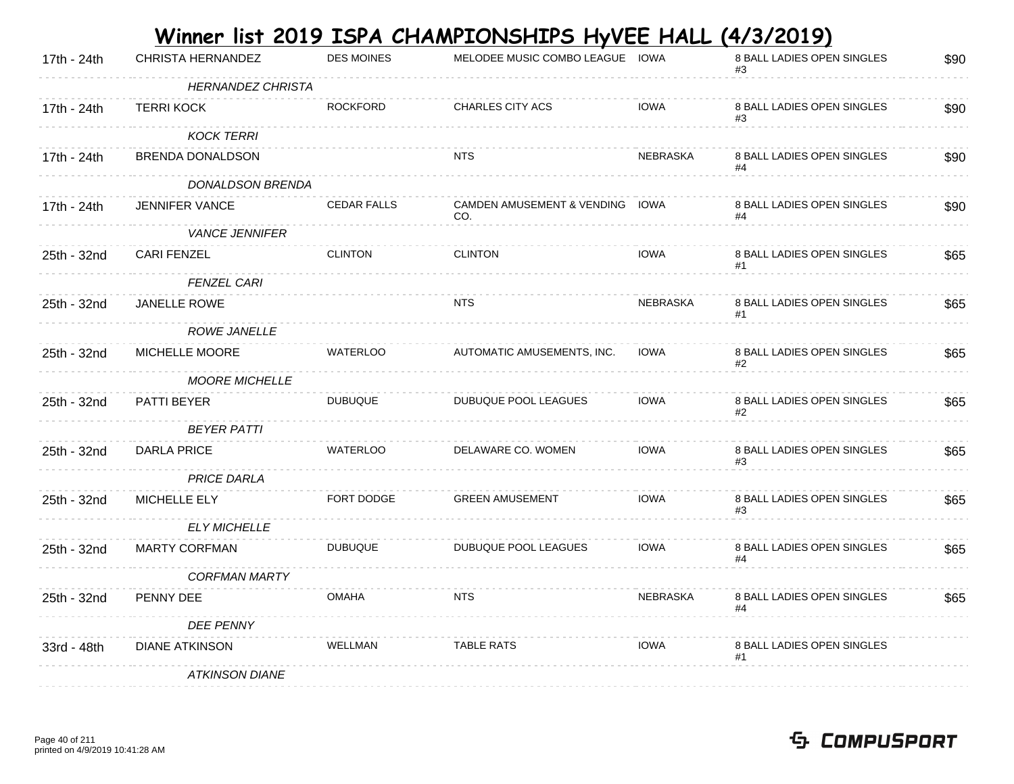|             |                   |            | Winner list 2019 ISPA CHAMPIONSHIPS HyVEE HALL (4/3/2019) |                                 |
|-------------|-------------------|------------|-----------------------------------------------------------|---------------------------------|
| $471$ $041$ | CUDICTA UFDNANDEZ | DES MOINES | MELODEE MURIC COMBO LEACUE LOWA                           | <b>Q DAILLANES ODEN SINGLES</b> |

| 17th - 24th | CHRISTA HERNANDEZ        | <b>DES MOINES</b>  | MELODEE MUSIC COMBO LEAGUE IOWA        |                 | 8 BALL LADIES OPEN SINGLES       | \$90 |
|-------------|--------------------------|--------------------|----------------------------------------|-----------------|----------------------------------|------|
|             | <b>HERNANDEZ CHRISTA</b> |                    |                                        |                 |                                  |      |
| 17th - 24th | <b>TERRI KOCK</b>        | <b>ROCKFORD</b>    | CHARLES CITY ACS                       | <b>IOWA</b>     | 8 BALL LADIES OPEN SINGLES       | \$90 |
|             | <b>KOCK TERRI</b>        |                    |                                        |                 |                                  |      |
| 17th - 24th | BRENDA DONALDSON         |                    | <b>NTS</b>                             | <b>NEBRASKA</b> | 8 BALL LADIES OPEN SINGLES       | \$90 |
|             | DONALDSON BRENDA         |                    |                                        |                 |                                  |      |
| 17th - 24th | <b>JENNIFER VANCE</b>    | <b>CEDAR FALLS</b> | CAMDEN AMUSEMENT & VENDING IOWA<br>CO. |                 | 8 BALL LADIES OPEN SINGLES<br>#4 | \$90 |
|             | <b>VANCE JENNIFER</b>    |                    |                                        |                 |                                  |      |
| 25th - 32nd | <b>CARI FENZEL</b>       | <b>CLINTON</b>     | <b>CLINTON</b>                         | <b>IOWA</b>     | 8 BALL LADIES OPEN SINGLES       | \$65 |
|             | <b>FENZEL CARI</b>       |                    |                                        |                 |                                  |      |
| 25th - 32nd | JANELLE ROWE             |                    | <b>NTS</b>                             | NEBRASKA        | 8 BALL LADIES OPEN SINGLES       | \$65 |
|             | ROWE JANELLE             |                    |                                        |                 |                                  |      |
| 25th - 32nd | MICHELLE MOORE           | <b>WATERLOO</b>    | AUTOMATIC AMUSEMENTS, INC.             | <b>IOWA</b>     | 8 BALL LADIES OPEN SINGLES<br>#2 | \$65 |
|             | <b>MOORE MICHELLE</b>    |                    |                                        |                 |                                  |      |
| 25th - 32nd | PATTI BEYER              | <b>DUBUQUE</b>     | DUBUQUE POOL LEAGUES                   | <b>IOWA</b>     | 8 BALL LADIES OPEN SINGLES<br>#2 | \$65 |
|             | <b>BEYER PATTI</b>       |                    |                                        |                 |                                  |      |
| 25th - 32nd | <b>DARLA PRICE</b>       | <b>WATERLOO</b>    | DELAWARE CO. WOMEN                     | <b>IOWA</b>     | 8 BALL LADIES OPEN SINGLES<br>#3 | \$65 |
|             | <b>PRICE DARLA</b>       |                    |                                        |                 |                                  |      |
| 25th - 32nd | MICHELLE ELY             | FORT DODGE         | <b>GREEN AMUSEMENT</b>                 | <b>IOWA</b>     | 8 BALL LADIES OPEN SINGLES<br>#3 | \$65 |
|             | <b>ELY MICHELLE</b>      |                    |                                        |                 |                                  |      |
| 25th - 32nd | <b>MARTY CORFMAN</b>     | <b>DUBUQUE</b>     | DUBUQUE POOL LEAGUES                   | <b>IOWA</b>     | 8 BALL LADIES OPEN SINGLES<br>#4 | \$65 |
|             | <b>CORFMAN MARTY</b>     |                    |                                        |                 |                                  |      |
| 25th - 32nd | PENNY DEE                | <b>OMAHA</b>       | <b>NTS</b>                             | NEBRASKA        | 8 BALL LADIES OPEN SINGLES<br>#4 | \$65 |
|             | <b>DEE PENNY</b>         |                    |                                        |                 |                                  |      |
| 33rd - 48th | <b>DIANE ATKINSON</b>    | <b>WELLMAN</b>     | <b>TABLE RATS</b>                      | <b>IOWA</b>     | 8 BALL LADIES OPEN SINGLES<br>#1 |      |
|             | <b>ATKINSON DIANE</b>    |                    |                                        |                 |                                  |      |
|             |                          |                    |                                        |                 |                                  |      |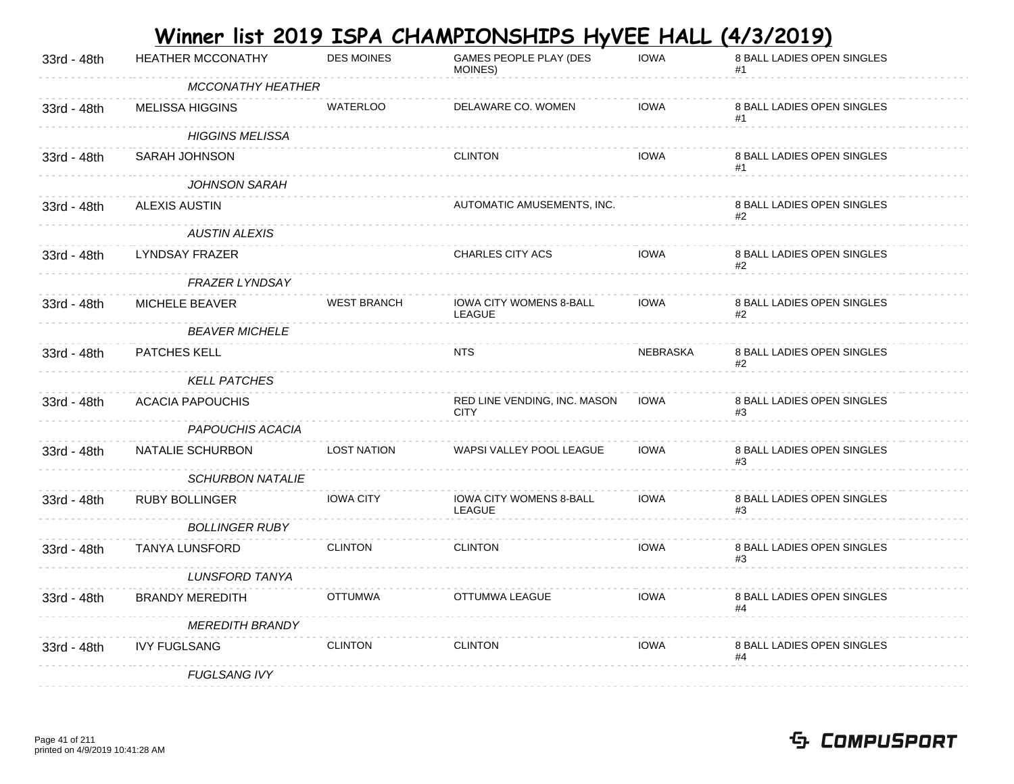| 33rd - 48th | HEATHER MCCONATHY        | <b>DES MOINES</b>  | GAMES PEOPLE PLAY (DES<br>MOINES)           | <b>IOWA</b> | 8 BALL LADIES OPEN SINGLES<br>#1 |
|-------------|--------------------------|--------------------|---------------------------------------------|-------------|----------------------------------|
|             | <b>MCCONATHY HEATHER</b> |                    |                                             |             |                                  |
| 33rd - 48th | <b>MELISSA HIGGINS</b>   | <b>WATERLOO</b>    | DELAWARE CO. WOMEN                          | <b>IOWA</b> | 8 BALL LADIES OPEN SINGLES<br>#1 |
|             | <b>HIGGINS MELISSA</b>   |                    |                                             |             |                                  |
| 33rd - 48th | SARAH JOHNSON            |                    | <b>CLINTON</b>                              | <b>IOWA</b> | 8 BALL LADIES OPEN SINGLES<br>#1 |
|             | JOHNSON SARAH            |                    |                                             |             |                                  |
| 33rd - 48th | <b>ALEXIS AUSTIN</b>     |                    | AUTOMATIC AMUSEMENTS, INC.                  |             | 8 BALL LADIES OPEN SINGLES<br>#2 |
|             | <b>AUSTIN ALEXIS</b>     |                    |                                             |             |                                  |
| 33rd - 48th | LYNDSAY FRAZER           |                    | <b>CHARLES CITY ACS</b>                     | <b>IOWA</b> | 8 BALL LADIES OPEN SINGLES<br>#2 |
|             | <b>FRAZER LYNDSAY</b>    |                    |                                             |             |                                  |
| 33rd - 48th | MICHELE BEAVER           | <b>WEST BRANCH</b> | IOWA CITY WOMENS 8-BALL<br>LEAGUE           | <b>IOWA</b> | 8 BALL LADIES OPEN SINGLES       |
|             | <b>BEAVER MICHELE</b>    |                    |                                             |             |                                  |
| 33rd - 48th | PATCHES KELL             |                    | <b>NTS</b>                                  | NEBRASKA    | 8 BALL LADIES OPEN SINGLES<br>#2 |
|             | <b>KELL PATCHES</b>      |                    |                                             |             |                                  |
| 33rd - 48th | <b>ACACIA PAPOUCHIS</b>  |                    | RED LINE VENDING, INC. MASON<br><b>CITY</b> | <b>IOWA</b> | 8 BALL LADIES OPEN SINGLES<br>#3 |
|             | PAPOUCHIS ACACIA         |                    |                                             |             |                                  |
| 33rd - 48th | NATALIE SCHURBON         | <b>LOST NATION</b> | WAPSI VALLEY POOL LEAGUE                    | <b>IOWA</b> | 8 BALL LADIES OPEN SINGLES<br>#3 |
|             | <b>SCHURBON NATALIE</b>  |                    |                                             |             |                                  |
| 33rd - 48th | <b>RUBY BOLLINGER</b>    | <b>IOWA CITY</b>   | IOWA CITY WOMENS 8-BALL<br>LEAGUE           | <b>IOWA</b> | 8 BALL LADIES OPEN SINGLES<br>#3 |
|             | <b>BOLLINGER RUBY</b>    |                    |                                             |             |                                  |
| 33rd - 48th | TANYA LUNSFORD           | <b>CLINTON</b>     | <b>CLINTON</b>                              | <b>IOWA</b> | 8 BALL LADIES OPEN SINGLES<br>#3 |
|             | <b>LUNSFORD TANYA</b>    |                    |                                             |             |                                  |
| 33rd - 48th | <b>BRANDY MEREDITH</b>   | <b>OTTUMWA</b>     | OTTUMWA LEAGUE                              | <b>IOWA</b> | 8 BALL LADIES OPEN SINGLES       |
|             | <b>MEREDITH BRANDY</b>   |                    |                                             |             |                                  |
| 33rd - 48th | <b>IVY FUGLSANG</b>      | <b>CLINTON</b>     | <b>CLINTON</b>                              | IOWA        | 8 BALL LADIES OPEN SINGLES<br>#4 |
|             | <b>FUGLSANG IVY</b>      |                    |                                             |             |                                  |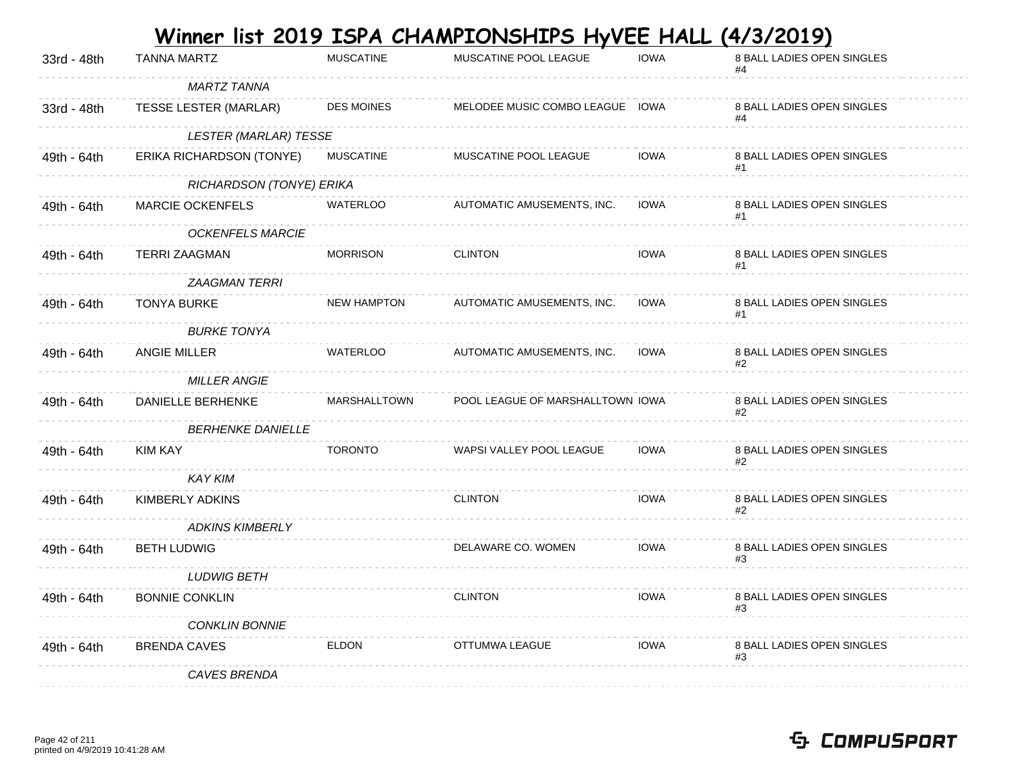|             |                              |                     | <u>Winner list 2019 ISPA CHAMPIONSHIPS HyVEE HALL</u> |             | <u>(4/3/2019)</u>                |
|-------------|------------------------------|---------------------|-------------------------------------------------------|-------------|----------------------------------|
| 33rd - 48th | <b>TANNA MARTZ</b>           | <b>MUSCATINE</b>    | MUSCATINE POOL LEAGUE                                 | <b>IOWA</b> | 8 BALL LADIES OPEN SINGLES<br>#4 |
|             | <b>MARTZ TANNA</b>           |                     |                                                       |             |                                  |
| 33rd - 48th | TESSE LESTER (MARLAR)        | <b>DES MOINES</b>   | MELODEE MUSIC COMBO LEAGUE                            | <b>IOWA</b> | 8 BALL LADIES OPEN SINGLES       |
|             | <b>LESTER (MARLAR) TESSE</b> |                     |                                                       |             |                                  |
| 49th - 64th | ERIKA RICHARDSON (TONYE)     | <b>MUSCATINE</b>    | MUSCATINE POOL LEAGUE                                 | <b>IOWA</b> | 8 BALL LADIES OPEN SINGLES<br>#1 |
|             | RICHARDSON (TONYE) ERIKA     |                     |                                                       |             |                                  |
| 49th - 64th | <b>MARCIE OCKENFELS</b>      | <b>WATERLOO</b>     | AUTOMATIC AMUSEMENTS, INC.                            | <b>IOWA</b> | 8 BALL LADIES OPEN SINGLES       |
|             | <b>OCKENFELS MARCIE</b>      |                     |                                                       |             |                                  |
| 49th - 64th | <b>TERRI ZAAGMAN</b>         | <b>MORRISON</b>     | <b>CLINTON</b>                                        | <b>IOWA</b> | 8 BALL LADIES OPEN SINGLES<br>#1 |
|             | <b>ZAAGMAN TERRI</b>         |                     |                                                       |             |                                  |
| 49th - 64th | TONYA BURKE                  | <b>NEW HAMPTON</b>  | AUTOMATIC AMUSEMENTS, INC.                            | <b>IOWA</b> | 8 BALL LADIES OPEN SINGLES<br>#1 |
|             | <b>BURKE TONYA</b>           |                     |                                                       |             |                                  |
| 49th - 64th | <b>ANGIE MILLER</b>          | <b>WATERLOO</b>     | AUTOMATIC AMUSEMENTS, INC.                            | <b>IOWA</b> | 8 BALL LADIES OPEN SINGLES<br>#2 |
|             | <i>MILLER ANGIE</i>          |                     |                                                       |             |                                  |
| 49th - 64th | DANIELLE BERHENKE            | <b>MARSHALLTOWN</b> | POOL LEAGUE OF MARSHALLTOWN IOWA                      |             | 8 BALL LADIES OPEN SINGLES<br>#2 |
|             | <b>BERHENKE DANIELLE</b>     |                     |                                                       |             |                                  |
| 49th - 64th | KIM KAY                      | <b>TORONTO</b>      | WAPSI VALLEY POOL LEAGUE                              | <b>IOWA</b> | 8 BALL LADIES OPEN SINGLES<br>#2 |
|             | <b>KAY KIM</b>               |                     |                                                       |             |                                  |
| 49th - 64th | KIMBERLY ADKINS              |                     | <b>CLINTON</b>                                        | <b>IOWA</b> | 8 BALL LADIES OPEN SINGLES<br>#2 |
|             | <b>ADKINS KIMBERLY</b>       |                     |                                                       |             |                                  |
| 49th - 64th | <b>BETH LUDWIG</b>           |                     | DELAWARE CO. WOMEN                                    | <b>IOWA</b> | 8 BALL LADIES OPEN SINGLES<br>#3 |
|             | <b>LUDWIG BETH</b>           |                     |                                                       |             |                                  |
| 49th - 64th | <b>BONNIE CONKLIN</b>        |                     | <b>CLINTON</b>                                        | <b>IOWA</b> | 8 BALL LADIES OPEN SINGLES<br>#3 |
|             | <b>CONKLIN BONNIE</b>        |                     |                                                       |             |                                  |
| 49th - 64th | <b>BRENDA CAVES</b>          | <b>ELDON</b>        | OTTUMWA LEAGUE                                        | <b>IOWA</b> | 8 BALL LADIES OPEN SINGLES<br>#3 |
|             | <b>CAVES BRENDA</b>          |                     |                                                       |             |                                  |

#### Page 42 of 211 printed on 4/9/2019 10:41:28 AM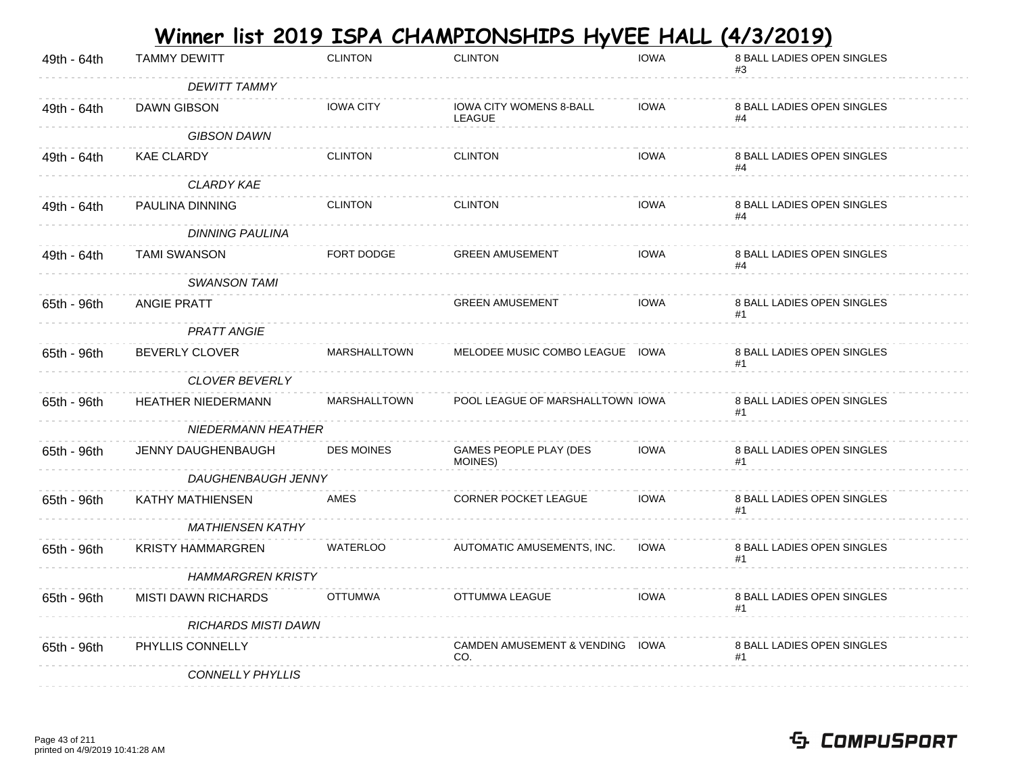|             | <u>Winner list 2019 ISPA CHAMPIONSHIPS HyVEE HALL (4/3/2019)</u> |                     |                                          |             |                                  |  |
|-------------|------------------------------------------------------------------|---------------------|------------------------------------------|-------------|----------------------------------|--|
| 49th - 64th | <b>TAMMY DEWITT</b>                                              | <b>CLINTON</b>      | <b>CLINTON</b>                           | <b>IOWA</b> | 8 BALL LADIES OPEN SINGLES<br>#3 |  |
|             | <b>DEWITT TAMMY</b>                                              |                     |                                          |             |                                  |  |
| 49th - 64th | <b>DAWN GIBSON</b>                                               | <b>IOWA CITY</b>    | <b>IOWA CITY WOMENS 8-BALL</b><br>LEAGUE | <b>IOWA</b> | 8 BALL LADIES OPEN SINGLES       |  |
|             | <b>GIBSON DAWN</b>                                               |                     |                                          |             |                                  |  |
| 49th - 64th | <b>KAE CLARDY</b>                                                | <b>CLINTON</b>      | <b>CLINTON</b>                           | <b>IOWA</b> | 8 BALL LADIES OPEN SINGLES       |  |
|             | <b>CLARDY KAE</b>                                                |                     |                                          |             |                                  |  |
| 49th - 64th | PAULINA DINNING                                                  | <b>CLINTON</b>      | <b>CLINTON</b>                           | <b>IOWA</b> | 8 BALL LADIES OPEN SINGLES       |  |
|             | <b>DINNING PAULINA</b>                                           |                     |                                          |             |                                  |  |
| 49th - 64th | <b>TAMI SWANSON</b>                                              | FORT DODGE          | <b>GREEN AMUSEMENT</b>                   | <b>IOWA</b> | 8 BALL LADIES OPEN SINGLES       |  |
|             | <b>SWANSON TAMI</b>                                              |                     |                                          |             |                                  |  |
| 65th - 96th | <b>ANGIE PRATT</b>                                               |                     | <b>GREEN AMUSEMENT</b>                   | <b>IOWA</b> | 8 BALL LADIES OPEN SINGLES<br>#1 |  |
|             | <b>PRATT ANGIE</b>                                               |                     |                                          |             |                                  |  |
| 65th - 96th | <b>BEVERLY CLOVER</b>                                            | <b>MARSHALLTOWN</b> | MELODEE MUSIC COMBO LEAGUE IOWA          |             | 8 BALL LADIES OPEN SINGLES<br>#1 |  |
|             | CLOVER BEVERLY                                                   |                     |                                          |             |                                  |  |
| 65th - 96th | <b>HEATHER NIEDERMANN</b>                                        | <b>MARSHALLTOWN</b> | POOL LEAGUE OF MARSHALLTOWN IOWA         |             | 8 BALL LADIES OPEN SINGLES<br>#1 |  |
|             | NIEDERMANN HEATHER                                               |                     |                                          |             |                                  |  |
| 65th - 96th | <b>JENNY DAUGHENBAUGH</b>                                        | <b>DES MOINES</b>   | GAMES PEOPLE PLAY (DES<br>MOINES)        | IOWA        | 8 BALL LADIES OPEN SINGLES       |  |
|             | DAUGHENBAUGH JENNY                                               |                     |                                          |             |                                  |  |
| 65th - 96th | KATHY MATHIENSEN                                                 | AMES                | CORNER POCKET LEAGUE                     | <b>IOWA</b> | 8 BALL LADIES OPEN SINGLES<br>#1 |  |
|             | <b>MATHIENSEN KATHY</b>                                          |                     |                                          |             |                                  |  |
| 65th - 96th | <b>KRISTY HAMMARGREN</b>                                         | <b>WATERLOO</b>     | AUTOMATIC AMUSEMENTS, INC.               | <b>IOWA</b> | 8 BALL LADIES OPEN SINGLES<br>#1 |  |
|             | <b>HAMMARGREN KRISTY</b>                                         |                     |                                          |             |                                  |  |
| 65th - 96th | <b>MISTI DAWN RICHARDS</b>                                       | <b>OTTUMWA</b>      | OTTUMWA LEAGUE                           | <b>IOWA</b> | 8 BALL LADIES OPEN SINGLES<br>#1 |  |
|             | <b>RICHARDS MISTI DAWN</b>                                       |                     |                                          |             |                                  |  |
| 65th - 96th | PHYLLIS CONNELLY                                                 |                     | CAMDEN AMUSEMENT & VENDING IOWA<br>CO.   |             | 8 BALL LADIES OPEN SINGLES<br>#1 |  |
|             | <b>CONNELLY PHYLLIS</b>                                          |                     |                                          |             |                                  |  |

#### Page 43 of 211 printed on 4/9/2019 10:41:28 AM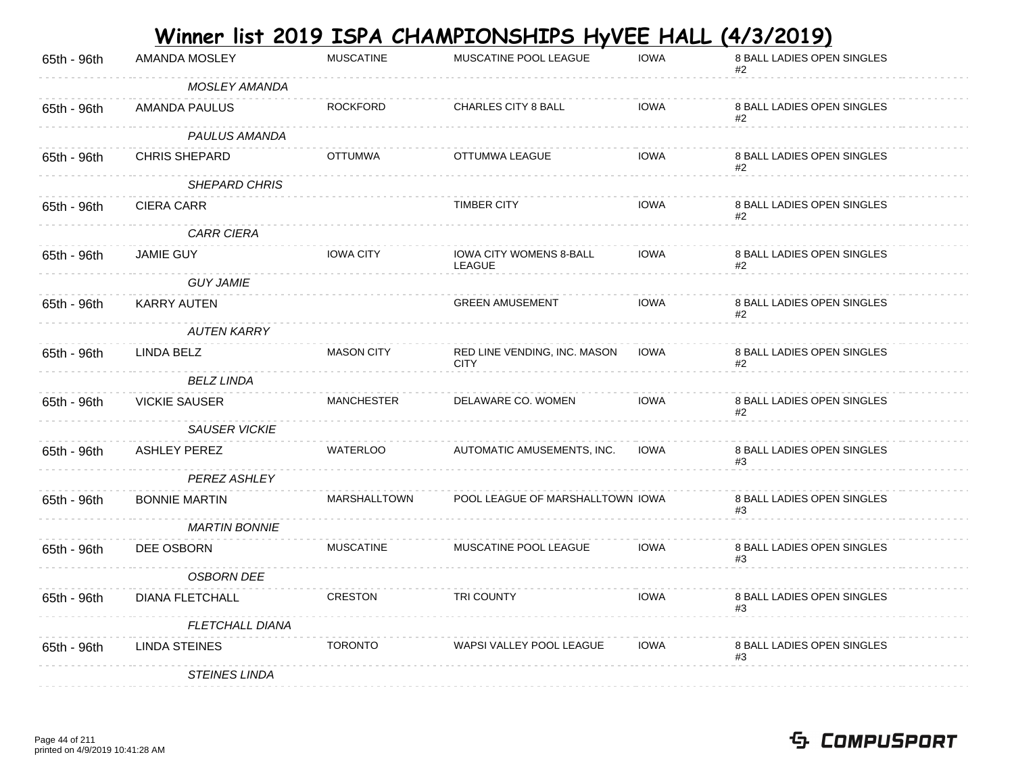|             |                        |                     | <u>Winner list 2019 ISPA CHAMPIONSHIPS HyVEE HALL</u> |             | (4/3/2019)                       |
|-------------|------------------------|---------------------|-------------------------------------------------------|-------------|----------------------------------|
| 65th - 96th | AMANDA MOSLEY          | <b>MUSCATINE</b>    | MUSCATINE POOL LEAGUE                                 | <b>IOWA</b> | 8 BALL LADIES OPEN SINGLES<br>#2 |
|             | MOSLEY AMANDA          |                     |                                                       |             |                                  |
| 65th - 96th | AMANDA PAULUS          | <b>ROCKFORD</b>     | CHARLES CITY 8 BALL                                   | <b>IOWA</b> | 8 BALL LADIES OPEN SINGLES       |
|             | PAULUS AMANDA          |                     |                                                       |             |                                  |
| 65th - 96th | <b>CHRIS SHEPARD</b>   | <b>OTTUMWA</b>      | OTTUMWA LEAGUE                                        | <b>IOWA</b> | 8 BALL LADIES OPEN SINGLES<br>#2 |
|             | SHEPARD CHRIS          |                     |                                                       |             |                                  |
| 65th - 96th | CIERA CARR             |                     | <b>TIMBER CITY</b>                                    | <b>IOWA</b> | 8 BALL LADIES OPEN SINGLES       |
|             | <b>CARR CIERA</b>      |                     |                                                       |             |                                  |
| 65th - 96th | <b>JAMIE GUY</b>       | <b>IOWA CITY</b>    | <b>IOWA CITY WOMENS 8-BALL</b><br><b>LEAGUE</b>       | <b>IOWA</b> | 8 BALL LADIES OPEN SINGLES       |
|             | <b>GUY JAMIE</b>       |                     |                                                       |             |                                  |
| 65th - 96th | KARRY AUTEN            |                     | <b>GREEN AMUSEMENT</b>                                | <b>IOWA</b> | 8 BALL LADIES OPEN SINGLES<br>#2 |
|             | <b>AUTEN KARRY</b>     |                     |                                                       |             |                                  |
| 65th - 96th | LINDA BELZ             | <b>MASON CITY</b>   | RED LINE VENDING, INC. MASON<br><b>CITY</b>           | <b>IOWA</b> | 8 BALL LADIES OPEN SINGLES<br>#2 |
|             | <b>BELZ LINDA</b>      |                     |                                                       |             |                                  |
| 65th - 96th | <b>VICKIE SAUSER</b>   | <b>MANCHESTER</b>   | DELAWARE CO. WOMEN                                    | <b>IOWA</b> | 8 BALL LADIES OPEN SINGLES<br>#2 |
|             | <b>SAUSER VICKIE</b>   |                     |                                                       |             |                                  |
| 65th - 96th | <b>ASHLEY PEREZ</b>    | <b>WATERLOO</b>     | AUTOMATIC AMUSEMENTS, INC.                            | <b>IOWA</b> | 8 BALL LADIES OPEN SINGLES       |
|             | <b>PEREZ ASHLEY</b>    |                     |                                                       |             |                                  |
| 65th - 96th | <b>BONNIE MARTIN</b>   | <b>MARSHALLTOWN</b> | POOL LEAGUE OF MARSHALLTOWN IOWA                      |             | 8 BALL LADIES OPEN SINGLES<br>#3 |
|             | <b>MARTIN BONNIE</b>   |                     |                                                       |             |                                  |
| 65th - 96th | DEE OSBORN             | <b>MUSCATINE</b>    | MUSCATINE POOL LEAGUE                                 | <b>IOWA</b> | 8 BALL LADIES OPEN SINGLES<br>#3 |
|             | <b>OSBORN DEE</b>      |                     |                                                       |             |                                  |
| 65th - 96th | <b>DIANA FLETCHALL</b> | <b>CRESTON</b>      | <b>TRI COUNTY</b>                                     | <b>IOWA</b> | 8 BALL LADIES OPEN SINGLES<br>#3 |
|             | <b>FLETCHALL DIANA</b> |                     |                                                       |             |                                  |
| 65th - 96th | LINDA STEINES          | <b>TORONTO</b>      | WAPSI VALLEY POOL LEAGUE                              | <b>IOWA</b> | 8 BALL LADIES OPEN SINGLES<br>#3 |
|             | <b>STEINES LINDA</b>   |                     |                                                       |             |                                  |

#### Page 44 of 211 printed on 4/9/2019 10:41:28 AM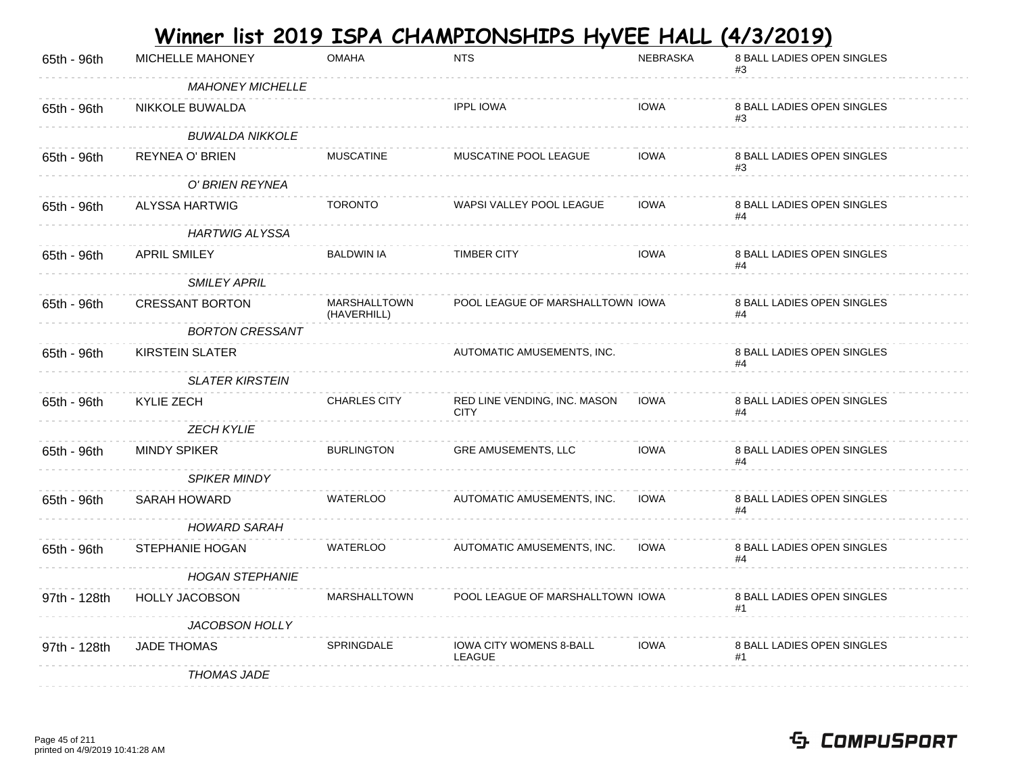|              |                         |                                    | <u>Winner list 2019 ISPA CHAMPIONSHIPS HyVEE HALL</u> |             | <u>(4/3/2019)</u>                |
|--------------|-------------------------|------------------------------------|-------------------------------------------------------|-------------|----------------------------------|
| 65th - 96th  | MICHELLE MAHONEY        | <b>OMAHA</b>                       | <b>NTS</b>                                            | NEBRASKA    | 8 BALL LADIES OPEN SINGLES<br>#3 |
|              | <b>MAHONEY MICHELLE</b> |                                    |                                                       |             |                                  |
| 65th - 96th  | NIKKOLE BUWALDA         |                                    | <b>IPPL IOWA</b>                                      | <b>IOWA</b> | 8 BALL LADIES OPEN SINGLES       |
|              | <b>BUWALDA NIKKOLE</b>  |                                    |                                                       |             |                                  |
| 65th - 96th  | REYNEA O' BRIEN         | <b>MUSCATINE</b>                   | MUSCATINE POOL LEAGUE                                 | <b>IOWA</b> | 8 BALL LADIES OPEN SINGLES<br>#3 |
|              | O' BRIEN REYNEA         |                                    |                                                       |             |                                  |
| 65th - 96th  | ALYSSA HARTWIG          | <b>TORONTO</b>                     | WAPSI VALLEY POOL LEAGUE                              | <b>IOWA</b> | 8 BALL LADIES OPEN SINGLES       |
|              | <b>HARTWIG ALYSSA</b>   |                                    |                                                       |             |                                  |
| 65th - 96th  | <b>APRIL SMILEY</b>     | <b>BALDWIN IA</b>                  | <b>TIMBER CITY</b>                                    | <b>IOWA</b> | 8 BALL LADIES OPEN SINGLES       |
|              | <b>SMILEY APRIL</b>     |                                    |                                                       |             |                                  |
| 65th - 96th  | <b>CRESSANT BORTON</b>  | <b>MARSHALLTOWN</b><br>(HAVERHILL) | POOL LEAGUE OF MARSHALLTOWN IOWA                      |             | 8 BALL LADIES OPEN SINGLES<br>#4 |
|              | <b>BORTON CRESSANT</b>  |                                    |                                                       |             |                                  |
| 65th - 96th  | <b>KIRSTEIN SLATER</b>  |                                    | AUTOMATIC AMUSEMENTS, INC.                            |             | 8 BALL LADIES OPEN SINGLES<br>#4 |
|              | <b>SLATER KIRSTEIN</b>  |                                    |                                                       |             |                                  |
| 65th - 96th  | KYLIE ZECH              | <b>CHARLES CITY</b>                | RED LINE VENDING, INC. MASON<br><b>CITY</b>           | IOWA        | 8 BALL LADIES OPEN SINGLES<br>#4 |
|              | <b>ZECH KYLIE</b>       |                                    |                                                       |             |                                  |
| 65th - 96th  | <b>MINDY SPIKER</b>     | <b>BURLINGTON</b>                  | <b>GRE AMUSEMENTS, LLC</b>                            | <b>IOWA</b> | 8 BALL LADIES OPEN SINGLES       |
|              | <b>SPIKER MINDY</b>     |                                    |                                                       |             |                                  |
| 65th - 96th  | <b>SARAH HOWARD</b>     | <b>WATERLOO</b>                    | AUTOMATIC AMUSEMENTS, INC.                            | <b>IOWA</b> | 8 BALL LADIES OPEN SINGLES<br>#4 |
|              | <b>HOWARD SARAH</b>     |                                    |                                                       |             |                                  |
| 65th - 96th  | STEPHANIE HOGAN         | <b>WATERLOO</b>                    | AUTOMATIC AMUSEMENTS, INC.                            | <b>IOWA</b> | 8 BALL LADIES OPEN SINGLES<br>#4 |
|              | <b>HOGAN STEPHANIE</b>  |                                    |                                                       |             |                                  |
| 97th - 128th | <b>HOLLY JACOBSON</b>   | <b>MARSHALLTOWN</b>                | POOL LEAGUE OF MARSHALLTOWN IOWA                      |             | 8 BALL LADIES OPEN SINGLES<br>#1 |
|              | JACOBSON HOLLY          |                                    |                                                       |             |                                  |
| 97th - 128th | <b>JADE THOMAS</b>      | <b>SPRINGDALE</b>                  | <b>IOWA CITY WOMENS 8-BALL</b><br>LEAGUE              | <b>IOWA</b> | 8 BALL LADIES OPEN SINGLES<br>#1 |
|              | <b>THOMAS JADE</b>      |                                    |                                                       |             |                                  |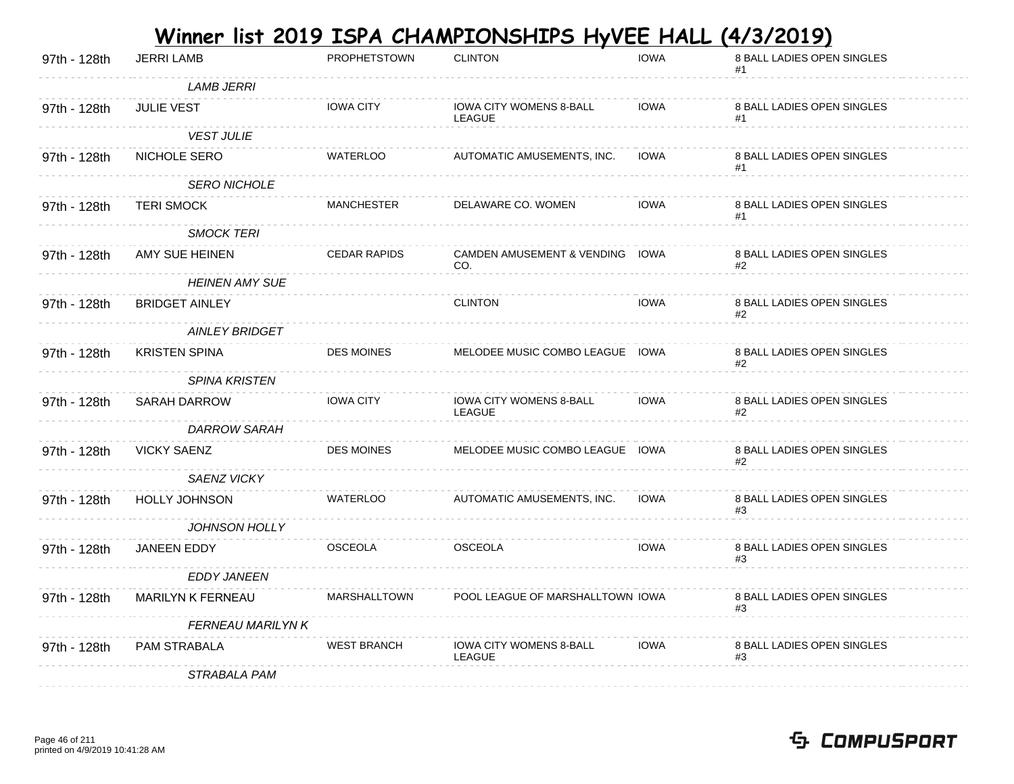|              |                          |                     | Winner list 2019 ISPA CHAMPIONSHIPS HyVEE HALL (4/3/2019) |             |                                  |
|--------------|--------------------------|---------------------|-----------------------------------------------------------|-------------|----------------------------------|
| 97th - 128th | <b>JERRI LAMB</b>        | <b>PROPHETSTOWN</b> | <b>CLINTON</b>                                            | <b>IOWA</b> | 8 BALL LADIES OPEN SINGLES       |
|              | <b>LAMB JERRI</b>        |                     |                                                           |             |                                  |
| 97th - 128th | <b>JULIE VEST</b>        | <b>IOWA CITY</b>    | <b>IOWA CITY WOMENS 8-BALL</b><br>LEAGUE                  | IOWA        | 8 BALL LADIES OPEN SINGLES<br>#1 |
|              | <b>VEST JULIE</b>        |                     |                                                           |             |                                  |
| 97th - 128th | NICHOLE SERO             | <b>WATERLOO</b>     | AUTOMATIC AMUSEMENTS, INC.                                | IOWA        | 8 BALL LADIES OPEN SINGLES<br>#1 |
|              | <b>SERO NICHOLE</b>      |                     |                                                           |             |                                  |
| 97th - 128th | <b>TERI SMOCK</b>        | <b>MANCHESTER</b>   | DELAWARE CO. WOMEN                                        | <b>IOWA</b> | 8 BALL LADIES OPEN SINGLES<br>#1 |
|              | <b>SMOCK TERI</b>        |                     |                                                           |             |                                  |
| 97th - 128th | AMY SUE HEINEN           | <b>CEDAR RAPIDS</b> | CAMDEN AMUSEMENT & VENDING IOWA<br>CO.                    |             | 8 BALL LADIES OPEN SINGLES<br>#2 |
|              | <b>HEINEN AMY SUE</b>    |                     |                                                           |             |                                  |
| 97th - 128th | <b>BRIDGET AINLEY</b>    |                     | <b>CLINTON</b>                                            | <b>IOWA</b> | 8 BALL LADIES OPEN SINGLES<br>#2 |
|              | <b>AINLEY BRIDGET</b>    |                     |                                                           |             |                                  |
| 97th - 128th | <b>KRISTEN SPINA</b>     | <b>DES MOINES</b>   | MELODEE MUSIC COMBO LEAGUE IOWA                           |             | 8 BALL LADIES OPEN SINGLES<br>#2 |
|              | <b>SPINA KRISTEN</b>     |                     |                                                           |             |                                  |
| 97th - 128th | <b>SARAH DARROW</b>      | <b>IOWA CITY</b>    | <b>IOWA CITY WOMENS 8-BALL</b><br>LEAGUE                  | <b>IOWA</b> | 8 BALL LADIES OPEN SINGLES<br>#2 |
|              | <b>DARROW SARAH</b>      |                     |                                                           |             |                                  |
| 97th - 128th | <b>VICKY SAENZ</b>       | <b>DES MOINES</b>   | MELODEE MUSIC COMBO LEAGUE IOWA                           |             | 8 BALL LADIES OPEN SINGLES<br>#2 |
|              | SAENZ VICKY              |                     |                                                           |             |                                  |
| 97th - 128th | <b>HOLLY JOHNSON</b>     | <b>WATERLOO</b>     | AUTOMATIC AMUSEMENTS, INC.                                | IOWA        | 8 BALL LADIES OPEN SINGLES       |
|              | <b>JOHNSON HOLLY</b>     |                     |                                                           |             |                                  |
| 97th - 128th | <b>JANEEN EDDY</b>       | <b>OSCEOLA</b>      | <b>OSCEOLA</b>                                            | <b>IOWA</b> | 8 BALL LADIES OPEN SINGLES<br>#3 |
|              | <b>EDDY JANEEN</b>       |                     |                                                           |             |                                  |
| 97th - 128th | <b>MARILYN K FERNEAU</b> | <b>MARSHALLTOWN</b> | POOL LEAGUE OF MARSHALLTOWN IOWA                          |             | 8 BALL LADIES OPEN SINGLES<br>#3 |
|              | <b>FERNEAU MARILYN K</b> |                     |                                                           |             |                                  |
| 97th - 128th | PAM STRABALA             | <b>WEST BRANCH</b>  | <b>IOWA CITY WOMENS 8-BALL</b><br>LEAGUE                  | <b>IOWA</b> | 8 BALL LADIES OPEN SINGLES<br>#3 |
|              | <i>STRABALA PAM</i>      |                     |                                                           |             |                                  |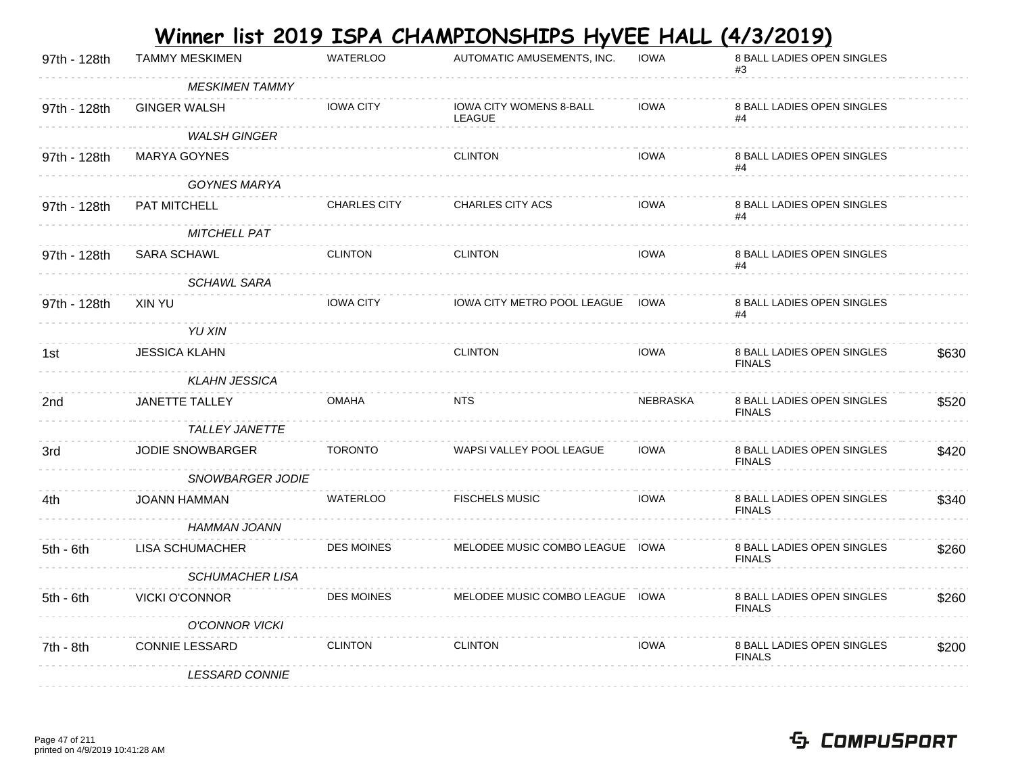|              |                         |                     | Winner list 2019 ISPA CHAMPIONSHIPS HyVEE HALL (4/3/2019) |             |                                             |       |
|--------------|-------------------------|---------------------|-----------------------------------------------------------|-------------|---------------------------------------------|-------|
| 97th - 128th | <b>TAMMY MESKIMEN</b>   | <b>WATERLOO</b>     | AUTOMATIC AMUSEMENTS, INC.                                | <b>IOWA</b> | 8 BALL LADIES OPEN SINGLES                  |       |
|              | <b>MESKIMEN TAMMY</b>   |                     |                                                           |             |                                             |       |
| 97th - 128th | <b>GINGER WALSH</b>     | <b>IOWA CITY</b>    | <b>IOWA CITY WOMENS 8-BALL</b><br><b>LEAGUE</b>           | <b>IOWA</b> | 8 BALL LADIES OPEN SINGLES<br>#4            |       |
|              | <b>WALSH GINGER</b>     |                     |                                                           |             |                                             |       |
| 97th - 128th | <b>MARYA GOYNES</b>     |                     | <b>CLINTON</b>                                            | <b>IOWA</b> | 8 BALL LADIES OPEN SINGLES<br>#4            |       |
|              | <b>GOYNES MARYA</b>     |                     |                                                           |             |                                             |       |
| 97th - 128th | PAT MITCHELL            | <b>CHARLES CITY</b> | <b>CHARLES CITY ACS</b>                                   | <b>IOWA</b> | 8 BALL LADIES OPEN SINGLES<br>#4            |       |
|              | <b>MITCHELL PAT</b>     |                     |                                                           |             |                                             |       |
| 97th - 128th | <b>SARA SCHAWL</b>      | <b>CLINTON</b>      | <b>CLINTON</b>                                            | <b>IOWA</b> | 8 BALL LADIES OPEN SINGLES                  |       |
|              | <b>SCHAWL SARA</b>      |                     |                                                           |             |                                             |       |
| 97th - 128th | XIN YU                  | <b>IOWA CITY</b>    | <b>IOWA CITY METRO POOL LEAGUE IOWA</b>                   |             | 8 BALL LADIES OPEN SINGLES<br>#4            |       |
|              | YU XIN                  |                     |                                                           |             |                                             |       |
| 1st          | <b>JESSICA KLAHN</b>    |                     | <b>CLINTON</b>                                            | <b>IOWA</b> | 8 BALL LADIES OPEN SINGLES<br><b>FINALS</b> | \$630 |
|              | <b>KLAHN JESSICA</b>    |                     |                                                           |             |                                             |       |
| 2nd          | <b>JANETTE TALLEY</b>   | <b>OMAHA</b>        | <b>NTS</b>                                                | NEBRASKA    | 8 BALL LADIES OPEN SINGLES<br><b>FINALS</b> | \$520 |
|              | <b>TALLEY JANETTE</b>   |                     |                                                           |             |                                             |       |
| 3rd          | <b>JODIE SNOWBARGER</b> | <b>TORONTO</b>      | WAPSI VALLEY POOL LEAGUE                                  | <b>IOWA</b> | 8 BALL LADIES OPEN SINGLES<br><b>FINALS</b> | \$420 |
|              | SNOWBARGER JODIE        |                     |                                                           |             |                                             |       |
| 4th.         | <b>JOANN HAMMAN</b>     | <b>WATERLOO</b>     | <b>FISCHELS MUSIC</b>                                     | <b>IOWA</b> | 8 BALL LADIES OPEN SINGLES<br><b>FINALS</b> | \$340 |
|              | <b>HAMMAN JOANN</b>     |                     |                                                           |             |                                             |       |
| 5th - 6th    | LISA SCHUMACHER         | <b>DES MOINES</b>   | MELODEE MUSIC COMBO LEAGUE IOWA                           |             | 8 BALL LADIES OPEN SINGLES<br><b>FINALS</b> | \$260 |
|              | <b>SCHUMACHER LISA</b>  |                     |                                                           |             |                                             |       |
| $5th - 6th$  | <b>VICKI O'CONNOR</b>   | <b>DES MOINES</b>   | MELODEE MUSIC COMBO LEAGUE IOWA                           |             | 8 BALL LADIES OPEN SINGLES<br><b>FINALS</b> | \$260 |
|              | <b>O'CONNOR VICKI</b>   |                     |                                                           |             |                                             |       |
| 7th - 8th    | <b>CONNIE LESSARD</b>   | <b>CLINTON</b>      | <b>CLINTON</b>                                            | <b>IOWA</b> | 8 BALL LADIES OPEN SINGLES<br><b>FINALS</b> | \$200 |
|              | <b>LESSARD CONNIE</b>   |                     |                                                           |             |                                             |       |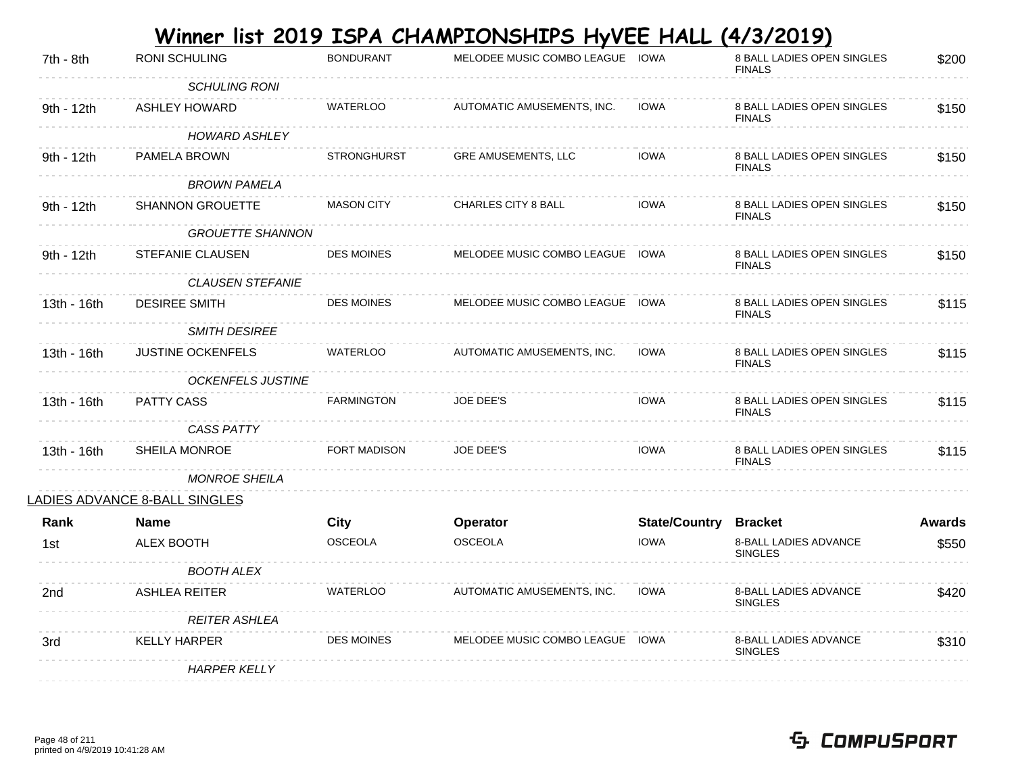|             |                               |                    | Winner list 2019 ISPA CHAMPIONSHIPS HyVEE HALL |                      | <u>(4/3/2019)</u>                           |               |
|-------------|-------------------------------|--------------------|------------------------------------------------|----------------------|---------------------------------------------|---------------|
| 7th - 8th   | RONI SCHULING                 | <b>BONDURANT</b>   | MELODEE MUSIC COMBO LEAGUE IOWA                |                      | 8 BALL LADIES OPEN SINGLES<br><b>FINALS</b> | \$200         |
|             | <b>SCHULING RONI</b>          |                    |                                                |                      |                                             |               |
| 9th - 12th  | <b>ASHLEY HOWARD</b>          | <b>WATERLOO</b>    | AUTOMATIC AMUSEMENTS, INC.                     | <b>IOWA</b>          | 8 BALL LADIES OPEN SINGLES<br><b>FINALS</b> | \$150         |
|             | <b>HOWARD ASHLEY</b>          |                    |                                                |                      |                                             |               |
| 9th - 12th  | PAMELA BROWN                  | <b>STRONGHURST</b> | <b>GRE AMUSEMENTS, LLC</b>                     | <b>IOWA</b>          | 8 BALL LADIES OPEN SINGLES<br><b>FINALS</b> | \$150         |
|             | <b>BROWN PAMELA</b>           |                    |                                                |                      |                                             |               |
| 9th - 12th  | <b>SHANNON GROUETTE</b>       | <b>MASON CITY</b>  | CHARLES CITY 8 BALL                            | <b>IOWA</b>          | 8 BALL LADIES OPEN SINGLES<br><b>FINALS</b> | \$150         |
|             | <b>GROUETTE SHANNON</b>       |                    |                                                |                      |                                             |               |
| 9th - 12th  | STEFANIE CLAUSEN              | <b>DES MOINES</b>  | MELODEE MUSIC COMBO LEAGUE IOWA                |                      | 8 BALL LADIES OPEN SINGLES<br><b>FINALS</b> | \$150         |
|             | <b>CLAUSEN STEFANIE</b>       |                    |                                                |                      |                                             |               |
| 13th - 16th | <b>DESIREE SMITH</b>          | <b>DES MOINES</b>  | MELODEE MUSIC COMBO LEAGUE IOWA                |                      | 8 BALL LADIES OPEN SINGLES<br><b>FINALS</b> | \$115         |
|             | <b>SMITH DESIREE</b>          |                    |                                                |                      |                                             |               |
| 13th - 16th | <b>JUSTINE OCKENFELS</b>      | <b>WATERLOO</b>    | AUTOMATIC AMUSEMENTS, INC.                     | <b>IOWA</b>          | 8 BALL LADIES OPEN SINGLES<br><b>FINALS</b> | \$115         |
|             | <b>OCKENFELS JUSTINE</b>      |                    |                                                |                      |                                             |               |
| 13th - 16th | <b>PATTY CASS</b>             | <b>FARMINGTON</b>  | <b>JOE DEE'S</b>                               | <b>IOWA</b>          | 8 BALL LADIES OPEN SINGLES<br><b>FINALS</b> | \$115         |
|             | <b>CASS PATTY</b>             |                    |                                                |                      |                                             |               |
| 13th - 16th | <b>SHEILA MONROE</b>          | FORT MADISON       | JOE DEE'S                                      | <b>IOWA</b>          | 8 BALL LADIES OPEN SINGLES<br><b>FINALS</b> | \$115         |
|             | MONROE SHEILA                 |                    |                                                |                      |                                             |               |
|             | LADIES ADVANCE 8-BALL SINGLES |                    |                                                |                      |                                             |               |
| <b>Rank</b> | <b>Name</b>                   | <b>City</b>        | Operator                                       | <b>State/Country</b> | <b>Bracket</b>                              | <b>Awards</b> |
| 1st         | ALEX BOOTH                    | <b>OSCEOLA</b>     | <b>OSCEOLA</b>                                 | <b>IOWA</b>          | 8-BALL LADIES ADVANCE<br><b>SINGLES</b>     | \$550         |
|             | <b>BOOTH ALEX</b>             |                    |                                                |                      |                                             |               |
| 2nd         | <b>ASHLEA REITER</b>          | <b>WATERLOO</b>    | AUTOMATIC AMUSEMENTS, INC.                     | <b>IOWA</b>          | 8-BALL LADIES ADVANCE<br><b>SINGLES</b>     | \$420         |
|             | <b>REITER ASHLEA</b>          |                    |                                                |                      |                                             |               |
| 3rd         | <b>KELLY HARPER</b>           | <b>DES MOINES</b>  | MELODEE MUSIC COMBO LEAGUE IOWA                |                      | 8-BALL LADIES ADVANCE<br><b>SINGLES</b>     | \$310         |
|             | <b>HARPER KELLY</b>           |                    |                                                |                      |                                             |               |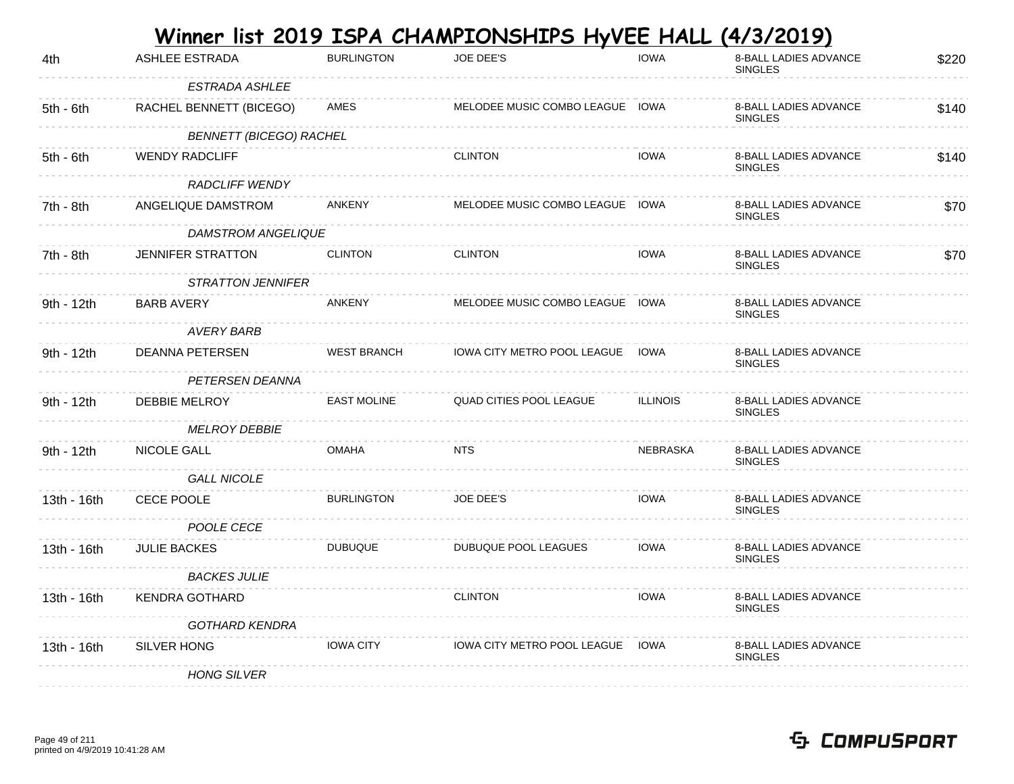|             |                                |                    | <u>Winner list 2019 ISPA CHAMPIONSHIPS HyVEE HALL</u> |                 | (4/3/2019)                              |       |
|-------------|--------------------------------|--------------------|-------------------------------------------------------|-----------------|-----------------------------------------|-------|
| 4th         | <b>ASHLEE ESTRADA</b>          | <b>BURLINGTON</b>  | JOE DEE'S                                             | <b>IOWA</b>     | 8-BALL LADIES ADVANCE<br><b>SINGLES</b> | \$220 |
|             | <b>ESTRADA ASHLEE</b>          |                    |                                                       |                 |                                         |       |
| $5th - 6th$ | RACHEL BENNETT (BICEGO)        | AMES               | MELODEE MUSIC COMBO LEAGUE IOWA                       |                 | 8-BALL LADIES ADVANCE<br><b>SINGLES</b> | \$140 |
|             | <b>BENNETT (BICEGO) RACHEL</b> |                    |                                                       |                 |                                         |       |
| $5th - 6th$ | <b>WENDY RADCLIFF</b>          |                    | <b>CLINTON</b>                                        | <b>IOWA</b>     | 8-BALL LADIES ADVANCE<br><b>SINGLES</b> | \$140 |
|             | <b>RADCLIFF WENDY</b>          |                    |                                                       |                 |                                         |       |
| 7th - 8th   | ANGELIQUE DAMSTROM             | <b>ANKENY</b>      | MELODEE MUSIC COMBO LEAGUE IOWA                       |                 | 8-BALL LADIES ADVANCE<br><b>SINGLES</b> | \$70  |
|             | DAMSTROM ANGELIQUE             |                    |                                                       |                 |                                         |       |
| 7th - 8th   | JENNIFER STRATTON              | <b>CLINTON</b>     | <b>CLINTON</b>                                        | <b>IOWA</b>     | 8-BALL LADIES ADVANCE<br><b>SINGLES</b> | \$70  |
|             | <b>STRATTON JENNIFER</b>       |                    |                                                       |                 |                                         |       |
| 9th - 12th  | <b>BARB AVERY</b>              | <b>ANKENY</b>      | MELODEE MUSIC COMBO LEAGUE IOWA                       |                 | 8-BALL LADIES ADVANCE<br><b>SINGLES</b> |       |
|             | AVERY BARB                     |                    |                                                       |                 |                                         |       |
| 9th - 12th  | DEANNA PETERSEN                | <b>WEST BRANCH</b> | IOWA CITY METRO POOL LEAGUE                           | IOWA            | 8-BALL LADIES ADVANCE<br><b>SINGLES</b> |       |
|             | PETERSEN DEANNA                |                    |                                                       |                 |                                         |       |
| 9th - 12th  | DEBBIE MELROY                  | <b>EAST MOLINE</b> | QUAD CITIES POOL LEAGUE                               | <b>ILLINOIS</b> | 8-BALL LADIES ADVANCE<br><b>SINGLES</b> |       |
|             | <b>MELROY DEBBIE</b>           |                    |                                                       |                 |                                         |       |
| 9th - 12th  | NICOLE GALL                    | <b>OMAHA</b>       | <b>NTS</b>                                            | <b>NEBRASKA</b> | 8-BALL LADIES ADVANCE<br><b>SINGLES</b> |       |
|             | <b>GALL NICOLE</b>             |                    |                                                       |                 |                                         |       |
| 13th - 16th | CECE POOLE                     | <b>BURLINGTON</b>  | <b>JOE DEE'S</b>                                      | <b>IOWA</b>     | 8-BALL LADIES ADVANCE<br><b>SINGLES</b> |       |
|             | POOLE CECE                     |                    |                                                       |                 |                                         |       |
| 13th - 16th | <b>JULIE BACKES</b>            | <b>DUBUQUE</b>     | DUBUQUE POOL LEAGUES                                  | <b>IOWA</b>     | 8-BALL LADIES ADVANCE<br><b>SINGLES</b> |       |
|             | <b>BACKES JULIE</b>            |                    |                                                       |                 |                                         |       |
| 13th - 16th | <b>KENDRA GOTHARD</b>          |                    | <b>CLINTON</b>                                        | <b>IOWA</b>     | 8-BALL LADIES ADVANCE<br><b>SINGLES</b> |       |
|             | <b>GOTHARD KENDRA</b>          |                    |                                                       |                 |                                         |       |
| 13th - 16th | SILVER HONG                    | <b>IOWA CITY</b>   | IOWA CITY METRO POOL LEAGUE                           | IOWA            | 8-BALL LADIES ADVANCE<br><b>SINGLES</b> |       |
|             | <b>HONG SILVER</b>             |                    |                                                       |                 |                                         |       |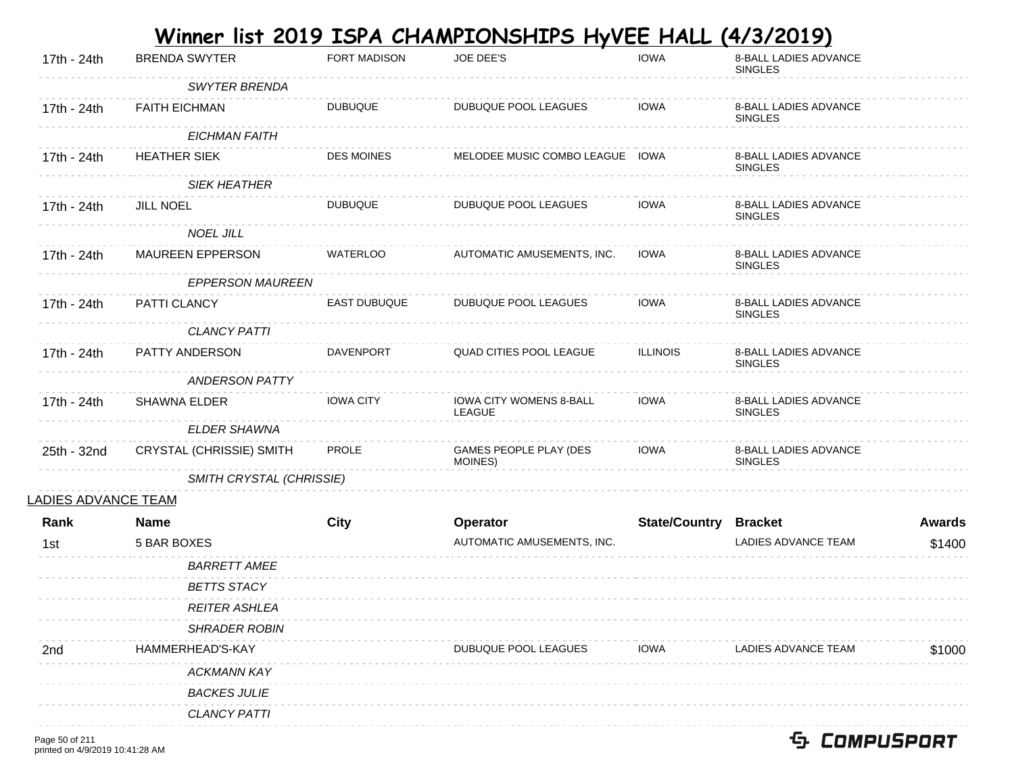|                            |                                 |                     | <u>Winner list 2019 ISPA CHAMPIONSHIPS HyVEE HALL </u> |                              | (4/3/2019)                                     |               |
|----------------------------|---------------------------------|---------------------|--------------------------------------------------------|------------------------------|------------------------------------------------|---------------|
| 17th - 24th                | <b>BRENDA SWYTER</b>            | <b>FORT MADISON</b> | JOE DEE'S                                              | <b>IOWA</b>                  | 8-BALL LADIES ADVANCE<br><b>SINGLES</b>        |               |
|                            | <b>SWYTER BRENDA</b>            |                     |                                                        |                              |                                                |               |
| 17th - 24th                | <b>FAITH EICHMAN</b>            | <b>DUBUQUE</b>      | DUBUQUE POOL LEAGUES                                   | <b>IOWA</b>                  | 8-BALL LADIES ADVANCE<br><b>SINGLES</b>        |               |
|                            | <b>EICHMAN FAITH</b>            |                     |                                                        |                              |                                                |               |
| 17th - 24th                | <b>HEATHER SIEK</b>             | <b>DES MOINES</b>   | MELODEE MUSIC COMBO LEAGUE IOWA                        |                              | <b>8-BALL LADIES ADVANCE</b><br><b>SINGLES</b> |               |
|                            | <b>SIEK HEATHER</b>             |                     |                                                        |                              |                                                |               |
| 17th - 24th                | <b>JILL NOEL</b>                | <b>DUBUQUE</b>      | DUBUQUE POOL LEAGUES                                   | <b>IOWA</b>                  | 8-BALL LADIES ADVANCE<br><b>SINGLES</b>        |               |
|                            | <b>NOEL JILL</b>                |                     |                                                        |                              |                                                |               |
| 17th - 24th                | <b>MAUREEN EPPERSON</b>         | <b>WATERLOO</b>     | AUTOMATIC AMUSEMENTS, INC.                             | IOWA                         | 8-BALL LADIES ADVANCE<br><b>SINGLES</b>        |               |
|                            | <b>EPPERSON MAUREEN</b>         |                     |                                                        |                              |                                                |               |
| 17th - 24th                | PATTI CLANCY                    | <b>EAST DUBUQUE</b> | DUBUQUE POOL LEAGUES                                   | <b>IOWA</b>                  | 8-BALL LADIES ADVANCE<br><b>SINGLES</b>        |               |
|                            | <b>CLANCY PATTI</b>             |                     |                                                        |                              |                                                |               |
| 17th - 24th                | PATTY ANDERSON                  | <b>DAVENPORT</b>    | QUAD CITIES POOL LEAGUE                                | <b>ILLINOIS</b>              | 8-BALL LADIES ADVANCE<br><b>SINGLES</b>        |               |
|                            | <b>ANDERSON PATTY</b>           |                     |                                                        |                              |                                                |               |
| 17th - 24th                | <b>SHAWNA ELDER</b>             | <b>IOWA CITY</b>    | IOWA CITY WOMENS 8-BALL<br>LEAGUE                      | <b>IOWA</b>                  | 8-BALL LADIES ADVANCE<br><b>SINGLES</b>        |               |
|                            | ELDER SHAWNA                    |                     |                                                        |                              |                                                |               |
| 25th - 32nd                | <b>CRYSTAL (CHRISSIE) SMITH</b> | PROLE               | GAMES PEOPLE PLAY (DES<br>MOINES)                      | <b>IOWA</b>                  | 8-BALL LADIES ADVANCE<br><b>SINGLES</b>        |               |
|                            | SMITH CRYSTAL (CHRISSIE)        |                     |                                                        |                              |                                                |               |
| <u>LADIES ADVANCE TEAM</u> |                                 |                     |                                                        |                              |                                                |               |
| Rank                       | <b>Name</b>                     | City                | Operator                                               | <b>State/Country Bracket</b> |                                                | <b>Awards</b> |
| 1st                        | 5 BAR BOXES                     |                     | AUTOMATIC AMUSEMENTS, INC.                             |                              | <b>LADIES ADVANCE TEAM</b>                     | \$1400        |
|                            | <b>BARRETT AMEE</b>             |                     |                                                        |                              |                                                |               |
|                            | <b>BETTS STACY</b>              |                     |                                                        |                              |                                                |               |
|                            | <b>REITER ASHLEA</b>            |                     |                                                        |                              |                                                |               |
|                            | <b>SHRADER ROBIN</b>            |                     |                                                        |                              |                                                |               |
| 2nd                        | HAMMERHEAD'S-KAY                |                     | DUBUQUE POOL LEAGUES                                   | <b>IOWA</b>                  | LADIES ADVANCE TEAM                            | \$1000        |
|                            | <b>ACKMANN KAY</b>              |                     |                                                        |                              |                                                |               |
|                            | <b>BACKES JULIE</b>             |                     |                                                        |                              |                                                |               |
|                            | <b>CLANCY PATTI</b>             |                     |                                                        |                              |                                                |               |
|                            |                                 |                     |                                                        |                              |                                                |               |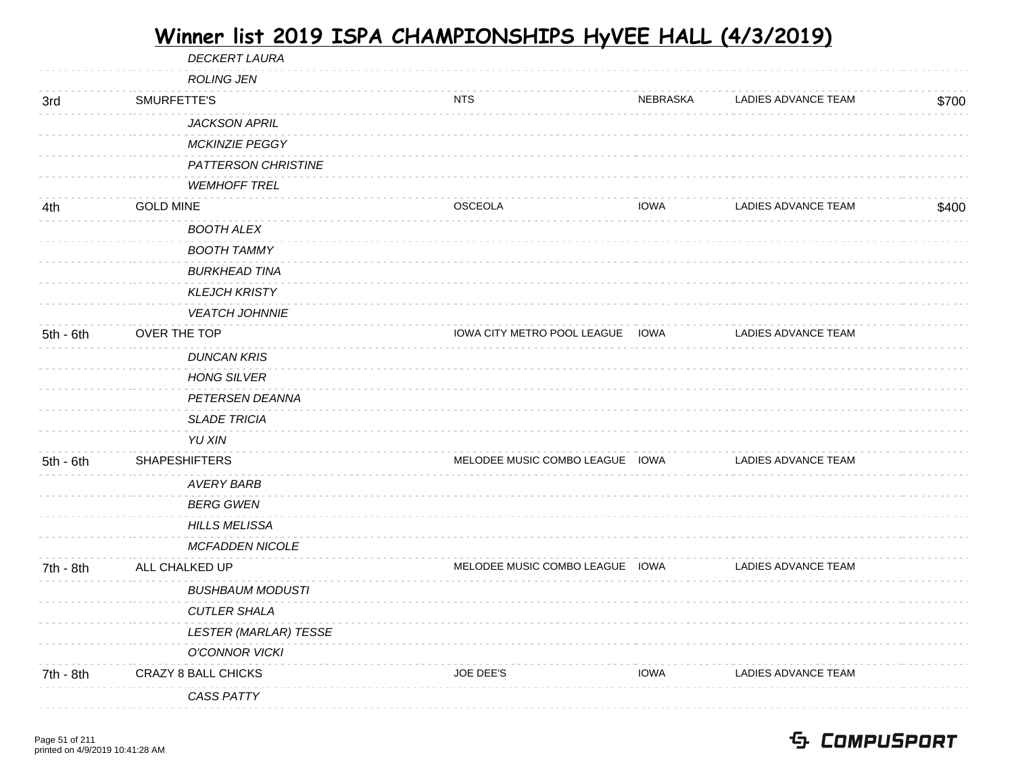|             |                      | <b>DECKERT LAURA</b>         |                                  |             |                            |       |
|-------------|----------------------|------------------------------|----------------------------------|-------------|----------------------------|-------|
|             |                      | <b>ROLING JEN</b>            |                                  |             |                            |       |
| 3rd         | SMURFETTE'S          |                              | <b>NTS</b>                       | NEBRASKA    | LADIES ADVANCE TEAM        | \$700 |
|             |                      | <b>JACKSON APRIL</b>         |                                  |             |                            |       |
|             |                      | <b>MCKINZIE PEGGY</b>        |                                  |             |                            |       |
|             |                      | PATTERSON CHRISTINE          |                                  |             |                            |       |
|             |                      | <b>WEMHOFF TREL</b>          |                                  |             |                            |       |
| 4th         | <b>GOLD MINE</b>     |                              | <b>OSCEOLA</b>                   | <b>IOWA</b> | LADIES ADVANCE TEAM        | \$400 |
|             |                      | <b>BOOTH ALEX</b>            |                                  |             |                            |       |
|             |                      | <b>BOOTH TAMMY</b>           |                                  |             |                            |       |
|             |                      | <b>BURKHEAD TINA</b>         |                                  |             |                            |       |
|             |                      | <b>KLEJCH KRISTY</b>         |                                  |             |                            |       |
|             |                      | <b>VEATCH JOHNNIE</b>        |                                  |             |                            |       |
| $5th - 6th$ | OVER THE TOP         |                              | IOWA CITY METRO POOL LEAGUE IOWA |             | LADIES ADVANCE TEAM        |       |
|             |                      | <b>DUNCAN KRIS</b>           |                                  |             |                            |       |
|             |                      | <b>HONG SILVER</b>           |                                  |             |                            |       |
|             |                      | PETERSEN DEANNA              |                                  |             |                            |       |
|             |                      | <b>SLADE TRICIA</b>          |                                  |             |                            |       |
|             |                      | YU XIN                       |                                  |             |                            |       |
| $5th - 6th$ | <b>SHAPESHIFTERS</b> |                              | MELODEE MUSIC COMBO LEAGUE IOWA  |             | <b>LADIES ADVANCE TEAM</b> |       |
|             |                      | <b>AVERY BARB</b>            |                                  |             |                            |       |
|             |                      | <b>BERG GWEN</b>             |                                  |             |                            |       |
|             |                      | <b>HILLS MELISSA</b>         |                                  |             |                            |       |
|             |                      | <b>MCFADDEN NICOLE</b>       |                                  |             |                            |       |
| 7th - 8th   | ALL CHALKED UP       |                              | MELODEE MUSIC COMBO LEAGUE IOWA  |             | <b>LADIES ADVANCE TEAM</b> |       |
|             |                      | <b>BUSHBAUM MODUSTI</b>      |                                  |             |                            |       |
|             |                      | <b>CUTLER SHALA</b>          |                                  |             |                            |       |
|             |                      | <b>LESTER (MARLAR) TESSE</b> |                                  |             |                            |       |
|             |                      | <b>O'CONNOR VICKI</b>        |                                  |             |                            |       |
| 7th - 8th   |                      | CRAZY 8 BALL CHICKS          | <b>JOE DEE'S</b>                 | <b>IOWA</b> | LADIES ADVANCE TEAM        |       |
|             |                      | <b>CASS PATTY</b>            |                                  |             |                            |       |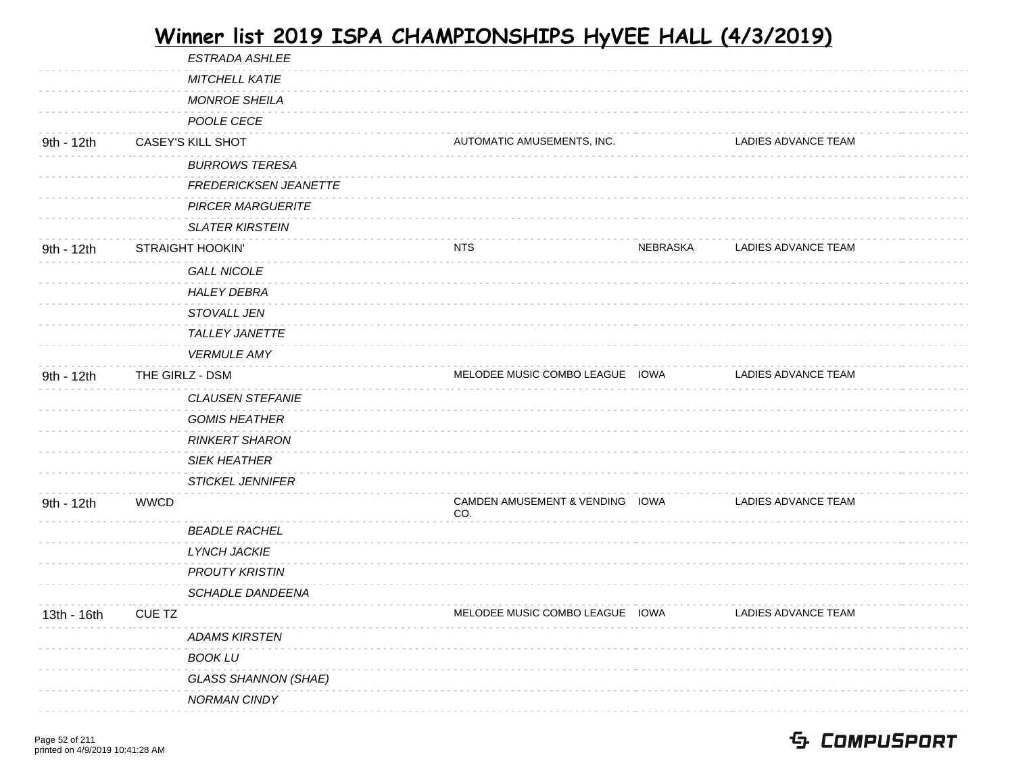| <b>ESTRADA ASHLEE</b>       |                            |          |                                                                                                       |  |
|-----------------------------|----------------------------|----------|-------------------------------------------------------------------------------------------------------|--|
| MITCHELL KATIE              |                            |          |                                                                                                       |  |
| <b>MONROE SHEILA</b>        |                            |          |                                                                                                       |  |
| POOLE CECE                  |                            |          |                                                                                                       |  |
| CASEY'S KILL SHOT           | AUTOMATIC AMUSEMENTS, INC. |          | LADIES ADVANCE TEAM                                                                                   |  |
| <b>BURROWS TERESA</b>       |                            |          |                                                                                                       |  |
| FREDERICKSEN JEANETTE       |                            |          |                                                                                                       |  |
| <b>PIRCER MARGUERITE</b>    |                            |          |                                                                                                       |  |
| <b>SLATER KIRSTEIN</b>      |                            |          |                                                                                                       |  |
| <b>STRAIGHT HOOKIN'</b>     | <b>NTS</b>                 | NEBRASKA | LADIES ADVANCE TEAM                                                                                   |  |
| <b>GALL NICOLE</b>          |                            |          |                                                                                                       |  |
| <b>HALEY DEBRA</b>          |                            |          |                                                                                                       |  |
| STOVALL JEN                 |                            |          |                                                                                                       |  |
| <b>TALLEY JANETTE</b>       |                            |          |                                                                                                       |  |
| <b>VERMULE AMY</b>          |                            |          |                                                                                                       |  |
| THE GIRLZ - DSM             |                            |          | <b>LADIES ADVANCE TEAM</b>                                                                            |  |
| <b>CLAUSEN STEFANIE</b>     |                            |          |                                                                                                       |  |
| <b>GOMIS HEATHER</b>        |                            |          |                                                                                                       |  |
| <b>RINKERT SHARON</b>       |                            |          |                                                                                                       |  |
| <b>SIEK HEATHER</b>         |                            |          |                                                                                                       |  |
| <b>STICKEL JENNIFER</b>     |                            |          |                                                                                                       |  |
| <b>WWCD</b>                 | CO.                        |          | LADIES ADVANCE TEAM                                                                                   |  |
| <b>BEADLE RACHEL</b>        |                            |          |                                                                                                       |  |
| <b>LYNCH JACKIE</b>         |                            |          |                                                                                                       |  |
| <b>PROUTY KRISTIN</b>       |                            |          |                                                                                                       |  |
| SCHADLE DANDEENA            |                            |          |                                                                                                       |  |
| <b>CUE TZ</b>               |                            |          | LADIES ADVANCE TEAM                                                                                   |  |
| <b>ADAMS KIRSTEN</b>        |                            |          |                                                                                                       |  |
| <b>BOOK LU</b>              |                            |          |                                                                                                       |  |
| <b>GLASS SHANNON (SHAE)</b> |                            |          |                                                                                                       |  |
|                             |                            |          |                                                                                                       |  |
|                             |                            |          | MELODEE MUSIC COMBO LEAGUE IOWA<br>CAMDEN AMUSEMENT & VENDING IOWA<br>MELODEE MUSIC COMBO LEAGUE IOWA |  |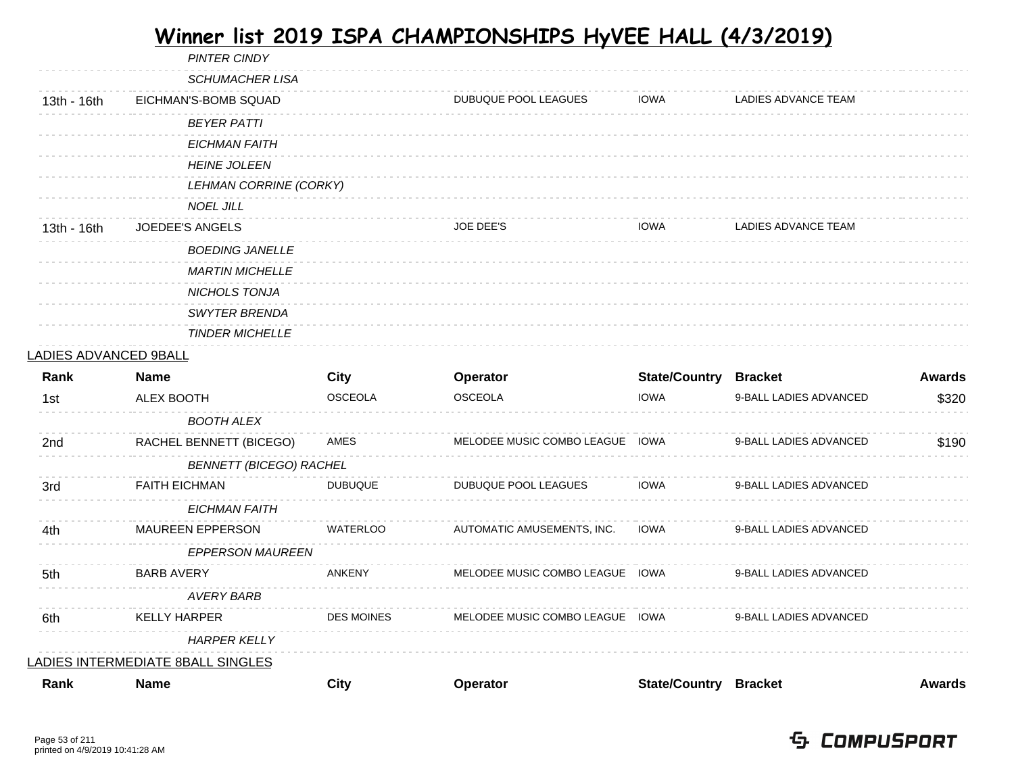PINTER CINDY

| Rank                  | <b>Name</b>                              | <b>City</b>       | Operator                        | <b>State/Country Bracket</b> |                        | <b>Awards</b> |
|-----------------------|------------------------------------------|-------------------|---------------------------------|------------------------------|------------------------|---------------|
|                       | <u>LADIES INTERMEDIATE 8BALL SINGLES</u> |                   |                                 |                              |                        |               |
|                       | <b>HARPER KELLY</b>                      |                   |                                 |                              |                        |               |
| 6th                   | <b>KELLY HARPER</b>                      | <b>DES MOINES</b> | MELODEE MUSIC COMBO LEAGUE IOWA |                              | 9-BALL LADIES ADVANCED |               |
|                       | <b>AVERY BARB</b>                        |                   |                                 |                              |                        |               |
| 5th                   | <b>BARB AVERY</b>                        | <b>ANKENY</b>     | MELODEE MUSIC COMBO LEAGUE IOWA |                              | 9-BALL LADIES ADVANCED |               |
|                       | <b>EPPERSON MAUREEN</b>                  |                   |                                 |                              |                        |               |
| 4th                   | MAUREEN EPPERSON                         | WATERLOO          | AUTOMATIC AMUSEMENTS, INC.      | <b>IOWA</b>                  | 9-BALL LADIES ADVANCED |               |
|                       | <b>EICHMAN FAITH</b>                     |                   |                                 |                              |                        |               |
| 3rd                   | <b>FAITH EICHMAN</b>                     | <b>DUBUQUE</b>    | DUBUQUE POOL LEAGUES            | IOWA                         | 9-BALL LADIES ADVANCED |               |
|                       | <b>BENNETT (BICEGO) RACHEL</b>           |                   |                                 |                              |                        |               |
| 2nd                   | RACHEL BENNETT (BICEGO)                  | AMES              | MELODEE MUSIC COMBO LEAGUE IOWA |                              | 9-BALL LADIES ADVANCED | \$190         |
|                       | <b>BOOTH ALEX</b>                        |                   |                                 |                              |                        |               |
| 1st                   | ALEX BOOTH                               | <b>OSCEOLA</b>    | <b>OSCEOLA</b>                  | <b>IOWA</b>                  | 9-BALL LADIES ADVANCED | \$320         |
| Rank                  | <b>Name</b>                              | City              | Operator                        | <b>State/Country Bracket</b> |                        | <b>Awards</b> |
| LADIES ADVANCED 9BALL |                                          |                   |                                 |                              |                        |               |
|                       | <b>TINDER MICHELLE</b>                   |                   |                                 |                              |                        |               |
|                       | SWYTER BRENDA                            |                   |                                 |                              |                        |               |
|                       | <b>MARTIN MICHELLE</b><br>NICHOLS TONJA  |                   |                                 |                              |                        |               |
|                       | <b>BOEDING JANELLE</b>                   |                   |                                 |                              |                        |               |
| 13th - 16th           | JOEDEE'S ANGELS                          |                   | <b>JOE DEE'S</b>                | <b>IOWA</b>                  | LADIES ADVANCE TEAM    |               |
|                       | <b>NOEL JILL</b>                         |                   |                                 |                              |                        |               |
|                       | LEHMAN CORRINE (CORKY)                   |                   |                                 |                              |                        |               |
|                       | <b>HEINE JOLEEN</b>                      |                   |                                 |                              |                        |               |
|                       | <b>EICHMAN FAITH</b>                     |                   |                                 |                              |                        |               |
|                       | <b>BEYER PATTI</b>                       |                   |                                 |                              |                        |               |
| 13th - 16th           | EICHMAN'S-BOMB SQUAD                     |                   | DUBUQUE POOL LEAGUES            | <b>IOWA</b>                  | LADIES ADVANCE TEAM    |               |
|                       | <b>SCHUMACHER LISA</b>                   |                   |                                 |                              |                        |               |
|                       |                                          |                   |                                 |                              |                        |               |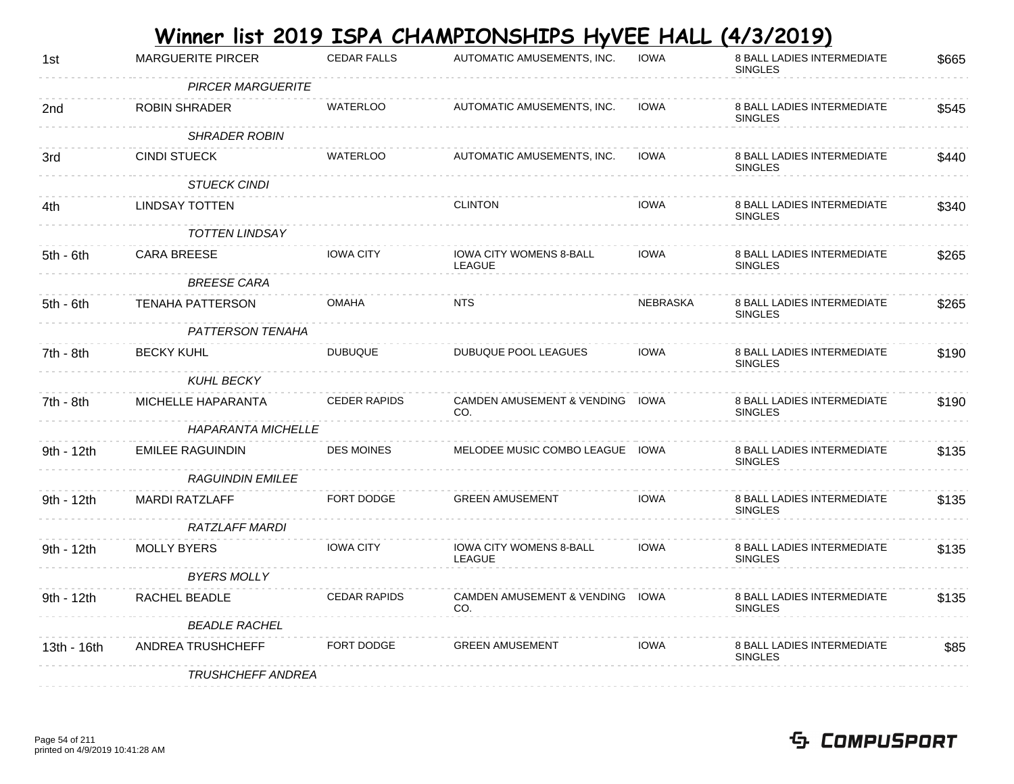|             |                           |                     | Winner list 2019 ISPA CHAMPIONSHIPS HyVEE HALL  |                 | (4/3/2019)                                          |       |
|-------------|---------------------------|---------------------|-------------------------------------------------|-----------------|-----------------------------------------------------|-------|
| 1st         | <b>MARGUERITE PIRCER</b>  | <b>CEDAR FALLS</b>  | AUTOMATIC AMUSEMENTS, INC.                      | <b>IOWA</b>     | <b>8 BALL LADIES INTERMEDIATE</b><br><b>SINGLES</b> | \$665 |
|             | <b>PIRCER MARGUERITE</b>  |                     |                                                 |                 |                                                     |       |
| 2nd         | ROBIN SHRADER             | <b>WATERLOO</b>     | AUTOMATIC AMUSEMENTS, INC.                      | <b>IOWA</b>     | <b>8 BALL LADIES INTERMEDIATE</b><br><b>SINGLES</b> | \$545 |
|             | <b>SHRADER ROBIN</b>      |                     |                                                 |                 |                                                     |       |
| 3rd         | CINDI STUECK              | <b>WATERLOO</b>     | AUTOMATIC AMUSEMENTS, INC.                      | <b>IOWA</b>     | <b>8 BALL LADIES INTERMEDIATE</b><br><b>SINGLES</b> | \$440 |
|             | <b>STUECK CINDI</b>       |                     |                                                 |                 |                                                     |       |
| 4th         | <b>LINDSAY TOTTEN</b>     |                     | <b>CLINTON</b>                                  | <b>IOWA</b>     | <b>8 BALL LADIES INTERMEDIATE</b><br><b>SINGLES</b> | \$340 |
|             | <b>TOTTEN LINDSAY</b>     |                     |                                                 |                 |                                                     |       |
| 5th - 6th   | <b>CARA BREESE</b>        | <b>IOWA CITY</b>    | IOWA CITY WOMENS 8-BALL<br>LEAGUE               | <b>IOWA</b>     | 8 BALL LADIES INTERMEDIATE<br><b>SINGLES</b>        | \$265 |
|             | <b>BREESE CARA</b>        |                     |                                                 |                 |                                                     |       |
| 5th - 6th   | <b>TENAHA PATTERSON</b>   | <b>OMAHA</b>        | <b>NTS</b>                                      | <b>NEBRASKA</b> | <b>8 BALL LADIES INTERMEDIATE</b><br><b>SINGLES</b> | \$265 |
|             | <b>PATTERSON TENAHA</b>   |                     |                                                 |                 |                                                     |       |
| 7th - 8th   | <b>BECKY KUHL</b>         | <b>DUBUQUE</b>      | DUBUQUE POOL LEAGUES                            | <b>IOWA</b>     | 8 BALL LADIES INTERMEDIATE<br><b>SINGLES</b>        | \$190 |
|             | <b>KUHL BECKY</b>         |                     |                                                 |                 |                                                     |       |
| 7th - 8th   | <b>MICHELLE HAPARANTA</b> | <b>CEDER RAPIDS</b> | CAMDEN AMUSEMENT & VENDING<br>CO.               | IOWA            | <b>8 BALL LADIES INTERMEDIATE</b><br><b>SINGLES</b> | \$190 |
|             | <b>HAPARANTA MICHELLE</b> |                     |                                                 |                 |                                                     |       |
| 9th - 12th  | EMILEE RAGUINDIN          | <b>DES MOINES</b>   | MELODEE MUSIC COMBO LEAGUE IOWA                 |                 | 8 BALL LADIES INTERMEDIATE<br><b>SINGLES</b>        | \$135 |
|             | <b>RAGUINDIN EMILEE</b>   |                     |                                                 |                 |                                                     |       |
| 9th - 12th  | <b>MARDI RATZLAFF</b>     | <b>FORT DODGE</b>   | <b>GREEN AMUSEMENT</b>                          | <b>IOWA</b>     | <b>8 BALL LADIES INTERMEDIATE</b><br><b>SINGLES</b> | \$135 |
|             | RATZLAFF MARDI            |                     |                                                 |                 |                                                     |       |
| 9th - 12th  | <b>MOLLY BYERS</b>        | <b>IOWA CITY</b>    | <b>IOWA CITY WOMENS 8-BALL</b><br><b>LEAGUE</b> | <b>IOWA</b>     | <b>8 BALL LADIES INTERMEDIATE</b><br><b>SINGLES</b> | \$135 |
|             | <b>BYERS MOLLY</b>        |                     |                                                 |                 |                                                     |       |
| 9th - 12th  | RACHEL BEADLE             | <b>CEDAR RAPIDS</b> | CAMDEN AMUSEMENT & VENDING<br>CO.               | IOWA            | <b>8 BALL LADIES INTERMEDIATE</b><br><b>SINGLES</b> | \$135 |
|             | <b>BEADLE RACHEL</b>      |                     |                                                 |                 |                                                     |       |
| 13th - 16th | ANDREA TRUSHCHEFF         | FORT DODGE          | <b>GREEN AMUSEMENT</b>                          | IOWA            | 8 BALL LADIES INTERMEDIATE<br><b>SINGLES</b>        | \$85  |
|             | <i>TRUSHCHEFF ANDREA</i>  |                     |                                                 |                 |                                                     |       |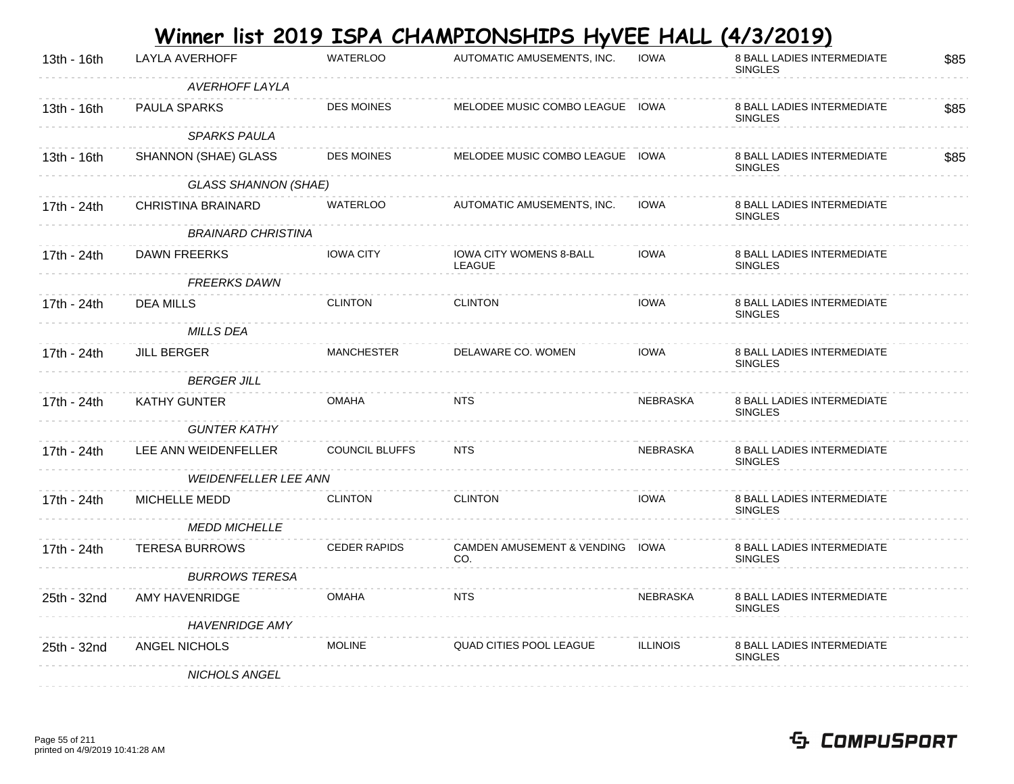|             |                             |                   | Winner list 2019 ISPA CHAMPIONSHIPS HyVEE HALL (4/3/2019) |             |                                                     |      |
|-------------|-----------------------------|-------------------|-----------------------------------------------------------|-------------|-----------------------------------------------------|------|
| 13th - 16th | LAYLA AVERHOFF              | <b>WATERLOO</b>   | AUTOMATIC AMUSEMENTS, INC.                                | <b>IOWA</b> | <b>8 BALL LADIES INTERMEDIATE</b><br><b>SINGLES</b> | \$85 |
|             | AVERHOFF LAYLA              |                   |                                                           |             |                                                     |      |
| 13th - 16th | PAULA SPARKS                | <b>DES MOINES</b> | MELODEE MUSIC COMBO LEAGUE                                | IOWA        | <b>8 BALL LADIES INTERMEDIATE</b><br><b>SINGLES</b> | \$85 |
|             | <b>SPARKS PAULA</b>         |                   |                                                           |             |                                                     |      |
| 13th - 16th | SHANNON (SHAE) GLASS        | <b>DES MOINES</b> | MELODEE MUSIC COMBO LEAGUE                                | IOWA        | <b>8 BALL LADIES INTERMEDIATE</b><br><b>SINGLES</b> | \$85 |
|             | <b>GLASS SHANNON (SHAE)</b> |                   |                                                           |             |                                                     |      |
| 17th - 24th | CHRISTINA BRAINARD          | <b>WATERLOO</b>   | AUTOMATIC AMUSEMENTS, INC.                                | <b>IOWA</b> | <b>8 BALL LADIES INTERMEDIATE</b><br><b>SINGLES</b> |      |
|             | <b>BRAINARD CHRISTINA</b>   |                   |                                                           |             |                                                     |      |
| 17th - 24th | DAWN FREERKS                | <b>IOWA CITY</b>  | <b>IOWA CITY WOMENS 8-BALL</b><br>LEAGUE                  | <b>IOWA</b> | <b>8 BALL LADIES INTERMEDIATE</b><br><b>SINGLES</b> |      |
|             | <b>FREERKS DAWN</b>         |                   |                                                           |             |                                                     |      |
| 17th - 24th | <b>DEA MILLS</b>            | <b>CLINTON</b>    | <b>CLINTON</b>                                            | <b>IOWA</b> | <b>8 BALL LADIES INTERMEDIATE</b><br><b>SINGLES</b> |      |
|             | MILLS DEA                   |                   |                                                           |             |                                                     |      |
|             |                             |                   |                                                           |             |                                                     |      |

|             | IVIILLO DEA                 |                       |                                              |                 |                                                     |
|-------------|-----------------------------|-----------------------|----------------------------------------------|-----------------|-----------------------------------------------------|
| 17th - 24th | <b>JILL BERGER</b>          | <b>MANCHESTER</b>     | DELAWARE CO. WOMEN                           | <b>IOWA</b>     | <b>8 BALL LADIES INTERMEDIATE</b><br><b>SINGLES</b> |
|             | <b>BERGER JILL</b>          |                       |                                              |                 |                                                     |
| 17th - 24th | <b>KATHY GUNTER</b>         | <b>OMAHA</b>          | <b>NTS</b>                                   | NEBRASKA        | <b>8 BALL LADIES INTERMEDIATE</b><br><b>SINGLES</b> |
|             | <b>GUNTER KATHY</b>         |                       |                                              |                 |                                                     |
| 17th - 24th | LEE ANN WEIDENFELLER        | <b>COUNCIL BLUFFS</b> | <b>NTS</b>                                   | <b>NEBRASKA</b> | <b>8 BALL LADIES INTERMEDIATE</b><br><b>SINGLES</b> |
|             | <b>WEIDENFELLER LEE ANN</b> |                       |                                              |                 |                                                     |
| 17th - 24th | <b>MICHELLE MEDD</b>        | <b>CLINTON</b>        | <b>CLINTON</b>                               | <b>IOWA</b>     | <b>8 BALL LADIES INTERMEDIATE</b><br><b>SINGLES</b> |
|             | <b>MEDD MICHELLE</b>        |                       |                                              |                 |                                                     |
| 17th - 24th | <b>TERESA BURROWS</b>       | <b>CEDER RAPIDS</b>   | <b>CAMDEN AMUSEMENT &amp; VENDING</b><br>CO. | IOWA            | <b>8 BALL LADIES INTERMEDIATE</b><br><b>SINGLES</b> |
|             | <b>BURROWS TERESA</b>       |                       |                                              |                 |                                                     |
| 25th - 32nd | AMY HAVENRIDGE              | <b>OMAHA</b>          | <b>NTS</b>                                   | NEBRASKA        | <b>8 BALL LADIES INTERMEDIATE</b><br><b>SINGLES</b> |
|             | <b>HAVENRIDGE AMY</b>       |                       |                                              |                 |                                                     |
| 25th - 32nd | ANGEL NICHOLS               | <b>MOLINE</b>         | QUAD CITIES POOL LEAGUE                      | <b>ILLINOIS</b> | <b>8 BALL LADIES INTERMEDIATE</b><br><b>SINGLES</b> |
|             | <b>NICHOLS ANGEL</b>        |                       |                                              |                 |                                                     |
|             |                             |                       |                                              |                 |                                                     |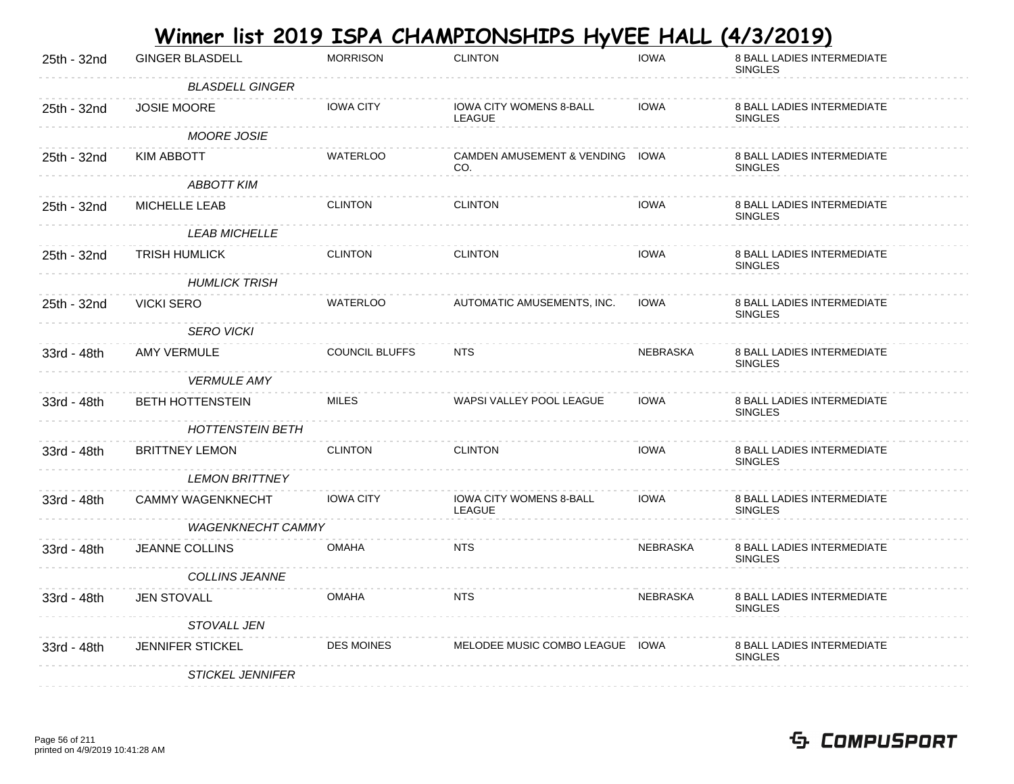|             |                           |                       | <u>Winner list 2019 ISPA CHAMPIONSHIPS HyVEE HALL (4/3/2019)</u> |                 |                                              |
|-------------|---------------------------|-----------------------|------------------------------------------------------------------|-----------------|----------------------------------------------|
| 25th - 32nd | <b>GINGER BLASDELL</b>    | <b>MORRISON</b>       | <b>CLINTON</b>                                                   | <b>IOWA</b>     | 8 BALL LADIES INTERMEDIATE<br><b>SINGLES</b> |
|             | <b>BLASDELL GINGER</b>    |                       |                                                                  |                 |                                              |
| 25th - 32nd | <b>JOSIE MOORE</b>        | <b>IOWA CITY</b>      | <b>IOWA CITY WOMENS 8-BALL</b><br>LEAGUE                         | <b>IOWA</b>     | 8 BALL LADIES INTERMEDIATE<br><b>SINGLES</b> |
|             | <b>MOORE JOSIE</b>        |                       |                                                                  |                 |                                              |
| 25th - 32nd | KIM ABBOTT                | WATERLOO              | CAMDEN AMUSEMENT & VENDING IOWA<br>CO.                           |                 | 8 BALL LADIES INTERMEDIATE<br><b>SINGLES</b> |
|             | <b>ABBOTT KIM</b>         |                       |                                                                  |                 |                                              |
| 25th - 32nd | MICHELLE LEAB             | <b>CLINTON</b>        | <b>CLINTON</b>                                                   | <b>IOWA</b>     | 8 BALL LADIES INTERMEDIATE<br><b>SINGLES</b> |
|             | <b>LEAB MICHELLE</b>      |                       |                                                                  |                 |                                              |
| 25th - 32nd | TRISH HUMLICK             | <b>CLINTON</b>        | <b>CLINTON</b>                                                   | <b>IOWA</b>     | 8 BALL LADIES INTERMEDIATE<br><b>SINGLES</b> |
|             | <b>HUMLICK TRISH</b>      |                       |                                                                  |                 |                                              |
| 25th - 32nd | <b>VICKI SERO</b>         | WATERLOO              | AUTOMATIC AMUSEMENTS, INC.                                       | <b>IOWA</b>     | 8 BALL LADIES INTERMEDIATE<br><b>SINGLES</b> |
|             | <b>SERO VICKI</b>         |                       |                                                                  |                 |                                              |
| 33rd - 48th | AMY VERMULE               | <b>COUNCIL BLUFFS</b> | <b>NTS</b>                                                       | NEBRASKA        | 8 BALL LADIES INTERMEDIATE<br><b>SINGLES</b> |
|             | <i><b>VERMULE AMY</b></i> |                       |                                                                  |                 |                                              |
| 33rd - 48th | <b>BETH HOTTENSTEIN</b>   | <b>MILES</b>          | WAPSI VALLEY POOL LEAGUE                                         | <b>IOWA</b>     | 8 BALL LADIES INTERMEDIATE<br><b>SINGLES</b> |
|             | <b>HOTTENSTEIN BETH</b>   |                       |                                                                  |                 |                                              |
| 33rd - 48th | <b>BRITTNEY LEMON</b>     | <b>CLINTON</b>        | <b>CLINTON</b>                                                   | <b>IOWA</b>     | 8 BALL LADIES INTERMEDIATE<br><b>SINGLES</b> |
|             | <i>LEMON BRITTNEY</i>     |                       |                                                                  |                 |                                              |
| 33rd - 48th | <b>CAMMY WAGENKNECHT</b>  | <b>IOWA CITY</b>      | IOWA CITY WOMENS 8-BALL<br>LEAGUE                                | <b>IOWA</b>     | 8 BALL LADIES INTERMEDIATE<br><b>SINGLES</b> |
|             | <b>WAGENKNECHT CAMMY</b>  |                       |                                                                  |                 |                                              |
| 33rd - 48th | <b>JEANNE COLLINS</b>     | <b>OMAHA</b>          | <b>NTS</b>                                                       | <b>NEBRASKA</b> | 8 BALL LADIES INTERMEDIATE<br><b>SINGLES</b> |
|             | <b>COLLINS JEANNE</b>     |                       |                                                                  |                 |                                              |
| 33rd - 48th | <b>JEN STOVALL</b>        | <b>OMAHA</b>          | <b>NTS</b>                                                       | <b>NEBRASKA</b> | 8 BALL LADIES INTERMEDIATE<br><b>SINGLES</b> |
|             | <b>STOVALL JEN</b>        |                       |                                                                  |                 |                                              |
| 33rd - 48th | <b>JENNIFER STICKEL</b>   | <b>DES MOINES</b>     | MELODEE MUSIC COMBO LEAGUE                                       | IOWA            | 8 BALL LADIES INTERMEDIATE<br><b>SINGLES</b> |
|             | <b>STICKEL JENNIFER</b>   |                       |                                                                  |                 |                                              |

#### Page 56 of 211 printed on 4/9/2019 10:41:28 AM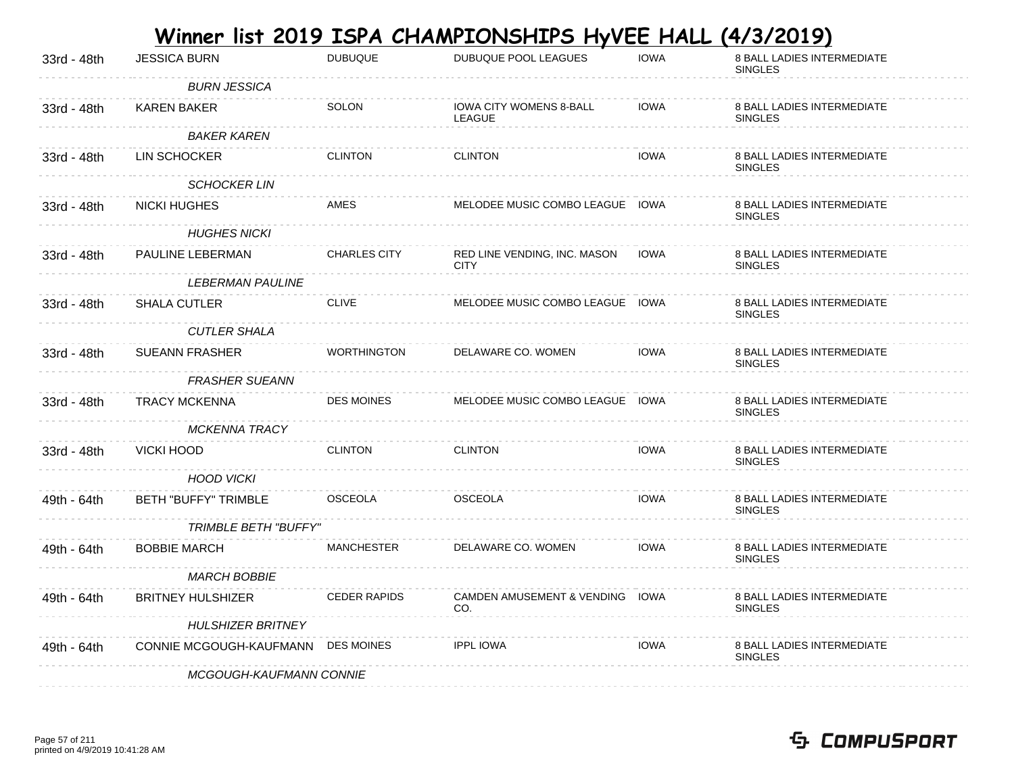|             |                                    |                     | <u>Winner list 2019 ISPA CHAMPIONSHIPS HyVEE HALL</u> |             | <u>(4/3/2019)</u>                                   |
|-------------|------------------------------------|---------------------|-------------------------------------------------------|-------------|-----------------------------------------------------|
| 33rd - 48th | <b>JESSICA BURN</b>                | <b>DUBUQUE</b>      | <b>DUBUQUE POOL LEAGUES</b>                           | <b>IOWA</b> | 8 BALL LADIES INTERMEDIATE<br><b>SINGLES</b>        |
|             | <b>BURN JESSICA</b>                |                     |                                                       |             |                                                     |
| 33rd - 48th | KAREN BAKER                        | <b>SOLON</b>        | <b>IOWA CITY WOMENS 8-BALL</b><br>LEAGUE              | <b>IOWA</b> | <b>8 BALL LADIES INTERMEDIATE</b><br><b>SINGLES</b> |
|             | <b>BAKER KAREN</b>                 |                     |                                                       |             |                                                     |
| 33rd - 48th | LIN SCHOCKER                       | <b>CLINTON</b>      | <b>CLINTON</b>                                        | <b>IOWA</b> | 8 BALL LADIES INTERMEDIATE<br><b>SINGLES</b>        |
|             | <b>SCHOCKER LIN</b>                |                     |                                                       |             |                                                     |
| 33rd - 48th | <b>NICKI HUGHES</b>                | AMES                | MELODEE MUSIC COMBO LEAGUE IOWA                       |             | 8 BALL LADIES INTERMEDIATE<br><b>SINGLES</b>        |
|             | <b>HUGHES NICKI</b>                |                     |                                                       |             |                                                     |
| 33rd - 48th | PAULINE LEBERMAN                   | <b>CHARLES CITY</b> | RED LINE VENDING, INC. MASON<br><b>CITY</b>           | <b>IOWA</b> | <b>8 BALL LADIES INTERMEDIATE</b><br><b>SINGLES</b> |
|             | <i>LEBERMAN PAULINE</i>            |                     |                                                       |             |                                                     |
| 33rd - 48th | SHALA CUTLER                       | <b>CLIVE</b>        | MELODEE MUSIC COMBO LEAGUE IOWA                       |             | 8 BALL LADIES INTERMEDIATE<br><b>SINGLES</b>        |
|             | <b>CUTLER SHALA</b>                |                     |                                                       |             |                                                     |
| 33rd - 48th | <b>SUEANN FRASHER</b>              | <b>WORTHINGTON</b>  | DELAWARE CO. WOMEN                                    | <b>IOWA</b> | <b>8 BALL LADIES INTERMEDIATE</b><br><b>SINGLES</b> |
|             | <b>FRASHER SUEANN</b>              |                     |                                                       |             |                                                     |
| 33rd - 48th | <b>TRACY MCKENNA</b>               | <b>DES MOINES</b>   | MELODEE MUSIC COMBO LEAGUE IOWA                       |             | 8 BALL LADIES INTERMEDIATE<br><b>SINGLES</b>        |
|             | <b>MCKENNA TRACY</b>               |                     |                                                       |             |                                                     |
| 33rd - 48th | VICKI HOOD                         | <b>CLINTON</b>      | <b>CLINTON</b>                                        | <b>IOWA</b> | <b>8 BALL LADIES INTERMEDIATE</b><br><b>SINGLES</b> |
|             | <b>HOOD VICKI</b>                  |                     |                                                       |             |                                                     |
| 49th - 64th | <b>BETH "BUFFY" TRIMBLE</b>        | <b>OSCEOLA</b>      | <b>OSCEOLA</b>                                        | <b>IOWA</b> | 8 BALL LADIES INTERMEDIATE<br><b>SINGLES</b>        |
|             | <b>TRIMBLE BETH "BUFFY"</b>        |                     |                                                       |             |                                                     |
| 49th - 64th | <b>BOBBIE MARCH</b>                | <b>MANCHESTER</b>   | DELAWARE CO. WOMEN                                    | <b>IOWA</b> | 8 BALL LADIES INTERMEDIATE<br><b>SINGLES</b>        |
|             | <b>MARCH BOBBIE</b>                |                     |                                                       |             |                                                     |
| 49th - 64th | <b>BRITNEY HULSHIZER</b>           | <b>CEDER RAPIDS</b> | CAMDEN AMUSEMENT & VENDING IOWA<br>CO.                |             | <b>8 BALL LADIES INTERMEDIATE</b><br><b>SINGLES</b> |
|             | <b>HULSHIZER BRITNEY</b>           |                     |                                                       |             |                                                     |
| 49th - 64th | CONNIE MCGOUGH-KAUFMANN DES MOINES |                     | <b>IPPL IOWA</b>                                      | <b>IOWA</b> | 8 BALL LADIES INTERMEDIATE<br><b>SINGLES</b>        |
|             | MCGOUGH-KAUFMANN CONNIE            |                     |                                                       |             |                                                     |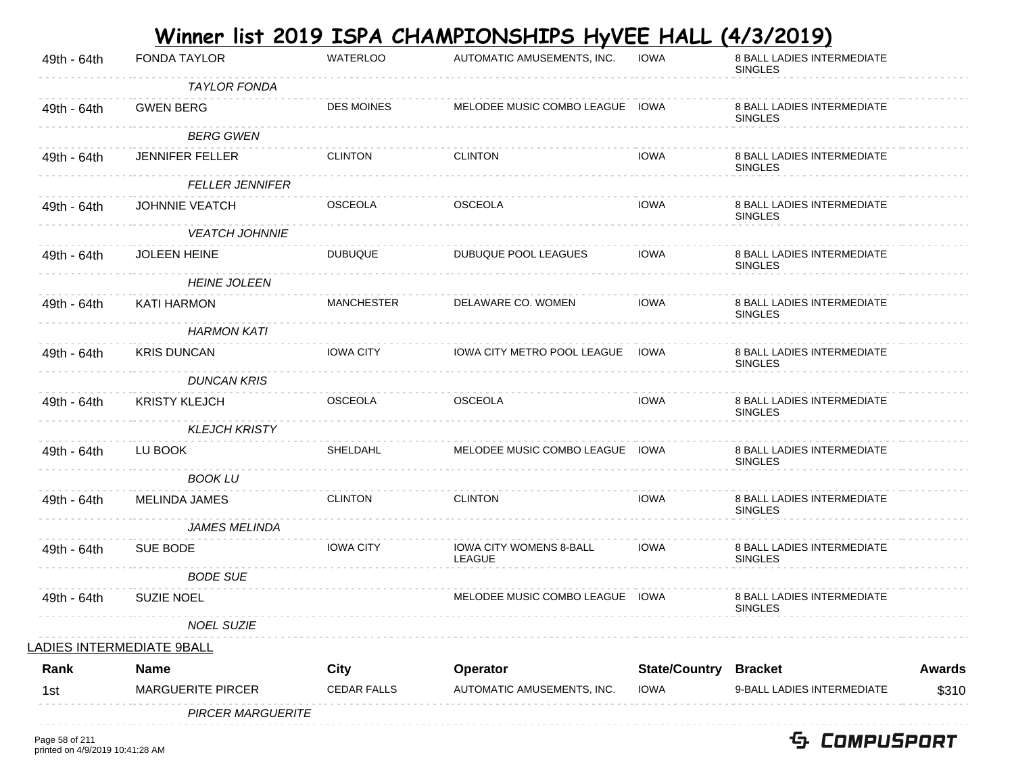|             |                                  |                    | Winner list 2019 ISPA CHAMPIONSHIPS HyVEE HALL |                      | (4/3/2019)                                          |               |
|-------------|----------------------------------|--------------------|------------------------------------------------|----------------------|-----------------------------------------------------|---------------|
| 49th - 64th | <b>FONDA TAYLOR</b>              | <b>WATERLOO</b>    | AUTOMATIC AMUSEMENTS, INC.                     | <b>IOWA</b>          | 8 BALL LADIES INTERMEDIATE<br><b>SINGLES</b>        |               |
|             | <b>TAYLOR FONDA</b>              |                    |                                                |                      |                                                     |               |
| 49th - 64th | <b>GWEN BERG</b>                 | <b>DES MOINES</b>  | MELODEE MUSIC COMBO LEAGUE IOWA                |                      | <b>8 BALL LADIES INTERMEDIATE</b><br><b>SINGLES</b> |               |
|             | <b>BERG GWEN</b>                 |                    |                                                |                      |                                                     |               |
| 49th - 64th | <b>JENNIFER FELLER</b>           | <b>CLINTON</b>     | <b>CLINTON</b>                                 | <b>IOWA</b>          | 8 BALL LADIES INTERMEDIATE<br><b>SINGLES</b>        |               |
|             | <b>FELLER JENNIFER</b>           |                    |                                                |                      |                                                     |               |
| 49th - 64th | <b>JOHNNIE VEATCH</b>            | <b>OSCEOLA</b>     | <b>OSCEOLA</b>                                 | <b>IOWA</b>          | 8 BALL LADIES INTERMEDIATE<br><b>SINGLES</b>        |               |
|             | <b>VEATCH JOHNNIE</b>            |                    |                                                |                      |                                                     |               |
| 49th - 64th | <b>JOLEEN HEINE</b>              | <b>DUBUQUE</b>     | DUBUQUE POOL LEAGUES                           | <b>IOWA</b>          | 8 BALL LADIES INTERMEDIATE<br><b>SINGLES</b>        |               |
|             | <b>HEINE JOLEEN</b>              |                    |                                                |                      |                                                     |               |
| 49th - 64th | <b>KATI HARMON</b>               | <b>MANCHESTER</b>  | DELAWARE CO. WOMEN                             | <b>IOWA</b>          | 8 BALL LADIES INTERMEDIATE<br><b>SINGLES</b>        |               |
|             | <b>HARMON KATI</b>               |                    |                                                |                      |                                                     |               |
| 49th - 64th | <b>KRIS DUNCAN</b>               | <b>IOWA CITY</b>   | IOWA CITY METRO POOL LEAGUE                    | IOWA                 | <b>8 BALL LADIES INTERMEDIATE</b><br><b>SINGLES</b> |               |
|             | <b>DUNCAN KRIS</b>               |                    |                                                |                      |                                                     |               |
| 49th - 64th | <b>KRISTY KLEJCH</b>             | <b>OSCEOLA</b>     | <b>OSCEOLA</b>                                 | <b>IOWA</b>          | 8 BALL LADIES INTERMEDIATE<br><b>SINGLES</b>        |               |
|             | <b>KLEJCH KRISTY</b>             |                    |                                                |                      |                                                     |               |
| 49th - 64th | LU BOOK                          | SHELDAHL           | MELODEE MUSIC COMBO LEAGUE IOWA                |                      | 8 BALL LADIES INTERMEDIATE<br><b>SINGLES</b>        |               |
|             | <b>BOOK LU</b>                   |                    |                                                |                      |                                                     |               |
| 49th - 64th | <b>MELINDA JAMES</b>             | <b>CLINTON</b>     | <b>CLINTON</b>                                 | <b>IOWA</b>          | 8 BALL LADIES INTERMEDIATE<br><b>SINGLES</b>        |               |
|             | <b>JAMES MELINDA</b>             |                    |                                                |                      |                                                     |               |
| 49th - 64th | SUE BODE                         | <b>IOWA CITY</b>   | <b>IOWA CITY WOMENS 8-BALL</b><br>LEAGUE       | <b>IOWA</b>          | <b>8 BALL LADIES INTERMEDIATE</b><br><b>SINGLES</b> |               |
|             | <b>BODE SUE</b>                  |                    |                                                |                      |                                                     |               |
| 49th - 64th | <b>SUZIE NOEL</b>                |                    | MELODEE MUSIC COMBO LEAGUE IOWA                |                      | 8 BALL LADIES INTERMEDIATE<br><b>SINGLES</b>        |               |
|             | <b>NOEL SUZIE</b>                |                    |                                                |                      |                                                     |               |
|             | <u>LADIES INTERMEDIATE 9BALL</u> |                    |                                                |                      |                                                     |               |
| Rank        | <b>Name</b>                      | City               | Operator                                       | <b>State/Country</b> | <b>Bracket</b>                                      | <b>Awards</b> |
| 1st         | <b>MARGUERITE PIRCER</b>         | <b>CEDAR FALLS</b> | AUTOMATIC AMUSEMENTS, INC.                     | <b>IOWA</b>          | 9-BALL LADIES INTERMEDIATE                          | \$310         |
|             |                                  |                    |                                                |                      |                                                     |               |

PIRCER MARGUERITE

. . . . . . . . . . . . . . .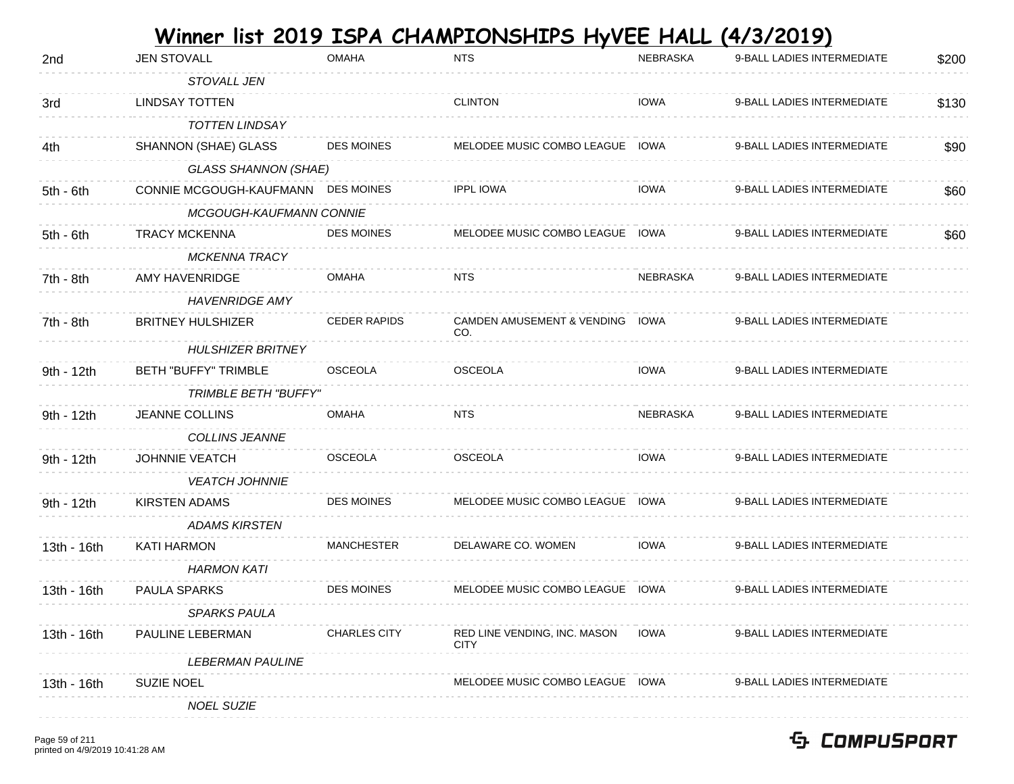| 2nd         | <b>JEN STOVALL</b>                 | OMAHA               | <b>NTS</b>                                   | NEBRASKA        | 9-BALL LADIES INTERMEDIATE | \$200 |
|-------------|------------------------------------|---------------------|----------------------------------------------|-----------------|----------------------------|-------|
|             | STOVALL JEN                        |                     |                                              |                 |                            |       |
| 3rd         | <b>LINDSAY TOTTEN</b>              |                     | <b>CLINTON</b>                               | <b>IOWA</b>     | 9-BALL LADIES INTERMEDIATE | \$130 |
|             | <b>TOTTEN LINDSAY</b>              |                     |                                              |                 |                            |       |
| 4th         | SHANNON (SHAE) GLASS               | <b>DES MOINES</b>   | MELODEE MUSIC COMBO LEAGUE                   | <b>IOWA</b>     | 9-BALL LADIES INTERMEDIATE | \$90  |
|             | <b>GLASS SHANNON (SHAE)</b>        |                     |                                              |                 |                            |       |
| $5th - 6th$ | CONNIE MCGOUGH-KAUFMANN DES MOINES |                     | <b>IPPL IOWA</b>                             | <b>IOWA</b>     | 9-BALL LADIES INTERMEDIATE | \$60  |
|             | MCGOUGH-KAUFMANN CONNIE            |                     |                                              |                 |                            |       |
| $5th - 6th$ | <b>TRACY MCKENNA</b>               | <b>DES MOINES</b>   | MELODEE MUSIC COMBO LEAGUE IOWA              |                 | 9-BALL LADIES INTERMEDIATE | \$60  |
|             | <b>MCKENNA TRACY</b>               |                     |                                              |                 |                            |       |
| 7th - 8th   | AMY HAVENRIDGE                     | <b>OMAHA</b>        | <b>NTS</b>                                   | NEBRASKA        | 9-BALL LADIES INTERMEDIATE |       |
|             | <b>HAVENRIDGE AMY</b>              |                     |                                              |                 |                            |       |
| 7th - 8th   | <b>BRITNEY HULSHIZER</b>           | <b>CEDER RAPIDS</b> | <b>CAMDEN AMUSEMENT &amp; VENDING</b><br>CO. | IOWA            | 9-BALL LADIES INTERMEDIATE |       |
|             | <b>HULSHIZER BRITNEY</b>           |                     |                                              |                 |                            |       |
| 9th - 12th  | <b>BETH "BUFFY" TRIMBLE</b>        | <b>OSCEOLA</b>      | <b>OSCEOLA</b>                               | <b>IOWA</b>     | 9-BALL LADIES INTERMEDIATE |       |
|             | <b>TRIMBLE BETH "BUFFY"</b>        |                     |                                              |                 |                            |       |
| 9th - 12th  | JEANNE COLLINS                     | <b>OMAHA</b>        | <b>NTS</b>                                   | <b>NEBRASKA</b> | 9-BALL LADIES INTERMEDIATE |       |
|             | COLLINS JEANNE                     |                     |                                              |                 |                            |       |
| 9th - 12th  | JOHNNIE VEATCH                     | <b>OSCEOLA</b>      | <b>OSCEOLA</b>                               | <b>IOWA</b>     | 9-BALL LADIES INTERMEDIATE |       |
|             | <b>VEATCH JOHNNIE</b>              |                     |                                              |                 |                            |       |
| 9th - 12th  | <b>KIRSTEN ADAMS</b>               | <b>DES MOINES</b>   | MELODEE MUSIC COMBO LEAGUE IOWA              |                 | 9-BALL LADIES INTERMEDIATE |       |
|             | <b>ADAMS KIRSTEN</b>               |                     |                                              |                 |                            |       |
| 13th - 16th | <b>KATI HARMON</b>                 | <b>MANCHESTER</b>   | DELAWARE CO. WOMEN                           | <b>IOWA</b>     | 9-BALL LADIES INTERMEDIATE |       |
|             | HARMON KATI                        |                     |                                              |                 |                            |       |
| 13th - 16th | PAULA SPARKS                       | <b>DES MOINES</b>   | MELODEE MUSIC COMBO LEAGUE                   | <b>IOWA</b>     | 9-BALL LADIES INTERMEDIATE |       |
|             | <b>SPARKS PAULA</b>                |                     |                                              |                 |                            |       |
| 13th - 16th | PAULINE LEBERMAN                   | <b>CHARLES CITY</b> | RED LINE VENDING, INC. MASON<br><b>CITY</b>  | IOWA            | 9-BALL LADIES INTERMEDIATE |       |
|             | <i>LEBERMAN PAULINE</i>            |                     |                                              |                 |                            |       |
| 13th - 16th | <b>SUZIE NOEL</b>                  |                     | MELODEE MUSIC COMBO LEAGUE IOWA              |                 | 9-BALL LADIES INTERMEDIATE |       |
|             | <b>NOEL SUZIE</b>                  |                     |                                              |                 |                            |       |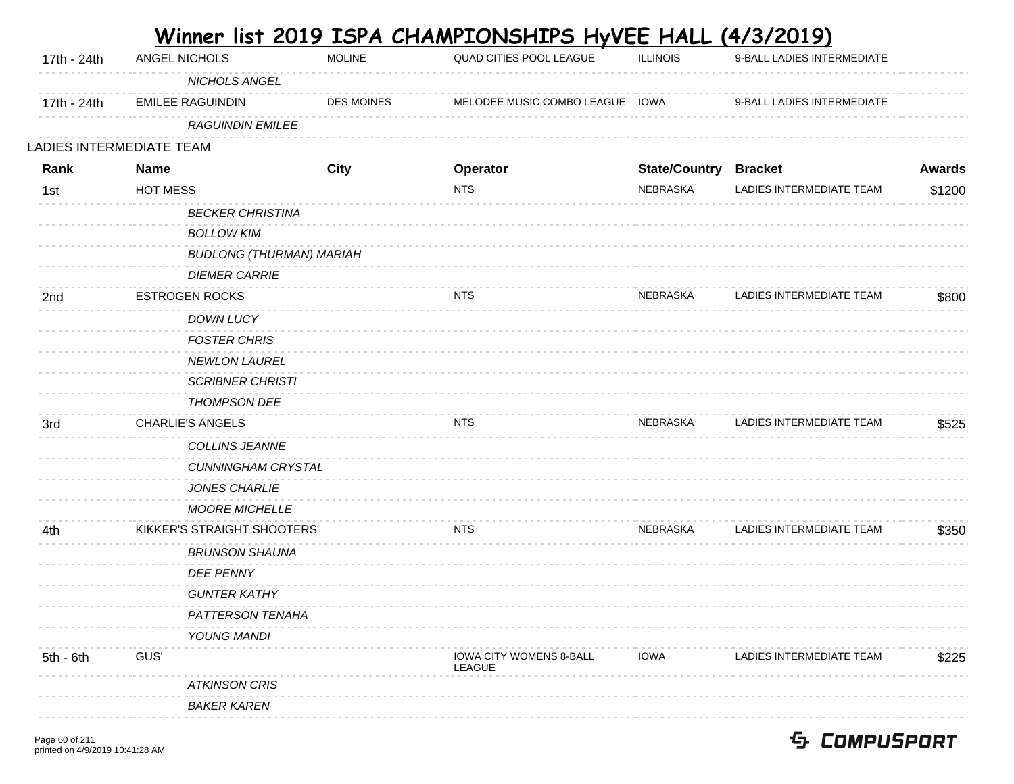|                                 |                 |                                   |                   | <u>Winner list 2019 ISPA CHAMPIONSHIPS HyVEE HALL (4/3/2019)</u> |                              |                            |               |
|---------------------------------|-----------------|-----------------------------------|-------------------|------------------------------------------------------------------|------------------------------|----------------------------|---------------|
| 17th - 24th                     | ANGEL NICHOLS   |                                   | <b>MOLINE</b>     | QUAD CITIES POOL LEAGUE                                          | <b>ILLINOIS</b>              | 9-BALL LADIES INTERMEDIATE |               |
|                                 |                 | NICHOLS ANGEL                     |                   |                                                                  |                              |                            |               |
| 17th - 24th                     |                 | <b>EMILEE RAGUINDIN</b>           | <b>DES MOINES</b> | MELODEE MUSIC COMBO LEAGUE IOWA                                  |                              | 9-BALL LADIES INTERMEDIATE |               |
|                                 |                 | <b>RAGUINDIN EMILEE</b>           |                   |                                                                  |                              |                            |               |
| <u>LADIES INTERMEDIATE TEAM</u> |                 |                                   |                   |                                                                  |                              |                            |               |
| Rank                            | <b>Name</b>     |                                   | <b>City</b>       | Operator                                                         | <b>State/Country Bracket</b> |                            | <b>Awards</b> |
| 1st                             | <b>HOT MESS</b> |                                   |                   | <b>NTS</b>                                                       | NEBRASKA                     | LADIES INTERMEDIATE TEAM   | \$1200        |
|                                 |                 | <b>BECKER CHRISTINA</b>           |                   |                                                                  |                              |                            |               |
|                                 |                 | <b>BOLLOW KIM</b>                 |                   |                                                                  |                              |                            |               |
|                                 |                 | <b>BUDLONG (THURMAN) MARIAH</b>   |                   |                                                                  |                              |                            |               |
|                                 |                 | <b>DIEMER CARRIE</b>              |                   |                                                                  |                              |                            |               |
| 2nd                             |                 | <b>ESTROGEN ROCKS</b>             |                   | <b>NTS</b>                                                       | NEBRASKA                     | LADIES INTERMEDIATE TEAM   | \$800         |
|                                 |                 | DOWN LUCY                         |                   |                                                                  |                              |                            |               |
|                                 |                 | <b>FOSTER CHRIS</b>               |                   |                                                                  |                              |                            |               |
|                                 |                 | <b>NEWLON LAUREL</b>              |                   |                                                                  |                              |                            |               |
|                                 |                 | <b>SCRIBNER CHRISTI</b>           |                   |                                                                  |                              |                            |               |
|                                 |                 | <b>THOMPSON DEE</b>               |                   |                                                                  |                              |                            |               |
| 3rd                             |                 | <b>CHARLIE'S ANGELS</b>           |                   | <b>NTS</b>                                                       | NEBRASKA                     | LADIES INTERMEDIATE TEAM   | \$525         |
|                                 |                 | COLLINS JEANNE                    |                   |                                                                  |                              |                            |               |
|                                 |                 | <b>CUNNINGHAM CRYSTAL</b>         |                   |                                                                  |                              |                            |               |
|                                 |                 | <b>JONES CHARLIE</b>              |                   |                                                                  |                              |                            |               |
|                                 |                 | <b>MOORE MICHELLE</b>             |                   |                                                                  |                              |                            |               |
| 4th                             |                 | <b>KIKKER'S STRAIGHT SHOOTERS</b> |                   | <b>NTS</b>                                                       | <b>NEBRASKA</b>              | LADIES INTERMEDIATE TEAM   | \$350         |
|                                 |                 | <b>BRUNSON SHAUNA</b>             |                   |                                                                  |                              |                            |               |
|                                 |                 | <b>DEE PENNY</b>                  |                   |                                                                  |                              |                            |               |
|                                 |                 | <b>GUNTER KATHY</b>               |                   |                                                                  |                              |                            |               |
|                                 |                 | PATTERSON TENAHA                  |                   |                                                                  |                              |                            |               |
|                                 |                 | YOUNG MANDI                       |                   |                                                                  |                              |                            |               |
| $5th - 6th$                     | GUS'            |                                   |                   | <b>IOWA CITY WOMENS 8-BALL</b><br>LEAGUE                         | <b>IOWA</b>                  | LADIES INTERMEDIATE TEAM   | \$225         |
|                                 |                 | <b>ATKINSON CRIS</b>              |                   |                                                                  |                              |                            |               |
|                                 |                 | <b>BAKER KAREN</b>                |                   |                                                                  |                              |                            |               |
|                                 |                 |                                   |                   |                                                                  |                              |                            |               |

 $\mathcal{L}^{\text{max}}$ 

**College**  $\sim$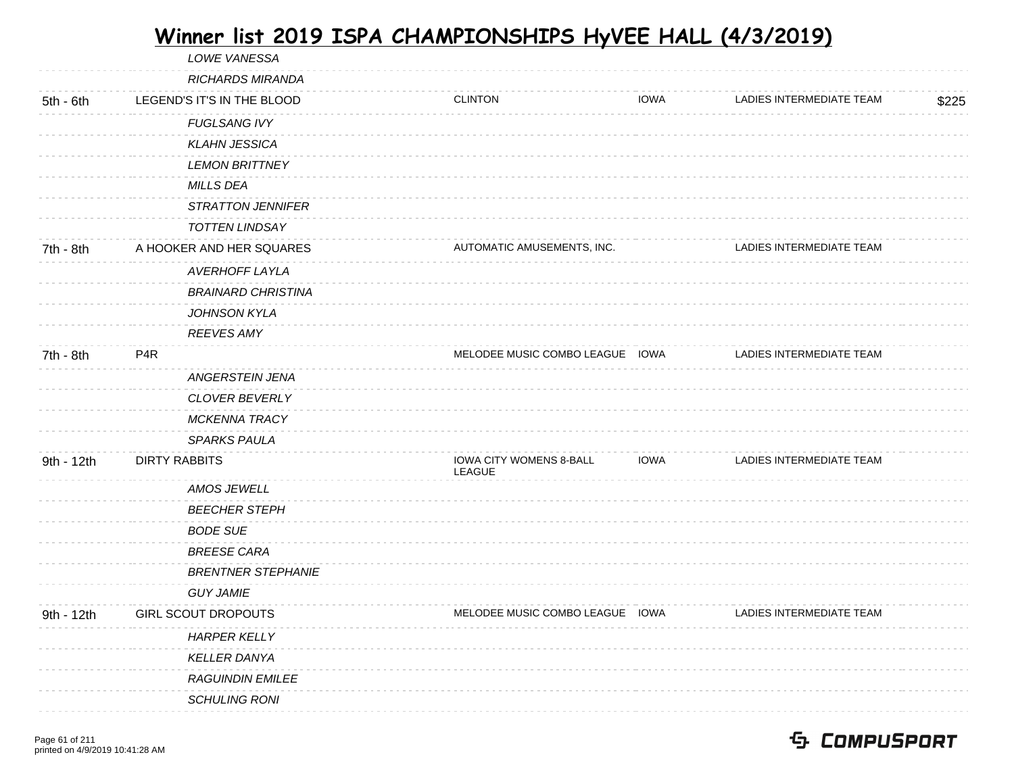LOWE VANESSA RICHARDS MIRANDA 5th - 6th LEGEND'S IT'S IN THE BLOOD CLINTON IOWA LADIES INTERMEDIATE TEAM \$225 FUGLSANG IVY KLAHN JESSICA LEMON BRITTNEY MILLS DEA STRATTON JENNIFER TOTTEN LINDSAY 7th - 8th A HOOKER AND HER SQUARES AND AUTOMATIC AMUSEMENTS, INC. AUTOMATIC AMUSEMENTS, INC. AVERHOFF LAYLA BRAINARD CHRISTINA JOHNSON KYLA REEVES AMY 7th - 8th P4R MELODEE MUSIC COMBO LEAGUE IOWA LADIES INTERMEDIATE TEAM ANGERSTEIN JENA CLOVER BEVERLY MCKENNA TRACY SPARKS PAULA 9th - 12th DIRTY RABBITS **IOWA CITY WOMENS 8-BALL** LEAGUE IOWA LADIES INTERMEDIATE TEAM AMOS JEWELL BEECHER STEPH BODE SUE BREESE CARA BRENTNER STEPHANIE GUY JAMIE 9th - 12th GIRL SCOUT DROPOUTS TEAM MELODEE MUSIC COMBO LEAGUE IOWA LADIES INTERMEDIATE TEAM HARPER KELLY KELLER DANYA RAGUINDIN EMILEE SCHULING RONI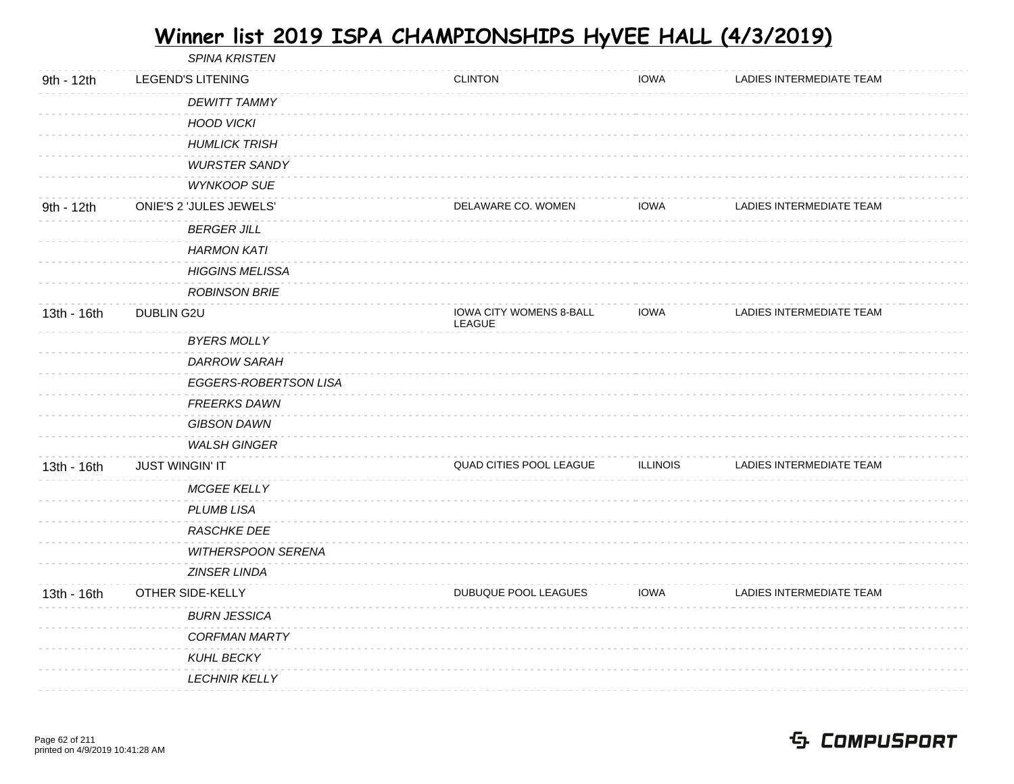|             | <b>SPINA KRISTEN</b>     |                           |                                          |                 |                          |
|-------------|--------------------------|---------------------------|------------------------------------------|-----------------|--------------------------|
| 9th - 12th  | <b>LEGEND'S LITENING</b> |                           | <b>CLINTON</b>                           | <b>IOWA</b>     | LADIES INTERMEDIATE TEAM |
|             | <b>DEWITT TAMMY</b>      |                           |                                          |                 |                          |
|             | <b>HOOD VICKI</b>        |                           |                                          |                 |                          |
|             | <b>HUMLICK TRISH</b>     |                           |                                          |                 |                          |
|             | <b>WURSTER SANDY</b>     |                           |                                          |                 |                          |
|             | <b>WYNKOOP SUE</b>       |                           |                                          |                 |                          |
| 9th - 12th  | ONIE'S 2 'JULES JEWELS'  |                           | DELAWARE CO. WOMEN                       | IOWA            | LADIES INTERMEDIATE TEAM |
|             | <b>BERGER JILL</b>       |                           |                                          |                 |                          |
|             | <b>HARMON KATI</b>       |                           |                                          |                 |                          |
|             | <b>HIGGINS MELISSA</b>   |                           |                                          |                 |                          |
|             | <b>ROBINSON BRIE</b>     |                           |                                          |                 |                          |
| 13th - 16th | DUBLIN G2U               |                           | <b>IOWA CITY WOMENS 8-BALL</b><br>LEAGUE | <b>IOWA</b>     | LADIES INTERMEDIATE TEAM |
|             | <b>BYERS MOLLY</b>       |                           |                                          |                 |                          |
|             | <b>DARROW SARAH</b>      |                           |                                          |                 |                          |
|             |                          | EGGERS-ROBERTSON LISA     |                                          |                 |                          |
|             | <b>FREERKS DAWN</b>      |                           |                                          |                 |                          |
|             | <b>GIBSON DAWN</b>       |                           |                                          |                 |                          |
|             | <b>WALSH GINGER</b>      |                           |                                          |                 |                          |
| 13th - 16th | <b>JUST WINGIN' IT</b>   |                           | QUAD CITIES POOL LEAGUE                  | <b>ILLINOIS</b> | LADIES INTERMEDIATE TEAM |
|             | <b>MCGEE KELLY</b>       |                           |                                          |                 |                          |
|             | PLUMB LISA               |                           |                                          |                 |                          |
|             | RASCHKE DEE              |                           |                                          |                 |                          |
|             |                          | <b>WITHERSPOON SERENA</b> |                                          |                 |                          |
|             | ZINSER LINDA             |                           |                                          |                 |                          |
| 13th - 16th | OTHER SIDE-KELLY         |                           | DUBUQUE POOL LEAGUES                     | <b>IOWA</b>     | LADIES INTERMEDIATE TEAM |
|             | <b>BURN JESSICA</b>      |                           |                                          |                 |                          |
|             | <b>CORFMAN MARTY</b>     |                           |                                          |                 |                          |
|             | <b>KUHL BECKY</b>        |                           |                                          |                 |                          |
|             | <b>LECHNIR KELLY</b>     |                           |                                          |                 |                          |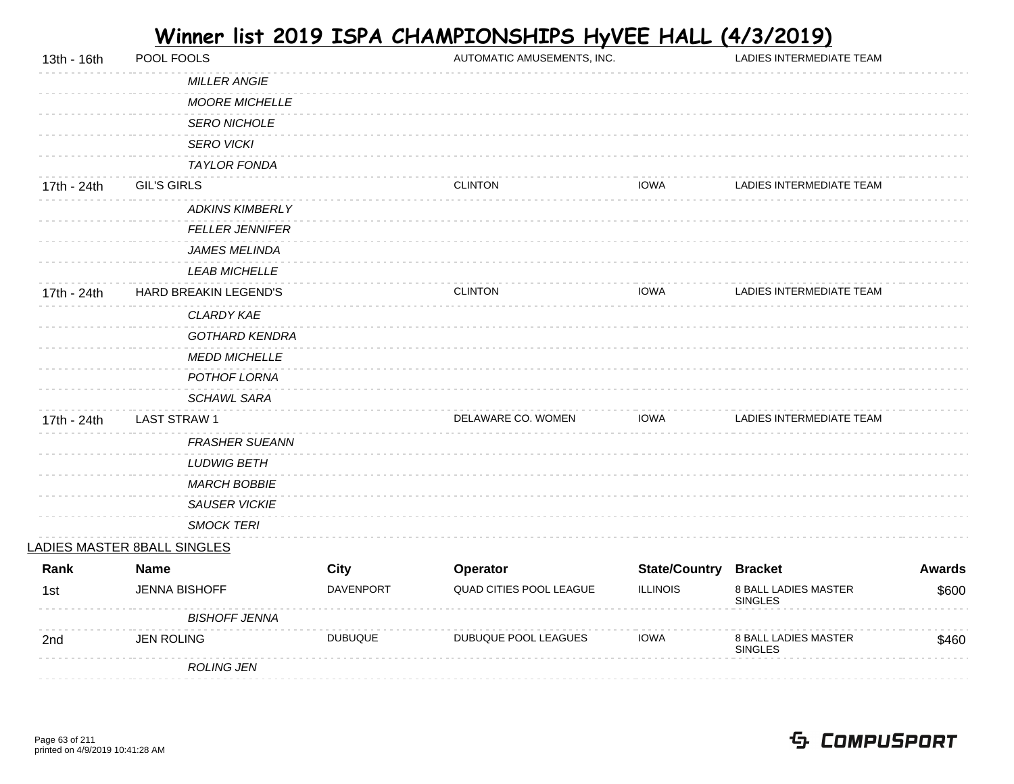| 13th - 16th | POOL FOOLS                  |                | AUTOMATIC AMUSEMENTS, INC. |                      | LADIES INTERMEDIATE TEAM               |               |
|-------------|-----------------------------|----------------|----------------------------|----------------------|----------------------------------------|---------------|
|             | <b>MILLER ANGIE</b>         |                |                            |                      |                                        |               |
|             | <b>MOORE MICHELLE</b>       |                |                            |                      |                                        |               |
|             | <b>SERO NICHOLE</b>         |                |                            |                      |                                        |               |
|             | <b>SERO VICKI</b>           |                |                            |                      |                                        |               |
|             | TAYLOR FONDA                |                |                            |                      |                                        |               |
| 17th - 24th | <b>GIL'S GIRLS</b>          |                | <b>CLINTON</b>             | <b>IOWA</b>          | LADIES INTERMEDIATE TEAM               |               |
|             | <b>ADKINS KIMBERLY</b>      |                |                            |                      |                                        |               |
|             | <b>FELLER JENNIFER</b>      |                |                            |                      |                                        |               |
|             | <b>JAMES MELINDA</b>        |                |                            |                      |                                        |               |
|             | <b>LEAB MICHELLE</b>        |                |                            |                      |                                        |               |
| 17th - 24th | HARD BREAKIN LEGEND'S       |                | <b>CLINTON</b>             | <b>IOWA</b>          | LADIES INTERMEDIATE TEAM               |               |
|             | <b>CLARDY KAE</b>           |                |                            |                      |                                        |               |
|             | <b>GOTHARD KENDRA</b>       |                |                            |                      |                                        |               |
|             | <b>MEDD MICHELLE</b>        |                |                            |                      |                                        |               |
|             | POTHOF LORNA                |                |                            |                      |                                        |               |
|             | <b>SCHAWL SARA</b>          |                |                            |                      |                                        |               |
| 17th - 24th | <b>LAST STRAW1</b>          |                | DELAWARE CO. WOMEN         | <b>IOWA</b>          | LADIES INTERMEDIATE TEAM               |               |
|             | <b>FRASHER SUEANN</b>       |                |                            |                      |                                        |               |
|             | <b>LUDWIG BETH</b>          |                |                            |                      |                                        |               |
|             | <b>MARCH BOBBIE</b>         |                |                            |                      |                                        |               |
|             | <b>SAUSER VICKIE</b>        |                |                            |                      |                                        |               |
|             | <b>SMOCK TERI</b>           |                |                            |                      |                                        |               |
|             | LADIES MASTER 8BALL SINGLES |                |                            |                      |                                        |               |
| Rank        | <b>Name</b>                 | City           | Operator                   | <b>State/Country</b> | <b>Bracket</b>                         | <b>Awards</b> |
| 1st         | <b>JENNA BISHOFF</b>        | DAVENPORT      | QUAD CITIES POOL LEAGUE    | <b>ILLINOIS</b>      | 8 BALL LADIES MASTER<br><b>SINGLES</b> | \$600         |
|             | <b>BISHOFF JENNA</b>        |                |                            |                      |                                        |               |
| 2nd         | <b>JEN ROLING</b>           | <b>DUBUQUE</b> | DUBUQUE POOL LEAGUES       | <b>IOWA</b>          | 8 BALL LADIES MASTER<br><b>SINGLES</b> | \$460         |
|             | <b>ROLING JEN</b>           |                |                            |                      |                                        |               |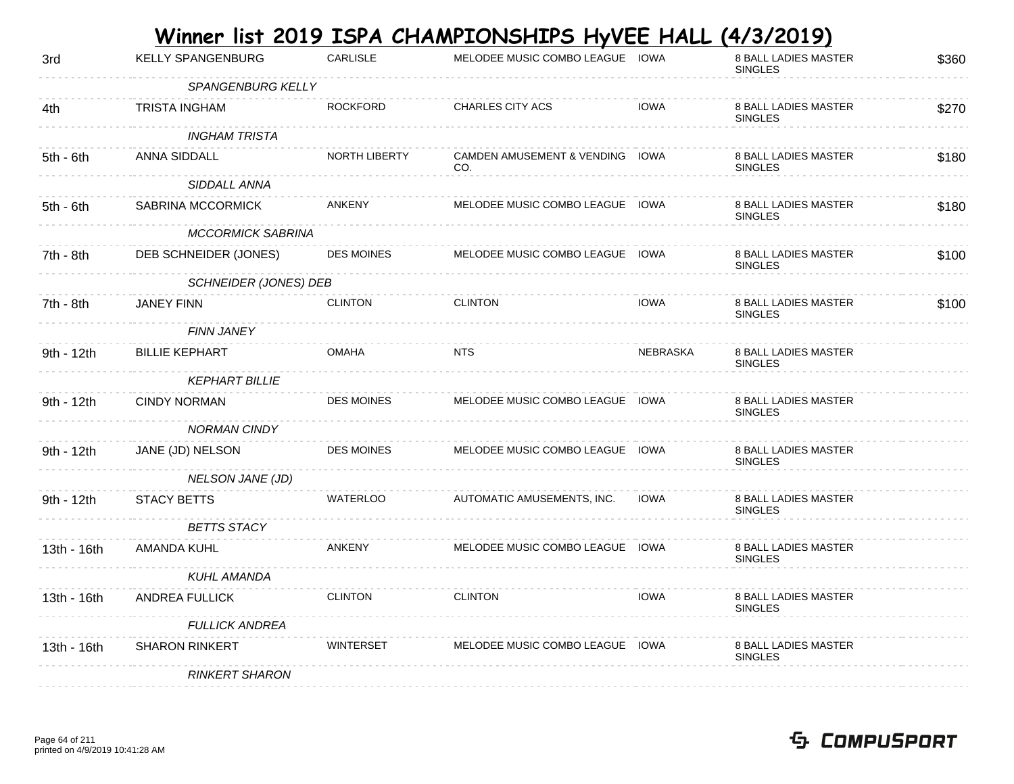|             |                              |                      | Winner list 2019 ISPA CHAMPIONSHIPS HyVEE HALL |             | <u>(4/3/2019)</u>                             |       |
|-------------|------------------------------|----------------------|------------------------------------------------|-------------|-----------------------------------------------|-------|
| 3rd         | <b>KELLY SPANGENBURG</b>     | <b>CARLISLE</b>      | MELODEE MUSIC COMBO LEAGUE IOWA                |             | <b>8 BALL LADIES MASTER</b><br><b>SINGLES</b> | \$360 |
|             | <b>SPANGENBURG KELLY</b>     |                      |                                                |             |                                               |       |
| 4th         | <b>TRISTA INGHAM</b>         | <b>ROCKFORD</b>      | <b>CHARLES CITY ACS</b>                        | <b>IOWA</b> | <b>8 BALL LADIES MASTER</b><br><b>SINGLES</b> | \$270 |
|             | <b>INGHAM TRISTA</b>         |                      |                                                |             |                                               |       |
| $5th - 6th$ | ANNA SIDDALL                 | <b>NORTH LIBERTY</b> | CAMDEN AMUSEMENT & VENDING IOWA<br>CO.         |             | <b>8 BALL LADIES MASTER</b><br><b>SINGLES</b> | \$180 |
|             | SIDDALL ANNA                 |                      |                                                |             |                                               |       |
| $5th - 6th$ | SABRINA MCCORMICK            | ANKENY               | MELODEE MUSIC COMBO LEAGUE IOWA                |             | <b>8 BALL LADIES MASTER</b><br><b>SINGLES</b> | \$180 |
|             | <b>MCCORMICK SABRINA</b>     |                      |                                                |             |                                               |       |
| 7th - 8th   | DEB SCHNEIDER (JONES)        | <b>DES MOINES</b>    | MELODEE MUSIC COMBO LEAGUE IOWA                |             | <b>8 BALL LADIES MASTER</b><br><b>SINGLES</b> | \$100 |
|             | <b>SCHNEIDER (JONES) DEB</b> |                      |                                                |             |                                               |       |
| 7th - 8th   | <b>JANEY FINN</b>            | <b>CLINTON</b>       | <b>CLINTON</b>                                 | <b>IOWA</b> | <b>8 BALL LADIES MASTER</b><br><b>SINGLES</b> | \$100 |
|             | <b>FINN JANEY</b>            |                      |                                                |             |                                               |       |
| 9th - 12th  | <b>BILLIE KEPHART</b>        | <b>OMAHA</b>         | <b>NTS</b>                                     | NEBRASKA    | <b>8 BALL LADIES MASTER</b><br><b>SINGLES</b> |       |
|             | <b>KEPHART BILLIE</b>        |                      |                                                |             |                                               |       |
| 9th - 12th  | <b>CINDY NORMAN</b>          | <b>DES MOINES</b>    | MELODEE MUSIC COMBO LEAGUE IOWA                |             | <b>8 BALL LADIES MASTER</b><br><b>SINGLES</b> |       |
|             | <b>NORMAN CINDY</b>          |                      |                                                |             |                                               |       |
| 9th - 12th  | JANE (JD) NELSON             | <b>DES MOINES</b>    | MELODEE MUSIC COMBO LEAGUE IOWA                |             | <b>8 BALL LADIES MASTER</b><br><b>SINGLES</b> |       |
|             | <b>NELSON JANE (JD)</b>      |                      |                                                |             |                                               |       |
| 9th - 12th  | STACY BETTS                  | <b>WATERLOO</b>      | AUTOMATIC AMUSEMENTS, INC.                     | <b>IOWA</b> | 8 BALL LADIES MASTER<br><b>SINGLES</b>        |       |
|             | <b>BETTS STACY</b>           |                      |                                                |             |                                               |       |
| 13th - 16th | AMANDA KUHL                  | <b>ANKENY</b>        | MELODEE MUSIC COMBO LEAGUE IOWA                |             | 8 BALL LADIES MASTER<br><b>SINGLES</b>        |       |
|             | <b>KUHL AMANDA</b>           |                      |                                                |             |                                               |       |
| 13th - 16th | ANDREA FULLICK               | <b>CLINTON</b>       | <b>CLINTON</b>                                 | <b>IOWA</b> | <b>8 BALL LADIES MASTER</b><br><b>SINGLES</b> |       |
|             | <b>FULLICK ANDREA</b>        |                      |                                                |             |                                               |       |
| 13th - 16th | <b>SHARON RINKERT</b>        | <b>WINTERSET</b>     | MELODEE MUSIC COMBO LEAGUE IOWA                |             | <b>8 BALL LADIES MASTER</b><br><b>SINGLES</b> |       |
|             | <b>RINKERT SHARON</b>        |                      |                                                |             |                                               |       |
|             |                              |                      |                                                |             |                                               |       |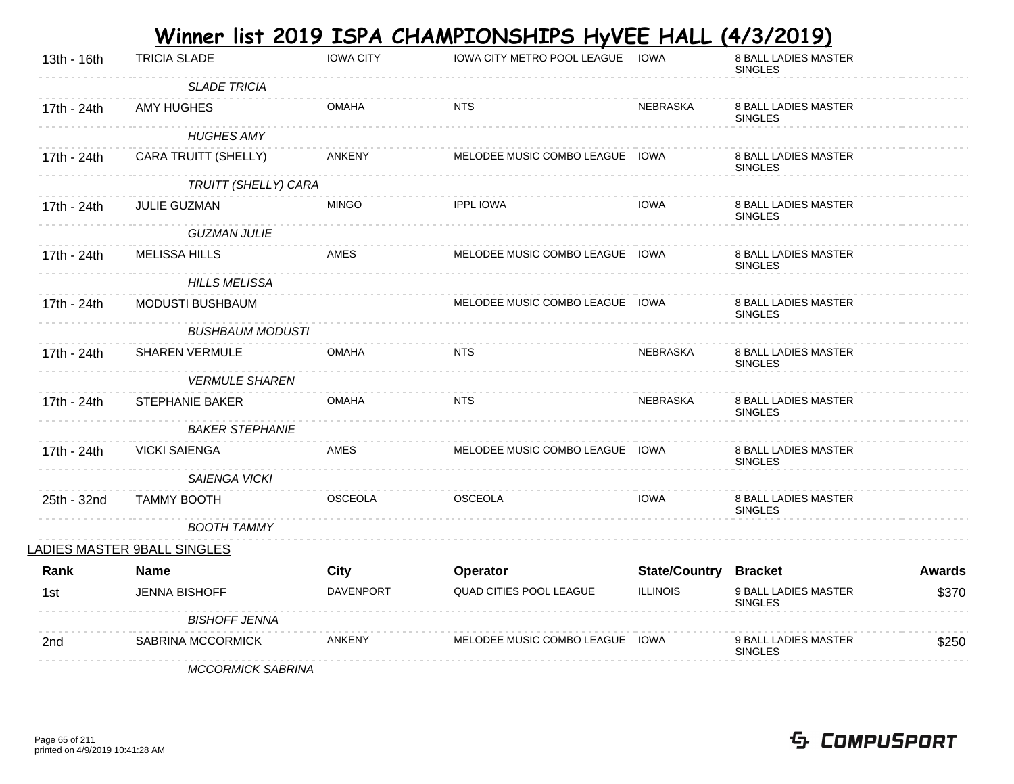|             |                             |                  | <u>Winner list 2019 ISPA CHAMPIONSHIPS HyVEE HALL</u> |                              | <u>(4/3/2019)</u>                             |               |
|-------------|-----------------------------|------------------|-------------------------------------------------------|------------------------------|-----------------------------------------------|---------------|
| 13th - 16th | <b>TRICIA SLADE</b>         | <b>IOWA CITY</b> | IOWA CITY METRO POOL LEAGUE                           | IOWA                         | 8 BALL LADIES MASTER<br><b>SINGLES</b>        |               |
|             | <b>SLADE TRICIA</b>         |                  |                                                       |                              |                                               |               |
| 17th - 24th | <b>AMY HUGHES</b>           | <b>OMAHA</b>     | <b>NTS</b>                                            | <b>NEBRASKA</b>              | <b>8 BALL LADIES MASTER</b><br><b>SINGLES</b> |               |
|             | <b>HUGHES AMY</b>           |                  |                                                       |                              |                                               |               |
| 17th - 24th | CARA TRUITT (SHELLY)        | ANKENY           | MELODEE MUSIC COMBO LEAGUE IOWA                       |                              | <b>8 BALL LADIES MASTER</b><br><b>SINGLES</b> |               |
|             | TRUITT (SHELLY) CARA        |                  |                                                       |                              |                                               |               |
| 17th - 24th | JULIE GUZMAN                | <b>MINGO</b>     | <b>IPPL IOWA</b>                                      | <b>IOWA</b>                  | <b>8 BALL LADIES MASTER</b><br><b>SINGLES</b> |               |
|             | <b>GUZMAN JULIE</b>         |                  |                                                       |                              |                                               |               |
| 17th - 24th | <b>MELISSA HILLS</b>        | AMES             | MELODEE MUSIC COMBO LEAGUE IOWA                       |                              | 8 BALL LADIES MASTER<br><b>SINGLES</b>        |               |
|             | <b>HILLS MELISSA</b>        |                  |                                                       |                              |                                               |               |
| 17th - 24th | MODUSTI BUSHBAUM            |                  | MELODEE MUSIC COMBO LEAGUE IOWA                       |                              | <b>8 BALL LADIES MASTER</b><br><b>SINGLES</b> |               |
|             | <b>BUSHBAUM MODUSTI</b>     |                  |                                                       |                              |                                               |               |
| 17th - 24th | <b>SHAREN VERMULE</b>       | <b>OMAHA</b>     | <b>NTS</b>                                            | NEBRASKA                     | <b>8 BALL LADIES MASTER</b><br><b>SINGLES</b> |               |
|             | <b>VERMULE SHAREN</b>       |                  |                                                       |                              |                                               |               |
| 17th - 24th | STEPHANIE BAKER             | <b>OMAHA</b>     | <b>NTS</b>                                            | <b>NEBRASKA</b>              | <b>8 BALL LADIES MASTER</b><br><b>SINGLES</b> |               |
|             | <b>BAKER STEPHANIE</b>      |                  |                                                       |                              |                                               |               |
| 17th - 24th | <b>VICKI SAIENGA</b>        | <b>AMES</b>      | MELODEE MUSIC COMBO LEAGUE IOWA                       |                              | <b>8 BALL LADIES MASTER</b><br><b>SINGLES</b> |               |
|             | SAIENGA VICKI               |                  |                                                       |                              |                                               |               |
| 25th - 32nd | <b>TAMMY BOOTH</b>          | <b>OSCEOLA</b>   | <b>OSCEOLA</b>                                        | <b>IOWA</b>                  | <b>8 BALL LADIES MASTER</b><br><b>SINGLES</b> |               |
|             | <b>BOOTH TAMMY</b>          |                  |                                                       |                              |                                               |               |
|             | LADIES MASTER 9BALL SINGLES |                  |                                                       |                              |                                               |               |
| Rank        | <b>Name</b>                 | <b>City</b>      | Operator                                              | <b>State/Country Bracket</b> |                                               | <b>Awards</b> |
| 1st         | <b>JENNA BISHOFF</b>        | DAVENPORT        | <b>QUAD CITIES POOL LEAGUE</b>                        | <b>ILLINOIS</b>              | 9 BALL LADIES MASTER<br><b>SINGLES</b>        | \$370         |
|             | <b>BISHOFF JENNA</b>        |                  |                                                       |                              |                                               |               |
| 2nd         | SABRINA MCCORMICK           | <b>ANKENY</b>    | MELODEE MUSIC COMBO LEAGUE IOWA                       |                              | 9 BALL LADIES MASTER<br><b>SINGLES</b>        | \$250         |
|             | <b>MCCORMICK SABRINA</b>    |                  |                                                       |                              |                                               |               |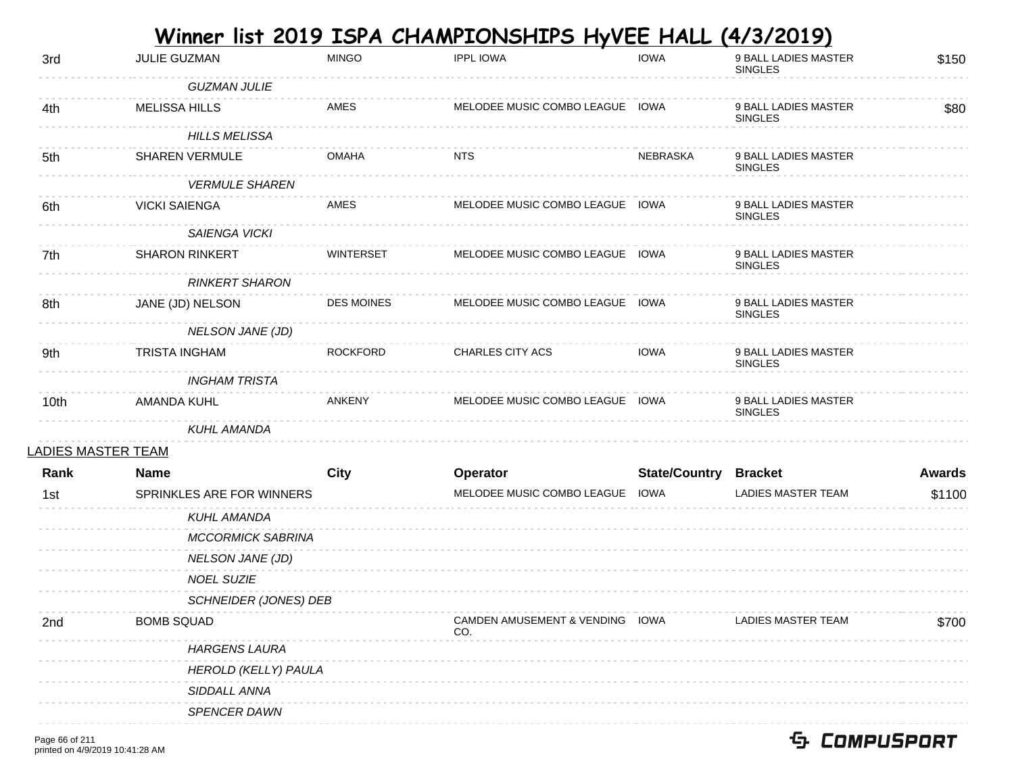|                           |                           |                   | Winner list 2019 ISPA CHAMPIONSHIPS HyVEE HALL (4/3/2019) |                              |                                        |               |
|---------------------------|---------------------------|-------------------|-----------------------------------------------------------|------------------------------|----------------------------------------|---------------|
| 3rd                       | JULIE GUZMAN              | <b>MINGO</b>      | <b>IPPL IOWA</b>                                          | <b>IOWA</b>                  | 9 BALL LADIES MASTER<br><b>SINGLES</b> | \$150         |
|                           | <b>GUZMAN JULIE</b>       |                   |                                                           |                              |                                        |               |
| 4th                       | <b>MELISSA HILLS</b>      | AMES              | MELODEE MUSIC COMBO LEAGUE IOWA                           |                              | 9 BALL LADIES MASTER<br><b>SINGLES</b> | \$80          |
|                           | <b>HILLS MELISSA</b>      |                   |                                                           |                              |                                        |               |
| 5th                       | <b>SHAREN VERMULE</b>     | <b>OMAHA</b>      | <b>NTS</b>                                                | <b>NEBRASKA</b>              | 9 BALL LADIES MASTER<br><b>SINGLES</b> |               |
|                           | <b>VERMULE SHAREN</b>     |                   |                                                           |                              |                                        |               |
| 6th                       | <b>VICKI SAIENGA</b>      | AMES              | MELODEE MUSIC COMBO LEAGUE IOWA                           |                              | 9 BALL LADIES MASTER<br><b>SINGLES</b> |               |
|                           | SAIENGA VICKI             |                   |                                                           |                              |                                        |               |
| 7th                       | <b>SHARON RINKERT</b>     | <b>WINTERSET</b>  | MELODEE MUSIC COMBO LEAGUE IOWA                           |                              | 9 BALL LADIES MASTER<br><b>SINGLES</b> |               |
|                           | <b>RINKERT SHARON</b>     |                   |                                                           |                              |                                        |               |
| 8th                       | JANE (JD) NELSON          | <b>DES MOINES</b> | MELODEE MUSIC COMBO LEAGUE IOWA                           |                              | 9 BALL LADIES MASTER<br><b>SINGLES</b> |               |
|                           | <b>NELSON JANE (JD)</b>   |                   |                                                           |                              |                                        |               |
| 9th                       | <b>TRISTA INGHAM</b>      | <b>ROCKFORD</b>   | <b>CHARLES CITY ACS</b>                                   | <b>IOWA</b>                  | 9 BALL LADIES MASTER<br><b>SINGLES</b> |               |
|                           | <b>INGHAM TRISTA</b>      |                   |                                                           |                              |                                        |               |
| 10th                      | <b>AMANDA KUHL</b>        | <b>ANKENY</b>     | MELODEE MUSIC COMBO LEAGUE IOWA                           |                              | 9 BALL LADIES MASTER<br><b>SINGLES</b> |               |
|                           | <b>KUHL AMANDA</b>        |                   |                                                           |                              |                                        |               |
| <u>LADIES MASTER TEAM</u> |                           |                   |                                                           |                              |                                        |               |
| Rank                      | <b>Name</b>               | <b>City</b>       | Operator                                                  | <b>State/Country Bracket</b> |                                        | <b>Awards</b> |
| 1st                       | SPRINKLES ARE FOR WINNERS |                   | MELODEE MUSIC COMBO LEAGUE                                | <b>IOWA</b>                  | LADIES MASTER TEAM                     | \$1100        |
|                           | <b>KUHL AMANDA</b>        |                   |                                                           |                              |                                        |               |
|                           | <b>MCCORMICK SABRINA</b>  |                   |                                                           |                              |                                        |               |
|                           | NELSON JANE (JD)          |                   |                                                           |                              |                                        |               |
|                           | <b>NOEL SUZIE</b>         |                   |                                                           |                              |                                        |               |
|                           | SCHNEIDER (JONES) DEB     |                   |                                                           |                              |                                        |               |
| 2nd                       | <b>BOMB SQUAD</b>         |                   | <b>CAMDEN AMUSEMENT &amp; VENDING</b><br>CO.              | IOWA                         | LADIES MASTER TEAM                     | \$700         |
|                           | <b>HARGENS LAURA</b>      |                   |                                                           |                              |                                        |               |
|                           | HEROLD (KELLY) PAULA      |                   |                                                           |                              |                                        |               |
|                           | SIDDALL ANNA              |                   |                                                           |                              |                                        |               |
|                           | <b>SPENCER DAWN</b>       |                   |                                                           |                              |                                        |               |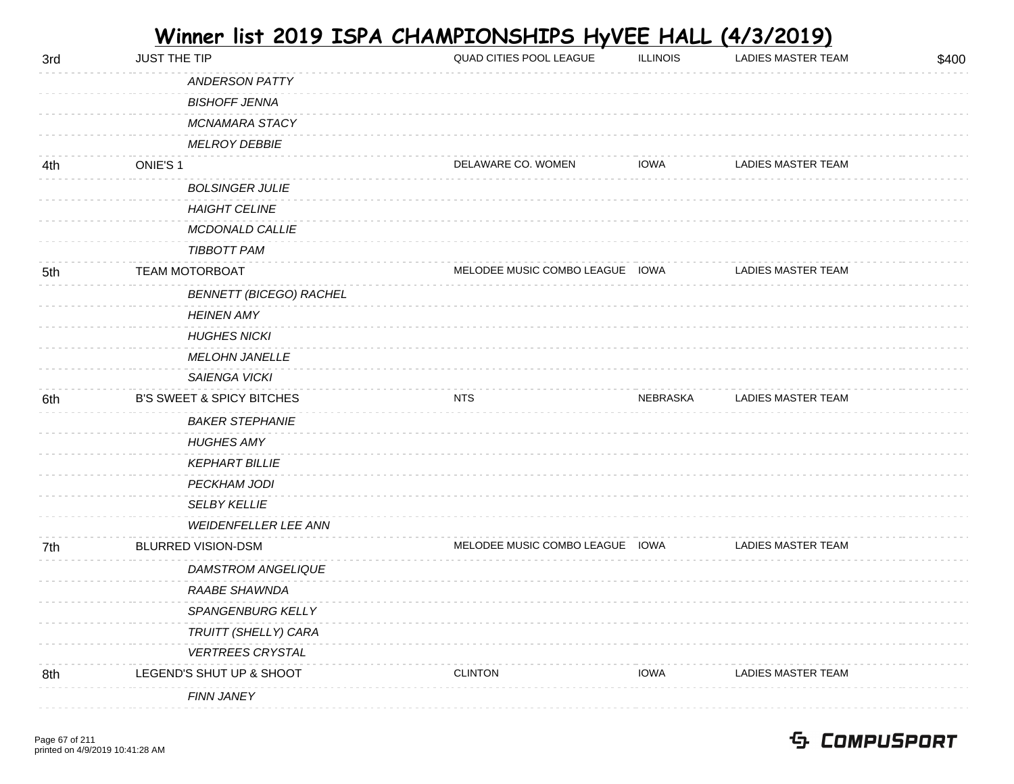| Winner list 2019 ISPA CHAMPIONSHIPS HyVEE HALL (4/3/2019) |
|-----------------------------------------------------------|
|-----------------------------------------------------------|

| 3rd | <b>JUST THE TIP</b>                  | QUAD CITIES POOL LEAGUE         | <b>ILLINOIS</b> | LADIES MASTER TEAM        | \$400 |
|-----|--------------------------------------|---------------------------------|-----------------|---------------------------|-------|
|     | <b>ANDERSON PATTY</b>                |                                 |                 |                           |       |
|     | <b>BISHOFF JENNA</b>                 |                                 |                 |                           |       |
|     | <b>MCNAMARA STACY</b>                |                                 |                 |                           |       |
|     | <b>MELROY DEBBIE</b>                 |                                 |                 |                           |       |
| 4th | ONIE'S 1                             | DELAWARE CO. WOMEN              | <b>IOWA</b>     | LADIES MASTER TEAM        |       |
|     | <b>BOLSINGER JULIE</b>               |                                 |                 |                           |       |
|     | <b>HAIGHT CELINE</b>                 |                                 |                 |                           |       |
|     | MCDONALD CALLIE                      |                                 |                 |                           |       |
|     | <b>TIBBOTT PAM</b>                   |                                 |                 |                           |       |
| 5th | <b>TEAM MOTORBOAT</b>                | MELODEE MUSIC COMBO LEAGUE IOWA |                 | LADIES MASTER TEAM        |       |
|     | <b>BENNETT (BICEGO) RACHEL</b>       |                                 |                 |                           |       |
|     | <b>HEINEN AMY</b>                    |                                 |                 |                           |       |
|     | <b>HUGHES NICKI</b>                  |                                 |                 |                           |       |
|     | <b>MELOHN JANELLE</b>                |                                 |                 |                           |       |
|     | SAIENGA VICKI                        |                                 |                 |                           |       |
| 6th | <b>B'S SWEET &amp; SPICY BITCHES</b> | NTS                             | NEBRASKA        | LADIES MASTER TEAM        |       |
|     | <b>BAKER STEPHANIE</b>               |                                 |                 |                           |       |
|     | <b>HUGHES AMY</b>                    |                                 |                 |                           |       |
|     | <b>KEPHART BILLIE</b>                |                                 |                 |                           |       |
|     | PECKHAM JODI                         |                                 |                 |                           |       |
|     | <b>SELBY KELLIE</b>                  |                                 |                 |                           |       |
|     | WEIDENFELLER LEE ANN                 |                                 |                 |                           |       |
| 7th | <b>BLURRED VISION-DSM</b>            | MELODEE MUSIC COMBO LEAGUE IOWA |                 | LADIES MASTER TEAM        |       |
|     | DAMSTROM ANGELIQUE                   |                                 |                 |                           |       |
|     | RAABE SHAWNDA                        |                                 |                 |                           |       |
|     | SPANGENBURG KELLY                    |                                 |                 |                           |       |
|     | TRUITT (SHELLY) CARA                 |                                 |                 |                           |       |
|     | <b>VERTREES CRYSTAL</b>              |                                 |                 |                           |       |
| 8th | LEGEND'S SHUT UP & SHOOT             | <b>CLINTON</b>                  | <b>IOWA</b>     | <b>LADIES MASTER TEAM</b> |       |
|     | <b>FINN JANEY</b>                    |                                 |                 |                           |       |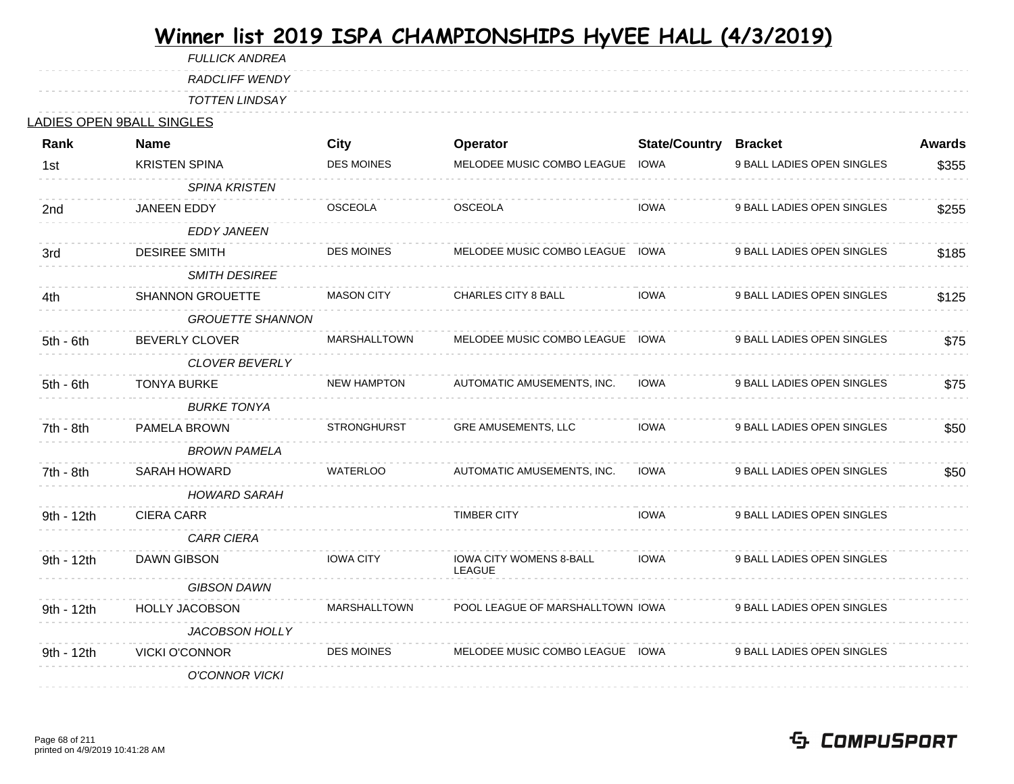FULLICK ANDREA

RADCLIFF WENDY

TOTTEN LINDSAY

#### LADIES OPEN 9BALL SINGLES

| Rank        | <b>Name</b>             | <b>City</b>         | Operator                                        | <b>State/Country</b> | <b>Bracket</b>             | <b>Awards</b> |
|-------------|-------------------------|---------------------|-------------------------------------------------|----------------------|----------------------------|---------------|
| 1st         | <b>KRISTEN SPINA</b>    | <b>DES MOINES</b>   | MELODEE MUSIC COMBO LEAGUE                      | IOWA                 | 9 BALL LADIES OPEN SINGLES | \$355         |
|             | <b>SPINA KRISTEN</b>    |                     |                                                 |                      |                            |               |
| 2nd         | <b>JANEEN EDDY</b>      | <b>OSCEOLA</b>      | <b>OSCEOLA</b>                                  | <b>IOWA</b>          | 9 BALL LADIES OPEN SINGLES | \$255         |
|             | <b>EDDY JANEEN</b>      |                     |                                                 |                      |                            |               |
| 3rd         | <b>DESIREE SMITH</b>    | <b>DES MOINES</b>   | MELODEE MUSIC COMBO LEAGUE IOWA                 |                      | 9 BALL LADIES OPEN SINGLES | \$185         |
|             | <b>SMITH DESIREE</b>    |                     |                                                 |                      |                            |               |
| 4th         | <b>SHANNON GROUETTE</b> | <b>MASON CITY</b>   | CHARLES CITY 8 BALL                             | <b>IOWA</b>          | 9 BALL LADIES OPEN SINGLES | \$125         |
|             | <b>GROUETTE SHANNON</b> |                     |                                                 |                      |                            |               |
| $5th - 6th$ | <b>BEVERLY CLOVER</b>   | MARSHALLTOWN        | MELODEE MUSIC COMBO LEAGUE IOWA                 |                      | 9 BALL LADIES OPEN SINGLES | \$75          |
|             | <b>CLOVER BEVERLY</b>   |                     |                                                 |                      |                            |               |
| 5th - 6th   | <b>TONYA BURKE</b>      | <b>NEW HAMPTON</b>  | AUTOMATIC AMUSEMENTS, INC.                      | <b>IOWA</b>          | 9 BALL LADIES OPEN SINGLES | \$75          |
|             | <b>BURKE TONYA</b>      |                     |                                                 |                      |                            |               |
| 7th - 8th   | PAMELA BROWN            | <b>STRONGHURST</b>  | GRE AMUSEMENTS, LLC                             | <b>IOWA</b>          | 9 BALL LADIES OPEN SINGLES | \$50          |
|             | <b>BROWN PAMELA</b>     |                     |                                                 |                      |                            |               |
| 7th - 8th   | SARAH HOWARD            | <b>WATERLOO</b>     | AUTOMATIC AMUSEMENTS, INC.                      | <b>IOWA</b>          | 9 BALL LADIES OPEN SINGLES | \$50          |
|             | <b>HOWARD SARAH</b>     |                     |                                                 |                      |                            |               |
| 9th - 12th  | <b>CIERA CARR</b>       |                     | <b>TIMBER CITY</b>                              | <b>IOWA</b>          | 9 BALL LADIES OPEN SINGLES |               |
|             | <b>CARR CIERA</b>       |                     |                                                 |                      |                            |               |
| 9th - 12th  | DAWN GIBSON             | <b>IOWA CITY</b>    | <b>IOWA CITY WOMENS 8-BALL</b><br><b>LEAGUE</b> | <b>IOWA</b>          | 9 BALL LADIES OPEN SINGLES |               |
|             | <b>GIBSON DAWN</b>      |                     |                                                 |                      |                            |               |
| 9th - 12th  | HOLLY JACOBSON          | <b>MARSHALLTOWN</b> | POOL LEAGUE OF MARSHALLTOWN IOWA                |                      | 9 BALL LADIES OPEN SINGLES |               |
|             | <b>JACOBSON HOLLY</b>   |                     |                                                 |                      |                            |               |
| 9th - 12th  | <b>VICKI O'CONNOR</b>   | <b>DES MOINES</b>   | MELODEE MUSIC COMBO LEAGUE IOWA                 |                      | 9 BALL LADIES OPEN SINGLES |               |
|             | <b>O'CONNOR VICKI</b>   |                     |                                                 |                      |                            |               |
|             |                         |                     |                                                 |                      |                            |               |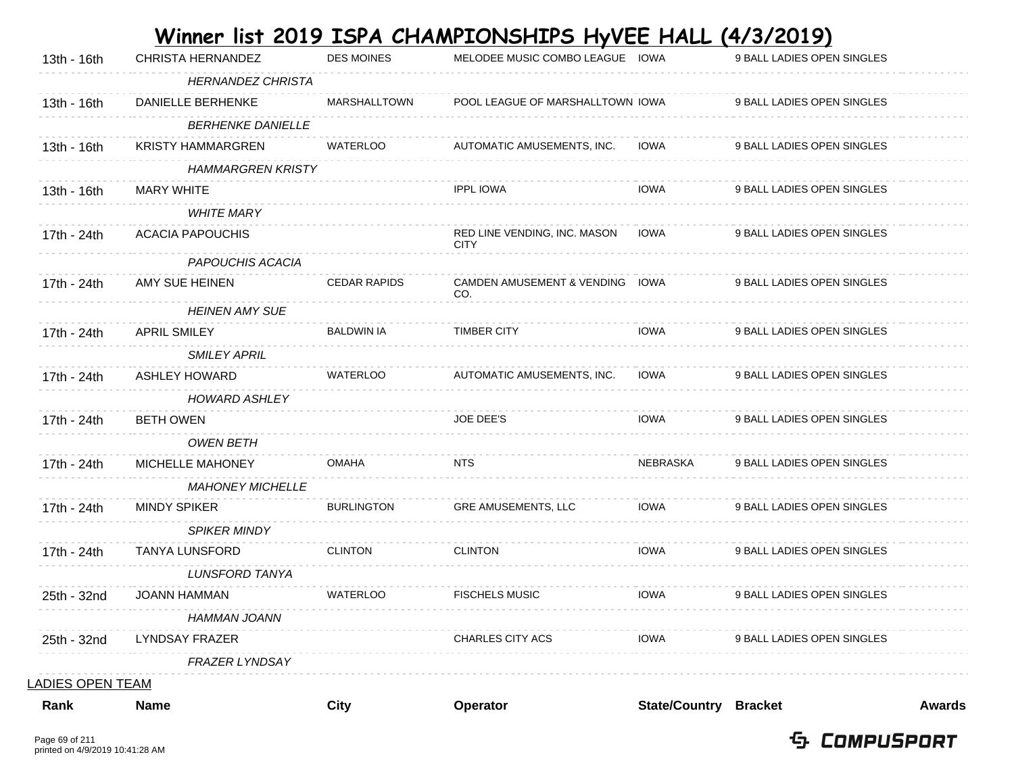| Rank                    | <b>Name</b>                                   | City                | Operator                                    | <b>State/Country Bracket</b> |                            | <b>Awards</b> |
|-------------------------|-----------------------------------------------|---------------------|---------------------------------------------|------------------------------|----------------------------|---------------|
| <u>LADIES OPEN TEAM</u> |                                               |                     |                                             |                              |                            |               |
|                         | <b>FRAZER LYNDSAY</b>                         |                     |                                             |                              |                            |               |
| 25th - 32nd             | LYNDSAY FRAZER                                |                     | <b>CHARLES CITY ACS</b>                     | IOWA                         | 9 BALL LADIES OPEN SINGLES |               |
|                         | HAMMAN JOANN                                  |                     |                                             |                              |                            |               |
| 25th - 32nd             | <b>JOANN HAMMAN</b>                           | <b>WATERLOO</b>     | <b>FISCHELS MUSIC</b>                       | <b>IOWA</b>                  | 9 BALL LADIES OPEN SINGLES |               |
|                         | <b>LUNSFORD TANYA</b>                         |                     |                                             |                              |                            |               |
| 17th - 24th             | <b>SPIKER MINDY</b><br><b>TANYA LUNSFORD</b>  | <b>CLINTON</b>      | <b>CLINTON</b>                              | <b>IOWA</b>                  | 9 BALL LADIES OPEN SINGLES |               |
| 17th - 24th             | <b>MINDY SPIKER</b>                           |                     |                                             |                              |                            |               |
|                         | <b>MAHONEY MICHELLE</b>                       | <b>BURLINGTON</b>   | GRE AMUSEMENTS, LLC                         | <b>IOWA</b>                  | 9 BALL LADIES OPEN SINGLES |               |
| 17th - 24th             | MICHELLE MAHONEY                              | OMAHA               | <b>NTS</b>                                  | NEBRASKA                     | 9 BALL LADIES OPEN SINGLES |               |
|                         | <b>OWEN BETH</b>                              |                     |                                             |                              |                            |               |
| 17th - 24th             | <b>BETH OWEN</b>                              |                     | <b>JOE DEE'S</b>                            | <b>IOWA</b>                  | 9 BALL LADIES OPEN SINGLES |               |
|                         | <b>HOWARD ASHLEY</b>                          |                     |                                             |                              |                            |               |
| 17th - 24th             | <b>ASHLEY HOWARD</b>                          | <b>WATERLOO</b>     | AUTOMATIC AMUSEMENTS, INC.                  | <b>IOWA</b>                  | 9 BALL LADIES OPEN SINGLES |               |
|                         | <b>SMILEY APRIL</b>                           |                     |                                             |                              |                            |               |
| 17th - 24th             | <b>APRIL SMILEY</b>                           | <b>BALDWIN IA</b>   | <b>TIMBER CITY</b>                          | <b>IOWA</b>                  | 9 BALL LADIES OPEN SINGLES |               |
|                         | <b>HEINEN AMY SUE</b>                         |                     | CO.                                         |                              |                            |               |
| 17th - 24th             | AMY SUE HEINEN                                | <b>CEDAR RAPIDS</b> | <b>CAMDEN AMUSEMENT &amp; VENDING</b>       | IOWA                         | 9 BALL LADIES OPEN SINGLES |               |
|                         | PAPOUCHIS ACACIA                              |                     |                                             |                              |                            |               |
| 17th - 24th             | <b>ACACIA PAPOUCHIS</b>                       |                     | RED LINE VENDING, INC. MASON<br><b>CITY</b> | <b>IOWA</b>                  | 9 BALL LADIES OPEN SINGLES |               |
|                         | <b>WHITE MARY</b>                             |                     |                                             |                              |                            |               |
| 13th - 16th             | <b>MARY WHITE</b>                             |                     | <b>IPPL IOWA</b>                            | <b>IOWA</b>                  | 9 BALL LADIES OPEN SINGLES |               |
|                         | <b>HAMMARGREN KRISTY</b>                      |                     |                                             |                              |                            |               |
| 13th - 16th             | <b>KRISTY HAMMARGREN</b>                      | <b>WATERLOO</b>     | AUTOMATIC AMUSEMENTS, INC.                  | <b>IOWA</b>                  | 9 BALL LADIES OPEN SINGLES |               |
| 13th - 16th             | <b>BERHENKE DANIELLE</b>                      |                     |                                             |                              |                            |               |
|                         | <b>HERNANDEZ CHRISTA</b><br>DANIELLE BERHENKE | <b>MARSHALLTOWN</b> | POOL LEAGUE OF MARSHALLTOWN IOWA            |                              | 9 BALL LADIES OPEN SINGLES |               |
| 13th - 16th             | CHRISTA HERNANDEZ                             | <b>DES MOINES</b>   | MELODEE MUSIC COMBO LEAGUE IOWA             |                              | 9 BALL LADIES OPEN SINGLES |               |
|                         |                                               |                     |                                             |                              |                            |               |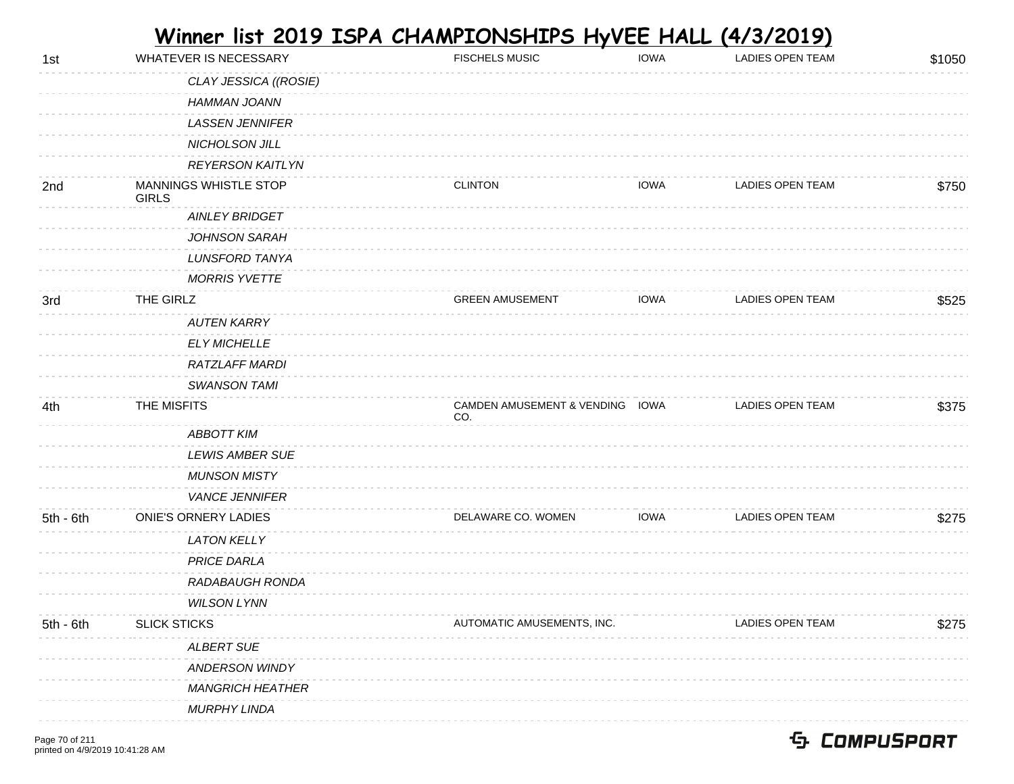| 1st         | WHATEVER IS NECESSARY          | <b>FISCHELS MUSIC</b>                  | <b>IOWA</b> | LADIES OPEN TEAM | \$1050 |
|-------------|--------------------------------|----------------------------------------|-------------|------------------|--------|
|             | CLAY JESSICA ((ROSIE)          |                                        |             |                  |        |
|             | HAMMAN JOANN                   |                                        |             |                  |        |
|             | <b>LASSEN JENNIFER</b>         |                                        |             |                  |        |
|             | NICHOLSON JILL                 |                                        |             |                  |        |
|             | <b>REYERSON KAITLYN</b>        |                                        |             |                  |        |
| 2nd         | MANNINGS WHISTLE STOP<br>GIRLS | <b>CLINTON</b>                         | IOWA        | LADIES OPEN TEAM | \$750  |
|             | <b>AINLEY BRIDGET</b>          |                                        |             |                  |        |
|             | JOHNSON SARAH                  |                                        |             |                  |        |
|             | <b>LUNSFORD TANYA</b>          |                                        |             |                  |        |
|             | <b>MORRIS YVETTE</b>           |                                        |             |                  |        |
| 3rd         | THE GIRLZ                      | <b>GREEN AMUSEMENT</b>                 | <b>IOWA</b> | LADIES OPEN TEAM | \$525  |
|             | <b>AUTEN KARRY</b>             |                                        |             |                  |        |
|             | <b>ELY MICHELLE</b>            |                                        |             |                  |        |
|             | RATZLAFF MARDI                 |                                        |             |                  |        |
|             | <b>SWANSON TAMI</b>            |                                        |             |                  |        |
| 4th         | THE MISFITS                    | CAMDEN AMUSEMENT & VENDING IOWA<br>CO. |             | LADIES OPEN TEAM | \$375  |
|             | <b>ABBOTT KIM</b>              |                                        |             |                  |        |
|             | <b>LEWIS AMBER SUE</b>         |                                        |             |                  |        |
|             | <b>MUNSON MISTY</b>            |                                        |             |                  |        |
|             | <b>VANCE JENNIFER</b>          |                                        |             |                  |        |
| $5th - 6th$ | <b>ONIE'S ORNERY LADIES</b>    | DELAWARE CO. WOMEN                     | <b>IOWA</b> | LADIES OPEN TEAM | \$275  |
|             | <b>LATON KELLY</b>             |                                        |             |                  |        |
|             | <b>PRICE DARLA</b>             |                                        |             |                  |        |
|             | RADABAUGH RONDA                |                                        |             |                  |        |
|             | <b>WILSON LYNN</b>             |                                        |             |                  |        |
| $5th - 6th$ | <b>SLICK STICKS</b>            | AUTOMATIC AMUSEMENTS, INC.             |             | LADIES OPEN TEAM | \$275  |
|             | <b>ALBERT SUE</b>              |                                        |             |                  |        |
|             | <b>ANDERSON WINDY</b>          |                                        |             |                  |        |
|             | <b>MANGRICH HEATHER</b>        |                                        |             |                  |        |
|             | <b>MURPHY LINDA</b>            |                                        |             |                  |        |
|             |                                |                                        |             |                  |        |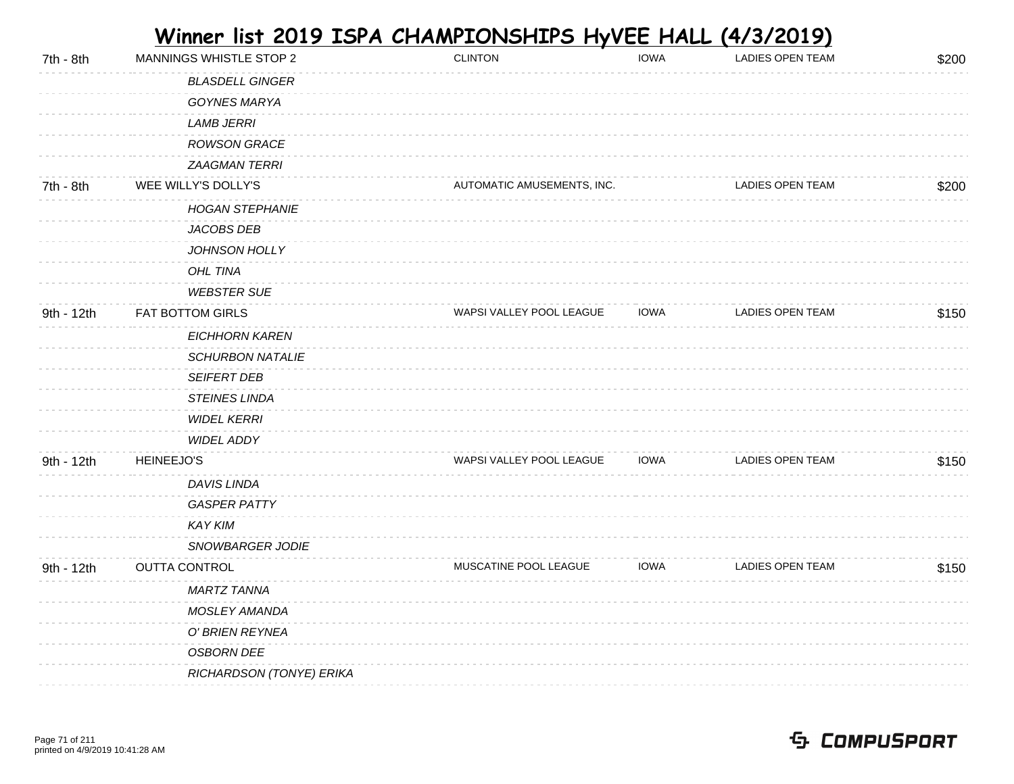| 7th - 8th  | MANNINGS WHISTLE STOP 2  | <b>CLINTON</b>             | <b>IOWA</b> | <b>LADIES OPEN TEAM</b> | \$200 |
|------------|--------------------------|----------------------------|-------------|-------------------------|-------|
|            | <b>BLASDELL GINGER</b>   |                            |             |                         |       |
|            | GOYNES MARYA             |                            |             |                         |       |
|            | <b>LAMB JERRI</b>        |                            |             |                         |       |
|            | ROWSON GRACE             |                            |             |                         |       |
|            | <b>ZAAGMAN TERRI</b>     |                            |             |                         |       |
| 7th - 8th  | WEE WILLY'S DOLLY'S      | AUTOMATIC AMUSEMENTS, INC. |             | LADIES OPEN TEAM        | \$200 |
|            | <b>HOGAN STEPHANIE</b>   |                            |             |                         |       |
|            | JACOBS DEB               |                            |             |                         |       |
|            | JOHNSON HOLLY            |                            |             |                         |       |
|            | OHL TINA                 |                            |             |                         |       |
|            | <b>WEBSTER SUE</b>       |                            |             |                         |       |
| 9th - 12th | FAT BOTTOM GIRLS         | WAPSI VALLEY POOL LEAGUE   | <b>IOWA</b> | <b>LADIES OPEN TEAM</b> | \$150 |
|            | <b>EICHHORN KAREN</b>    |                            |             |                         |       |
|            | <b>SCHURBON NATALIE</b>  |                            |             |                         |       |
|            | SEIFERT DEB              |                            |             |                         |       |
|            | <b>STEINES LINDA</b>     |                            |             |                         |       |
|            | <b>WIDEL KERRI</b>       |                            |             |                         |       |
|            | <b>WIDEL ADDY</b>        |                            |             |                         |       |
| 9th - 12th | <b>HEINEEJO'S</b>        | WAPSI VALLEY POOL LEAGUE   | <b>IOWA</b> | LADIES OPEN TEAM        | \$150 |
|            | DAVIS LINDA              |                            |             |                         |       |
|            | <b>GASPER PATTY</b>      |                            |             |                         |       |
|            | <b>KAY KIM</b>           |                            |             |                         |       |
|            | SNOWBARGER JODIE         |                            |             |                         |       |
| 9th - 12th | <b>OUTTA CONTROL</b>     | MUSCATINE POOL LEAGUE      | <b>IOWA</b> | LADIES OPEN TEAM        | \$150 |
|            | MARTZ TANNA              |                            |             |                         |       |
|            | MOSLEY AMANDA            |                            |             |                         |       |
|            | O' BRIEN REYNEA          |                            |             |                         |       |
|            | <b>OSBORN DEE</b>        |                            |             |                         |       |
|            | RICHARDSON (TONYE) ERIKA |                            |             |                         |       |
|            |                          |                            |             |                         |       |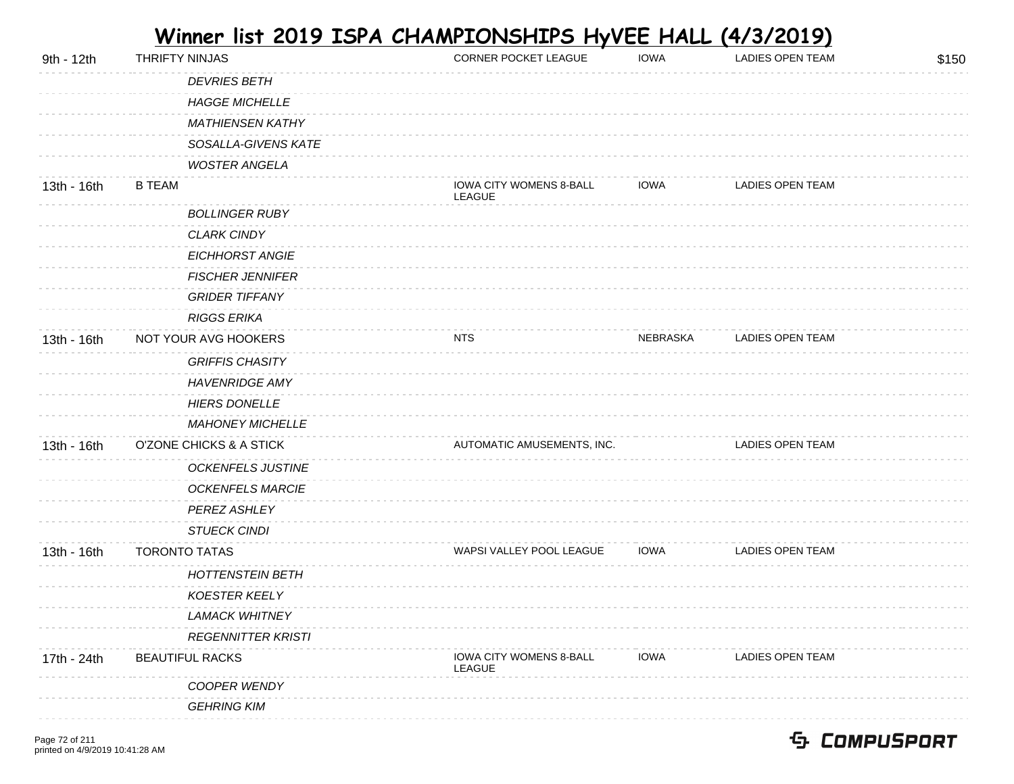| 9th - 12th  | THRIFTY NINJAS            | CORNER POCKET LEAGUE              | <b>IOWA</b> | LADIES OPEN TEAM        | \$150 |
|-------------|---------------------------|-----------------------------------|-------------|-------------------------|-------|
|             | <b>DEVRIES BETH</b>       |                                   |             |                         |       |
|             | <b>HAGGE MICHELLE</b>     |                                   |             |                         |       |
|             | <b>MATHIENSEN KATHY</b>   |                                   |             |                         |       |
|             | SOSALLA-GIVENS KATE       |                                   |             |                         |       |
|             | <b>WOSTER ANGELA</b>      |                                   |             |                         |       |
| 13th - 16th | <b>B TEAM</b>             | IOWA CITY WOMENS 8-BALL<br>LEAGUE | <b>IOWA</b> | LADIES OPEN TEAM        |       |
|             | <b>BOLLINGER RUBY</b>     |                                   |             |                         |       |
|             | <b>CLARK CINDY</b>        |                                   |             |                         |       |
|             | EICHHORST ANGIE           |                                   |             |                         |       |
|             | <b>FISCHER JENNIFER</b>   |                                   |             |                         |       |
|             | <b>GRIDER TIFFANY</b>     |                                   |             |                         |       |
|             | <b>RIGGS ERIKA</b>        |                                   |             |                         |       |
| 13th - 16th | NOT YOUR AVG HOOKERS      | NTS                               | NEBRASKA    | <b>LADIES OPEN TEAM</b> |       |
|             | <b>GRIFFIS CHASITY</b>    |                                   |             |                         |       |
|             | <b>HAVENRIDGE AMY</b>     |                                   |             |                         |       |
|             | <b>HIERS DONELLE</b>      |                                   |             |                         |       |
|             | <b>MAHONEY MICHELLE</b>   |                                   |             |                         |       |
| 13th - 16th | O'ZONE CHICKS & A STICK   | AUTOMATIC AMUSEMENTS, INC.        |             | LADIES OPEN TEAM        |       |
|             | <b>OCKENFELS JUSTINE</b>  |                                   |             |                         |       |
|             | <b>OCKENFELS MARCIE</b>   |                                   |             |                         |       |
|             | PEREZ ASHLEY              |                                   |             |                         |       |
|             | <b>STUECK CINDI</b>       |                                   |             |                         |       |
| 13th - 16th | <b>TORONTO TATAS</b>      | WAPSI VALLEY POOL LEAGUE          | <b>IOWA</b> | LADIES OPEN TEAM        |       |
|             | <b>HOTTENSTEIN BETH</b>   |                                   |             |                         |       |
|             | <b>KOESTER KEELY</b>      |                                   |             |                         |       |
|             | <b>LAMACK WHITNEY</b>     |                                   |             |                         |       |
|             | <b>REGENNITTER KRISTI</b> |                                   |             |                         |       |
| 17th - 24th | <b>BEAUTIFUL RACKS</b>    | IOWA CITY WOMENS 8-BALL<br>LEAGUE | <b>IOWA</b> | LADIES OPEN TEAM        |       |
|             | COOPER WENDY              |                                   |             |                         |       |
|             | <b>GEHRING KIM</b>        |                                   |             |                         |       |
|             |                           |                                   |             |                         |       |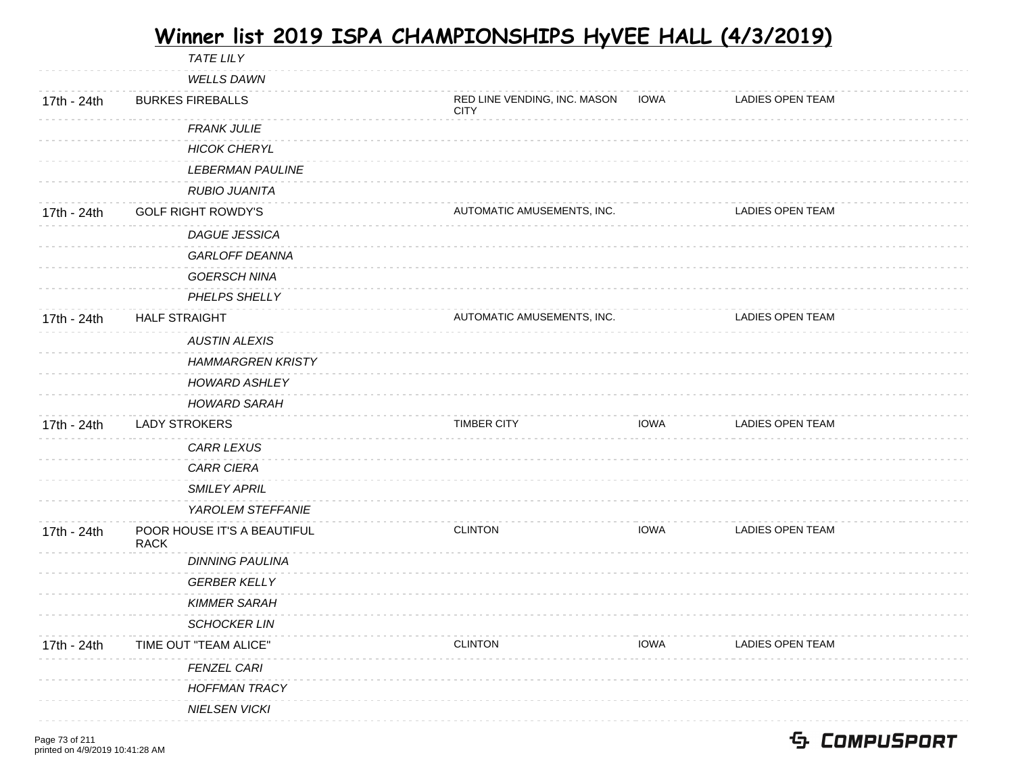|             | <b>TATE LILY</b>                           |                                             |             |                         |  |
|-------------|--------------------------------------------|---------------------------------------------|-------------|-------------------------|--|
|             | <b>WELLS DAWN</b>                          |                                             |             |                         |  |
| 17th - 24th | <b>BURKES FIREBALLS</b>                    | RED LINE VENDING, INC. MASON<br><b>CITY</b> | <b>IOWA</b> | <b>LADIES OPEN TEAM</b> |  |
|             | <b>FRANK JULIE</b>                         |                                             |             |                         |  |
|             | <b>HICOK CHERYL</b>                        |                                             |             |                         |  |
|             | <b>LEBERMAN PAULINE</b>                    |                                             |             |                         |  |
|             | <b>RUBIO JUANITA</b>                       |                                             |             |                         |  |
| 17th - 24th | <b>GOLF RIGHT ROWDY'S</b>                  | AUTOMATIC AMUSEMENTS, INC.                  |             | <b>LADIES OPEN TEAM</b> |  |
|             | <b>DAGUE JESSICA</b>                       |                                             |             |                         |  |
|             | <b>GARLOFF DEANNA</b>                      |                                             |             |                         |  |
|             | <b>GOERSCH NINA</b>                        |                                             |             |                         |  |
|             | PHELPS SHELLY                              |                                             |             |                         |  |
| 17th - 24th | <b>HALF STRAIGHT</b>                       | AUTOMATIC AMUSEMENTS, INC.                  |             | <b>LADIES OPEN TEAM</b> |  |
|             | <b>AUSTIN ALEXIS</b>                       |                                             |             |                         |  |
|             | <b>HAMMARGREN KRISTY</b>                   |                                             |             |                         |  |
|             | <b>HOWARD ASHLEY</b>                       |                                             |             |                         |  |
|             | <b>HOWARD SARAH</b>                        |                                             |             |                         |  |
| 17th - 24th | <b>LADY STROKERS</b>                       | <b>TIMBER CITY</b>                          | <b>IOWA</b> | <b>LADIES OPEN TEAM</b> |  |
|             | <b>CARR LEXUS</b>                          |                                             |             |                         |  |
|             | <b>CARR CIERA</b>                          |                                             |             |                         |  |
|             | <b>SMILEY APRIL</b>                        |                                             |             |                         |  |
|             | YAROLEM STEFFANIE                          |                                             |             |                         |  |
| 17th - 24th | POOR HOUSE IT'S A BEAUTIFUL<br><b>RACK</b> | <b>CLINTON</b>                              | <b>IOWA</b> | <b>LADIES OPEN TEAM</b> |  |
|             | <b>DINNING PAULINA</b>                     |                                             |             |                         |  |
|             | <b>GERBER KELLY</b>                        |                                             |             |                         |  |
|             | <b>KIMMER SARAH</b>                        |                                             |             |                         |  |
|             | <b>SCHOCKER LIN</b>                        |                                             |             |                         |  |
| 17th - 24th | TIME OUT "TEAM ALICE"                      | <b>CLINTON</b>                              | <b>IOWA</b> | LADIES OPEN TEAM        |  |
|             | FENZEL CARI                                |                                             |             |                         |  |
|             | <b>HOFFMAN TRACY</b>                       |                                             |             |                         |  |
|             | <b>NIELSEN VICKI</b>                       |                                             |             |                         |  |
|             |                                            |                                             |             |                         |  |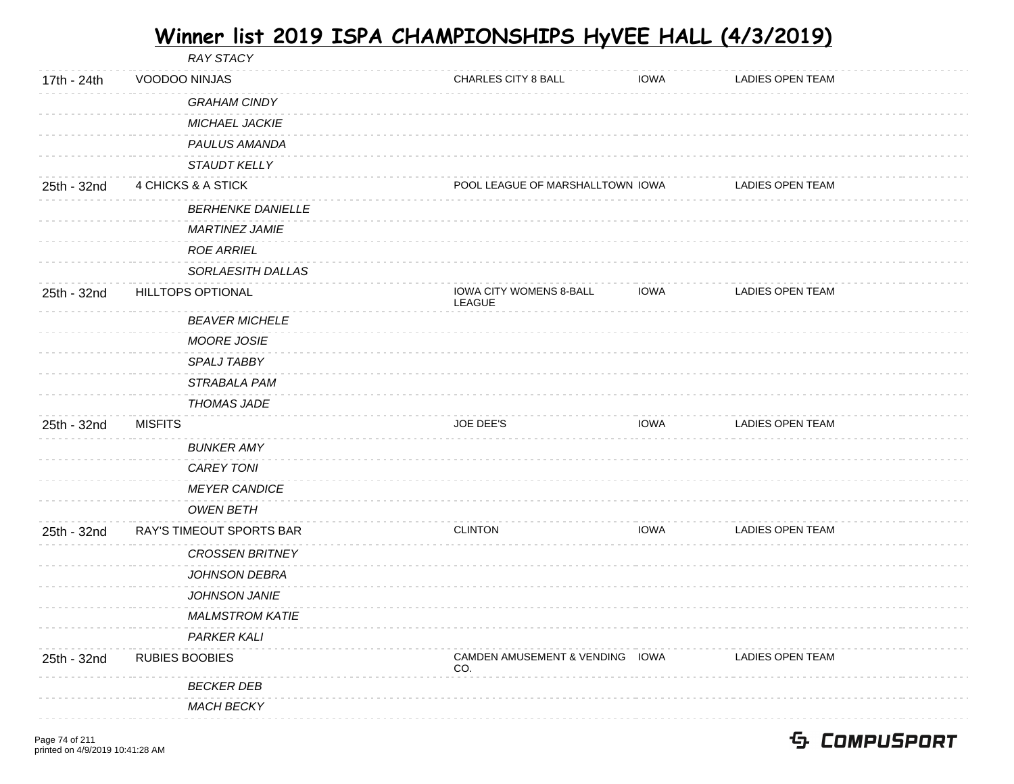|             | <b>RAY STACY</b>         |                                              |             |                  |  |
|-------------|--------------------------|----------------------------------------------|-------------|------------------|--|
| 17th - 24th | VOODOO NINJAS            | CHARLES CITY 8 BALL                          | <b>IOWA</b> | LADIES OPEN TEAM |  |
|             | <b>GRAHAM CINDY</b>      |                                              |             |                  |  |
|             | MICHAEL JACKIE           |                                              |             |                  |  |
|             | PAULUS AMANDA            |                                              |             |                  |  |
|             | <b>STAUDT KELLY</b>      |                                              |             |                  |  |
| 25th - 32nd | 4 CHICKS & A STICK       | POOL LEAGUE OF MARSHALLTOWN IOWA             |             | LADIES OPEN TEAM |  |
|             | <b>BERHENKE DANIELLE</b> |                                              |             |                  |  |
|             | <b>MARTINEZ JAMIE</b>    |                                              |             |                  |  |
|             | <b>ROE ARRIEL</b>        |                                              |             |                  |  |
|             | SORLAESITH DALLAS        |                                              |             |                  |  |
| 25th - 32nd | HILLTOPS OPTIONAL        | <b>IOWA CITY WOMENS 8-BALL</b><br>LEAGUE     | <b>IOWA</b> | LADIES OPEN TEAM |  |
|             | <b>BEAVER MICHELE</b>    |                                              |             |                  |  |
|             | <b>MOORE JOSIE</b>       |                                              |             |                  |  |
|             | SPALJ TABBY              |                                              |             |                  |  |
|             | STRABALA PAM             |                                              |             |                  |  |
|             | <b>THOMAS JADE</b>       |                                              |             |                  |  |
| 25th - 32nd | <b>MISFITS</b>           | JOE DEE'S                                    | <b>IOWA</b> | LADIES OPEN TEAM |  |
|             | <b>BUNKER AMY</b>        |                                              |             |                  |  |
|             | <b>CAREY TONI</b>        |                                              |             |                  |  |
|             | <b>MEYER CANDICE</b>     |                                              |             |                  |  |
|             | <b>OWEN BETH</b>         |                                              |             |                  |  |
| 25th - 32nd | RAY'S TIMEOUT SPORTS BAR | <b>CLINTON</b>                               | <b>IOWA</b> | LADIES OPEN TEAM |  |
|             | <b>CROSSEN BRITNEY</b>   |                                              |             |                  |  |
|             | JOHNSON DEBRA            |                                              |             |                  |  |
|             | <b>JOHNSON JANIE</b>     |                                              |             |                  |  |
|             | <b>MALMSTROM KATIE</b>   |                                              |             |                  |  |
|             | <b>PARKER KALI</b>       |                                              |             |                  |  |
| 25th - 32nd | <b>RUBIES BOOBIES</b>    | <b>CAMDEN AMUSEMENT &amp; VENDING</b><br>CO. | IOWA        | LADIES OPEN TEAM |  |
|             | <b>BECKER DEB</b>        |                                              |             |                  |  |
|             | <b>MACH BECKY</b>        |                                              |             |                  |  |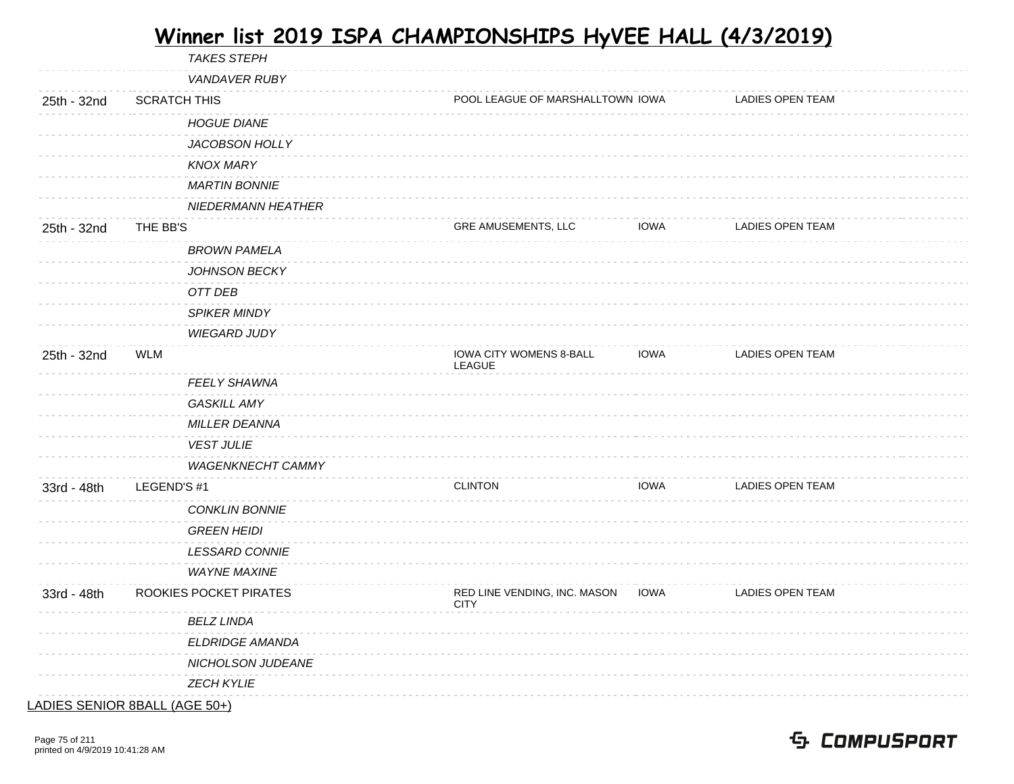| <b>LADIES OPEN TEAM</b><br>LADIES OPEN TEAM |
|---------------------------------------------|
|                                             |
|                                             |
|                                             |
|                                             |
|                                             |
|                                             |
|                                             |
|                                             |
|                                             |
|                                             |
|                                             |
|                                             |
|                                             |
| <b>LADIES OPEN TEAM</b>                     |
|                                             |
|                                             |
|                                             |
|                                             |
|                                             |
| <b>LADIES OPEN TEAM</b>                     |
|                                             |
|                                             |
|                                             |
|                                             |
| <b>LADIES OPEN TEAM</b>                     |
|                                             |
|                                             |
|                                             |
|                                             |
|                                             |

LADIES SENIOR 8BALL (AGE 50+)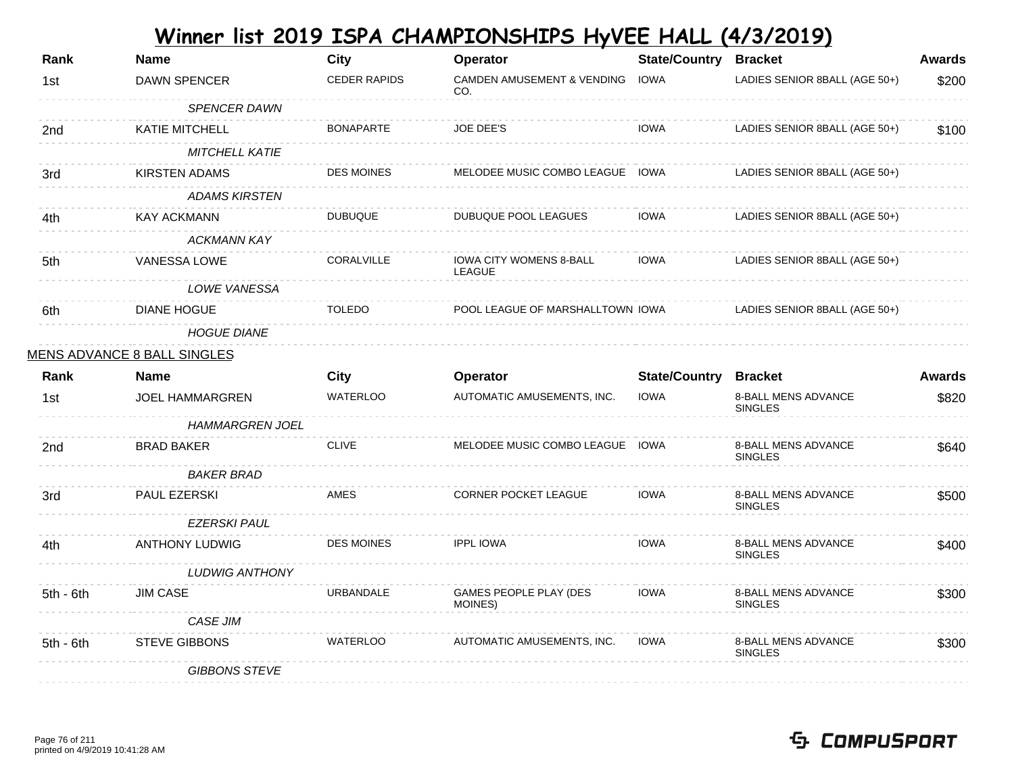| Rank            | <b>Name</b>                        | <b>City</b>         | Operator                                     | <b>State/Country</b> | <b>Bracket</b>                               | <b>Awards</b> |
|-----------------|------------------------------------|---------------------|----------------------------------------------|----------------------|----------------------------------------------|---------------|
| 1st             | DAWN SPENCER                       | <b>CEDER RAPIDS</b> | <b>CAMDEN AMUSEMENT &amp; VENDING</b><br>CO. | <b>IOWA</b>          | LADIES SENIOR 8BALL (AGE 50+)                | \$200         |
|                 | SPENCER DAWN                       |                     |                                              |                      |                                              |               |
| 2nd             | <b>KATIE MITCHELL</b>              | <b>BONAPARTE</b>    | <b>JOE DEE'S</b>                             | <b>IOWA</b>          | LADIES SENIOR 8BALL (AGE 50+)                | \$100         |
|                 | <b>MITCHELL KATIE</b>              |                     |                                              |                      |                                              |               |
| 3rd             | <b>KIRSTEN ADAMS</b>               | <b>DES MOINES</b>   | MELODEE MUSIC COMBO LEAGUE IOWA              |                      | LADIES SENIOR 8BALL (AGE 50+)                |               |
|                 | <b>ADAMS KIRSTEN</b>               |                     |                                              |                      |                                              |               |
| 4th             | KAY ACKMANN                        | <b>DUBUQUE</b>      | DUBUQUE POOL LEAGUES                         | <b>IOWA</b>          | LADIES SENIOR 8BALL (AGE 50+)                |               |
|                 | <b>ACKMANN KAY</b>                 |                     |                                              |                      |                                              |               |
| 5th             | VANESSA LOWE                       | CORALVILLE          | IOWA CITY WOMENS 8-BALL<br>LEAGUE            | <b>IOWA</b>          | LADIES SENIOR 8BALL (AGE 50+)                |               |
|                 | LOWE VANESSA                       |                     |                                              |                      |                                              |               |
| 6th             | <b>DIANE HOGUE</b>                 | <b>TOLEDO</b>       | POOL LEAGUE OF MARSHALLTOWN IOWA             |                      | LADIES SENIOR 8BALL (AGE 50+)                |               |
|                 | <b>HOGUE DIANE</b>                 |                     |                                              |                      |                                              |               |
|                 | <u>MENS ADVANCE 8 BALL SINGLES</u> |                     |                                              |                      |                                              |               |
|                 |                                    |                     |                                              |                      |                                              |               |
| Rank            | <b>Name</b>                        | City                | Operator                                     | <b>State/Country</b> | <b>Bracket</b>                               | <b>Awards</b> |
| 1st             | JOEL HAMMARGREN                    | <b>WATERLOO</b>     | AUTOMATIC AMUSEMENTS, INC.                   | <b>IOWA</b>          | <b>8-BALL MENS ADVANCE</b><br><b>SINGLES</b> | \$820         |
|                 | <b>HAMMARGREN JOEL</b>             |                     |                                              |                      |                                              |               |
| 2 <sub>nd</sub> | <b>BRAD BAKER</b>                  | <b>CLIVE</b>        | MELODEE MUSIC COMBO LEAGUE IOWA              |                      | 8-BALL MENS ADVANCE<br><b>SINGLES</b>        | \$640         |
|                 | <b>BAKER BRAD</b>                  |                     |                                              |                      |                                              |               |
| 3rd             | <b>PAUL EZERSKI</b>                | AMES                | <b>CORNER POCKET LEAGUE</b>                  | <b>IOWA</b>          | 8-BALL MENS ADVANCE<br><b>SINGLES</b>        | \$500         |
|                 | <b>EZERSKI PAUL</b>                |                     |                                              |                      |                                              |               |
| 4th.            | <b>ANTHONY LUDWIG</b>              | <b>DES MOINES</b>   | <b>IPPL IOWA</b>                             | <b>IOWA</b>          | <b>8-BALL MENS ADVANCE</b><br><b>SINGLES</b> | \$400         |
|                 | LUDWIG ANTHONY                     |                     |                                              |                      |                                              |               |
| 5th - 6th       | <b>JIM CASE</b>                    | <b>URBANDALE</b>    | GAMES PEOPLE PLAY (DES<br>MOINES)            | <b>IOWA</b>          | 8-BALL MENS ADVANCE<br><b>SINGLES</b>        | \$300         |
|                 | <b>CASE JIM</b>                    |                     |                                              |                      |                                              |               |
| $5th - 6th$     | <b>STEVE GIBBONS</b>               | <b>WATERLOO</b>     | AUTOMATIC AMUSEMENTS, INC.                   | <b>IOWA</b>          | 8-BALL MENS ADVANCE<br><b>SINGLES</b>        | \$300         |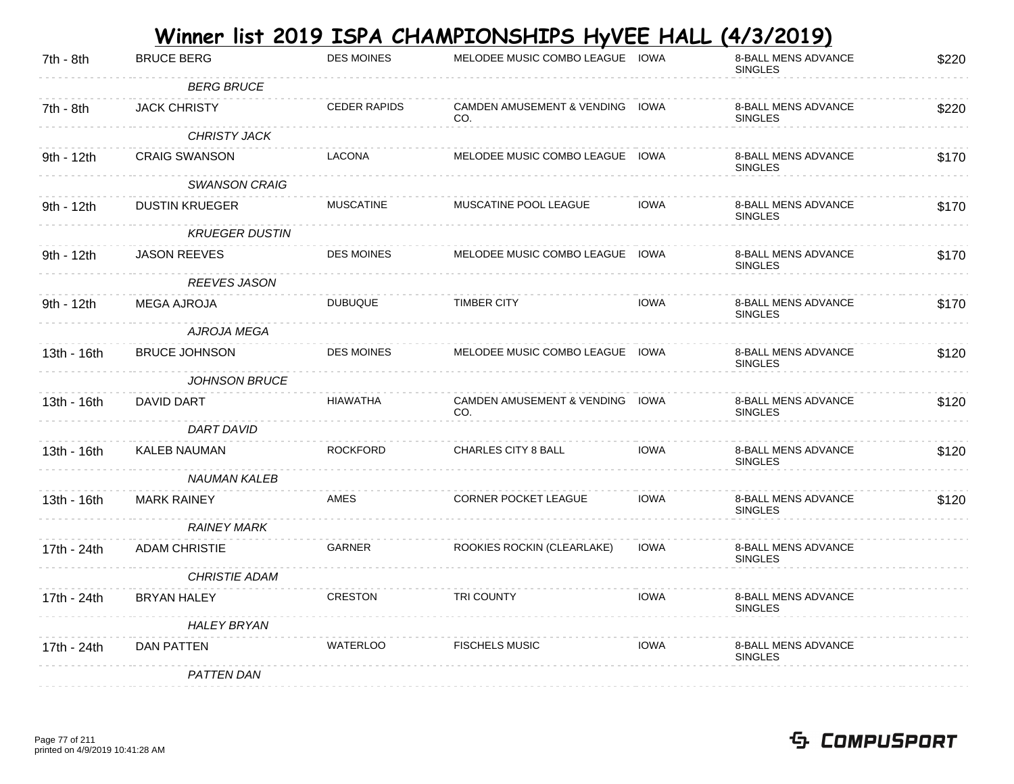|             |                       |                     | Winner list 2019 ISPA CHAMPIONSHIPS HyVEE HALL (4/3/2019) |             |                                              |       |
|-------------|-----------------------|---------------------|-----------------------------------------------------------|-------------|----------------------------------------------|-------|
| 7th - 8th   | <b>BRUCE BERG</b>     | <b>DES MOINES</b>   | MELODEE MUSIC COMBO LEAGUE IOWA                           |             | <b>8-BALL MENS ADVANCE</b><br><b>SINGLES</b> | \$220 |
|             | <b>BERG BRUCE</b>     |                     |                                                           |             |                                              |       |
| 7th - 8th   | <b>JACK CHRISTY</b>   | <b>CEDER RAPIDS</b> | CAMDEN AMUSEMENT & VENDING IOWA<br>CO.                    |             | 8-BALL MENS ADVANCE<br><b>SINGLES</b>        | \$220 |
|             | <b>CHRISTY JACK</b>   |                     |                                                           |             |                                              |       |
| 9th - 12th  | <b>CRAIG SWANSON</b>  | LACONA              | MELODEE MUSIC COMBO LEAGUE IOWA                           |             | <b>8-BALL MENS ADVANCE</b><br><b>SINGLES</b> | \$170 |
|             | <b>SWANSON CRAIG</b>  |                     |                                                           |             |                                              |       |
| 9th - 12th  | <b>DUSTIN KRUEGER</b> | <b>MUSCATINE</b>    | MUSCATINE POOL LEAGUE                                     | <b>IOWA</b> | 8-BALL MENS ADVANCE<br><b>SINGLES</b>        | \$170 |
|             | <b>KRUEGER DUSTIN</b> |                     |                                                           |             |                                              |       |
| 9th - 12th  | <b>JASON REEVES</b>   | <b>DES MOINES</b>   | MELODEE MUSIC COMBO LEAGUE IOWA                           |             | 8-BALL MENS ADVANCE<br><b>SINGLES</b>        | \$170 |
|             | <b>REEVES JASON</b>   |                     |                                                           |             |                                              |       |
| 9th - 12th  | <b>MEGA AJROJA</b>    | <b>DUBUQUE</b>      | <b>TIMBER CITY</b>                                        | <b>IOWA</b> | <b>8-BALL MENS ADVANCE</b><br><b>SINGLES</b> | \$170 |
|             | AJROJA MEGA           |                     |                                                           |             |                                              |       |
| 13th - 16th | <b>BRUCE JOHNSON</b>  | <b>DES MOINES</b>   | MELODEE MUSIC COMBO LEAGUE IOWA                           |             | <b>8-BALL MENS ADVANCE</b><br><b>SINGLES</b> | \$120 |
|             | <b>JOHNSON BRUCE</b>  |                     |                                                           |             |                                              |       |
| 13th - 16th | DAVID DART            | HIAWATHA            | CAMDEN AMUSEMENT & VENDING IOWA<br>CO.                    |             | 8-BALL MENS ADVANCE<br><b>SINGLES</b>        | \$120 |
|             | DART DAVID            |                     |                                                           |             |                                              |       |
| 13th - 16th | <b>KALEB NAUMAN</b>   | <b>ROCKFORD</b>     | <b>CHARLES CITY 8 BALL</b>                                | <b>IOWA</b> | <b>8-BALL MENS ADVANCE</b><br><b>SINGLES</b> | \$120 |
|             | <b>NAUMAN KALEB</b>   |                     |                                                           |             |                                              |       |
| 13th - 16th | <b>MARK RAINEY</b>    | AMES                | <b>CORNER POCKET LEAGUE</b>                               | <b>IOWA</b> | 8-BALL MENS ADVANCE<br><b>SINGLES</b>        | \$120 |
|             | <b>RAINEY MARK</b>    |                     |                                                           |             |                                              |       |
| 17th - 24th | <b>ADAM CHRISTIE</b>  | GARNER              | ROOKIES ROCKIN (CLEARLAKE)                                | <b>IOWA</b> | 8-BALL MENS ADVANCE<br><b>SINGLES</b>        |       |
|             | CHRISTIE ADAM         |                     |                                                           |             |                                              |       |
| 17th - 24th | <b>BRYAN HALEY</b>    | <b>CRESTON</b>      | <b>TRI COUNTY</b>                                         | <b>IOWA</b> | 8-BALL MENS ADVANCE<br><b>SINGLES</b>        |       |
|             | <b>HALEY BRYAN</b>    |                     |                                                           |             |                                              |       |
| 17th - 24th | DAN PATTEN            | <b>WATERLOO</b>     | <b>FISCHELS MUSIC</b>                                     | <b>IOWA</b> | <b>8-BALL MENS ADVANCE</b><br><b>SINGLES</b> |       |
|             | <b>PATTEN DAN</b>     |                     |                                                           |             |                                              |       |

#### Page 77 of 211 printed on 4/9/2019 10:41:28 AM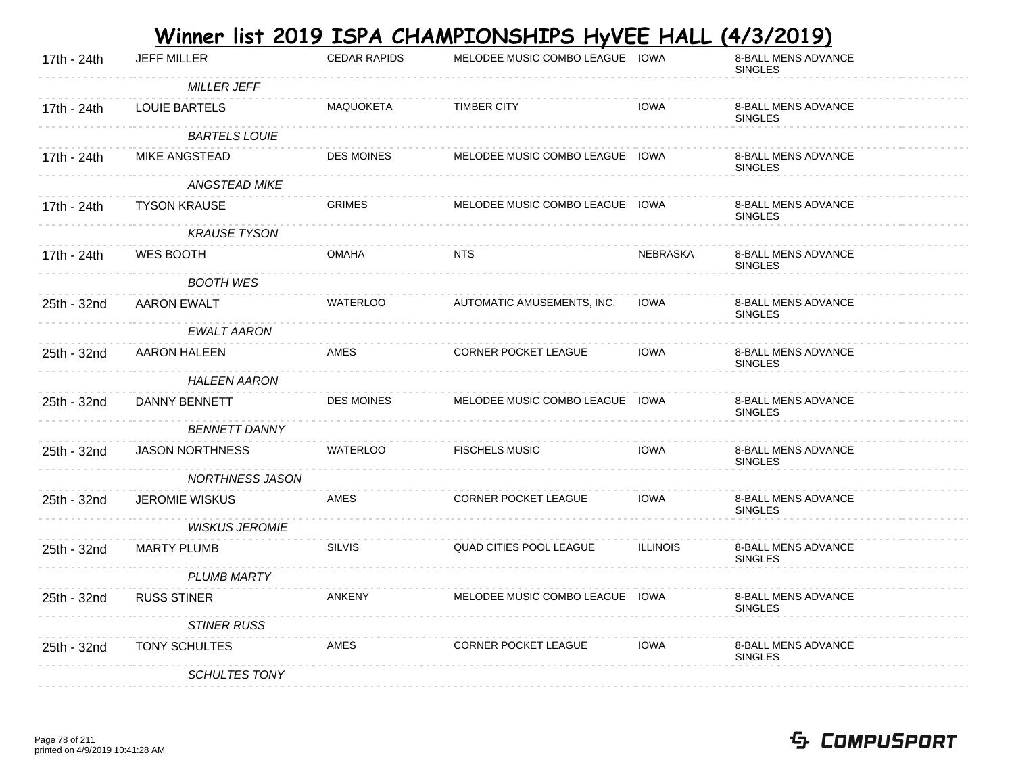|             |                        |                     | Winner list 2019 ISPA CHAMPIONSHIPS HyVEE HALL |                 | <u>(4/3/2019)</u>                            |
|-------------|------------------------|---------------------|------------------------------------------------|-----------------|----------------------------------------------|
| 17th - 24th | <b>JEFF MILLER</b>     | <b>CEDAR RAPIDS</b> | MELODEE MUSIC COMBO LEAGUE IOWA                |                 | 8-BALL MENS ADVANCE<br><b>SINGLES</b>        |
|             | <b>MILLER JEFF</b>     |                     |                                                |                 |                                              |
| 17th - 24th | <b>LOUIE BARTELS</b>   | <b>MAQUOKETA</b>    | <b>TIMBER CITY</b>                             | <b>IOWA</b>     | 8-BALL MENS ADVANCE<br><b>SINGLES</b>        |
|             | <b>BARTELS LOUIE</b>   |                     |                                                |                 |                                              |
| 17th - 24th | <b>MIKE ANGSTEAD</b>   | <b>DES MOINES</b>   | MELODEE MUSIC COMBO LEAGUE IOWA                |                 | 8-BALL MENS ADVANCE<br><b>SINGLES</b>        |
|             | <b>ANGSTEAD MIKE</b>   |                     |                                                |                 |                                              |
| 17th - 24th | <b>TYSON KRAUSE</b>    | <b>GRIMES</b>       | MELODEE MUSIC COMBO LEAGUE IOWA                |                 | 8-BALL MENS ADVANCE<br><b>SINGLES</b>        |
|             | <b>KRAUSE TYSON</b>    |                     |                                                |                 |                                              |
| 17th - 24th | WES BOOTH              | <b>OMAHA</b>        | <b>NTS</b>                                     | NEBRASKA        | 8-BALL MENS ADVANCE<br><b>SINGLES</b>        |
|             | <b>BOOTH WES</b>       |                     |                                                |                 |                                              |
| 25th - 32nd | <b>AARON EWALT</b>     | <b>WATERLOO</b>     | AUTOMATIC AMUSEMENTS, INC.                     | <b>IOWA</b>     | 8-BALL MENS ADVANCE<br><b>SINGLES</b>        |
|             | <b>EWALT AARON</b>     |                     |                                                |                 |                                              |
| 25th - 32nd | AARON HALEEN           | AMES                | CORNER POCKET LEAGUE                           | <b>IOWA</b>     | <b>8-BALL MENS ADVANCE</b><br><b>SINGLES</b> |
|             | <b>HALEEN AARON</b>    |                     |                                                |                 |                                              |
| 25th - 32nd | DANNY BENNETT          | <b>DES MOINES</b>   | MELODEE MUSIC COMBO LEAGUE IOWA                |                 | 8-BALL MENS ADVANCE<br><b>SINGLES</b>        |
|             | <b>BENNETT DANNY</b>   |                     |                                                |                 |                                              |
| 25th - 32nd | <b>JASON NORTHNESS</b> | <b>WATERLOO</b>     | <b>FISCHELS MUSIC</b>                          | <b>IOWA</b>     | 8-BALL MENS ADVANCE<br><b>SINGLES</b>        |
|             | <b>NORTHNESS JASON</b> |                     |                                                |                 |                                              |
| 25th - 32nd | <b>JEROMIE WISKUS</b>  | AMES                | CORNER POCKET LEAGUE                           | <b>IOWA</b>     | 8-BALL MENS ADVANCE<br><b>SINGLES</b>        |
|             | <b>WISKUS JEROMIE</b>  |                     |                                                |                 |                                              |
| 25th - 32nd | <b>MARTY PLUMB</b>     | <b>SILVIS</b>       | QUAD CITIES POOL LEAGUE                        | <b>ILLINOIS</b> | 8-BALL MENS ADVANCE<br><b>SINGLES</b>        |
|             | <b>PLUMB MARTY</b>     |                     |                                                |                 |                                              |
| 25th - 32nd | <b>RUSS STINER</b>     | <b>ANKENY</b>       | MELODEE MUSIC COMBO LEAGUE IOWA                |                 | 8-BALL MENS ADVANCE<br><b>SINGLES</b>        |
|             | <b>STINER RUSS</b>     |                     |                                                |                 |                                              |
| 25th - 32nd | <b>TONY SCHULTES</b>   | AMES                | <b>CORNER POCKET LEAGUE</b>                    | <b>IOWA</b>     | 8-BALL MENS ADVANCE<br><b>SINGLES</b>        |
|             | <b>SCHULTES TONY</b>   |                     |                                                |                 |                                              |

#### Page 78 of 211 printed on 4/9/2019 10:41:28 AM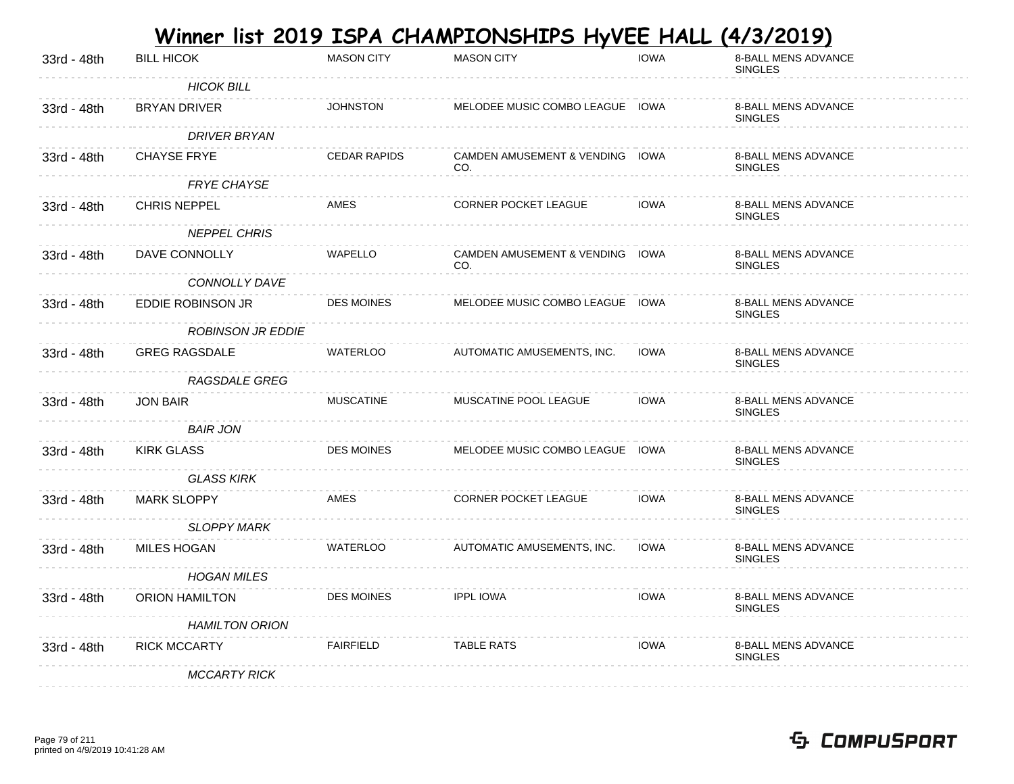|             |                          |                     | <u>Winner list 2019 ISPA CHAMPIONSHIPS HyVEE HALL (4/3/2019)</u> |             |                                              |
|-------------|--------------------------|---------------------|------------------------------------------------------------------|-------------|----------------------------------------------|
| 33rd - 48th | <b>BILL HICOK</b>        | <b>MASON CITY</b>   | <b>MASON CITY</b>                                                | <b>IOWA</b> | 8-BALL MENS ADVANCE<br><b>SINGLES</b>        |
|             | <b>HICOK BILL</b>        |                     |                                                                  |             |                                              |
| 33rd - 48th | <b>BRYAN DRIVER</b>      | <b>JOHNSTON</b>     | MELODEE MUSIC COMBO LEAGUE IOWA                                  |             | 8-BALL MENS ADVANCE<br><b>SINGLES</b>        |
|             | <b>DRIVER BRYAN</b>      |                     |                                                                  |             |                                              |
| 33rd - 48th | <b>CHAYSE FRYE</b>       | <b>CEDAR RAPIDS</b> | CAMDEN AMUSEMENT & VENDING IOWA<br>CO.                           |             | 8-BALL MENS ADVANCE<br><b>SINGLES</b>        |
|             | <b>FRYE CHAYSE</b>       |                     |                                                                  |             |                                              |
| 33rd - 48th | <b>CHRIS NEPPEL</b>      | AMES                | CORNER POCKET LEAGUE                                             | <b>IOWA</b> | 8-BALL MENS ADVANCE<br><b>SINGLES</b>        |
|             | <b>NEPPEL CHRIS</b>      |                     |                                                                  |             |                                              |
| 33rd - 48th | DAVE CONNOLLY            | <b>WAPELLO</b>      | CAMDEN AMUSEMENT & VENDING IOWA<br>CO.                           |             | 8-BALL MENS ADVANCE<br><b>SINGLES</b>        |
|             | CONNOLLY DAVE            |                     |                                                                  |             |                                              |
| 33rd - 48th | EDDIE ROBINSON JR        | DES MOINES          | MELODEE MUSIC COMBO LEAGUE IOWA                                  |             | 8-BALL MENS ADVANCE<br><b>SINGLES</b>        |
|             | <b>ROBINSON JR EDDIE</b> |                     |                                                                  |             |                                              |
| 33rd - 48th | <b>GREG RAGSDALE</b>     | <b>WATERLOO</b>     | AUTOMATIC AMUSEMENTS, INC.                                       | <b>IOWA</b> | 8-BALL MENS ADVANCE<br><b>SINGLES</b>        |
|             | RAGSDALE GREG            |                     |                                                                  |             |                                              |
| 33rd - 48th | <b>JON BAIR</b>          | <b>MUSCATINE</b>    | MUSCATINE POOL LEAGUE                                            | <b>IOWA</b> | 8-BALL MENS ADVANCE<br><b>SINGLES</b>        |
|             | <b>BAIR JON</b>          |                     |                                                                  |             |                                              |
| 33rd - 48th | <b>KIRK GLASS</b>        | <b>DES MOINES</b>   | MELODEE MUSIC COMBO LEAGUE IOWA                                  |             | 8-BALL MENS ADVANCE<br><b>SINGLES</b>        |
|             | <b>GLASS KIRK</b>        |                     |                                                                  |             |                                              |
| 33rd - 48th | <b>MARK SLOPPY</b>       | <b>AMES</b>         | <b>CORNER POCKET LEAGUE</b>                                      | <b>IOWA</b> | 8-BALL MENS ADVANCE<br><b>SINGLES</b>        |
|             | <b>SLOPPY MARK</b>       |                     |                                                                  |             |                                              |
| 33rd - 48th | <b>MILES HOGAN</b>       | <b>WATERLOO</b>     | AUTOMATIC AMUSEMENTS, INC.                                       | <b>IOWA</b> | <b>8-BALL MENS ADVANCE</b><br><b>SINGLES</b> |
|             | <b>HOGAN MILES</b>       |                     |                                                                  |             |                                              |
| 33rd - 48th | <b>ORION HAMILTON</b>    | <b>DES MOINES</b>   | <b>IPPL IOWA</b>                                                 | <b>IOWA</b> | <b>8-BALL MENS ADVANCE</b><br><b>SINGLES</b> |
|             | <b>HAMILTON ORION</b>    |                     |                                                                  |             |                                              |
| 33rd - 48th | <b>RICK MCCARTY</b>      | <b>FAIRFIELD</b>    | <b>TABLE RATS</b>                                                | <b>IOWA</b> | <b>8-BALL MENS ADVANCE</b><br><b>SINGLES</b> |
|             | <b>MCCARTY RICK</b>      |                     |                                                                  |             |                                              |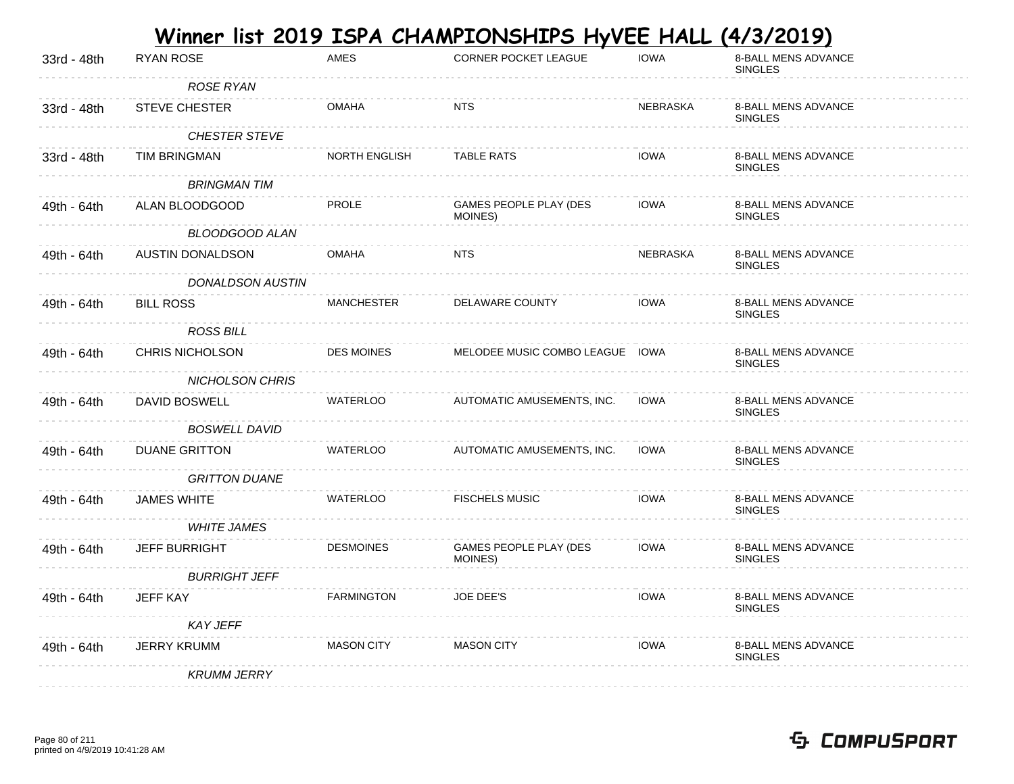|             |                         |                   | <u>Winner list 2019 ISPA CHAMPIONSHIPS HyVEE HALL</u> |                 | (4/3/2019)                                   |
|-------------|-------------------------|-------------------|-------------------------------------------------------|-----------------|----------------------------------------------|
| 33rd - 48th | <b>RYAN ROSE</b>        | <b>AMES</b>       | CORNER POCKET LEAGUE                                  | <b>IOWA</b>     | 8-BALL MENS ADVANCE<br><b>SINGLES</b>        |
|             | ROSE RYAN               |                   |                                                       |                 |                                              |
| 33rd - 48th | STEVE CHESTER           | <b>OMAHA</b>      | <b>NTS</b>                                            | <b>NEBRASKA</b> | 8-BALL MENS ADVANCE<br><b>SINGLES</b>        |
|             | <b>CHESTER STEVE</b>    |                   |                                                       |                 |                                              |
| 33rd - 48th | TIM BRINGMAN            | NORTH ENGLISH     | <b>TABLE RATS</b>                                     | <b>IOWA</b>     | 8-BALL MENS ADVANCE<br><b>SINGLES</b>        |
|             | <b>BRINGMAN TIM</b>     |                   |                                                       |                 |                                              |
| 49th - 64th | ALAN BLOODGOOD          | <b>PROLE</b>      | GAMES PEOPLE PLAY (DES<br>MOINES)                     | <b>IOWA</b>     | 8-BALL MENS ADVANCE<br><b>SINGLES</b>        |
|             | BLOODGOOD ALAN          |                   |                                                       |                 |                                              |
| 49th - 64th | AUSTIN DONALDSON        | <b>OMAHA</b>      | <b>NTS</b>                                            | NEBRASKA        | 8-BALL MENS ADVANCE<br><b>SINGLES</b>        |
|             | <b>DONALDSON AUSTIN</b> |                   |                                                       |                 |                                              |
| 49th - 64th | <b>BILL ROSS</b>        | <b>MANCHESTER</b> | DELAWARE COUNTY                                       | <b>IOWA</b>     | 8-BALL MENS ADVANCE<br><b>SINGLES</b>        |
|             | <b>ROSS BILL</b>        |                   |                                                       |                 |                                              |
| 49th - 64th | <b>CHRIS NICHOLSON</b>  | <b>DES MOINES</b> | MELODEE MUSIC COMBO LEAGUE IOWA                       |                 | 8-BALL MENS ADVANCE<br><b>SINGLES</b>        |
|             | NICHOLSON CHRIS         |                   |                                                       |                 |                                              |
| 49th - 64th | DAVID BOSWELL           | <b>WATERLOO</b>   | AUTOMATIC AMUSEMENTS, INC.                            | <b>IOWA</b>     | 8-BALL MENS ADVANCE<br><b>SINGLES</b>        |
|             | <b>BOSWELL DAVID</b>    |                   |                                                       |                 |                                              |
| 49th - 64th | <b>DUANE GRITTON</b>    | <b>WATERLOO</b>   | AUTOMATIC AMUSEMENTS, INC.                            | <b>IOWA</b>     | 8-BALL MENS ADVANCE<br><b>SINGLES</b>        |
|             | <b>GRITTON DUANE</b>    |                   |                                                       |                 |                                              |
| 49th - 64th | <b>JAMES WHITE</b>      | <b>WATERLOO</b>   | <b>FISCHELS MUSIC</b>                                 | <b>IOWA</b>     | 8-BALL MENS ADVANCE<br><b>SINGLES</b>        |
|             | <b>WHITE JAMES</b>      |                   |                                                       |                 |                                              |
| 49th - 64th | <b>JEFF BURRIGHT</b>    | <b>DESMOINES</b>  | GAMES PEOPLE PLAY (DES<br>MOINES)                     | <b>IOWA</b>     | 8-BALL MENS ADVANCE<br><b>SINGLES</b>        |
|             | <b>BURRIGHT JEFF</b>    |                   |                                                       |                 |                                              |
| 49th - 64th | <b>JEFF KAY</b>         | <b>FARMINGTON</b> | <b>JOE DEE'S</b>                                      | <b>IOWA</b>     | <b>8-BALL MENS ADVANCE</b><br><b>SINGLES</b> |
|             | <b>KAY JEFF</b>         |                   |                                                       |                 |                                              |
| 49th - 64th | <b>JERRY KRUMM</b>      | <b>MASON CITY</b> | <b>MASON CITY</b>                                     | <b>IOWA</b>     | <b>8-BALL MENS ADVANCE</b><br><b>SINGLES</b> |
|             | <b>KRUMM JERRY</b>      |                   |                                                       |                 |                                              |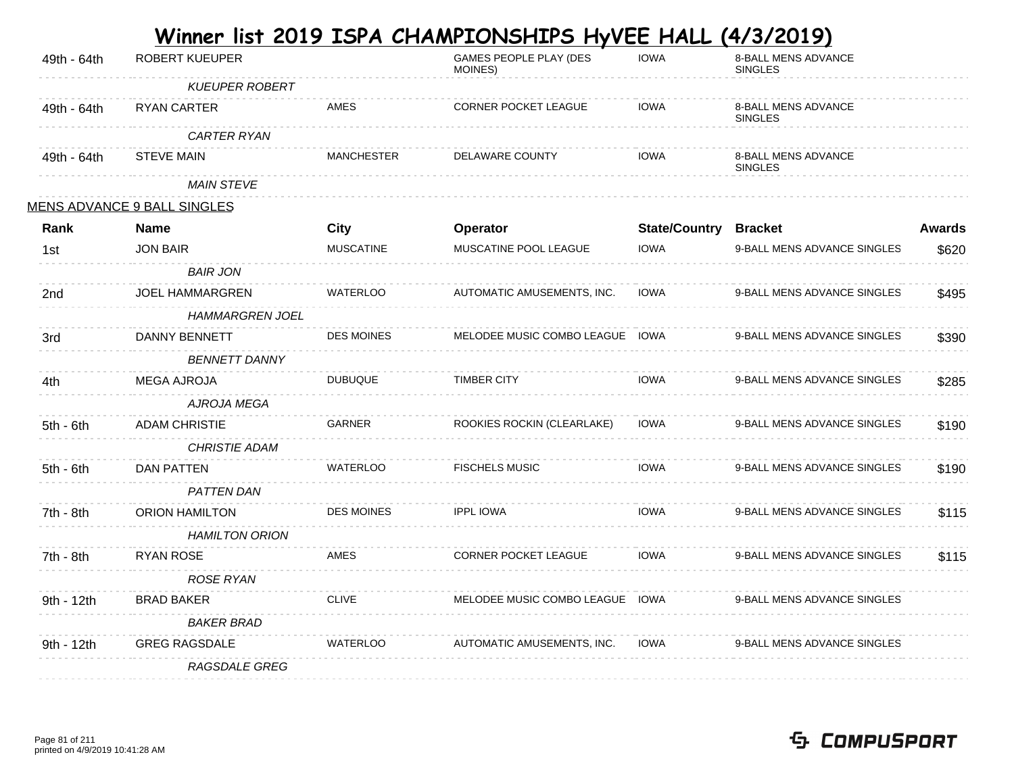| 49th - 64th | ROBERT KUEUPER                     |                   | <b>GAMES PEOPLE PLAY (DES</b><br>MOINES) | <b>IOWA</b>          | 8-BALL MENS ADVANCE<br><b>SINGLES</b>        |               |
|-------------|------------------------------------|-------------------|------------------------------------------|----------------------|----------------------------------------------|---------------|
|             | <b>KUEUPER ROBERT</b>              |                   |                                          |                      |                                              |               |
| 49th - 64th | RYAN CARTER                        | AMES              | CORNER POCKET LEAGUE                     | <b>IOWA</b>          | 8-BALL MENS ADVANCE<br><b>SINGLES</b>        |               |
|             | CARTER RYAN                        |                   |                                          |                      |                                              |               |
| 49th - 64th | <b>STEVE MAIN</b>                  | <b>MANCHESTER</b> | <b>DELAWARE COUNTY</b>                   | <b>IOWA</b>          | <b>8-BALL MENS ADVANCE</b><br><b>SINGLES</b> |               |
|             | <b>MAIN STEVE</b>                  |                   |                                          |                      |                                              |               |
|             | <b>MENS ADVANCE 9 BALL SINGLES</b> |                   |                                          |                      |                                              |               |
| Rank        | <b>Name</b>                        | <b>City</b>       | <b>Operator</b>                          | <b>State/Country</b> | <b>Bracket</b>                               | <b>Awards</b> |
| 1st         | <b>JON BAIR</b>                    | <b>MUSCATINE</b>  | MUSCATINE POOL LEAGUE                    | <b>IOWA</b>          | 9-BALL MENS ADVANCE SINGLES                  | \$620         |
|             | <b>BAIR JON</b>                    |                   |                                          |                      |                                              |               |
| 2nd         | <b>JOEL HAMMARGREN</b>             | <b>WATERLOO</b>   | AUTOMATIC AMUSEMENTS, INC.               | <b>IOWA</b>          | 9-BALL MENS ADVANCE SINGLES                  | \$495         |
|             | <b>HAMMARGREN JOEL</b>             |                   |                                          |                      |                                              |               |
| 3rd         | DANNY BENNETT                      | <b>DES MOINES</b> | MELODEE MUSIC COMBO LEAGUE IOWA          |                      | 9-BALL MENS ADVANCE SINGLES                  | \$390         |
|             | <b>BENNETT DANNY</b>               |                   |                                          |                      |                                              |               |
| 4th         | <b>MEGA AJROJA</b>                 | <b>DUBUQUE</b>    | <b>TIMBER CITY</b>                       | <b>IOWA</b>          | 9-BALL MENS ADVANCE SINGLES                  | \$285         |
|             | AJROJA MEGA                        |                   |                                          |                      |                                              |               |
| $5th - 6th$ | <b>ADAM CHRISTIE</b>               | <b>GARNER</b>     | ROOKIES ROCKIN (CLEARLAKE)               | <b>IOWA</b>          | 9-BALL MENS ADVANCE SINGLES                  | \$190         |
|             | <b>CHRISTIE ADAM</b>               |                   |                                          |                      |                                              |               |
| $5th - 6th$ | <b>DAN PATTEN</b>                  | <b>WATERLOO</b>   | <b>FISCHELS MUSIC</b>                    | <b>IOWA</b>          | 9-BALL MENS ADVANCE SINGLES                  | \$190         |
|             | <b>PATTEN DAN</b>                  |                   |                                          |                      |                                              |               |
| 7th - 8th   | ORION HAMILTON                     | <b>DES MOINES</b> | <b>IPPL IOWA</b>                         | <b>IOWA</b>          | 9-BALL MENS ADVANCE SINGLES                  | \$115         |
|             | <b>HAMILTON ORION</b>              |                   |                                          |                      |                                              |               |
| 7th - 8th   | <b>RYAN ROSE</b>                   | <b>AMES</b>       | CORNER POCKET LEAGUE                     | <b>IOWA</b>          | 9-BALL MENS ADVANCE SINGLES                  | \$115         |
|             | ROSE RYAN                          |                   |                                          |                      |                                              |               |
| 9th - 12th  | <b>BRAD BAKER</b>                  | <b>CLIVE</b>      | MELODEE MUSIC COMBO LEAGUE IOWA          |                      | 9-BALL MENS ADVANCE SINGLES                  |               |
|             | <b>BAKER BRAD</b>                  |                   |                                          |                      |                                              |               |
| 9th - 12th  | <b>GREG RAGSDALE</b>               | <b>WATERLOO</b>   | AUTOMATIC AMUSEMENTS, INC.               | <b>IOWA</b>          | 9-BALL MENS ADVANCE SINGLES                  |               |
|             | RAGSDALE GREG                      |                   |                                          |                      |                                              |               |
|             |                                    |                   |                                          |                      |                                              |               |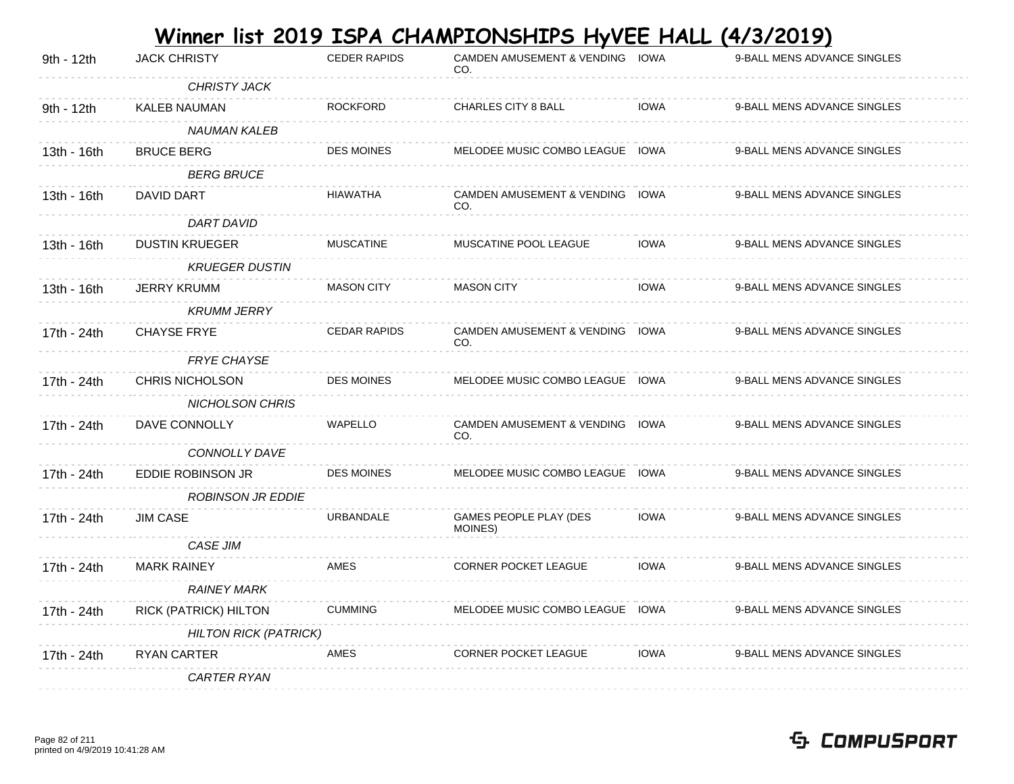|             |                              |                     | <u>Winner list 2019 ISPA CHAMPIONSHIPS HyVEE HALL</u> |             | (4/3/2019)                  |
|-------------|------------------------------|---------------------|-------------------------------------------------------|-------------|-----------------------------|
| 9th - 12th  | <b>JACK CHRISTY</b>          | <b>CEDER RAPIDS</b> | <b>CAMDEN AMUSEMENT &amp; VENDING</b><br>CO.          | IOWA        | 9-BALL MENS ADVANCE SINGLES |
|             | <b>CHRISTY JACK</b>          |                     |                                                       |             |                             |
| 9th - 12th  | <b>KALEB NAUMAN</b>          | <b>ROCKFORD</b>     | <b>CHARLES CITY 8 BALL</b>                            | <b>IOWA</b> | 9-BALL MENS ADVANCE SINGLES |
|             | <b>NAUMAN KALEB</b>          |                     |                                                       |             |                             |
| 13th - 16th | <b>BRUCE BERG</b>            | <b>DES MOINES</b>   | MELODEE MUSIC COMBO LEAGUE IOWA                       |             | 9-BALL MENS ADVANCE SINGLES |
|             | <b>BERG BRUCE</b>            |                     |                                                       |             |                             |
| 13th - 16th | DAVID DART                   | <b>HIAWATHA</b>     | CAMDEN AMUSEMENT & VENDING IOWA<br>CO.                |             | 9-BALL MENS ADVANCE SINGLES |
|             | DART DAVID                   |                     |                                                       |             |                             |
| 13th - 16th | <b>DUSTIN KRUEGER</b>        | <b>MUSCATINE</b>    | MUSCATINE POOL LEAGUE                                 | <b>IOWA</b> | 9-BALL MENS ADVANCE SINGLES |
|             | <b>KRUEGER DUSTIN</b>        |                     |                                                       |             |                             |
| 13th - 16th | <b>JERRY KRUMM</b>           | <b>MASON CITY</b>   | <b>MASON CITY</b>                                     | <b>IOWA</b> | 9-BALL MENS ADVANCE SINGLES |
|             | <b>KRUMM JERRY</b>           |                     |                                                       |             |                             |
| 17th - 24th | <b>CHAYSE FRYE</b>           | <b>CEDAR RAPIDS</b> | CAMDEN AMUSEMENT & VENDING IOWA<br>CO.                |             | 9-BALL MENS ADVANCE SINGLES |
|             | <b>FRYE CHAYSE</b>           |                     |                                                       |             |                             |
| 17th - 24th | <b>CHRIS NICHOLSON</b>       | <b>DES MOINES</b>   | MELODEE MUSIC COMBO LEAGUE IOWA                       |             | 9-BALL MENS ADVANCE SINGLES |
|             | <b>NICHOLSON CHRIS</b>       |                     |                                                       |             |                             |
| 17th - 24th | DAVE CONNOLLY                | WAPELLO             | CAMDEN AMUSEMENT & VENDING IOWA<br>CO.                |             | 9-BALL MENS ADVANCE SINGLES |
|             | CONNOLLY DAVE                |                     |                                                       |             |                             |
| 17th - 24th | EDDIE ROBINSON JR            | <b>DES MOINES</b>   | MELODEE MUSIC COMBO LEAGUE IOWA                       |             | 9-BALL MENS ADVANCE SINGLES |
|             | <b>ROBINSON JR EDDIE</b>     |                     |                                                       |             |                             |
| 17th - 24th | <b>JIM CASE</b>              | URBANDALE           | GAMES PEOPLE PLAY (DES<br>MOINES)                     | <b>IOWA</b> | 9-BALL MENS ADVANCE SINGLES |
|             | CASE JIM                     |                     |                                                       |             |                             |
| 17th - 24th | <b>MARK RAINEY</b>           | AMES                | CORNER POCKET LEAGUE                                  | <b>IOWA</b> | 9-BALL MENS ADVANCE SINGLES |
|             | <b>RAINEY MARK</b>           |                     |                                                       |             |                             |
| 17th - 24th | RICK (PATRICK) HILTON        | <b>CUMMING</b>      | MELODEE MUSIC COMBO LEAGUE IOWA                       |             | 9-BALL MENS ADVANCE SINGLES |
|             | <b>HILTON RICK (PATRICK)</b> |                     |                                                       |             |                             |
| 17th - 24th | <b>RYAN CARTER</b>           | AMES                | <b>CORNER POCKET LEAGUE</b>                           | <b>IOWA</b> | 9-BALL MENS ADVANCE SINGLES |
|             | <b>CARTER RYAN</b>           |                     |                                                       |             |                             |
|             |                              |                     |                                                       |             |                             |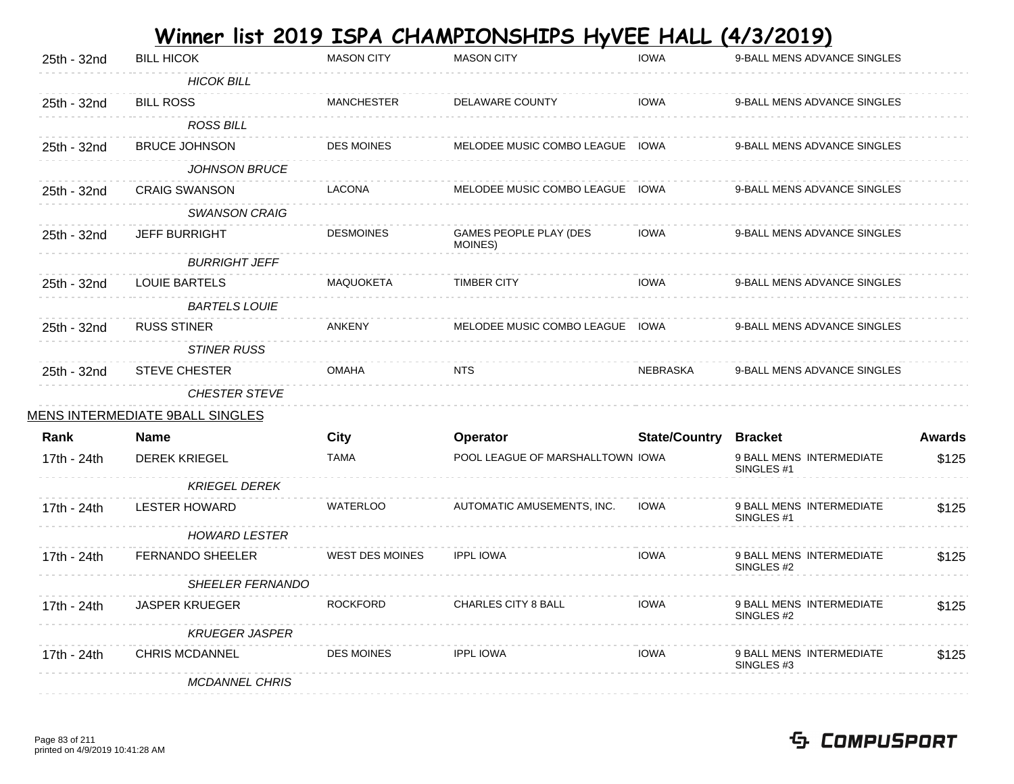|             |                                 |                        | Winner list 2019 ISPA CHAMPIONSHIPS HyVEE HALL |                              | (4/3/2019)                                        |               |
|-------------|---------------------------------|------------------------|------------------------------------------------|------------------------------|---------------------------------------------------|---------------|
| 25th - 32nd | <b>BILL HICOK</b>               | <b>MASON CITY</b>      | <b>MASON CITY</b>                              | <b>IOWA</b>                  | 9-BALL MENS ADVANCE SINGLES                       |               |
|             | <b>HICOK BILL</b>               |                        |                                                |                              |                                                   |               |
| 25th - 32nd | <b>BILL ROSS</b>                | <b>MANCHESTER</b>      | DELAWARE COUNTY                                | <b>IOWA</b>                  | 9-BALL MENS ADVANCE SINGLES                       |               |
|             | <b>ROSS BILL</b>                |                        |                                                |                              |                                                   |               |
| 25th - 32nd | <b>BRUCE JOHNSON</b>            | <b>DES MOINES</b>      | MELODEE MUSIC COMBO LEAGUE IOWA                |                              | 9-BALL MENS ADVANCE SINGLES                       |               |
|             | <b>JOHNSON BRUCE</b>            |                        |                                                |                              |                                                   |               |
| 25th - 32nd | <b>CRAIG SWANSON</b>            | <b>LACONA</b>          | MELODEE MUSIC COMBO LEAGUE IOWA                |                              | 9-BALL MENS ADVANCE SINGLES                       |               |
|             | <b>SWANSON CRAIG</b>            |                        |                                                |                              |                                                   |               |
| 25th - 32nd | <b>JEFF BURRIGHT</b>            | <b>DESMOINES</b>       | GAMES PEOPLE PLAY (DES<br>MOINES)              | <b>IOWA</b>                  | 9-BALL MENS ADVANCE SINGLES                       |               |
|             | <b>BURRIGHT JEFF</b>            |                        |                                                |                              |                                                   |               |
| 25th - 32nd | <b>LOUIE BARTELS</b>            | <b>MAQUOKETA</b>       | <b>TIMBER CITY</b>                             | <b>IOWA</b>                  | 9-BALL MENS ADVANCE SINGLES                       |               |
|             | <b>BARTELS LOUIE</b>            |                        |                                                |                              |                                                   |               |
| 25th - 32nd | <b>RUSS STINER</b>              | <b>ANKENY</b>          | MELODEE MUSIC COMBO LEAGUE IOWA                |                              | 9-BALL MENS ADVANCE SINGLES                       |               |
|             | <b>STINER RUSS</b>              |                        |                                                |                              |                                                   |               |
| 25th - 32nd | <b>STEVE CHESTER</b>            | <b>OMAHA</b>           | <b>NTS</b>                                     | NEBRASKA                     | 9-BALL MENS ADVANCE SINGLES                       |               |
|             | <b>CHESTER STEVE</b>            |                        |                                                |                              |                                                   |               |
|             | MENS INTERMEDIATE 9BALL SINGLES |                        |                                                |                              |                                                   |               |
| Rank        | <b>Name</b>                     | <b>City</b>            | Operator                                       | <b>State/Country Bracket</b> |                                                   | <b>Awards</b> |
| 17th - 24th | <b>DEREK KRIEGEL</b>            | <b>TAMA</b>            | POOL LEAGUE OF MARSHALLTOWN IOWA               |                              | 9 BALL MENS INTERMEDIATE<br>SINGLES <sub>#1</sub> | \$125         |
|             | <b>KRIEGEL DEREK</b>            |                        |                                                |                              |                                                   |               |
| 17th - 24th | <b>LESTER HOWARD</b>            | <b>WATERLOO</b>        | AUTOMATIC AMUSEMENTS, INC.                     | <b>IOWA</b>                  | 9 BALL MENS INTERMEDIATE<br>SINGLES #1            | \$125         |
|             | <b>HOWARD LESTER</b>            |                        |                                                |                              |                                                   |               |
| 17th - 24th | FERNANDO SHEELER                | <b>WEST DES MOINES</b> | <b>IPPL IOWA</b>                               | <b>IOWA</b>                  | 9 BALL MENS INTERMEDIATE                          | \$125         |
|             | SHEELER FERNANDO                |                        |                                                |                              | SINGLES #2                                        |               |
| 17th - 24th | <b>JASPER KRUEGER</b>           | <b>ROCKFORD</b>        | <b>CHARLES CITY 8 BALL</b>                     | <b>IOWA</b>                  | 9 BALL MENS INTERMEDIATE                          | \$125         |
|             |                                 |                        |                                                |                              | SINGLES #2                                        |               |
|             | <b>KRUEGER JASPER</b>           | <b>DES MOINES</b>      | <b>IPPL IOWA</b>                               | <b>IOWA</b>                  | 9 BALL MENS INTERMEDIATE                          |               |
| 17th - 24th | <b>CHRIS MCDANNEL</b>           |                        |                                                |                              | SINGLES #3                                        | \$125         |
|             | <b>MCDANNEL CHRIS</b>           |                        |                                                |                              |                                                   |               |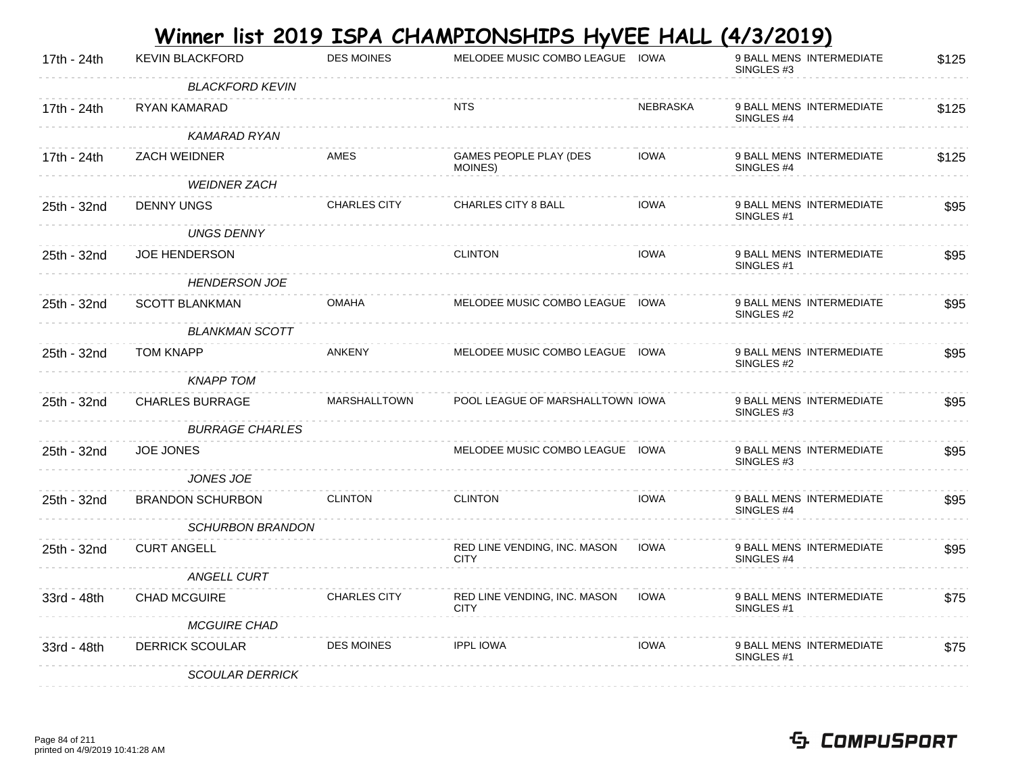|             |                         |                     | Winner list 2019 ISPA CHAMPIONSHIPS HyVEE HALL |                 | <u>(4/3/2019)</u>                                 |       |
|-------------|-------------------------|---------------------|------------------------------------------------|-----------------|---------------------------------------------------|-------|
| 17th - 24th | <b>KEVIN BLACKFORD</b>  | <b>DES MOINES</b>   | MELODEE MUSIC COMBO LEAGUE IOWA                |                 | 9 BALL MENS INTERMEDIATE<br>SINGLES <sub>#3</sub> | \$125 |
|             | <b>BLACKFORD KEVIN</b>  |                     |                                                |                 |                                                   |       |
| 17th - 24th | <b>RYAN KAMARAD</b>     |                     | NTS                                            | <b>NEBRASKA</b> | 9 BALL MENS INTERMEDIATE<br>SINGLES <sub>#4</sub> | \$125 |
|             | KAMARAD RYAN            |                     |                                                |                 |                                                   |       |
| 17th - 24th | <b>ZACH WEIDNER</b>     | AMES                | GAMES PEOPLE PLAY (DES<br>MOINES)              | <b>IOWA</b>     | 9 BALL MENS INTERMEDIATE<br>SINGLES #4            | \$125 |
|             | <b>WEIDNER ZACH</b>     |                     |                                                |                 |                                                   |       |
| 25th - 32nd | <b>DENNY UNGS</b>       | <b>CHARLES CITY</b> | <b>CHARLES CITY 8 BALL</b>                     | <b>IOWA</b>     | 9 BALL MENS INTERMEDIATE<br>SINGLES #1            | \$95  |
|             | <b>UNGS DENNY</b>       |                     |                                                |                 |                                                   |       |
| 25th - 32nd | <b>JOE HENDERSON</b>    |                     | <b>CLINTON</b>                                 | <b>IOWA</b>     | 9 BALL MENS INTERMEDIATE<br>SINGLES <sub>#1</sub> | \$95  |
|             | <b>HENDERSON JOE</b>    |                     |                                                |                 |                                                   |       |
| 25th - 32nd | <b>SCOTT BLANKMAN</b>   | <b>OMAHA</b>        | MELODEE MUSIC COMBO LEAGUE IOWA                |                 | 9 BALL MENS INTERMEDIATE<br>SINGLES #2            | \$95  |
|             | <b>BLANKMAN SCOTT</b>   |                     |                                                |                 |                                                   |       |
| 25th - 32nd | <b>TOM KNAPP</b>        | <b>ANKENY</b>       | MELODEE MUSIC COMBO LEAGUE IOWA                |                 | 9 BALL MENS INTERMEDIATE<br>SINGLES #2            | \$95  |
|             | <b>KNAPP TOM</b>        |                     |                                                |                 |                                                   |       |
| 25th - 32nd | <b>CHARLES BURRAGE</b>  | MARSHALLTOWN        | POOL LEAGUE OF MARSHALLTOWN IOWA               |                 | 9 BALL MENS INTERMEDIATE<br>SINGLES <sub>#3</sub> | \$95  |
|             | <b>BURRAGE CHARLES</b>  |                     |                                                |                 |                                                   |       |
| 25th - 32nd | <b>JOE JONES</b>        |                     | MELODEE MUSIC COMBO LEAGUE IOWA                |                 | 9 BALL MENS INTERMEDIATE<br>SINGLES #3            | \$95  |
|             | <b>JONES JOE</b>        |                     |                                                |                 |                                                   |       |
| 25th - 32nd | <b>BRANDON SCHURBON</b> | <b>CLINTON</b>      | <b>CLINTON</b>                                 | <b>IOWA</b>     | 9 BALL MENS INTERMEDIATE<br>SINGLES <sub>#4</sub> | \$95  |
|             | <b>SCHURBON BRANDON</b> |                     |                                                |                 |                                                   |       |
| 25th - 32nd | <b>CURT ANGELL</b>      |                     | RED LINE VENDING, INC. MASON<br><b>CITY</b>    | <b>IOWA</b>     | 9 BALL MENS INTERMEDIATE<br>SINGLES #4            | \$95  |
|             | ANGELL CURT             |                     |                                                |                 |                                                   |       |
| 33rd - 48th | <b>CHAD MCGUIRE</b>     | <b>CHARLES CITY</b> | RED LINE VENDING, INC. MASON<br><b>CITY</b>    | <b>IOWA</b>     | 9 BALL MENS INTERMEDIATE<br>SINGLES #1            | \$75  |
|             | <b>MCGUIRE CHAD</b>     |                     |                                                |                 |                                                   |       |
| 33rd - 48th | <b>DERRICK SCOULAR</b>  | <b>DES MOINES</b>   | <b>IPPL IOWA</b>                               | <b>IOWA</b>     | 9 BALL MENS INTERMEDIATE<br>SINGLES #1            | \$75  |
|             | <b>SCOULAR DERRICK</b>  |                     |                                                |                 |                                                   |       |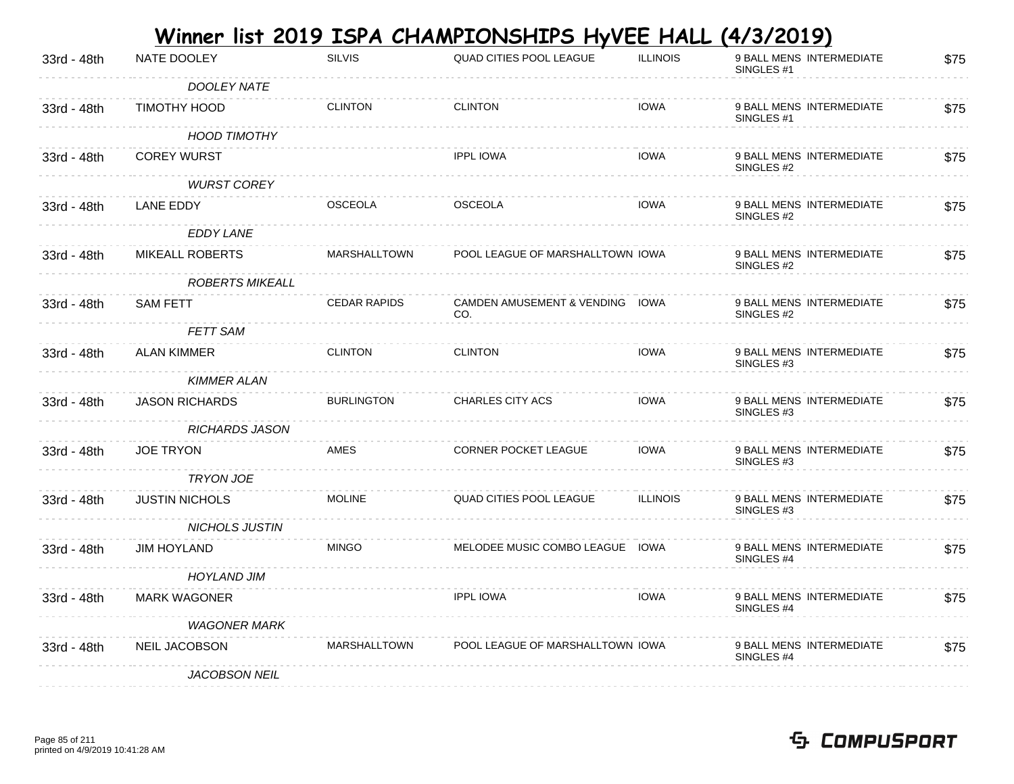| NATE DOOLEY            | <b>SILVIS</b>       | <b>QUAD CITIES POOL LEAGUE</b> | <b>ILLINOIS</b> | 9 BALL MENS INTERMEDIATE<br>SINGLES <sub>#1</sub>                                                                                          | \$75                                                                       |
|------------------------|---------------------|--------------------------------|-----------------|--------------------------------------------------------------------------------------------------------------------------------------------|----------------------------------------------------------------------------|
| DOOLEY NATE            |                     |                                |                 |                                                                                                                                            |                                                                            |
| TIMOTHY HOOD           | <b>CLINTON</b>      | <b>CLINTON</b>                 | <b>IOWA</b>     | 9 BALL MENS INTERMEDIATE<br>SINGLES #1                                                                                                     | \$75                                                                       |
| <b>HOOD TIMOTHY</b>    |                     |                                |                 |                                                                                                                                            |                                                                            |
| <b>COREY WURST</b>     |                     | <b>IPPL IOWA</b>               | <b>IOWA</b>     | 9 BALL MENS INTERMEDIATE<br>SINGLES #2                                                                                                     | \$75                                                                       |
| <b>WURST COREY</b>     |                     |                                |                 |                                                                                                                                            |                                                                            |
| LANE EDDY              | <b>OSCEOLA</b>      | <b>OSCEOLA</b>                 | <b>IOWA</b>     | 9 BALL MENS INTERMEDIATE<br>SINGLES #2                                                                                                     | \$75                                                                       |
| <b>EDDY LANE</b>       |                     |                                |                 |                                                                                                                                            |                                                                            |
| <b>MIKEALL ROBERTS</b> | <b>MARSHALLTOWN</b> |                                |                 | 9 BALL MENS INTERMEDIATE<br>SINGLES #2                                                                                                     | \$75                                                                       |
| <b>ROBERTS MIKEALL</b> |                     |                                |                 |                                                                                                                                            |                                                                            |
| <b>SAM FETT</b>        | <b>CEDAR RAPIDS</b> | CO.                            |                 | 9 BALL MENS INTERMEDIATE<br>SINGLES #2                                                                                                     | \$75                                                                       |
| <b>FETT SAM</b>        |                     |                                |                 |                                                                                                                                            |                                                                            |
| <b>ALAN KIMMER</b>     | <b>CLINTON</b>      | <b>CLINTON</b>                 | <b>IOWA</b>     | 9 BALL MENS INTERMEDIATE<br>SINGLES #3                                                                                                     | \$75                                                                       |
| <b>KIMMER ALAN</b>     |                     |                                |                 |                                                                                                                                            |                                                                            |
| <b>JASON RICHARDS</b>  | <b>BURLINGTON</b>   | <b>CHARLES CITY ACS</b>        | <b>IOWA</b>     | 9 BALL MENS INTERMEDIATE<br>SINGLES #3                                                                                                     | \$75                                                                       |
| <b>RICHARDS JASON</b>  |                     |                                |                 |                                                                                                                                            |                                                                            |
| <b>JOE TRYON</b>       | AMES                | <b>CORNER POCKET LEAGUE</b>    | <b>IOWA</b>     | 9 BALL MENS INTERMEDIATE<br>SINGLES #3                                                                                                     | \$75                                                                       |
| <b>TRYON JOE</b>       |                     |                                |                 |                                                                                                                                            |                                                                            |
| <b>JUSTIN NICHOLS</b>  | <b>MOLINE</b>       | QUAD CITIES POOL LEAGUE        | <b>ILLINOIS</b> | 9 BALL MENS INTERMEDIATE<br>SINGLES #3                                                                                                     | \$75                                                                       |
| NICHOLS JUSTIN         |                     |                                |                 |                                                                                                                                            |                                                                            |
| <b>JIM HOYLAND</b>     | <b>MINGO</b>        |                                |                 | 9 BALL MENS INTERMEDIATE<br>SINGLES #4                                                                                                     | \$75                                                                       |
| <b>HOYLAND JIM</b>     |                     |                                |                 |                                                                                                                                            |                                                                            |
| MARK WAGONER           |                     | <b>IPPL IOWA</b>               | <b>IOWA</b>     | 9 BALL MENS INTERMEDIATE<br>SINGLES #4                                                                                                     | \$75                                                                       |
| <b>WAGONER MARK</b>    |                     |                                |                 |                                                                                                                                            |                                                                            |
| <b>NEIL JACOBSON</b>   | MARSHALLTOWN        |                                |                 | 9 BALL MENS INTERMEDIATE<br>SINGLES #4                                                                                                     | \$75                                                                       |
| <b>JACOBSON NEIL</b>   |                     |                                |                 |                                                                                                                                            |                                                                            |
|                        |                     |                                |                 | POOL LEAGUE OF MARSHALLTOWN IOWA<br>CAMDEN AMUSEMENT & VENDING IOWA<br>MELODEE MUSIC COMBO LEAGUE IOWA<br>POOL LEAGUE OF MARSHALLTOWN IOWA | <u>Winner list 2019 ISPA CHAMPIONSHIPS HyVEE HALL</u><br><u>(4/3/2019)</u> |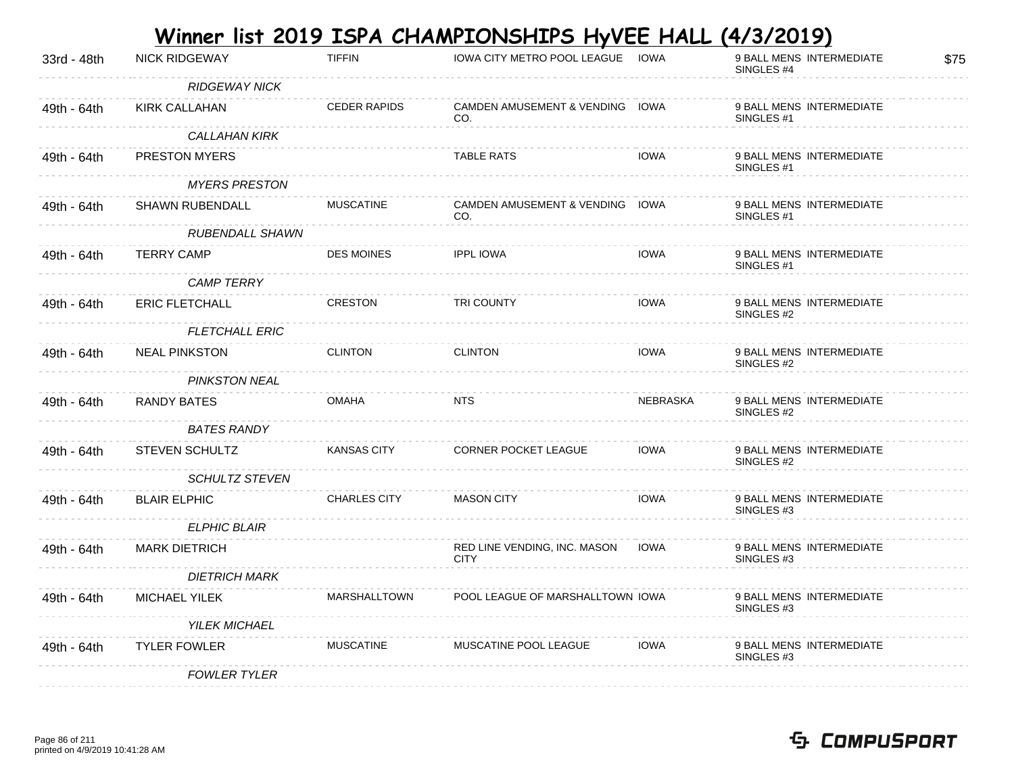|             |                        |                     | Winner list 2019 ISPA CHAMPIONSHIPS HyVEE HALL (4/3/2019) |             |                                                   |      |
|-------------|------------------------|---------------------|-----------------------------------------------------------|-------------|---------------------------------------------------|------|
| 33rd - 48th | <b>NICK RIDGEWAY</b>   | <b>TIFFIN</b>       | <b>IOWA CITY METRO POOL LEAGUE</b>                        | <b>IOWA</b> | 9 BALL MENS INTERMEDIATE<br>SINGLES #4            | \$75 |
|             | <b>RIDGEWAY NICK</b>   |                     |                                                           |             |                                                   |      |
| 49th - 64th | KIRK CALLAHAN          | <b>CEDER RAPIDS</b> | CAMDEN AMUSEMENT & VENDING IOWA<br>CO.                    |             | 9 BALL MENS INTERMEDIATE<br>SINGLES <sub>#1</sub> |      |
|             | <b>CALLAHAN KIRK</b>   |                     |                                                           |             |                                                   |      |
| 49th - 64th | <b>PRESTON MYERS</b>   |                     | <b>TABLE RATS</b>                                         | <b>IOWA</b> | 9 BALL MENS INTERMEDIATE<br>SINGLES #1            |      |
|             | <b>MYERS PRESTON</b>   |                     |                                                           |             |                                                   |      |
| 49th - 64th | <b>SHAWN RUBENDALL</b> | <b>MUSCATINE</b>    | CAMDEN AMUSEMENT & VENDING IOWA<br>CO.                    |             | 9 BALL MENS INTERMEDIATE<br>SINGLES #1            |      |
|             | RUBENDALL SHAWN        |                     |                                                           |             |                                                   |      |
| 49th - 64th | <b>TERRY CAMP</b>      | <b>DES MOINES</b>   | <b>IPPL IOWA</b>                                          | <b>IOWA</b> | 9 BALL MENS INTERMEDIATE<br>SINGLES #1            |      |
|             | <b>CAMP TERRY</b>      |                     |                                                           |             |                                                   |      |
| 49th - 64th | <b>ERIC FLETCHALL</b>  | <b>CRESTON</b>      | <b>TRI COUNTY</b>                                         | <b>IOWA</b> | 9 BALL MENS INTERMEDIATE<br>SINGLES #2            |      |
|             | <b>FLETCHALL ERIC</b>  |                     |                                                           |             |                                                   |      |
| 49th - 64th | <b>NEAL PINKSTON</b>   | <b>CLINTON</b>      | <b>CLINTON</b>                                            | <b>IOWA</b> | 9 BALL MENS INTERMEDIATE<br>SINGLES #2            |      |
|             | <b>PINKSTON NEAL</b>   |                     |                                                           |             |                                                   |      |
| 49th - 64th | RANDY BATES            | <b>OMAHA</b>        | <b>NTS</b>                                                | NEBRASKA    | 9 BALL MENS INTERMEDIATE<br>SINGLES #2            |      |
|             | <b>BATES RANDY</b>     |                     |                                                           |             |                                                   |      |
| 49th - 64th | <b>STEVEN SCHULTZ</b>  | <b>KANSAS CITY</b>  | <b>CORNER POCKET LEAGUE</b>                               | <b>IOWA</b> | 9 BALL MENS INTERMEDIATE<br>SINGLES #2            |      |
|             | <b>SCHULTZ STEVEN</b>  |                     |                                                           |             |                                                   |      |
| 49th - 64th | <b>BLAIR ELPHIC</b>    | <b>CHARLES CITY</b> | <b>MASON CITY</b>                                         | <b>IOWA</b> | 9 BALL MENS INTERMEDIATE<br>SINGLES #3            |      |
|             | <b>ELPHIC BLAIR</b>    |                     |                                                           |             |                                                   |      |
| 49th - 64th | <b>MARK DIETRICH</b>   |                     | RED LINE VENDING, INC. MASON<br><b>CITY</b>               | <b>IOWA</b> | 9 BALL MENS INTERMEDIATE<br>SINGLES #3            |      |
|             | <b>DIETRICH MARK</b>   |                     |                                                           |             |                                                   |      |
| 49th - 64th | <b>MICHAEL YILEK</b>   | <b>MARSHALLTOWN</b> | POOL LEAGUE OF MARSHALLTOWN IOWA                          |             | 9 BALL MENS INTERMEDIATE<br>SINGLES #3            |      |
|             | <b>YILEK MICHAEL</b>   |                     |                                                           |             |                                                   |      |
| 49th - 64th | <b>TYLER FOWLER</b>    | <b>MUSCATINE</b>    | MUSCATINE POOL LEAGUE                                     | <b>IOWA</b> | 9 BALL MENS INTERMEDIATE<br>SINGLES <sub>#3</sub> |      |
|             | <b>FOWLER TYLER</b>    |                     |                                                           |             |                                                   |      |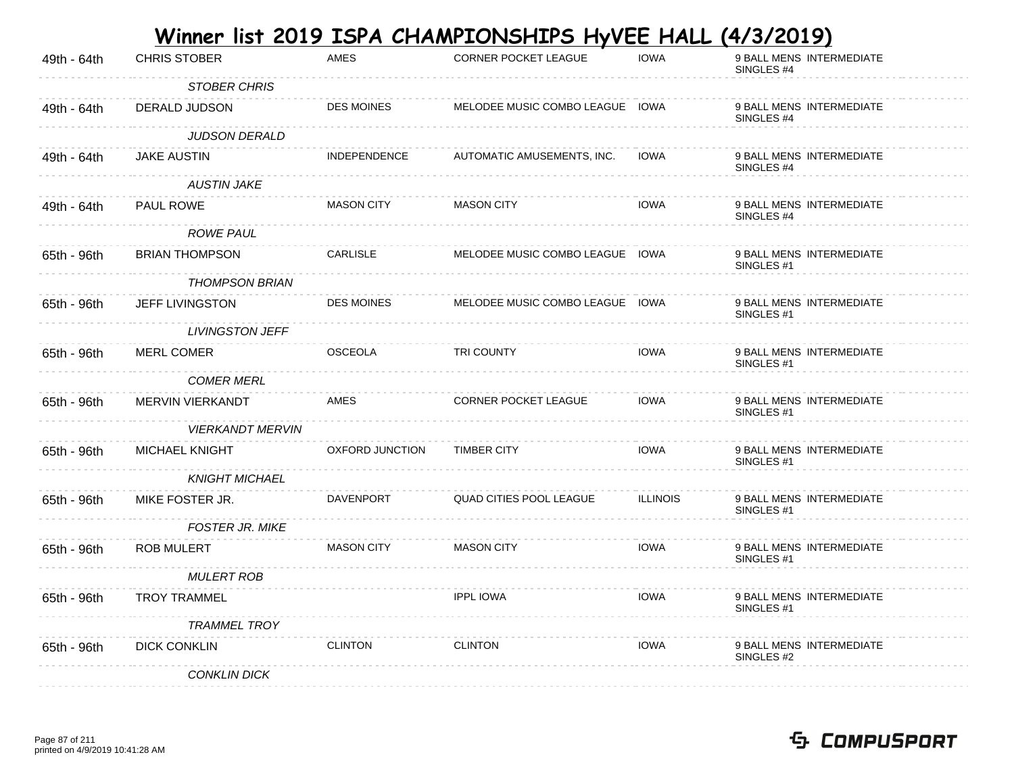|             |                         |                     | <u>Winner list 2019 ISPA CHAMPIONSHIPS HyVEE HALL</u> |                 | <u>(4/3/2019)</u>                                 |
|-------------|-------------------------|---------------------|-------------------------------------------------------|-----------------|---------------------------------------------------|
| 49th - 64th | <b>CHRIS STOBER</b>     | <b>AMES</b>         | <b>CORNER POCKET LEAGUE</b>                           | <b>IOWA</b>     | 9 BALL MENS INTERMEDIATE<br>SINGLES #4            |
|             | <b>STOBER CHRIS</b>     |                     |                                                       |                 |                                                   |
| 49th - 64th | DERALD JUDSON           | <b>DES MOINES</b>   | MELODEE MUSIC COMBO LEAGUE IOWA                       |                 | 9 BALL MENS INTERMEDIATE<br>SINGLES #4            |
|             | JUDSON DERALD           |                     |                                                       |                 |                                                   |
| 49th - 64th | <b>JAKE AUSTIN</b>      | <b>INDEPENDENCE</b> | AUTOMATIC AMUSEMENTS, INC.                            | <b>IOWA</b>     | 9 BALL MENS INTERMEDIATE<br>SINGLES #4            |
|             | <b>AUSTIN JAKE</b>      |                     |                                                       |                 |                                                   |
| 49th - 64th | <b>PAUL ROWE</b>        | <b>MASON CITY</b>   | <b>MASON CITY</b>                                     | <b>IOWA</b>     | 9 BALL MENS INTERMEDIATE<br>SINGLES #4            |
|             | <b>ROWE PAUL</b>        |                     |                                                       |                 |                                                   |
| 65th - 96th | <b>BRIAN THOMPSON</b>   | <b>CARLISLE</b>     | MELODEE MUSIC COMBO LEAGUE IOWA                       |                 | 9 BALL MENS INTERMEDIATE<br>SINGLES <sub>#1</sub> |
|             | <b>THOMPSON BRIAN</b>   |                     |                                                       |                 |                                                   |
| 65th - 96th | JEFF LIVINGSTON         | <b>DES MOINES</b>   | MELODEE MUSIC COMBO LEAGUE IOWA                       |                 | 9 BALL MENS INTERMEDIATE<br>SINGLES <sub>#1</sub> |
|             | <b>LIVINGSTON JEFF</b>  |                     |                                                       |                 |                                                   |
| 65th - 96th | MERL COMER              | <b>OSCEOLA</b>      | <b>TRI COUNTY</b>                                     | <b>IOWA</b>     | 9 BALL MENS INTERMEDIATE<br>SINGLES #1            |
|             | <b>COMER MERL</b>       |                     |                                                       |                 |                                                   |
| 65th - 96th | MERVIN VIERKANDT        | AMES                | CORNER POCKET LEAGUE                                  | <b>IOWA</b>     | 9 BALL MENS INTERMEDIATE<br>SINGLES #1            |
|             | <b>VIERKANDT MERVIN</b> |                     |                                                       |                 |                                                   |
| 65th - 96th | <b>MICHAEL KNIGHT</b>   | OXFORD JUNCTION     | <b>TIMBER CITY</b>                                    | <b>IOWA</b>     | 9 BALL MENS INTERMEDIATE<br>SINGLES <sub>#1</sub> |
|             | <b>KNIGHT MICHAEL</b>   |                     |                                                       |                 |                                                   |
| 65th - 96th | MIKE FOSTER JR.         | <b>DAVENPORT</b>    | QUAD CITIES POOL LEAGUE                               | <b>ILLINOIS</b> | 9 BALL MENS INTERMEDIATE<br>SINGLES <sub>#1</sub> |
|             | <b>FOSTER JR. MIKE</b>  |                     |                                                       |                 |                                                   |
| 65th - 96th | ROB MULERT              | <b>MASON CITY</b>   | <b>MASON CITY</b>                                     | <b>IOWA</b>     | 9 BALL MENS INTERMEDIATE<br>SINGLES <sub>#1</sub> |
|             | <b>MULERT ROB</b>       |                     |                                                       |                 |                                                   |
| 65th - 96th | <b>TROY TRAMMEL</b>     |                     | <b>IPPL IOWA</b>                                      | <b>IOWA</b>     | 9 BALL MENS INTERMEDIATE<br>SINGLES #1            |
|             | <b>TRAMMEL TROY</b>     |                     |                                                       |                 |                                                   |
| 65th - 96th | <b>DICK CONKLIN</b>     | <b>CLINTON</b>      | <b>CLINTON</b>                                        | <b>IOWA</b>     | 9 BALL MENS INTERMEDIATE<br>SINGLES #2            |
|             | <b>CONKLIN DICK</b>     |                     |                                                       |                 |                                                   |

#### Page 87 of 211 printed on 4/9/2019 10:41:28 AM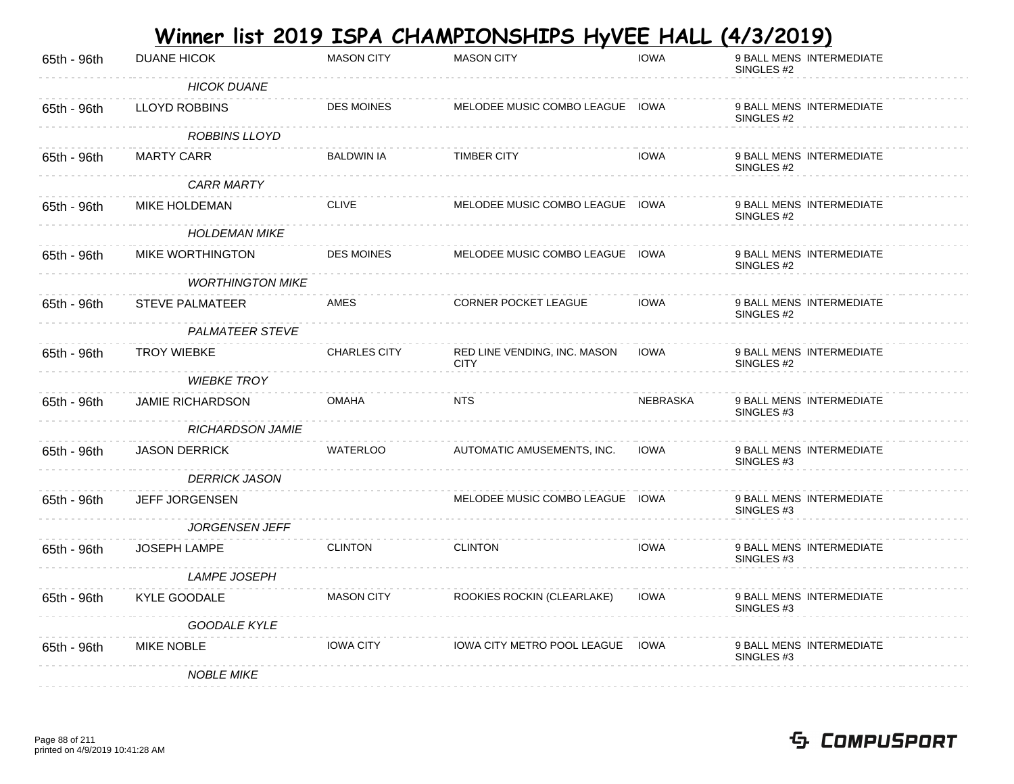|             |                         |                     | <u>Winner list 2019 ISPA CHAMPIONSHIPS HyVEE HALL</u> |             | <u>(4/3/2019)</u>                                 |
|-------------|-------------------------|---------------------|-------------------------------------------------------|-------------|---------------------------------------------------|
| 65th - 96th | <b>DUANE HICOK</b>      | <b>MASON CITY</b>   | <b>MASON CITY</b>                                     | <b>IOWA</b> | 9 BALL MENS INTERMEDIATE<br>SINGLES #2            |
|             | <b>HICOK DUANE</b>      |                     |                                                       |             |                                                   |
| 65th - 96th | <b>LLOYD ROBBINS</b>    | <b>DES MOINES</b>   | MELODEE MUSIC COMBO LEAGUE IOWA                       |             | 9 BALL MENS INTERMEDIATE<br>SINGLES #2            |
|             | ROBBINS LLOYD           |                     |                                                       |             |                                                   |
| 65th - 96th | <b>MARTY CARR</b>       | <b>BALDWIN IA</b>   | <b>TIMBER CITY</b>                                    | <b>IOWA</b> | 9 BALL MENS INTERMEDIATE<br>SINGLES #2            |
|             | <b>CARR MARTY</b>       |                     |                                                       |             |                                                   |
| 65th - 96th | MIKE HOLDEMAN           | <b>CLIVE</b>        | MELODEE MUSIC COMBO LEAGUE IOWA                       |             | 9 BALL MENS INTERMEDIATE<br>SINGLES #2            |
|             | <b>HOLDEMAN MIKE</b>    |                     |                                                       |             |                                                   |
| 65th - 96th | <b>MIKE WORTHINGTON</b> | <b>DES MOINES</b>   | MELODEE MUSIC COMBO LEAGUE IOWA                       |             | 9 BALL MENS INTERMEDIATE<br>SINGLES <sub>#2</sub> |
|             | <b>WORTHINGTON MIKE</b> |                     |                                                       |             |                                                   |
| 65th - 96th | <b>STEVE PALMATEER</b>  | AMES                | <b>CORNER POCKET LEAGUE</b>                           | <b>IOWA</b> | 9 BALL MENS INTERMEDIATE<br>SINGLES #2            |
|             | <b>PALMATEER STEVE</b>  |                     |                                                       |             |                                                   |
| 65th - 96th | <b>TROY WIEBKE</b>      | <b>CHARLES CITY</b> | RED LINE VENDING, INC. MASON<br><b>CITY</b>           | <b>IOWA</b> | 9 BALL MENS INTERMEDIATE<br>SINGLES #2            |
|             | <b>WIEBKE TROY</b>      |                     |                                                       |             |                                                   |
| 65th - 96th | <b>JAMIE RICHARDSON</b> | <b>OMAHA</b>        | <b>NTS</b>                                            | NEBRASKA    | 9 BALL MENS INTERMEDIATE<br>SINGLES #3            |
|             | <b>RICHARDSON JAMIE</b> |                     |                                                       |             |                                                   |
| 65th - 96th | <b>JASON DERRICK</b>    | <b>WATERLOO</b>     | AUTOMATIC AMUSEMENTS, INC.                            | <b>IOWA</b> | 9 BALL MENS INTERMEDIATE<br>SINGLES #3            |
|             | <b>DERRICK JASON</b>    |                     |                                                       |             |                                                   |
| 65th - 96th | <b>JEFF JORGENSEN</b>   |                     | MELODEE MUSIC COMBO LEAGUE IOWA                       |             | 9 BALL MENS INTERMEDIATE<br>SINGLES <sub>#3</sub> |
|             | JORGENSEN JEFF          |                     |                                                       |             |                                                   |
| 65th - 96th | <b>JOSEPH LAMPE</b>     | <b>CLINTON</b>      | <b>CLINTON</b>                                        | <b>IOWA</b> | 9 BALL MENS INTERMEDIATE<br>SINGLES #3            |
|             | <b>LAMPE JOSEPH</b>     |                     |                                                       |             |                                                   |
| 65th - 96th | KYLE GOODALE            | <b>MASON CITY</b>   | ROOKIES ROCKIN (CLEARLAKE)                            | <b>IOWA</b> | 9 BALL MENS INTERMEDIATE<br>SINGLES #3            |
|             | <b>GOODALE KYLE</b>     |                     |                                                       |             |                                                   |
| 65th - 96th | <b>MIKE NOBLE</b>       | <b>IOWA CITY</b>    | <b>IOWA CITY METRO POOL LEAGUE IOWA</b>               |             | 9 BALL MENS INTERMEDIATE<br>SINGLES #3            |
|             | <b>NOBLE MIKE</b>       |                     |                                                       |             |                                                   |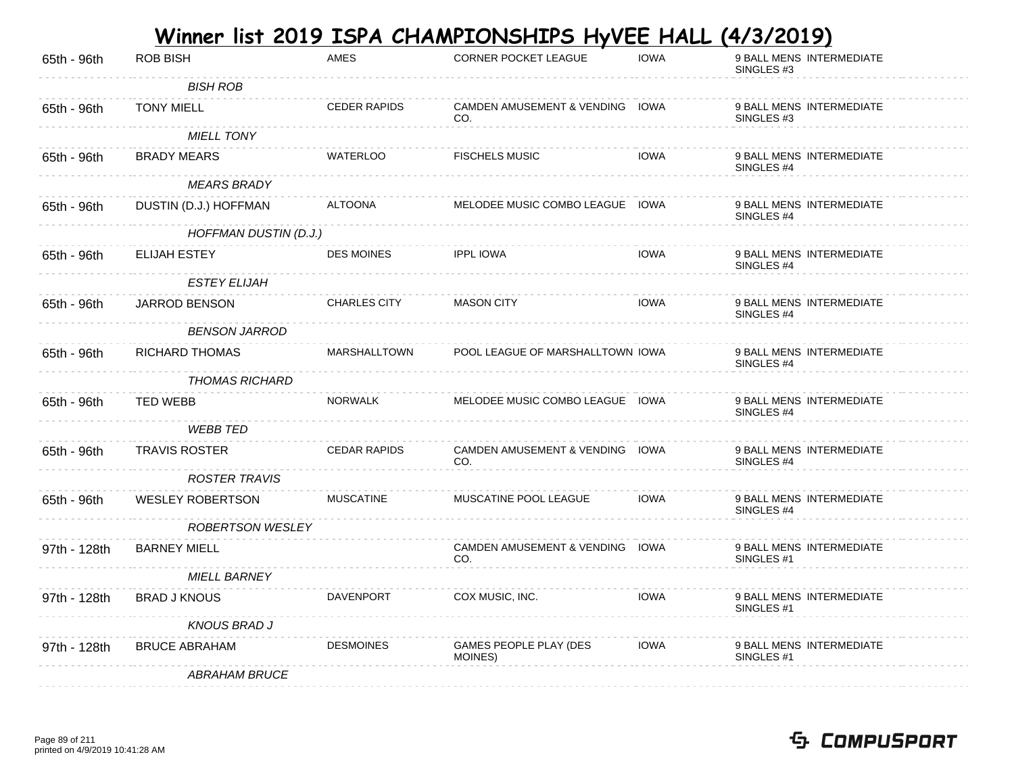|              |                         |                     | <u>Winner list 2019 ISPA CHAMPIONSHIPS HyVEE HALL</u> |             | <u>(4/3/2019)</u>                                 |
|--------------|-------------------------|---------------------|-------------------------------------------------------|-------------|---------------------------------------------------|
| 65th - 96th  | <b>ROB BISH</b>         | <b>AMES</b>         | CORNER POCKET LEAGUE                                  | <b>IOWA</b> | 9 BALL MENS INTERMEDIATE<br>SINGLES #3            |
|              | <b>BISH ROB</b>         |                     |                                                       |             |                                                   |
| 65th - 96th  | <b>TONY MIELL</b>       | <b>CEDER RAPIDS</b> | CAMDEN AMUSEMENT & VENDING IOWA<br>CO.                |             | 9 BALL MENS INTERMEDIATE<br>SINGLES #3            |
|              | <b>MIELL TONY</b>       |                     |                                                       |             |                                                   |
| 65th - 96th  | <b>BRADY MEARS</b>      | <b>WATERLOO</b>     | <b>FISCHELS MUSIC</b>                                 | <b>IOWA</b> | 9 BALL MENS INTERMEDIATE<br>SINGLES #4            |
|              | <b>MEARS BRADY</b>      |                     |                                                       |             |                                                   |
| 65th - 96th  | DUSTIN (D.J.) HOFFMAN   | <b>ALTOONA</b>      | MELODEE MUSIC COMBO LEAGUE IOWA                       |             | 9 BALL MENS INTERMEDIATE<br>SINGLES #4            |
|              | HOFFMAN DUSTIN (D.J.)   |                     |                                                       |             |                                                   |
| 65th - 96th  | ELIJAH ESTEY            | <b>DES MOINES</b>   | <b>IPPL IOWA</b>                                      | <b>IOWA</b> | 9 BALL MENS INTERMEDIATE<br>SINGLES #4            |
|              | <b>ESTEY ELIJAH</b>     |                     |                                                       |             |                                                   |
| 65th - 96th  | JARROD BENSON           | <b>CHARLES CITY</b> | <b>MASON CITY</b>                                     | <b>IOWA</b> | 9 BALL MENS INTERMEDIATE<br>SINGLES #4            |
|              | <b>BENSON JARROD</b>    |                     |                                                       |             |                                                   |
| 65th - 96th  | <b>RICHARD THOMAS</b>   | <b>MARSHALLTOWN</b> | POOL LEAGUE OF MARSHALLTOWN IOWA                      |             | 9 BALL MENS INTERMEDIATE<br>SINGLES #4            |
|              | THOMAS RICHARD          |                     |                                                       |             |                                                   |
| 65th - 96th  | <b>TED WEBB</b>         | <b>NORWALK</b>      | MELODEE MUSIC COMBO LEAGUE IOWA                       |             | 9 BALL MENS INTERMEDIATE<br>SINGLES #4            |
|              | <b>WEBB TED</b>         |                     |                                                       |             |                                                   |
| 65th - 96th  | <b>TRAVIS ROSTER</b>    | <b>CEDAR RAPIDS</b> | CAMDEN AMUSEMENT & VENDING IOWA<br>CO.                |             | 9 BALL MENS INTERMEDIATE<br>SINGLES #4            |
|              | <b>ROSTER TRAVIS</b>    |                     |                                                       |             |                                                   |
| 65th - 96th  | <b>WESLEY ROBERTSON</b> | <b>MUSCATINE</b>    | MUSCATINE POOL LEAGUE                                 | <b>IOWA</b> | 9 BALL MENS INTERMEDIATE<br>SINGLES #4            |
|              | <b>ROBERTSON WESLEY</b> |                     |                                                       |             |                                                   |
| 97th - 128th | <b>BARNEY MIELL</b>     |                     | CAMDEN AMUSEMENT & VENDING IOWA<br>CO.                |             | 9 BALL MENS INTERMEDIATE<br>SINGLES <sub>#1</sub> |
|              | <b>MIELL BARNEY</b>     |                     |                                                       |             |                                                   |
| 97th - 128th | <b>BRAD J KNOUS</b>     | DAVENPORT           | COX MUSIC, INC.                                       | <b>IOWA</b> | 9 BALL MENS INTERMEDIATE<br>SINGLES #1            |
|              | <b>KNOUS BRAD J</b>     |                     |                                                       |             |                                                   |
| 97th - 128th | <b>BRUCE ABRAHAM</b>    | <b>DESMOINES</b>    | GAMES PEOPLE PLAY (DES<br>MOINES)                     | <b>IOWA</b> | 9 BALL MENS INTERMEDIATE<br>SINGLES #1            |
|              | <b>ABRAHAM BRUCE</b>    |                     |                                                       |             |                                                   |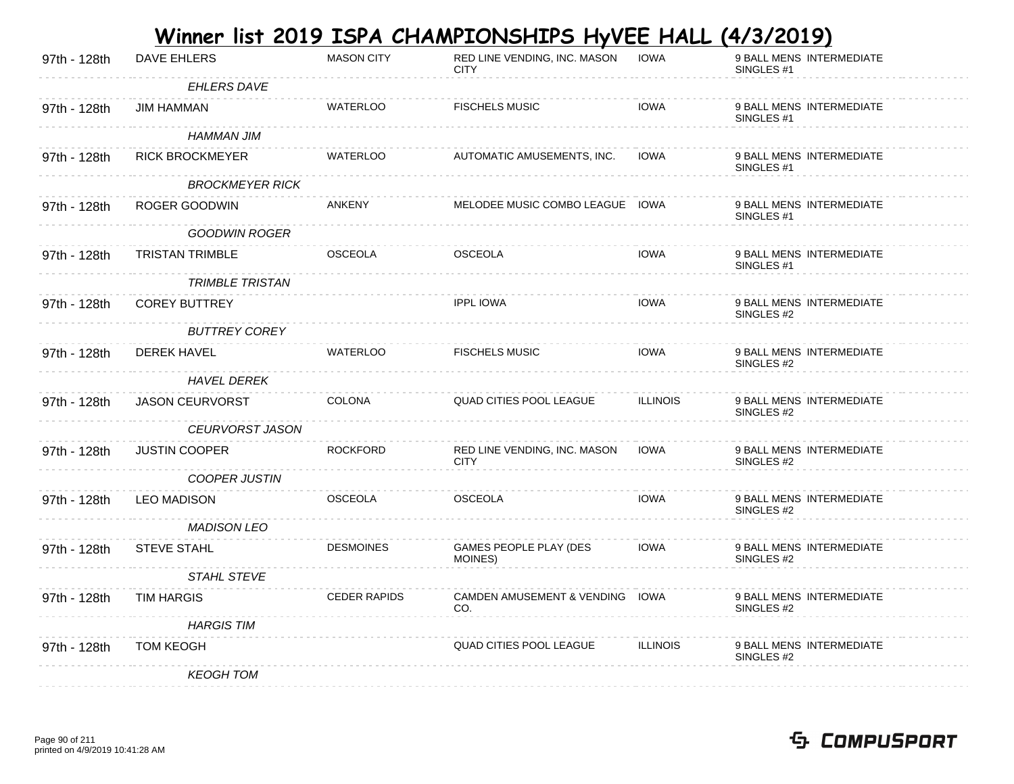|              |                        |                     | <u>Winner list 2019 ISPA CHAMPIONSHIPS HyVEE HALL</u> |                 | (4/3/2019)                                        |
|--------------|------------------------|---------------------|-------------------------------------------------------|-----------------|---------------------------------------------------|
| 97th - 128th | DAVE EHLERS            | <b>MASON CITY</b>   | RED LINE VENDING, INC. MASON<br><b>CITY</b>           | <b>IOWA</b>     | 9 BALL MENS INTERMEDIATE<br>SINGLES <sub>#1</sub> |
|              | <b>EHLERS DAVE</b>     |                     |                                                       |                 |                                                   |
| 97th - 128th | JIM HAMMAN             | <b>WATERLOO</b>     | <b>FISCHELS MUSIC</b>                                 | <b>IOWA</b>     | 9 BALL MENS INTERMEDIATE<br>SINGLES <sub>#1</sub> |
|              | HAMMAN JIM             |                     |                                                       |                 |                                                   |
| 97th - 128th | <b>RICK BROCKMEYER</b> | WATERLOO            | AUTOMATIC AMUSEMENTS, INC.                            | <b>IOWA</b>     | 9 BALL MENS INTERMEDIATE<br>SINGLES <sub>#1</sub> |
|              | <b>BROCKMEYER RICK</b> |                     |                                                       |                 |                                                   |
| 97th - 128th | ROGER GOODWIN          | ANKENY              | MELODEE MUSIC COMBO LEAGUE IOWA                       |                 | 9 BALL MENS INTERMEDIATE<br>SINGLES <sub>#1</sub> |
|              | GOODWIN ROGER          |                     |                                                       |                 |                                                   |
| 97th - 128th | <b>TRISTAN TRIMBLE</b> | <b>OSCEOLA</b>      | <b>OSCEOLA</b>                                        | <b>IOWA</b>     | 9 BALL MENS INTERMEDIATE<br>SINGLES <sub>#1</sub> |
|              | <b>TRIMBLE TRISTAN</b> |                     |                                                       |                 |                                                   |
| 97th - 128th | <b>COREY BUTTREY</b>   |                     | <b>IPPL IOWA</b>                                      | <b>IOWA</b>     | 9 BALL MENS INTERMEDIATE<br>SINGLES #2            |
|              | <b>BUTTREY COREY</b>   |                     |                                                       |                 |                                                   |
| 97th - 128th | <b>DEREK HAVEL</b>     | <b>WATERLOO</b>     | <b>FISCHELS MUSIC</b>                                 | <b>IOWA</b>     | 9 BALL MENS INTERMEDIATE<br>SINGLES #2            |
|              | <b>HAVEL DEREK</b>     |                     |                                                       |                 |                                                   |
| 97th - 128th | <b>JASON CEURVORST</b> | <b>COLONA</b>       | QUAD CITIES POOL LEAGUE                               | <b>ILLINOIS</b> | 9 BALL MENS INTERMEDIATE<br>SINGLES #2            |
|              | <b>CEURVORST JASON</b> |                     |                                                       |                 |                                                   |
| 97th - 128th | <b>JUSTIN COOPER</b>   | <b>ROCKFORD</b>     | RED LINE VENDING, INC. MASON<br><b>CITY</b>           | <b>IOWA</b>     | 9 BALL MENS INTERMEDIATE<br>SINGLES #2            |
|              | <b>COOPER JUSTIN</b>   |                     |                                                       |                 |                                                   |
| 97th - 128th | <b>LEO MADISON</b>     | <b>OSCEOLA</b>      | <b>OSCEOLA</b>                                        | <b>IOWA</b>     | 9 BALL MENS INTERMEDIATE<br>SINGLES #2            |
|              | <b>MADISON LEO</b>     |                     |                                                       |                 |                                                   |
| 97th - 128th | <b>STEVE STAHL</b>     | <b>DESMOINES</b>    | GAMES PEOPLE PLAY (DES<br>MOINES)                     | <b>IOWA</b>     | 9 BALL MENS INTERMEDIATE<br>SINGLES #2            |
|              | <b>STAHL STEVE</b>     |                     |                                                       |                 |                                                   |
| 97th - 128th | TIM HARGIS             | <b>CEDER RAPIDS</b> | CAMDEN AMUSEMENT & VENDING IOWA<br>CO.                |                 | 9 BALL MENS INTERMEDIATE<br>SINGLES #2            |
|              | <b>HARGIS TIM</b>      |                     |                                                       |                 |                                                   |
| 97th - 128th | <b>TOM KEOGH</b>       |                     | <b>QUAD CITIES POOL LEAGUE</b>                        | <b>ILLINOIS</b> | 9 BALL MENS INTERMEDIATE<br>SINGLES #2            |
|              | <b>KEOGH TOM</b>       |                     |                                                       |                 |                                                   |

#### Page 90 of 211 printed on 4/9/2019 10:41:28 AM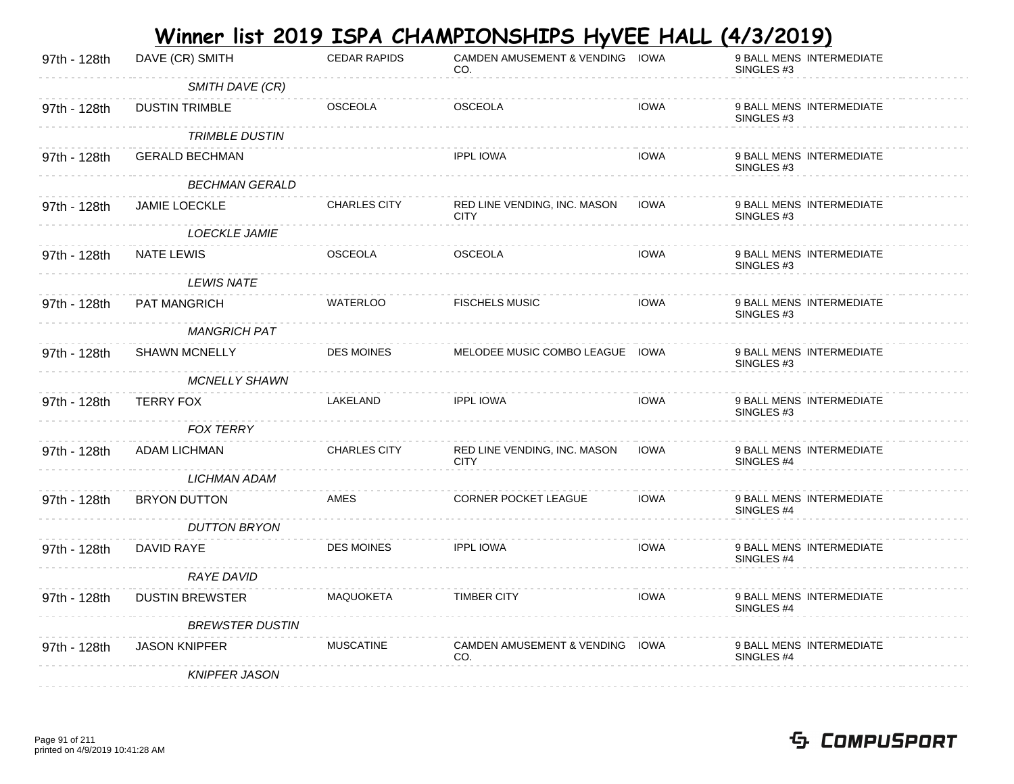|              |                        |                     | <u>Winner list 2019 ISPA CHAMPIONSHIPS HyVEE HALL</u> |             | <u>(4/3/2019)</u>                                 |
|--------------|------------------------|---------------------|-------------------------------------------------------|-------------|---------------------------------------------------|
| 97th - 128th | DAVE (CR) SMITH        | <b>CEDAR RAPIDS</b> | CAMDEN AMUSEMENT & VENDING IOWA<br>CO.                |             | 9 BALL MENS INTERMEDIATE<br>SINGLES #3            |
|              | SMITH DAVE (CR)        |                     |                                                       |             |                                                   |
| 97th - 128th | <b>DUSTIN TRIMBLE</b>  | <b>OSCEOLA</b>      | <b>OSCEOLA</b>                                        | <b>IOWA</b> | 9 BALL MENS INTERMEDIATE<br>SINGLES #3            |
|              | <b>TRIMBLE DUSTIN</b>  |                     |                                                       |             |                                                   |
| 97th - 128th | <b>GERALD BECHMAN</b>  |                     | <b>IPPL IOWA</b>                                      | <b>IOWA</b> | 9 BALL MENS INTERMEDIATE<br>SINGLES #3            |
|              | <b>BECHMAN GERALD</b>  |                     |                                                       |             |                                                   |
| 97th - 128th | <b>JAMIE LOECKLE</b>   | <b>CHARLES CITY</b> | RED LINE VENDING, INC. MASON<br><b>CITY</b>           | <b>IOWA</b> | 9 BALL MENS INTERMEDIATE<br>SINGLES #3            |
|              | <b>LOECKLE JAMIE</b>   |                     |                                                       |             |                                                   |
| 97th - 128th | <b>NATE LEWIS</b>      | <b>OSCEOLA</b>      | <b>OSCEOLA</b>                                        | <b>IOWA</b> | 9 BALL MENS INTERMEDIATE<br>SINGLES #3            |
|              | <b>LEWIS NATE</b>      |                     |                                                       |             |                                                   |
| 97th - 128th | PAT MANGRICH           | <b>WATERLOO</b>     | <b>FISCHELS MUSIC</b>                                 | <b>IOWA</b> | 9 BALL MENS INTERMEDIATE<br>SINGLES #3            |
|              | <b>MANGRICH PAT</b>    |                     |                                                       |             |                                                   |
| 97th - 128th | <b>SHAWN MCNELLY</b>   | <b>DES MOINES</b>   | MELODEE MUSIC COMBO LEAGUE IOWA                       |             | 9 BALL MENS INTERMEDIATE<br>SINGLES #3            |
|              | <b>MCNELLY SHAWN</b>   |                     |                                                       |             |                                                   |
| 97th - 128th | <b>TERRY FOX</b>       | LAKELAND            | <b>IPPL IOWA</b>                                      | <b>IOWA</b> | 9 BALL MENS INTERMEDIATE<br>SINGLES #3            |
|              | <b>FOX TERRY</b>       |                     |                                                       |             |                                                   |
| 97th - 128th | ADAM LICHMAN           | <b>CHARLES CITY</b> | RED LINE VENDING, INC. MASON<br><b>CITY</b>           | <b>IOWA</b> | 9 BALL MENS INTERMEDIATE<br>SINGLES #4            |
|              | LICHMAN ADAM           |                     |                                                       |             |                                                   |
| 97th - 128th | <b>BRYON DUTTON</b>    | AMES                | CORNER POCKET LEAGUE                                  | <b>IOWA</b> | 9 BALL MENS INTERMEDIATE<br>SINGLES <sub>#4</sub> |
|              | <b>DUTTON BRYON</b>    |                     |                                                       |             |                                                   |
| 97th - 128th | DAVID RAYE             | <b>DES MOINES</b>   | <b>IPPL IOWA</b>                                      | <b>IOWA</b> | 9 BALL MENS INTERMEDIATE<br>SINGLES #4            |
|              | <b>RAYE DAVID</b>      |                     |                                                       |             |                                                   |
| 97th - 128th | <b>DUSTIN BREWSTER</b> | MAQUOKETA           | <b>TIMBER CITY</b>                                    | <b>IOWA</b> | 9 BALL MENS INTERMEDIATE<br>SINGLES #4            |
|              | <b>BREWSTER DUSTIN</b> |                     |                                                       |             |                                                   |
| 97th - 128th | <b>JASON KNIPFER</b>   | <b>MUSCATINE</b>    | CAMDEN AMUSEMENT & VENDING IOWA<br>CO.                |             | 9 BALL MENS INTERMEDIATE<br>SINGLES #4            |
|              | <b>KNIPFER JASON</b>   |                     |                                                       |             |                                                   |

#### Page 91 of 211 printed on 4/9/2019 10:41:28 AM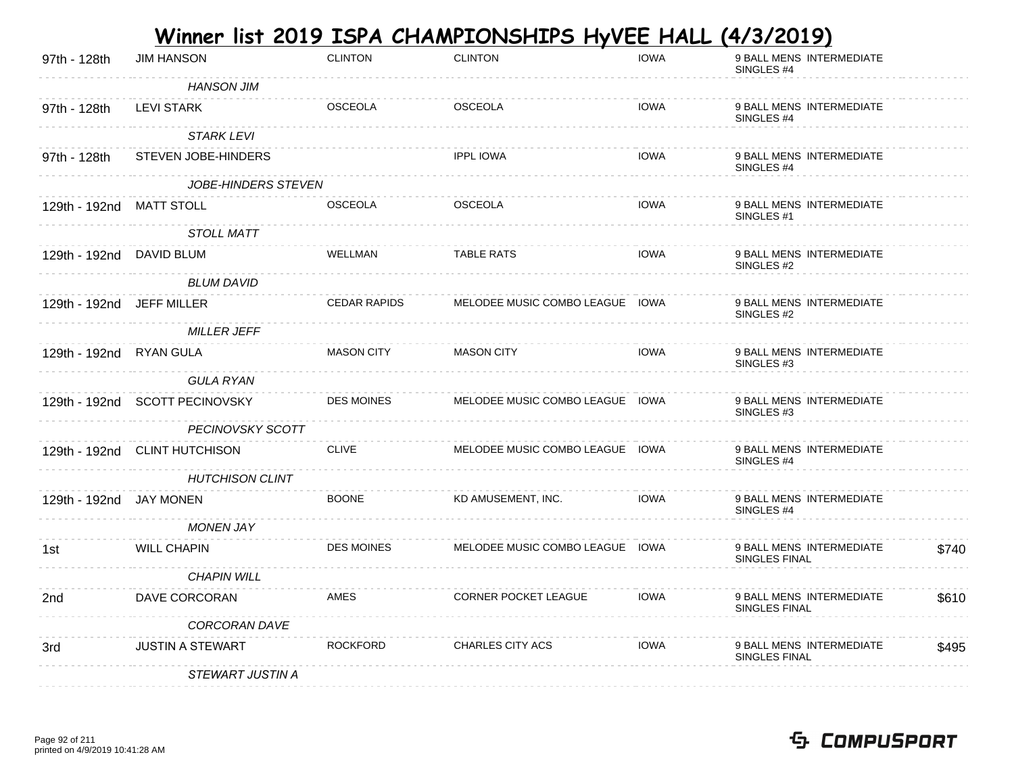|                           |                                |                     | <u>Winner list 2019 ISPA CHAMPIONSHIPS HyVEE HALL</u> |             | <u>(4/3/2019)</u>                                 |       |
|---------------------------|--------------------------------|---------------------|-------------------------------------------------------|-------------|---------------------------------------------------|-------|
| 97th - 128th              | <b>JIM HANSON</b>              | <b>CLINTON</b>      | <b>CLINTON</b>                                        | <b>IOWA</b> | 9 BALL MENS INTERMEDIATE<br>SINGLES #4            |       |
|                           | <b>HANSON JIM</b>              |                     |                                                       |             |                                                   |       |
| 97th - 128th              | <b>LEVI STARK</b>              | <b>OSCEOLA</b>      | <b>OSCEOLA</b>                                        | <b>IOWA</b> | 9 BALL MENS INTERMEDIATE<br>SINGLES #4            |       |
|                           | <b>STARK LEVI</b>              |                     |                                                       |             |                                                   |       |
| 97th - 128th              | STEVEN JOBE-HINDERS            |                     | <b>IPPL IOWA</b>                                      | <b>IOWA</b> | 9 BALL MENS INTERMEDIATE<br>SINGLES #4            |       |
|                           | JOBE-HINDERS STEVEN            |                     |                                                       |             |                                                   |       |
| 129th - 192nd             | MATT STOLL                     | <b>OSCEOLA</b>      | <b>OSCEOLA</b>                                        | <b>IOWA</b> | 9 BALL MENS INTERMEDIATE<br>SINGLES #1            |       |
|                           | <b>STOLL MATT</b>              |                     |                                                       |             |                                                   |       |
| 129th - 192nd DAVID BLUM  |                                | <b>WELLMAN</b>      | <b>TABLE RATS</b>                                     | <b>IOWA</b> | 9 BALL MENS INTERMEDIATE<br>SINGLES #2            |       |
|                           | <b>BLUM DAVID</b>              |                     |                                                       |             |                                                   |       |
| 129th - 192nd JEFF MILLER |                                | <b>CEDAR RAPIDS</b> | MELODEE MUSIC COMBO LEAGUE IOWA                       |             | 9 BALL MENS INTERMEDIATE<br>SINGLES #2            |       |
|                           | <b>MILLER JEFF</b>             |                     |                                                       |             |                                                   |       |
| 129th - 192nd RYAN GULA   |                                | <b>MASON CITY</b>   | <b>MASON CITY</b>                                     | <b>IOWA</b> | 9 BALL MENS INTERMEDIATE<br>SINGLES #3            |       |
|                           | <b>GULA RYAN</b>               |                     |                                                       |             |                                                   |       |
|                           | 129th - 192nd SCOTT PECINOVSKY | <b>DES MOINES</b>   | MELODEE MUSIC COMBO LEAGUE IOWA                       |             | 9 BALL MENS INTERMEDIATE<br>SINGLES <sub>#3</sub> |       |
|                           | <b>PECINOVSKY SCOTT</b>        |                     |                                                       |             |                                                   |       |
|                           | 129th - 192nd CLINT HUTCHISON  | <b>CLIVE</b>        | MELODEE MUSIC COMBO LEAGUE IOWA                       |             | 9 BALL MENS INTERMEDIATE<br>SINGLES <sub>#4</sub> |       |
|                           | <b>HUTCHISON CLINT</b>         |                     |                                                       |             |                                                   |       |
| 129th - 192nd JAY MONEN   |                                | <b>BOONE</b>        | KD AMUSEMENT, INC.                                    | <b>IOWA</b> | 9 BALL MENS INTERMEDIATE<br>SINGLES <sub>#4</sub> |       |
|                           | <b>MONEN JAY</b>               |                     |                                                       |             |                                                   |       |
| 1st                       | <b>WILL CHAPIN</b>             | <b>DES MOINES</b>   | MELODEE MUSIC COMBO LEAGUE IOWA                       |             | 9 BALL MENS INTERMEDIATE<br>SINGLES FINAL         | \$740 |
|                           | <b>CHAPIN WILL</b>             |                     |                                                       |             |                                                   |       |
| 2nd                       | DAVE CORCORAN                  | <b>AMES</b>         | CORNER POCKET LEAGUE                                  | <b>IOWA</b> | 9 BALL MENS INTERMEDIATE<br>SINGLES FINAL         | \$610 |
|                           | CORCORAN DAVE                  |                     |                                                       |             |                                                   |       |
| 3rd                       | JUSTIN A STEWART               | <b>ROCKFORD</b>     | <b>CHARLES CITY ACS</b>                               | <b>IOWA</b> | 9 BALL MENS INTERMEDIATE<br>SINGLES FINAL         | \$495 |
|                           | STEWART JUSTIN A               |                     |                                                       |             |                                                   |       |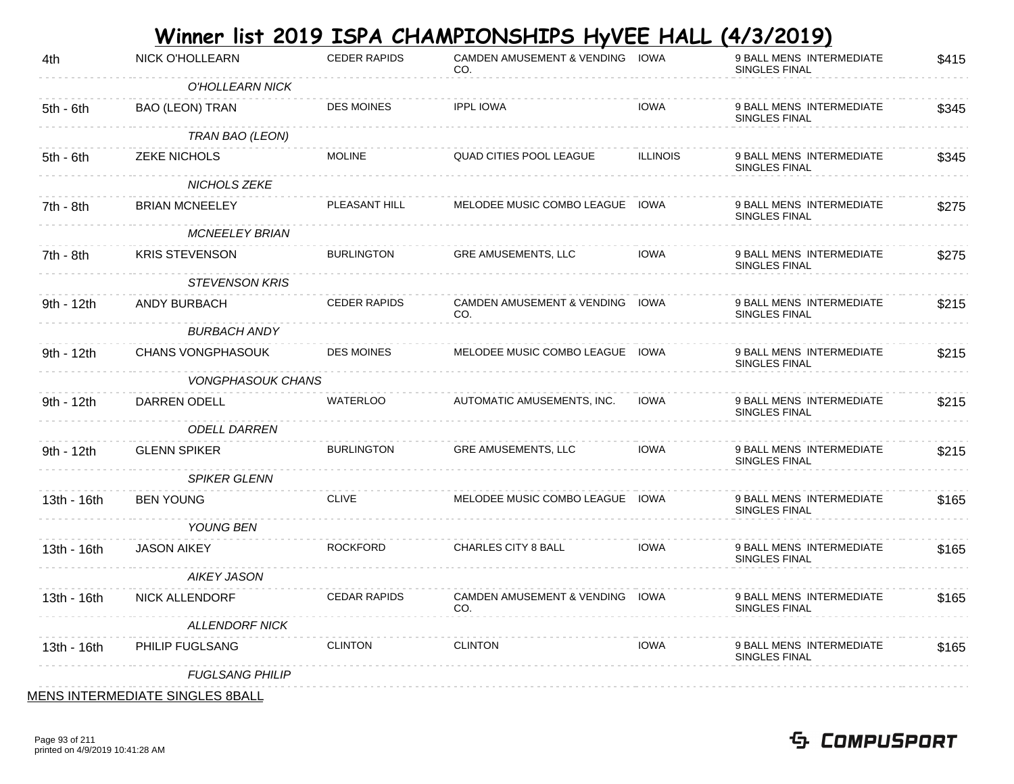|             |                                        |                     | Winner list 2019 ISPA CHAMPIONSHIPS HyVEE HALL (4/3/2019) |                 |                                           |       |
|-------------|----------------------------------------|---------------------|-----------------------------------------------------------|-----------------|-------------------------------------------|-------|
| 4th         | <b>NICK O'HOLLEARN</b>                 | <b>CEDER RAPIDS</b> | CAMDEN AMUSEMENT & VENDING IOWA<br>CO.                    |                 | 9 BALL MENS INTERMEDIATE<br>SINGLES FINAL | \$415 |
|             | O'HOLLEARN NICK                        |                     |                                                           |                 |                                           |       |
| 5th - 6th   | <b>BAO (LEON) TRAN</b>                 | <b>DES MOINES</b>   | <b>IPPL IOWA</b>                                          | <b>IOWA</b>     | 9 BALL MENS INTERMEDIATE<br>SINGLES FINAL | \$345 |
|             | TRAN BAO (LEON)                        |                     |                                                           |                 |                                           |       |
| 5th - 6th   | <b>ZEKE NICHOLS</b>                    | <b>MOLINE</b>       | <b>QUAD CITIES POOL LEAGUE</b>                            | <b>ILLINOIS</b> | 9 BALL MENS INTERMEDIATE<br>SINGLES FINAL | \$345 |
|             | NICHOLS ZEKE                           |                     |                                                           |                 |                                           |       |
| 7th - 8th   | <b>BRIAN MCNEELEY</b>                  | PLEASANT HILL       | MELODEE MUSIC COMBO LEAGUE IOWA                           |                 | 9 BALL MENS INTERMEDIATE<br>SINGLES FINAL | \$275 |
|             | <b>MCNEELEY BRIAN</b>                  |                     |                                                           |                 |                                           |       |
| 7th - 8th   | <b>KRIS STEVENSON</b>                  | <b>BURLINGTON</b>   | <b>GRE AMUSEMENTS, LLC</b>                                | IOWA            | 9 BALL MENS INTERMEDIATE<br>SINGLES FINAL | \$275 |
|             | <b>STEVENSON KRIS</b>                  |                     |                                                           |                 |                                           |       |
| 9th - 12th  | ANDY BURBACH                           | <b>CEDER RAPIDS</b> | CAMDEN AMUSEMENT & VENDING IOWA<br>CO.                    |                 | 9 BALL MENS INTERMEDIATE<br>SINGLES FINAL | \$215 |
|             | <b>BURBACH ANDY</b>                    |                     |                                                           |                 |                                           |       |
| 9th - 12th  | <b>CHANS VONGPHASOUK</b>               | <b>DES MOINES</b>   | MELODEE MUSIC COMBO LEAGUE IOWA                           |                 | 9 BALL MENS INTERMEDIATE<br>SINGLES FINAL | \$215 |
|             | <i>VONGPHASOUK CHANS</i>               |                     |                                                           |                 |                                           |       |
| 9th - 12th  | DARREN ODELL                           | <b>WATERLOO</b>     | AUTOMATIC AMUSEMENTS, INC.                                | <b>IOWA</b>     | 9 BALL MENS INTERMEDIATE<br>SINGLES FINAL | \$215 |
|             | <b>ODELL DARREN</b>                    |                     |                                                           |                 |                                           |       |
| 9th - 12th  | <b>GLENN SPIKER</b>                    | <b>BURLINGTON</b>   | <b>GRE AMUSEMENTS, LLC</b>                                | <b>IOWA</b>     | 9 BALL MENS INTERMEDIATE<br>SINGLES FINAL | \$215 |
|             | <b>SPIKER GLENN</b>                    |                     |                                                           |                 |                                           |       |
| 13th - 16th | <b>BEN YOUNG</b>                       | <b>CLIVE</b>        | MELODEE MUSIC COMBO LEAGUE IOWA                           |                 | 9 BALL MENS INTERMEDIATE<br>SINGLES FINAL | \$165 |
|             | YOUNG BEN                              |                     |                                                           |                 |                                           |       |
| 13th - 16th | <b>JASON AIKEY</b>                     | <b>ROCKFORD</b>     | <b>CHARLES CITY 8 BALL</b>                                | IOWA            | 9 BALL MENS INTERMEDIATE<br>SINGLES FINAL | \$165 |
|             | AIKEY JASON                            |                     |                                                           |                 |                                           |       |
| 13th - 16th | NICK ALLENDORF                         | <b>CEDAR RAPIDS</b> | CAMDEN AMUSEMENT & VENDING IOWA<br>CO.                    |                 | 9 BALL MENS INTERMEDIATE<br>SINGLES FINAL | \$165 |
|             | <b>ALLENDORF NICK</b>                  |                     |                                                           |                 |                                           |       |
| 13th - 16th | PHILIP FUGLSANG                        | <b>CLINTON</b>      | <b>CLINTON</b>                                            | <b>IOWA</b>     | 9 BALL MENS INTERMEDIATE<br>SINGLES FINAL | \$165 |
|             | <b>FUGLSANG PHILIP</b>                 |                     |                                                           |                 |                                           |       |
|             | <b>MENS INTERMEDIATE SINGLES 8BALL</b> |                     |                                                           |                 |                                           |       |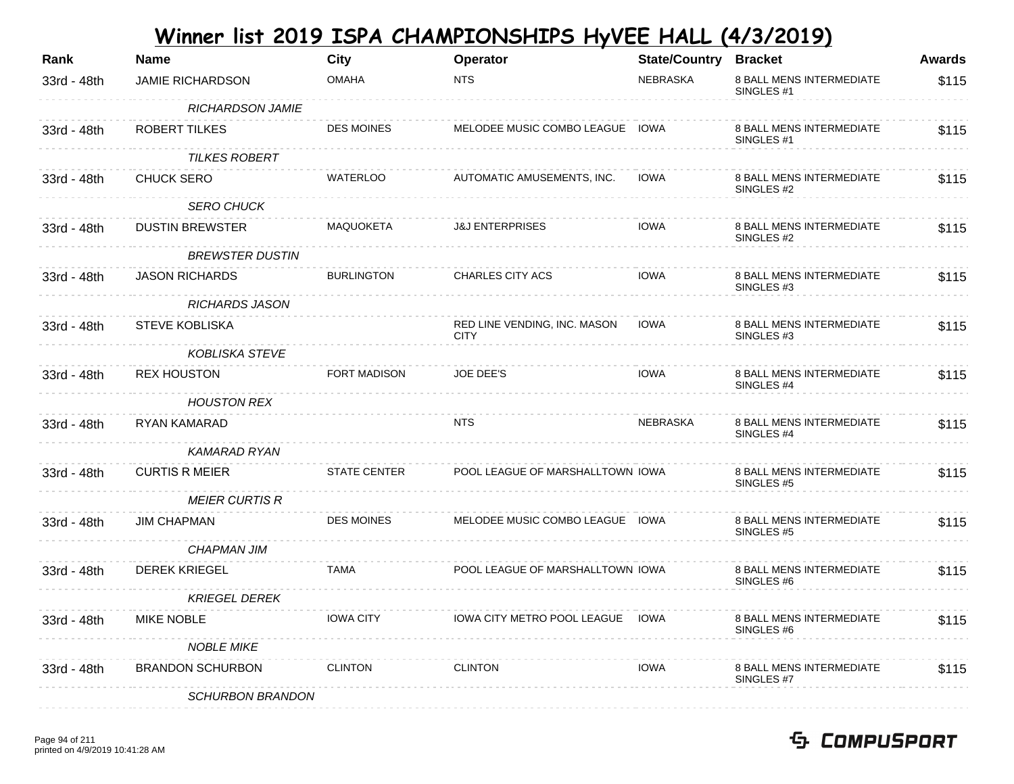| Rank        | <b>Name</b>             | <b>City</b>         | Operator                                    | <b>State/Country</b> | <b>Bracket</b>                                           | <b>Awards</b> |
|-------------|-------------------------|---------------------|---------------------------------------------|----------------------|----------------------------------------------------------|---------------|
| 33rd - 48th | <b>JAMIE RICHARDSON</b> | <b>OMAHA</b>        | <b>NTS</b>                                  | <b>NEBRASKA</b>      | 8 BALL MENS INTERMEDIATE<br>SINGLES #1                   | \$115         |
|             | <b>RICHARDSON JAMIE</b> |                     |                                             |                      |                                                          |               |
| 33rd - 48th | ROBERT TILKES           | <b>DES MOINES</b>   | MELODEE MUSIC COMBO LEAGUE IOWA             |                      | 8 BALL MENS INTERMEDIATE<br>SINGLES #1                   | \$115         |
|             | <b>TILKES ROBERT</b>    |                     |                                             |                      |                                                          |               |
| 33rd - 48th | <b>CHUCK SERO</b>       | <b>WATERLOO</b>     | AUTOMATIC AMUSEMENTS, INC.                  | <b>IOWA</b>          | 8 BALL MENS INTERMEDIATE<br>SINGLES #2                   | \$115         |
|             | <b>SERO CHUCK</b>       |                     |                                             |                      |                                                          |               |
| 33rd - 48th | <b>DUSTIN BREWSTER</b>  | MAQUOKETA           | <b>J&amp;J ENTERPRISES</b>                  | <b>IOWA</b>          | 8 BALL MENS INTERMEDIATE<br>SINGLES #2                   | \$115         |
|             | <b>BREWSTER DUSTIN</b>  |                     |                                             |                      |                                                          |               |
| 33rd - 48th | <b>JASON RICHARDS</b>   | <b>BURLINGTON</b>   | CHARLES CITY ACS                            | <b>IOWA</b>          | 8 BALL MENS INTERMEDIATE<br>SINGLES #3                   | \$115         |
|             | <b>RICHARDS JASON</b>   |                     |                                             |                      |                                                          |               |
| 33rd - 48th | <b>STEVE KOBLISKA</b>   |                     | RED LINE VENDING, INC. MASON<br><b>CITY</b> | <b>IOWA</b>          | 8 BALL MENS INTERMEDIATE<br>SINGLES #3                   | \$115         |
|             | <b>KOBLISKA STEVE</b>   |                     |                                             |                      |                                                          |               |
| 33rd - 48th | <b>REX HOUSTON</b>      | FORT MADISON        | <b>JOE DEE'S</b>                            | <b>IOWA</b>          | 8 BALL MENS INTERMEDIATE<br>SINGLES #4                   | \$115         |
|             | <b>HOUSTON REX</b>      |                     |                                             |                      |                                                          |               |
| 33rd - 48th | RYAN KAMARAD            |                     | NTS.                                        | <b>NEBRASKA</b>      | 8 BALL MENS INTERMEDIATE<br>SINGLES #4                   | \$115         |
|             | <b>KAMARAD RYAN</b>     |                     |                                             |                      |                                                          |               |
| 33rd - 48th | <b>CURTIS R MEIER</b>   | <b>STATE CENTER</b> | POOL LEAGUE OF MARSHALLTOWN IOWA            |                      | 8 BALL MENS INTERMEDIATE<br>SINGLES <sub>#5</sub>        | \$115         |
|             | <b>MEIER CURTIS R</b>   |                     |                                             |                      |                                                          |               |
| 33rd - 48th | <b>JIM CHAPMAN</b>      | <b>DES MOINES</b>   | MELODEE MUSIC COMBO LEAGUE IOWA             |                      | 8 BALL MENS INTERMEDIATE<br>SINGLES <sub>#5</sub>        | \$115         |
|             | <b>CHAPMAN JIM</b>      |                     |                                             |                      |                                                          |               |
| 33rd - 48th | <b>DEREK KRIEGEL</b>    | <b>TAMA</b>         | POOL LEAGUE OF MARSHALLTOWN IOWA            |                      | 8 BALL MENS INTERMEDIATE<br>SINGLES #6                   | \$115         |
|             | <b>KRIEGEL DEREK</b>    |                     |                                             |                      |                                                          |               |
| 33rd - 48th | <b>MIKE NOBLE</b>       | <b>IOWA CITY</b>    | IOWA CITY METRO POOL LEAGUE                 | <b>IOWA</b>          | <b>8 BALL MENS INTERMEDIATE</b><br>SINGLES <sub>#6</sub> | \$115         |
|             | <b>NOBLE MIKE</b>       |                     |                                             |                      |                                                          |               |
| 33rd - 48th | <b>BRANDON SCHURBON</b> | <b>CLINTON</b>      | <b>CLINTON</b>                              | <b>IOWA</b>          | 8 BALL MENS INTERMEDIATE<br>SINGLES #7                   | \$115         |
|             | <b>SCHURBON BRANDON</b> |                     |                                             |                      |                                                          |               |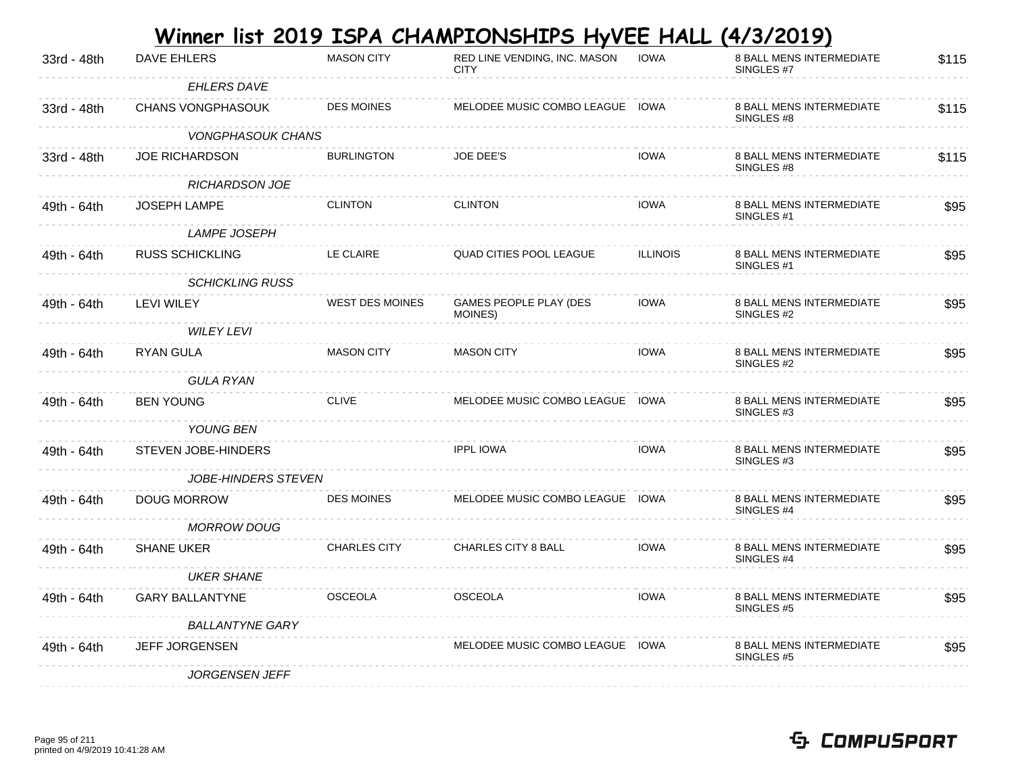|             |             |                   | Winner list 2019 ISPA CHAMPIONSHIPS HyVEE HALL (4/3/2019) |             |                          |
|-------------|-------------|-------------------|-----------------------------------------------------------|-------------|--------------------------|
| 33rd - 48th | DAVE EHLERS | <b>MASON CITY</b> | RED LINE VENDING. INC. MASON                              | <b>IOWA</b> | 8 BALL MENS INTERMEDIATE |

| 33rd - 48th | DAVE EHLERS              | <b>MASON CITY</b>      | RED LINE VENDING, INC. MASON<br><b>CITY</b> | IOWA            | 8 BALL MENS INTERMEDIATE<br>SINGLES #7            | \$115 |
|-------------|--------------------------|------------------------|---------------------------------------------|-----------------|---------------------------------------------------|-------|
|             | <b>EHLERS DAVE</b>       |                        |                                             |                 |                                                   |       |
| 33rd - 48th | <b>CHANS VONGPHASOUK</b> | <b>DES MOINES</b>      | MELODEE MUSIC COMBO LEAGUE IOWA             |                 | 8 BALL MENS INTERMEDIATE<br>SINGLES #8            | \$115 |
|             | <b>VONGPHASOUK CHANS</b> |                        |                                             |                 |                                                   |       |
| 33rd - 48th | <b>JOE RICHARDSON</b>    | <b>BURLINGTON</b>      | JOE DEE'S                                   | <b>IOWA</b>     | 8 BALL MENS INTERMEDIATE<br>SINGLES #8            | \$115 |
|             | <b>RICHARDSON JOE</b>    |                        |                                             |                 |                                                   |       |
| 49th - 64th | <b>JOSEPH LAMPE</b>      | <b>CLINTON</b>         | <b>CLINTON</b>                              | <b>IOWA</b>     | 8 BALL MENS INTERMEDIATE<br>SINGLES <sub>#1</sub> | \$95  |
|             | <b>LAMPE JOSEPH</b>      |                        |                                             |                 |                                                   |       |
| 49th - 64th | <b>RUSS SCHICKLING</b>   | LE CLAIRE              | <b>QUAD CITIES POOL LEAGUE</b>              | <b>ILLINOIS</b> | 8 BALL MENS INTERMEDIATE<br>SINGLES <sub>#1</sub> | \$95  |
|             | <b>SCHICKLING RUSS</b>   |                        |                                             |                 |                                                   |       |
| 49th - 64th | LEVI WILEY               | <b>WEST DES MOINES</b> | GAMES PEOPLE PLAY (DES<br>MOINES)           | <b>IOWA</b>     | 8 BALL MENS INTERMEDIATE<br>SINGLES #2            | \$95  |
|             | <i>WILEY LEVI</i>        |                        |                                             |                 |                                                   |       |
| 49th - 64th | RYAN GULA                | <b>MASON CITY</b>      | <b>MASON CITY</b>                           | <b>IOWA</b>     | 8 BALL MENS INTERMEDIATE<br>SINGLES #2            | \$95  |
|             | GULA RYAN                |                        |                                             |                 |                                                   |       |
| 49th - 64th | <b>BEN YOUNG</b>         | <b>CLIVE</b>           | MELODEE MUSIC COMBO LEAGUE IOWA             |                 | 8 BALL MENS INTERMEDIATE<br>SINGLES #3            | \$95  |
|             | YOUNG BEN                |                        |                                             |                 |                                                   |       |
| 49th - 64th | STEVEN JOBE-HINDERS      |                        | <b>IPPL IOWA</b>                            | <b>IOWA</b>     | <b>8 BALL MENS INTERMEDIATE</b><br>SINGLES #3     | \$95  |
|             | JOBE-HINDERS STEVEN      |                        |                                             |                 |                                                   |       |
| 49th - 64th | <b>DOUG MORROW</b>       | <b>DES MOINES</b>      | MELODEE MUSIC COMBO LEAGUE IOWA             |                 | 8 BALL MENS INTERMEDIATE<br>SINGLES #4            | \$95  |
|             | <b>MORROW DOUG</b>       |                        |                                             |                 |                                                   |       |
| 49th - 64th | <b>SHANE UKER</b>        | <b>CHARLES CITY</b>    | <b>CHARLES CITY 8 BALL</b>                  | <b>IOWA</b>     | 8 BALL MENS INTERMEDIATE<br>SINGLES #4            | \$95  |
|             | <b>UKER SHANE</b>        |                        |                                             |                 |                                                   |       |
| 49th - 64th | <b>GARY BALLANTYNE</b>   | <b>OSCEOLA</b>         | <b>OSCEOLA</b>                              | <b>IOWA</b>     | 8 BALL MENS INTERMEDIATE<br>SINGLES #5            | \$95  |
|             | <b>BALLANTYNE GARY</b>   |                        |                                             |                 |                                                   |       |
| 49th - 64th | <b>JEFF JORGENSEN</b>    |                        | MELODEE MUSIC COMBO LEAGUE IOWA             |                 | 8 BALL MENS INTERMEDIATE<br>SINGLES #5            | \$95  |
|             | <b>JORGENSEN JEFF</b>    |                        |                                             |                 |                                                   |       |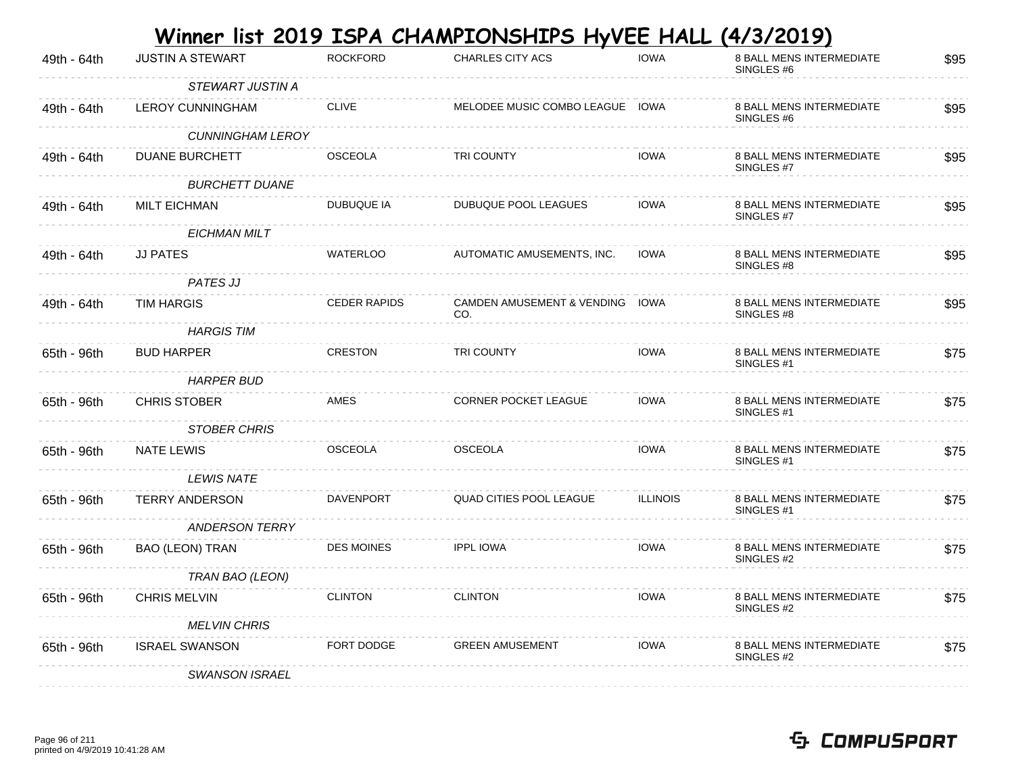|             |                         |                     | Winner list 2019 ISPA CHAMPIONSHIPS HyVEE HALL (4/3/2019) |                 |                                                          |      |
|-------------|-------------------------|---------------------|-----------------------------------------------------------|-----------------|----------------------------------------------------------|------|
| 49th - 64th | <b>JUSTIN A STEWART</b> | <b>ROCKFORD</b>     | <b>CHARLES CITY ACS</b>                                   | <b>IOWA</b>     | <b>8 BALL MENS INTERMEDIATE</b><br>SINGLES #6            | \$95 |
|             | STEWART JUSTIN A        |                     |                                                           |                 |                                                          |      |
| 49th - 64th | <b>LEROY CUNNINGHAM</b> | <b>CLIVE</b>        | MELODEE MUSIC COMBO LEAGUE IOWA                           |                 | 8 BALL MENS INTERMEDIATE<br>SINGLES #6                   | \$95 |
|             | <b>CUNNINGHAM LEROY</b> |                     |                                                           |                 |                                                          |      |
| 49th - 64th | <b>DUANE BURCHETT</b>   | <b>OSCEOLA</b>      | <b>TRI COUNTY</b>                                         | <b>IOWA</b>     | <b>8 BALL MENS INTERMEDIATE</b><br>SINGLES #7            | \$95 |
|             | <b>BURCHETT DUANE</b>   |                     |                                                           |                 |                                                          |      |
| 49th - 64th | <b>MILT EICHMAN</b>     | DUBUQUE IA          | DUBUQUE POOL LEAGUES                                      | <b>IOWA</b>     | 8 BALL MENS INTERMEDIATE<br>SINGLES #7                   | \$95 |
|             | <b>EICHMAN MILT</b>     |                     |                                                           |                 |                                                          |      |
| 49th - 64th | <b>JJ PATES</b>         | <b>WATERLOO</b>     | AUTOMATIC AMUSEMENTS, INC.                                | <b>IOWA</b>     | <b>8 BALL MENS INTERMEDIATE</b><br>SINGLES #8            | \$95 |
|             | PATES JJ                |                     |                                                           |                 |                                                          |      |
| 49th - 64th | <b>TIM HARGIS</b>       | <b>CEDER RAPIDS</b> | CAMDEN AMUSEMENT & VENDING IOWA<br>CO.                    |                 | <b>8 BALL MENS INTERMEDIATE</b><br>SINGLES #8            | \$95 |
|             | <b>HARGIS TIM</b>       |                     |                                                           |                 |                                                          |      |
| 65th - 96th | <b>BUD HARPER</b>       | <b>CRESTON</b>      | <b>TRI COUNTY</b>                                         | <b>IOWA</b>     | <b>8 BALL MENS INTERMEDIATE</b><br>SINGLES <sub>#1</sub> | \$75 |
|             | <b>HARPER BUD</b>       |                     |                                                           |                 |                                                          |      |
| 65th - 96th | <b>CHRIS STOBER</b>     | AMES                | <b>CORNER POCKET LEAGUE</b>                               | <b>IOWA</b>     | <b>8 BALL MENS INTERMEDIATE</b><br>SINGLES #1            | \$75 |
|             | <b>STOBER CHRIS</b>     |                     |                                                           |                 |                                                          |      |
| 65th - 96th | <b>NATE LEWIS</b>       | <b>OSCEOLA</b>      | <b>OSCEOLA</b>                                            | <b>IOWA</b>     | <b>8 BALL MENS INTERMEDIATE</b><br>SINGLES #1            | \$75 |
|             | <b>LEWIS NATE</b>       |                     |                                                           |                 |                                                          |      |
| 65th - 96th | <b>TERRY ANDERSON</b>   | <b>DAVENPORT</b>    | QUAD CITIES POOL LEAGUE                                   | <b>ILLINOIS</b> | 8 BALL MENS INTERMEDIATE<br>SINGLES #1                   | \$75 |
|             | <b>ANDERSON TERRY</b>   |                     |                                                           |                 |                                                          |      |
| 65th - 96th | <b>BAO (LEON) TRAN</b>  | <b>DES MOINES</b>   | <b>IPPL IOWA</b>                                          | <b>IOWA</b>     | <b>8 BALL MENS INTERMEDIATE</b><br>SINGLES #2            | \$75 |
|             | TRAN BAO (LEON)         |                     |                                                           |                 |                                                          |      |
| 65th - 96th | <b>CHRIS MELVIN</b>     | <b>CLINTON</b>      | <b>CLINTON</b>                                            | <b>IOWA</b>     | 8 BALL MENS INTERMEDIATE<br>SINGLES #2                   | \$75 |
|             | <b>MELVIN CHRIS</b>     |                     |                                                           |                 |                                                          |      |
| 65th - 96th | <b>ISRAEL SWANSON</b>   | FORT DODGE          | <b>GREEN AMUSEMENT</b>                                    | <b>IOWA</b>     | 8 BALL MENS INTERMEDIATE<br>SINGLES #2                   | \$75 |
|             | <b>SWANSON ISRAEL</b>   |                     |                                                           |                 |                                                          |      |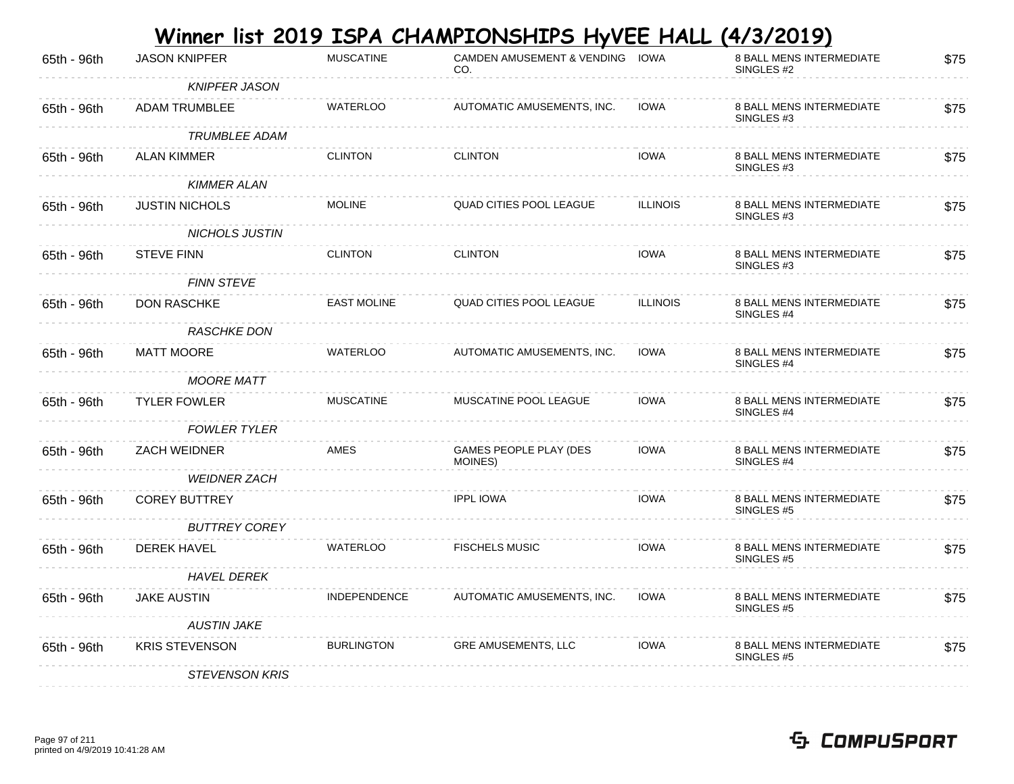| <b>JASON KNIPFER</b>  | <b>MUSCATINE</b>    | CO.                               |                 | 8 BALL MENS INTERMEDIATE<br>SINGLES <sub>#2</sub>        | \$75                                                                |
|-----------------------|---------------------|-----------------------------------|-----------------|----------------------------------------------------------|---------------------------------------------------------------------|
| <b>KNIPFER JASON</b>  |                     |                                   |                 |                                                          |                                                                     |
| <b>ADAM TRUMBLEE</b>  | <b>WATERLOO</b>     | AUTOMATIC AMUSEMENTS, INC.        | <b>IOWA</b>     | <b>8 BALL MENS INTERMEDIATE</b><br>SINGLES #3            | \$75                                                                |
| <i>TRUMBLEE ADAM</i>  |                     |                                   |                 |                                                          |                                                                     |
| <b>ALAN KIMMER</b>    | <b>CLINTON</b>      | <b>CLINTON</b>                    | <b>IOWA</b>     | <b>8 BALL MENS INTERMEDIATE</b><br>SINGLES <sub>#3</sub> | \$75                                                                |
| <b>KIMMER ALAN</b>    |                     |                                   |                 |                                                          |                                                                     |
| <b>JUSTIN NICHOLS</b> | <b>MOLINE</b>       | <b>QUAD CITIES POOL LEAGUE</b>    | <b>ILLINOIS</b> | <b>8 BALL MENS INTERMEDIATE</b><br>SINGLES #3            | \$75                                                                |
| <b>NICHOLS JUSTIN</b> |                     |                                   |                 |                                                          |                                                                     |
| <b>STEVE FINN</b>     | <b>CLINTON</b>      | <b>CLINTON</b>                    | <b>IOWA</b>     | <b>8 BALL MENS INTERMEDIATE</b><br>SINGLES #3            | \$75                                                                |
| <b>FINN STEVE</b>     |                     |                                   |                 |                                                          |                                                                     |
| <b>DON RASCHKE</b>    | <b>EAST MOLINE</b>  | QUAD CITIES POOL LEAGUE           | <b>ILLINOIS</b> | 8 BALL MENS INTERMEDIATE<br>SINGLES #4                   | \$75                                                                |
| <b>RASCHKE DON</b>    |                     |                                   |                 |                                                          |                                                                     |
| MATT MOORE            | <b>WATERLOO</b>     | AUTOMATIC AMUSEMENTS, INC.        | <b>IOWA</b>     | <b>8 BALL MENS INTERMEDIATE</b><br>SINGLES #4            | \$75                                                                |
| <b>MOORE MATT</b>     |                     |                                   |                 |                                                          |                                                                     |
| <b>TYLER FOWLER</b>   | <b>MUSCATINE</b>    | MUSCATINE POOL LEAGUE             | <b>IOWA</b>     | 8 BALL MENS INTERMEDIATE<br>SINGLES #4                   | \$75                                                                |
| <b>FOWLER TYLER</b>   |                     |                                   |                 |                                                          |                                                                     |
| <b>ZACH WEIDNER</b>   | AMES                | GAMES PEOPLE PLAY (DES<br>MOINES) | <b>IOWA</b>     | <b>8 BALL MENS INTERMEDIATE</b><br>SINGLES #4            | \$75                                                                |
| <b>WEIDNER ZACH</b>   |                     |                                   |                 |                                                          |                                                                     |
| <b>COREY BUTTREY</b>  |                     | <b>IPPL IOWA</b>                  | <b>IOWA</b>     | 8 BALL MENS INTERMEDIATE<br>SINGLES #5                   | \$75                                                                |
| <b>BUTTREY COREY</b>  |                     |                                   |                 |                                                          |                                                                     |
| DEREK HAVEL           | <b>WATERLOO</b>     | <b>FISCHELS MUSIC</b>             | <b>IOWA</b>     | 8 BALL MENS INTERMEDIATE<br>SINGLES #5                   | \$75                                                                |
| <b>HAVEL DEREK</b>    |                     |                                   |                 |                                                          |                                                                     |
| <b>JAKE AUSTIN</b>    | <b>INDEPENDENCE</b> | AUTOMATIC AMUSEMENTS, INC.        | <b>IOWA</b>     | 8 BALL MENS INTERMEDIATE<br>SINGLES <sub>#5</sub>        | \$75                                                                |
| <b>AUSTIN JAKE</b>    |                     |                                   |                 |                                                          |                                                                     |
| <b>KRIS STEVENSON</b> | <b>BURLINGTON</b>   | <b>GRE AMUSEMENTS, LLC</b>        | <b>IOWA</b>     | 8 BALL MENS INTERMEDIATE<br>SINGLES #5                   | \$75                                                                |
| <b>STEVENSON KRIS</b> |                     |                                   |                 |                                                          |                                                                     |
|                       |                     |                                   |                 | CAMDEN AMUSEMENT & VENDING IOWA                          | Winner list 2019 ISPA CHAMPIONSHIPS HyVEE HALL<br><u>(4/3/2019)</u> |

**College**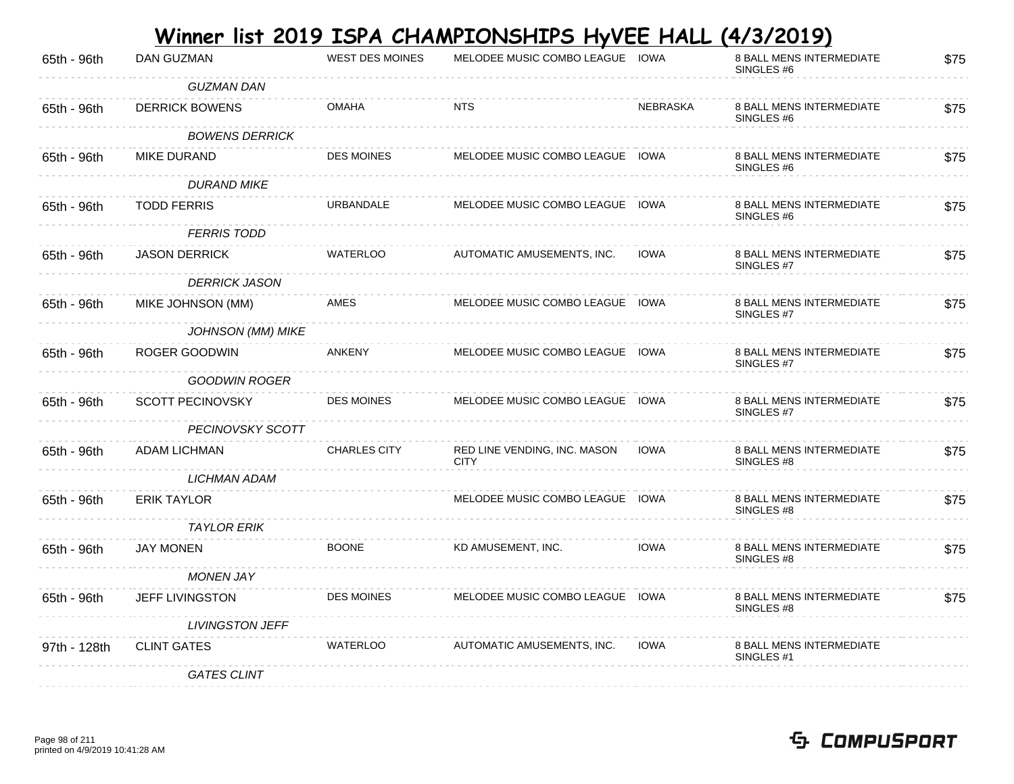| 65th - 96th  | DAN GUZMAN               | <b>WEST DES MOINES</b> | MELODEE MUSIC COMBO LEAGUE IOWA             |                 | 8 BALL MENS INTERMEDIATE<br>SINGLES #6        | \$75 |
|--------------|--------------------------|------------------------|---------------------------------------------|-----------------|-----------------------------------------------|------|
|              | <b>GUZMAN DAN</b>        |                        |                                             |                 |                                               |      |
| 65th - 96th  | <b>DERRICK BOWENS</b>    | <b>OMAHA</b>           | <b>NTS</b>                                  | <b>NEBRASKA</b> | 8 BALL MENS INTERMEDIATE<br>SINGLES #6        | \$75 |
|              | <b>BOWENS DERRICK</b>    |                        |                                             |                 |                                               |      |
| 65th - 96th  | <b>MIKE DURAND</b>       | <b>DES MOINES</b>      | MELODEE MUSIC COMBO LEAGUE IOWA             |                 | 8 BALL MENS INTERMEDIATE<br>SINGLES #6        | \$75 |
|              | <b>DURAND MIKE</b>       |                        |                                             |                 |                                               |      |
| 65th - 96th  | <b>TODD FERRIS</b>       | URBANDALE              | MELODEE MUSIC COMBO LEAGUE IOWA             |                 | 8 BALL MENS INTERMEDIATE<br>SINGLES #6        | \$75 |
|              | <b>FERRIS TODD</b>       |                        |                                             |                 |                                               |      |
| 65th - 96th  | <b>JASON DERRICK</b>     | <b>WATERLOO</b>        | AUTOMATIC AMUSEMENTS, INC.                  | <b>IOWA</b>     | 8 BALL MENS INTERMEDIATE<br>SINGLES #7        | \$75 |
|              | <b>DERRICK JASON</b>     |                        |                                             |                 |                                               |      |
| 65th - 96th  | MIKE JOHNSON (MM)        | AMES                   | MELODEE MUSIC COMBO LEAGUE IOWA             |                 | 8 BALL MENS INTERMEDIATE<br>SINGLES #7        | \$75 |
|              | <b>JOHNSON (MM) MIKE</b> |                        |                                             |                 |                                               |      |
| 65th - 96th  | ROGER GOODWIN            | <b>ANKENY</b>          | MELODEE MUSIC COMBO LEAGUE IOWA             |                 | <b>8 BALL MENS INTERMEDIATE</b><br>SINGLES #7 | \$75 |
|              | GOODWIN ROGER            |                        |                                             |                 |                                               |      |
| 65th - 96th  | SCOTT PECINOVSKY         | <b>DES MOINES</b>      | MELODEE MUSIC COMBO LEAGUE IOWA             |                 | 8 BALL MENS INTERMEDIATE<br>SINGLES #7        | \$75 |
|              | PECINOVSKY SCOTT         |                        |                                             |                 |                                               |      |
| 65th - 96th  | ADAM LICHMAN             | <b>CHARLES CITY</b>    | RED LINE VENDING, INC. MASON<br><b>CITY</b> | <b>IOWA</b>     | 8 BALL MENS INTERMEDIATE<br>SINGLES #8        | \$75 |
|              | <b>LICHMAN ADAM</b>      |                        |                                             |                 |                                               |      |
| 65th - 96th  | <b>ERIK TAYLOR</b>       |                        | MELODEE MUSIC COMBO LEAGUE IOWA             |                 | <b>8 BALL MENS INTERMEDIATE</b><br>SINGLES #8 | \$75 |
|              | <b>TAYLOR ERIK</b>       |                        |                                             |                 |                                               |      |
| 65th - 96th  | <b>JAY MONEN</b>         | <b>BOONE</b>           | KD AMUSEMENT, INC.                          | <b>IOWA</b>     | 8 BALL MENS INTERMEDIATE<br>SINGLES #8        | \$75 |
|              | <b>MONEN JAY</b>         |                        |                                             |                 |                                               |      |
| 65th - 96th  | JEFF LIVINGSTON          | <b>DES MOINES</b>      | MELODEE MUSIC COMBO LEAGUE IOWA             |                 | 8 BALL MENS INTERMEDIATE<br>SINGLES #8        | \$75 |
|              | <b>LIVINGSTON JEFF</b>   |                        |                                             |                 |                                               |      |
| 97th - 128th | <b>CLINT GATES</b>       | <b>WATERLOO</b>        | AUTOMATIC AMUSEMENTS, INC.                  | <b>IOWA</b>     | 8 BALL MENS INTERMEDIATE<br>SINGLES #1        |      |
|              | <b>GATES CLINT</b>       |                        |                                             |                 |                                               |      |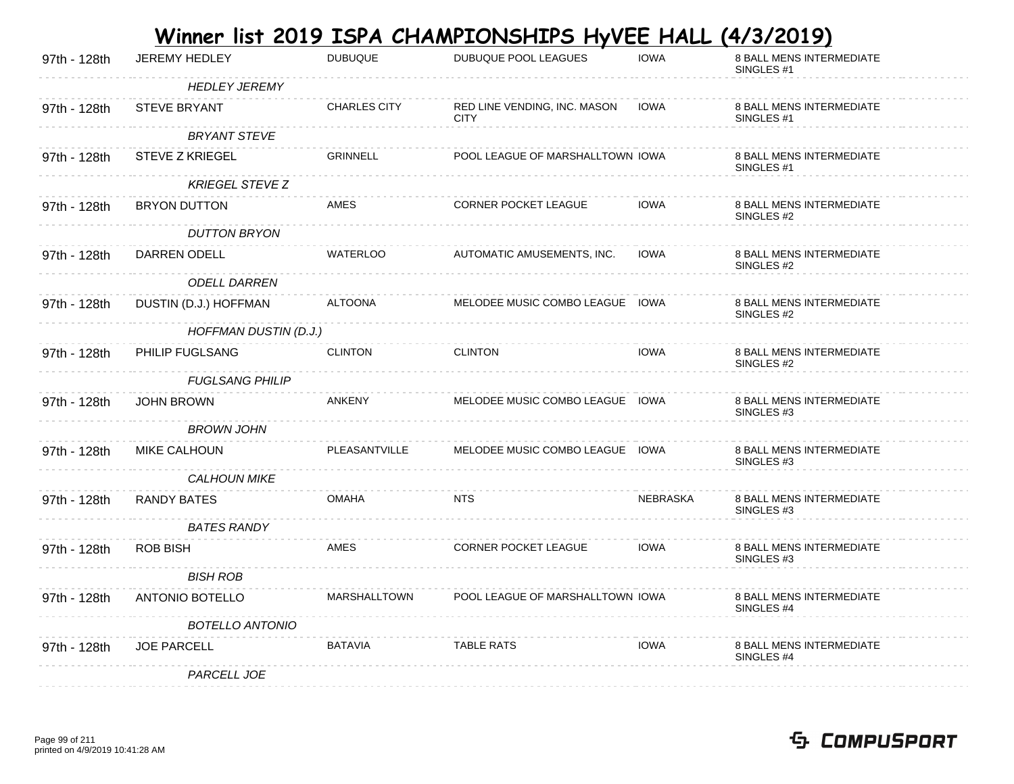|              |                        |                     | <u>Winner list 2019 ISPA CHAMPIONSHIPS HyVEE HALL</u> |                 | <u>(4/3/2019)</u>                                        |
|--------------|------------------------|---------------------|-------------------------------------------------------|-----------------|----------------------------------------------------------|
| 97th - 128th | <b>JEREMY HEDLEY</b>   | <b>DUBUQUE</b>      | DUBUQUE POOL LEAGUES                                  | <b>IOWA</b>     | 8 BALL MENS INTERMEDIATE<br>SINGLES <sub>#1</sub>        |
|              | <b>HEDLEY JEREMY</b>   |                     |                                                       |                 |                                                          |
| 97th - 128th | <b>STEVE BRYANT</b>    | <b>CHARLES CITY</b> | RED LINE VENDING, INC. MASON<br><b>CITY</b>           | <b>IOWA</b>     | <b>8 BALL MENS INTERMEDIATE</b><br>SINGLES <sub>#1</sub> |
|              | <b>BRYANT STEVE</b>    |                     |                                                       |                 |                                                          |
| 97th - 128th | <b>STEVE Z KRIEGEL</b> | <b>GRINNELL</b>     | POOL LEAGUE OF MARSHALLTOWN IOWA                      |                 | 8 BALL MENS INTERMEDIATE<br>SINGLES #1                   |
|              | <b>KRIEGEL STEVE Z</b> |                     |                                                       |                 |                                                          |
| 97th - 128th | <b>BRYON DUTTON</b>    | AMES                | <b>CORNER POCKET LEAGUE</b>                           | <b>IOWA</b>     | 8 BALL MENS INTERMEDIATE<br>SINGLES #2                   |
|              | <b>DUTTON BRYON</b>    |                     |                                                       |                 |                                                          |
| 97th - 128th | DARREN ODELL           | <b>WATERLOO</b>     | AUTOMATIC AMUSEMENTS, INC.                            | <b>IOWA</b>     | 8 BALL MENS INTERMEDIATE<br>SINGLES #2                   |
|              | <b>ODELL DARREN</b>    |                     |                                                       |                 |                                                          |
| 97th - 128th | DUSTIN (D.J.) HOFFMAN  | <b>ALTOONA</b>      | MELODEE MUSIC COMBO LEAGUE IOWA                       |                 | 8 BALL MENS INTERMEDIATE<br>SINGLES #2                   |
|              | HOFFMAN DUSTIN (D.J.)  |                     |                                                       |                 |                                                          |
| 97th - 128th | PHILIP FUGLSANG        | <b>CLINTON</b>      | <b>CLINTON</b>                                        | <b>IOWA</b>     | 8 BALL MENS INTERMEDIATE<br>SINGLES #2                   |
|              | <b>FUGLSANG PHILIP</b> |                     |                                                       |                 |                                                          |
| 97th - 128th | <b>JOHN BROWN</b>      | ANKENY              | MELODEE MUSIC COMBO LEAGUE IOWA                       |                 | 8 BALL MENS INTERMEDIATE<br>SINGLES <sub>#3</sub>        |
|              | <b>BROWN JOHN</b>      |                     |                                                       |                 |                                                          |
| 97th - 128th | <b>MIKE CALHOUN</b>    | PLEASANTVILLE       | MELODEE MUSIC COMBO LEAGUE IOWA                       |                 | 8 BALL MENS INTERMEDIATE<br>SINGLES <sub>#3</sub>        |
|              | <b>CALHOUN MIKE</b>    |                     |                                                       |                 |                                                          |
| 97th - 128th | RANDY BATES            | <b>OMAHA</b>        | <b>NTS</b>                                            | <b>NEBRASKA</b> | 8 BALL MENS INTERMEDIATE<br>SINGLES <sub>#3</sub>        |
|              | <b>BATES RANDY</b>     |                     |                                                       |                 |                                                          |
| 97th - 128th | <b>ROB BISH</b>        | AMES                | <b>CORNER POCKET LEAGUE</b>                           | <b>IOWA</b>     | <b>8 BALL MENS INTERMEDIATE</b><br>SINGLES #3            |
|              | <b>BISH ROB</b>        |                     |                                                       |                 |                                                          |
| 97th - 128th | <b>ANTONIO BOTELLO</b> | <b>MARSHALLTOWN</b> | POOL LEAGUE OF MARSHALLTOWN IOWA                      |                 | 8 BALL MENS INTERMEDIATE<br>SINGLES #4                   |
|              | <b>BOTELLO ANTONIO</b> |                     |                                                       |                 |                                                          |
| 97th - 128th | <b>JOE PARCELL</b>     | <b>BATAVIA</b>      | <b>TABLE RATS</b>                                     | <b>IOWA</b>     | 8 BALL MENS INTERMEDIATE<br>SINGLES #4                   |
|              | PARCELL JOE            |                     |                                                       |                 |                                                          |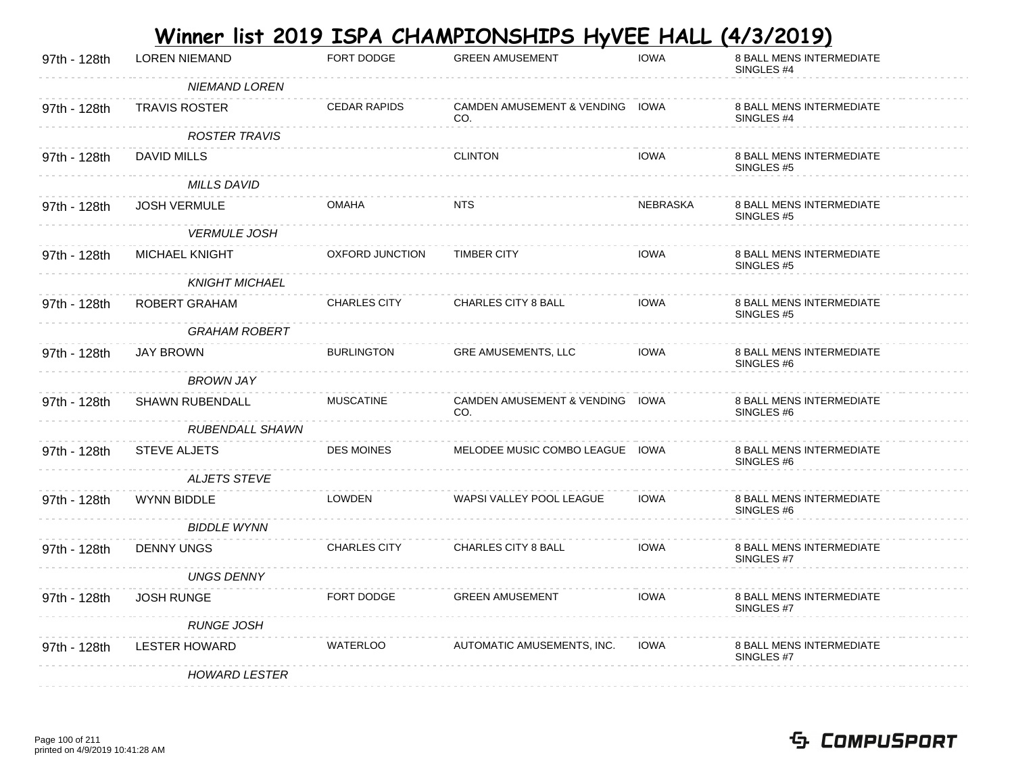|              |                        |                     | Winner list 2019 ISPA CHAMPIONSHIPS HyVEE HALL |             | <u>(4/3/2019)</u>                                        |
|--------------|------------------------|---------------------|------------------------------------------------|-------------|----------------------------------------------------------|
| 97th - 128th | <b>LOREN NIEMAND</b>   | FORT DODGE          | <b>GREEN AMUSEMENT</b>                         | <b>IOWA</b> | 8 BALL MENS INTERMEDIATE<br>SINGLES <sub>#4</sub>        |
|              | <b>NIEMAND LOREN</b>   |                     |                                                |             |                                                          |
| 97th - 128th | <b>TRAVIS ROSTER</b>   | <b>CEDAR RAPIDS</b> | CAMDEN AMUSEMENT & VENDING IOWA<br>CO.         |             | <b>8 BALL MENS INTERMEDIATE</b><br>SINGLES <sub>#4</sub> |
|              | <b>ROSTER TRAVIS</b>   |                     |                                                |             |                                                          |
| 97th - 128th | DAVID MILLS            |                     | <b>CLINTON</b>                                 | <b>IOWA</b> | 8 BALL MENS INTERMEDIATE<br>SINGLES #5                   |
|              | <b>MILLS DAVID</b>     |                     |                                                |             |                                                          |
| 97th - 128th | <b>JOSH VERMULE</b>    | <b>OMAHA</b>        | <b>NTS</b>                                     | NEBRASKA    | 8 BALL MENS INTERMEDIATE<br>SINGLES #5                   |
|              | <b>VERMULE JOSH</b>    |                     |                                                |             |                                                          |
| 97th - 128th | MICHAEL KNIGHT         | OXFORD JUNCTION     | <b>TIMBER CITY</b>                             | <b>IOWA</b> | 8 BALL MENS INTERMEDIATE<br>SINGLES <sub>#5</sub>        |
|              | <b>KNIGHT MICHAEL</b>  |                     |                                                |             |                                                          |
| 97th - 128th | ROBERT GRAHAM          | <b>CHARLES CITY</b> | CHARLES CITY 8 BALL                            | <b>IOWA</b> | 8 BALL MENS INTERMEDIATE<br>SINGLES #5                   |
|              | <b>GRAHAM ROBERT</b>   |                     |                                                |             |                                                          |
| 97th - 128th | <b>JAY BROWN</b>       | <b>BURLINGTON</b>   | <b>GRE AMUSEMENTS, LLC</b>                     | <b>IOWA</b> | <b>8 BALL MENS INTERMEDIATE</b><br>SINGLES #6            |
|              | BROWN JAY              |                     |                                                |             |                                                          |
| 97th - 128th | <b>SHAWN RUBENDALL</b> | <b>MUSCATINE</b>    | CAMDEN AMUSEMENT & VENDING IOWA<br>CO.         |             | 8 BALL MENS INTERMEDIATE<br>SINGLES #6                   |
|              | <b>RUBENDALL SHAWN</b> |                     |                                                |             |                                                          |
| 97th - 128th | <b>STEVE ALJETS</b>    | <b>DES MOINES</b>   | MELODEE MUSIC COMBO LEAGUE IOWA                |             | <b>8 BALL MENS INTERMEDIATE</b><br>SINGLES <sub>#6</sub> |
|              | <b>ALJETS STEVE</b>    |                     |                                                |             |                                                          |
| 97th - 128th | <b>WYNN BIDDLE</b>     | <b>LOWDEN</b>       | WAPSI VALLEY POOL LEAGUE                       | <b>IOWA</b> | <b>8 BALL MENS INTERMEDIATE</b><br>SINGLES <sub>#6</sub> |
|              | <b>BIDDLE WYNN</b>     |                     |                                                |             |                                                          |
| 97th - 128th | <b>DENNY UNGS</b>      | <b>CHARLES CITY</b> | <b>CHARLES CITY 8 BALL</b>                     | <b>IOWA</b> | <b>8 BALL MENS INTERMEDIATE</b><br>SINGLES #7            |
|              | UNGS DENNY             |                     |                                                |             |                                                          |
| 97th - 128th | <b>JOSH RUNGE</b>      | FORT DODGE          | <b>GREEN AMUSEMENT</b>                         | <b>IOWA</b> | <b>8 BALL MENS INTERMEDIATE</b><br>SINGLES #7            |
|              | <b>RUNGE JOSH</b>      |                     |                                                |             |                                                          |
| 97th - 128th | <b>LESTER HOWARD</b>   | <b>WATERLOO</b>     | AUTOMATIC AMUSEMENTS, INC.                     | <b>IOWA</b> | <b>8 BALL MENS INTERMEDIATE</b><br>SINGLES #7            |
|              | <b>HOWARD LESTER</b>   |                     |                                                |             |                                                          |

#### Page 100 of 211 printed on 4/9/2019 10:41:28 AM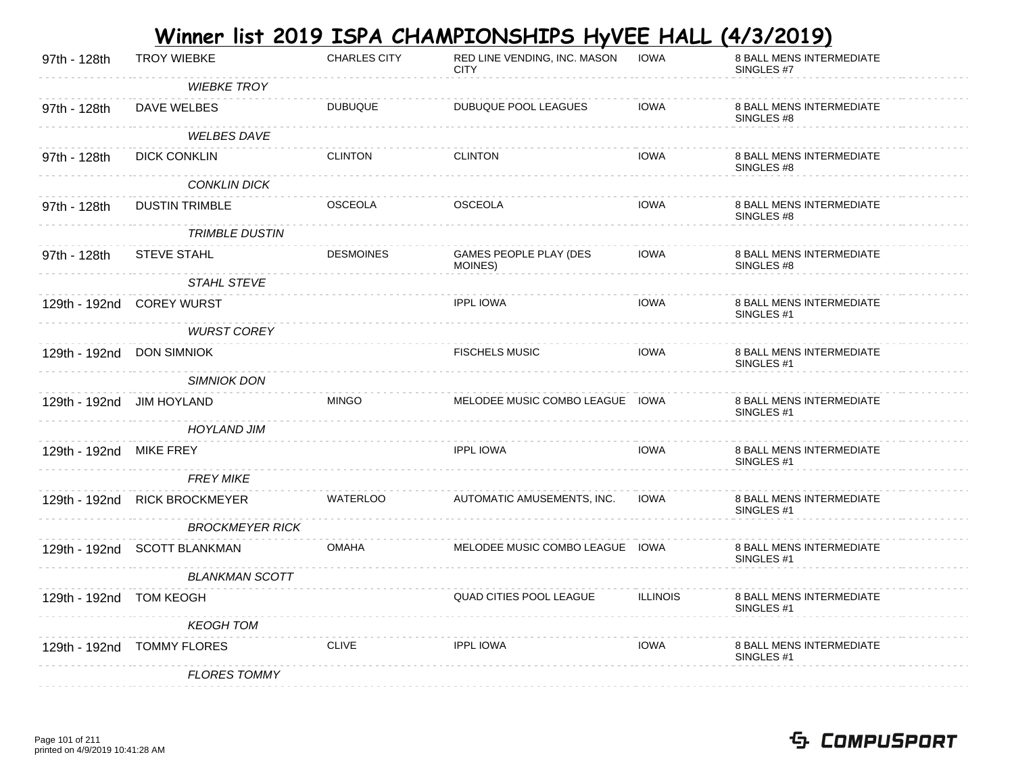|                         |                              |                     | <u>Winner list 2019 ISPA CHAMPIONSHIPS HyVEE HALL</u> |                 | (4/3/2019)                                               |
|-------------------------|------------------------------|---------------------|-------------------------------------------------------|-----------------|----------------------------------------------------------|
| 97th - 128th            | <b>TROY WIEBKE</b>           | <b>CHARLES CITY</b> | RED LINE VENDING, INC. MASON<br><b>CITY</b>           | <b>IOWA</b>     | 8 BALL MENS INTERMEDIATE<br>SINGLES #7                   |
|                         | <b>WIEBKE TROY</b>           |                     |                                                       |                 |                                                          |
| 97th - 128th            | DAVE WELBES                  | <b>DUBUQUE</b>      | DUBUQUE POOL LEAGUES                                  | <b>IOWA</b>     | <b>8 BALL MENS INTERMEDIATE</b><br>SINGLES #8            |
|                         | <b>WELBES DAVE</b>           |                     |                                                       |                 |                                                          |
| 97th - 128th            | <b>DICK CONKLIN</b>          | <b>CLINTON</b>      | <b>CLINTON</b>                                        | <b>IOWA</b>     | <b>8 BALL MENS INTERMEDIATE</b><br>SINGLES #8            |
|                         | <b>CONKLIN DICK</b>          |                     |                                                       |                 |                                                          |
| 97th - 128th            | <b>DUSTIN TRIMBLE</b>        | <b>OSCEOLA</b>      | <b>OSCEOLA</b>                                        | <b>IOWA</b>     | 8 BALL MENS INTERMEDIATE<br>SINGLES #8                   |
|                         | <b>TRIMBLE DUSTIN</b>        |                     |                                                       |                 |                                                          |
| 97th - 128th            | STEVE STAHL                  | <b>DESMOINES</b>    | GAMES PEOPLE PLAY (DES<br>MOINES)                     | <b>IOWA</b>     | 8 BALL MENS INTERMEDIATE<br>SINGLES #8                   |
|                         | <b>STAHL STEVE</b>           |                     |                                                       |                 |                                                          |
|                         | 129th - 192nd COREY WURST    |                     | <b>IPPL IOWA</b>                                      | <b>IOWA</b>     | 8 BALL MENS INTERMEDIATE<br>SINGLES <sub>#1</sub>        |
|                         | <b>WURST COREY</b>           |                     |                                                       |                 |                                                          |
|                         | 129th - 192nd DON SIMNIOK    |                     | <b>FISCHELS MUSIC</b>                                 | <b>IOWA</b>     | <b>8 BALL MENS INTERMEDIATE</b><br>SINGLES <sub>#1</sub> |
|                         | <b>SIMNIOK DON</b>           |                     |                                                       |                 |                                                          |
|                         | 129th - 192nd JIM HOYLAND    | <b>MINGO</b>        | MELODEE MUSIC COMBO LEAGUE IOWA                       |                 | 8 BALL MENS INTERMEDIATE<br>SINGLES #1                   |
|                         | <b>HOYLAND JIM</b>           |                     |                                                       |                 |                                                          |
| 129th - 192nd           | MIKE FREY                    |                     | <b>IPPL IOWA</b>                                      | <b>IOWA</b>     | 8 BALL MENS INTERMEDIATE<br>SINGLES <sub>#1</sub>        |
|                         | <b>FREY MIKE</b>             |                     |                                                       |                 |                                                          |
| 129th - 192nd           | <b>RICK BROCKMEYER</b>       | <b>WATERLOO</b>     | AUTOMATIC AMUSEMENTS, INC.                            | <b>IOWA</b>     | 8 BALL MENS INTERMEDIATE<br>SINGLES <sub>#1</sub>        |
|                         | <b>BROCKMEYER RICK</b>       |                     |                                                       |                 |                                                          |
|                         | 129th - 192nd SCOTT BLANKMAN | <b>OMAHA</b>        | MELODEE MUSIC COMBO LEAGUE IOWA                       |                 | <b>8 BALL MENS INTERMEDIATE</b><br>SINGLES <sub>#1</sub> |
|                         | <b>BLANKMAN SCOTT</b>        |                     |                                                       |                 |                                                          |
| 129th - 192nd TOM KEOGH |                              |                     | <b>QUAD CITIES POOL LEAGUE</b>                        | <b>ILLINOIS</b> | <b>8 BALL MENS INTERMEDIATE</b><br>SINGLES <sub>#1</sub> |
|                         | <b>KEOGH TOM</b>             |                     |                                                       |                 |                                                          |
| 129th - 192nd           | TOMMY FLORES                 | <b>CLIVE</b>        | <b>IPPL IOWA</b>                                      | <b>IOWA</b>     | 8 BALL MENS INTERMEDIATE<br>SINGLES #1                   |
|                         | <b>FLORES TOMMY</b>          |                     |                                                       |                 |                                                          |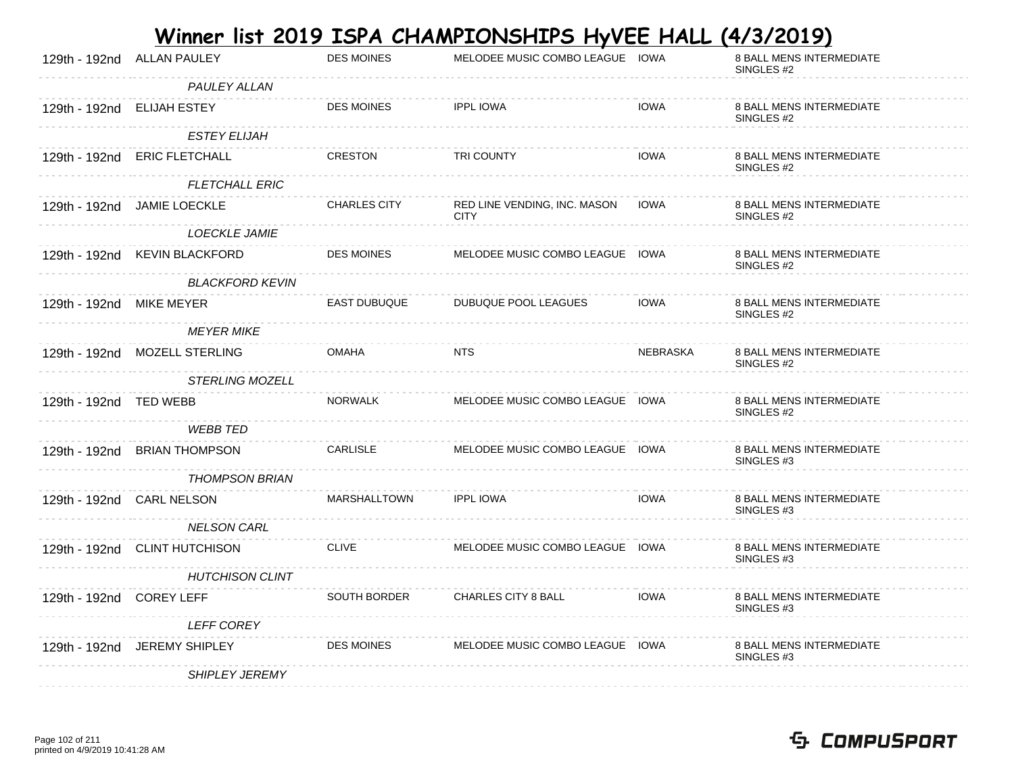|                          |                               |                     | <u>Winner list 2019 ISPA CHAMPIONSHIPS HyVEE HALL</u> |                 | <u>(4/3/2019)</u>                                 |
|--------------------------|-------------------------------|---------------------|-------------------------------------------------------|-----------------|---------------------------------------------------|
| 129th - 192nd            | <b>ALLAN PAULEY</b>           | <b>DES MOINES</b>   | MELODEE MUSIC COMBO LEAGUE IOWA                       |                 | 8 BALL MENS INTERMEDIATE<br>SINGLES #2            |
|                          | PAULEY ALLAN                  |                     |                                                       |                 |                                                   |
|                          | 129th - 192nd ELIJAH ESTEY    | <b>DES MOINES</b>   | <b>IPPL IOWA</b>                                      | <b>IOWA</b>     | 8 BALL MENS INTERMEDIATE<br>SINGLES #2            |
|                          | <b>ESTEY ELIJAH</b>           |                     |                                                       |                 |                                                   |
|                          | 129th - 192nd ERIC FLETCHALL  | CRESTON             | TRI COUNTY                                            | <b>IOWA</b>     | 8 BALL MENS INTERMEDIATE<br>SINGLES #2            |
|                          | <b>FLETCHALL ERIC</b>         |                     |                                                       |                 |                                                   |
|                          | 129th - 192nd JAMIE LOECKLE   | <b>CHARLES CITY</b> | RED LINE VENDING, INC. MASON<br><b>CITY</b>           | IOWA            | 8 BALL MENS INTERMEDIATE<br>SINGLES #2            |
|                          | <i>LOECKLE JAMIE</i>          |                     |                                                       |                 |                                                   |
|                          | 129th - 192nd KEVIN BLACKFORD | <b>DES MOINES</b>   | MELODEE MUSIC COMBO LEAGUE IOWA                       |                 | <b>8 BALL MENS INTERMEDIATE</b><br>SINGLES #2     |
|                          | <b>BLACKFORD KEVIN</b>        |                     |                                                       |                 |                                                   |
| 129th - 192nd MIKE MEYER |                               | <b>EAST DUBUQUE</b> | DUBUQUE POOL LEAGUES                                  | <b>IOWA</b>     | 8 BALL MENS INTERMEDIATE<br>SINGLES #2            |
|                          | MEYER MIKE                    |                     |                                                       |                 |                                                   |
|                          | 129th - 192nd MOZELL STERLING | <b>OMAHA</b>        | <b>NTS</b>                                            | <b>NEBRASKA</b> | <b>8 BALL MENS INTERMEDIATE</b><br>SINGLES #2     |
|                          | <b>STERLING MOZELL</b>        |                     |                                                       |                 |                                                   |
| 129th - 192nd TED WEBB   |                               | NORWALK             | MELODEE MUSIC COMBO LEAGUE IOWA                       |                 | 8 BALL MENS INTERMEDIATE<br>SINGLES #2            |
|                          | <b>WEBB TED</b>               |                     |                                                       |                 |                                                   |
|                          | 129th - 192nd BRIAN THOMPSON  | CARLISLE            | MELODEE MUSIC COMBO LEAGUE IOWA                       |                 | 8 BALL MENS INTERMEDIATE<br>SINGLES #3            |
|                          | <b>THOMPSON BRIAN</b>         |                     |                                                       |                 |                                                   |
|                          | 129th - 192nd CARL NELSON     | MARSHALLTOWN        | <b>IPPL IOWA</b>                                      | <b>IOWA</b>     | 8 BALL MENS INTERMEDIATE<br>SINGLES <sub>#3</sub> |
|                          | <b>NELSON CARL</b>            |                     |                                                       |                 |                                                   |
|                          | 129th - 192nd CLINT HUTCHISON | <b>CLIVE</b>        | MELODEE MUSIC COMBO LEAGUE IOWA                       |                 | 8 BALL MENS INTERMEDIATE<br>SINGLES #3            |
|                          | <b>HUTCHISON CLINT</b>        |                     |                                                       |                 |                                                   |
| 129th - 192nd COREY LEFF |                               | SOUTH BORDER        | <b>CHARLES CITY 8 BALL</b>                            | <b>IOWA</b>     | 8 BALL MENS INTERMEDIATE<br>SINGLES #3            |
|                          | <b>LEFF COREY</b>             |                     |                                                       |                 |                                                   |
|                          | 129th - 192nd JEREMY SHIPLEY  | <b>DES MOINES</b>   | MELODEE MUSIC COMBO LEAGUE IOWA                       |                 | 8 BALL MENS INTERMEDIATE<br>SINGLES #3            |
|                          | <b>SHIPLEY JEREMY</b>         |                     |                                                       |                 |                                                   |

#### Page 102 of 211 printed on 4/9/2019 10:41:28 AM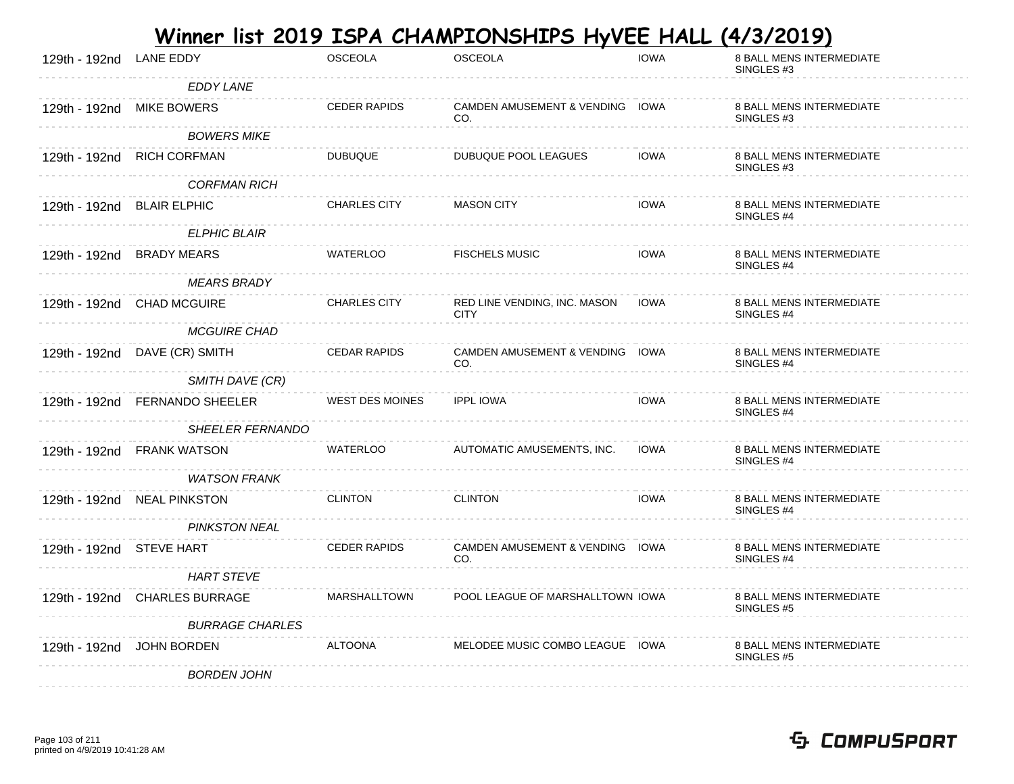|                            |                                |                        | <u>Winner list 2019 ISPA CHAMPIONSHIPS HyVEE HALL</u> |             | (4/3/2019)                                        |
|----------------------------|--------------------------------|------------------------|-------------------------------------------------------|-------------|---------------------------------------------------|
| 129th - 192nd              | <b>LANE EDDY</b>               | <b>OSCEOLA</b>         | <b>OSCEOLA</b>                                        | <b>IOWA</b> | 8 BALL MENS INTERMEDIATE<br>SINGLES #3            |
|                            | <b>EDDY LANE</b>               |                        |                                                       |             |                                                   |
|                            | 129th - 192nd MIKE BOWERS      | <b>CEDER RAPIDS</b>    | CAMDEN AMUSEMENT & VENDING IOWA<br>CO.                |             | 8 BALL MENS INTERMEDIATE<br>SINGLES #3            |
|                            | <b>BOWERS MIKE</b>             |                        |                                                       |             |                                                   |
|                            | 129th - 192nd RICH CORFMAN     | <b>DUBUQUE</b>         | DUBUQUE POOL LEAGUES                                  | <b>IOWA</b> | 8 BALL MENS INTERMEDIATE<br>SINGLES #3            |
|                            | <b>CORFMAN RICH</b>            |                        |                                                       |             |                                                   |
| 129th - 192nd BLAIR ELPHIC |                                | <b>CHARLES CITY</b>    | <b>MASON CITY</b>                                     | <b>IOWA</b> | 8 BALL MENS INTERMEDIATE<br>SINGLES #4            |
|                            | <b>ELPHIC BLAIR</b>            |                        |                                                       |             |                                                   |
|                            | 129th - 192nd BRADY MEARS      | <b>WATERLOO</b>        | <b>FISCHELS MUSIC</b>                                 | <b>IOWA</b> | <b>8 BALL MENS INTERMEDIATE</b><br>SINGLES #4     |
|                            | <b>MEARS BRADY</b>             |                        |                                                       |             |                                                   |
|                            | 129th - 192nd CHAD MCGUIRE     | <b>CHARLES CITY</b>    | RED LINE VENDING, INC. MASON  IOWA<br><b>CITY</b>     |             | 8 BALL MENS INTERMEDIATE<br>SINGLES <sub>#4</sub> |
|                            | <b>MCGUIRE CHAD</b>            |                        |                                                       |             |                                                   |
|                            | 129th - 192nd DAVE (CR) SMITH  | <b>CEDAR RAPIDS</b>    | CAMDEN AMUSEMENT & VENDING IOWA<br>CO.                |             | 8 BALL MENS INTERMEDIATE<br>SINGLES #4            |
|                            | SMITH DAVE (CR)                |                        |                                                       |             |                                                   |
|                            | 129th - 192nd FERNANDO SHEELER | <b>WEST DES MOINES</b> | <b>IPPL IOWA</b>                                      | <b>IOWA</b> | 8 BALL MENS INTERMEDIATE<br>SINGLES #4            |
|                            | <b>SHEELER FERNANDO</b>        |                        |                                                       |             |                                                   |
|                            | 129th - 192nd FRANK WATSON     | WATERLOO               | AUTOMATIC AMUSEMENTS, INC.                            | <b>IOWA</b> | 8 BALL MENS INTERMEDIATE<br>SINGLES #4            |
|                            | <b>WATSON FRANK</b>            |                        |                                                       |             |                                                   |
|                            | 129th - 192nd NEAL PINKSTON    | <b>CLINTON</b>         | <b>CLINTON</b>                                        | <b>IOWA</b> | 8 BALL MENS INTERMEDIATE<br>SINGLES <sub>#4</sub> |
|                            | PINKSTON NEAL                  |                        |                                                       |             |                                                   |
| 129th - 192nd STEVE HART   |                                | <b>CEDER RAPIDS</b>    | CAMDEN AMUSEMENT & VENDING IOWA<br>CO.                |             | 8 BALL MENS INTERMEDIATE<br>SINGLES #4            |
|                            | <b>HART STEVE</b>              |                        |                                                       |             |                                                   |
|                            | 129th - 192nd CHARLES BURRAGE  | MARSHALLTOWN           | POOL LEAGUE OF MARSHALLTOWN IOWA                      |             | 8 BALL MENS INTERMEDIATE<br>SINGLES #5            |
|                            | <b>BURRAGE CHARLES</b>         |                        |                                                       |             |                                                   |
| 129th - 192nd              | JOHN BORDEN                    | ALTOONA                | MELODEE MUSIC COMBO LEAGUE IOWA                       |             | 8 BALL MENS INTERMEDIATE<br>SINGLES #5            |
|                            | <b>BORDEN JOHN</b>             |                        |                                                       |             |                                                   |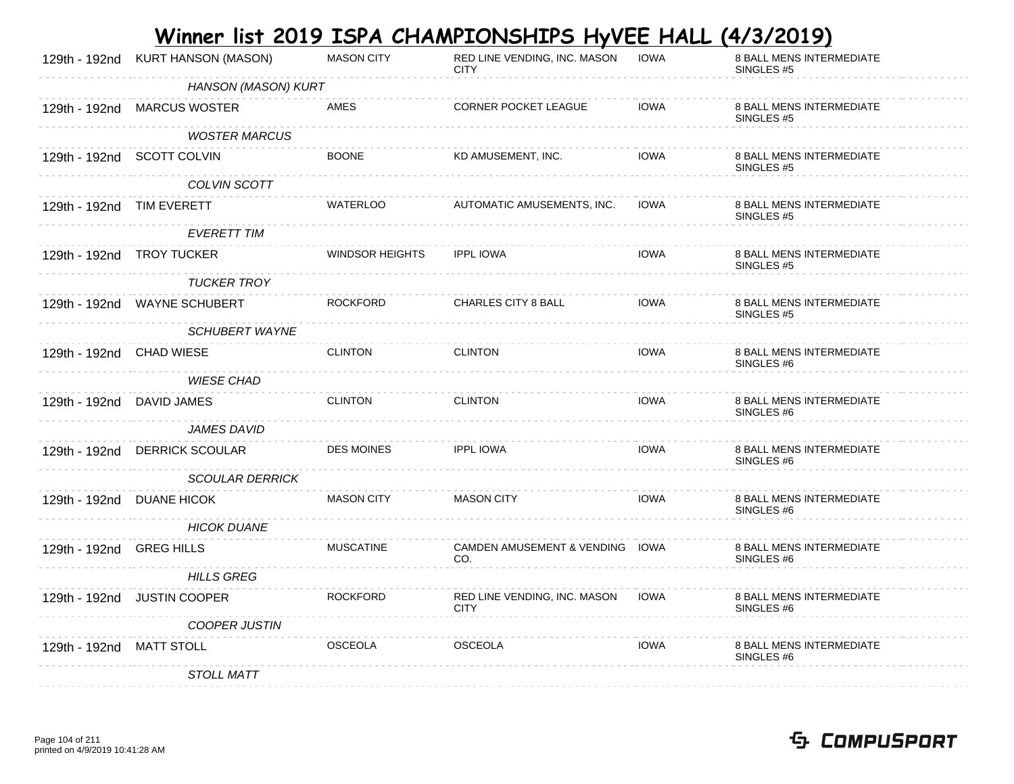|                           | 129th - 192nd KURT HANSON (MASON) | <b>MASON CITY</b>      | RED LINE VENDING, INC. MASON<br><b>CITY</b> | <b>IOWA</b> | 8 BALL MENS INTERMEDIATE<br>SINGLES <sub>#5</sub> |
|---------------------------|-----------------------------------|------------------------|---------------------------------------------|-------------|---------------------------------------------------|
|                           | HANSON (MASON) KURT               |                        |                                             |             |                                                   |
|                           | 129th - 192nd MARCUS WOSTER       | AMES                   | <b>CORNER POCKET LEAGUE</b>                 | <b>IOWA</b> | 8 BALL MENS INTERMEDIATE<br>SINGLES #5            |
|                           | <b>WOSTER MARCUS</b>              |                        |                                             |             |                                                   |
|                           | 129th - 192nd SCOTT COLVIN        | <b>BOONE</b>           | KD AMUSEMENT, INC.                          | <b>IOWA</b> | 8 BALL MENS INTERMEDIATE<br>SINGLES #5            |
|                           | COLVIN SCOTT                      |                        |                                             |             |                                                   |
| 129th - 192nd TIM EVERETT |                                   | WATERLOO               | AUTOMATIC AMUSEMENTS, INC.                  | <b>IOWA</b> | 8 BALL MENS INTERMEDIATE<br>SINGLES #5            |
|                           | <b>EVERETT TIM</b>                |                        |                                             |             |                                                   |
|                           | 129th - 192nd TROY TUCKER         | <b>WINDSOR HEIGHTS</b> | <b>IPPL IOWA</b>                            | <b>IOWA</b> | 8 BALL MENS INTERMEDIATE<br>SINGLES #5            |
|                           | <b>TUCKER TROY</b>                |                        |                                             |             |                                                   |
|                           | 129th - 192nd WAYNE SCHUBERT      | <b>ROCKFORD</b>        | CHARLES CITY 8 BALL                         | <b>IOWA</b> | 8 BALL MENS INTERMEDIATE<br>SINGLES #5            |
|                           | <b>SCHUBERT WAYNE</b>             |                        |                                             |             |                                                   |
| 129th - 192nd CHAD WIESE  |                                   | <b>CLINTON</b>         | <b>CLINTON</b>                              | <b>IOWA</b> | 8 BALL MENS INTERMEDIATE<br>SINGLES #6            |
|                           | <b>WIESE CHAD</b>                 |                        |                                             |             |                                                   |
| 129th - 192nd DAVID JAMES |                                   | <b>CLINTON</b>         | <b>CLINTON</b>                              | <b>IOWA</b> | 8 BALL MENS INTERMEDIATE<br>SINGLES <sub>#6</sub> |
|                           | <b>JAMES DAVID</b>                |                        |                                             |             |                                                   |
|                           | 129th - 192nd DERRICK SCOULAR     | <b>DES MOINES</b>      | <b>IPPL IOWA</b>                            | <b>IOWA</b> | 8 BALL MENS INTERMEDIATE<br>SINGLES #6            |
|                           | <b>SCOULAR DERRICK</b>            |                        |                                             |             |                                                   |
|                           | 129th - 192nd DUANE HICOK         | <b>MASON CITY</b>      | <b>MASON CITY</b>                           | <b>IOWA</b> | 8 BALL MENS INTERMEDIATE<br>SINGLES #6            |
|                           | <b>HICOK DUANE</b>                |                        |                                             |             |                                                   |
| 129th - 192nd GREG HILLS  |                                   | <b>MUSCATINE</b>       | CAMDEN AMUSEMENT & VENDING IOWA<br>CO.      |             | 8 BALL MENS INTERMEDIATE<br>SINGLES #6            |
|                           | <b>HILLS GREG</b>                 |                        |                                             |             |                                                   |
|                           | 129th - 192nd JUSTIN COOPER       | <b>ROCKFORD</b>        | RED LINE VENDING, INC. MASON<br><b>CITY</b> | <b>IOWA</b> | 8 BALL MENS INTERMEDIATE<br>SINGLES #6            |
|                           | <b>COOPER JUSTIN</b>              |                        |                                             |             |                                                   |
| 129th - 192nd MATT STOLL  |                                   | <b>OSCEOLA</b>         | OSCEOLA                                     | <b>IOWA</b> | 8 BALL MENS INTERMEDIATE<br>SINGLES #6            |
|                           | <b>STOLL MATT</b>                 |                        |                                             |             |                                                   |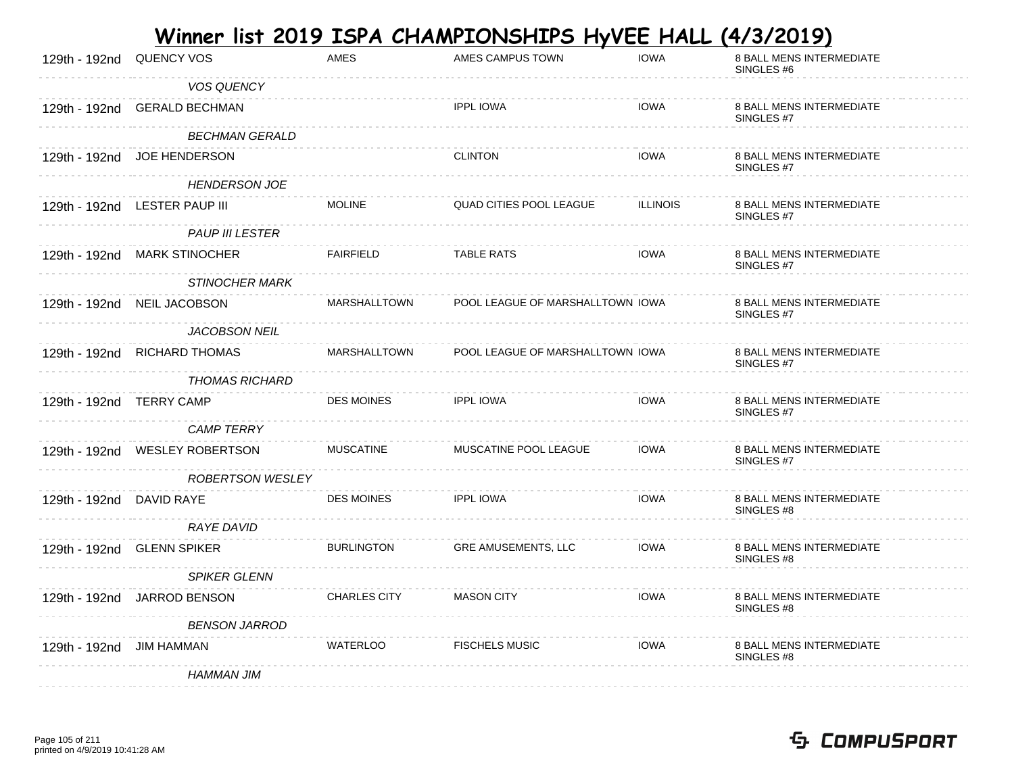|                          |                                |                     | <u>Winner list 2019 ISPA CHAMPIONSHIPS HyVEE HALL</u> |                 | <u>(4/3/2019)</u>                                 |
|--------------------------|--------------------------------|---------------------|-------------------------------------------------------|-----------------|---------------------------------------------------|
| 129th - 192nd            | <b>QUENCY VOS</b>              | <b>AMES</b>         | AMES CAMPUS TOWN                                      | <b>IOWA</b>     | 8 BALL MENS INTERMEDIATE<br>SINGLES <sub>#6</sub> |
|                          | <b>VOS QUENCY</b>              |                     |                                                       |                 |                                                   |
|                          | 129th - 192nd GERALD BECHMAN   |                     | <b>IPPL IOWA</b>                                      | <b>IOWA</b>     | 8 BALL MENS INTERMEDIATE<br>SINGLES #7            |
|                          | <b>BECHMAN GERALD</b>          |                     |                                                       |                 |                                                   |
|                          | 129th - 192nd JOE HENDERSON    |                     | <b>CLINTON</b>                                        | <b>IOWA</b>     | 8 BALL MENS INTERMEDIATE<br>SINGLES #7            |
|                          | <b>HENDERSON JOE</b>           |                     |                                                       |                 |                                                   |
|                          | 129th - 192nd LESTER PAUP III  | <b>MOLINE</b>       | QUAD CITIES POOL LEAGUE                               | <b>ILLINOIS</b> | 8 BALL MENS INTERMEDIATE<br>SINGLES #7            |
|                          | <b>PAUP III LESTER</b>         |                     |                                                       |                 |                                                   |
|                          | 129th - 192nd MARK STINOCHER   | <b>FAIRFIELD</b>    | <b>TABLE RATS</b>                                     | <b>IOWA</b>     | 8 BALL MENS INTERMEDIATE<br>SINGLES #7            |
|                          | <b>STINOCHER MARK</b>          |                     |                                                       |                 |                                                   |
|                          | 129th - 192nd NEIL JACOBSON    | MARSHALLTOWN        | POOL LEAGUE OF MARSHALLTOWN IOWA                      |                 | 8 BALL MENS INTERMEDIATE<br>SINGLES #7            |
|                          | JACOBSON NEIL                  |                     |                                                       |                 |                                                   |
|                          | 129th - 192nd RICHARD THOMAS   | MARSHALLTOWN        | POOL LEAGUE OF MARSHALLTOWN IOWA                      |                 | 8 BALL MENS INTERMEDIATE<br>SINGLES #7            |
|                          | THOMAS RICHARD                 |                     |                                                       |                 |                                                   |
| 129th - 192nd TERRY CAMP |                                | <b>DES MOINES</b>   | <b>IPPL IOWA</b>                                      | <b>IOWA</b>     | 8 BALL MENS INTERMEDIATE<br>SINGLES #7            |
|                          | <b>CAMP TERRY</b>              |                     |                                                       |                 |                                                   |
|                          | 129th - 192nd WESLEY ROBERTSON | <b>MUSCATINE</b>    | MUSCATINE POOL LEAGUE                                 | <b>IOWA</b>     | 8 BALL MENS INTERMEDIATE<br>SINGLES #7            |
|                          | <b>ROBERTSON WESLEY</b>        |                     |                                                       |                 |                                                   |
| 129th - 192nd DAVID RAYE |                                | <b>DES MOINES</b>   | <b>IPPL IOWA</b>                                      | <b>IOWA</b>     | 8 BALL MENS INTERMEDIATE<br>SINGLES <sub>#8</sub> |
|                          | <b>RAYE DAVID</b>              |                     |                                                       |                 |                                                   |
|                          | 129th - 192nd GLENN SPIKER     | <b>BURLINGTON</b>   | GRE AMUSEMENTS, LLC                                   | <b>IOWA</b>     | <b>8 BALL MENS INTERMEDIATE</b><br>SINGLES #8     |
|                          | <b>SPIKER GLENN</b>            |                     |                                                       |                 |                                                   |
|                          | 129th - 192nd JARROD BENSON    | <b>CHARLES CITY</b> | <b>MASON CITY</b>                                     | <b>IOWA</b>     | <b>8 BALL MENS INTERMEDIATE</b><br>SINGLES #8     |
|                          | <b>BENSON JARROD</b>           |                     |                                                       |                 |                                                   |
| 129th - 192nd            | JIM HAMMAN                     | WATERLOO            | <b>FISCHELS MUSIC</b>                                 | <b>IOWA</b>     | <b>8 BALL MENS INTERMEDIATE</b><br>SINGLES #8     |
|                          | <b>HAMMAN JIM</b>              |                     |                                                       |                 |                                                   |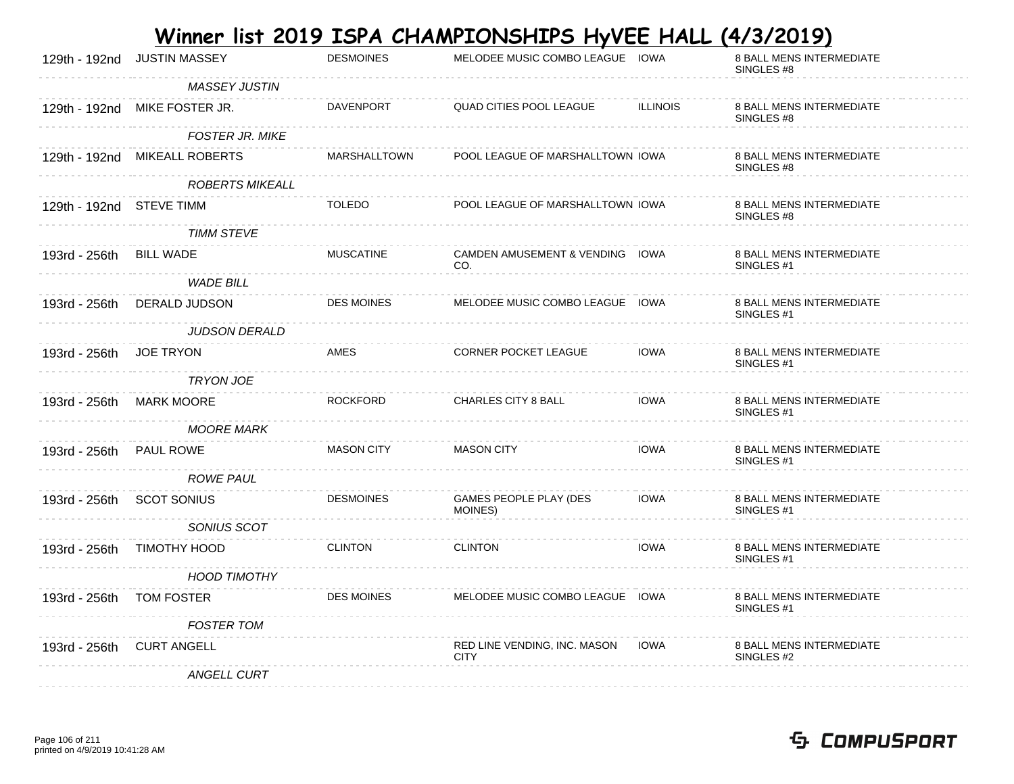|                          |                               |                   | Winner list 2019 ISPA CHAMPIONSHIPS HyVEE HALL |                 | <u>(4/3/2019)</u>                                        |
|--------------------------|-------------------------------|-------------------|------------------------------------------------|-----------------|----------------------------------------------------------|
| 129th - 192nd            | <b>JUSTIN MASSEY</b>          | <b>DESMOINES</b>  | MELODEE MUSIC COMBO LEAGUE IOWA                |                 | 8 BALL MENS INTERMEDIATE<br>SINGLES #8                   |
|                          | <b>MASSEY JUSTIN</b>          |                   |                                                |                 |                                                          |
|                          | 129th - 192nd MIKE FOSTER JR. | DAVENPORT         | <b>QUAD CITIES POOL LEAGUE</b>                 | <b>ILLINOIS</b> | <b>8 BALL MENS INTERMEDIATE</b><br>SINGLES #8            |
|                          | <b>FOSTER JR. MIKE</b>        |                   |                                                |                 |                                                          |
|                          | 129th - 192nd MIKEALL ROBERTS | MARSHALLTOWN      | POOL LEAGUE OF MARSHALLTOWN IOWA               |                 | <b>8 BALL MENS INTERMEDIATE</b><br>SINGLES #8            |
|                          | <b>ROBERTS MIKEALL</b>        |                   |                                                |                 |                                                          |
| 129th - 192nd STEVE TIMM |                               | <b>TOLEDO</b>     | POOL LEAGUE OF MARSHALLTOWN IOWA               |                 | 8 BALL MENS INTERMEDIATE<br>SINGLES #8                   |
|                          | TIMM STEVE                    |                   |                                                |                 |                                                          |
| 193rd - 256th BILL WADE  |                               | <b>MUSCATINE</b>  | CAMDEN AMUSEMENT & VENDING IOWA<br>CO.         |                 | <b>8 BALL MENS INTERMEDIATE</b><br>SINGLES <sub>#1</sub> |
|                          | <b>WADE BILL</b>              |                   |                                                |                 |                                                          |
| 193rd - 256th            | DERALD JUDSON                 | <b>DES MOINES</b> | MELODEE MUSIC COMBO LEAGUE IOWA                |                 | <b>8 BALL MENS INTERMEDIATE</b><br>SINGLES <sub>#1</sub> |
|                          | <b>JUDSON DERALD</b>          |                   |                                                |                 |                                                          |
| 193rd - 256th            | <b>JOE TRYON</b>              | AMES              | <b>CORNER POCKET LEAGUE</b>                    | <b>IOWA</b>     | <b>8 BALL MENS INTERMEDIATE</b><br>SINGLES #1            |
|                          | <b>TRYON JOE</b>              |                   |                                                |                 |                                                          |
| 193rd - 256th            | <b>MARK MOORE</b>             | <b>ROCKFORD</b>   | CHARLES CITY 8 BALL                            | <b>IOWA</b>     | 8 BALL MENS INTERMEDIATE<br>SINGLES <sub>#1</sub>        |
|                          | MOORE MARK                    |                   |                                                |                 |                                                          |
| 193rd - 256th            | <b>PAUL ROWE</b>              | <b>MASON CITY</b> | <b>MASON CITY</b>                              | <b>IOWA</b>     | 8 BALL MENS INTERMEDIATE<br>SINGLES #1                   |
|                          | <b>ROWE PAUL</b>              |                   |                                                |                 |                                                          |
| 193rd - 256th            | <b>SCOT SONIUS</b>            | <b>DESMOINES</b>  | GAMES PEOPLE PLAY (DES<br>MOINES)              | <b>IOWA</b>     | 8 BALL MENS INTERMEDIATE<br>SINGLES <sub>#1</sub>        |
|                          | SONIUS SCOT                   |                   |                                                |                 |                                                          |
| 193rd - 256th            | TIMOTHY HOOD                  | <b>CLINTON</b>    | <b>CLINTON</b>                                 | <b>IOWA</b>     | <b>8 BALL MENS INTERMEDIATE</b><br>SINGLES <sub>#1</sub> |
|                          | HOOD TIMOTHY                  |                   |                                                |                 |                                                          |
| 193rd - 256th            | TOM FOSTER                    | DES MOINES        | MELODEE MUSIC COMBO LEAGUE IOWA                |                 | <b>8 BALL MENS INTERMEDIATE</b><br>SINGLES <sub>#1</sub> |
|                          | <b>FOSTER TOM</b>             |                   |                                                |                 |                                                          |
| 193rd - 256th            | <b>CURT ANGELL</b>            |                   | RED LINE VENDING, INC. MASON<br><b>CITY</b>    | <b>IOWA</b>     | 8 BALL MENS INTERMEDIATE<br>SINGLES #2                   |
|                          | <b>ANGELL CURT</b>            |                   |                                                |                 |                                                          |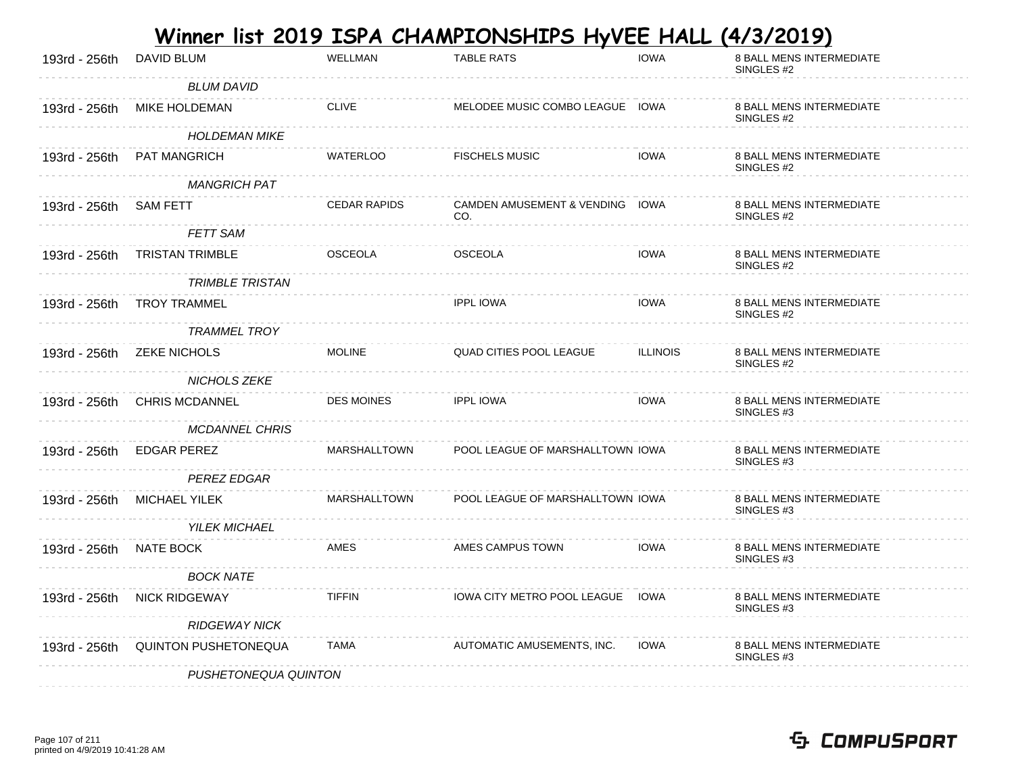|               |                             |                     | Winner list 2019 ISPA CHAMPIONSHIPS HyVEE HALL |                 | <u>(4/3/2019)</u>                                 |
|---------------|-----------------------------|---------------------|------------------------------------------------|-----------------|---------------------------------------------------|
| 193rd - 256th | DAVID BLUM                  | <b>WELLMAN</b>      | <b>TABLE RATS</b>                              | <b>IOWA</b>     | 8 BALL MENS INTERMEDIATE<br>SINGLES <sub>#2</sub> |
|               | <b>BLUM DAVID</b>           |                     |                                                |                 |                                                   |
| 193rd - 256th | MIKE HOLDEMAN               | <b>CLIVE</b>        | MELODEE MUSIC COMBO LEAGUE IOWA                |                 | <b>8 BALL MENS INTERMEDIATE</b><br>SINGLES #2     |
|               | <b>HOLDEMAN MIKE</b>        |                     |                                                |                 |                                                   |
| 193rd - 256th | PAT MANGRICH                | WATERLOO            | <b>FISCHELS MUSIC</b>                          | <b>IOWA</b>     | 8 BALL MENS INTERMEDIATE<br>SINGLES #2            |
|               | <b>MANGRICH PAT</b>         |                     |                                                |                 |                                                   |
| 193rd - 256th | <b>SAM FETT</b>             | <b>CEDAR RAPIDS</b> | CAMDEN AMUSEMENT & VENDING IOWA<br>CO.         |                 | 8 BALL MENS INTERMEDIATE<br>SINGLES #2            |
|               | <b>FETT SAM</b>             |                     |                                                |                 |                                                   |
| 193rd - 256th | <b>TRISTAN TRIMBLE</b>      | <b>OSCEOLA</b>      | <b>OSCEOLA</b>                                 | <b>IOWA</b>     | 8 BALL MENS INTERMEDIATE<br>SINGLES #2            |
|               | <b>TRIMBLE TRISTAN</b>      |                     |                                                |                 |                                                   |
| 193rd - 256th | <b>TROY TRAMMEL</b>         |                     | <b>IPPL IOWA</b>                               | <b>IOWA</b>     | 8 BALL MENS INTERMEDIATE<br>SINGLES #2            |
|               | <b>TRAMMEL TROY</b>         |                     |                                                |                 |                                                   |
| 193rd - 256th | <b>ZEKE NICHOLS</b>         | <b>MOLINE</b>       | QUAD CITIES POOL LEAGUE                        | <b>ILLINOIS</b> | 8 BALL MENS INTERMEDIATE<br>SINGLES #2            |
|               | NICHOLS ZEKE                |                     |                                                |                 |                                                   |
| 193rd - 256th | <b>CHRIS MCDANNEL</b>       | <b>DES MOINES</b>   | <b>IPPL IOWA</b>                               | <b>IOWA</b>     | 8 BALL MENS INTERMEDIATE<br>SINGLES <sub>#3</sub> |
|               | <b>MCDANNEL CHRIS</b>       |                     |                                                |                 |                                                   |
| 193rd - 256th | <b>EDGAR PEREZ</b>          | <b>MARSHALLTOWN</b> | POOL LEAGUE OF MARSHALLTOWN IOWA               |                 | 8 BALL MENS INTERMEDIATE<br>SINGLES <sub>#3</sub> |
|               | <b>PEREZ EDGAR</b>          |                     |                                                |                 |                                                   |
| 193rd - 256th | <b>MICHAEL YILEK</b>        | MARSHALLTOWN        | POOL LEAGUE OF MARSHALLTOWN IOWA               |                 | 8 BALL MENS INTERMEDIATE<br>SINGLES <sub>#3</sub> |
|               | <b>YILEK MICHAEL</b>        |                     |                                                |                 |                                                   |
| 193rd - 256th | NATE BOCK                   | <b>AMES</b>         | AMES CAMPUS TOWN                               | <b>IOWA</b>     | <b>8 BALL MENS INTERMEDIATE</b><br>SINGLES #3     |
|               | <b>BOCK NATE</b>            |                     |                                                |                 |                                                   |
| 193rd - 256th | <b>NICK RIDGEWAY</b>        | <b>TIFFIN</b>       | <b>IOWA CITY METRO POOL LEAGUE</b>             | IOWA            | <b>8 BALL MENS INTERMEDIATE</b><br>SINGLES #3     |
|               | <b>RIDGEWAY NICK</b>        |                     |                                                |                 |                                                   |
| 193rd - 256th | <b>QUINTON PUSHETONEQUA</b> | <b>TAMA</b>         | AUTOMATIC AMUSEMENTS, INC.                     | <b>IOWA</b>     | <b>8 BALL MENS INTERMEDIATE</b><br>SINGLES #3     |
|               | PUSHETONEQUA QUINTON        |                     |                                                |                 |                                                   |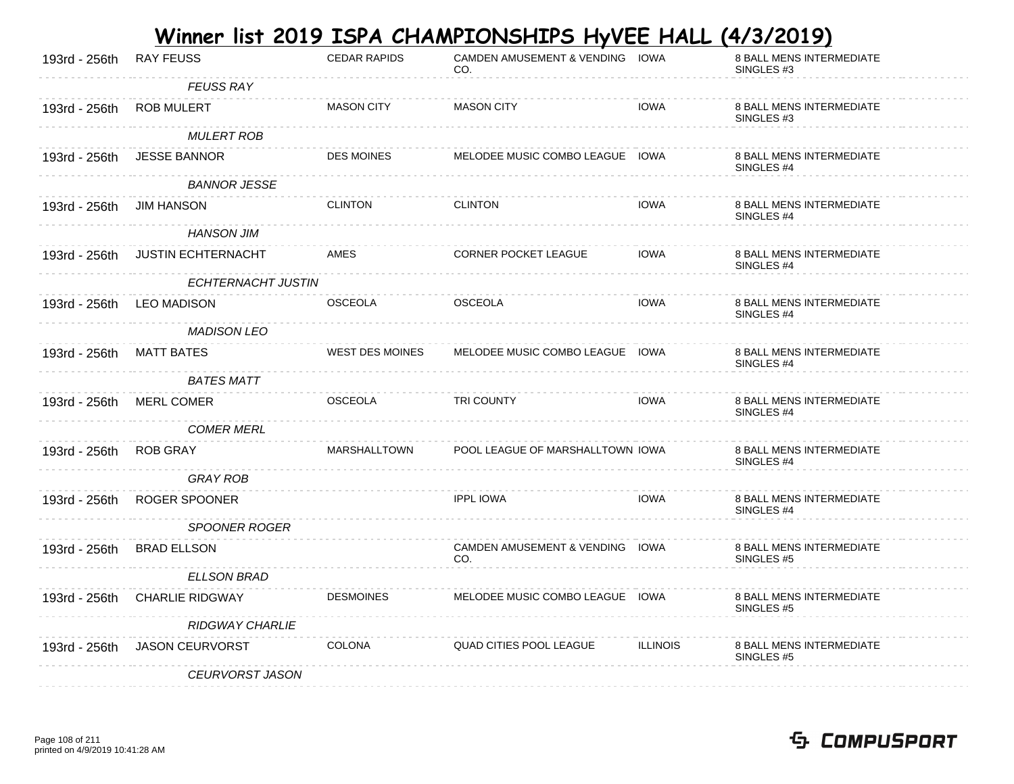|               |                           |                        | Winner list 2019 ISPA CHAMPIONSHIPS HyVEE HALL |                 | <u>(4/3/2019)</u>                                        |
|---------------|---------------------------|------------------------|------------------------------------------------|-----------------|----------------------------------------------------------|
| 193rd - 256th | <b>RAY FEUSS</b>          | <b>CEDAR RAPIDS</b>    | CAMDEN AMUSEMENT & VENDING IOWA<br>CO.         |                 | 8 BALL MENS INTERMEDIATE<br>SINGLES <sub>#3</sub>        |
|               | <b>FEUSS RAY</b>          |                        |                                                |                 |                                                          |
| 193rd - 256th | <b>ROB MULERT</b>         | <b>MASON CITY</b>      | <b>MASON CITY</b>                              | <b>IOWA</b>     | <b>8 BALL MENS INTERMEDIATE</b><br>SINGLES <sub>#3</sub> |
|               | MULERT ROB                |                        |                                                |                 |                                                          |
| 193rd - 256th | <b>JESSE BANNOR</b>       | <b>DES MOINES</b>      | MELODEE MUSIC COMBO LEAGUE IOWA                |                 | 8 BALL MENS INTERMEDIATE<br>SINGLES #4                   |
|               | <b>BANNOR JESSE</b>       |                        |                                                |                 |                                                          |
| 193rd - 256th | <b>JIM HANSON</b>         | <b>CLINTON</b>         | <b>CLINTON</b>                                 | <b>IOWA</b>     | 8 BALL MENS INTERMEDIATE<br>SINGLES #4                   |
|               | <b>HANSON JIM</b>         |                        |                                                |                 |                                                          |
| 193rd - 256th | <b>JUSTIN ECHTERNACHT</b> | AMES                   | <b>CORNER POCKET LEAGUE</b>                    | <b>IOWA</b>     | <b>8 BALL MENS INTERMEDIATE</b><br>SINGLES #4            |
|               | ECHTERNACHT JUSTIN        |                        |                                                |                 |                                                          |
| 193rd - 256th | <b>LEO MADISON</b>        | <b>OSCEOLA</b>         | <b>OSCEOLA</b>                                 | <b>IOWA</b>     | 8 BALL MENS INTERMEDIATE<br>SINGLES #4                   |
|               | <b>MADISON LEO</b>        |                        |                                                |                 |                                                          |
| 193rd - 256th | MATT BATES                | <b>WEST DES MOINES</b> | MELODEE MUSIC COMBO LEAGUE IOWA                |                 | 8 BALL MENS INTERMEDIATE<br>SINGLES #4                   |
|               | <b>BATES MATT</b>         |                        |                                                |                 |                                                          |
| 193rd - 256th | <b>MERL COMER</b>         | <b>OSCEOLA</b>         | TRI COUNTY                                     | <b>IOWA</b>     | 8 BALL MENS INTERMEDIATE<br>SINGLES <sub>#4</sub>        |
|               | <b>COMER MERL</b>         |                        |                                                |                 |                                                          |
| 193rd - 256th | <b>ROB GRAY</b>           | MARSHALLTOWN           | POOL LEAGUE OF MARSHALLTOWN IOWA               |                 | <b>8 BALL MENS INTERMEDIATE</b><br>SINGLES <sub>#4</sub> |
|               | <b>GRAY ROB</b>           |                        |                                                |                 |                                                          |
| 193rd - 256th | ROGER SPOONER             |                        | <b>IPPL IOWA</b>                               | <b>IOWA</b>     | <b>8 BALL MENS INTERMEDIATE</b><br>SINGLES <sub>#4</sub> |
|               | <b>SPOONER ROGER</b>      |                        |                                                |                 |                                                          |
| 193rd - 256th | <b>BRAD ELLSON</b>        |                        | CAMDEN AMUSEMENT & VENDING IOWA<br>CO.         |                 | <b>8 BALL MENS INTERMEDIATE</b><br>SINGLES #5            |
|               | <b>ELLSON BRAD</b>        |                        |                                                |                 |                                                          |
| 193rd - 256th | <b>CHARLIE RIDGWAY</b>    | <b>DESMOINES</b>       | MELODEE MUSIC COMBO LEAGUE IOWA                |                 | <b>8 BALL MENS INTERMEDIATE</b><br>SINGLES #5            |
|               | <b>RIDGWAY CHARLIE</b>    |                        |                                                |                 |                                                          |
| 193rd - 256th | <b>JASON CEURVORST</b>    | <b>COLONA</b>          | <b>QUAD CITIES POOL LEAGUE</b>                 | <b>ILLINOIS</b> | <b>8 BALL MENS INTERMEDIATE</b><br>SINGLES #5            |
|               | <b>CEURVORST JASON</b>    |                        |                                                |                 |                                                          |

**College** 

#### Page 108 of 211 printed on 4/9/2019 10:41:28 AM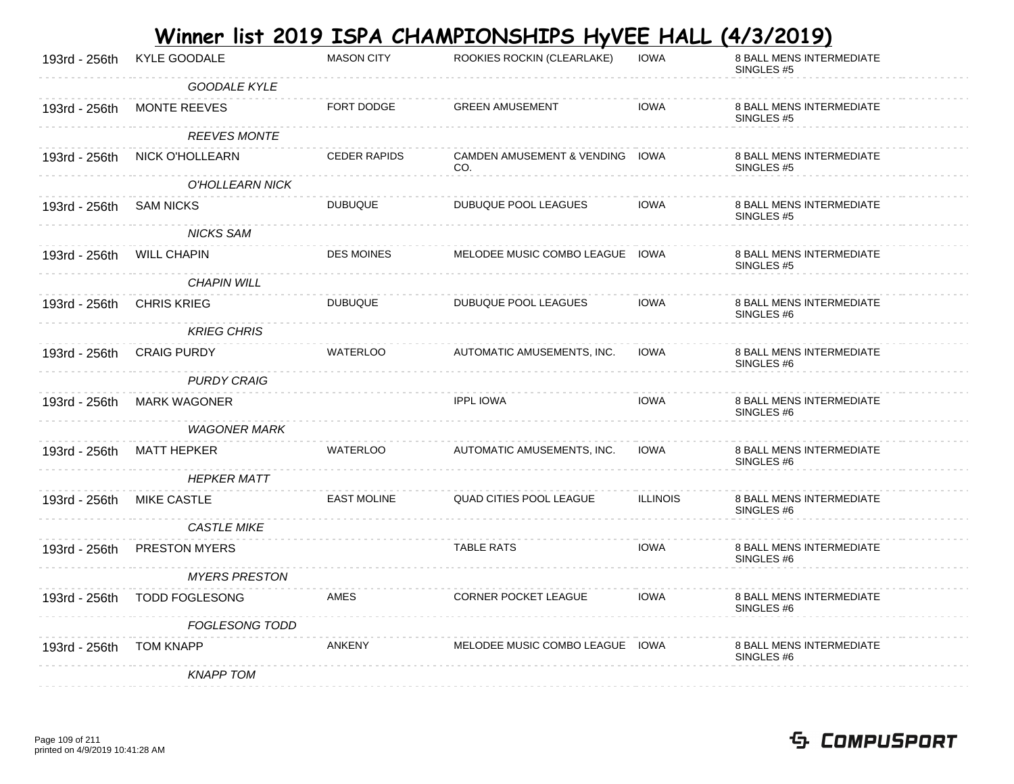|                           |                       |                     | Winner list 2019 ISPA CHAMPIONSHIPS HyVEE HALL |                 | <u>(4/3/2019)</u>                                 |
|---------------------------|-----------------------|---------------------|------------------------------------------------|-----------------|---------------------------------------------------|
| 193rd - 256th             | <b>KYLE GOODALE</b>   | <b>MASON CITY</b>   | ROOKIES ROCKIN (CLEARLAKE)                     | <b>IOWA</b>     | 8 BALL MENS INTERMEDIATE<br>SINGLES #5            |
|                           | <b>GOODALE KYLE</b>   |                     |                                                |                 |                                                   |
| 193rd - 256th             | <b>MONTE REEVES</b>   | FORT DODGE          | <b>GREEN AMUSEMENT</b>                         | <b>IOWA</b>     | 8 BALL MENS INTERMEDIATE<br>SINGLES <sub>#5</sub> |
|                           | <b>REEVES MONTE</b>   |                     |                                                |                 |                                                   |
| 193rd - 256th             | NICK O'HOLLEARN       | <b>CEDER RAPIDS</b> | CAMDEN AMUSEMENT & VENDING IOWA<br>CO.         |                 | 8 BALL MENS INTERMEDIATE<br>SINGLES #5            |
|                           | O'HOLLEARN NICK       |                     |                                                |                 |                                                   |
| 193rd - 256th             | SAM NICKS             | <b>DUBUQUE</b>      | DUBUQUE POOL LEAGUES                           | IOWA            | 8 BALL MENS INTERMEDIATE<br>SINGLES #5            |
|                           | <b>NICKS SAM</b>      |                     |                                                |                 |                                                   |
| 193rd - 256th WILL CHAPIN |                       | <b>DES MOINES</b>   | MELODEE MUSIC COMBO LEAGUE IOWA                |                 | 8 BALL MENS INTERMEDIATE<br>SINGLES <sub>#5</sub> |
|                           | <b>CHAPIN WILL</b>    |                     |                                                |                 |                                                   |
| 193rd - 256th             | <b>CHRIS KRIEG</b>    | <b>DUBUQUE</b>      | <b>DUBUQUE POOL LEAGUES</b>                    | <b>IOWA</b>     | 8 BALL MENS INTERMEDIATE<br>SINGLES #6            |
|                           | <b>KRIEG CHRIS</b>    |                     |                                                |                 |                                                   |
| 193rd - 256th             | <b>CRAIG PURDY</b>    | WATERLOO            | AUTOMATIC AMUSEMENTS, INC.                     | <b>IOWA</b>     | 8 BALL MENS INTERMEDIATE<br>SINGLES #6            |
|                           | <b>PURDY CRAIG</b>    |                     |                                                |                 |                                                   |
| 193rd - 256th             | <b>MARK WAGONER</b>   |                     | <b>IPPL IOWA</b>                               | <b>IOWA</b>     | 8 BALL MENS INTERMEDIATE<br>SINGLES <sub>#6</sub> |
|                           | <b>WAGONER MARK</b>   |                     |                                                |                 |                                                   |
| 193rd - 256th             | MATT HEPKER           | <b>WATERLOO</b>     | AUTOMATIC AMUSEMENTS, INC.                     | <b>IOWA</b>     | 8 BALL MENS INTERMEDIATE<br>SINGLES <sub>#6</sub> |
|                           | <b>HEPKER MATT</b>    |                     |                                                |                 |                                                   |
| 193rd - 256th             | MIKE CASTLE           | <b>EAST MOLINE</b>  | QUAD CITIES POOL LEAGUE                        | <b>ILLINOIS</b> | 8 BALL MENS INTERMEDIATE<br>SINGLES #6            |
|                           | <b>CASTLE MIKE</b>    |                     |                                                |                 |                                                   |
| 193rd - 256th             | <b>PRESTON MYERS</b>  |                     | <b>TABLE RATS</b>                              | <b>IOWA</b>     | 8 BALL MENS INTERMEDIATE<br>SINGLES <sub>#6</sub> |
|                           | <b>MYERS PRESTON</b>  |                     |                                                |                 |                                                   |
| 193rd - 256th             | <b>TODD FOGLESONG</b> | AMES                | <b>CORNER POCKET LEAGUE</b>                    | <b>IOWA</b>     | 8 BALL MENS INTERMEDIATE<br>SINGLES #6            |
|                           | <b>FOGLESONG TODD</b> |                     |                                                |                 |                                                   |
| 193rd - 256th             | <b>TOM KNAPP</b>      | ANKENY              | MELODEE MUSIC COMBO LEAGUE IOWA                |                 | <b>8 BALL MENS INTERMEDIATE</b><br>SINGLES #6     |
|                           | <b>KNAPP TOM</b>      |                     |                                                |                 |                                                   |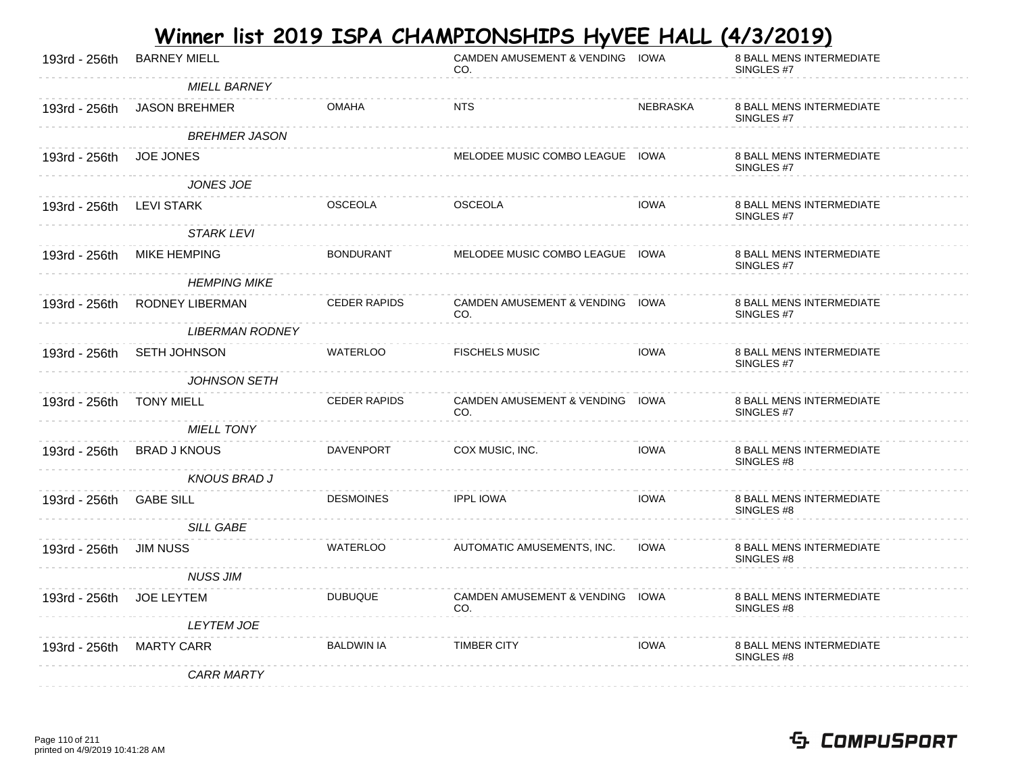| 193rd - 256th | <b>BARNEY MIELL</b>    |                     | CAMDEN AMUSEMENT & VENDING IOWA<br>CO. |             | 8 BALL MENS INTERMEDIATE<br>SINGLES <sub>#7</sub> |
|---------------|------------------------|---------------------|----------------------------------------|-------------|---------------------------------------------------|
|               | <b>MIELL BARNEY</b>    |                     |                                        |             |                                                   |
| 193rd - 256th | <b>JASON BREHMER</b>   | <b>OMAHA</b>        | <b>NTS</b>                             | NEBRASKA    | 8 BALL MENS INTERMEDIATE<br>SINGLES #7            |
|               | <b>BREHMER JASON</b>   |                     |                                        |             |                                                   |
| 193rd - 256th | <b>JOE JONES</b>       |                     | MELODEE MUSIC COMBO LEAGUE IOWA        |             | 8 BALL MENS INTERMEDIATE<br>SINGLES #7            |
|               | JONES JOE              |                     |                                        |             |                                                   |
| 193rd - 256th | LEVI STARK             | <b>OSCEOLA</b>      | <b>OSCEOLA</b>                         | <b>IOWA</b> | 8 BALL MENS INTERMEDIATE<br>SINGLES #7            |
|               | <b>STARK LEVI</b>      |                     |                                        |             |                                                   |
| 193rd - 256th | <b>MIKE HEMPING</b>    | <b>BONDURANT</b>    | MELODEE MUSIC COMBO LEAGUE IOWA        |             | 8 BALL MENS INTERMEDIATE<br>SINGLES #7            |
|               | <b>HEMPING MIKE</b>    |                     |                                        |             |                                                   |
| 193rd - 256th | RODNEY LIBERMAN        | <b>CEDER RAPIDS</b> | CAMDEN AMUSEMENT & VENDING IOWA<br>CO. |             | 8 BALL MENS INTERMEDIATE<br>SINGLES #7            |
|               | <b>LIBERMAN RODNEY</b> |                     |                                        |             |                                                   |
| 193rd - 256th | SETH JOHNSON           | <b>WATERLOO</b>     | <b>FISCHELS MUSIC</b>                  | <b>IOWA</b> | 8 BALL MENS INTERMEDIATE<br>SINGLES #7            |
|               | JOHNSON SETH           |                     |                                        |             |                                                   |
| 193rd - 256th | <b>TONY MIELL</b>      | <b>CEDER RAPIDS</b> | CAMDEN AMUSEMENT & VENDING IOWA<br>CO. |             | 8 BALL MENS INTERMEDIATE<br>SINGLES #7            |
|               | <b>MIELL TONY</b>      |                     |                                        |             |                                                   |
| 193rd - 256th | <b>BRAD J KNOUS</b>    | DAVENPORT           | COX MUSIC, INC.                        | <b>IOWA</b> | 8 BALL MENS INTERMEDIATE<br>SINGLES #8            |
|               | <b>KNOUS BRAD J</b>    |                     |                                        |             |                                                   |
| 193rd - 256th | <b>GABE SILL</b>       | <b>DESMOINES</b>    | <b>IPPL IOWA</b>                       | <b>IOWA</b> | 8 BALL MENS INTERMEDIATE<br>SINGLES #8            |
|               | <b>SILL GABE</b>       |                     |                                        |             |                                                   |
| 193rd - 256th | <b>JIM NUSS</b>        | WATERLOO            | AUTOMATIC AMUSEMENTS, INC.             | <b>IOWA</b> | 8 BALL MENS INTERMEDIATE<br>SINGLES #8            |
|               | <b>NUSS JIM</b>        |                     |                                        |             |                                                   |
| 193rd - 256th | JOE LEYTEM             | <b>DUBUQUE</b>      | CAMDEN AMUSEMENT & VENDING IOWA<br>CO. |             | 8 BALL MENS INTERMEDIATE<br>SINGLES #8            |
|               | <b>LEYTEM JOE</b>      |                     |                                        |             |                                                   |
| 193rd - 256th | <b>MARTY CARR</b>      | <b>BALDWIN IA</b>   | <b>TIMBER CITY</b>                     | <b>IOWA</b> | 8 BALL MENS INTERMEDIATE<br>SINGLES #8            |
|               | <b>CARR MARTY</b>      |                     |                                        |             |                                                   |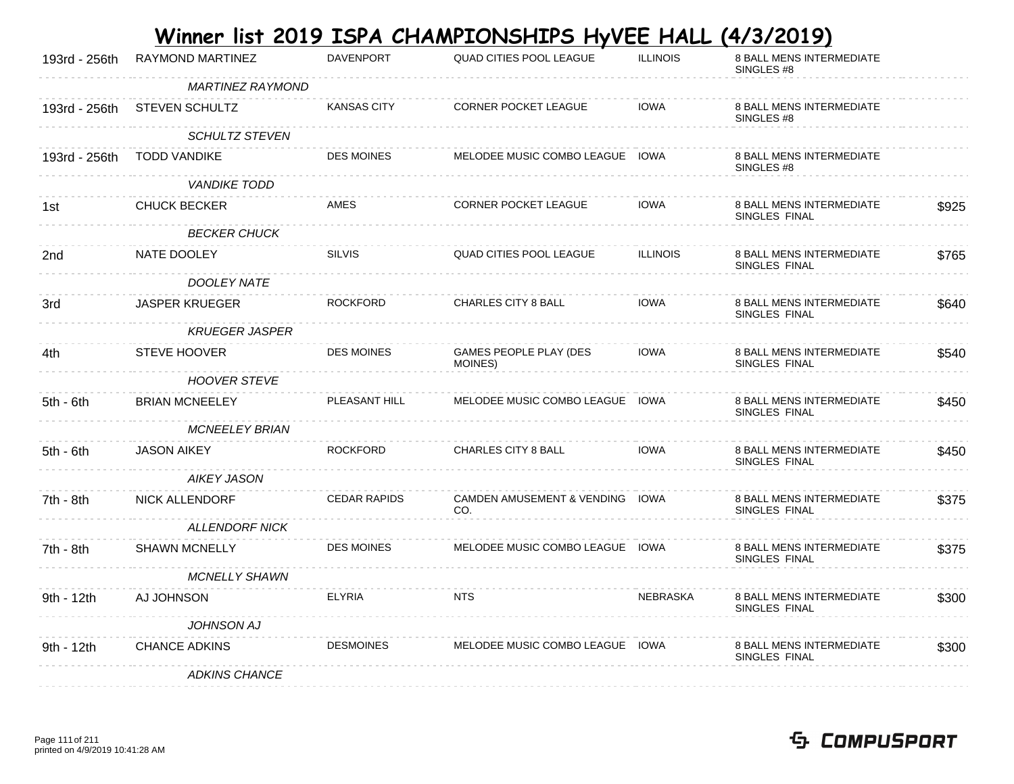|               |                       |                     | Winner list 2019 ISPA CHAMPIONSHIPS HyVEE HALL |                 | <u>(4/3/2019)</u>                                |       |
|---------------|-----------------------|---------------------|------------------------------------------------|-----------------|--------------------------------------------------|-------|
| 193rd - 256th | RAYMOND MARTINEZ      | <b>DAVENPORT</b>    | QUAD CITIES POOL LEAGUE                        | <b>ILLINOIS</b> | 8 BALL MENS INTERMEDIATE<br>SINGLES #8           |       |
|               | MARTINEZ RAYMOND      |                     |                                                |                 |                                                  |       |
| 193rd - 256th | <b>STEVEN SCHULTZ</b> | <b>KANSAS CITY</b>  | <b>CORNER POCKET LEAGUE</b>                    | <b>IOWA</b>     | <b>8 BALL MENS INTERMEDIATE</b><br>SINGLES #8    |       |
|               | <i>SCHULTZ STEVEN</i> |                     |                                                |                 |                                                  |       |
| 193rd - 256th | <b>TODD VANDIKE</b>   | DES MOINES          | MELODEE MUSIC COMBO LEAGUE IOWA                |                 | 8 BALL MENS INTERMEDIATE<br>SINGLES #8           |       |
|               | <b>VANDIKE TODD</b>   |                     |                                                |                 |                                                  |       |
| 1st           | <b>CHUCK BECKER</b>   | AMES                | <b>CORNER POCKET LEAGUE</b>                    | <b>IOWA</b>     | 8 BALL MENS INTERMEDIATE<br>SINGLES FINAL        | \$925 |
|               | <b>BECKER CHUCK</b>   |                     |                                                |                 |                                                  |       |
| 2nd           | NATE DOOLEY           | <b>SILVIS</b>       | <b>QUAD CITIES POOL LEAGUE</b>                 | <b>ILLINOIS</b> | 8 BALL MENS INTERMEDIATE<br>SINGLES FINAL        | \$765 |
|               | DOOLEY NATE           |                     |                                                |                 |                                                  |       |
| 3rd           | <b>JASPER KRUEGER</b> | <b>ROCKFORD</b>     | CHARLES CITY 8 BALL                            | <b>IOWA</b>     | 8 BALL MENS INTERMEDIATE<br>SINGLES FINAL        | \$640 |
|               | <b>KRUEGER JASPER</b> |                     |                                                |                 |                                                  |       |
| 4th           | <b>STEVE HOOVER</b>   | <b>DES MOINES</b>   | GAMES PEOPLE PLAY (DES<br>MOINES)              | <b>IOWA</b>     | 8 BALL MENS INTERMEDIATE<br>SINGLES FINAL        | \$540 |
|               | <b>HOOVER STEVE</b>   |                     |                                                |                 |                                                  |       |
| $5th - 6th$   | <b>BRIAN MCNEELEY</b> | PLEASANT HILL       | MELODEE MUSIC COMBO LEAGUE IOWA                |                 | 8 BALL MENS INTERMEDIATE<br>SINGLES FINAL        | \$450 |
|               | <b>MCNEELEY BRIAN</b> |                     |                                                |                 |                                                  |       |
| $5th - 6th$   | <b>JASON AIKEY</b>    | <b>ROCKFORD</b>     | CHARLES CITY 8 BALL                            | <b>IOWA</b>     | 8 BALL MENS INTERMEDIATE<br>SINGLES FINAL        | \$450 |
|               | AIKEY JASON           |                     |                                                |                 |                                                  |       |
| 7th - 8th     | <b>NICK ALLENDORF</b> | <b>CEDAR RAPIDS</b> | CAMDEN AMUSEMENT & VENDING IOWA<br>CO.         |                 | 8 BALL MENS INTERMEDIATE<br>SINGLES FINAL        | \$375 |
|               | <b>ALLENDORF NICK</b> |                     |                                                |                 |                                                  |       |
| 7th - 8th     | <b>SHAWN MCNELLY</b>  | <b>DES MOINES</b>   | MELODEE MUSIC COMBO LEAGUE IOWA                |                 | <b>8 BALL MENS INTERMEDIATE</b><br>SINGLES FINAL | \$375 |
|               | <b>MCNELLY SHAWN</b>  |                     |                                                |                 |                                                  |       |
| 9th - 12th    | AJ JOHNSON            | <b>ELYRIA</b>       | <b>NTS</b>                                     | <b>NEBRASKA</b> | <b>8 BALL MENS INTERMEDIATE</b><br>SINGLES FINAL | \$300 |
|               | <b>JOHNSON AJ</b>     |                     |                                                |                 |                                                  |       |
| 9th - 12th    | <b>CHANCE ADKINS</b>  | <b>DESMOINES</b>    | MELODEE MUSIC COMBO LEAGUE IOWA                |                 | <b>8 BALL MENS INTERMEDIATE</b><br>SINGLES FINAL | \$300 |
|               | <b>ADKINS CHANCE</b>  |                     |                                                |                 |                                                  |       |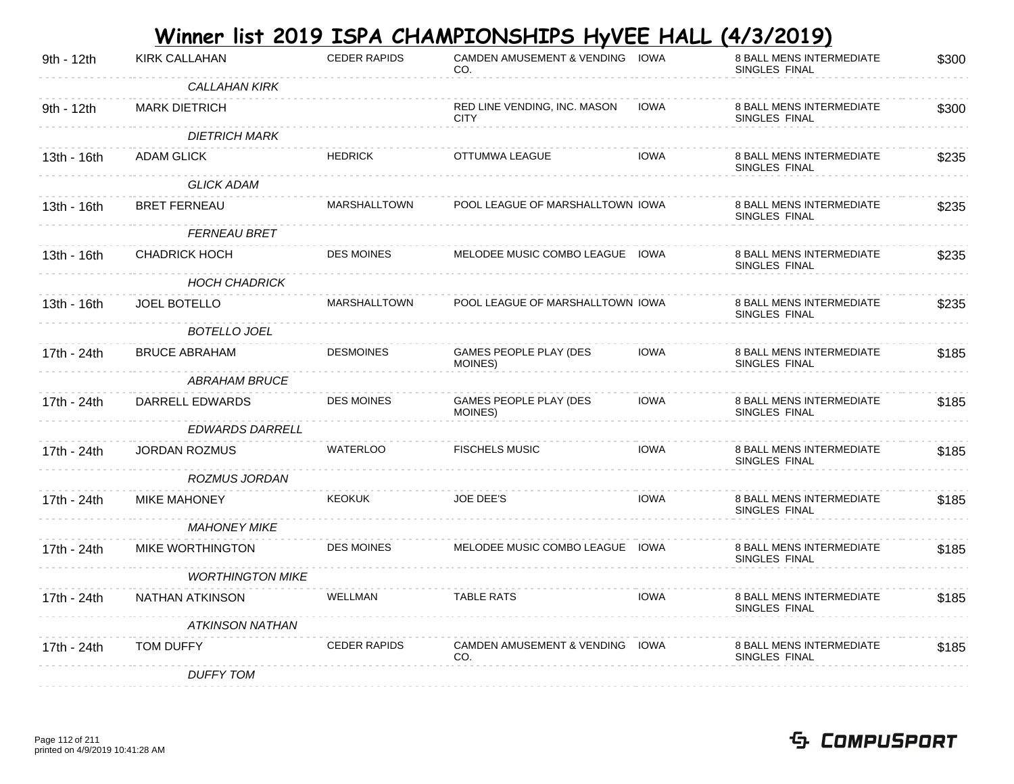|             |                         |                     | Winner list 2019 ISPA CHAMPIONSHIPS HyVEE HALL |             | <u>(4/3/2019)</u>                         |       |
|-------------|-------------------------|---------------------|------------------------------------------------|-------------|-------------------------------------------|-------|
| 9th - 12th  | <b>KIRK CALLAHAN</b>    | <b>CEDER RAPIDS</b> | CAMDEN AMUSEMENT & VENDING IOWA<br>CO.         |             | 8 BALL MENS INTERMEDIATE<br>SINGLES FINAL | \$300 |
|             | <b>CALLAHAN KIRK</b>    |                     |                                                |             |                                           |       |
| 9th - 12th  | <b>MARK DIETRICH</b>    |                     | RED LINE VENDING, INC. MASON<br><b>CITY</b>    | <b>IOWA</b> | 8 BALL MENS INTERMEDIATE<br>SINGLES FINAL | \$300 |
|             | <b>DIETRICH MARK</b>    |                     |                                                |             |                                           |       |
| 13th - 16th | ADAM GLICK              | <b>HEDRICK</b>      | OTTUMWA LEAGUE                                 | IOWA        | 8 BALL MENS INTERMEDIATE<br>SINGLES FINAL | \$235 |
|             | <b>GLICK ADAM</b>       |                     |                                                |             |                                           |       |
| 13th - 16th | <b>BRET FERNEAU</b>     | MARSHALLTOWN        | POOL LEAGUE OF MARSHALLTOWN IOWA               |             | 8 BALL MENS INTERMEDIATE<br>SINGLES FINAL | \$235 |
|             | <b>FERNEAU BRET</b>     |                     |                                                |             |                                           |       |
| 13th - 16th | <b>CHADRICK HOCH</b>    | <b>DES MOINES</b>   | MELODEE MUSIC COMBO LEAGUE IOWA                |             | 8 BALL MENS INTERMEDIATE<br>SINGLES FINAL | \$235 |
|             | <b>HOCH CHADRICK</b>    |                     |                                                |             |                                           |       |
| 13th - 16th | JOEL BOTELLO            | <b>MARSHALLTOWN</b> | POOL LEAGUE OF MARSHALLTOWN IOWA               |             | 8 BALL MENS INTERMEDIATE<br>SINGLES FINAL | \$235 |
|             | <b>BOTELLO JOEL</b>     |                     |                                                |             |                                           |       |
| 17th - 24th | <b>BRUCE ABRAHAM</b>    | <b>DESMOINES</b>    | GAMES PEOPLE PLAY (DES<br>MOINES)              | <b>IOWA</b> | 8 BALL MENS INTERMEDIATE<br>SINGLES FINAL | \$185 |
|             | ABRAHAM BRUCE           |                     |                                                |             |                                           |       |
| 17th - 24th | DARRELL EDWARDS         | <b>DES MOINES</b>   | GAMES PEOPLE PLAY (DES<br>MOINES)              | <b>IOWA</b> | 8 BALL MENS INTERMEDIATE<br>SINGLES FINAL | \$185 |
|             | <i>EDWARDS DARRELL</i>  |                     |                                                |             |                                           |       |
| 17th - 24th | <b>JORDAN ROZMUS</b>    | <b>WATERLOO</b>     | <b>FISCHELS MUSIC</b>                          | <b>IOWA</b> | 8 BALL MENS INTERMEDIATE<br>SINGLES FINAL | \$185 |
|             | ROZMUS JORDAN           |                     |                                                |             |                                           |       |
| 17th - 24th | <b>MIKE MAHONEY</b>     | <b>KEOKUK</b>       | JOE DEE'S                                      | <b>IOWA</b> | 8 BALL MENS INTERMEDIATE<br>SINGLES FINAL | \$185 |
|             | <b>MAHONEY MIKE</b>     |                     |                                                |             |                                           |       |
| 17th - 24th | <b>MIKE WORTHINGTON</b> | <b>DES MOINES</b>   | MELODEE MUSIC COMBO LEAGUE IOWA                |             | 8 BALL MENS INTERMEDIATE<br>SINGLES FINAL | \$185 |
|             | <b>WORTHINGTON MIKE</b> |                     |                                                |             |                                           |       |
| 17th - 24th | NATHAN ATKINSON         | WELLMAN             | <b>TABLE RATS</b>                              | <b>IOWA</b> | 8 BALL MENS INTERMEDIATE<br>SINGLES FINAL | \$185 |
|             | <b>ATKINSON NATHAN</b>  |                     |                                                |             |                                           |       |
| 17th - 24th | <b>TOM DUFFY</b>        | <b>CEDER RAPIDS</b> | CAMDEN AMUSEMENT & VENDING IOWA<br>CO.         |             | 8 BALL MENS INTERMEDIATE<br>SINGLES FINAL | \$185 |
|             | <b>DUFFY TOM</b>        |                     |                                                |             |                                           |       |

#### Page 112 of 211 printed on 4/9/2019 10:41:28 AM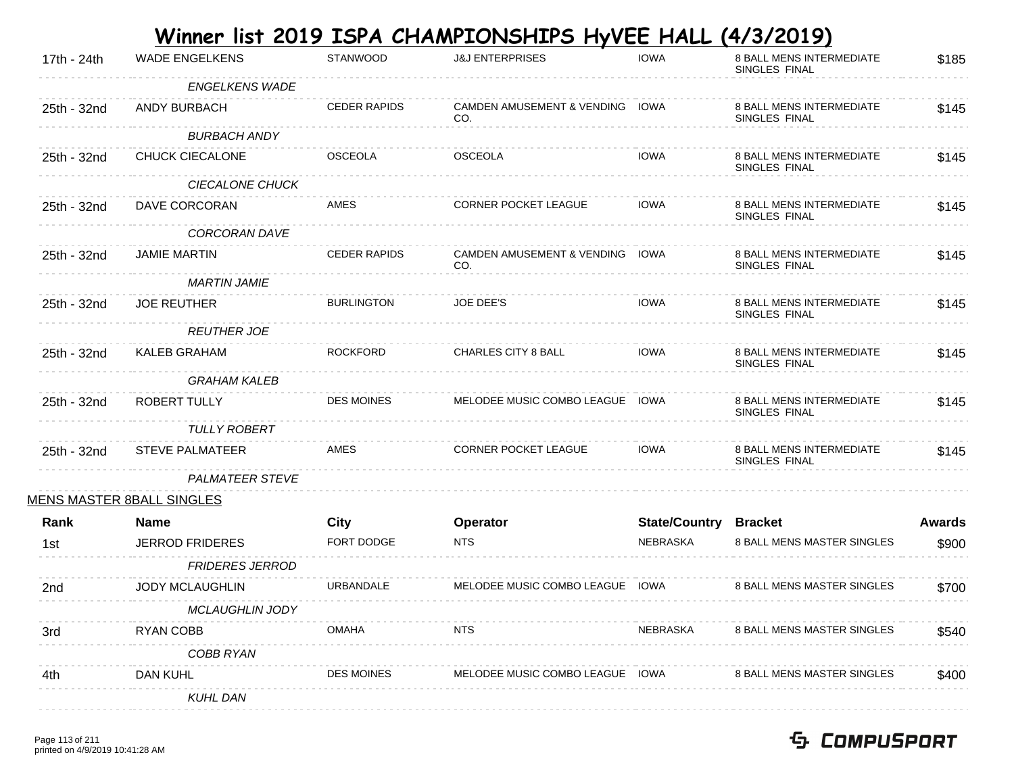|             |                           |                     | <u>Winner list 2019 ISPA CHAMPIONSHIPS HyVEE HALL (4/3/2019)</u> |                      |                                                  |               |
|-------------|---------------------------|---------------------|------------------------------------------------------------------|----------------------|--------------------------------------------------|---------------|
| 17th - 24th | <b>WADE ENGELKENS</b>     | <b>STANWOOD</b>     | <b>J&amp;J ENTERPRISES</b>                                       | <b>IOWA</b>          | 8 BALL MENS INTERMEDIATE<br>SINGLES FINAL        | \$185         |
|             | <b>ENGELKENS WADE</b>     |                     |                                                                  |                      |                                                  |               |
| 25th - 32nd | ANDY BURBACH              | <b>CEDER RAPIDS</b> | CAMDEN AMUSEMENT & VENDING IOWA<br>CO.                           |                      | <b>8 BALL MENS INTERMEDIATE</b><br>SINGLES FINAL | \$145         |
|             | <b>BURBACH ANDY</b>       |                     |                                                                  |                      |                                                  |               |
| 25th - 32nd | CHUCK CIECALONE           | <b>OSCEOLA</b>      | <b>OSCEOLA</b>                                                   | <b>IOWA</b>          | <b>8 BALL MENS INTERMEDIATE</b><br>SINGLES FINAL | \$145         |
|             | <b>CIECALONE CHUCK</b>    |                     |                                                                  |                      |                                                  |               |
| 25th - 32nd | DAVE CORCORAN             | <b>AMES</b>         | <b>CORNER POCKET LEAGUE</b>                                      | <b>IOWA</b>          | <b>8 BALL MENS INTERMEDIATE</b><br>SINGLES FINAL | \$145         |
|             | CORCORAN DAVE             |                     |                                                                  |                      |                                                  |               |
| 25th - 32nd | <b>JAMIE MARTIN</b>       | <b>CEDER RAPIDS</b> | CAMDEN AMUSEMENT & VENDING IOWA<br>CO.                           |                      | <b>8 BALL MENS INTERMEDIATE</b><br>SINGLES FINAL | \$145         |
|             | <b>MARTIN JAMIE</b>       |                     |                                                                  |                      |                                                  |               |
| 25th - 32nd | <b>JOE REUTHER</b>        | <b>BURLINGTON</b>   | <b>JOE DEE'S</b>                                                 | <b>IOWA</b>          | <b>8 BALL MENS INTERMEDIATE</b><br>SINGLES FINAL | \$145         |
|             | <b>REUTHER JOE</b>        |                     |                                                                  |                      |                                                  |               |
| 25th - 32nd | <b>KALEB GRAHAM</b>       | <b>ROCKFORD</b>     | <b>CHARLES CITY 8 BALL</b>                                       | <b>IOWA</b>          | <b>8 BALL MENS INTERMEDIATE</b><br>SINGLES FINAL | \$145         |
|             | <b>GRAHAM KALEB</b>       |                     |                                                                  |                      |                                                  |               |
| 25th - 32nd | <b>ROBERT TULLY</b>       | <b>DES MOINES</b>   | MELODEE MUSIC COMBO LEAGUE IOWA                                  |                      | <b>8 BALL MENS INTERMEDIATE</b><br>SINGLES FINAL | \$145         |
|             | <b>TULLY ROBERT</b>       |                     |                                                                  |                      |                                                  |               |
| 25th - 32nd | <b>STEVE PALMATEER</b>    | AMES                | <b>CORNER POCKET LEAGUE</b>                                      | <b>IOWA</b>          | <b>8 BALL MENS INTERMEDIATE</b><br>SINGLES FINAL | \$145         |
|             | <b>PALMATEER STEVE</b>    |                     |                                                                  |                      |                                                  |               |
|             | MENS MASTER 8BALL SINGLES |                     |                                                                  |                      |                                                  |               |
| Rank        | <b>Name</b>               | City                | Operator                                                         | <b>State/Country</b> | <b>Bracket</b>                                   | <b>Awards</b> |
| 1st         | <b>JERROD FRIDERES</b>    | FORT DODGE          | <b>NTS</b>                                                       | NEBRASKA             | 8 BALL MENS MASTER SINGLES                       | \$900         |
|             | <b>FRIDERES JERROD</b>    |                     |                                                                  |                      |                                                  |               |
| 2nd         | <b>JODY MCLAUGHLIN</b>    | URBANDALE           | MELODEE MUSIC COMBO LEAGUE IOWA                                  |                      | 8 BALL MENS MASTER SINGLES                       | \$700         |
|             | <b>MCLAUGHLIN JODY</b>    |                     |                                                                  |                      |                                                  |               |
| 3rd         | RYAN COBB                 | <b>OMAHA</b>        | <b>NTS</b>                                                       | NEBRASKA             | <b>8 BALL MENS MASTER SINGLES</b>                | \$540         |
|             | COBB RYAN                 |                     |                                                                  |                      |                                                  |               |
| 4th         | DAN KUHL                  | <b>DES MOINES</b>   | MELODEE MUSIC COMBO LEAGUE                                       | IOWA                 | <b>8 BALL MENS MASTER SINGLES</b>                | \$400         |
|             | <b>KUHL DAN</b>           |                     |                                                                  |                      |                                                  |               |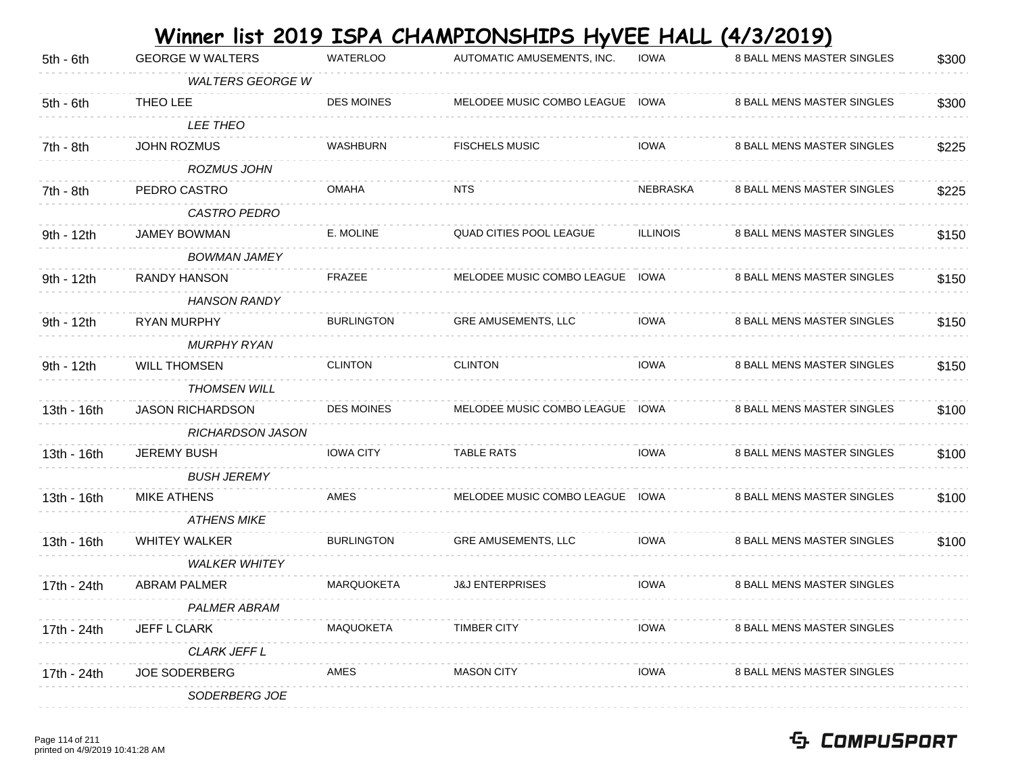|             |                         |                   | Winner list 2019 ISPA CHAMPIONSHIPS HyVEE HALL (4/3/2019) |                 |                                   |       |
|-------------|-------------------------|-------------------|-----------------------------------------------------------|-----------------|-----------------------------------|-------|
| 5th - 6th   | <b>GEORGE W WALTERS</b> | <b>WATERLOO</b>   | AUTOMATIC AMUSEMENTS, INC.                                | <b>IOWA</b>     | 8 BALL MENS MASTER SINGLES        | \$300 |
|             | <b>WALTERS GEORGE W</b> |                   |                                                           |                 |                                   |       |
| 5th - 6th   | THEO LEE                | <b>DES MOINES</b> | MELODEE MUSIC COMBO LEAGUE                                | <b>IOWA</b>     | 8 BALL MENS MASTER SINGLES        | \$300 |
|             | <b>LEE THEO</b>         |                   |                                                           |                 |                                   |       |
| 7th - 8th   | <b>JOHN ROZMUS</b>      | WASHBURN          | <b>FISCHELS MUSIC</b>                                     | <b>IOWA</b>     | 8 BALL MENS MASTER SINGLES        | \$225 |
|             | <b>ROZMUS JOHN</b>      |                   |                                                           |                 |                                   |       |
| $7th - 8th$ | PEDRO CASTRO            | <b>OMAHA</b>      | <b>NTS</b>                                                | NEBRASKA        | 8 BALL MENS MASTER SINGLES        | \$225 |
|             | <b>CASTRO PEDRO</b>     |                   |                                                           |                 |                                   |       |
| 9th - 12th  | <b>JAMEY BOWMAN</b>     | E. MOLINE         | <b>QUAD CITIES POOL LEAGUE</b>                            | <b>ILLINOIS</b> | 8 BALL MENS MASTER SINGLES        | \$150 |
|             | <b>BOWMAN JAMEY</b>     |                   |                                                           |                 |                                   |       |
| 9th - 12th  | <b>RANDY HANSON</b>     | <b>FRAZEE</b>     | MELODEE MUSIC COMBO LEAGUE                                | IOWA            | 8 BALL MENS MASTER SINGLES        | \$150 |
|             | <b>HANSON RANDY</b>     |                   |                                                           |                 |                                   |       |
| 9th - 12th  | RYAN MURPHY             | <b>BURLINGTON</b> | <b>GRE AMUSEMENTS, LLC</b>                                | <b>IOWA</b>     | 8 BALL MENS MASTER SINGLES        | \$150 |
|             | <b>MURPHY RYAN</b>      |                   |                                                           |                 |                                   |       |
| 9th - 12th  | <b>WILL THOMSEN</b>     | <b>CLINTON</b>    | <b>CLINTON</b>                                            | <b>IOWA</b>     | 8 BALL MENS MASTER SINGLES        | \$150 |
|             | <i>THOMSEN WILL</i>     |                   |                                                           |                 |                                   |       |
| 13th - 16th | <b>JASON RICHARDSON</b> | <b>DES MOINES</b> | MELODEE MUSIC COMBO LEAGUE                                | IOWA            | 8 BALL MENS MASTER SINGLES        | \$100 |
|             | RICHARDSON JASON        |                   |                                                           |                 |                                   |       |
| 13th - 16th | <b>JEREMY BUSH</b>      | <b>IOWA CITY</b>  | <b>TABLE RATS</b>                                         | <b>IOWA</b>     | 8 BALL MENS MASTER SINGLES        | \$100 |
|             | <b>BUSH JEREMY</b>      |                   |                                                           |                 |                                   |       |
| 13th - 16th | <b>MIKE ATHENS</b>      | AMES              | MELODEE MUSIC COMBO LEAGUE                                | <b>IOWA</b>     | 8 BALL MENS MASTER SINGLES        | \$100 |
|             | <b>ATHENS MIKE</b>      |                   |                                                           |                 |                                   |       |
| 13th - 16th | <b>WHITEY WALKER</b>    | <b>BURLINGTON</b> | GRE AMUSEMENTS, LLC                                       | <b>IOWA</b>     | 8 BALL MENS MASTER SINGLES        | \$100 |
|             | <b>WALKER WHITEY</b>    |                   |                                                           |                 |                                   |       |
| 17th - 24th | <b>ABRAM PALMER</b>     | <b>MARQUOKETA</b> | <b>J&amp;J ENTERPRISES</b>                                | <b>IOWA</b>     | 8 BALL MENS MASTER SINGLES        |       |
|             | <b>PALMER ABRAM</b>     |                   |                                                           |                 |                                   |       |
| 17th - 24th | <b>JEFF L CLARK</b>     | MAQUOKETA         | <b>TIMBER CITY</b>                                        | <b>IOWA</b>     | <b>8 BALL MENS MASTER SINGLES</b> |       |
|             | <b>CLARK JEFF L</b>     |                   |                                                           |                 |                                   |       |
| 17th - 24th | <b>JOE SODERBERG</b>    | AMES              | <b>MASON CITY</b>                                         | <b>IOWA</b>     | 8 BALL MENS MASTER SINGLES        |       |
|             | SODERBERG JOE           |                   |                                                           |                 |                                   |       |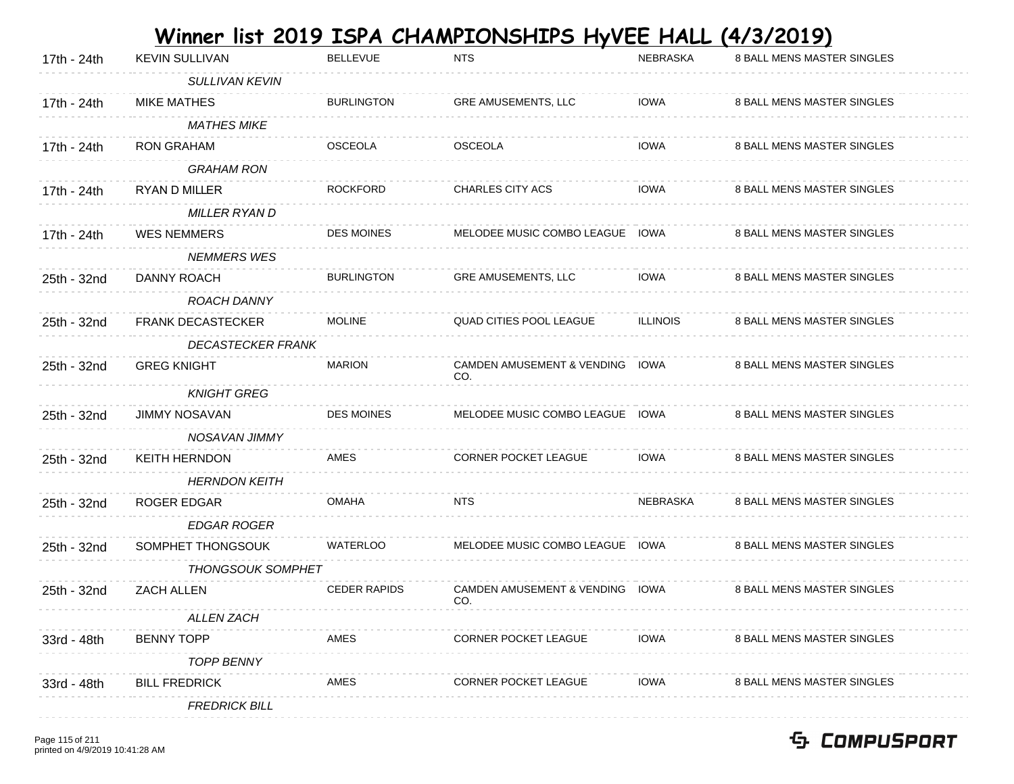| 17th - 24th | <b>KEVIN SULLIVAN</b>    | <b>BELLEVUE</b>     | <b>NTS</b>                                   | <b>NEBRASKA</b> | 8 BALL MENS MASTER SINGLES |
|-------------|--------------------------|---------------------|----------------------------------------------|-----------------|----------------------------|
|             | <b>SULLIVAN KEVIN</b>    |                     |                                              |                 |                            |
| 17th - 24th | <b>MIKE MATHES</b>       | <b>BURLINGTON</b>   | GRE AMUSEMENTS, LLC                          | <b>IOWA</b>     | 8 BALL MENS MASTER SINGLES |
|             | <b>MATHES MIKE</b>       |                     |                                              |                 |                            |
| 17th - 24th | <b>RON GRAHAM</b>        | <b>OSCEOLA</b>      | <b>OSCEOLA</b>                               | <b>IOWA</b>     | 8 BALL MENS MASTER SINGLES |
|             | <b>GRAHAM RON</b>        |                     |                                              |                 |                            |
| 17th - 24th | <b>RYAN D MILLER</b>     | <b>ROCKFORD</b>     | CHARLES CITY ACS                             | <b>IOWA</b>     | 8 BALL MENS MASTER SINGLES |
|             | <b>MILLER RYAN D</b>     |                     |                                              |                 |                            |
| 17th - 24th | <b>WES NEMMERS</b>       | <b>DES MOINES</b>   | MELODEE MUSIC COMBO LEAGUE IOWA              |                 | 8 BALL MENS MASTER SINGLES |
|             | <b>NEMMERS WES</b>       |                     |                                              |                 |                            |
| 25th - 32nd | DANNY ROACH              | <b>BURLINGTON</b>   | GRE AMUSEMENTS, LLC                          | <b>IOWA</b>     | 8 BALL MENS MASTER SINGLES |
|             | ROACH DANNY              |                     |                                              |                 |                            |
| 25th - 32nd | <b>FRANK DECASTECKER</b> | <b>MOLINE</b>       | QUAD CITIES POOL LEAGUE                      | <b>ILLINOIS</b> | 8 BALL MENS MASTER SINGLES |
|             | <b>DECASTECKER FRANK</b> |                     |                                              |                 |                            |
| 25th - 32nd | <b>GREG KNIGHT</b>       | <b>MARION</b>       | CAMDEN AMUSEMENT & VENDING IOWA<br>CO.       |                 | 8 BALL MENS MASTER SINGLES |
|             | <b>KNIGHT GREG</b>       |                     |                                              |                 |                            |
| 25th - 32nd | <b>JIMMY NOSAVAN</b>     | <b>DES MOINES</b>   | MELODEE MUSIC COMBO LEAGUE IOWA              |                 | 8 BALL MENS MASTER SINGLES |
|             | NOSAVAN JIMMY            |                     |                                              |                 |                            |
| 25th - 32nd | KEITH HERNDON            | AMES                | CORNER POCKET LEAGUE                         | <b>IOWA</b>     | 8 BALL MENS MASTER SINGLES |
|             | <b>HERNDON KEITH</b>     |                     |                                              |                 |                            |
| 25th - 32nd | ROGER EDGAR              | <b>OMAHA</b>        | <b>NTS</b>                                   | NEBRASKA        | 8 BALL MENS MASTER SINGLES |
|             | <b>EDGAR ROGER</b>       |                     |                                              |                 |                            |
| 25th - 32nd | SOMPHET THONGSOUK        | <b>WATERLOO</b>     | MELODEE MUSIC COMBO LEAGUE IOWA              |                 | 8 BALL MENS MASTER SINGLES |
|             | <b>THONGSOUK SOMPHET</b> |                     |                                              |                 |                            |
| 25th - 32nd | <b>ZACH ALLEN</b>        | <b>CEDER RAPIDS</b> | <b>CAMDEN AMUSEMENT &amp; VENDING</b><br>CO. | IOWA            | 8 BALL MENS MASTER SINGLES |
|             | ALLEN ZACH               |                     |                                              |                 |                            |
| 33rd - 48th | <b>BENNY TOPP</b>        | AMES                | <b>CORNER POCKET LEAGUE</b>                  | IOWA            | 8 BALL MENS MASTER SINGLES |
|             | <b>TOPP BENNY</b>        |                     |                                              |                 |                            |
| 33rd - 48th | <b>BILL FREDRICK</b>     | AMES                | <b>CORNER POCKET LEAGUE</b>                  | IOWA            | 8 BALL MENS MASTER SINGLES |
|             | <b>FREDRICK BILL</b>     |                     |                                              |                 |                            |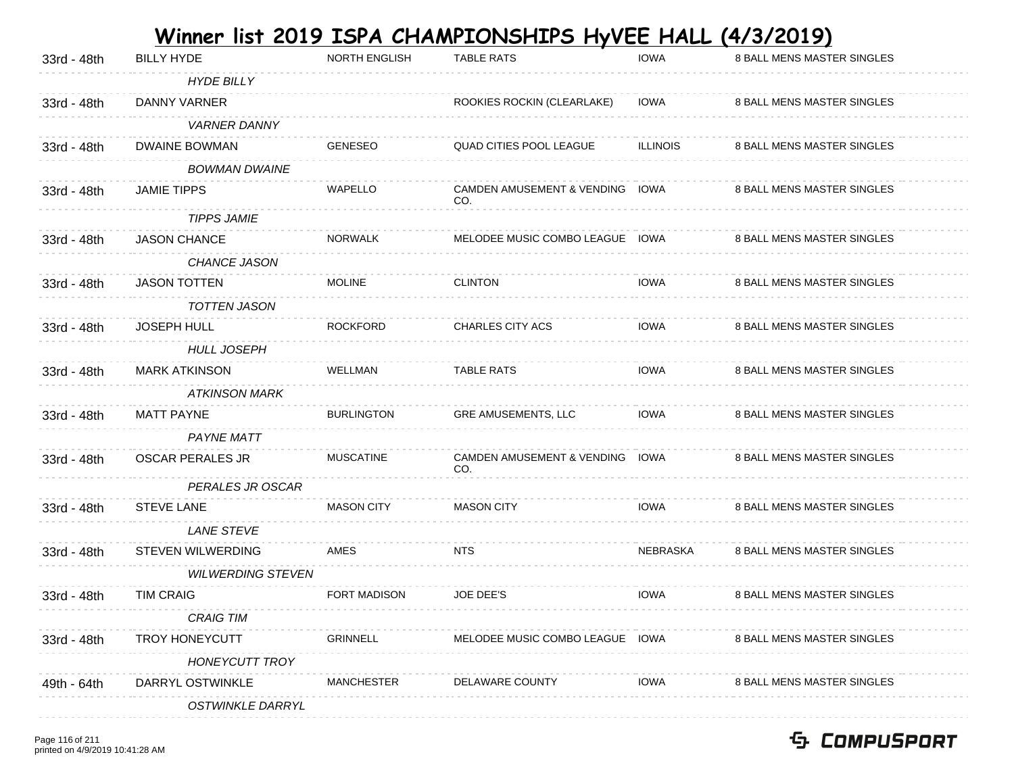| 33rd - 48th | <b>BILLY HYDE</b>        | <b>NORTH ENGLISH</b> | <b>TABLE RATS</b>                      | <b>IOWA</b>     | 8 BALL MENS MASTER SINGLES |
|-------------|--------------------------|----------------------|----------------------------------------|-----------------|----------------------------|
|             | <b>HYDE BILLY</b>        |                      |                                        |                 |                            |
| 33rd - 48th | DANNY VARNER             |                      | ROOKIES ROCKIN (CLEARLAKE)             | <b>IOWA</b>     | 8 BALL MENS MASTER SINGLES |
|             | <b>VARNER DANNY</b>      |                      |                                        |                 |                            |
| 33rd - 48th | <b>DWAINE BOWMAN</b>     | <b>GENESEO</b>       | QUAD CITIES POOL LEAGUE                | <b>ILLINOIS</b> | 8 BALL MENS MASTER SINGLES |
|             | <b>BOWMAN DWAINE</b>     |                      |                                        |                 |                            |
| 33rd - 48th | <b>JAMIE TIPPS</b>       | <b>WAPELLO</b>       | CAMDEN AMUSEMENT & VENDING IOWA<br>CO. |                 | 8 BALL MENS MASTER SINGLES |
|             | <b>TIPPS JAMIE</b>       |                      |                                        |                 |                            |
| 33rd - 48th | <b>JASON CHANCE</b>      | <b>NORWALK</b>       | MELODEE MUSIC COMBO LEAGUE IOWA        |                 | 8 BALL MENS MASTER SINGLES |
|             | CHANCE JASON             |                      |                                        |                 |                            |
| 33rd - 48th | <b>JASON TOTTEN</b>      | <b>MOLINE</b>        | <b>CLINTON</b>                         | <b>IOWA</b>     | 8 BALL MENS MASTER SINGLES |
|             | <b>TOTTEN JASON</b>      |                      |                                        |                 |                            |
| 33rd - 48th | <b>JOSEPH HULL</b>       | <b>ROCKFORD</b>      | CHARLES CITY ACS                       | <b>IOWA</b>     | 8 BALL MENS MASTER SINGLES |
|             | <b>HULL JOSEPH</b>       |                      |                                        |                 |                            |
| 33rd - 48th | <b>MARK ATKINSON</b>     | <b>WELLMAN</b>       | <b>TABLE RATS</b>                      | <b>IOWA</b>     | 8 BALL MENS MASTER SINGLES |
|             | <b>ATKINSON MARK</b>     |                      |                                        |                 |                            |
| 33rd - 48th | <b>MATT PAYNE</b>        | <b>BURLINGTON</b>    | GRE AMUSEMENTS, LLC                    | <b>IOWA</b>     | 8 BALL MENS MASTER SINGLES |
|             | <b>PAYNE MATT</b>        |                      |                                        |                 |                            |
| 33rd - 48th | <b>OSCAR PERALES JR</b>  | <b>MUSCATINE</b>     | CAMDEN AMUSEMENT & VENDING IOWA<br>CO. |                 | 8 BALL MENS MASTER SINGLES |
|             | PERALES JR OSCAR         |                      |                                        |                 |                            |
| 33rd - 48th | <b>STEVE LANE</b>        | <b>MASON CITY</b>    | <b>MASON CITY</b>                      | <b>IOWA</b>     | 8 BALL MENS MASTER SINGLES |
|             | <b>LANE STEVE</b>        |                      |                                        |                 |                            |
| 33rd - 48th | STEVEN WILWERDING        | <b>AMES</b>          | <b>NTS</b>                             | <b>NEBRASKA</b> | 8 BALL MENS MASTER SINGLES |
|             | <b>WILWERDING STEVEN</b> |                      |                                        |                 |                            |
| 33rd - 48th | <b>TIM CRAIG</b>         | FORT MADISON         | <b>JOE DEE'S</b>                       | <b>IOWA</b>     | 8 BALL MENS MASTER SINGLES |
|             | <b>CRAIG TIM</b>         |                      |                                        |                 |                            |
| 33rd - 48th | <b>TROY HONEYCUTT</b>    | <b>GRINNELL</b>      | MELODEE MUSIC COMBO LEAGUE IOWA        |                 | 8 BALL MENS MASTER SINGLES |
|             | <b>HONEYCUTT TROY</b>    |                      |                                        |                 |                            |
| 49th - 64th | DARRYL OSTWINKLE         | <b>MANCHESTER</b>    | DELAWARE COUNTY                        | <b>IOWA</b>     | 8 BALL MENS MASTER SINGLES |
|             | <b>OSTWINKLE DARRYL</b>  |                      |                                        |                 |                            |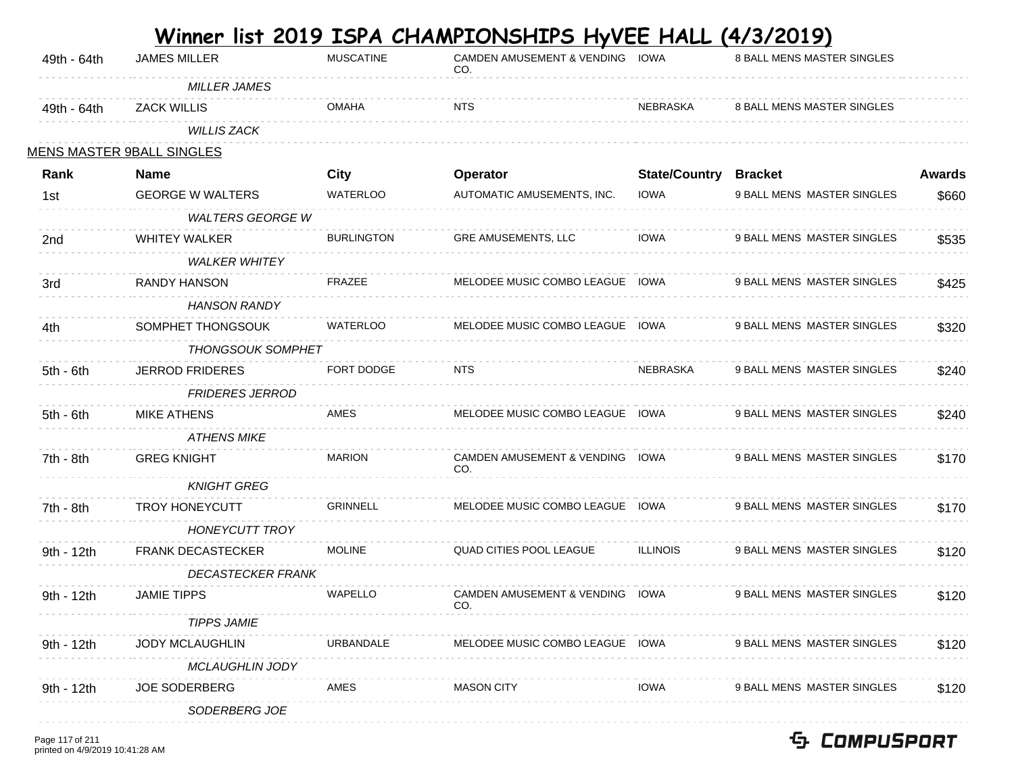| 49th - 64th | <b>JAMES MILLER</b>              | <b>MUSCATINE</b>  | <b>CAMDEN AMUSEMENT &amp; VENDING</b><br>CO. | IOWA                 | 8 BALL MENS MASTER SINGLES |               |
|-------------|----------------------------------|-------------------|----------------------------------------------|----------------------|----------------------------|---------------|
|             | <b>MILLER JAMES</b>              |                   |                                              |                      |                            |               |
| 49th - 64th | <b>ZACK WILLIS</b>               | <b>OMAHA</b>      | <b>NTS</b>                                   | NEBRASKA             | 8 BALL MENS MASTER SINGLES |               |
|             | <b>WILLIS ZACK</b>               |                   |                                              |                      |                            |               |
|             | <u>MENS MASTER 9BALL SINGLES</u> |                   |                                              |                      |                            |               |
| Rank        | <b>Name</b>                      | City              | Operator                                     | <b>State/Country</b> | <b>Bracket</b>             | <b>Awards</b> |
| 1st         | <b>GEORGE W WALTERS</b>          | <b>WATERLOO</b>   | AUTOMATIC AMUSEMENTS, INC.                   | <b>IOWA</b>          | 9 BALL MENS MASTER SINGLES | \$660         |
|             | <b>WALTERS GEORGE W</b>          |                   |                                              |                      |                            |               |
| 2nd         | <b>WHITEY WALKER</b>             | <b>BURLINGTON</b> | GRE AMUSEMENTS, LLC                          | <b>IOWA</b>          | 9 BALL MENS MASTER SINGLES | \$535         |
|             | <b>WALKER WHITEY</b>             |                   |                                              |                      |                            |               |
| 3rd         | <b>RANDY HANSON</b>              | <b>FRAZEE</b>     | MELODEE MUSIC COMBO LEAGUE IOWA              |                      | 9 BALL MENS MASTER SINGLES | \$425         |
|             | <b>HANSON RANDY</b>              |                   |                                              |                      |                            |               |
| 4th         | SOMPHET THONGSOUK                | <b>WATERLOO</b>   | MELODEE MUSIC COMBO LEAGUE                   | IOWA                 | 9 BALL MENS MASTER SINGLES | \$320         |
|             | <b>THONGSOUK SOMPHET</b>         |                   |                                              |                      |                            |               |
| $5th - 6th$ | <b>JERROD FRIDERES</b>           | <b>FORT DODGE</b> | <b>NTS</b>                                   | NEBRASKA             | 9 BALL MENS MASTER SINGLES | \$240         |
|             | <b>FRIDERES JERROD</b>           |                   |                                              |                      |                            |               |
| $5th - 6th$ | <b>MIKE ATHENS</b>               | AMES              | MELODEE MUSIC COMBO LEAGUE IOWA              |                      | 9 BALL MENS MASTER SINGLES | \$240         |
|             | <b>ATHENS MIKE</b>               |                   |                                              |                      |                            |               |
| 7th - 8th   | <b>GREG KNIGHT</b>               | <b>MARION</b>     | CAMDEN AMUSEMENT & VENDING IOWA<br>CO.       |                      | 9 BALL MENS MASTER SINGLES | \$170         |
|             | <b>KNIGHT GREG</b>               |                   |                                              |                      |                            |               |
| 7th - 8th   | <b>TROY HONEYCUTT</b>            | <b>GRINNELL</b>   | MELODEE MUSIC COMBO LEAGUE                   | IOWA                 | 9 BALL MENS MASTER SINGLES | \$170         |
|             | <b>HONEYCUTT TROY</b>            |                   |                                              |                      |                            |               |
| 9th - 12th  | <b>FRANK DECASTECKER</b>         | <b>MOLINE</b>     | <b>QUAD CITIES POOL LEAGUE</b>               | <b>ILLINOIS</b>      | 9 BALL MENS MASTER SINGLES | \$120         |
|             | <b>DECASTECKER FRANK</b>         |                   |                                              |                      |                            |               |
| 9th - 12th  | <b>JAMIE TIPPS</b>               | <b>WAPELLO</b>    | CAMDEN AMUSEMENT & VENDING IOWA<br>CO.       |                      | 9 BALL MENS MASTER SINGLES | \$120         |
|             | <b>TIPPS JAMIE</b>               |                   |                                              |                      |                            |               |
| 9th - 12th  | <b>JODY MCLAUGHLIN</b>           | URBANDALE         | MELODEE MUSIC COMBO LEAGUE IOWA              |                      | 9 BALL MENS MASTER SINGLES | \$120         |
|             | <b>MCLAUGHLIN JODY</b>           |                   |                                              |                      |                            |               |
| 9th - 12th  | <b>JOE SODERBERG</b>             | AMES              | <b>MASON CITY</b>                            | <b>IOWA</b>          | 9 BALL MENS MASTER SINGLES | \$120         |
|             | SODERBERG JOE                    |                   |                                              |                      |                            |               |
|             |                                  |                   |                                              |                      |                            |               |

 $\mathcal{L}^{\text{max}}$ **Service** 

**Contractor** 

Page 117 of 211 printed on 4/9/2019 10:41:28 AM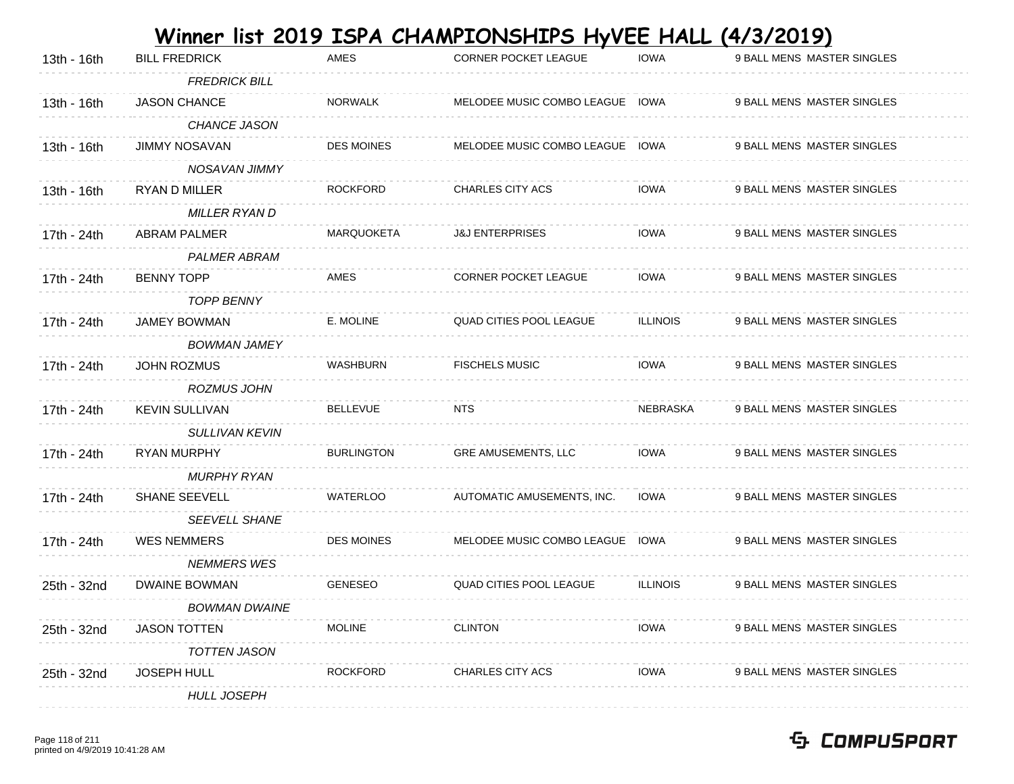|             |                       |                   | Winner list 2019 ISPA CHAMPIONSHIPS HyVEE HALL (4/3/2019) |                 |                            |
|-------------|-----------------------|-------------------|-----------------------------------------------------------|-----------------|----------------------------|
| 13th - 16th | <b>BILL FREDRICK</b>  | AMES              | <b>CORNER POCKET LEAGUE</b>                               | <b>IOWA</b>     | 9 BALL MENS MASTER SINGLES |
|             | <b>FREDRICK BILL</b>  |                   |                                                           |                 |                            |
| 13th - 16th | JASON CHANCE          | <b>NORWALK</b>    | MELODEE MUSIC COMBO LEAGUE IOWA                           |                 | 9 BALL MENS MASTER SINGLES |
|             | <b>CHANCE JASON</b>   |                   |                                                           |                 |                            |
| 13th - 16th | <b>JIMMY NOSAVAN</b>  | <b>DES MOINES</b> | MELODEE MUSIC COMBO LEAGUE IOWA                           |                 | 9 BALL MENS MASTER SINGLES |
|             | NOSAVAN JIMMY         |                   |                                                           |                 |                            |
| 13th - 16th | RYAN D MILLER         | <b>ROCKFORD</b>   | <b>CHARLES CITY ACS</b>                                   | <b>IOWA</b>     | 9 BALL MENS MASTER SINGLES |
|             | <b>MILLER RYAN D</b>  |                   |                                                           |                 |                            |
| 17th - 24th | <b>ABRAM PALMER</b>   | MARQUOKETA        | <b>J&amp;J ENTERPRISES</b>                                | <b>IOWA</b>     | 9 BALL MENS MASTER SINGLES |
|             | <b>PALMER ABRAM</b>   |                   |                                                           |                 |                            |
| 17th - 24th | <b>BENNY TOPP</b>     | AMES              | <b>CORNER POCKET LEAGUE</b>                               | <b>IOWA</b>     | 9 BALL MENS MASTER SINGLES |
|             | <b>TOPP BENNY</b>     |                   |                                                           |                 |                            |
| 17th - 24th | <b>JAMEY BOWMAN</b>   | E. MOLINE         | <b>QUAD CITIES POOL LEAGUE</b>                            | <b>ILLINOIS</b> | 9 BALL MENS MASTER SINGLES |
|             | <b>BOWMAN JAMEY</b>   |                   |                                                           |                 |                            |
| 17th - 24th | JOHN ROZMUS           | <b>WASHBURN</b>   | <b>FISCHELS MUSIC</b>                                     | <b>IOWA</b>     | 9 BALL MENS MASTER SINGLES |
|             | <b>ROZMUS JOHN</b>    |                   |                                                           |                 |                            |
| 17th - 24th | <b>KEVIN SULLIVAN</b> | <b>BELLEVUE</b>   | NTS                                                       | <b>NEBRASKA</b> | 9 BALL MENS MASTER SINGLES |
|             | <b>SULLIVAN KEVIN</b> |                   |                                                           |                 |                            |
| 17th - 24th | <b>RYAN MURPHY</b>    | <b>BURLINGTON</b> | <b>GRE AMUSEMENTS, LLC</b>                                | <b>IOWA</b>     | 9 BALL MENS MASTER SINGLES |
|             | <b>MURPHY RYAN</b>    |                   |                                                           |                 |                            |
| 17th - 24th | <b>SHANE SEEVELL</b>  | <b>WATERLOO</b>   | AUTOMATIC AMUSEMENTS, INC.                                | <b>IOWA</b>     | 9 BALL MENS MASTER SINGLES |
|             | <b>SEEVELL SHANE</b>  |                   |                                                           |                 |                            |
| 17th - 24th | <b>WES NEMMERS</b>    | DES MOINES        | MELODEE MUSIC COMBO LEAGUE IOWA                           |                 | 9 BALL MENS MASTER SINGLES |
|             | <b>NEMMERS WES</b>    |                   |                                                           |                 |                            |
| 25th - 32nd | <b>DWAINE BOWMAN</b>  | <b>GENESEO</b>    | <b>QUAD CITIES POOL LEAGUE</b>                            | <b>ILLINOIS</b> | 9 BALL MENS MASTER SINGLES |
|             | <b>BOWMAN DWAINE</b>  |                   |                                                           |                 |                            |
| 25th - 32nd | <b>JASON TOTTEN</b>   | <b>MOLINE</b>     | <b>CLINTON</b>                                            | <b>IOWA</b>     | 9 BALL MENS MASTER SINGLES |
|             | <b>TOTTEN JASON</b>   |                   |                                                           |                 |                            |
| 25th - 32nd | <b>JOSEPH HULL</b>    | <b>ROCKFORD</b>   | <b>CHARLES CITY ACS</b>                                   | <b>IOWA</b>     | 9 BALL MENS MASTER SINGLES |
|             | <b>HULL JOSEPH</b>    |                   |                                                           |                 |                            |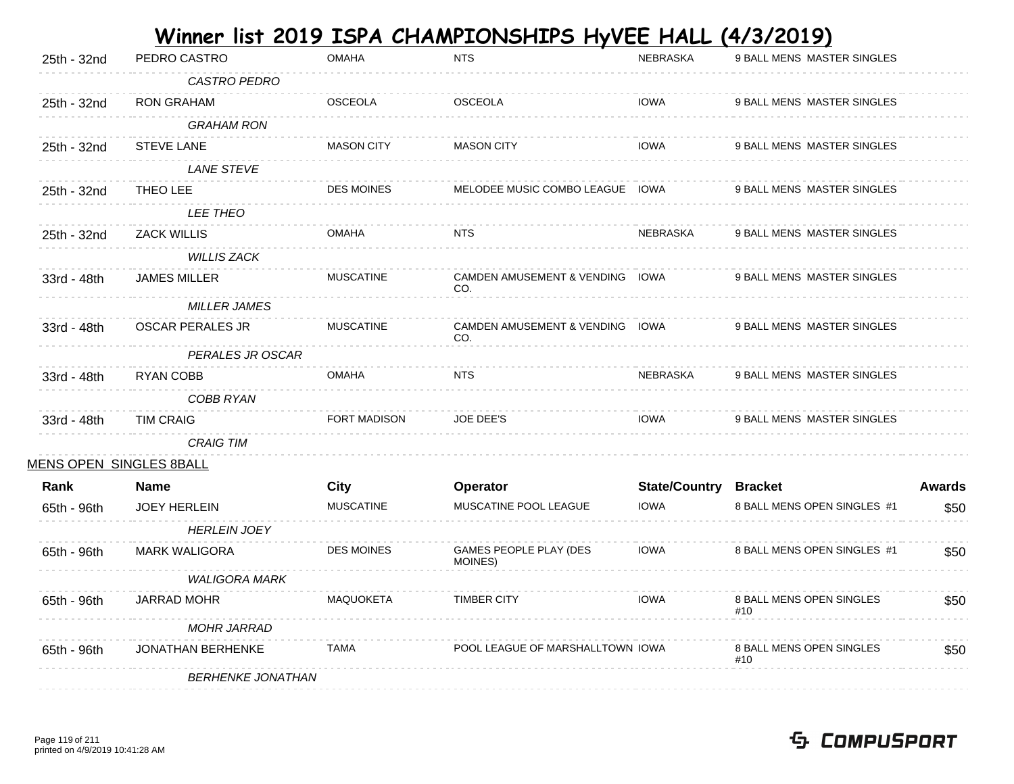| PEDRO CASTRO             | <b>OMAHA</b>            | <b>NTS</b>                        | <b>NEBRASKA</b> | 9 BALL MENS MASTER SINGLES                                                                                                                |                                                                                                     |
|--------------------------|-------------------------|-----------------------------------|-----------------|-------------------------------------------------------------------------------------------------------------------------------------------|-----------------------------------------------------------------------------------------------------|
| <b>CASTRO PEDRO</b>      |                         |                                   |                 |                                                                                                                                           |                                                                                                     |
| <b>RON GRAHAM</b>        | <b>OSCEOLA</b>          | <b>OSCEOLA</b>                    | <b>IOWA</b>     | 9 BALL MENS MASTER SINGLES                                                                                                                |                                                                                                     |
| <b>GRAHAM RON</b>        |                         |                                   |                 |                                                                                                                                           |                                                                                                     |
| <b>STEVE LANE</b>        | <b>MASON CITY</b>       | <b>MASON CITY</b>                 | <b>IOWA</b>     | 9 BALL MENS MASTER SINGLES                                                                                                                |                                                                                                     |
| <b>LANE STEVE</b>        |                         |                                   |                 |                                                                                                                                           |                                                                                                     |
| THEO LEE                 | <b>DES MOINES</b>       |                                   |                 | 9 BALL MENS MASTER SINGLES                                                                                                                |                                                                                                     |
| <b>LEE THEO</b>          |                         |                                   |                 |                                                                                                                                           |                                                                                                     |
| <b>ZACK WILLIS</b>       | <b>OMAHA</b>            | <b>NTS</b>                        | <b>NEBRASKA</b> | 9 BALL MENS MASTER SINGLES                                                                                                                |                                                                                                     |
| <b>WILLIS ZACK</b>       |                         |                                   |                 |                                                                                                                                           |                                                                                                     |
| JAMES MILLER             | <b>MUSCATINE</b>        |                                   |                 | 9 BALL MENS MASTER SINGLES                                                                                                                |                                                                                                     |
| <b>MILLER JAMES</b>      |                         |                                   |                 |                                                                                                                                           |                                                                                                     |
| <b>OSCAR PERALES JR</b>  | <b>MUSCATINE</b>        |                                   |                 | 9 BALL MENS MASTER SINGLES                                                                                                                |                                                                                                     |
|                          |                         |                                   |                 |                                                                                                                                           |                                                                                                     |
| RYAN COBB                | <b>OMAHA</b>            | NTS                               | <b>NEBRASKA</b> | 9 BALL MENS MASTER SINGLES                                                                                                                |                                                                                                     |
| COBB RYAN                |                         |                                   |                 |                                                                                                                                           |                                                                                                     |
| <b>TIM CRAIG</b>         | <b>FORT MADISON</b>     | <b>JOE DEE'S</b>                  | <b>IOWA</b>     | 9 BALL MENS MASTER SINGLES                                                                                                                |                                                                                                     |
| <b>CRAIG TIM</b>         |                         |                                   |                 |                                                                                                                                           |                                                                                                     |
|                          |                         |                                   |                 |                                                                                                                                           |                                                                                                     |
| <b>Name</b>              | City                    | Operator                          |                 |                                                                                                                                           | <b>Awards</b>                                                                                       |
| <b>JOEY HERLEIN</b>      | <b>MUSCATINE</b>        | MUSCATINE POOL LEAGUE             | <b>IOWA</b>     | 8 BALL MENS OPEN SINGLES #1                                                                                                               | \$50                                                                                                |
| <b>HERLEIN JOEY</b>      |                         |                                   |                 |                                                                                                                                           |                                                                                                     |
| <b>MARK WALIGORA</b>     | <b>DES MOINES</b>       | GAMES PEOPLE PLAY (DES<br>MOINES) | <b>IOWA</b>     | 8 BALL MENS OPEN SINGLES #1                                                                                                               | \$50                                                                                                |
| <b>WALIGORA MARK</b>     |                         |                                   |                 |                                                                                                                                           |                                                                                                     |
| <b>JARRAD MOHR</b>       | <b>MAQUOKETA</b>        | <b>TIMBER CITY</b>                | <b>IOWA</b>     | 8 BALL MENS OPEN SINGLES<br>#10                                                                                                           | \$50                                                                                                |
| <b>MOHR JARRAD</b>       |                         |                                   |                 |                                                                                                                                           |                                                                                                     |
| JONATHAN BERHENKE        | <b>TAMA</b>             |                                   |                 | 8 BALL MENS OPEN SINGLES<br>#10                                                                                                           | \$50                                                                                                |
| <b>BERHENKE JONATHAN</b> |                         |                                   |                 |                                                                                                                                           |                                                                                                     |
|                          | MENS OPEN SINGLES 8BALL | PERALES JR OSCAR                  | CO.<br>CO.      | MELODEE MUSIC COMBO LEAGUE IOWA<br>CAMDEN AMUSEMENT & VENDING IOWA<br>CAMDEN AMUSEMENT & VENDING IOWA<br>POOL LEAGUE OF MARSHALLTOWN IOWA | <u>Winner list 2019 ISPA CHAMPIONSHIPS HyVEE HALL</u><br>(4/3/2019)<br><b>State/Country Bracket</b> |

 **Contract Contract**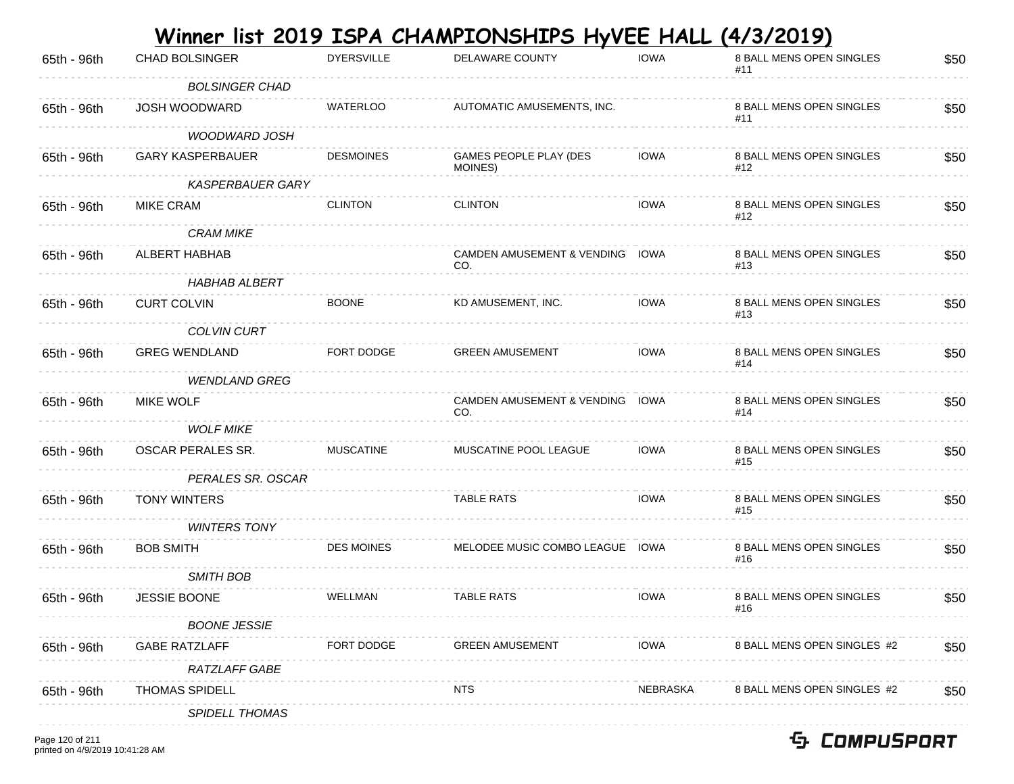|             |                         |                   | Winner list 2019 ISPA CHAMPIONSHIPS HyVEE HALL (4/3/2019) |             |                                 |      |
|-------------|-------------------------|-------------------|-----------------------------------------------------------|-------------|---------------------------------|------|
| 65th - 96th | <b>CHAD BOLSINGER</b>   | <b>DYERSVILLE</b> | DELAWARE COUNTY                                           | <b>IOWA</b> | 8 BALL MENS OPEN SINGLES<br>#11 | \$50 |
|             | <b>BOLSINGER CHAD</b>   |                   |                                                           |             |                                 |      |
| 65th - 96th | JOSH WOODWARD           | <b>WATERLOO</b>   | AUTOMATIC AMUSEMENTS, INC.                                |             | 8 BALL MENS OPEN SINGLES<br>#11 | \$50 |
|             | <b>WOODWARD JOSH</b>    |                   |                                                           |             |                                 |      |
| 65th - 96th | <b>GARY KASPERBAUER</b> | <b>DESMOINES</b>  | GAMES PEOPLE PLAY (DES<br>MOINES)                         | <b>IOWA</b> | 8 BALL MENS OPEN SINGLES<br>#12 | \$50 |
|             | <b>KASPERBAUER GARY</b> |                   |                                                           |             |                                 |      |
| 65th - 96th | <b>MIKE CRAM</b>        | <b>CLINTON</b>    | <b>CLINTON</b>                                            | <b>IOWA</b> | 8 BALL MENS OPEN SINGLES<br>#12 | \$50 |
|             | <b>CRAM MIKE</b>        |                   |                                                           |             |                                 |      |
| 65th - 96th | ALBERT HABHAB           |                   | CAMDEN AMUSEMENT & VENDING IOWA<br>CO.                    |             | 8 BALL MENS OPEN SINGLES<br>#13 | \$50 |
|             | <b>HABHAB ALBERT</b>    |                   |                                                           |             |                                 |      |
| 65th - 96th | <b>CURT COLVIN</b>      | <b>BOONE</b>      | KD AMUSEMENT, INC.                                        | <b>IOWA</b> | 8 BALL MENS OPEN SINGLES<br>#13 | \$50 |
|             | <b>COLVIN CURT</b>      |                   |                                                           |             |                                 |      |
| 65th - 96th | <b>GREG WENDLAND</b>    | FORT DODGE        | <b>GREEN AMUSEMENT</b>                                    | <b>IOWA</b> | 8 BALL MENS OPEN SINGLES<br>#14 | \$50 |
|             | <b>WENDLAND GREG</b>    |                   |                                                           |             |                                 |      |
| 65th - 96th | <b>MIKE WOLF</b>        |                   | CAMDEN AMUSEMENT & VENDING IOWA<br>CO.                    |             | 8 BALL MENS OPEN SINGLES<br>#14 | \$50 |
|             | <b>WOLF MIKE</b>        |                   |                                                           |             |                                 |      |
| 65th - 96th | OSCAR PERALES SR.       | <b>MUSCATINE</b>  | MUSCATINE POOL LEAGUE                                     | <b>IOWA</b> | 8 BALL MENS OPEN SINGLES<br>#15 | \$50 |
|             | PERALES SR. OSCAR       |                   |                                                           |             |                                 |      |
| 65th - 96th | <b>TONY WINTERS</b>     |                   | <b>TABLE RATS</b>                                         | <b>IOWA</b> | 8 BALL MENS OPEN SINGLES<br>#15 | \$50 |
|             | <b>WINTERS TONY</b>     |                   |                                                           |             |                                 |      |
| 65th - 96th | <b>BOB SMITH</b>        | <b>DES MOINES</b> | MELODEE MUSIC COMBO LEAGUE IOWA                           |             | 8 BALL MENS OPEN SINGLES<br>#16 | \$50 |
|             | <b>SMITH BOB</b>        |                   |                                                           |             |                                 |      |
| 65th - 96th | JESSIE BOONE            | WELLMAN           | <b>TABLE RATS</b>                                         | <b>IOWA</b> | 8 BALL MENS OPEN SINGLES<br>#16 | \$50 |
|             | <b>BOONE JESSIE</b>     |                   |                                                           |             |                                 |      |
| 65th - 96th | <b>GABE RATZLAFF</b>    | FORT DODGE        | <b>GREEN AMUSEMENT</b>                                    | <b>IOWA</b> | 8 BALL MENS OPEN SINGLES #2     | \$50 |
|             | <b>RATZLAFF GABE</b>    |                   |                                                           |             |                                 |      |
| 65th - 96th | <b>THOMAS SPIDELL</b>   |                   | <b>NTS</b>                                                | NEBRASKA    | 8 BALL MENS OPEN SINGLES #2     | \$50 |
|             | <b>SPIDELL THOMAS</b>   |                   |                                                           |             |                                 |      |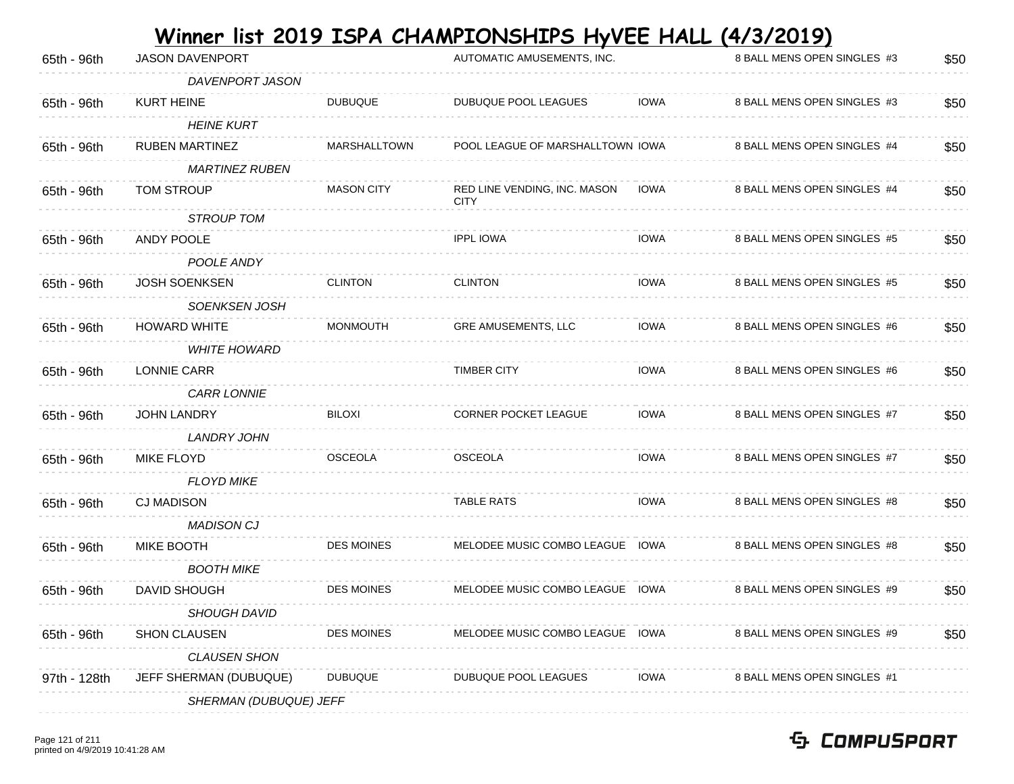| 65th - 96th  | <b>JASON DAVENPORT</b> |                   | AUTOMATIC AMUSEMENTS, INC.                  |             | 8 BALL MENS OPEN SINGLES #3 | \$50 |
|--------------|------------------------|-------------------|---------------------------------------------|-------------|-----------------------------|------|
|              | DAVENPORT JASON        |                   |                                             |             |                             |      |
| 65th - 96th  | <b>KURT HEINE</b>      | <b>DUBUQUE</b>    | DUBUQUE POOL LEAGUES                        | IOWA        | 8 BALL MENS OPEN SINGLES #3 | \$50 |
|              | <b>HEINE KURT</b>      |                   |                                             |             |                             |      |
| 65th - 96th  | <b>RUBEN MARTINEZ</b>  | MARSHALLTOWN      | POOL LEAGUE OF MARSHALLTOWN IOWA            |             | 8 BALL MENS OPEN SINGLES #4 | \$50 |
|              | <b>MARTINEZ RUBEN</b>  |                   |                                             |             |                             |      |
| 65th - 96th  | <b>TOM STROUP</b>      | <b>MASON CITY</b> | RED LINE VENDING, INC. MASON<br><b>CITY</b> | <b>IOWA</b> | 8 BALL MENS OPEN SINGLES #4 | \$50 |
|              | <b>STROUP TOM</b>      |                   |                                             |             |                             |      |
| 65th - 96th  | ANDY POOLE             |                   | <b>IPPL IOWA</b>                            | IOWA        | 8 BALL MENS OPEN SINGLES #5 | \$50 |
|              | POOLE ANDY             |                   |                                             |             |                             |      |
| 65th - 96th  | JOSH SOENKSEN          | <b>CLINTON</b>    | <b>CLINTON</b>                              | IOWA        | 8 BALL MENS OPEN SINGLES #5 | \$50 |
|              | <b>SOENKSEN JOSH</b>   |                   |                                             |             |                             |      |
| 65th - 96th  | <b>HOWARD WHITE</b>    | <b>MONMOUTH</b>   | GRE AMUSEMENTS, LLC                         | <b>IOWA</b> | 8 BALL MENS OPEN SINGLES #6 | \$50 |
|              | <b>WHITE HOWARD</b>    |                   |                                             |             |                             |      |
| 65th - 96th  | LONNIE CARR            |                   | <b>TIMBER CITY</b>                          | <b>IOWA</b> | 8 BALL MENS OPEN SINGLES #6 | \$50 |
|              | <b>CARR LONNIE</b>     |                   |                                             |             |                             |      |
| 65th - 96th  | <b>JOHN LANDRY</b>     | <b>BILOXI</b>     | CORNER POCKET LEAGUE                        | <b>IOWA</b> | 8 BALL MENS OPEN SINGLES #7 | \$50 |
|              | LANDRY JOHN            |                   |                                             |             |                             |      |
| 65th - 96th  | MIKE FLOYD             | <b>OSCEOLA</b>    | <b>OSCEOLA</b>                              | IOWA        | 8 BALL MENS OPEN SINGLES #7 | \$50 |
|              | <b>FLOYD MIKE</b>      |                   |                                             |             |                             |      |
| 65th - 96th  | <b>CJ MADISON</b>      |                   | <b>TABLE RATS</b>                           | <b>IOWA</b> | 8 BALL MENS OPEN SINGLES #8 | \$50 |
|              | <b>MADISON CJ</b>      |                   |                                             |             |                             |      |
| 65th - 96th  | <b>MIKE BOOTH</b>      | <b>DES MOINES</b> | MELODEE MUSIC COMBO LEAGUE IOWA             |             | 8 BALL MENS OPEN SINGLES #8 | \$50 |
|              | <b>BOOTH MIKE</b>      |                   |                                             |             |                             |      |
| 65th - 96th  | DAVID SHOUGH           | <b>DES MOINES</b> | MELODEE MUSIC COMBO LEAGUE IOWA             |             | 8 BALL MENS OPEN SINGLES #9 | \$50 |
|              | <b>SHOUGH DAVID</b>    |                   |                                             |             |                             |      |
| 65th - 96th  | <b>SHON CLAUSEN</b>    | <b>DES MOINES</b> | MELODEE MUSIC COMBO LEAGUE IOWA             |             | 8 BALL MENS OPEN SINGLES #9 | \$50 |
|              | <b>CLAUSEN SHON</b>    |                   |                                             |             |                             |      |
| 97th - 128th | JEFF SHERMAN (DUBUQUE) | <b>DUBUQUE</b>    | DUBUQUE POOL LEAGUES                        | <b>IOWA</b> | 8 BALL MENS OPEN SINGLES #1 |      |
|              | SHERMAN (DUBUQUE) JEFF |                   |                                             |             |                             |      |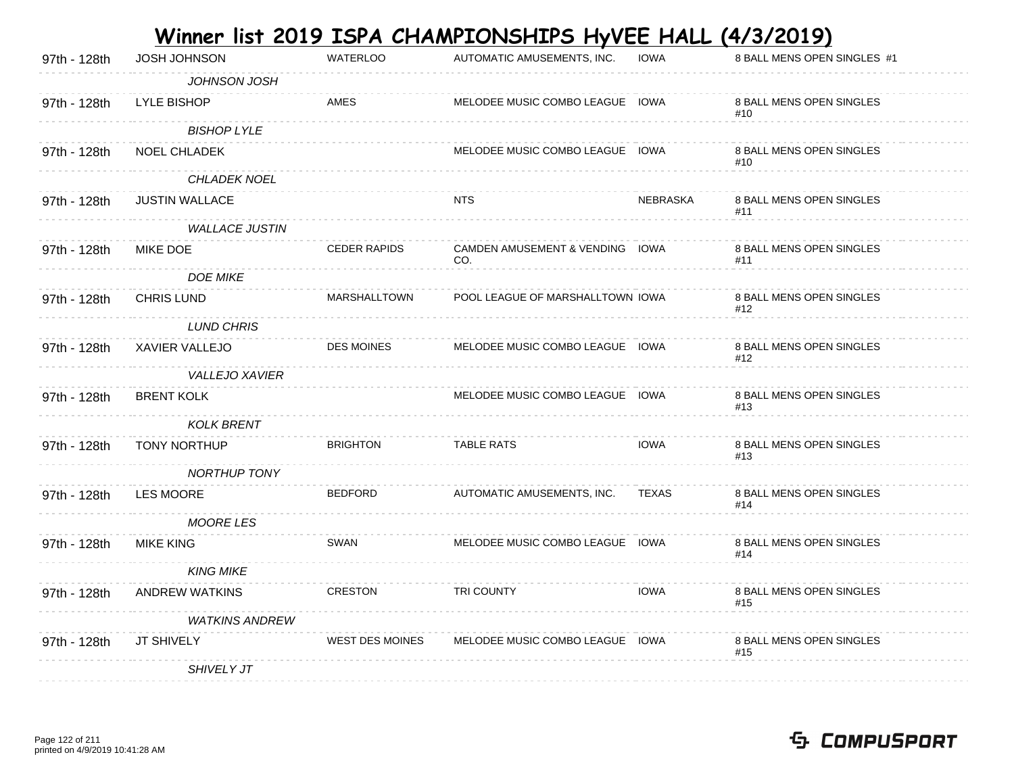| 97th - 128th | JOSH JOHNSON          | <b>WATERLOO</b>        | AUTOMATIC AMUSEMENTS, INC.             | <b>IOWA</b> | 8 BALL MENS OPEN SINGLES #1     |
|--------------|-----------------------|------------------------|----------------------------------------|-------------|---------------------------------|
|              | JOHNSON JOSH          |                        |                                        |             |                                 |
| 97th - 128th | LYLE BISHOP           | <b>AMES</b>            | MELODEE MUSIC COMBO LEAGUE IOWA        |             | 8 BALL MENS OPEN SINGLES<br>#10 |
|              | <b>BISHOP LYLE</b>    |                        |                                        |             |                                 |
| 97th - 128th | NOEL CHLADEK          |                        | MELODEE MUSIC COMBO LEAGUE IOWA        |             | 8 BALL MENS OPEN SINGLES<br>#10 |
|              | CHLADEK NOEL          |                        |                                        |             |                                 |
| 97th - 128th | <b>JUSTIN WALLACE</b> |                        | <b>NTS</b>                             | NEBRASKA    | 8 BALL MENS OPEN SINGLES<br>#11 |
|              | <b>WALLACE JUSTIN</b> |                        |                                        |             |                                 |
| 97th - 128th | MIKE DOE              | <b>CEDER RAPIDS</b>    | CAMDEN AMUSEMENT & VENDING IOWA<br>CO. |             | 8 BALL MENS OPEN SINGLES<br>#11 |
|              | <b>DOE MIKE</b>       |                        |                                        |             |                                 |
| 97th - 128th | <b>CHRIS LUND</b>     | <b>MARSHALLTOWN</b>    | POOL LEAGUE OF MARSHALLTOWN IOWA       |             | 8 BALL MENS OPEN SINGLES<br>#12 |
|              | <b>LUND CHRIS</b>     |                        |                                        |             |                                 |
| 97th - 128th | XAVIER VALLEJO        | <b>DES MOINES</b>      | MELODEE MUSIC COMBO LEAGUE IOWA        |             | 8 BALL MENS OPEN SINGLES<br>#12 |
|              | <b>VALLEJO XAVIER</b> |                        |                                        |             |                                 |
| 97th - 128th | <b>BRENT KOLK</b>     |                        | MELODEE MUSIC COMBO LEAGUE IOWA        |             | 8 BALL MENS OPEN SINGLES<br>#13 |
|              | <b>KOLK BRENT</b>     |                        |                                        |             |                                 |
| 97th - 128th | <b>TONY NORTHUP</b>   | <b>BRIGHTON</b>        | <b>TABLE RATS</b>                      | <b>IOWA</b> | 8 BALL MENS OPEN SINGLES<br>#13 |
|              | <b>NORTHUP TONY</b>   |                        |                                        |             |                                 |
| 97th - 128th | <b>LES MOORE</b>      | <b>BEDFORD</b>         | AUTOMATIC AMUSEMENTS, INC.             | TEXAS       | 8 BALL MENS OPEN SINGLES<br>#14 |
|              | <b>MOORE LES</b>      |                        |                                        |             |                                 |
| 97th - 128th | <b>MIKE KING</b>      | SWAN                   | MELODEE MUSIC COMBO LEAGUE IOWA        |             | 8 BALL MENS OPEN SINGLES<br>#14 |
|              | <b>KING MIKE</b>      |                        |                                        |             |                                 |
| 97th - 128th | <b>ANDREW WATKINS</b> | <b>CRESTON</b>         | TRI COUNTY                             | <b>IOWA</b> | 8 BALL MENS OPEN SINGLES<br>#15 |
|              | <b>WATKINS ANDREW</b> |                        |                                        |             |                                 |
| 97th - 128th | JT SHIVELY            | <b>WEST DES MOINES</b> | MELODEE MUSIC COMBO LEAGUE IOWA        |             | 8 BALL MENS OPEN SINGLES<br>#15 |
|              | <b>SHIVELY JT</b>     |                        |                                        |             |                                 |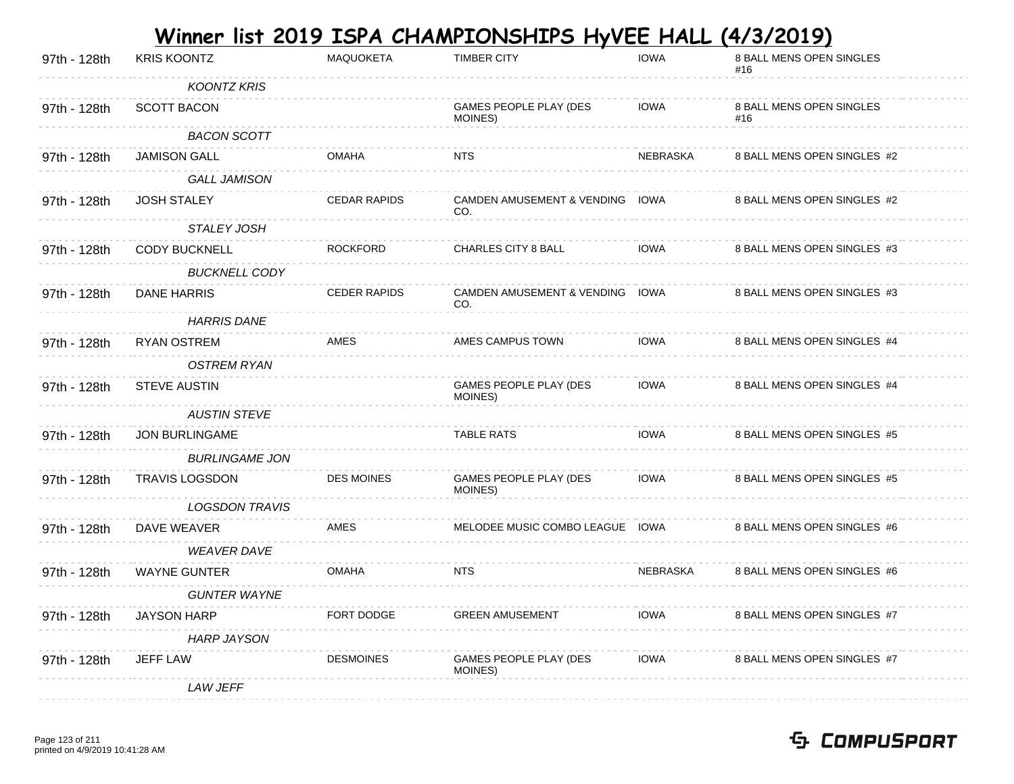|              |                       |                     | Winner list 2019 ISPA CHAMPIONSHIPS HyVEE HALL (4/3/2019) |             |                                        |
|--------------|-----------------------|---------------------|-----------------------------------------------------------|-------------|----------------------------------------|
| 97th - 128th | <b>KRIS KOONTZ</b>    | <b>MAQUOKETA</b>    | <b>TIMBER CITY</b>                                        | <b>IOWA</b> | 8 BALL MENS OPEN SINGLES<br>#16        |
|              | <b>KOONTZ KRIS</b>    |                     |                                                           |             |                                        |
| 97th - 128th | <b>SCOTT BACON</b>    |                     | GAMES PEOPLE PLAY (DES<br>MOINES)                         | <b>IOWA</b> | <b>8 BALL MENS OPEN SINGLES</b><br>#16 |
|              | <b>BACON SCOTT</b>    |                     |                                                           |             |                                        |
| 97th - 128th | <b>JAMISON GALL</b>   | <b>OMAHA</b>        | <b>NTS</b>                                                | NEBRASKA    | 8 BALL MENS OPEN SINGLES #2            |
|              | <b>GALL JAMISON</b>   |                     |                                                           |             |                                        |
| 97th - 128th | <b>JOSH STALEY</b>    | <b>CEDAR RAPIDS</b> | <b>CAMDEN AMUSEMENT &amp; VENDING</b><br>CO.              | IOWA        | 8 BALL MENS OPEN SINGLES #2            |
|              | STALEY JOSH           |                     |                                                           |             |                                        |
| 97th - 128th | <b>CODY BUCKNELL</b>  | <b>ROCKFORD</b>     | <b>CHARLES CITY 8 BALL</b>                                | <b>IOWA</b> | 8 BALL MENS OPEN SINGLES #3            |
|              | <b>BUCKNELL CODY</b>  |                     |                                                           |             |                                        |
| 97th - 128th | <b>DANE HARRIS</b>    | <b>CEDER RAPIDS</b> | <b>CAMDEN AMUSEMENT &amp; VENDING</b><br>CO.              | IOWA        | 8 BALL MENS OPEN SINGLES #3            |
|              | <b>HARRIS DANE</b>    |                     |                                                           |             |                                        |
| 97th - 128th | <b>RYAN OSTREM</b>    | AMES                | AMES CAMPUS TOWN                                          | <b>IOWA</b> | 8 BALL MENS OPEN SINGLES #4            |
|              | <b>OSTREM RYAN</b>    |                     |                                                           |             |                                        |
| 97th - 128th | <b>STEVE AUSTIN</b>   |                     | GAMES PEOPLE PLAY (DES<br>MOINES)                         | <b>IOWA</b> | 8 BALL MENS OPEN SINGLES #4            |
|              | <b>AUSTIN STEVE</b>   |                     |                                                           |             |                                        |
| 97th - 128th | <b>JON BURLINGAME</b> |                     | <b>TABLE RATS</b>                                         | <b>IOWA</b> | 8 BALL MENS OPEN SINGLES #5            |
|              | <b>BURLINGAME JON</b> |                     |                                                           |             |                                        |
| 97th - 128th | <b>TRAVIS LOGSDON</b> | <b>DES MOINES</b>   | GAMES PEOPLE PLAY (DES<br>MOINES)                         | <b>IOWA</b> | 8 BALL MENS OPEN SINGLES #5            |
|              | <b>LOGSDON TRAVIS</b> |                     |                                                           |             |                                        |
| 97th - 128th | DAVE WEAVER           | AMES                | MELODEE MUSIC COMBO LEAGUE IOWA                           |             | 8 BALL MENS OPEN SINGLES #6            |
|              | <b>WEAVER DAVE</b>    |                     |                                                           |             |                                        |
| 97th - 128th | <b>WAYNE GUNTER</b>   | <b>OMAHA</b>        | <b>NTS</b>                                                | NEBRASKA    | 8 BALL MENS OPEN SINGLES #6            |
|              | <b>GUNTER WAYNE</b>   |                     |                                                           |             |                                        |
| 97th - 128th | <b>JAYSON HARP</b>    | FORT DODGE          | <b>GREEN AMUSEMENT</b>                                    | IOWA        | 8 BALL MENS OPEN SINGLES #7            |
|              | <b>HARP JAYSON</b>    |                     |                                                           |             |                                        |
| 97th - 128th | <b>JEFF LAW</b>       | <b>DESMOINES</b>    | <b>GAMES PEOPLE PLAY (DES</b><br>MOINES)                  | <b>IOWA</b> | 8 BALL MENS OPEN SINGLES #7            |
|              | LAW JEFF              |                     |                                                           |             |                                        |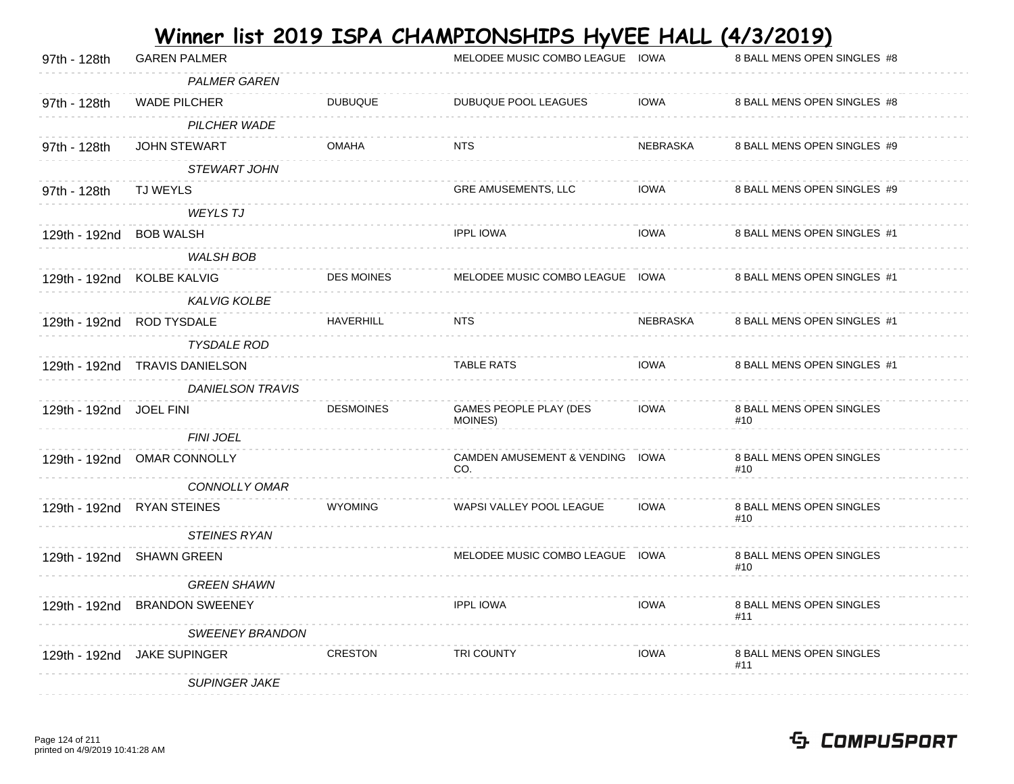| <b>PALMER GAREN</b><br>WADE PILCHER<br><b>DUBUQUE</b><br><b>IOWA</b><br>97th - 128th<br>DUBUQUE POOL LEAGUES<br>8 BALL MENS OPEN SINGLES #8<br>PILCHER WADE<br><b>OMAHA</b><br><b>JOHN STEWART</b><br><b>NTS</b><br>NEBRASKA<br>8 BALL MENS OPEN SINGLES #9<br>97th - 128th<br>STEWART JOHN<br>GRE AMUSEMENTS, LLC<br>IOWA<br>8 BALL MENS OPEN SINGLES #9<br>97th - 128th<br><b>TJ WEYLS</b><br><b>WEYLS TJ</b><br><b>IPPL IOWA</b><br><b>IOWA</b><br>129th - 192nd BOB WALSH<br>8 BALL MENS OPEN SINGLES #1<br><b>WALSH BOB</b><br><b>DES MOINES</b><br>MELODEE MUSIC COMBO LEAGUE IOWA<br>129th - 192nd KOLBE KALVIG<br>8 BALL MENS OPEN SINGLES #1<br><b>KALVIG KOLBE</b><br><b>HAVERHILL</b><br>NEBRASKA<br>8 BALL MENS OPEN SINGLES #1<br>129th - 192nd ROD TYSDALE<br><b>NTS</b><br><b>TYSDALE ROD</b><br><b>TABLE RATS</b><br><b>IOWA</b><br>8 BALL MENS OPEN SINGLES #1<br>129th - 192nd TRAVIS DANIELSON<br><b>DANIELSON TRAVIS</b><br><b>DESMOINES</b><br>GAMES PEOPLE PLAY (DES<br>IOWA<br>8 BALL MENS OPEN SINGLES<br>129th - 192nd<br><b>JOEL FINI</b><br>MOINES)<br>#10<br><b>FINI JOEL</b><br>CAMDEN AMUSEMENT & VENDING IOWA<br>8 BALL MENS OPEN SINGLES<br>129th - 192nd OMAR CONNOLLY<br>CO.<br>#10<br>CONNOLLY OMAR<br><b>WYOMING</b><br>8 BALL MENS OPEN SINGLES<br>WAPSI VALLEY POOL LEAGUE<br><b>IOWA</b><br>129th - 192nd RYAN STEINES<br>#10<br><b>STEINES RYAN</b><br>MELODEE MUSIC COMBO LEAGUE IOWA<br>8 BALL MENS OPEN SINGLES<br>129th - 192nd SHAWN GREEN<br>#10<br><b>GREEN SHAWN</b><br><b>IPPL IOWA</b><br><b>IOWA</b><br>129th - 192nd BRANDON SWEENEY<br>8 BALL MENS OPEN SINGLES<br>#11 | 97th - 128th | <b>GAREN PALMER</b> | MELODEE MUSIC COMBO LEAGUE IOWA | 8 BALL MENS OPEN SINGLES #8 |
|-----------------------------------------------------------------------------------------------------------------------------------------------------------------------------------------------------------------------------------------------------------------------------------------------------------------------------------------------------------------------------------------------------------------------------------------------------------------------------------------------------------------------------------------------------------------------------------------------------------------------------------------------------------------------------------------------------------------------------------------------------------------------------------------------------------------------------------------------------------------------------------------------------------------------------------------------------------------------------------------------------------------------------------------------------------------------------------------------------------------------------------------------------------------------------------------------------------------------------------------------------------------------------------------------------------------------------------------------------------------------------------------------------------------------------------------------------------------------------------------------------------------------------------------------------------------------------------------------------------------------------|--------------|---------------------|---------------------------------|-----------------------------|
|                                                                                                                                                                                                                                                                                                                                                                                                                                                                                                                                                                                                                                                                                                                                                                                                                                                                                                                                                                                                                                                                                                                                                                                                                                                                                                                                                                                                                                                                                                                                                                                                                             |              |                     |                                 |                             |
|                                                                                                                                                                                                                                                                                                                                                                                                                                                                                                                                                                                                                                                                                                                                                                                                                                                                                                                                                                                                                                                                                                                                                                                                                                                                                                                                                                                                                                                                                                                                                                                                                             |              |                     |                                 |                             |
|                                                                                                                                                                                                                                                                                                                                                                                                                                                                                                                                                                                                                                                                                                                                                                                                                                                                                                                                                                                                                                                                                                                                                                                                                                                                                                                                                                                                                                                                                                                                                                                                                             |              |                     |                                 |                             |
|                                                                                                                                                                                                                                                                                                                                                                                                                                                                                                                                                                                                                                                                                                                                                                                                                                                                                                                                                                                                                                                                                                                                                                                                                                                                                                                                                                                                                                                                                                                                                                                                                             |              |                     |                                 |                             |
|                                                                                                                                                                                                                                                                                                                                                                                                                                                                                                                                                                                                                                                                                                                                                                                                                                                                                                                                                                                                                                                                                                                                                                                                                                                                                                                                                                                                                                                                                                                                                                                                                             |              |                     |                                 |                             |
|                                                                                                                                                                                                                                                                                                                                                                                                                                                                                                                                                                                                                                                                                                                                                                                                                                                                                                                                                                                                                                                                                                                                                                                                                                                                                                                                                                                                                                                                                                                                                                                                                             |              |                     |                                 |                             |
|                                                                                                                                                                                                                                                                                                                                                                                                                                                                                                                                                                                                                                                                                                                                                                                                                                                                                                                                                                                                                                                                                                                                                                                                                                                                                                                                                                                                                                                                                                                                                                                                                             |              |                     |                                 |                             |
|                                                                                                                                                                                                                                                                                                                                                                                                                                                                                                                                                                                                                                                                                                                                                                                                                                                                                                                                                                                                                                                                                                                                                                                                                                                                                                                                                                                                                                                                                                                                                                                                                             |              |                     |                                 |                             |
|                                                                                                                                                                                                                                                                                                                                                                                                                                                                                                                                                                                                                                                                                                                                                                                                                                                                                                                                                                                                                                                                                                                                                                                                                                                                                                                                                                                                                                                                                                                                                                                                                             |              |                     |                                 |                             |
|                                                                                                                                                                                                                                                                                                                                                                                                                                                                                                                                                                                                                                                                                                                                                                                                                                                                                                                                                                                                                                                                                                                                                                                                                                                                                                                                                                                                                                                                                                                                                                                                                             |              |                     |                                 |                             |
|                                                                                                                                                                                                                                                                                                                                                                                                                                                                                                                                                                                                                                                                                                                                                                                                                                                                                                                                                                                                                                                                                                                                                                                                                                                                                                                                                                                                                                                                                                                                                                                                                             |              |                     |                                 |                             |
|                                                                                                                                                                                                                                                                                                                                                                                                                                                                                                                                                                                                                                                                                                                                                                                                                                                                                                                                                                                                                                                                                                                                                                                                                                                                                                                                                                                                                                                                                                                                                                                                                             |              |                     |                                 |                             |
|                                                                                                                                                                                                                                                                                                                                                                                                                                                                                                                                                                                                                                                                                                                                                                                                                                                                                                                                                                                                                                                                                                                                                                                                                                                                                                                                                                                                                                                                                                                                                                                                                             |              |                     |                                 |                             |
|                                                                                                                                                                                                                                                                                                                                                                                                                                                                                                                                                                                                                                                                                                                                                                                                                                                                                                                                                                                                                                                                                                                                                                                                                                                                                                                                                                                                                                                                                                                                                                                                                             |              |                     |                                 |                             |
|                                                                                                                                                                                                                                                                                                                                                                                                                                                                                                                                                                                                                                                                                                                                                                                                                                                                                                                                                                                                                                                                                                                                                                                                                                                                                                                                                                                                                                                                                                                                                                                                                             |              |                     |                                 |                             |
|                                                                                                                                                                                                                                                                                                                                                                                                                                                                                                                                                                                                                                                                                                                                                                                                                                                                                                                                                                                                                                                                                                                                                                                                                                                                                                                                                                                                                                                                                                                                                                                                                             |              |                     |                                 |                             |
|                                                                                                                                                                                                                                                                                                                                                                                                                                                                                                                                                                                                                                                                                                                                                                                                                                                                                                                                                                                                                                                                                                                                                                                                                                                                                                                                                                                                                                                                                                                                                                                                                             |              |                     |                                 |                             |
|                                                                                                                                                                                                                                                                                                                                                                                                                                                                                                                                                                                                                                                                                                                                                                                                                                                                                                                                                                                                                                                                                                                                                                                                                                                                                                                                                                                                                                                                                                                                                                                                                             |              |                     |                                 |                             |
|                                                                                                                                                                                                                                                                                                                                                                                                                                                                                                                                                                                                                                                                                                                                                                                                                                                                                                                                                                                                                                                                                                                                                                                                                                                                                                                                                                                                                                                                                                                                                                                                                             |              |                     |                                 |                             |
|                                                                                                                                                                                                                                                                                                                                                                                                                                                                                                                                                                                                                                                                                                                                                                                                                                                                                                                                                                                                                                                                                                                                                                                                                                                                                                                                                                                                                                                                                                                                                                                                                             |              |                     |                                 |                             |
|                                                                                                                                                                                                                                                                                                                                                                                                                                                                                                                                                                                                                                                                                                                                                                                                                                                                                                                                                                                                                                                                                                                                                                                                                                                                                                                                                                                                                                                                                                                                                                                                                             |              |                     |                                 |                             |
|                                                                                                                                                                                                                                                                                                                                                                                                                                                                                                                                                                                                                                                                                                                                                                                                                                                                                                                                                                                                                                                                                                                                                                                                                                                                                                                                                                                                                                                                                                                                                                                                                             |              |                     |                                 |                             |
|                                                                                                                                                                                                                                                                                                                                                                                                                                                                                                                                                                                                                                                                                                                                                                                                                                                                                                                                                                                                                                                                                                                                                                                                                                                                                                                                                                                                                                                                                                                                                                                                                             |              |                     |                                 |                             |
|                                                                                                                                                                                                                                                                                                                                                                                                                                                                                                                                                                                                                                                                                                                                                                                                                                                                                                                                                                                                                                                                                                                                                                                                                                                                                                                                                                                                                                                                                                                                                                                                                             |              |                     |                                 |                             |
| <b>SWEENEY BRANDON</b>                                                                                                                                                                                                                                                                                                                                                                                                                                                                                                                                                                                                                                                                                                                                                                                                                                                                                                                                                                                                                                                                                                                                                                                                                                                                                                                                                                                                                                                                                                                                                                                                      |              |                     |                                 |                             |
| <b>CRESTON</b><br><b>IOWA</b><br>129th - 192nd<br><b>JAKE SUPINGER</b><br>TRI COUNTY<br>8 BALL MENS OPEN SINGLES<br>#11                                                                                                                                                                                                                                                                                                                                                                                                                                                                                                                                                                                                                                                                                                                                                                                                                                                                                                                                                                                                                                                                                                                                                                                                                                                                                                                                                                                                                                                                                                     |              |                     |                                 |                             |
| <b>SUPINGER JAKE</b>                                                                                                                                                                                                                                                                                                                                                                                                                                                                                                                                                                                                                                                                                                                                                                                                                                                                                                                                                                                                                                                                                                                                                                                                                                                                                                                                                                                                                                                                                                                                                                                                        |              |                     |                                 |                             |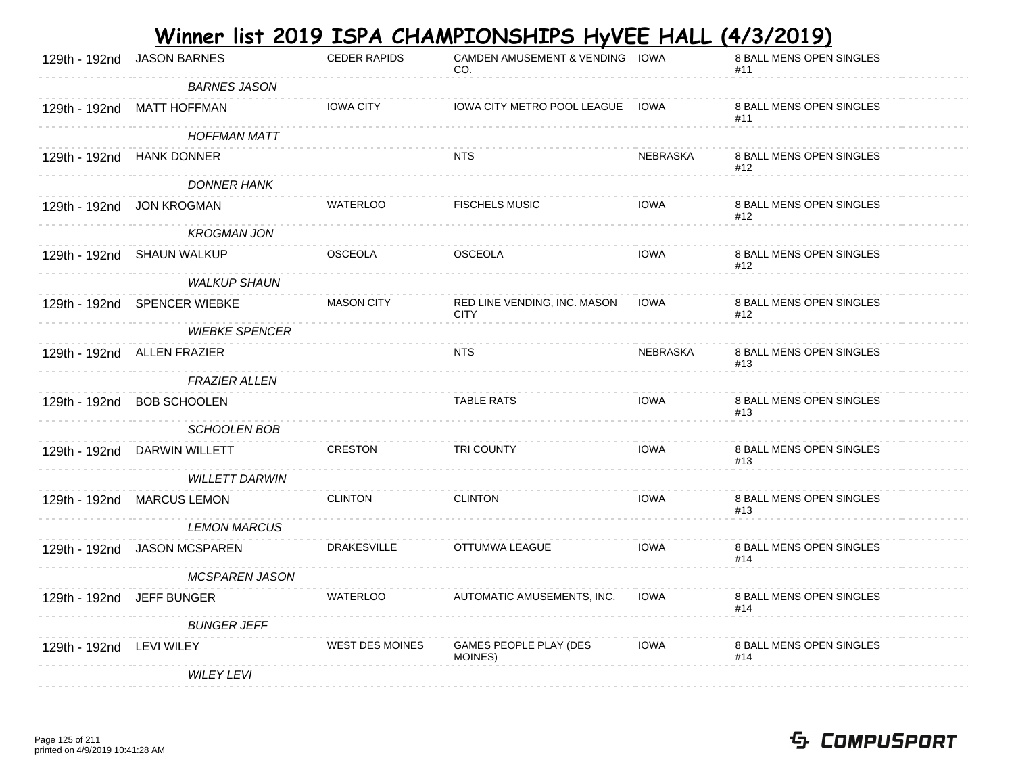|                          |                              |                        | <u>Winner list 2019 ISPA CHAMPIONSHIPS HyVEE HALL (4/3/2019)</u> |             |                                 |
|--------------------------|------------------------------|------------------------|------------------------------------------------------------------|-------------|---------------------------------|
| 129th - 192nd            | <b>JASON BARNES</b>          | <b>CEDER RAPIDS</b>    | CAMDEN AMUSEMENT & VENDING IOWA<br>CO.                           |             | 8 BALL MENS OPEN SINGLES<br>#11 |
|                          | <b>BARNES JASON</b>          |                        |                                                                  |             |                                 |
|                          | 129th - 192nd MATT HOFFMAN   | <b>IOWA CITY</b>       | IOWA CITY METRO POOL LEAGUE IOWA                                 |             | 8 BALL MENS OPEN SINGLES<br>#11 |
|                          | <b>HOFFMAN MATT</b>          |                        |                                                                  |             |                                 |
|                          | 129th - 192nd HANK DONNER    |                        | <b>NTS</b>                                                       | NEBRASKA    | 8 BALL MENS OPEN SINGLES<br>#12 |
|                          | <b>DONNER HANK</b>           |                        |                                                                  |             |                                 |
|                          | 129th - 192nd JON KROGMAN    | <b>WATERLOO</b>        | <b>FISCHELS MUSIC</b>                                            | <b>IOWA</b> | 8 BALL MENS OPEN SINGLES<br>#12 |
|                          | <b>KROGMAN JON</b>           |                        |                                                                  |             |                                 |
|                          | 129th - 192nd SHAUN WALKUP   | <b>OSCEOLA</b>         | <b>OSCEOLA</b>                                                   | <b>IOWA</b> | 8 BALL MENS OPEN SINGLES<br>#12 |
|                          | <b>WALKUP SHAUN</b>          |                        |                                                                  |             |                                 |
|                          | 129th - 192nd SPENCER WIEBKE | <b>MASON CITY</b>      | RED LINE VENDING, INC. MASON<br><b>CITY</b>                      | <b>IOWA</b> | 8 BALL MENS OPEN SINGLES<br>#12 |
|                          | <b>WIEBKE SPENCER</b>        |                        |                                                                  |             |                                 |
|                          | 129th - 192nd ALLEN FRAZIER  |                        | <b>NTS</b>                                                       | NEBRASKA    | 8 BALL MENS OPEN SINGLES<br>#13 |
|                          | <b>FRAZIER ALLEN</b>         |                        |                                                                  |             |                                 |
| 129th - 192nd            | <b>BOB SCHOOLEN</b>          |                        | <b>TABLE RATS</b>                                                | <b>IOWA</b> | 8 BALL MENS OPEN SINGLES<br>#13 |
|                          | <b>SCHOOLEN BOB</b>          |                        |                                                                  |             |                                 |
|                          | 129th - 192nd DARWIN WILLETT | <b>CRESTON</b>         | TRI COUNTY                                                       | <b>IOWA</b> | 8 BALL MENS OPEN SINGLES<br>#13 |
|                          | <b>WILLETT DARWIN</b>        |                        |                                                                  |             |                                 |
|                          | 129th - 192nd MARCUS LEMON   | <b>CLINTON</b>         | <b>CLINTON</b>                                                   | <b>IOWA</b> | 8 BALL MENS OPEN SINGLES<br>#13 |
|                          | <b>LEMON MARCUS</b>          |                        |                                                                  |             |                                 |
|                          | 129th - 192nd JASON MCSPAREN | <b>DRAKESVILLE</b>     | OTTUMWA LEAGUE                                                   | <b>IOWA</b> | 8 BALL MENS OPEN SINGLES<br>#14 |
|                          | <b>MCSPAREN JASON</b>        |                        |                                                                  |             |                                 |
|                          | 129th - 192nd JEFF BUNGER    | <b>WATERLOO</b>        | AUTOMATIC AMUSEMENTS, INC.                                       | <b>IOWA</b> | 8 BALL MENS OPEN SINGLES<br>#14 |
|                          | <b>BUNGER JEFF</b>           |                        |                                                                  |             |                                 |
| 129th - 192nd LEVI WILEY |                              | <b>WEST DES MOINES</b> | GAMES PEOPLE PLAY (DES<br>MOINES)                                | <b>IOWA</b> | 8 BALL MENS OPEN SINGLES<br>#14 |
|                          | <b>WILEY LEVI</b>            |                        |                                                                  |             |                                 |

**College**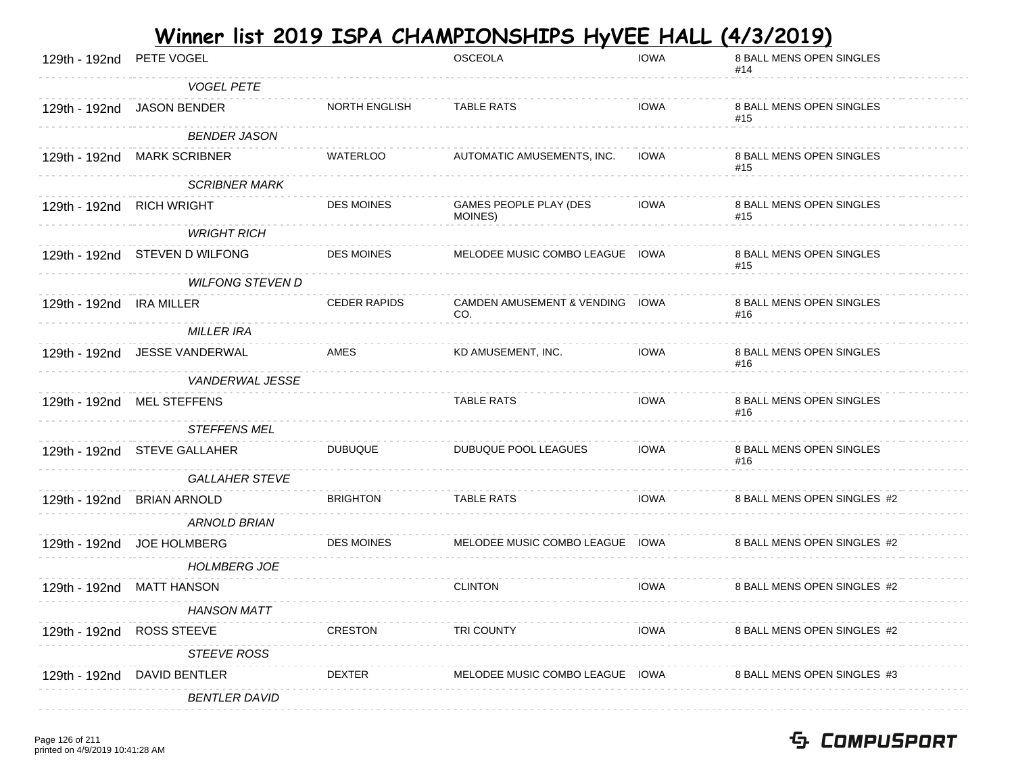| 129th - 192nd PETE VOGEL  |                                |                      | <b>OSCEOLA</b>                         | <b>IOWA</b> | 8 BALL MENS OPEN SINGLES<br>#14 |
|---------------------------|--------------------------------|----------------------|----------------------------------------|-------------|---------------------------------|
|                           | <b>VOGEL PETE</b>              |                      |                                        |             |                                 |
|                           | 129th - 192nd JASON BENDER     | <b>NORTH ENGLISH</b> | <b>TABLE RATS</b>                      | <b>IOWA</b> | 8 BALL MENS OPEN SINGLES<br>#15 |
|                           | <b>BENDER JASON</b>            |                      |                                        |             |                                 |
|                           | 129th - 192nd MARK SCRIBNER    | <b>WATERLOO</b>      | AUTOMATIC AMUSEMENTS, INC.             | <b>IOWA</b> | 8 BALL MENS OPEN SINGLES<br>#15 |
|                           | <b>SCRIBNER MARK</b>           |                      |                                        |             |                                 |
| 129th - 192nd RICH WRIGHT |                                | <b>DES MOINES</b>    | GAMES PEOPLE PLAY (DES<br>MOINES)      | <b>IOWA</b> | 8 BALL MENS OPEN SINGLES<br>#15 |
|                           | <b>WRIGHT RICH</b>             |                      |                                        |             |                                 |
|                           | 129th - 192nd STEVEN D WILFONG | <b>DES MOINES</b>    | MELODEE MUSIC COMBO LEAGUE IOWA        |             | 8 BALL MENS OPEN SINGLES<br>#15 |
|                           | <b>WILFONG STEVEN D</b>        |                      |                                        |             |                                 |
| 129th - 192nd IRA MILLER  |                                | <b>CEDER RAPIDS</b>  | CAMDEN AMUSEMENT & VENDING IOWA<br>CO. |             | 8 BALL MENS OPEN SINGLES<br>#16 |
|                           | <b>MILLER IRA</b>              |                      |                                        |             |                                 |
|                           | 129th - 192nd JESSE VANDERWAL  | AMES                 | KD AMUSEMENT, INC.                     | <b>IOWA</b> | 8 BALL MENS OPEN SINGLES<br>#16 |
|                           | <b>VANDERWAL JESSE</b>         |                      |                                        |             |                                 |
|                           | 129th - 192nd MEL STEFFENS     |                      | <b>TABLE RATS</b>                      | <b>IOWA</b> | 8 BALL MENS OPEN SINGLES<br>#16 |
|                           | STEFFENS MEL                   |                      |                                        |             |                                 |
|                           | 129th - 192nd STEVE GALLAHER   | <b>DUBUQUE</b>       | DUBUQUE POOL LEAGUES                   | <b>IOWA</b> | 8 BALL MENS OPEN SINGLES<br>#16 |
|                           | <b>GALLAHER STEVE</b>          |                      |                                        |             |                                 |
|                           | 129th - 192nd BRIAN ARNOLD     | <b>BRIGHTON</b>      | <b>TABLE RATS</b>                      | <b>IOWA</b> | 8 BALL MENS OPEN SINGLES #2     |
|                           | ARNOLD BRIAN                   |                      |                                        |             |                                 |
|                           | 129th - 192nd JOE HOLMBERG     | <b>DES MOINES</b>    | MELODEE MUSIC COMBO LEAGUE IOWA        |             | 8 BALL MENS OPEN SINGLES #2     |
|                           | <b>HOLMBERG JOE</b>            |                      |                                        |             |                                 |
|                           | 129th - 192nd MATT HANSON      |                      | <b>CLINTON</b>                         | <b>IOWA</b> | 8 BALL MENS OPEN SINGLES #2     |
|                           | <b>HANSON MATT</b>             |                      |                                        |             |                                 |
|                           | 129th - 192nd ROSS STEEVE      | CRESTON              | TRI COUNTY                             | <b>IOWA</b> | 8 BALL MENS OPEN SINGLES #2     |
|                           | STEEVE ROSS                    |                      |                                        |             |                                 |
|                           | 129th - 192nd DAVID BENTLER    | <b>DEXTER</b>        | MELODEE MUSIC COMBO LEAGUE IOWA        |             | 8 BALL MENS OPEN SINGLES #3     |
|                           | <b>BENTLER DAVID</b>           |                      |                                        |             |                                 |
|                           |                                |                      |                                        |             |                                 |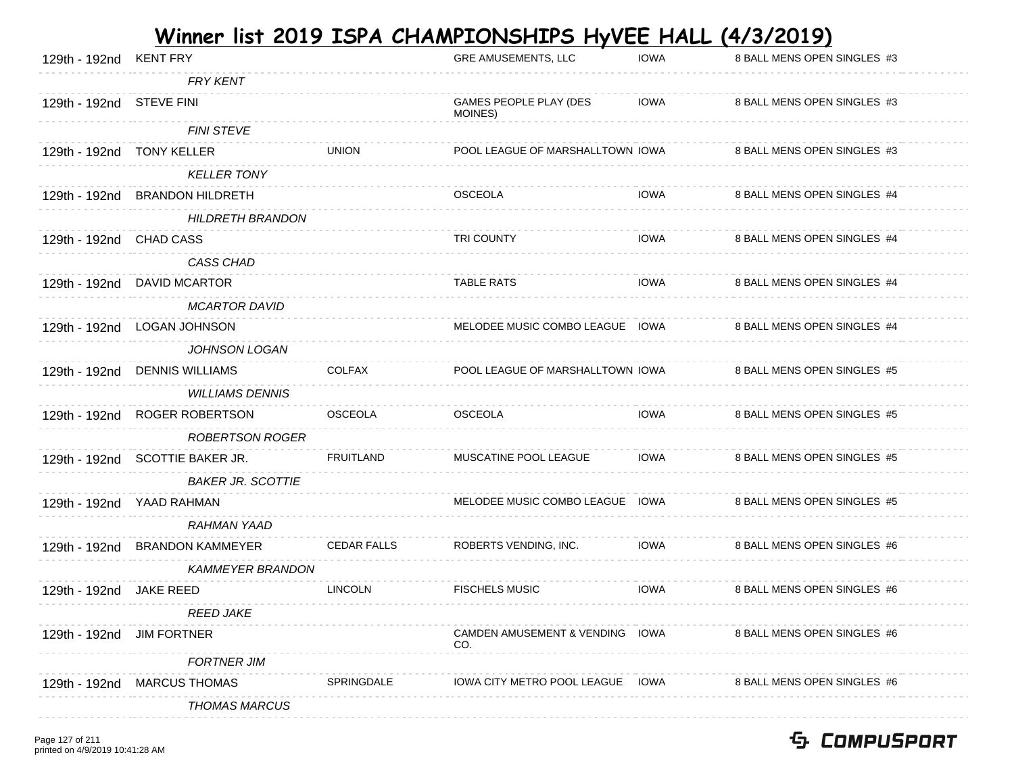| 129th - 192nd KENT FRY    |                                 |                    | GRE AMUSEMENTS, LLC                    | <b>IOWA</b> | 8 BALL MENS OPEN SINGLES #3 |
|---------------------------|---------------------------------|--------------------|----------------------------------------|-------------|-----------------------------|
|                           | <b>FRY KENT</b>                 |                    |                                        |             |                             |
| 129th - 192nd STEVE FINI  |                                 |                    | GAMES PEOPLE PLAY (DES<br>MOINES)      | <b>IOWA</b> | 8 BALL MENS OPEN SINGLES #3 |
|                           | <b>FINI STEVE</b>               |                    |                                        |             |                             |
| 129th - 192nd             | <b>TONY KELLER</b>              | <b>UNION</b>       | POOL LEAGUE OF MARSHALLTOWN IOWA       |             | 8 BALL MENS OPEN SINGLES #3 |
|                           | <b>KELLER TONY</b>              |                    |                                        |             |                             |
| 129th - 192nd             | <b>BRANDON HILDRETH</b>         |                    | <b>OSCEOLA</b>                         | <b>IOWA</b> | 8 BALL MENS OPEN SINGLES #4 |
|                           | <b>HILDRETH BRANDON</b>         |                    |                                        |             |                             |
| 129th - 192nd CHAD CASS   |                                 |                    | <b>TRI COUNTY</b>                      | <b>IOWA</b> | 8 BALL MENS OPEN SINGLES #4 |
|                           | CASS CHAD                       |                    |                                        |             |                             |
| 129th - 192nd             | DAVID MCARTOR                   |                    | <b>TABLE RATS</b>                      | <b>IOWA</b> | 8 BALL MENS OPEN SINGLES #4 |
|                           | <b>MCARTOR DAVID</b>            |                    |                                        |             |                             |
| 129th - 192nd             | LOGAN JOHNSON                   |                    | MELODEE MUSIC COMBO LEAGUE IOWA        |             | 8 BALL MENS OPEN SINGLES #4 |
|                           | JOHNSON LOGAN                   |                    |                                        |             |                             |
| 129th - 192nd             | <b>DENNIS WILLIAMS</b>          | <b>COLFAX</b>      | POOL LEAGUE OF MARSHALLTOWN IOWA       |             | 8 BALL MENS OPEN SINGLES #5 |
|                           | <b>WILLIAMS DENNIS</b>          |                    |                                        |             |                             |
| 129th - 192nd             | ROGER ROBERTSON                 | <b>OSCEOLA</b>     | <b>OSCEOLA</b>                         | <b>IOWA</b> | 8 BALL MENS OPEN SINGLES #5 |
|                           | <b>ROBERTSON ROGER</b>          |                    |                                        |             |                             |
|                           | 129th - 192nd SCOTTIE BAKER JR. | <b>FRUITLAND</b>   | MUSCATINE POOL LEAGUE                  | <b>IOWA</b> | 8 BALL MENS OPEN SINGLES #5 |
|                           | <b>BAKER JR. SCOTTIE</b>        |                    |                                        |             |                             |
| 129th - 192nd             | YAAD RAHMAN                     |                    | MELODEE MUSIC COMBO LEAGUE IOWA        |             | 8 BALL MENS OPEN SINGLES #5 |
|                           | <b>RAHMAN YAAD</b>              |                    |                                        |             |                             |
| 129th - 192nd             | <b>BRANDON KAMMEYER</b>         | <b>CEDAR FALLS</b> | ROBERTS VENDING, INC.                  | <b>IOWA</b> | 8 BALL MENS OPEN SINGLES #6 |
|                           | <b>KAMMEYER BRANDON</b>         |                    |                                        |             |                             |
| 129th - 192nd             | JAKE REED                       | <b>LINCOLN</b>     | <b>FISCHELS MUSIC</b>                  | <b>IOWA</b> | 8 BALL MENS OPEN SINGLES #6 |
|                           | <b>REED JAKE</b>                |                    |                                        |             |                             |
| 129th - 192nd JIM FORTNER |                                 |                    | CAMDEN AMUSEMENT & VENDING IOWA<br>CO. |             | 8 BALL MENS OPEN SINGLES #6 |
|                           | <b>FORTNER JIM</b>              |                    |                                        |             |                             |
| 129th - 192nd             | <b>MARCUS THOMAS</b>            | <b>SPRINGDALE</b>  | IOWA CITY METRO POOL LEAGUE IOWA       |             | 8 BALL MENS OPEN SINGLES #6 |
|                           | <b>THOMAS MARCUS</b>            |                    |                                        |             |                             |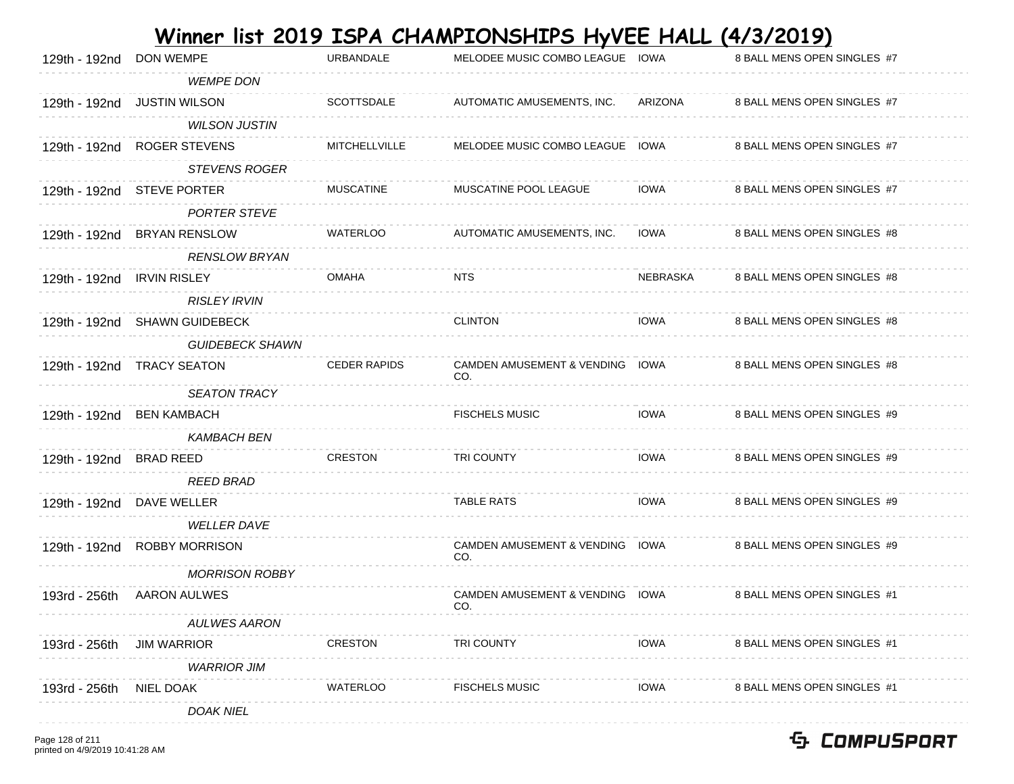|                            |                               |                      | Winner list 2019 ISPA CHAMPIONSHIPS HyVEE HALL (4/3/2019) |             |                             |
|----------------------------|-------------------------------|----------------------|-----------------------------------------------------------|-------------|-----------------------------|
| 129th - 192nd              | <b>DON WEMPE</b>              | URBANDALE            | MELODEE MUSIC COMBO LEAGUE IOWA                           |             | 8 BALL MENS OPEN SINGLES #7 |
|                            | <b>WEMPE DON</b>              |                      |                                                           |             |                             |
| 129th - 192nd              | <b>JUSTIN WILSON</b>          | SCOTTSDALE           | AUTOMATIC AMUSEMENTS, INC.                                | ARIZONA     | 8 BALL MENS OPEN SINGLES #7 |
|                            | <b>WILSON JUSTIN</b>          |                      |                                                           |             |                             |
| 129th - 192nd              | ROGER STEVENS                 | <b>MITCHELLVILLE</b> | MELODEE MUSIC COMBO LEAGUE IOWA                           |             | 8 BALL MENS OPEN SINGLES #7 |
|                            | <b>STEVENS ROGER</b>          |                      |                                                           |             |                             |
|                            | 129th - 192nd STEVE PORTER    | <b>MUSCATINE</b>     | MUSCATINE POOL LEAGUE                                     | <b>IOWA</b> | 8 BALL MENS OPEN SINGLES #7 |
|                            | <b>PORTER STEVE</b>           |                      |                                                           |             |                             |
| 129th - 192nd              | <b>BRYAN RENSLOW</b>          | <b>WATERLOO</b>      | AUTOMATIC AMUSEMENTS, INC.                                | <b>IOWA</b> | 8 BALL MENS OPEN SINGLES #8 |
|                            | <b>RENSLOW BRYAN</b>          |                      |                                                           |             |                             |
| 129th - 192nd IRVIN RISLEY |                               | <b>OMAHA</b>         | <b>NTS</b>                                                | NEBRASKA    | 8 BALL MENS OPEN SINGLES #8 |
|                            | <b>RISLEY IRVIN</b>           |                      |                                                           |             |                             |
|                            | 129th - 192nd SHAWN GUIDEBECK |                      | <b>CLINTON</b>                                            | <b>IOWA</b> | 8 BALL MENS OPEN SINGLES #8 |
|                            | <b>GUIDEBECK SHAWN</b>        |                      |                                                           |             |                             |
| 129th - 192nd              | <b>TRACY SEATON</b>           | <b>CEDER RAPIDS</b>  | CAMDEN AMUSEMENT & VENDING IOWA<br>CO.                    |             | 8 BALL MENS OPEN SINGLES #8 |
|                            | <b>SEATON TRACY</b>           |                      |                                                           |             |                             |
|                            | 129th - 192nd BEN KAMBACH     |                      | <b>FISCHELS MUSIC</b>                                     | <b>IOWA</b> | 8 BALL MENS OPEN SINGLES #9 |
|                            | <b>KAMBACH BEN</b>            |                      |                                                           |             |                             |
| 129th - 192nd              | BRAD REED                     | <b>CRESTON</b>       | <b>TRI COUNTY</b>                                         | <b>IOWA</b> | 8 BALL MENS OPEN SINGLES #9 |
|                            | <b>REED BRAD</b>              |                      |                                                           |             |                             |
| 129th - 192nd              | DAVE WELLER                   |                      | TABLE RATS                                                | <b>IOWA</b> | 8 BALL MENS OPEN SINGLES #9 |
|                            | <b>WELLER DAVE</b>            |                      |                                                           |             |                             |
| 129th - 192nd              | <b>ROBBY MORRISON</b>         |                      | CAMDEN AMUSEMENT & VENDING IOWA<br>CO.                    |             | 8 BALL MENS OPEN SINGLES #9 |
|                            | <b>MORRISON ROBBY</b>         |                      |                                                           |             |                             |
|                            | 193rd - 256th AARON AULWES    |                      | CAMDEN AMUSEMENT & VENDING IOWA<br>CO.                    |             | 8 BALL MENS OPEN SINGLES #1 |
|                            | <b>AULWES AARON</b>           |                      |                                                           |             |                             |
| 193rd - 256th              | <b>JIM WARRIOR</b>            | <b>CRESTON</b>       | <b>TRI COUNTY</b>                                         | <b>IOWA</b> | 8 BALL MENS OPEN SINGLES #1 |
|                            | <b>WARRIOR JIM</b>            |                      |                                                           |             |                             |
| 193rd - 256th              | NIEL DOAK                     | WATERLOO             | <b>FISCHELS MUSIC</b>                                     | <b>IOWA</b> | 8 BALL MENS OPEN SINGLES #1 |
|                            | <b>DOAK NIEL</b>              |                      |                                                           |             |                             |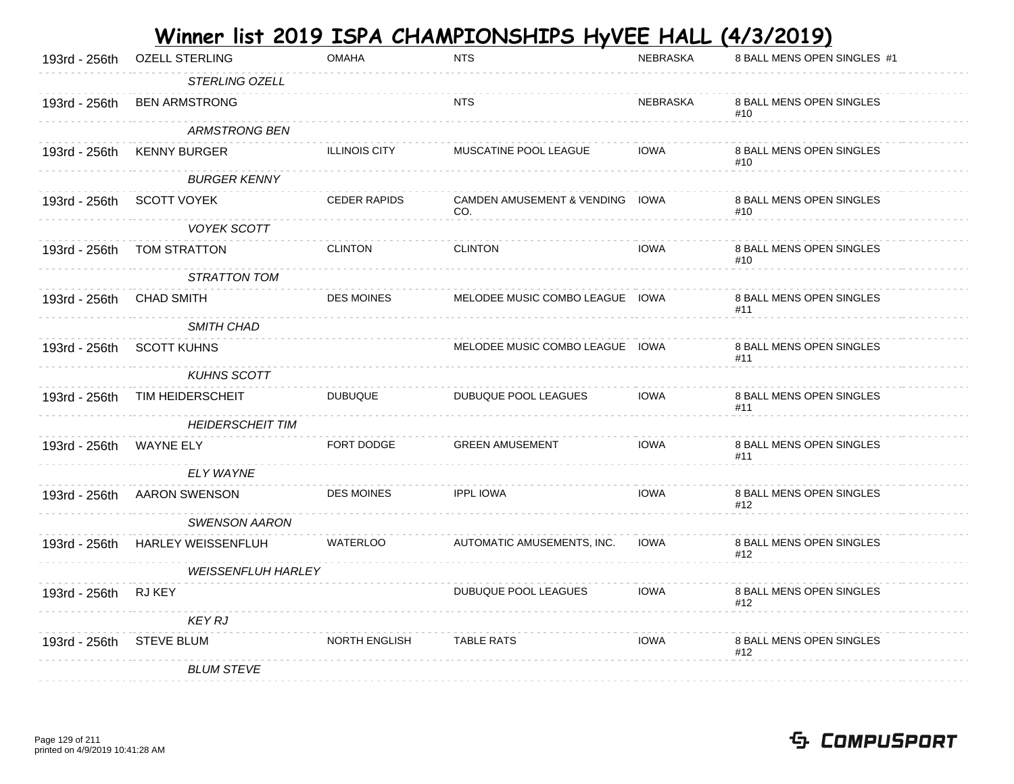| 193rd - 256th | <b>OZELL STERLING</b>     | <b>OMAHA</b>         | <b>NTS</b>                             | NEBRASKA    | 8 BALL MENS OPEN SINGLES #1     |
|---------------|---------------------------|----------------------|----------------------------------------|-------------|---------------------------------|
|               | STERLING OZELL            |                      |                                        |             |                                 |
| 193rd - 256th | <b>BEN ARMSTRONG</b>      |                      | <b>NTS</b>                             | NEBRASKA    | 8 BALL MENS OPEN SINGLES<br>#10 |
|               | <b>ARMSTRONG BEN</b>      |                      |                                        |             |                                 |
| 193rd - 256th | <b>KENNY BURGER</b>       | <b>ILLINOIS CITY</b> | MUSCATINE POOL LEAGUE                  | <b>IOWA</b> | 8 BALL MENS OPEN SINGLES<br>#10 |
|               | <b>BURGER KENNY</b>       |                      |                                        |             |                                 |
| 193rd - 256th | <b>SCOTT VOYEK</b>        | <b>CEDER RAPIDS</b>  | CAMDEN AMUSEMENT & VENDING IOWA<br>CO. |             | 8 BALL MENS OPEN SINGLES<br>#10 |
|               | <b>VOYEK SCOTT</b>        |                      |                                        |             |                                 |
| 193rd - 256th | TOM STRATTON              | <b>CLINTON</b>       | <b>CLINTON</b>                         | <b>IOWA</b> | 8 BALL MENS OPEN SINGLES<br>#10 |
|               | STRATTON TOM              |                      |                                        |             |                                 |
| 193rd - 256th | <b>CHAD SMITH</b>         | <b>DES MOINES</b>    | MELODEE MUSIC COMBO LEAGUE IOWA        |             | 8 BALL MENS OPEN SINGLES<br>#11 |
|               | <b>SMITH CHAD</b>         |                      |                                        |             |                                 |
| 193rd - 256th | <b>SCOTT KUHNS</b>        |                      | MELODEE MUSIC COMBO LEAGUE IOWA        |             | 8 BALL MENS OPEN SINGLES<br>#11 |
|               | <b>KUHNS SCOTT</b>        |                      |                                        |             |                                 |
| 193rd - 256th | TIM HEIDERSCHEIT          | <b>DUBUQUE</b>       | DUBUQUE POOL LEAGUES                   | <b>IOWA</b> | 8 BALL MENS OPEN SINGLES<br>#11 |
|               | <b>HEIDERSCHEIT TIM</b>   |                      |                                        |             |                                 |
| 193rd - 256th | <b>WAYNE ELY</b>          | FORT DODGE           | <b>GREEN AMUSEMENT</b>                 | <b>IOWA</b> | 8 BALL MENS OPEN SINGLES<br>#11 |
|               | ELY WAYNE                 |                      |                                        |             |                                 |
| 193rd - 256th | <b>AARON SWENSON</b>      | <b>DES MOINES</b>    | <b>IPPL IOWA</b>                       | <b>IOWA</b> | 8 BALL MENS OPEN SINGLES<br>#12 |
|               | <b>SWENSON AARON</b>      |                      |                                        |             |                                 |
| 193rd - 256th | HARLEY WEISSENFLUH        | WATERLOO             | AUTOMATIC AMUSEMENTS, INC.             | <b>IOWA</b> | 8 BALL MENS OPEN SINGLES<br>#12 |
|               | <b>WEISSENFLUH HARLEY</b> |                      |                                        |             |                                 |
| 193rd - 256th | RJ KEY                    |                      | DUBUQUE POOL LEAGUES                   | <b>IOWA</b> | 8 BALL MENS OPEN SINGLES<br>#12 |
|               | <b>KEY RJ</b>             |                      |                                        |             |                                 |
| 193rd - 256th | <b>STEVE BLUM</b>         | <b>NORTH ENGLISH</b> | <b>TABLE RATS</b>                      | <b>IOWA</b> | 8 BALL MENS OPEN SINGLES<br>#12 |
|               | <b>BLUM STEVE</b>         |                      |                                        |             |                                 |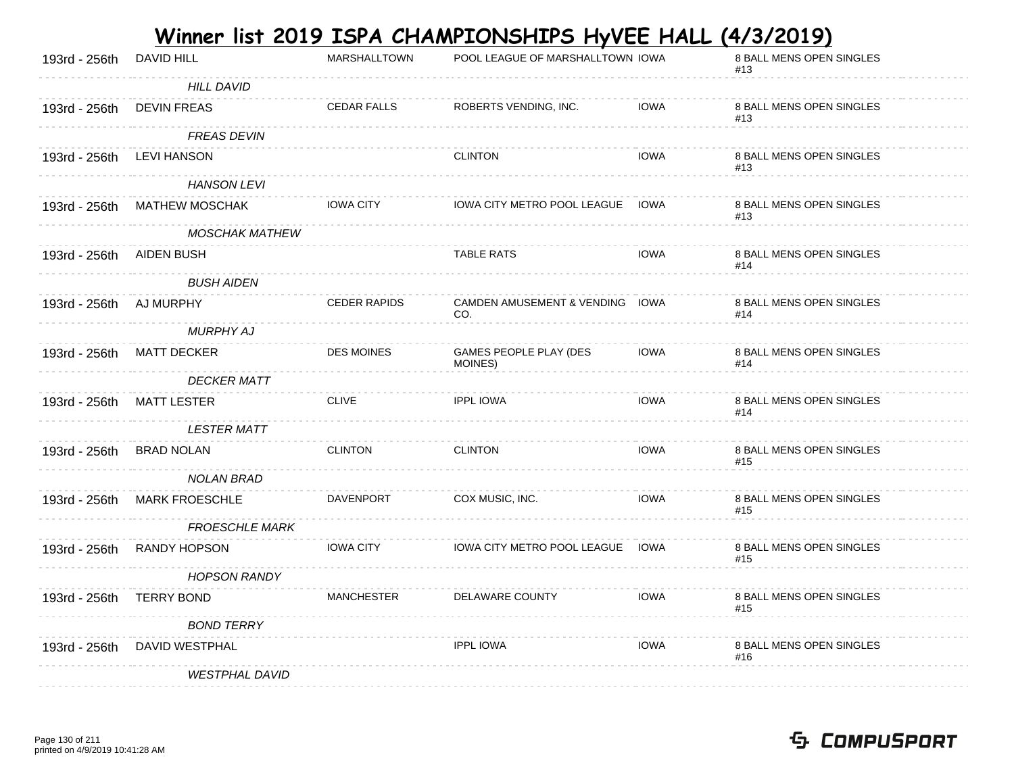|               |                       |                     | <u>Winner list 2019 ISPA CHAMPIONSHIPS HyVEE HALL (4/3/2019)</u> |             |                                 |
|---------------|-----------------------|---------------------|------------------------------------------------------------------|-------------|---------------------------------|
| 193rd - 256th | DAVID HILL            | MARSHALLTOWN        | POOL LEAGUE OF MARSHALLTOWN IOWA                                 |             | 8 BALL MENS OPEN SINGLES<br>#13 |
|               | <b>HILL DAVID</b>     |                     |                                                                  |             |                                 |
| 193rd - 256th | <b>DEVIN FREAS</b>    | <b>CEDAR FALLS</b>  | ROBERTS VENDING, INC.                                            | <b>IOWA</b> | 8 BALL MENS OPEN SINGLES<br>#13 |
|               | <b>FREAS DEVIN</b>    |                     |                                                                  |             |                                 |
| 193rd - 256th | LEVI HANSON           |                     | <b>CLINTON</b>                                                   | <b>IOWA</b> | 8 BALL MENS OPEN SINGLES<br>#13 |
|               | <b>HANSON LEVI</b>    |                     |                                                                  |             |                                 |
| 193rd - 256th | <b>MATHEW MOSCHAK</b> | <b>IOWA CITY</b>    | IOWA CITY METRO POOL LEAGUE IOWA                                 |             | 8 BALL MENS OPEN SINGLES<br>#13 |
|               | <b>MOSCHAK MATHEW</b> |                     |                                                                  |             |                                 |
| 193rd - 256th | AIDEN BUSH            |                     | <b>TABLE RATS</b>                                                | <b>IOWA</b> | 8 BALL MENS OPEN SINGLES<br>#14 |
|               | <b>BUSH AIDEN</b>     |                     |                                                                  |             |                                 |
| 193rd - 256th | AJ MURPHY             | <b>CEDER RAPIDS</b> | CAMDEN AMUSEMENT & VENDING IOWA<br>CO.                           |             | 8 BALL MENS OPEN SINGLES<br>#14 |
|               | MURPHY AJ             |                     |                                                                  |             |                                 |
| 193rd - 256th | <b>MATT DECKER</b>    | <b>DES MOINES</b>   | GAMES PEOPLE PLAY (DES<br>MOINES)                                | <b>IOWA</b> | 8 BALL MENS OPEN SINGLES<br>#14 |
|               | <b>DECKER MATT</b>    |                     |                                                                  |             |                                 |
| 193rd - 256th | <b>MATT LESTER</b>    | <b>CLIVE</b>        | <b>IPPL IOWA</b>                                                 | <b>IOWA</b> | 8 BALL MENS OPEN SINGLES<br>#14 |
|               | <b>LESTER MATT</b>    |                     |                                                                  |             |                                 |
| 193rd - 256th | <b>BRAD NOLAN</b>     | <b>CLINTON</b>      | <b>CLINTON</b>                                                   | <b>IOWA</b> | 8 BALL MENS OPEN SINGLES<br>#15 |
|               | NOLAN BRAD            |                     |                                                                  |             |                                 |
| 193rd - 256th | <b>MARK FROESCHLE</b> | DAVENPORT           | COX MUSIC, INC.                                                  | <b>IOWA</b> | 8 BALL MENS OPEN SINGLES<br>#15 |
|               | <b>FROESCHLE MARK</b> |                     |                                                                  |             |                                 |
| 193rd - 256th | <b>RANDY HOPSON</b>   | <b>IOWA CITY</b>    | IOWA CITY METRO POOL LEAGUE IOWA                                 |             | 8 BALL MENS OPEN SINGLES<br>#15 |
|               | <b>HOPSON RANDY</b>   |                     |                                                                  |             |                                 |
| 193rd - 256th | <b>TERRY BOND</b>     | <b>MANCHESTER</b>   | DELAWARE COUNTY                                                  | <b>IOWA</b> | 8 BALL MENS OPEN SINGLES<br>#15 |
|               | <b>BOND TERRY</b>     |                     |                                                                  |             |                                 |
| 193rd - 256th | DAVID WESTPHAL        |                     | <b>IPPL IOWA</b>                                                 | <b>IOWA</b> | 8 BALL MENS OPEN SINGLES<br>#16 |
|               | <b>WESTPHAL DAVID</b> |                     |                                                                  |             |                                 |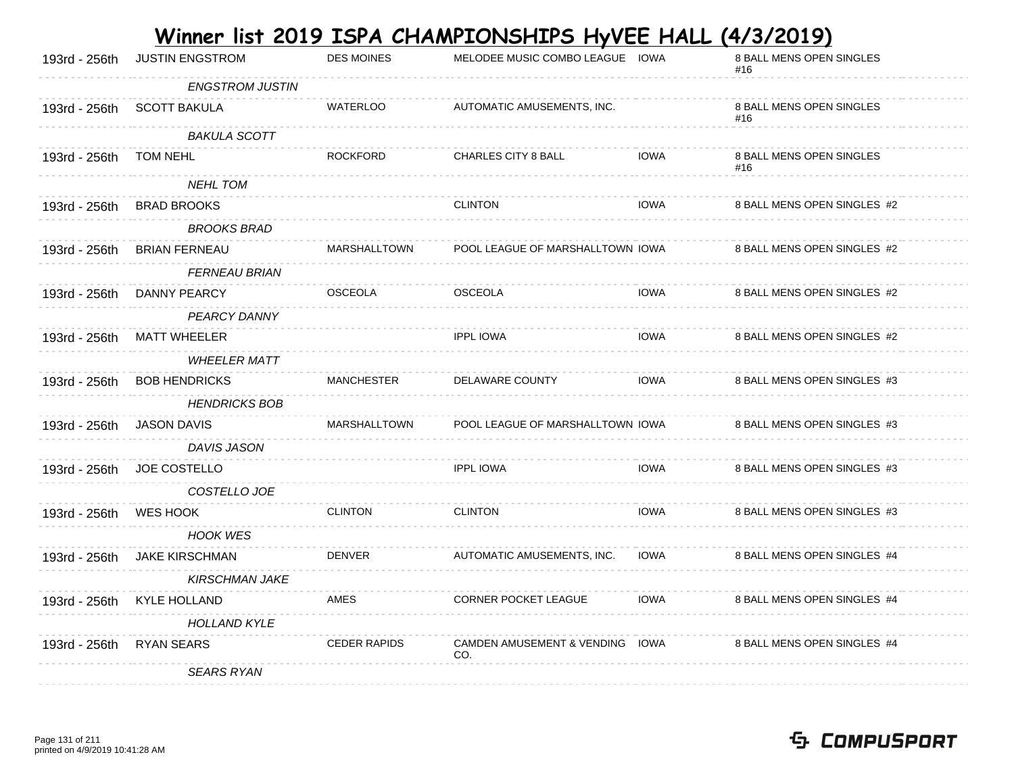|               |                        |                     | <u>Winner list 2019 ISPA CHAMPIONSHIPS HyVEE HALL (4/3/2019)</u> |             |                                 |
|---------------|------------------------|---------------------|------------------------------------------------------------------|-------------|---------------------------------|
| 193rd - 256th | <b>JUSTIN ENGSTROM</b> | <b>DES MOINES</b>   | MELODEE MUSIC COMBO LEAGUE IOWA                                  |             | 8 BALL MENS OPEN SINGLES<br>#16 |
|               | <b>ENGSTROM JUSTIN</b> |                     |                                                                  |             |                                 |
| 193rd - 256th | <b>SCOTT BAKULA</b>    | <b>WATERLOO</b>     | AUTOMATIC AMUSEMENTS, INC.                                       |             | 8 BALL MENS OPEN SINGLES<br>#16 |
|               | <b>BAKULA SCOTT</b>    |                     |                                                                  |             |                                 |
| 193rd - 256th | TOM NEHL               | <b>ROCKFORD</b>     | CHARLES CITY 8 BALL                                              | <b>IOWA</b> | 8 BALL MENS OPEN SINGLES<br>#16 |
|               | <b>NEHL TOM</b>        |                     |                                                                  |             |                                 |
| 193rd - 256th | <b>BRAD BROOKS</b>     |                     | <b>CLINTON</b>                                                   | <b>IOWA</b> | 8 BALL MENS OPEN SINGLES #2     |
|               | <b>BROOKS BRAD</b>     |                     |                                                                  |             |                                 |
| 193rd - 256th | <b>BRIAN FERNEAU</b>   | <b>MARSHALLTOWN</b> | POOL LEAGUE OF MARSHALLTOWN IOWA                                 |             | 8 BALL MENS OPEN SINGLES #2     |
|               | <b>FERNEAU BRIAN</b>   |                     |                                                                  |             |                                 |
| 193rd - 256th | DANNY PEARCY           | <b>OSCEOLA</b>      | <b>OSCEOLA</b>                                                   | <b>IOWA</b> | 8 BALL MENS OPEN SINGLES #2     |
|               | PEARCY DANNY           |                     |                                                                  |             |                                 |
| 193rd - 256th | <b>MATT WHEELER</b>    |                     | <b>IPPL IOWA</b>                                                 | <b>IOWA</b> | 8 BALL MENS OPEN SINGLES #2     |
|               | <b>WHEELER MATT</b>    |                     |                                                                  |             |                                 |
| 193rd - 256th | <b>BOB HENDRICKS</b>   | <b>MANCHESTER</b>   | DELAWARE COUNTY                                                  | <b>IOWA</b> | 8 BALL MENS OPEN SINGLES #3     |
|               | <b>HENDRICKS BOB</b>   |                     |                                                                  |             |                                 |
| 193rd - 256th | <b>JASON DAVIS</b>     | <b>MARSHALLTOWN</b> | POOL LEAGUE OF MARSHALLTOWN IOWA                                 |             | 8 BALL MENS OPEN SINGLES #3     |
|               | DAVIS JASON            |                     |                                                                  |             |                                 |
| 193rd - 256th | <b>JOE COSTELLO</b>    |                     | <b>IPPL IOWA</b>                                                 | <b>IOWA</b> | 8 BALL MENS OPEN SINGLES #3     |
|               | COSTELLO JOE           |                     |                                                                  |             |                                 |
| 193rd - 256th | <b>WES HOOK</b>        | <b>CLINTON</b>      | <b>CLINTON</b>                                                   | <b>IOWA</b> | 8 BALL MENS OPEN SINGLES #3     |
|               | <b>HOOK WES</b>        |                     |                                                                  |             |                                 |
| 193rd - 256th | <b>JAKE KIRSCHMAN</b>  | <b>DENVER</b>       | AUTOMATIC AMUSEMENTS, INC.                                       | <b>IOWA</b> | 8 BALL MENS OPEN SINGLES #4     |
|               | <b>KIRSCHMAN JAKE</b>  |                     |                                                                  |             |                                 |
| 193rd - 256th | <b>KYLE HOLLAND</b>    | <b>AMES</b>         | <b>CORNER POCKET LEAGUE</b>                                      | <b>IOWA</b> | 8 BALL MENS OPEN SINGLES #4     |
|               | <b>HOLLAND KYLE</b>    |                     |                                                                  |             |                                 |
| 193rd - 256th | <b>RYAN SEARS</b>      | <b>CEDER RAPIDS</b> | <b>CAMDEN AMUSEMENT &amp; VENDING</b><br>CO.                     | IOWA        | 8 BALL MENS OPEN SINGLES #4     |
|               | <b>SEARS RYAN</b>      |                     |                                                                  |             |                                 |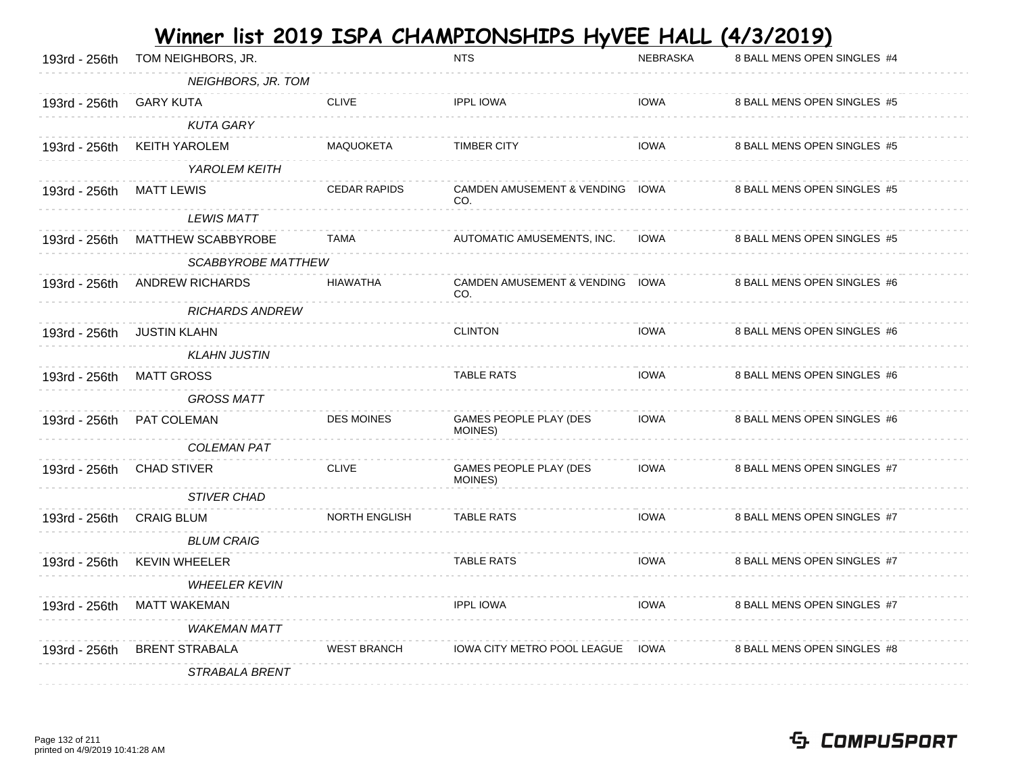| 193rd - 256th | TOM NEIGHBORS, JR.     |                      | <b>NTS</b>                             | <b>NEBRASKA</b> | 8 BALL MENS OPEN SINGLES #4 |
|---------------|------------------------|----------------------|----------------------------------------|-----------------|-----------------------------|
|               | NEIGHBORS, JR. TOM     |                      |                                        |                 |                             |
| 193rd - 256th | <b>GARY KUTA</b>       | <b>CLIVE</b>         | <b>IPPL IOWA</b>                       | <b>IOWA</b>     | 8 BALL MENS OPEN SINGLES #5 |
|               | <b>KUTA GARY</b>       |                      |                                        |                 |                             |
| 193rd - 256th | <b>KEITH YAROLEM</b>   | MAQUOKETA            | <b>TIMBER CITY</b>                     | <b>IOWA</b>     | 8 BALL MENS OPEN SINGLES #5 |
|               | YAROLEM KEITH          |                      |                                        |                 |                             |
| 193rd - 256th | <b>MATT LEWIS</b>      | <b>CEDAR RAPIDS</b>  | CAMDEN AMUSEMENT & VENDING IOWA<br>CO. |                 | 8 BALL MENS OPEN SINGLES #5 |
|               | <b>LEWIS MATT</b>      |                      |                                        |                 |                             |
| 193rd - 256th | MATTHEW SCABBYROBE     | <b>TAMA</b>          | AUTOMATIC AMUSEMENTS, INC.             | <b>IOWA</b>     | 8 BALL MENS OPEN SINGLES #5 |
|               | SCABBYROBE MATTHEW     |                      |                                        |                 |                             |
| 193rd - 256th | <b>ANDREW RICHARDS</b> | <b>HIAWATHA</b>      | CAMDEN AMUSEMENT & VENDING IOWA<br>CO. |                 | 8 BALL MENS OPEN SINGLES #6 |
|               | <b>RICHARDS ANDREW</b> |                      |                                        |                 |                             |
| 193rd - 256th | <b>JUSTIN KLAHN</b>    |                      | <b>CLINTON</b>                         | <b>IOWA</b>     | 8 BALL MENS OPEN SINGLES #6 |
|               | <b>KLAHN JUSTIN</b>    |                      |                                        |                 |                             |
| 193rd - 256th | <b>MATT GROSS</b>      |                      | <b>TABLE RATS</b>                      | <b>IOWA</b>     | 8 BALL MENS OPEN SINGLES #6 |
|               | <b>GROSS MATT</b>      |                      |                                        |                 |                             |
| 193rd - 256th | PAT COLEMAN            | <b>DES MOINES</b>    | GAMES PEOPLE PLAY (DES<br>MOINES)      | <b>IOWA</b>     | 8 BALL MENS OPEN SINGLES #6 |
|               | <b>COLEMAN PAT</b>     |                      |                                        |                 |                             |
| 193rd - 256th | <b>CHAD STIVER</b>     | <b>CLIVE</b>         | GAMES PEOPLE PLAY (DES<br>MOINES)      | <b>IOWA</b>     | 8 BALL MENS OPEN SINGLES #7 |
|               | <b>STIVER CHAD</b>     |                      |                                        |                 |                             |
| 193rd - 256th | <b>CRAIG BLUM</b>      | <b>NORTH ENGLISH</b> | <b>TABLE RATS</b>                      | <b>IOWA</b>     | 8 BALL MENS OPEN SINGLES #7 |
|               | <b>BLUM CRAIG</b>      |                      |                                        |                 |                             |
| 193rd - 256th | <b>KEVIN WHEELER</b>   |                      | <b>TABLE RATS</b>                      | <b>IOWA</b>     | 8 BALL MENS OPEN SINGLES #7 |
|               | <b>WHEELER KEVIN</b>   |                      |                                        |                 |                             |
| 193rd - 256th | <b>MATT WAKEMAN</b>    |                      | <b>IPPL IOWA</b>                       | <b>IOWA</b>     | 8 BALL MENS OPEN SINGLES #7 |
|               |                        |                      |                                        |                 |                             |
|               | <b>WAKEMAN MATT</b>    |                      |                                        |                 |                             |
| 193rd - 256th | <b>BRENT STRABALA</b>  | <b>WEST BRANCH</b>   | IOWA CITY METRO POOL LEAGUE IOWA       |                 | 8 BALL MENS OPEN SINGLES #8 |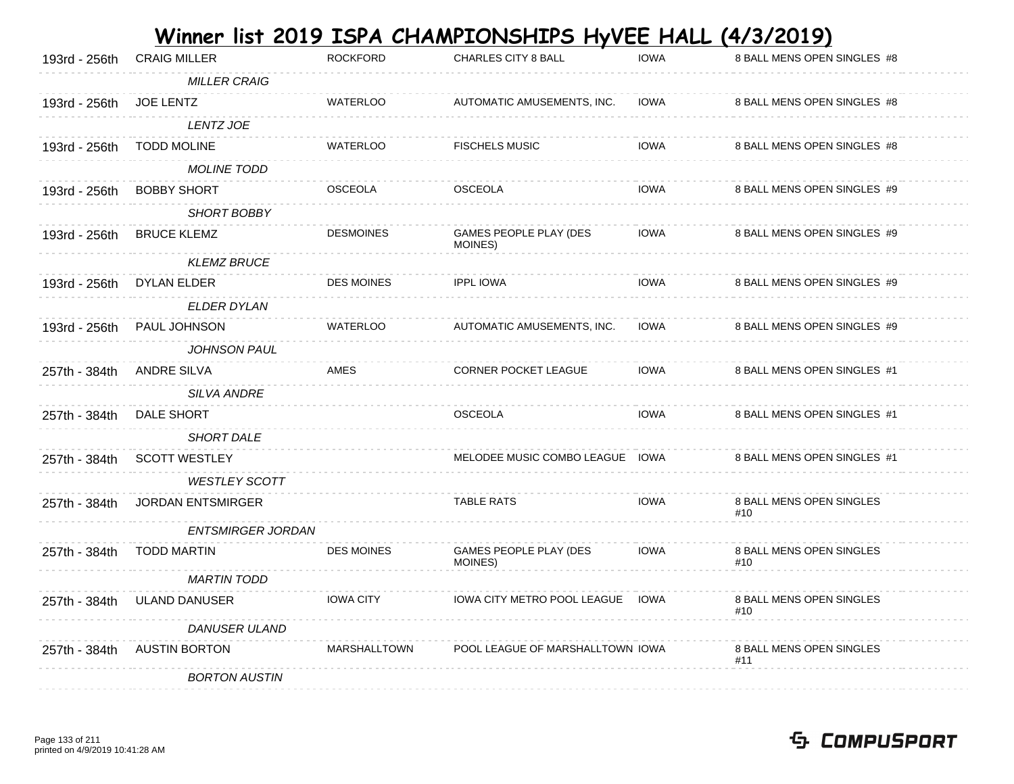|               |                          |                     | Winner list 2019 ISPA CHAMPIONSHIPS HyVEE HALL (4/3/2019) |             |                                 |
|---------------|--------------------------|---------------------|-----------------------------------------------------------|-------------|---------------------------------|
| 193rd - 256th | <b>CRAIG MILLER</b>      | <b>ROCKFORD</b>     | CHARLES CITY 8 BALL                                       | <b>IOWA</b> | 8 BALL MENS OPEN SINGLES #8     |
|               | <b>MILLER CRAIG</b>      |                     |                                                           |             |                                 |
| 193rd - 256th | <b>JOE LENTZ</b>         | WATERLOO            | AUTOMATIC AMUSEMENTS, INC.                                | <b>IOWA</b> | 8 BALL MENS OPEN SINGLES #8     |
|               | LENTZ JOE                |                     |                                                           |             |                                 |
| 193rd - 256th | <b>TODD MOLINE</b>       | <b>WATERLOO</b>     | <b>FISCHELS MUSIC</b>                                     | <b>IOWA</b> | 8 BALL MENS OPEN SINGLES #8     |
|               | <b>MOLINE TODD</b>       |                     |                                                           |             |                                 |
| 193rd - 256th | <b>BOBBY SHORT</b>       | <b>OSCEOLA</b>      | <b>OSCEOLA</b>                                            | <b>IOWA</b> | 8 BALL MENS OPEN SINGLES #9     |
|               | SHORT BOBBY              |                     |                                                           |             |                                 |
| 193rd - 256th | <b>BRUCE KLEMZ</b>       | <b>DESMOINES</b>    | <b>GAMES PEOPLE PLAY (DES</b><br>MOINES)                  | <b>IOWA</b> | 8 BALL MENS OPEN SINGLES #9     |
|               | <b>KLEMZ BRUCE</b>       |                     |                                                           |             |                                 |
| 193rd - 256th | DYLAN ELDER              | DES MOINES          | <b>IPPL IOWA</b>                                          | <b>IOWA</b> | 8 BALL MENS OPEN SINGLES #9     |
|               | <b>ELDER DYLAN</b>       |                     |                                                           |             |                                 |
| 193rd - 256th | <b>PAUL JOHNSON</b>      | <b>WATERLOO</b>     | AUTOMATIC AMUSEMENTS, INC.                                | <b>IOWA</b> | 8 BALL MENS OPEN SINGLES #9     |
|               | <b>JOHNSON PAUL</b>      |                     |                                                           |             |                                 |
| 257th - 384th | ANDRE SILVA              | AMES                | <b>CORNER POCKET LEAGUE</b>                               | <b>IOWA</b> | 8 BALL MENS OPEN SINGLES #1     |
|               | <b>SILVA ANDRE</b>       |                     |                                                           |             |                                 |
| 257th - 384th | DALE SHORT               |                     | <b>OSCEOLA</b>                                            | <b>IOWA</b> | 8 BALL MENS OPEN SINGLES #1     |
|               | <b>SHORT DALE</b>        |                     |                                                           |             |                                 |
| 257th - 384th | <b>SCOTT WESTLEY</b>     |                     | MELODEE MUSIC COMBO LEAGUE IOWA                           |             | 8 BALL MENS OPEN SINGLES #1     |
|               | <b>WESTLEY SCOTT</b>     |                     |                                                           |             |                                 |
| 257th - 384th | <b>JORDAN ENTSMIRGER</b> |                     | <b>TABLE RATS</b>                                         | <b>IOWA</b> | 8 BALL MENS OPEN SINGLES<br>#10 |
|               | ENTSMIRGER JORDAN        |                     |                                                           |             |                                 |
| 257th - 384th | <b>TODD MARTIN</b>       | <b>DES MOINES</b>   | GAMES PEOPLE PLAY (DES<br>MOINES)                         | <b>IOWA</b> | 8 BALL MENS OPEN SINGLES<br>#10 |
|               | <b>MARTIN TODD</b>       |                     |                                                           |             |                                 |
| 257th - 384th | <b>ULAND DANUSER</b>     | <b>IOWA CITY</b>    | <b>IOWA CITY METRO POOL LEAGUE</b>                        | IOWA        | 8 BALL MENS OPEN SINGLES        |
|               | <b>DANUSER ULAND</b>     |                     |                                                           |             | #10                             |
| 257th - 384th | <b>AUSTIN BORTON</b>     | <b>MARSHALLTOWN</b> | POOL LEAGUE OF MARSHALLTOWN IOWA                          |             | 8 BALL MENS OPEN SINGLES        |
|               | <b>BORTON AUSTIN</b>     |                     |                                                           |             | #11                             |
|               |                          |                     |                                                           |             |                                 |

#### Page 133 of 211 printed on 4/9/2019 10:41:28 AM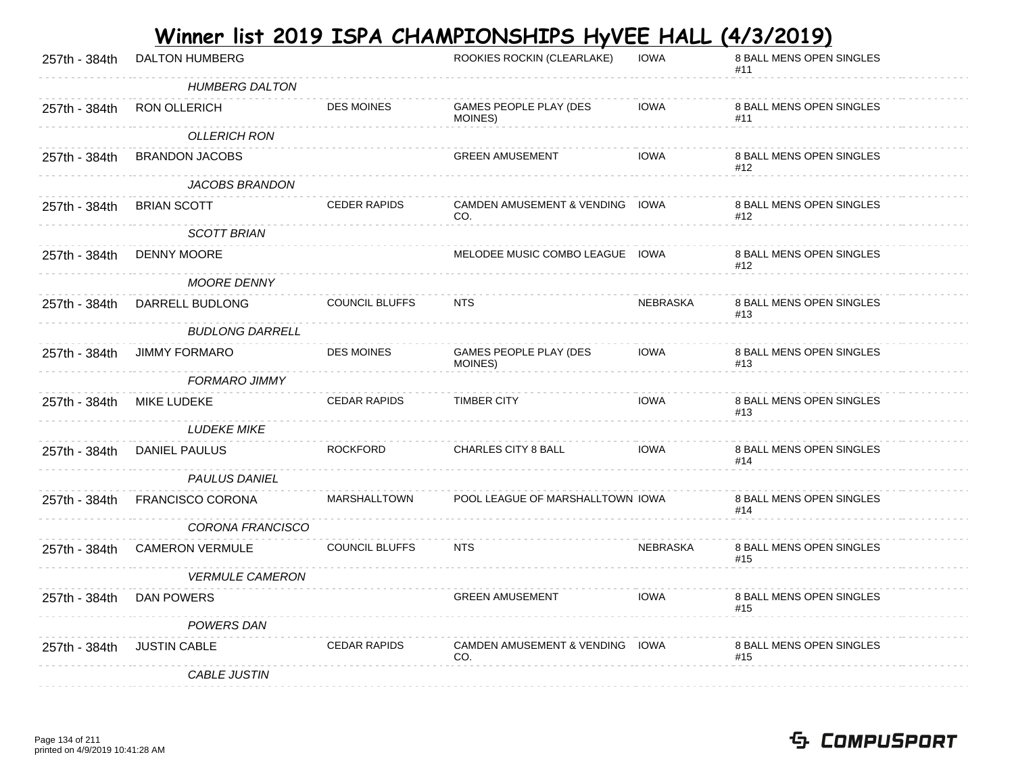| 257th - 384th | <b>DALTON HUMBERG</b>   |                       | ROOKIES ROCKIN (CLEARLAKE)             | <b>IOWA</b> | 8 BALL MENS OPEN SINGLES<br>#11 |
|---------------|-------------------------|-----------------------|----------------------------------------|-------------|---------------------------------|
|               | <b>HUMBERG DALTON</b>   |                       |                                        |             |                                 |
| 257th - 384th | RON OLLERICH            | <b>DES MOINES</b>     | GAMES PEOPLE PLAY (DES<br>MOINES)      | <b>IOWA</b> | 8 BALL MENS OPEN SINGLES<br>#11 |
|               | <b>OLLERICH RON</b>     |                       |                                        |             |                                 |
| 257th - 384th | <b>BRANDON JACOBS</b>   |                       | <b>GREEN AMUSEMENT</b>                 | <b>IOWA</b> | 8 BALL MENS OPEN SINGLES<br>#12 |
|               | <b>JACOBS BRANDON</b>   |                       |                                        |             |                                 |
| 257th - 384th | <b>BRIAN SCOTT</b>      | <b>CEDER RAPIDS</b>   | CAMDEN AMUSEMENT & VENDING IOWA<br>CO. |             | 8 BALL MENS OPEN SINGLES<br>#12 |
|               | <b>SCOTT BRIAN</b>      |                       |                                        |             |                                 |
| 257th - 384th | <b>DENNY MOORE</b>      |                       | MELODEE MUSIC COMBO LEAGUE IOWA        |             | 8 BALL MENS OPEN SINGLES<br>#12 |
|               | MOORE DENNY             |                       |                                        |             |                                 |
| 257th - 384th | DARRELL BUDLONG         | <b>COUNCIL BLUFFS</b> | <b>NTS</b>                             | NEBRASKA    | 8 BALL MENS OPEN SINGLES<br>#13 |
|               | <b>BUDLONG DARRELL</b>  |                       |                                        |             |                                 |
| 257th - 384th | <b>JIMMY FORMARO</b>    | <b>DES MOINES</b>     | GAMES PEOPLE PLAY (DES<br>MOINES)      | <b>IOWA</b> | 8 BALL MENS OPEN SINGLES<br>#13 |
|               | <b>FORMARO JIMMY</b>    |                       |                                        |             |                                 |
| 257th - 384th | MIKE LUDEKE             | <b>CEDAR RAPIDS</b>   | <b>TIMBER CITY</b>                     | <b>IOWA</b> | 8 BALL MENS OPEN SINGLES<br>#13 |
|               | <b>LUDEKE MIKE</b>      |                       |                                        |             |                                 |
| 257th - 384th | DANIEL PAULUS           | <b>ROCKFORD</b>       | CHARLES CITY 8 BALL                    | <b>IOWA</b> | 8 BALL MENS OPEN SINGLES<br>#14 |
|               | <b>PAULUS DANIEL</b>    |                       |                                        |             |                                 |
| 257th - 384th | <b>FRANCISCO CORONA</b> | MARSHALLTOWN          | POOL LEAGUE OF MARSHALLTOWN IOWA       |             | 8 BALL MENS OPEN SINGLES<br>#14 |
|               | CORONA FRANCISCO        |                       |                                        |             |                                 |
| 257th - 384th | <b>CAMERON VERMULE</b>  | COUNCIL BLUFFS        | <b>NTS</b>                             | NEBRASKA    | 8 BALL MENS OPEN SINGLES<br>#15 |
|               | <b>VERMULE CAMERON</b>  |                       |                                        |             |                                 |
| 257th - 384th | DAN POWERS              |                       | <b>GREEN AMUSEMENT</b>                 | IOWA        | 8 BALL MENS OPEN SINGLES<br>#15 |
|               | POWERS DAN              |                       |                                        |             |                                 |
| 257th - 384th | <b>JUSTIN CABLE</b>     | <b>CEDAR RAPIDS</b>   | CAMDEN AMUSEMENT & VENDING IOWA<br>CO. |             | 8 BALL MENS OPEN SINGLES<br>#15 |
|               | <b>CABLE JUSTIN</b>     |                       |                                        |             |                                 |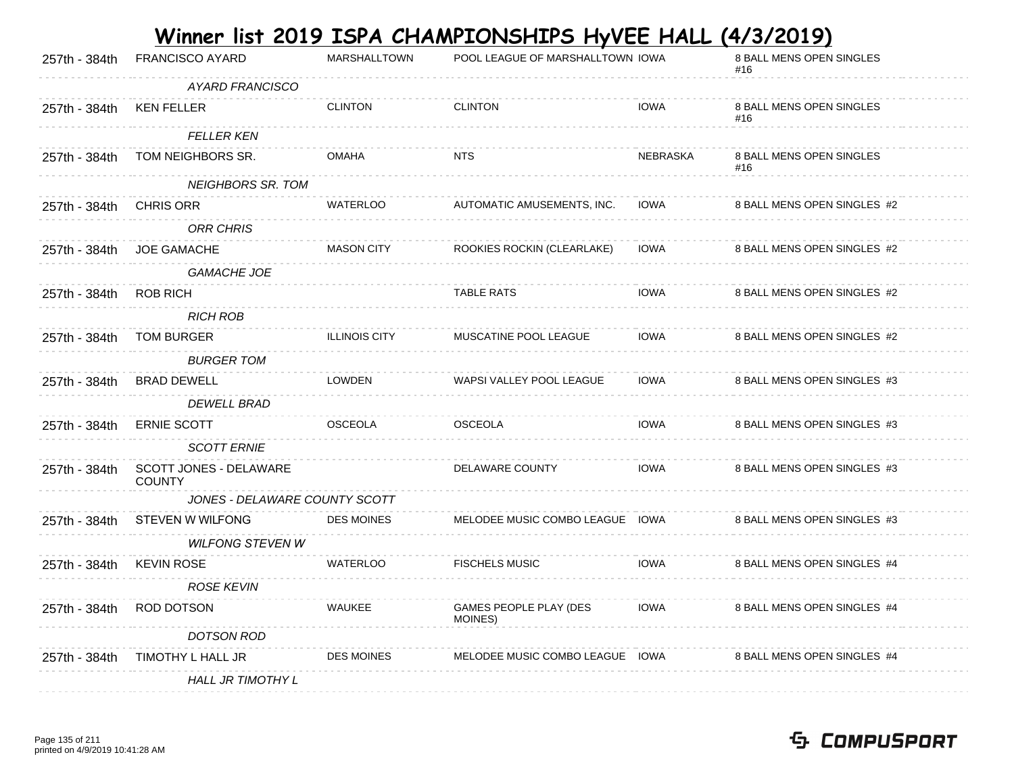|               |                                         |                      | <u>Winner list 2019 ISPA CHAMPIONSHIPS HyVEE HALL (4/3/2019)</u> |                 |                                        |
|---------------|-----------------------------------------|----------------------|------------------------------------------------------------------|-----------------|----------------------------------------|
| 257th - 384th | <b>FRANCISCO AYARD</b>                  | <b>MARSHALLTOWN</b>  | POOL LEAGUE OF MARSHALLTOWN IOWA                                 |                 | <b>8 BALL MENS OPEN SINGLES</b><br>#16 |
|               | AYARD FRANCISCO                         |                      |                                                                  |                 |                                        |
| 257th - 384th | <b>KEN FELLER</b>                       | <b>CLINTON</b>       | <b>CLINTON</b>                                                   | <b>IOWA</b>     | <b>8 BALL MENS OPEN SINGLES</b><br>#16 |
|               | <b>FELLER KEN</b>                       |                      |                                                                  |                 |                                        |
| 257th - 384th | TOM NEIGHBORS SR.                       | <b>OMAHA</b>         | <b>NTS</b>                                                       | <b>NEBRASKA</b> | 8 BALL MENS OPEN SINGLES<br>#16        |
|               | <b>NEIGHBORS SR. TOM</b>                |                      |                                                                  |                 |                                        |
| 257th - 384th | <b>CHRIS ORR</b>                        | <b>WATERLOO</b>      | AUTOMATIC AMUSEMENTS, INC.                                       | <b>IOWA</b>     | 8 BALL MENS OPEN SINGLES #2            |
|               | <b>ORR CHRIS</b>                        |                      |                                                                  |                 |                                        |
| 257th - 384th | <b>JOE GAMACHE</b>                      | <b>MASON CITY</b>    | ROOKIES ROCKIN (CLEARLAKE)                                       | <b>IOWA</b>     | 8 BALL MENS OPEN SINGLES #2            |
|               | <b>GAMACHE JOE</b>                      |                      |                                                                  |                 |                                        |
| 257th - 384th | <b>ROB RICH</b>                         |                      | <b>TABLE RATS</b>                                                | <b>IOWA</b>     | 8 BALL MENS OPEN SINGLES #2            |
|               | <b>RICH ROB</b>                         |                      |                                                                  |                 |                                        |
| 257th - 384th | <b>TOM BURGER</b>                       | <b>ILLINOIS CITY</b> | MUSCATINE POOL LEAGUE                                            | <b>IOWA</b>     | 8 BALL MENS OPEN SINGLES #2            |
|               | <b>BURGER TOM</b>                       |                      |                                                                  |                 |                                        |
| 257th - 384th | <b>BRAD DEWELL</b>                      | <b>LOWDEN</b>        | WAPSI VALLEY POOL LEAGUE                                         | <b>IOWA</b>     | 8 BALL MENS OPEN SINGLES #3            |
|               | <b>DEWELL BRAD</b>                      |                      |                                                                  |                 |                                        |
| 257th - 384th | <b>ERNIE SCOTT</b>                      | <b>OSCEOLA</b>       | <b>OSCEOLA</b>                                                   | <b>IOWA</b>     | 8 BALL MENS OPEN SINGLES #3            |
|               | <b>SCOTT ERNIE</b>                      |                      |                                                                  |                 |                                        |
| 257th - 384th | SCOTT JONES - DELAWARE<br><b>COUNTY</b> |                      | DELAWARE COUNTY                                                  | <b>IOWA</b>     | 8 BALL MENS OPEN SINGLES #3            |
|               | JONES - DELAWARE COUNTY SCOTT           |                      |                                                                  |                 |                                        |
| 257th - 384th | STEVEN W WILFONG                        | <b>DES MOINES</b>    | MELODEE MUSIC COMBO LEAGUE IOWA                                  |                 | 8 BALL MENS OPEN SINGLES #3            |
|               | <b>WILFONG STEVEN W</b>                 |                      |                                                                  |                 |                                        |
| 257th - 384th | <b>KEVIN ROSE</b>                       | <b>WATERLOO</b>      | <b>FISCHELS MUSIC</b>                                            | <b>IOWA</b>     | 8 BALL MENS OPEN SINGLES #4            |
|               | <b>ROSE KEVIN</b>                       |                      |                                                                  |                 |                                        |
| 257th - 384th | ROD DOTSON                              | <b>WAUKEE</b>        | GAMES PEOPLE PLAY (DES<br>MOINES)                                | <b>IOWA</b>     | 8 BALL MENS OPEN SINGLES #4            |
|               | <b>DOTSON ROD</b>                       |                      |                                                                  |                 |                                        |
| 257th - 384th | TIMOTHY L HALL JR                       | <b>DES MOINES</b>    | MELODEE MUSIC COMBO LEAGUE IOWA                                  |                 | 8 BALL MENS OPEN SINGLES #4            |
|               | <b>HALL JR TIMOTHY L</b>                |                      |                                                                  |                 |                                        |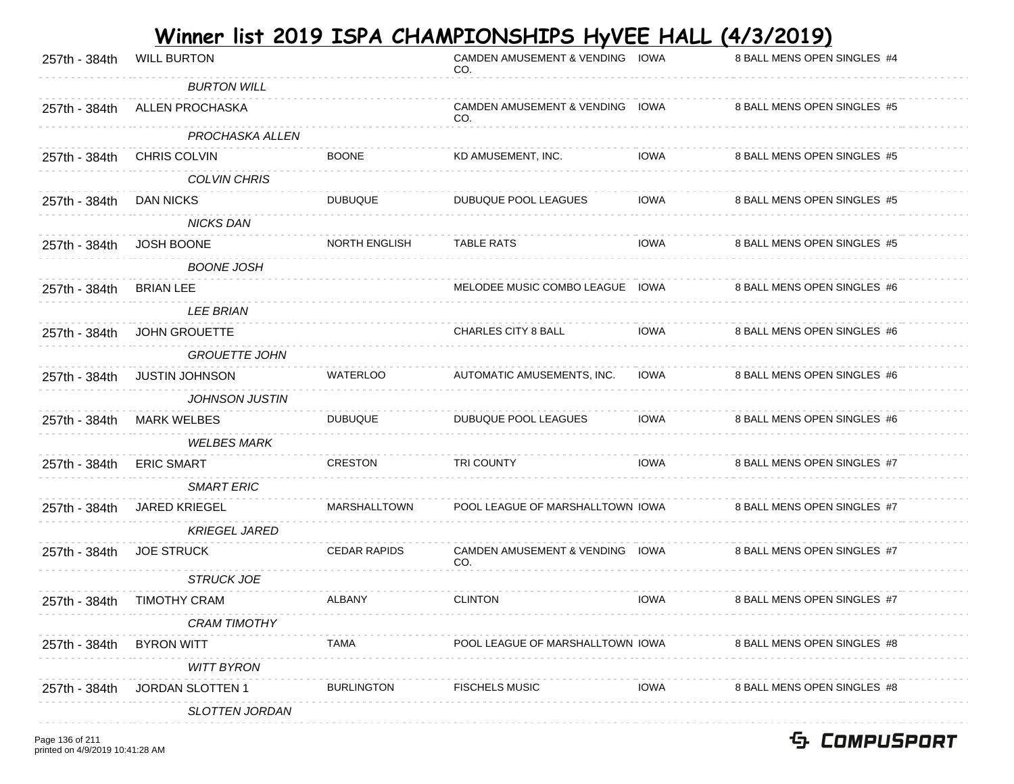| 257th - 384th | <b>WILL BURTON</b>     |                      | <b>CAMDEN AMUSEMENT &amp; VENDING</b><br>CO. | IOWA        | <u>.</u><br>8 BALL MENS OPEN SINGLES #4 |
|---------------|------------------------|----------------------|----------------------------------------------|-------------|-----------------------------------------|
|               | <b>BURTON WILL</b>     |                      |                                              |             |                                         |
| 257th - 384th | <b>ALLEN PROCHASKA</b> |                      | CAMDEN AMUSEMENT & VENDING IOWA<br>CO.       |             | 8 BALL MENS OPEN SINGLES #5             |
|               | PROCHASKA ALLEN        |                      |                                              |             |                                         |
| 257th - 384th | <b>CHRIS COLVIN</b>    | <b>BOONE</b>         | KD AMUSEMENT, INC.                           | <b>IOWA</b> | 8 BALL MENS OPEN SINGLES #5             |
|               | <b>COLVIN CHRIS</b>    |                      |                                              |             |                                         |
| 257th - 384th | <b>DAN NICKS</b>       | <b>DUBUQUE</b>       | <b>DUBUQUE POOL LEAGUES</b>                  | <b>IOWA</b> | 8 BALL MENS OPEN SINGLES #5             |
|               | <b>NICKS DAN</b>       |                      |                                              |             |                                         |
| 257th - 384th | <b>JOSH BOONE</b>      | <b>NORTH ENGLISH</b> | <b>TABLE RATS</b>                            | <b>IOWA</b> | 8 BALL MENS OPEN SINGLES #5             |
|               | <b>BOONE JOSH</b>      |                      |                                              |             |                                         |
| 257th - 384th | <b>BRIAN LEE</b>       |                      | MELODEE MUSIC COMBO LEAGUE IOWA              |             | 8 BALL MENS OPEN SINGLES #6             |
|               | <b>LEE BRIAN</b>       |                      |                                              |             |                                         |
| 257th - 384th | <b>JOHN GROUETTE</b>   |                      | CHARLES CITY 8 BALL                          | <b>IOWA</b> | 8 BALL MENS OPEN SINGLES #6             |
|               | <b>GROUETTE JOHN</b>   |                      |                                              |             |                                         |
| 257th - 384th | <b>JUSTIN JOHNSON</b>  | <b>WATERLOO</b>      | AUTOMATIC AMUSEMENTS, INC.                   | <b>IOWA</b> | 8 BALL MENS OPEN SINGLES #6             |
|               | <b>JOHNSON JUSTIN</b>  |                      |                                              |             |                                         |
| 257th - 384th | <b>MARK WELBES</b>     | <b>DUBUQUE</b>       | DUBUQUE POOL LEAGUES                         | <b>IOWA</b> | 8 BALL MENS OPEN SINGLES #6             |
|               | <b>WELBES MARK</b>     |                      |                                              |             |                                         |
| 257th - 384th | <b>ERIC SMART</b>      | <b>CRESTON</b>       | <b>TRI COUNTY</b>                            | <b>IOWA</b> | 8 BALL MENS OPEN SINGLES #7             |
|               | <b>SMART ERIC</b>      |                      |                                              |             |                                         |
| 257th - 384th | <b>JARED KRIEGEL</b>   | <b>MARSHALLTOWN</b>  | POOL LEAGUE OF MARSHALLTOWN IOWA             |             | 8 BALL MENS OPEN SINGLES #7             |
|               | <b>KRIEGEL JARED</b>   |                      |                                              |             |                                         |
| 257th - 384th | <b>JOE STRUCK</b>      | <b>CEDAR RAPIDS</b>  | <b>CAMDEN AMUSEMENT &amp; VENDING</b><br>CO. | IOWA        | 8 BALL MENS OPEN SINGLES #7             |
|               | <b>STRUCK JOE</b>      |                      |                                              |             |                                         |
| 257th - 384th | <b>TIMOTHY CRAM</b>    | <b>ALBANY</b>        | <b>CLINTON</b>                               | <b>IOWA</b> | 8 BALL MENS OPEN SINGLES #7             |
|               | <b>CRAM TIMOTHY</b>    |                      |                                              |             |                                         |
| 257th - 384th | <b>BYRON WITT</b>      | TAMA                 | POOL LEAGUE OF MARSHALLTOWN IOWA             |             | 8 BALL MENS OPEN SINGLES #8             |
|               | <b>WITT BYRON</b>      |                      |                                              |             |                                         |
| 257th - 384th | JORDAN SLOTTEN 1       | <b>BURLINGTON</b>    | <b>FISCHELS MUSIC</b>                        | IOWA        | 8 BALL MENS OPEN SINGLES #8             |
|               | <b>SLOTTEN JORDAN</b>  |                      |                                              |             |                                         |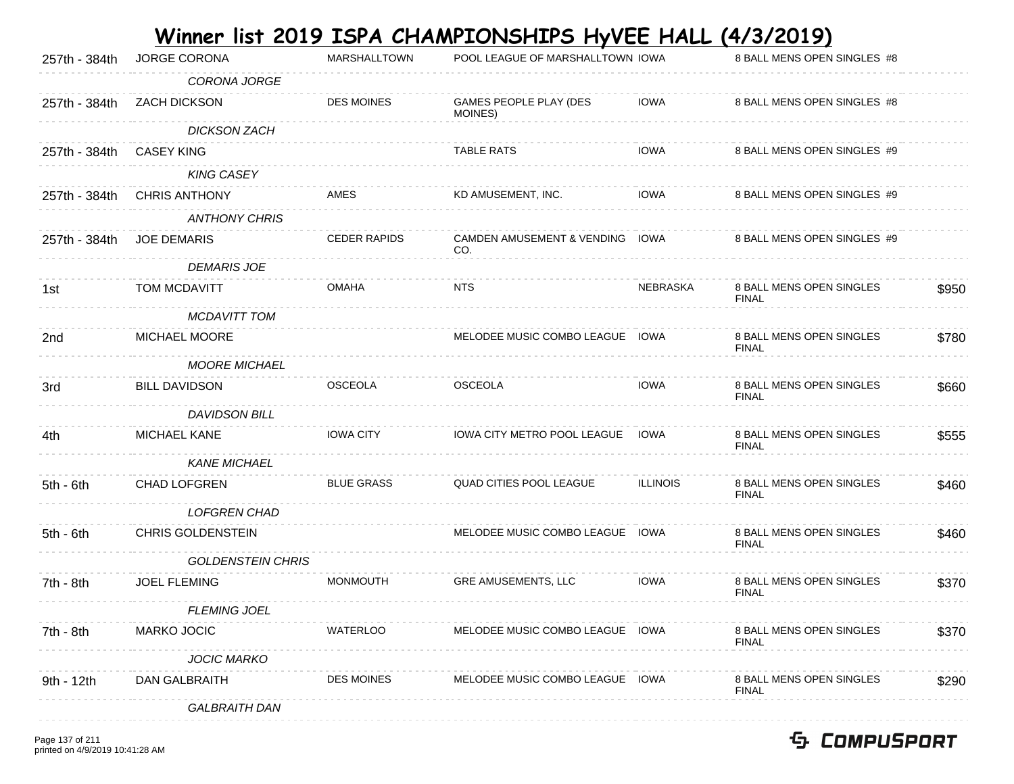| 257th - 384th | JORGE CORONA             | <b>MARSHALLTOWN</b> | POOL LEAGUE OF MARSHALLTOWN IOWA       |                 | 8 BALL MENS OPEN SINGLES #8                     |       |
|---------------|--------------------------|---------------------|----------------------------------------|-----------------|-------------------------------------------------|-------|
|               | <b>CORONA JORGE</b>      |                     |                                        |                 |                                                 |       |
| 257th - 384th | <b>ZACH DICKSON</b>      | <b>DES MOINES</b>   | GAMES PEOPLE PLAY (DES<br>MOINES)      | <b>IOWA</b>     | 8 BALL MENS OPEN SINGLES #8                     |       |
|               | <b>DICKSON ZACH</b>      |                     |                                        |                 |                                                 |       |
| 257th - 384th | <b>CASEY KING</b>        |                     | <b>TABLE RATS</b>                      | <b>IOWA</b>     | 8 BALL MENS OPEN SINGLES #9                     |       |
|               | <b>KING CASEY</b>        |                     |                                        |                 |                                                 |       |
| 257th - 384th | <b>CHRIS ANTHONY</b>     | AMES                | KD AMUSEMENT, INC.                     | <b>IOWA</b>     | 8 BALL MENS OPEN SINGLES #9                     |       |
|               | <b>ANTHONY CHRIS</b>     |                     |                                        |                 |                                                 |       |
| 257th - 384th | <b>JOE DEMARIS</b>       | <b>CEDER RAPIDS</b> | CAMDEN AMUSEMENT & VENDING IOWA<br>CO. |                 | 8 BALL MENS OPEN SINGLES #9                     |       |
|               | <b>DEMARIS JOE</b>       |                     |                                        |                 |                                                 |       |
| 1st           | TOM MCDAVITT             | <b>OMAHA</b>        | <b>NTS</b>                             | <b>NEBRASKA</b> | 8 BALL MENS OPEN SINGLES<br><b>FINAL</b>        | \$950 |
|               | <b>MCDAVITT TOM</b>      |                     |                                        |                 |                                                 |       |
| 2nd           | MICHAEL MOORE            |                     | MELODEE MUSIC COMBO LEAGUE IOWA        |                 | 8 BALL MENS OPEN SINGLES<br><b>FINAL</b>        | \$780 |
|               | <b>MOORE MICHAEL</b>     |                     |                                        |                 |                                                 |       |
| 3rd           | <b>BILL DAVIDSON</b>     | OSCEOLA             | <b>OSCEOLA</b>                         | <b>IOWA</b>     | 8 BALL MENS OPEN SINGLES<br><b>FINAL</b>        | \$660 |
|               | <b>DAVIDSON BILL</b>     |                     |                                        |                 |                                                 |       |
| 4th           | MICHAEL KANE             | <b>IOWA CITY</b>    | IOWA CITY METRO POOL LEAGUE IOWA       |                 | 8 BALL MENS OPEN SINGLES<br><b>FINAL</b>        | \$555 |
|               | <b>KANE MICHAEL</b>      |                     |                                        |                 |                                                 |       |
| $5th - 6th$   | <b>CHAD LOFGREN</b>      | <b>BLUE GRASS</b>   | QUAD CITIES POOL LEAGUE                | <b>ILLINOIS</b> | 8 BALL MENS OPEN SINGLES<br><b>FINAL</b>        | \$460 |
|               | <b>LOFGREN CHAD</b>      |                     |                                        |                 |                                                 |       |
| $5th - 6th$   | <b>CHRIS GOLDENSTEIN</b> |                     | MELODEE MUSIC COMBO LEAGUE IOWA        |                 | 8 BALL MENS OPEN SINGLES<br><b>FINAL</b>        | \$460 |
|               | <b>GOLDENSTEIN CHRIS</b> |                     |                                        |                 |                                                 |       |
| 7th - 8th     | <b>JOEL FLEMING</b>      | <b>MONMOUTH</b>     | <b>GRE AMUSEMENTS, LLC</b>             | <b>IOWA</b>     | <b>8 BALL MENS OPEN SINGLES</b><br><b>FINAL</b> | \$370 |
|               | <b>FLEMING JOEL</b>      |                     |                                        |                 |                                                 |       |
| 7th - 8th     | MARKO JOCIC              | WATERLOO            | MELODEE MUSIC COMBO LEAGUE IOWA        |                 | 8 BALL MENS OPEN SINGLES<br><b>FINAL</b>        | \$370 |
|               | <b>JOCIC MARKO</b>       |                     |                                        |                 |                                                 |       |
| 9th - 12th    | DAN GALBRAITH            | <b>DES MOINES</b>   | MELODEE MUSIC COMBO LEAGUE IOWA        |                 | 8 BALL MENS OPEN SINGLES<br><b>FINAL</b>        | \$290 |
|               | <b>GALBRAITH DAN</b>     |                     |                                        |                 |                                                 |       |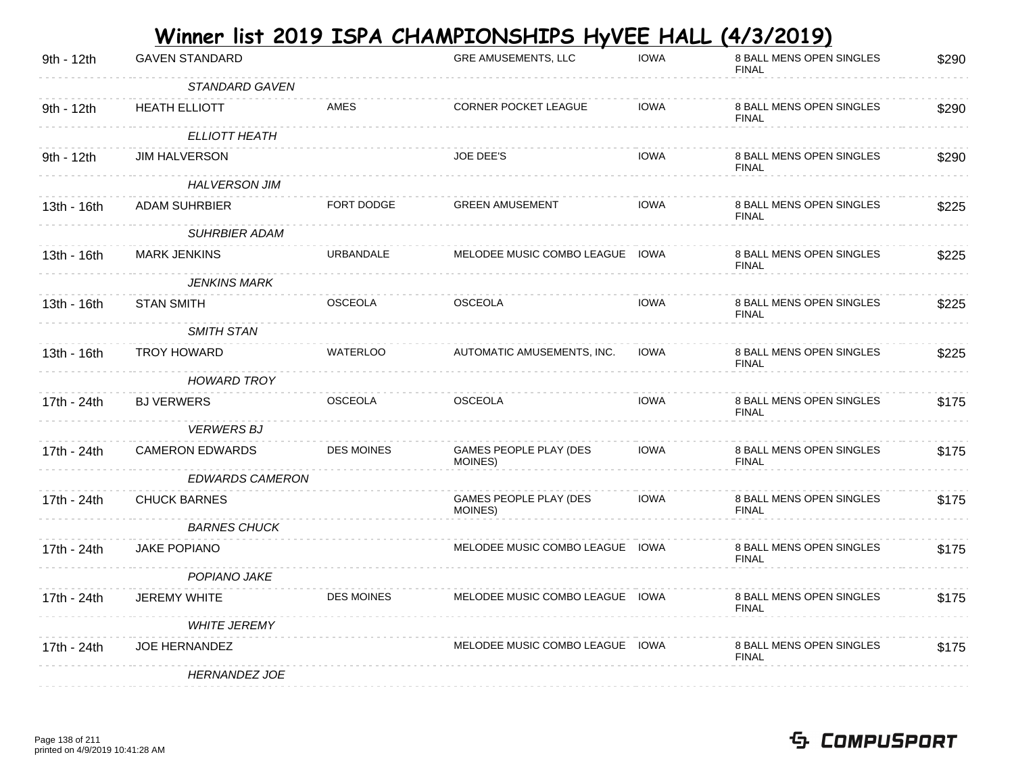| 9th - 12th  | <b>GAVEN STANDARD</b>  |                   | <b>GRE AMUSEMENTS, LLC</b>               | <b>IOWA</b> | 8 BALL MENS OPEN SINGLES<br><b>FINAL</b> | \$290 |
|-------------|------------------------|-------------------|------------------------------------------|-------------|------------------------------------------|-------|
|             | STANDARD GAVEN         |                   |                                          |             |                                          |       |
| 9th - 12th  | <b>HEATH ELLIOTT</b>   | AMES              | <b>CORNER POCKET LEAGUE</b>              | <b>IOWA</b> | 8 BALL MENS OPEN SINGLES<br><b>FINAL</b> | \$290 |
|             | <b>ELLIOTT HEATH</b>   |                   |                                          |             |                                          |       |
| 9th - 12th  | <b>JIM HALVERSON</b>   |                   | <b>JOE DEE'S</b>                         | <b>IOWA</b> | 8 BALL MENS OPEN SINGLES<br><b>FINAL</b> | \$290 |
|             | <b>HALVERSON JIM</b>   |                   |                                          |             |                                          |       |
| 13th - 16th | <b>ADAM SUHRBIER</b>   | FORT DODGE        | <b>GREEN AMUSEMENT</b>                   | <b>IOWA</b> | 8 BALL MENS OPEN SINGLES<br><b>FINAL</b> | \$225 |
|             | <b>SUHRBIER ADAM</b>   |                   |                                          |             |                                          |       |
| 13th - 16th | <b>MARK JENKINS</b>    | URBANDALE         | MELODEE MUSIC COMBO LEAGUE IOWA          |             | 8 BALL MENS OPEN SINGLES<br><b>FINAL</b> | \$225 |
|             | <b>JENKINS MARK</b>    |                   |                                          |             |                                          |       |
| 13th - 16th | <b>STAN SMITH</b>      | <b>OSCEOLA</b>    | <b>OSCEOLA</b>                           | <b>IOWA</b> | 8 BALL MENS OPEN SINGLES<br><b>FINAL</b> | \$225 |
|             | <b>SMITH STAN</b>      |                   |                                          |             |                                          |       |
| 13th - 16th | <b>TROY HOWARD</b>     | <b>WATERLOO</b>   | AUTOMATIC AMUSEMENTS, INC.               | <b>IOWA</b> | 8 BALL MENS OPEN SINGLES<br><b>FINAL</b> | \$225 |
|             | <b>HOWARD TROY</b>     |                   |                                          |             |                                          |       |
| 17th - 24th | <b>BJ VERWERS</b>      | <b>OSCEOLA</b>    | <b>OSCEOLA</b>                           | <b>IOWA</b> | 8 BALL MENS OPEN SINGLES<br><b>FINAL</b> | \$175 |
|             | <b>VERWERS BJ</b>      |                   |                                          |             |                                          |       |
| 17th - 24th | <b>CAMERON EDWARDS</b> | <b>DES MOINES</b> | <b>GAMES PEOPLE PLAY (DES</b><br>MOINES) | <b>IOWA</b> | 8 BALL MENS OPEN SINGLES<br><b>FINAL</b> | \$175 |
|             | <b>EDWARDS CAMERON</b> |                   |                                          |             |                                          |       |
| 17th - 24th | <b>CHUCK BARNES</b>    |                   | <b>GAMES PEOPLE PLAY (DES</b><br>MOINES) | <b>IOWA</b> | 8 BALL MENS OPEN SINGLES<br><b>FINAL</b> | \$175 |
|             | <b>BARNES CHUCK</b>    |                   |                                          |             |                                          |       |
| 17th - 24th | <b>JAKE POPIANO</b>    |                   | MELODEE MUSIC COMBO LEAGUE IOWA          |             | 8 BALL MENS OPEN SINGLES<br><b>FINAL</b> | \$175 |
|             | <b>POPIANO JAKE</b>    |                   |                                          |             |                                          |       |
| 17th - 24th | <b>JEREMY WHITE</b>    | <b>DES MOINES</b> | MELODEE MUSIC COMBO LEAGUE IOWA          |             | 8 BALL MENS OPEN SINGLES<br><b>FINAL</b> | \$175 |
|             | <b>WHITE JEREMY</b>    |                   |                                          |             |                                          |       |
| 17th - 24th | <b>JOE HERNANDEZ</b>   |                   | MELODEE MUSIC COMBO LEAGUE IOWA          |             | 8 BALL MENS OPEN SINGLES<br><b>FINAL</b> | \$175 |
|             | <b>HERNANDEZ JOE</b>   |                   |                                          |             |                                          |       |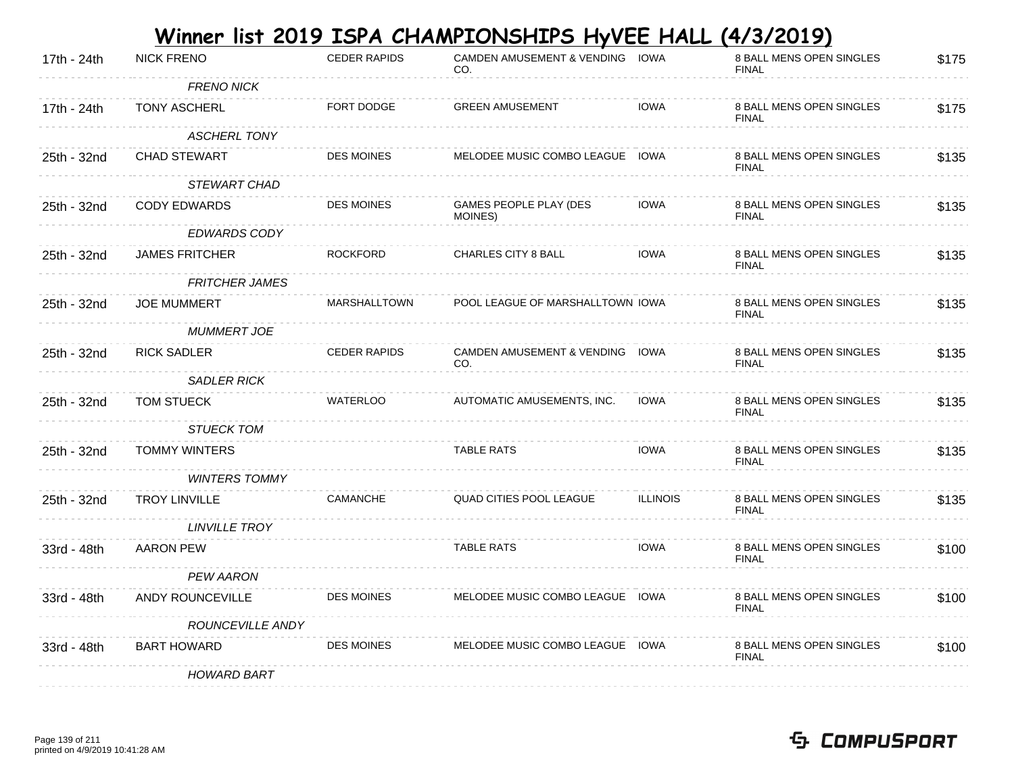|             |                       |                     | <u>Winner list 2019 ISPA CHAMPIONSHIPS HyVEE HALL</u> |                 | <u>(4/3/2019)</u>                        |       |
|-------------|-----------------------|---------------------|-------------------------------------------------------|-----------------|------------------------------------------|-------|
| 17th - 24th | <b>NICK FRENO</b>     | <b>CEDER RAPIDS</b> | CAMDEN AMUSEMENT & VENDING IOWA<br>CO.                |                 | 8 BALL MENS OPEN SINGLES<br><b>FINAL</b> | \$175 |
|             | <b>FRENO NICK</b>     |                     |                                                       |                 |                                          |       |
| 17th - 24th | <b>TONY ASCHERL</b>   | FORT DODGE          | <b>GREEN AMUSEMENT</b>                                | <b>IOWA</b>     | 8 BALL MENS OPEN SINGLES<br><b>FINAL</b> | \$175 |
|             | <b>ASCHERL TONY</b>   |                     |                                                       |                 |                                          |       |
| 25th - 32nd | <b>CHAD STEWART</b>   | <b>DES MOINES</b>   | MELODEE MUSIC COMBO LEAGUE IOWA                       |                 | 8 BALL MENS OPEN SINGLES<br><b>FINAL</b> | \$135 |
|             | <b>STEWART CHAD</b>   |                     |                                                       |                 |                                          |       |
| 25th - 32nd | <b>CODY EDWARDS</b>   | <b>DES MOINES</b>   | GAMES PEOPLE PLAY (DES<br>MOINES)                     | <b>IOWA</b>     | 8 BALL MENS OPEN SINGLES<br><b>FINAL</b> | \$135 |
|             | <b>EDWARDS CODY</b>   |                     |                                                       |                 |                                          |       |
| 25th - 32nd | <b>JAMES FRITCHER</b> | <b>ROCKFORD</b>     | CHARLES CITY 8 BALL                                   | <b>IOWA</b>     | 8 BALL MENS OPEN SINGLES<br><b>FINAL</b> | \$135 |
|             | <b>FRITCHER JAMES</b> |                     |                                                       |                 |                                          |       |
| 25th - 32nd | <b>JOE MUMMERT</b>    | MARSHALLTOWN        | POOL LEAGUE OF MARSHALLTOWN IOWA                      |                 | 8 BALL MENS OPEN SINGLES<br><b>FINAL</b> | \$135 |
|             | <b>MUMMERT JOE</b>    |                     |                                                       |                 |                                          |       |
| 25th - 32nd | <b>RICK SADLER</b>    | <b>CEDER RAPIDS</b> | CAMDEN AMUSEMENT & VENDING IOWA<br>CO.                |                 | 8 BALL MENS OPEN SINGLES<br><b>FINAL</b> | \$135 |
|             | <b>SADLER RICK</b>    |                     |                                                       |                 |                                          |       |
| 25th - 32nd | TOM STUECK            | <b>WATERLOO</b>     | AUTOMATIC AMUSEMENTS, INC.                            | <b>IOWA</b>     | 8 BALL MENS OPEN SINGLES<br><b>FINAL</b> | \$135 |
|             | <b>STUECK TOM</b>     |                     |                                                       |                 |                                          |       |
| 25th - 32nd | <b>TOMMY WINTERS</b>  |                     | <b>TABLE RATS</b>                                     | <b>IOWA</b>     | 8 BALL MENS OPEN SINGLES<br><b>FINAL</b> | \$135 |
|             | <b>WINTERS TOMMY</b>  |                     |                                                       |                 |                                          |       |
| 25th - 32nd | <b>TROY LINVILLE</b>  | <b>CAMANCHE</b>     | <b>QUAD CITIES POOL LEAGUE</b>                        | <b>ILLINOIS</b> | 8 BALL MENS OPEN SINGLES<br><b>FINAL</b> | \$135 |
|             | <b>LINVILLE TROY</b>  |                     |                                                       |                 |                                          |       |
| 33rd - 48th | <b>AARON PEW</b>      |                     | <b>TABLE RATS</b>                                     | <b>IOWA</b>     | 8 BALL MENS OPEN SINGLES<br><b>FINAL</b> | \$100 |
|             | <b>PEW AARON</b>      |                     |                                                       |                 |                                          |       |
| 33rd - 48th | ANDY ROUNCEVILLE      | <b>DES MOINES</b>   | MELODEE MUSIC COMBO LEAGUE IOWA                       |                 | 8 BALL MENS OPEN SINGLES<br><b>FINAL</b> | \$100 |
|             | ROUNCEVILLE ANDY      |                     |                                                       |                 |                                          |       |
| 33rd - 48th | <b>BART HOWARD</b>    | <b>DES MOINES</b>   | MELODEE MUSIC COMBO LEAGUE IOWA                       |                 | 8 BALL MENS OPEN SINGLES<br><b>FINAL</b> | \$100 |
|             | <b>HOWARD BART</b>    |                     |                                                       |                 |                                          |       |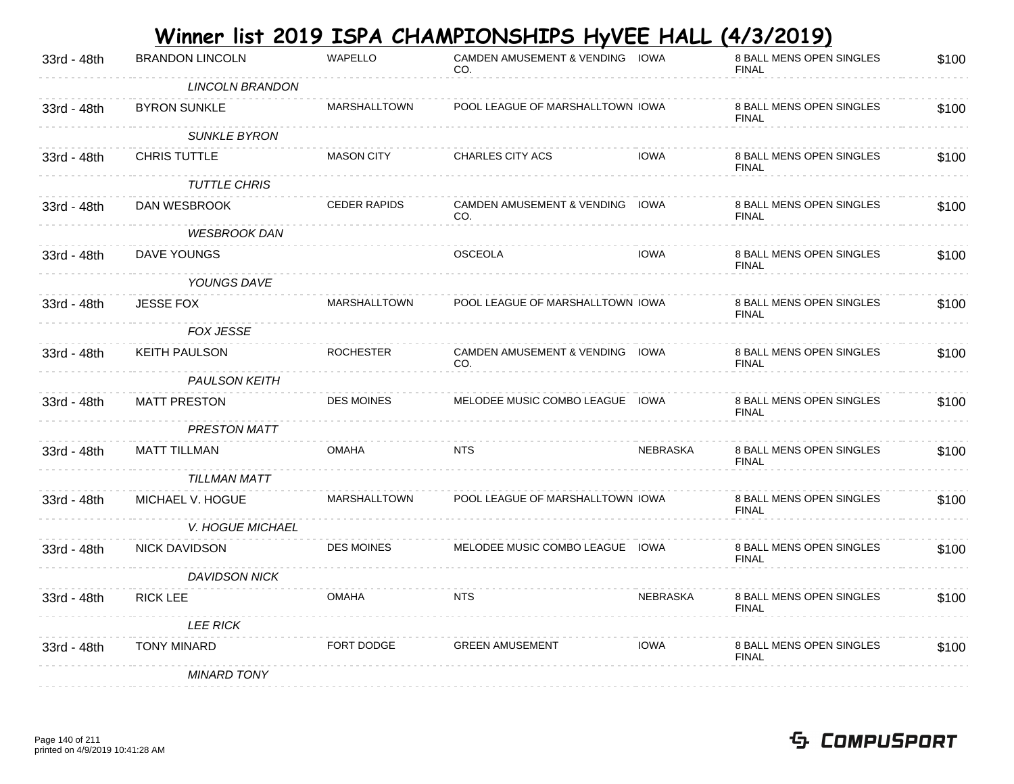| 33rd - 48th | <b>BRANDON LINCOLN</b>  | WAPELLO             | CO.                     |                 | 8 BALL MENS OPEN SINGLES<br><b>FINAL</b>                                                                                                                                                                                                                                                | \$100 |
|-------------|-------------------------|---------------------|-------------------------|-----------------|-----------------------------------------------------------------------------------------------------------------------------------------------------------------------------------------------------------------------------------------------------------------------------------------|-------|
|             | <b>LINCOLN BRANDON</b>  |                     |                         |                 |                                                                                                                                                                                                                                                                                         |       |
| 33rd - 48th | <b>BYRON SUNKLE</b>     | <b>MARSHALLTOWN</b> |                         |                 | 8 BALL MENS OPEN SINGLES<br><b>FINAL</b>                                                                                                                                                                                                                                                | \$100 |
|             | <b>SUNKLE BYRON</b>     |                     |                         |                 |                                                                                                                                                                                                                                                                                         |       |
| 33rd - 48th | <b>CHRIS TUTTLE</b>     | <b>MASON CITY</b>   | <b>CHARLES CITY ACS</b> | <b>IOWA</b>     | 8 BALL MENS OPEN SINGLES<br><b>FINAL</b>                                                                                                                                                                                                                                                | \$100 |
|             | <b>TUTTLE CHRIS</b>     |                     |                         |                 |                                                                                                                                                                                                                                                                                         |       |
| 33rd - 48th | DAN WESBROOK            | <b>CEDER RAPIDS</b> | CO.                     |                 | 8 BALL MENS OPEN SINGLES<br><b>FINAL</b>                                                                                                                                                                                                                                                | \$100 |
|             | <b>WESBROOK DAN</b>     |                     |                         |                 |                                                                                                                                                                                                                                                                                         |       |
| 33rd - 48th | DAVE YOUNGS             |                     | <b>OSCEOLA</b>          | <b>IOWA</b>     | 8 BALL MENS OPEN SINGLES<br><b>FINAL</b>                                                                                                                                                                                                                                                | \$100 |
|             | YOUNGS DAVE             |                     |                         |                 |                                                                                                                                                                                                                                                                                         |       |
| 33rd - 48th | <b>JESSE FOX</b>        | MARSHALLTOWN        |                         |                 | 8 BALL MENS OPEN SINGLES<br><b>FINAL</b>                                                                                                                                                                                                                                                | \$100 |
|             | FOX JESSE               |                     |                         |                 |                                                                                                                                                                                                                                                                                         |       |
| 33rd - 48th | <b>KEITH PAULSON</b>    | <b>ROCHESTER</b>    | CO.                     |                 | 8 BALL MENS OPEN SINGLES<br><b>FINAL</b>                                                                                                                                                                                                                                                | \$100 |
|             | <b>PAULSON KEITH</b>    |                     |                         |                 |                                                                                                                                                                                                                                                                                         |       |
| 33rd - 48th | <b>MATT PRESTON</b>     | <b>DES MOINES</b>   |                         |                 | 8 BALL MENS OPEN SINGLES<br><b>FINAL</b>                                                                                                                                                                                                                                                | \$100 |
|             | <b>PRESTON MATT</b>     |                     |                         |                 |                                                                                                                                                                                                                                                                                         |       |
| 33rd - 48th | <b>MATT TILLMAN</b>     | <b>OMAHA</b>        | NTS                     | <b>NEBRASKA</b> | 8 BALL MENS OPEN SINGLES<br><b>FINAL</b>                                                                                                                                                                                                                                                | \$100 |
|             |                         |                     |                         |                 |                                                                                                                                                                                                                                                                                         |       |
| 33rd - 48th | MICHAEL V. HOGUE        | <b>MARSHALLTOWN</b> |                         |                 | 8 BALL MENS OPEN SINGLES<br><b>FINAL</b>                                                                                                                                                                                                                                                | \$100 |
|             | <b>V. HOGUE MICHAEL</b> |                     |                         |                 |                                                                                                                                                                                                                                                                                         |       |
| 33rd - 48th | <b>NICK DAVIDSON</b>    | <b>DES MOINES</b>   |                         |                 | 8 BALL MENS OPEN SINGLES<br><b>FINAL</b>                                                                                                                                                                                                                                                | \$100 |
|             | <b>DAVIDSON NICK</b>    |                     |                         |                 |                                                                                                                                                                                                                                                                                         |       |
| 33rd - 48th | <b>RICK LEE</b>         | <b>OMAHA</b>        | <b>NTS</b>              | NEBRASKA        | 8 BALL MENS OPEN SINGLES<br><b>FINAL</b>                                                                                                                                                                                                                                                | \$100 |
|             | <b>LEE RICK</b>         |                     |                         |                 |                                                                                                                                                                                                                                                                                         |       |
| 33rd - 48th | TONY MINARD             | FORT DODGE          | <b>GREEN AMUSEMENT</b>  | IOWA            | 8 BALL MENS OPEN SINGLES<br><b>FINAL</b>                                                                                                                                                                                                                                                | \$100 |
|             | <b>MINARD TONY</b>      |                     |                         |                 |                                                                                                                                                                                                                                                                                         |       |
|             |                         | TILLMAN MATT        |                         |                 | CAMDEN AMUSEMENT & VENDING IOWA<br>POOL LEAGUE OF MARSHALLTOWN IOWA<br>CAMDEN AMUSEMENT & VENDING IOWA<br>POOL LEAGUE OF MARSHALLTOWN IOWA<br>CAMDEN AMUSEMENT & VENDING IOWA<br>MELODEE MUSIC COMBO LEAGUE IOWA<br>POOL LEAGUE OF MARSHALLTOWN IOWA<br>MELODEE MUSIC COMBO LEAGUE IOWA |       |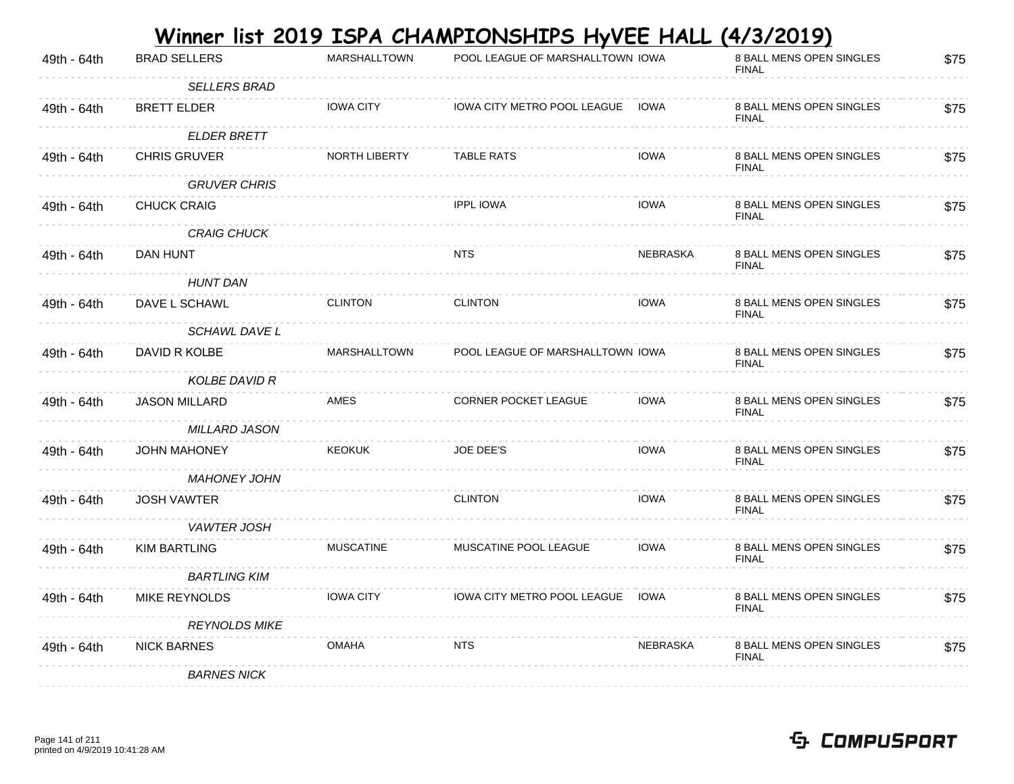|             |                      |                     | Winner list 2019 ISPA CHAMPIONSHIPS HyVEE HALL |                 | (4/3/2019)                               |      |
|-------------|----------------------|---------------------|------------------------------------------------|-----------------|------------------------------------------|------|
| 49th - 64th | <b>BRAD SELLERS</b>  | <b>MARSHALLTOWN</b> | POOL LEAGUE OF MARSHALLTOWN IOWA               |                 | 8 BALL MENS OPEN SINGLES<br><b>FINAL</b> | \$75 |
|             | <b>SELLERS BRAD</b>  |                     |                                                |                 |                                          |      |
| 49th - 64th | <b>BRETT ELDER</b>   | <b>IOWA CITY</b>    | IOWA CITY METRO POOL LEAGUE                    | IOWA            | 8 BALL MENS OPEN SINGLES<br><b>FINAL</b> | \$75 |
|             | <b>ELDER BRETT</b>   |                     |                                                |                 |                                          |      |
| 49th - 64th | <b>CHRIS GRUVER</b>  | NORTH LIBERTY       | <b>TABLE RATS</b>                              | <b>IOWA</b>     | 8 BALL MENS OPEN SINGLES<br><b>FINAL</b> | \$75 |
|             | <b>GRUVER CHRIS</b>  |                     |                                                |                 |                                          |      |
| 49th - 64th | <b>CHUCK CRAIG</b>   |                     | <b>IPPL IOWA</b>                               | <b>IOWA</b>     | 8 BALL MENS OPEN SINGLES<br><b>FINAL</b> | \$75 |
|             | <b>CRAIG CHUCK</b>   |                     |                                                |                 |                                          |      |
| 49th - 64th | DAN HUNT             |                     | NTS.                                           | <b>NEBRASKA</b> | 8 BALL MENS OPEN SINGLES<br><b>FINAL</b> | \$75 |
|             | <b>HUNT DAN</b>      |                     |                                                |                 |                                          |      |
| 49th - 64th | DAVE L SCHAWL        | <b>CLINTON</b>      | <b>CLINTON</b>                                 | <b>IOWA</b>     | 8 BALL MENS OPEN SINGLES<br><b>FINAL</b> | \$75 |
|             | <b>SCHAWL DAVE L</b> |                     |                                                |                 |                                          |      |
| 49th - 64th | DAVID R KOLBE        | <b>MARSHALLTOWN</b> | POOL LEAGUE OF MARSHALLTOWN IOWA               |                 | 8 BALL MENS OPEN SINGLES<br><b>FINAL</b> | \$75 |
|             | <b>KOLBE DAVID R</b> |                     |                                                |                 |                                          |      |
| 49th - 64th | <b>JASON MILLARD</b> | AMES                | CORNER POCKET LEAGUE                           | <b>IOWA</b>     | 8 BALL MENS OPEN SINGLES<br><b>FINAL</b> | \$75 |
|             | <b>MILLARD JASON</b> |                     |                                                |                 |                                          |      |
| 49th - 64th | <b>JOHN MAHONEY</b>  | <b>KEOKUK</b>       | <b>JOE DEE'S</b>                               | <b>IOWA</b>     | 8 BALL MENS OPEN SINGLES<br><b>FINAL</b> | \$75 |
|             | <b>MAHONEY JOHN</b>  |                     |                                                |                 |                                          |      |
| 49th - 64th | <b>JOSH VAWTER</b>   |                     | <b>CLINTON</b>                                 | <b>IOWA</b>     | 8 BALL MENS OPEN SINGLES<br><b>FINAL</b> | \$75 |
|             | <b>VAWTER JOSH</b>   |                     |                                                |                 |                                          |      |
| 49th - 64th | <b>KIM BARTLING</b>  | <b>MUSCATINE</b>    | MUSCATINE POOL LEAGUE                          | <b>IOWA</b>     | 8 BALL MENS OPEN SINGLES<br><b>FINAL</b> | \$75 |
|             | <b>BARTLING KIM</b>  |                     |                                                |                 |                                          |      |
| 49th - 64th | MIKE REYNOLDS        | <b>IOWA CITY</b>    | IOWA CITY METRO POOL LEAGUE                    | <b>IOWA</b>     | 8 BALL MENS OPEN SINGLES<br><b>FINAL</b> | \$75 |
|             | <b>REYNOLDS MIKE</b> |                     |                                                |                 |                                          |      |
| 49th - 64th | <b>NICK BARNES</b>   | <b>OMAHA</b>        | <b>NTS</b>                                     | <b>NEBRASKA</b> | 8 BALL MENS OPEN SINGLES<br><b>FINAL</b> | \$75 |
|             | <b>BARNES NICK</b>   |                     |                                                |                 |                                          |      |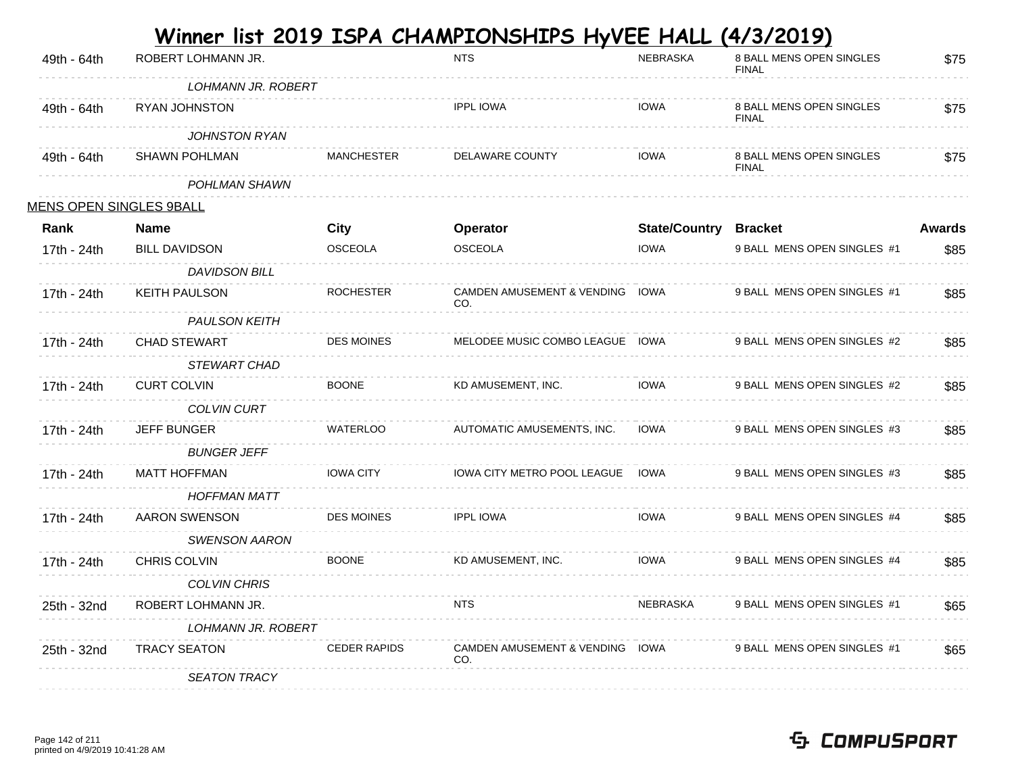| 49th - 64th | ROBERT LOHMANN JR.             |                     | <b>NTS</b>                             | <b>NEBRASKA</b>      | 8 BALL MENS OPEN SINGLES<br><b>FINAL</b> | \$75          |
|-------------|--------------------------------|---------------------|----------------------------------------|----------------------|------------------------------------------|---------------|
|             | <b>LOHMANN JR. ROBERT</b>      |                     |                                        |                      |                                          |               |
| 49th - 64th | RYAN JOHNSTON                  |                     | <b>IPPL IOWA</b>                       | <b>IOWA</b>          | 8 BALL MENS OPEN SINGLES<br><b>FINAL</b> | \$75          |
|             | JOHNSTON RYAN                  |                     |                                        |                      |                                          |               |
| 49th - 64th | <b>SHAWN POHLMAN</b>           | <b>MANCHESTER</b>   | <b>DELAWARE COUNTY</b>                 | <b>IOWA</b>          | 8 BALL MENS OPEN SINGLES<br><b>FINAL</b> | \$75          |
|             | POHLMAN SHAWN                  |                     |                                        |                      |                                          |               |
|             | <u>MENS OPEN SINGLES 9BALL</u> |                     |                                        |                      |                                          |               |
| Rank        | <b>Name</b>                    | City                | Operator                               | <b>State/Country</b> | <b>Bracket</b>                           | <b>Awards</b> |
| 17th - 24th | <b>BILL DAVIDSON</b>           | <b>OSCEOLA</b>      | <b>OSCEOLA</b>                         | <b>IOWA</b>          | 9 BALL MENS OPEN SINGLES #1              | \$85          |
|             | <b>DAVIDSON BILL</b>           |                     |                                        |                      |                                          |               |
| 17th - 24th | <b>KEITH PAULSON</b>           | <b>ROCHESTER</b>    | CAMDEN AMUSEMENT & VENDING IOWA<br>CO. |                      | 9 BALL MENS OPEN SINGLES #1              | \$85          |
|             | <b>PAULSON KEITH</b>           |                     |                                        |                      |                                          |               |
| 17th - 24th | CHAD STEWART                   | <b>DES MOINES</b>   | MELODEE MUSIC COMBO LEAGUE IOWA        |                      | 9 BALL MENS OPEN SINGLES #2              | \$85          |
|             | <b>STEWART CHAD</b>            |                     |                                        |                      |                                          |               |
| 17th - 24th | <b>CURT COLVIN</b>             | <b>BOONE</b>        | KD AMUSEMENT, INC.                     | <b>IOWA</b>          | 9 BALL MENS OPEN SINGLES #2              | \$85          |
|             | <b>COLVIN CURT</b>             |                     |                                        |                      |                                          |               |
| 17th - 24th | <b>JEFF BUNGER</b>             | WATERLOO            | AUTOMATIC AMUSEMENTS, INC.             | <b>IOWA</b>          | 9 BALL MENS OPEN SINGLES #3              | \$85          |
|             | <b>BUNGER JEFF</b>             |                     |                                        |                      |                                          |               |
| 17th - 24th | <b>MATT HOFFMAN</b>            | <b>IOWA CITY</b>    | IOWA CITY METRO POOL LEAGUE IOWA       |                      | 9 BALL MENS OPEN SINGLES #3              | \$85          |
|             | <b>HOFFMAN MATT</b>            |                     |                                        |                      |                                          |               |
| 17th - 24th | AARON SWENSON                  | <b>DES MOINES</b>   | <b>IPPL IOWA</b>                       | <b>IOWA</b>          | 9 BALL MENS OPEN SINGLES #4              | \$85          |
|             | <b>SWENSON AARON</b>           |                     |                                        |                      |                                          |               |
| 17th - 24th | CHRIS COLVIN                   | <b>BOONE</b>        | KD AMUSEMENT, INC.                     | <b>IOWA</b>          | 9 BALL MENS OPEN SINGLES #4              | \$85          |
|             | <b>COLVIN CHRIS</b>            |                     |                                        |                      |                                          |               |
| 25th - 32nd | ROBERT LOHMANN JR.             |                     | <b>NTS</b>                             | <b>NEBRASKA</b>      | 9 BALL MENS OPEN SINGLES #1              | \$65          |
|             | <b>LOHMANN JR. ROBERT</b>      |                     |                                        |                      |                                          |               |
| 25th - 32nd | <b>TRACY SEATON</b>            | <b>CEDER RAPIDS</b> | CAMDEN AMUSEMENT & VENDING IOWA<br>CO. |                      | 9 BALL MENS OPEN SINGLES #1              | \$65          |
|             | <b>SEATON TRACY</b>            |                     |                                        |                      |                                          |               |
|             |                                |                     |                                        |                      |                                          |               |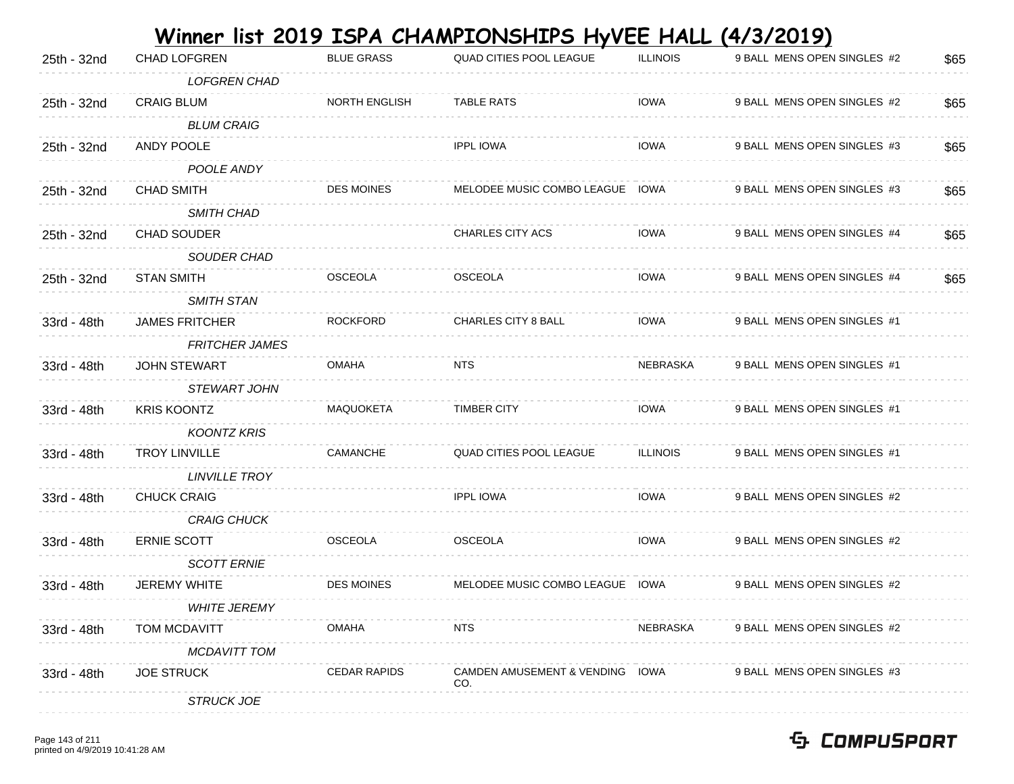|             |                       |                      | Winner list 2019 ISPA CHAMPIONSHIPS HyVEE HALL (4/3/2019) |                 |                             |      |
|-------------|-----------------------|----------------------|-----------------------------------------------------------|-----------------|-----------------------------|------|
| 25th - 32nd | <b>CHAD LOFGREN</b>   | <b>BLUE GRASS</b>    | QUAD CITIES POOL LEAGUE                                   | <b>ILLINOIS</b> | 9 BALL MENS OPEN SINGLES #2 | \$65 |
|             | <b>LOFGREN CHAD</b>   |                      |                                                           |                 |                             |      |
| 25th - 32nd | <b>CRAIG BLUM</b>     | <b>NORTH ENGLISH</b> | <b>TABLE RATS</b>                                         | <b>IOWA</b>     | 9 BALL MENS OPEN SINGLES #2 | \$65 |
|             | <b>BLUM CRAIG</b>     |                      |                                                           |                 |                             |      |
| 25th - 32nd | ANDY POOLE            |                      | <b>IPPL IOWA</b>                                          | <b>IOWA</b>     | 9 BALL MENS OPEN SINGLES #3 | \$65 |
|             | POOLE ANDY            |                      |                                                           |                 |                             |      |
| 25th - 32nd | <b>CHAD SMITH</b>     | <b>DES MOINES</b>    | MELODEE MUSIC COMBO LEAGUE IOWA                           |                 | 9 BALL MENS OPEN SINGLES #3 | \$65 |
|             | <b>SMITH CHAD</b>     |                      |                                                           |                 |                             |      |
| 25th - 32nd | <b>CHAD SOUDER</b>    |                      | <b>CHARLES CITY ACS</b>                                   | <b>IOWA</b>     | 9 BALL MENS OPEN SINGLES #4 | \$65 |
|             | SOUDER CHAD           |                      |                                                           |                 |                             |      |
| 25th - 32nd | <b>STAN SMITH</b>     | <b>OSCEOLA</b>       | <b>OSCEOLA</b>                                            | <b>IOWA</b>     | 9 BALL MENS OPEN SINGLES #4 | \$65 |
|             | <b>SMITH STAN</b>     |                      |                                                           |                 |                             |      |
| 33rd - 48th | <b>JAMES FRITCHER</b> | <b>ROCKFORD</b>      | <b>CHARLES CITY 8 BALL</b>                                | <b>IOWA</b>     | 9 BALL MENS OPEN SINGLES #1 |      |
|             | <b>FRITCHER JAMES</b> |                      |                                                           |                 |                             |      |
| 33rd - 48th | <b>JOHN STEWART</b>   | <b>OMAHA</b>         | <b>NTS</b>                                                | <b>NEBRASKA</b> | 9 BALL MENS OPEN SINGLES #1 |      |
|             | <b>STEWART JOHN</b>   |                      |                                                           |                 |                             |      |
| 33rd - 48th | <b>KRIS KOONTZ</b>    | MAQUOKETA            | <b>TIMBER CITY</b>                                        | <b>IOWA</b>     | 9 BALL MENS OPEN SINGLES #1 |      |
|             | <b>KOONTZ KRIS</b>    |                      |                                                           |                 |                             |      |
| 33rd - 48th | <b>TROY LINVILLE</b>  | CAMANCHE             | QUAD CITIES POOL LEAGUE                                   | <b>ILLINOIS</b> | 9 BALL MENS OPEN SINGLES #1 |      |
|             | <b>LINVILLE TROY</b>  |                      |                                                           |                 |                             |      |
| 33rd - 48th | <b>CHUCK CRAIG</b>    |                      | <b>IPPL IOWA</b>                                          | <b>IOWA</b>     | 9 BALL MENS OPEN SINGLES #2 |      |
|             | <b>CRAIG CHUCK</b>    |                      |                                                           |                 |                             |      |
| 33rd - 48th | <b>ERNIE SCOTT</b>    | <b>OSCEOLA</b>       | <b>OSCEOLA</b>                                            | <b>IOWA</b>     | 9 BALL MENS OPEN SINGLES #2 |      |
|             | <b>SCOTT ERNIE</b>    |                      |                                                           |                 |                             |      |
| 33rd - 48th | <b>JEREMY WHITE</b>   | <b>DES MOINES</b>    | MELODEE MUSIC COMBO LEAGUE IOWA                           |                 | 9 BALL MENS OPEN SINGLES #2 |      |
|             | <b>WHITE JEREMY</b>   |                      |                                                           |                 |                             |      |
| 33rd - 48th | TOM MCDAVITT          | <b>OMAHA</b>         | <b>NTS</b>                                                | NEBRASKA        | 9 BALL MENS OPEN SINGLES #2 |      |
|             | <b>MCDAVITT TOM</b>   |                      |                                                           |                 |                             |      |
| 33rd - 48th | <b>JOE STRUCK</b>     | <b>CEDAR RAPIDS</b>  | CAMDEN AMUSEMENT & VENDING IOWA<br>CO.                    |                 | 9 BALL MENS OPEN SINGLES #3 |      |
|             | <b>STRUCK JOE</b>     |                      |                                                           |                 |                             |      |

#### Page 143 of 211 printed on 4/9/2019 10:41:28 AM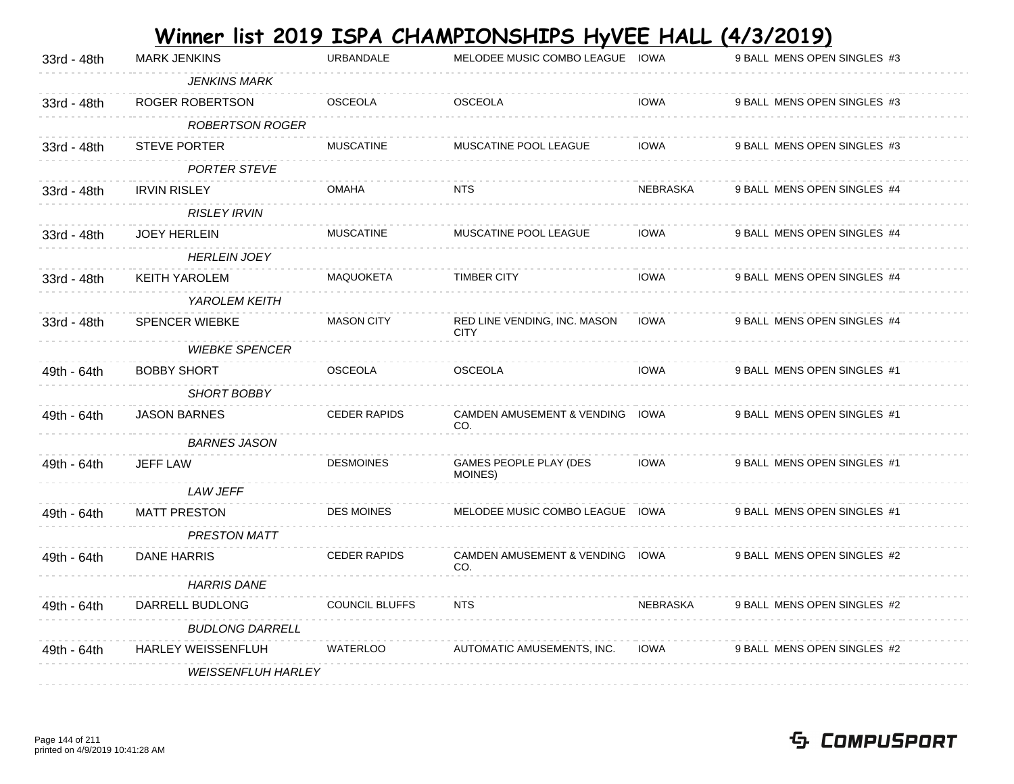|             |                           |                       | Winner list 2019 ISPA CHAMPIONSHIPS HyVEE HALL (4/3/2019) |             |                             |
|-------------|---------------------------|-----------------------|-----------------------------------------------------------|-------------|-----------------------------|
| 33rd - 48th | <b>MARK JENKINS</b>       | <b>URBANDALE</b>      | MELODEE MUSIC COMBO LEAGUE IOWA                           |             | 9 BALL MENS OPEN SINGLES #3 |
|             | <b>JENKINS MARK</b>       |                       |                                                           |             |                             |
| 33rd - 48th | ROGER ROBERTSON           | <b>OSCEOLA</b>        | <b>OSCEOLA</b>                                            | <b>IOWA</b> | 9 BALL MENS OPEN SINGLES #3 |
|             | <b>ROBERTSON ROGER</b>    |                       |                                                           |             |                             |
| 33rd - 48th | <b>STEVE PORTER</b>       | <b>MUSCATINE</b>      | MUSCATINE POOL LEAGUE                                     | <b>IOWA</b> | 9 BALL MENS OPEN SINGLES #3 |
|             | <b>PORTER STEVE</b>       |                       |                                                           |             |                             |
| 33rd - 48th | <b>IRVIN RISLEY</b>       | <b>OMAHA</b>          | <b>NTS</b>                                                | NEBRASKA    | 9 BALL MENS OPEN SINGLES #4 |
|             | <b>RISLEY IRVIN</b>       |                       |                                                           |             |                             |
| 33rd - 48th | <b>JOEY HERLEIN</b>       | <b>MUSCATINE</b>      | MUSCATINE POOL LEAGUE                                     | <b>IOWA</b> | 9 BALL MENS OPEN SINGLES #4 |
|             | <b>HERLEIN JOEY</b>       |                       |                                                           |             |                             |
| 33rd - 48th | <b>KEITH YAROLEM</b>      | MAQUOKETA             | <b>TIMBER CITY</b>                                        | <b>IOWA</b> | 9 BALL MENS OPEN SINGLES #4 |
|             | YAROLEM KEITH             |                       |                                                           |             |                             |
| 33rd - 48th | <b>SPENCER WIEBKE</b>     | <b>MASON CITY</b>     | RED LINE VENDING, INC. MASON<br><b>CITY</b>               | <b>IOWA</b> | 9 BALL MENS OPEN SINGLES #4 |
|             | <b>WIEBKE SPENCER</b>     |                       |                                                           |             |                             |
| 49th - 64th | <b>BOBBY SHORT</b>        | <b>OSCEOLA</b>        | <b>OSCEOLA</b>                                            | <b>IOWA</b> | 9 BALL MENS OPEN SINGLES #1 |
|             | SHORT BOBBY               |                       |                                                           |             |                             |
| 49th - 64th | <b>JASON BARNES</b>       | <b>CEDER RAPIDS</b>   | CAMDEN AMUSEMENT & VENDING IOWA<br>CO.                    |             | 9 BALL MENS OPEN SINGLES #1 |
|             | <b>BARNES JASON</b>       |                       |                                                           |             |                             |
| 49th - 64th | <b>JEFF LAW</b>           | <b>DESMOINES</b>      | GAMES PEOPLE PLAY (DES<br>MOINES)                         | <b>IOWA</b> | 9 BALL MENS OPEN SINGLES #1 |
|             | <b>LAW JEFF</b>           |                       |                                                           |             |                             |
| 49th - 64th | <b>MATT PRESTON</b>       | <b>DES MOINES</b>     | MELODEE MUSIC COMBO LEAGUE IOWA                           |             | 9 BALL MENS OPEN SINGLES #1 |
|             | <b>PRESTON MATT</b>       |                       |                                                           |             |                             |
| 49th - 64th | <b>DANE HARRIS</b>        | <b>CEDER RAPIDS</b>   | <b>CAMDEN AMUSEMENT &amp; VENDING</b><br>CO.              | <b>IOWA</b> | 9 BALL MENS OPEN SINGLES #2 |
|             | <b>HARRIS DANE</b>        |                       |                                                           |             |                             |
| 49th - 64th | DARRELL BUDLONG           | <b>COUNCIL BLUFFS</b> | <b>NTS</b>                                                | NEBRASKA    | 9 BALL MENS OPEN SINGLES #2 |
|             | <b>BUDLONG DARRELL</b>    |                       |                                                           |             |                             |
| 49th - 64th | <b>HARLEY WEISSENFLUH</b> | <b>WATERLOO</b>       | AUTOMATIC AMUSEMENTS, INC.                                | <b>IOWA</b> | 9 BALL MENS OPEN SINGLES #2 |
|             | <b>WEISSENFLUH HARLEY</b> |                       |                                                           |             |                             |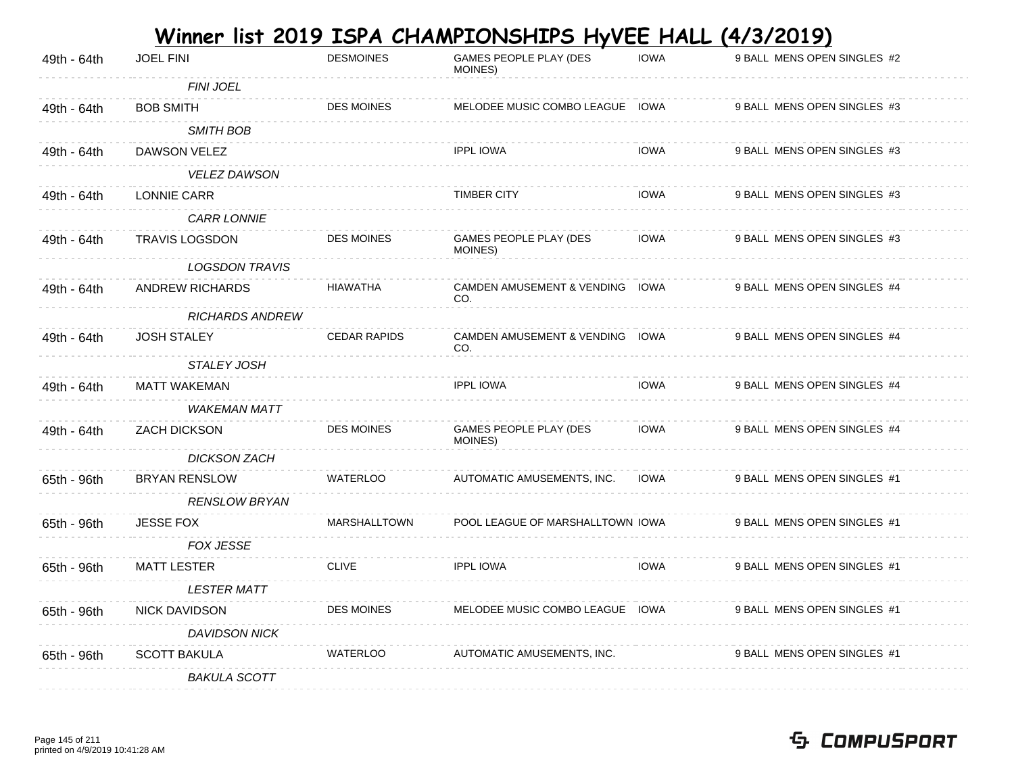| 49th - 64th | <b>JOEL FINI</b>       | <b>DESMOINES</b>    | GAMES PEOPLE PLAY (DES<br>MOINES)      | <b>IOWA</b> | 9 BALL MENS OPEN SINGLES #2 |
|-------------|------------------------|---------------------|----------------------------------------|-------------|-----------------------------|
|             | <b>FINI JOEL</b>       |                     |                                        |             |                             |
| 49th - 64th | <b>BOB SMITH</b>       | <b>DES MOINES</b>   | MELODEE MUSIC COMBO LEAGUE IOWA        |             | 9 BALL MENS OPEN SINGLES #3 |
|             | <b>SMITH BOB</b>       |                     |                                        |             |                             |
| 49th - 64th | <b>DAWSON VELEZ</b>    |                     | <b>IPPL IOWA</b>                       | <b>IOWA</b> | 9 BALL MENS OPEN SINGLES #3 |
|             | <b>VELEZ DAWSON</b>    |                     |                                        |             |                             |
| 49th - 64th | LONNIE CARR            |                     | <b>TIMBER CITY</b>                     | <b>IOWA</b> | 9 BALL MENS OPEN SINGLES #3 |
|             | <b>CARR LONNIE</b>     |                     |                                        |             |                             |
| 49th - 64th | <b>TRAVIS LOGSDON</b>  | <b>DES MOINES</b>   | GAMES PEOPLE PLAY (DES<br>MOINES)      | IOWA        | 9 BALL MENS OPEN SINGLES #3 |
|             | <b>LOGSDON TRAVIS</b>  |                     |                                        |             |                             |
| 49th - 64th | <b>ANDREW RICHARDS</b> | <b>HIAWATHA</b>     | CAMDEN AMUSEMENT & VENDING IOWA<br>CO. |             | 9 BALL MENS OPEN SINGLES #4 |
|             | <b>RICHARDS ANDREW</b> |                     |                                        |             |                             |
| 49th - 64th | <b>JOSH STALEY</b>     | <b>CEDAR RAPIDS</b> | CAMDEN AMUSEMENT & VENDING IOWA<br>CO. |             | 9 BALL MENS OPEN SINGLES #4 |
|             | <b>STALEY JOSH</b>     |                     |                                        |             |                             |
| 49th - 64th | <b>MATT WAKEMAN</b>    |                     | <b>IPPL IOWA</b>                       | <b>IOWA</b> | 9 BALL MENS OPEN SINGLES #4 |
|             | <b>WAKEMAN MATT</b>    |                     |                                        |             |                             |
| 49th - 64th | <b>ZACH DICKSON</b>    | <b>DES MOINES</b>   | GAMES PEOPLE PLAY (DES<br>MOINES)      | <b>IOWA</b> | 9 BALL MENS OPEN SINGLES #4 |
|             | <b>DICKSON ZACH</b>    |                     |                                        |             |                             |
| 65th - 96th | <b>BRYAN RENSLOW</b>   | <b>WATERLOO</b>     | AUTOMATIC AMUSEMENTS, INC.             | <b>IOWA</b> | 9 BALL MENS OPEN SINGLES #1 |
|             | <b>RENSLOW BRYAN</b>   |                     |                                        |             |                             |
| 65th - 96th | <b>JESSE FOX</b>       | <b>MARSHALLTOWN</b> | POOL LEAGUE OF MARSHALLTOWN IOWA       |             | 9 BALL MENS OPEN SINGLES #1 |
|             | <b>FOX JESSE</b>       |                     |                                        |             |                             |
| 65th - 96th | <b>MATT LESTER</b>     | <b>CLIVE</b>        | <b>IPPL IOWA</b>                       | <b>IOWA</b> | 9 BALL MENS OPEN SINGLES #1 |
|             | <b>LESTER MATT</b>     |                     |                                        |             |                             |
| 65th - 96th | <b>NICK DAVIDSON</b>   | <b>DES MOINES</b>   | MELODEE MUSIC COMBO LEAGUE IOWA        |             | 9 BALL MENS OPEN SINGLES #1 |
|             | <b>DAVIDSON NICK</b>   |                     |                                        |             |                             |
| 65th - 96th | <b>SCOTT BAKULA</b>    | <b>WATERLOO</b>     | AUTOMATIC AMUSEMENTS, INC.             |             | 9 BALL MENS OPEN SINGLES #1 |
|             | <b>BAKULA SCOTT</b>    |                     |                                        |             |                             |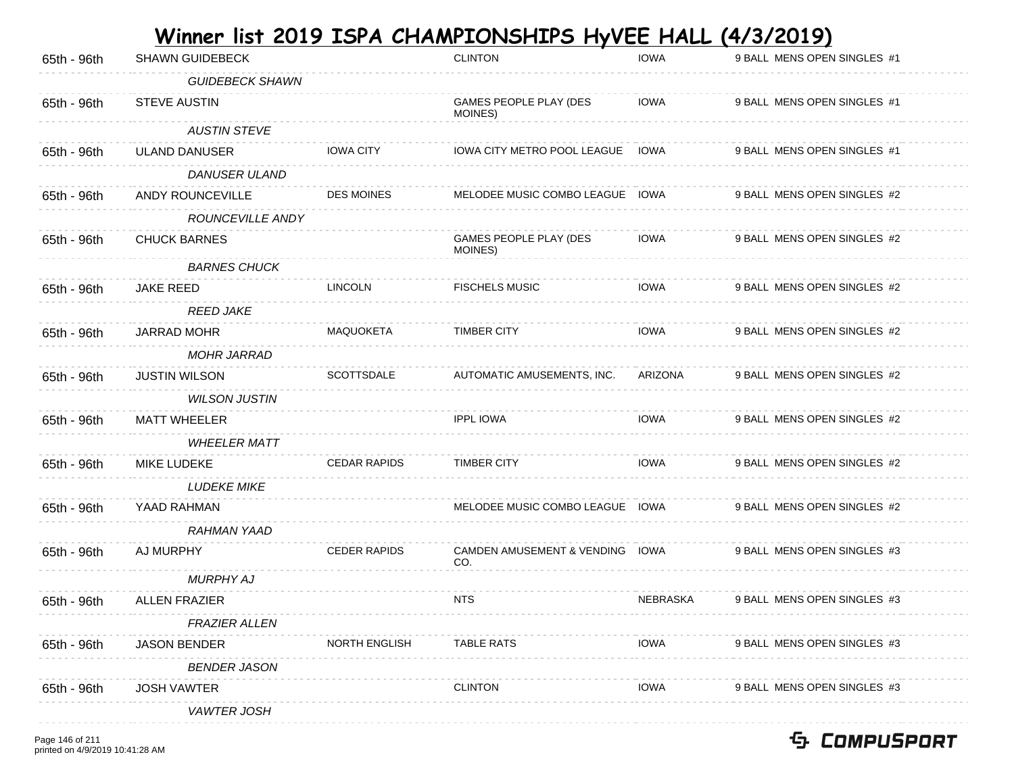| 65th - 96th | <b>SHAWN GUIDEBECK</b> |                      | <b>CLINTON</b>                         | <b>IOWA</b> | 9 BALL MENS OPEN SINGLES #1 |
|-------------|------------------------|----------------------|----------------------------------------|-------------|-----------------------------|
|             | <b>GUIDEBECK SHAWN</b> |                      |                                        |             |                             |
| 65th - 96th | <b>STEVE AUSTIN</b>    |                      | GAMES PEOPLE PLAY (DES<br>MOINES)      | IOWA        | 9 BALL MENS OPEN SINGLES #1 |
|             | <b>AUSTIN STEVE</b>    |                      |                                        |             |                             |
| 65th - 96th | <b>ULAND DANUSER</b>   | <b>IOWA CITY</b>     | IOWA CITY METRO POOL LEAGUE IOWA       |             | 9 BALL MENS OPEN SINGLES #1 |
|             | <b>DANUSER ULAND</b>   |                      |                                        |             |                             |
| 65th - 96th | ANDY ROUNCEVILLE       | <b>DES MOINES</b>    | MELODEE MUSIC COMBO LEAGUE IOWA        |             | 9 BALL MENS OPEN SINGLES #2 |
|             | ROUNCEVILLE ANDY       |                      |                                        |             |                             |
| 65th - 96th | <b>CHUCK BARNES</b>    |                      | GAMES PEOPLE PLAY (DES<br>MOINES)      | <b>IOWA</b> | 9 BALL MENS OPEN SINGLES #2 |
|             | <b>BARNES CHUCK</b>    |                      |                                        |             |                             |
| 65th - 96th | <b>JAKE REED</b>       | <b>LINCOLN</b>       | <b>FISCHELS MUSIC</b>                  | <b>IOWA</b> | 9 BALL MENS OPEN SINGLES #2 |
|             | <b>REED JAKE</b>       |                      |                                        |             |                             |
| 65th - 96th | <b>JARRAD MOHR</b>     | MAQUOKETA            | <b>TIMBER CITY</b>                     | <b>IOWA</b> | 9 BALL MENS OPEN SINGLES #2 |
|             | <b>MOHR JARRAD</b>     |                      |                                        |             |                             |
| 65th - 96th | <b>JUSTIN WILSON</b>   | SCOTTSDALE           | AUTOMATIC AMUSEMENTS, INC.             | ARIZONA     | 9 BALL MENS OPEN SINGLES #2 |
|             | <b>WILSON JUSTIN</b>   |                      |                                        |             |                             |
| 65th - 96th | <b>MATT WHEELER</b>    |                      | <b>IPPL IOWA</b>                       | <b>IOWA</b> | 9 BALL MENS OPEN SINGLES #2 |
|             | <b>WHEELER MATT</b>    |                      |                                        |             |                             |
| 65th - 96th | <b>MIKE LUDEKE</b>     | <b>CEDAR RAPIDS</b>  | <b>TIMBER CITY</b>                     | <b>IOWA</b> | 9 BALL MENS OPEN SINGLES #2 |
|             | <b>LUDEKE MIKE</b>     |                      |                                        |             |                             |
| 65th - 96th | YAAD RAHMAN            |                      | MELODEE MUSIC COMBO LEAGUE IOWA        |             | 9 BALL MENS OPEN SINGLES #2 |
|             | <b>RAHMAN YAAD</b>     |                      |                                        |             |                             |
| 65th - 96th | AJ MURPHY              | <b>CEDER RAPIDS</b>  | CAMDEN AMUSEMENT & VENDING IOWA<br>CO. |             | 9 BALL MENS OPEN SINGLES #3 |
|             | <b>MURPHY AJ</b>       |                      |                                        |             |                             |
| 65th - 96th | <b>ALLEN FRAZIER</b>   |                      | <b>NTS</b>                             | NEBRASKA    | 9 BALL MENS OPEN SINGLES #3 |
|             | <b>FRAZIER ALLEN</b>   |                      |                                        |             |                             |
| 65th - 96th | <b>JASON BENDER</b>    | <b>NORTH ENGLISH</b> | <b>TABLE RATS</b>                      | <b>IOWA</b> | 9 BALL MENS OPEN SINGLES #3 |
|             | <b>BENDER JASON</b>    |                      |                                        |             |                             |
| 65th - 96th | <b>JOSH VAWTER</b>     |                      | <b>CLINTON</b>                         | <b>IOWA</b> | 9 BALL MENS OPEN SINGLES #3 |
|             | <b>VAWTER JOSH</b>     |                      |                                        |             |                             |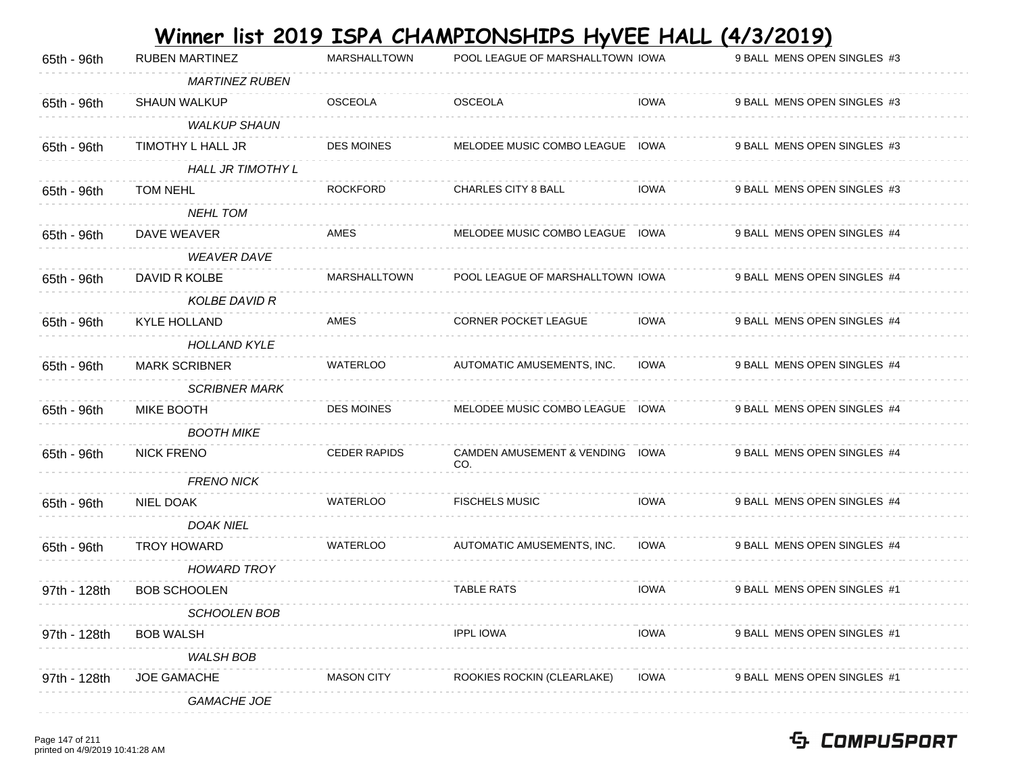| 65th - 96th  | <b>RUBEN MARTINEZ</b>    | MARSHALLTOWN        | POOL LEAGUE OF MARSHALLTOWN IOWA       |             | 9 BALL MENS OPEN SINGLES #3 |
|--------------|--------------------------|---------------------|----------------------------------------|-------------|-----------------------------|
|              | <b>MARTINEZ RUBEN</b>    |                     |                                        |             |                             |
| 65th - 96th  | <b>SHAUN WALKUP</b>      | <b>OSCEOLA</b>      | <b>OSCEOLA</b>                         | <b>IOWA</b> | 9 BALL MENS OPEN SINGLES #3 |
|              | <b>WALKUP SHAUN</b>      |                     |                                        |             |                             |
| 65th - 96th  | TIMOTHY L HALL JR        | <b>DES MOINES</b>   | MELODEE MUSIC COMBO LEAGUE IOWA        |             | 9 BALL MENS OPEN SINGLES #3 |
|              | <b>HALL JR TIMOTHY L</b> |                     |                                        |             |                             |
| 65th - 96th  | <b>TOM NEHL</b>          | <b>ROCKFORD</b>     | CHARLES CITY 8 BALL                    | <b>IOWA</b> | 9 BALL MENS OPEN SINGLES #3 |
|              | <b>NEHL TOM</b>          |                     |                                        |             |                             |
| 65th - 96th  | DAVE WEAVER              | AMES                | MELODEE MUSIC COMBO LEAGUE IOWA        |             | 9 BALL MENS OPEN SINGLES #4 |
|              | <b>WEAVER DAVE</b>       |                     |                                        |             |                             |
| 65th - 96th  | DAVID R KOLBE            | <b>MARSHALLTOWN</b> | POOL LEAGUE OF MARSHALLTOWN IOWA       |             | 9 BALL MENS OPEN SINGLES #4 |
|              | <b>KOLBE DAVID R</b>     |                     |                                        |             |                             |
| 65th - 96th  | <b>KYLE HOLLAND</b>      | AMES                | <b>CORNER POCKET LEAGUE</b>            | <b>IOWA</b> | 9 BALL MENS OPEN SINGLES #4 |
|              | <b>HOLLAND KYLE</b>      |                     |                                        |             |                             |
| 65th - 96th  | <b>MARK SCRIBNER</b>     | <b>WATERLOO</b>     | AUTOMATIC AMUSEMENTS, INC.             | <b>IOWA</b> | 9 BALL MENS OPEN SINGLES #4 |
|              | <b>SCRIBNER MARK</b>     |                     |                                        |             |                             |
| 65th - 96th  | MIKE BOOTH               | <b>DES MOINES</b>   | MELODEE MUSIC COMBO LEAGUE IOWA        |             | 9 BALL MENS OPEN SINGLES #4 |
|              | <b>BOOTH MIKE</b>        |                     |                                        |             |                             |
| 65th - 96th  | <b>NICK FRENO</b>        | <b>CEDER RAPIDS</b> | CAMDEN AMUSEMENT & VENDING IOWA<br>CO. |             | 9 BALL MENS OPEN SINGLES #4 |
|              | <b>FRENO NICK</b>        |                     |                                        |             |                             |
| 65th - 96th  | NIEL DOAK                | <b>WATERLOO</b>     | <b>FISCHELS MUSIC</b>                  | <b>IOWA</b> | 9 BALL MENS OPEN SINGLES #4 |
|              | <b>DOAK NIEL</b>         |                     |                                        |             |                             |
| 65th - 96th  | <b>TROY HOWARD</b>       | WATERLOO            | AUTOMATIC AMUSEMENTS, INC.             | <b>IOWA</b> | 9 BALL MENS OPEN SINGLES #4 |
|              | <b>HOWARD TROY</b>       |                     |                                        |             |                             |
| 97th - 128th | <b>BOB SCHOOLEN</b>      |                     | <b>TABLE RATS</b>                      | <b>IOWA</b> | 9 BALL MENS OPEN SINGLES #1 |
|              | SCHOOLEN BOB             |                     |                                        |             |                             |
| 97th - 128th | <b>BOB WALSH</b>         |                     | <b>IPPL IOWA</b>                       | <b>IOWA</b> | 9 BALL MENS OPEN SINGLES #1 |
|              | <b>WALSH BOB</b>         |                     |                                        |             |                             |
| 97th - 128th | <b>JOE GAMACHE</b>       | <b>MASON CITY</b>   | ROOKIES ROCKIN (CLEARLAKE)             | <b>IOWA</b> | 9 BALL MENS OPEN SINGLES #1 |
|              |                          |                     |                                        |             |                             |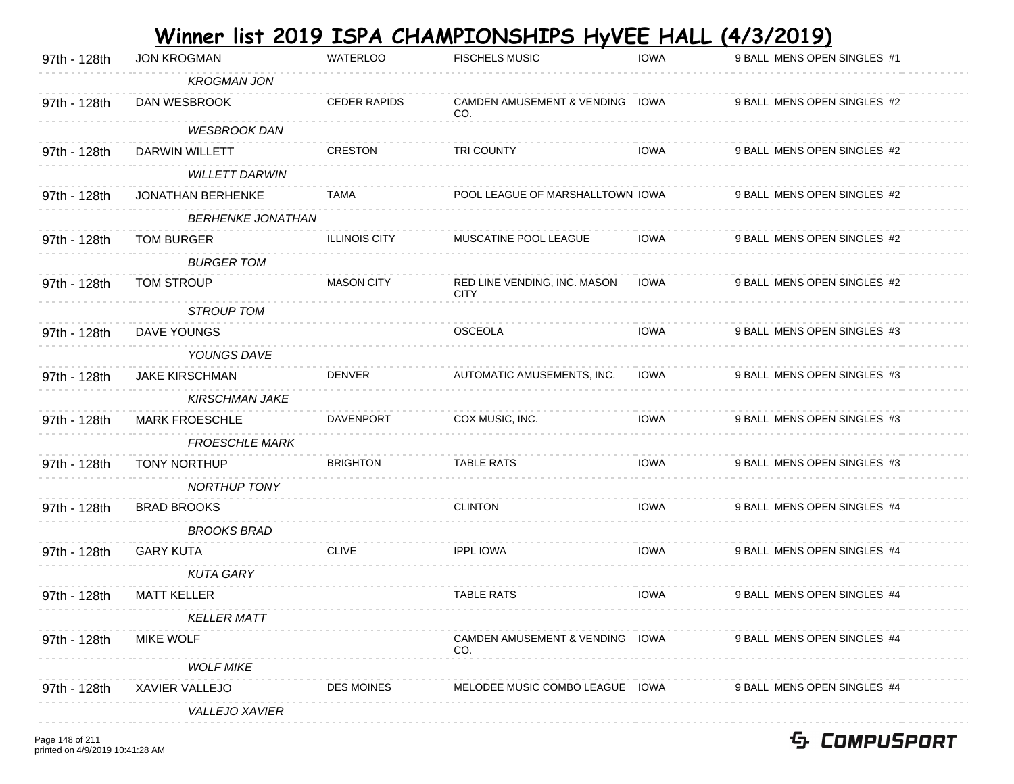|              |                          |                      | <u>Winner list 2019 ISPA CHAMPIONSHIPS HyVEE HALL</u> |             | <u>(4/3/2019)</u>           |
|--------------|--------------------------|----------------------|-------------------------------------------------------|-------------|-----------------------------|
| 97th - 128th | <b>JON KROGMAN</b>       | <b>WATERLOO</b>      | <b>FISCHELS MUSIC</b>                                 | <b>IOWA</b> | 9 BALL MENS OPEN SINGLES #1 |
|              | <b>KROGMAN JON</b>       |                      |                                                       |             |                             |
| 97th - 128th | DAN WESBROOK             | <b>CEDER RAPIDS</b>  | CAMDEN AMUSEMENT & VENDING IOWA<br>CO.                |             | 9 BALL MENS OPEN SINGLES #2 |
|              | <b>WESBROOK DAN</b>      |                      |                                                       |             |                             |
| 97th - 128th | DARWIN WILLETT           | <b>CRESTON</b>       | <b>TRI COUNTY</b>                                     | <b>IOWA</b> | 9 BALL MENS OPEN SINGLES #2 |
|              | <b>WILLETT DARWIN</b>    |                      |                                                       |             |                             |
| 97th - 128th | <b>JONATHAN BERHENKE</b> | <b>TAMA</b>          | POOL LEAGUE OF MARSHALLTOWN IOWA                      |             | 9 BALL MENS OPEN SINGLES #2 |
|              | <b>BERHENKE JONATHAN</b> |                      |                                                       |             |                             |
| 97th - 128th | <b>TOM BURGER</b>        | <b>ILLINOIS CITY</b> | MUSCATINE POOL LEAGUE                                 | <b>IOWA</b> | 9 BALL MENS OPEN SINGLES #2 |
|              | <b>BURGER TOM</b>        |                      |                                                       |             |                             |
| 97th - 128th | TOM STROUP               | <b>MASON CITY</b>    | RED LINE VENDING, INC. MASON<br><b>CITY</b>           | IOWA        | 9 BALL MENS OPEN SINGLES #2 |
|              | <b>STROUP TOM</b>        |                      |                                                       |             |                             |
| 97th - 128th | DAVE YOUNGS              |                      | <b>OSCEOLA</b>                                        | <b>IOWA</b> | 9 BALL MENS OPEN SINGLES #3 |
|              | YOUNGS DAVE              |                      |                                                       |             |                             |
| 97th - 128th | <b>JAKE KIRSCHMAN</b>    | <b>DENVER</b>        | AUTOMATIC AMUSEMENTS, INC.                            | <b>IOWA</b> | 9 BALL MENS OPEN SINGLES #3 |
|              | <b>KIRSCHMAN JAKE</b>    |                      |                                                       |             |                             |
| 97th - 128th | <b>MARK FROESCHLE</b>    | <b>DAVENPORT</b>     | COX MUSIC, INC.                                       | <b>IOWA</b> | 9 BALL MENS OPEN SINGLES #3 |
|              | <b>FROESCHLE MARK</b>    |                      |                                                       |             |                             |
| 97th - 128th | <b>TONY NORTHUP</b>      | <b>BRIGHTON</b>      | TABLE RATS                                            | <b>IOWA</b> | 9 BALL MENS OPEN SINGLES #3 |
|              | <b>NORTHUP TONY</b>      |                      |                                                       |             |                             |
| 97th - 128th | <b>BRAD BROOKS</b>       |                      | <b>CLINTON</b>                                        | <b>IOWA</b> | 9 BALL MENS OPEN SINGLES #4 |
|              | <b>BROOKS BRAD</b>       |                      |                                                       |             |                             |
| 97th - 128th | <b>GARY KUTA</b>         | <b>CLIVE</b>         | <b>IPPL IOWA</b>                                      | <b>IOWA</b> | 9 BALL MENS OPEN SINGLES #4 |
|              | <b>KUTA GARY</b>         |                      |                                                       |             |                             |
| 97th - 128th | <b>MATT KELLER</b>       |                      | <b>TABLE RATS</b>                                     | <b>IOWA</b> | 9 BALL MENS OPEN SINGLES #4 |
|              | <b>KELLER MATT</b>       |                      |                                                       |             |                             |
| 97th - 128th | <b>MIKE WOLF</b>         |                      | CAMDEN AMUSEMENT & VENDING IOWA<br>CO.                |             | 9 BALL MENS OPEN SINGLES #4 |
|              | <b>WOLF MIKE</b>         |                      |                                                       |             |                             |
| 97th - 128th | XAVIER VALLEJO           | <b>DES MOINES</b>    | MELODEE MUSIC COMBO LEAGUE IOWA                       |             | 9 BALL MENS OPEN SINGLES #4 |
|              | VALLEJO XAVIER           |                      |                                                       |             |                             |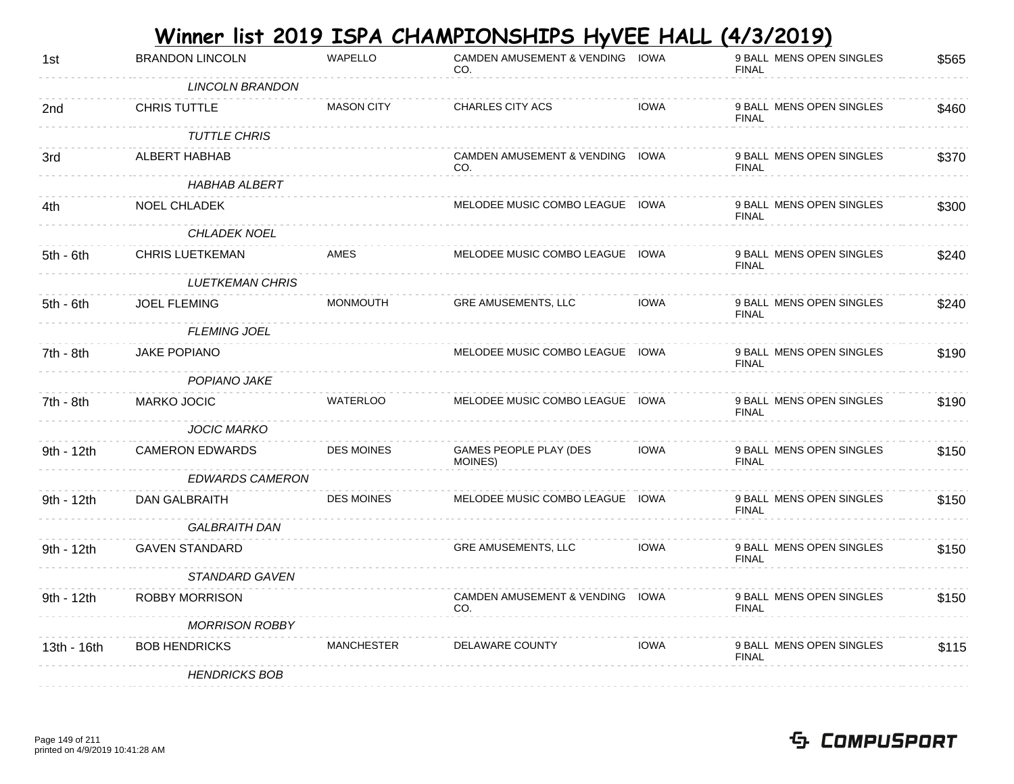|  | Winner list 2019 ISPA CHAMPIONSHIPS HyVEE HALL (4/3/2019) |
|--|-----------------------------------------------------------|
|--|-----------------------------------------------------------|

| 1st         | <b>BRANDON LINCOLN</b> | <b>WAPELLO</b>    | CAMDEN AMUSEMENT & VENDING IOWA<br>CO. |             | 9 BALL MENS OPEN SINGLES<br><b>FINAL</b> | \$565 |
|-------------|------------------------|-------------------|----------------------------------------|-------------|------------------------------------------|-------|
|             | LINCOLN BRANDON        |                   |                                        |             |                                          |       |
| 2nd         | CHRIS TUTTLE           | <b>MASON CITY</b> | <b>CHARLES CITY ACS</b>                | <b>IOWA</b> | 9 BALL MENS OPEN SINGLES<br><b>FINAL</b> | \$460 |
|             | <b>TUTTLE CHRIS</b>    |                   |                                        |             |                                          |       |
| 3rd         | ALBERT HABHAB          |                   | CAMDEN AMUSEMENT & VENDING IOWA<br>CO. |             | 9 BALL MENS OPEN SINGLES<br><b>FINAL</b> | \$370 |
|             | HABHAB ALBERT          |                   |                                        |             |                                          |       |
| 4th         | <b>NOEL CHLADEK</b>    |                   | MELODEE MUSIC COMBO LEAGUE IOWA        |             | 9 BALL MENS OPEN SINGLES<br><b>FINAL</b> | \$300 |
|             | <b>CHLADEK NOEL</b>    |                   |                                        |             |                                          |       |
| $5th - 6th$ | <b>CHRIS LUETKEMAN</b> | AMES              | MELODEE MUSIC COMBO LEAGUE IOWA        |             | 9 BALL MENS OPEN SINGLES<br><b>FINAL</b> | \$240 |
|             | <b>LUETKEMAN CHRIS</b> |                   |                                        |             |                                          |       |
| $5th - 6th$ | <b>JOEL FLEMING</b>    | <b>MONMOUTH</b>   | <b>GRE AMUSEMENTS, LLC</b>             | IOWA        | 9 BALL MENS OPEN SINGLES<br><b>FINAL</b> | \$240 |
|             | <b>FLEMING JOEL</b>    |                   |                                        |             |                                          |       |
| 7th - 8th   | JAKE POPIANO           |                   | MELODEE MUSIC COMBO LEAGUE IOWA        |             | 9 BALL MENS OPEN SINGLES<br><b>FINAL</b> | \$190 |
|             | POPIANO JAKE           |                   |                                        |             |                                          |       |
| 7th - 8th   | <b>MARKO JOCIC</b>     | <b>WATERLOO</b>   | MELODEE MUSIC COMBO LEAGUE IOWA        |             | 9 BALL MENS OPEN SINGLES<br><b>FINAL</b> | \$190 |
|             | <b>JOCIC MARKO</b>     |                   |                                        |             |                                          |       |
| 9th - 12th  | <b>CAMERON EDWARDS</b> | <b>DES MOINES</b> | GAMES PEOPLE PLAY (DES<br>MOINES)      | <b>IOWA</b> | 9 BALL MENS OPEN SINGLES<br><b>FINAL</b> | \$150 |
|             | <b>EDWARDS CAMERON</b> |                   |                                        |             |                                          |       |
| 9th - 12th  | DAN GALBRAITH          | <b>DES MOINES</b> | MELODEE MUSIC COMBO LEAGUE IOWA        |             | 9 BALL MENS OPEN SINGLES<br><b>FINAL</b> | \$150 |
|             | <b>GALBRAITH DAN</b>   |                   |                                        |             |                                          |       |
| 9th - 12th  | <b>GAVEN STANDARD</b>  |                   | <b>GRE AMUSEMENTS, LLC</b>             | <b>IOWA</b> | 9 BALL MENS OPEN SINGLES<br><b>FINAL</b> | \$150 |
|             | STANDARD GAVEN         |                   |                                        |             |                                          |       |
| 9th - 12th  | <b>ROBBY MORRISON</b>  |                   | CAMDEN AMUSEMENT & VENDING IOWA<br>CO. |             | 9 BALL MENS OPEN SINGLES<br><b>FINAL</b> | \$150 |
|             | <b>MORRISON ROBBY</b>  |                   |                                        |             |                                          |       |
| 13th - 16th | <b>BOB HENDRICKS</b>   | MANCHESTER        | DELAWARE COUNTY                        | <b>IOWA</b> | 9 BALL MENS OPEN SINGLES<br><b>FINAL</b> | \$115 |
|             | <b>HENDRICKS BOB</b>   |                   |                                        |             |                                          |       |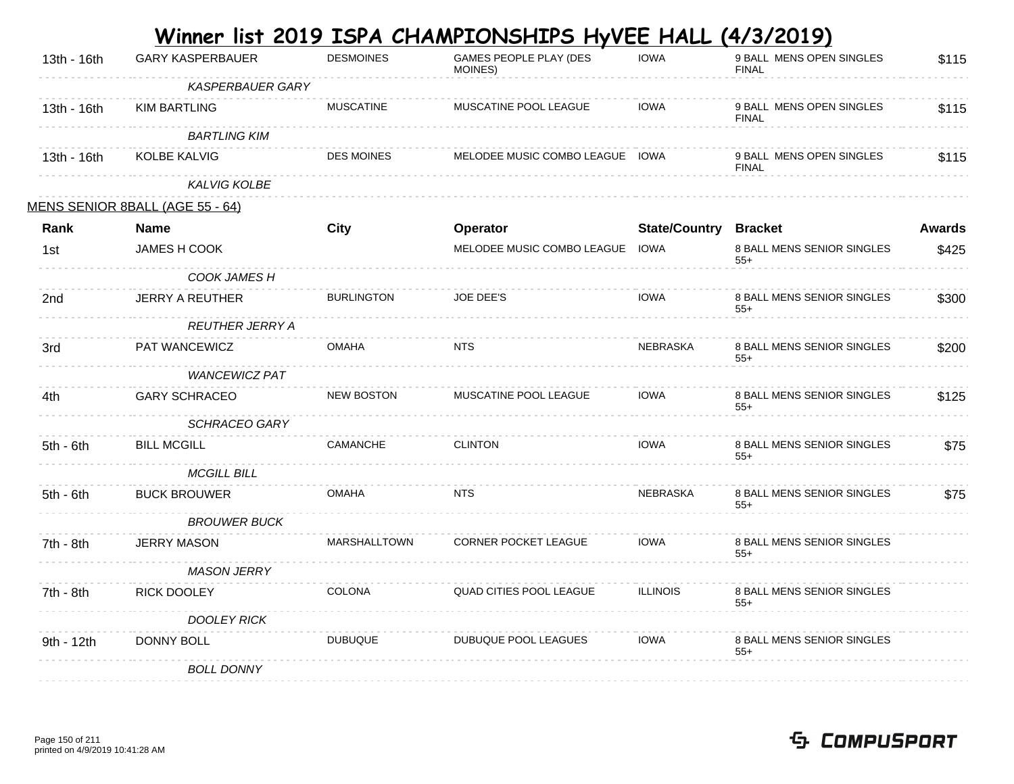| 13th - 16th | <b>GARY KASPERBAUER</b>         | <b>DESMOINES</b>    | GAMES PEOPLE PLAY (DES<br>MOINES) | <b>IOWA</b>                  | 9 BALL MENS OPEN SINGLES<br><b>FINAL</b> | \$115         |
|-------------|---------------------------------|---------------------|-----------------------------------|------------------------------|------------------------------------------|---------------|
|             | <b>KASPERBAUER GARY</b>         |                     |                                   |                              |                                          |               |
| 13th - 16th | <b>KIM BARTLING</b>             | <b>MUSCATINE</b>    | MUSCATINE POOL LEAGUE             | <b>IOWA</b>                  | 9 BALL MENS OPEN SINGLES<br><b>FINAL</b> | \$115         |
|             | <b>BARTLING KIM</b>             |                     |                                   |                              |                                          |               |
| 13th - 16th | <b>KOLBE KALVIG</b>             | <b>DES MOINES</b>   | MELODEE MUSIC COMBO LEAGUE IOWA   |                              | 9 BALL MENS OPEN SINGLES<br><b>FINAL</b> | \$115         |
|             | <b>KALVIG KOLBE</b>             |                     |                                   |                              |                                          |               |
|             | MENS SENIOR 8BALL (AGE 55 - 64) |                     |                                   |                              |                                          |               |
| Rank        | <b>Name</b>                     | City                | Operator                          | <b>State/Country Bracket</b> |                                          | <b>Awards</b> |
| 1st         | JAMES H COOK                    |                     | MELODEE MUSIC COMBO LEAGUE IOWA   |                              | 8 BALL MENS SENIOR SINGLES<br>$55+$      | \$425         |
|             | COOK JAMES H                    |                     |                                   |                              |                                          |               |
| 2nd         | <b>JERRY A REUTHER</b>          | <b>BURLINGTON</b>   | <b>JOE DEE'S</b>                  | <b>IOWA</b>                  | 8 BALL MENS SENIOR SINGLES<br>$55+$      | \$300         |
|             | <b>REUTHER JERRY A</b>          |                     |                                   |                              |                                          |               |
| 3rd         | PAT WANCEWICZ                   | <b>OMAHA</b>        | <b>NTS</b>                        | <b>NEBRASKA</b>              | 8 BALL MENS SENIOR SINGLES<br>$55+$      | \$200         |
|             | <b>WANCEWICZ PAT</b>            |                     |                                   |                              |                                          |               |
| 4th.        | <b>GARY SCHRACEO</b>            | <b>NEW BOSTON</b>   | MUSCATINE POOL LEAGUE             | <b>IOWA</b>                  | 8 BALL MENS SENIOR SINGLES<br>$55+$      | \$125         |
|             | <b>SCHRACEO GARY</b>            |                     |                                   |                              |                                          |               |
| $5th - 6th$ | <b>BILL MCGILL</b>              | CAMANCHE            | <b>CLINTON</b>                    | <b>IOWA</b>                  | 8 BALL MENS SENIOR SINGLES<br>$55+$      | \$75          |
|             | <b>MCGILL BILL</b>              |                     |                                   |                              |                                          |               |
| $5th - 6th$ | <b>BUCK BROUWER</b>             | <b>OMAHA</b>        | NTS                               | <b>NEBRASKA</b>              | 8 BALL MENS SENIOR SINGLES<br>$55+$      | \$75          |
|             | <b>BROUWER BUCK</b>             |                     |                                   |                              |                                          |               |
| 7th - 8th   | <b>JERRY MASON</b>              | <b>MARSHALLTOWN</b> | <b>CORNER POCKET LEAGUE</b>       | <b>IOWA</b>                  | 8 BALL MENS SENIOR SINGLES<br>$55+$      |               |
|             | <b>MASON JERRY</b>              |                     |                                   |                              |                                          |               |
| 7th - 8th   | RICK DOOLEY                     | <b>COLONA</b>       | QUAD CITIES POOL LEAGUE           | <b>ILLINOIS</b>              | 8 BALL MENS SENIOR SINGLES<br>$55+$      |               |
|             | <b>DOOLEY RICK</b>              |                     |                                   |                              |                                          |               |
| 9th - 12th  | DONNY BOLL                      | <b>DUBUQUE</b>      | DUBUQUE POOL LEAGUES              | <b>IOWA</b>                  | 8 BALL MENS SENIOR SINGLES<br>$55+$      |               |
|             | <b>BOLL DONNY</b>               |                     |                                   |                              |                                          |               |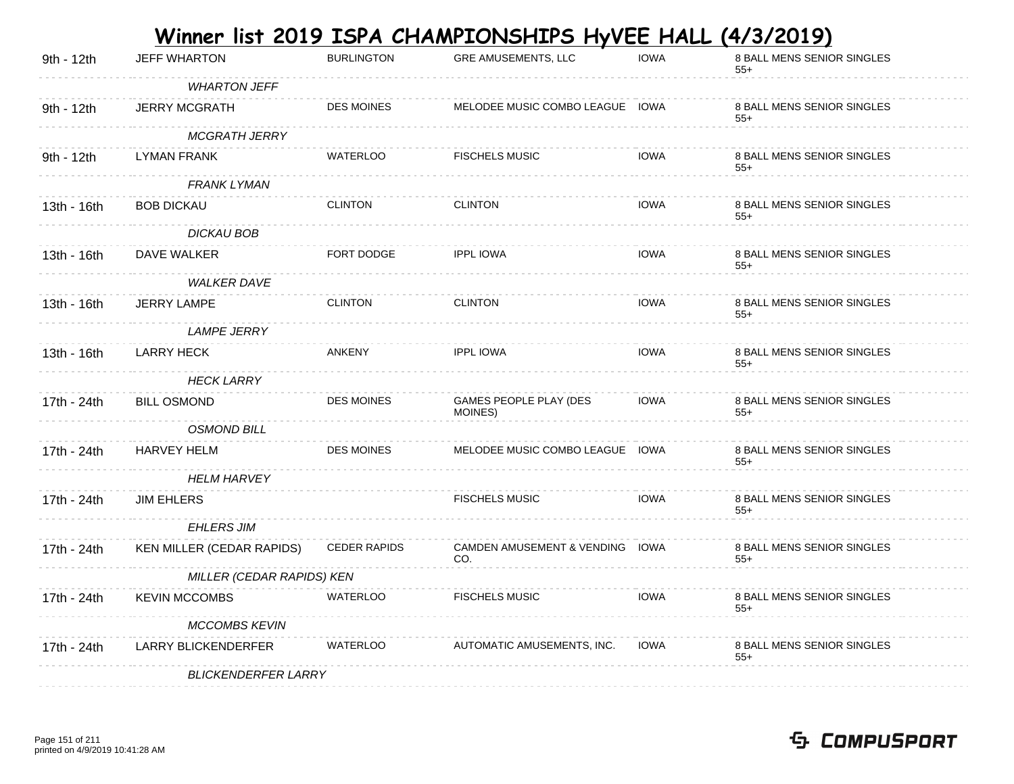|             |                            |                     | <u>Winner list 2019 ISPA CHAMPIONSHIPS HyVEE HALL (4/3/2019)</u> |             |                                     |
|-------------|----------------------------|---------------------|------------------------------------------------------------------|-------------|-------------------------------------|
| 9th - 12th  | <b>JEFF WHARTON</b>        | <b>BURLINGTON</b>   | <b>GRE AMUSEMENTS, LLC</b>                                       | <b>IOWA</b> | 8 BALL MENS SENIOR SINGLES<br>$55+$ |
|             | <b>WHARTON JEFF</b>        |                     |                                                                  |             |                                     |
| 9th - 12th  | <b>JERRY MCGRATH</b>       | <b>DES MOINES</b>   | MELODEE MUSIC COMBO LEAGUE IOWA                                  |             | 8 BALL MENS SENIOR SINGLES<br>$55+$ |
|             | <b>MCGRATH JERRY</b>       |                     |                                                                  |             |                                     |
| 9th - 12th  | LYMAN FRANK                | <b>WATERLOO</b>     | <b>FISCHELS MUSIC</b>                                            | <b>IOWA</b> | 8 BALL MENS SENIOR SINGLES<br>$55+$ |
|             | <b>FRANK LYMAN</b>         |                     |                                                                  |             |                                     |
| 13th - 16th | <b>BOB DICKAU</b>          | <b>CLINTON</b>      | <b>CLINTON</b>                                                   | <b>IOWA</b> | 8 BALL MENS SENIOR SINGLES<br>$55+$ |
|             | <b>DICKAU BOB</b>          |                     |                                                                  |             |                                     |
| 13th - 16th | DAVE WALKER                | FORT DODGE          | <b>IPPL IOWA</b>                                                 | <b>IOWA</b> | 8 BALL MENS SENIOR SINGLES<br>$55+$ |
|             | <b>WALKER DAVE</b>         |                     |                                                                  |             |                                     |
| 13th - 16th | <b>JERRY LAMPE</b>         | <b>CLINTON</b>      | <b>CLINTON</b>                                                   | <b>IOWA</b> | 8 BALL MENS SENIOR SINGLES<br>$55+$ |
|             | <b>LAMPE JERRY</b>         |                     |                                                                  |             |                                     |
| 13th - 16th | <b>LARRY HECK</b>          | <b>ANKENY</b>       | <b>IPPL IOWA</b>                                                 | <b>IOWA</b> | 8 BALL MENS SENIOR SINGLES<br>$55+$ |
|             | <b>HECK LARRY</b>          |                     |                                                                  |             |                                     |
| 17th - 24th | <b>BILL OSMOND</b>         | <b>DES MOINES</b>   | GAMES PEOPLE PLAY (DES<br>MOINES)                                | <b>IOWA</b> | 8 BALL MENS SENIOR SINGLES<br>$55+$ |
|             | <b>OSMOND BILL</b>         |                     |                                                                  |             |                                     |
| 17th - 24th | <b>HARVEY HELM</b>         | <b>DES MOINES</b>   | MELODEE MUSIC COMBO LEAGUE IOWA                                  |             | 8 BALL MENS SENIOR SINGLES<br>$55+$ |
|             | <b>HELM HARVEY</b>         |                     |                                                                  |             |                                     |
| 17th - 24th | <b>JIM EHLERS</b>          |                     | <b>FISCHELS MUSIC</b>                                            | <b>IOWA</b> | 8 BALL MENS SENIOR SINGLES<br>$55+$ |
|             | <b>EHLERS JIM</b>          |                     |                                                                  |             |                                     |
| 17th - 24th | KEN MILLER (CEDAR RAPIDS)  | <b>CEDER RAPIDS</b> | CAMDEN AMUSEMENT & VENDING IOWA<br>CO.                           |             | 8 BALL MENS SENIOR SINGLES<br>$55+$ |
|             | MILLER (CEDAR RAPIDS) KEN  |                     |                                                                  |             |                                     |
| 17th - 24th | <b>KEVIN MCCOMBS</b>       | <b>WATERLOO</b>     | <b>FISCHELS MUSIC</b>                                            | <b>IOWA</b> | 8 BALL MENS SENIOR SINGLES<br>$55+$ |
|             | <b>MCCOMBS KEVIN</b>       |                     |                                                                  |             |                                     |
| 17th - 24th | <b>LARRY BLICKENDERFER</b> | WATERLOO            | AUTOMATIC AMUSEMENTS, INC.                                       | <b>IOWA</b> | 8 BALL MENS SENIOR SINGLES<br>$55+$ |
|             | <b>BLICKENDERFER LARRY</b> |                     |                                                                  |             |                                     |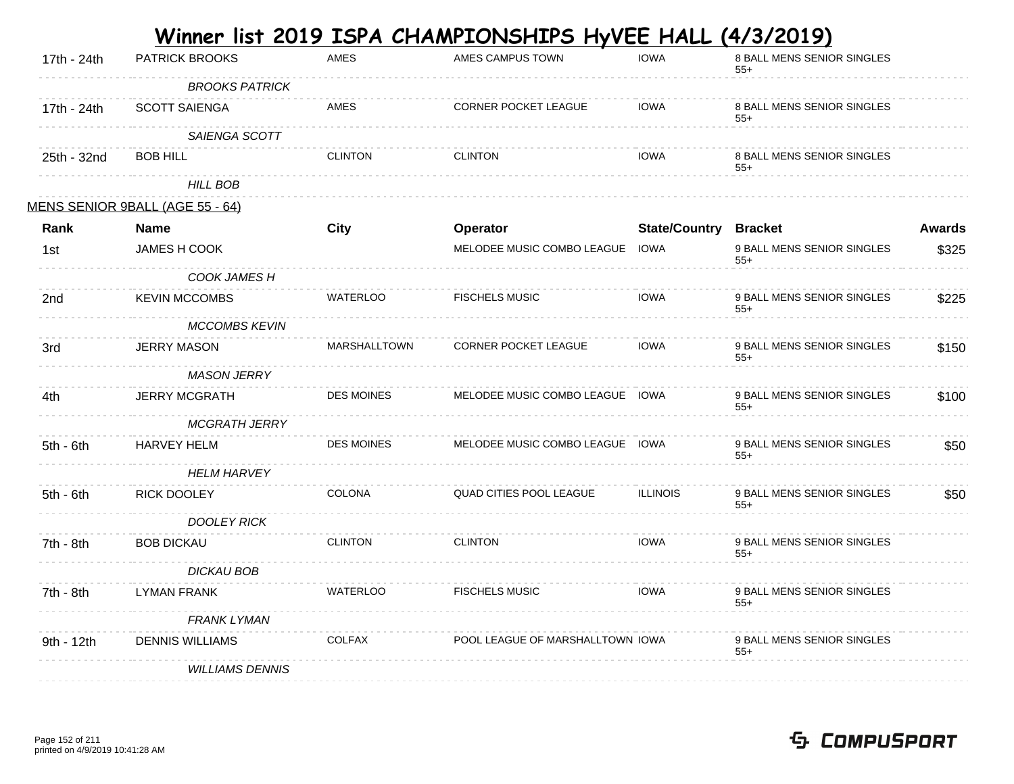|             |                                 |                     | <u>Winner list 2019 ISPA CHAMPIONSHIPS HyVEE HALL </u> |                              | <u>(4/3/2019)</u>                   |               |
|-------------|---------------------------------|---------------------|--------------------------------------------------------|------------------------------|-------------------------------------|---------------|
| 17th - 24th | <b>PATRICK BROOKS</b>           | <b>AMES</b>         | AMES CAMPUS TOWN                                       | <b>IOWA</b>                  | 8 BALL MENS SENIOR SINGLES<br>$55+$ |               |
|             | <b>BROOKS PATRICK</b>           |                     |                                                        |                              |                                     |               |
| 17th - 24th | <b>SCOTT SAIENGA</b>            | AMES                | CORNER POCKET LEAGUE                                   | <b>IOWA</b>                  | 8 BALL MENS SENIOR SINGLES<br>$55+$ |               |
|             | SAIENGA SCOTT                   |                     |                                                        |                              |                                     |               |
| 25th - 32nd | <b>BOB HILL</b>                 | <b>CLINTON</b>      | <b>CLINTON</b>                                         | <b>IOWA</b>                  | 8 BALL MENS SENIOR SINGLES<br>$55+$ |               |
|             | <b>HILL BOB</b>                 |                     |                                                        |                              |                                     |               |
|             | MENS SENIOR 9BALL (AGE 55 - 64) |                     |                                                        |                              |                                     |               |
| Rank        | <b>Name</b>                     | <b>City</b>         | Operator                                               | <b>State/Country Bracket</b> |                                     | <b>Awards</b> |
| 1st         | JAMES H COOK                    |                     | MELODEE MUSIC COMBO LEAGUE IOWA                        |                              | 9 BALL MENS SENIOR SINGLES<br>$55+$ | \$325         |
|             | COOK JAMES H                    |                     |                                                        |                              |                                     |               |
| 2nd         | <b>KEVIN MCCOMBS</b>            | <b>WATERLOO</b>     | <b>FISCHELS MUSIC</b>                                  | <b>IOWA</b>                  | 9 BALL MENS SENIOR SINGLES<br>$55+$ | \$225         |
|             | <b>MCCOMBS KEVIN</b>            |                     |                                                        |                              |                                     |               |
| 3rd         | <b>JERRY MASON</b>              | <b>MARSHALLTOWN</b> | <b>CORNER POCKET LEAGUE</b>                            | <b>IOWA</b>                  | 9 BALL MENS SENIOR SINGLES<br>$55+$ | \$150         |
|             | MASON JERRY                     |                     |                                                        |                              |                                     |               |
| 4th.        | <b>JERRY MCGRATH</b>            | <b>DES MOINES</b>   | MELODEE MUSIC COMBO LEAGUE IOWA                        |                              | 9 BALL MENS SENIOR SINGLES<br>$55+$ | \$100         |
|             | <b>MCGRATH JERRY</b>            |                     |                                                        |                              |                                     |               |
| $5th - 6th$ | <b>HARVEY HELM</b>              | DES MOINES          | MELODEE MUSIC COMBO LEAGUE IOWA                        |                              | 9 BALL MENS SENIOR SINGLES<br>$55+$ | \$50          |
|             | <b>HELM HARVEY</b>              |                     |                                                        |                              |                                     |               |
| $5th - 6th$ | RICK DOOLEY                     | <b>COLONA</b>       | <b>QUAD CITIES POOL LEAGUE</b>                         | <b>ILLINOIS</b>              | 9 BALL MENS SENIOR SINGLES<br>$55+$ | \$50          |
|             | <b>DOOLEY RICK</b>              |                     |                                                        |                              |                                     |               |
| 7th - 8th   | <b>BOB DICKAU</b>               | <b>CLINTON</b>      | <b>CLINTON</b>                                         | <b>IOWA</b>                  | 9 BALL MENS SENIOR SINGLES<br>$55+$ |               |
|             | <b>DICKAU BOB</b>               |                     |                                                        |                              |                                     |               |
| 7th - 8th   | <b>LYMAN FRANK</b>              | <b>WATERLOO</b>     | <b>FISCHELS MUSIC</b>                                  | <b>IOWA</b>                  | 9 BALL MENS SENIOR SINGLES<br>$55+$ |               |
|             | <b>FRANK LYMAN</b>              |                     |                                                        |                              |                                     |               |
| 9th - 12th  | <b>DENNIS WILLIAMS</b>          | <b>COLFAX</b>       | POOL LEAGUE OF MARSHALLTOWN IOWA                       |                              | 9 BALL MENS SENIOR SINGLES<br>$55+$ |               |
|             | <b>WILLIAMS DENNIS</b>          |                     |                                                        |                              |                                     |               |

**College**  $\sim$ **Service**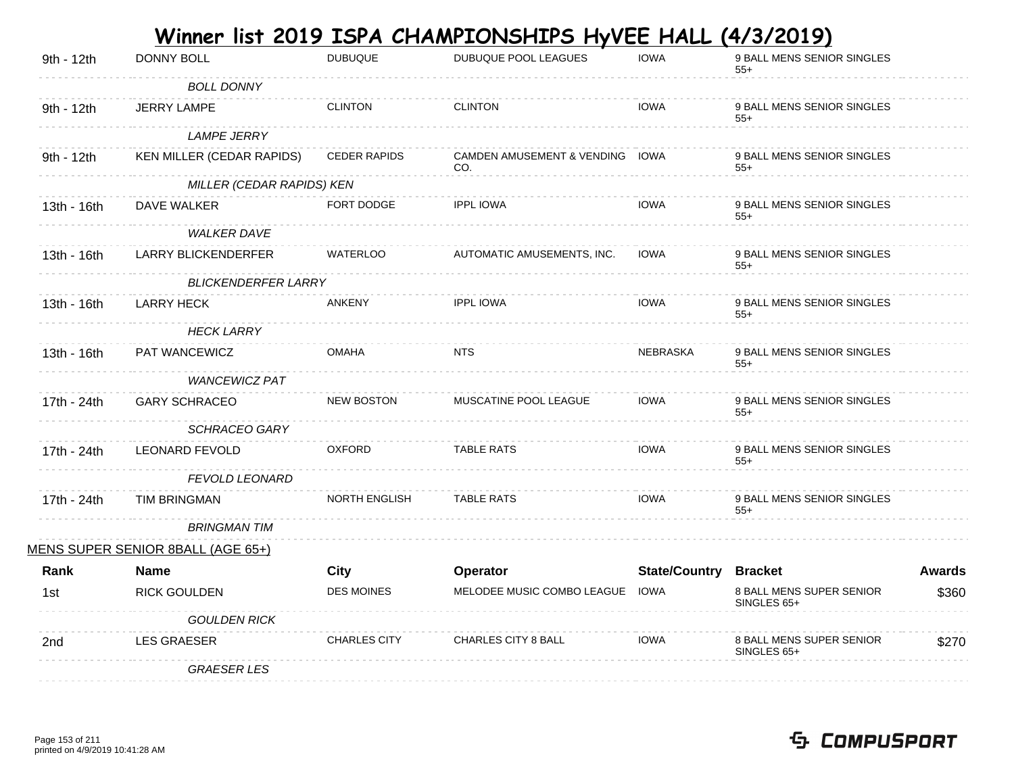|             |                                   |                      | <u>Winner list 2019 ISPA CHAMPIONSHIPS HyVEE HALL (4/3/2019)</u> |                              |                                         |               |
|-------------|-----------------------------------|----------------------|------------------------------------------------------------------|------------------------------|-----------------------------------------|---------------|
| 9th - 12th  | <b>DONNY BOLL</b>                 | <b>DUBUQUE</b>       | DUBUQUE POOL LEAGUES                                             | <b>IOWA</b>                  | 9 BALL MENS SENIOR SINGLES<br>$55+$     |               |
|             | <b>BOLL DONNY</b>                 |                      |                                                                  |                              |                                         |               |
| 9th - 12th  | <b>JERRY LAMPE</b>                | <b>CLINTON</b>       | <b>CLINTON</b>                                                   | <b>IOWA</b>                  | 9 BALL MENS SENIOR SINGLES<br>$55+$     |               |
|             | <b>LAMPE JERRY</b>                |                      |                                                                  |                              |                                         |               |
| 9th - 12th  | KEN MILLER (CEDAR RAPIDS)         | <b>CEDER RAPIDS</b>  | CAMDEN AMUSEMENT & VENDING IOWA<br>CO.                           |                              | 9 BALL MENS SENIOR SINGLES<br>$55+$     |               |
|             | MILLER (CEDAR RAPIDS) KEN         |                      |                                                                  |                              |                                         |               |
| 13th - 16th | DAVE WALKER                       | FORT DODGE           | <b>IPPL IOWA</b>                                                 | <b>IOWA</b>                  | 9 BALL MENS SENIOR SINGLES<br>$55+$     |               |
|             | <b>WALKER DAVE</b>                |                      |                                                                  |                              |                                         |               |
| 13th - 16th | <b>LARRY BLICKENDERFER</b>        | <b>WATERLOO</b>      | AUTOMATIC AMUSEMENTS, INC.                                       | <b>IOWA</b>                  | 9 BALL MENS SENIOR SINGLES<br>$55+$     |               |
|             | <b>BLICKENDERFER LARRY</b>        |                      |                                                                  |                              |                                         |               |
| 13th - 16th | <b>LARRY HECK</b>                 | <b>ANKENY</b>        | <b>IPPL IOWA</b>                                                 | <b>IOWA</b>                  | 9 BALL MENS SENIOR SINGLES<br>$55+$     |               |
|             | <b>HECK LARRY</b>                 |                      |                                                                  |                              |                                         |               |
| 13th - 16th | PAT WANCEWICZ                     | <b>OMAHA</b>         | <b>NTS</b>                                                       | <b>NEBRASKA</b>              | 9 BALL MENS SENIOR SINGLES<br>$55+$     |               |
|             | <b>WANCEWICZ PAT</b>              |                      |                                                                  |                              |                                         |               |
| 17th - 24th | <b>GARY SCHRACEO</b>              | <b>NEW BOSTON</b>    | MUSCATINE POOL LEAGUE                                            | <b>IOWA</b>                  | 9 BALL MENS SENIOR SINGLES<br>$55+$     |               |
|             | <b>SCHRACEO GARY</b>              |                      |                                                                  |                              |                                         |               |
| 17th - 24th | <b>LEONARD FEVOLD</b>             | <b>OXFORD</b>        | <b>TABLE RATS</b>                                                | <b>IOWA</b>                  | 9 BALL MENS SENIOR SINGLES<br>$55+$     |               |
|             | <b>FEVOLD LEONARD</b>             |                      |                                                                  |                              |                                         |               |
| 17th - 24th | TIM BRINGMAN                      | <b>NORTH ENGLISH</b> | <b>TABLE RATS</b>                                                | <b>IOWA</b>                  | 9 BALL MENS SENIOR SINGLES<br>$55+$     |               |
|             | <b>BRINGMAN TIM</b>               |                      |                                                                  |                              |                                         |               |
|             | MENS SUPER SENIOR 8BALL (AGE 65+) |                      |                                                                  |                              |                                         |               |
| Rank        | <b>Name</b>                       | City                 | Operator                                                         | <b>State/Country Bracket</b> |                                         | <b>Awards</b> |
| 1st         | <b>RICK GOULDEN</b>               | <b>DES MOINES</b>    | MELODEE MUSIC COMBO LEAGUE                                       | IOWA                         | 8 BALL MENS SUPER SENIOR<br>SINGLES 65+ | \$360         |
|             | <b>GOULDEN RICK</b>               |                      |                                                                  |                              |                                         |               |
| 2nd         | <b>LES GRAESER</b>                | <b>CHARLES CITY</b>  | <b>CHARLES CITY 8 BALL</b>                                       | <b>IOWA</b>                  | 8 BALL MENS SUPER SENIOR<br>SINGLES 65+ | \$270         |
|             | <b>GRAESER LES</b>                |                      |                                                                  |                              |                                         |               |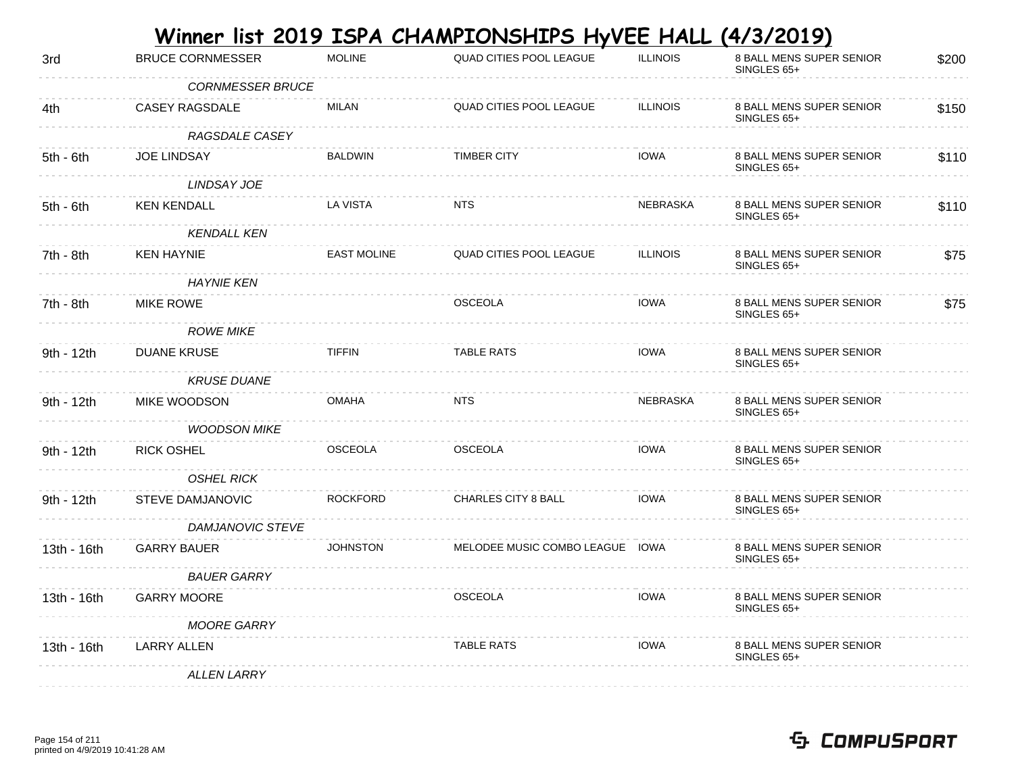|                         |                                             |                                            |                 | <u>(4/3/2019)</u>                                                                        |       |
|-------------------------|---------------------------------------------|--------------------------------------------|-----------------|------------------------------------------------------------------------------------------|-------|
| <b>BRUCE CORNMESSER</b> | <b>MOLINE</b>                               | QUAD CITIES POOL LEAGUE                    | <b>ILLINOIS</b> | 8 BALL MENS SUPER SENIOR<br>SINGLES 65+                                                  | \$200 |
|                         |                                             |                                            |                 |                                                                                          |       |
| CASEY RAGSDALE          | <b>MILAN</b>                                | QUAD CITIES POOL LEAGUE                    | <b>ILLINOIS</b> | 8 BALL MENS SUPER SENIOR<br>SINGLES 65+                                                  | \$150 |
| RAGSDALE CASEY          |                                             |                                            |                 |                                                                                          |       |
| <b>JOE LINDSAY</b>      | <b>BALDWIN</b>                              | <b>TIMBER CITY</b>                         | <b>IOWA</b>     | 8 BALL MENS SUPER SENIOR<br>SINGLES 65+                                                  | \$110 |
| LINDSAY JOE             |                                             |                                            |                 |                                                                                          |       |
| <b>KEN KENDALL</b>      | LA VISTA                                    | <b>NTS</b>                                 | <b>NEBRASKA</b> | 8 BALL MENS SUPER SENIOR<br>SINGLES 65+                                                  | \$110 |
| <b>KENDALL KEN</b>      |                                             |                                            |                 |                                                                                          |       |
| <b>KEN HAYNIE</b>       | <b>EAST MOLINE</b>                          | <b>QUAD CITIES POOL LEAGUE</b>             | <b>ILLINOIS</b> | 8 BALL MENS SUPER SENIOR<br>SINGLES 65+                                                  | \$75  |
| <b>HAYNIE KEN</b>       |                                             |                                            |                 |                                                                                          |       |
| <b>MIKE ROWE</b>        |                                             | <b>OSCEOLA</b>                             | <b>IOWA</b>     | 8 BALL MENS SUPER SENIOR<br>SINGLES 65+                                                  | \$75  |
|                         |                                             |                                            |                 |                                                                                          |       |
| <b>DUANE KRUSE</b>      | <b>TIFFIN</b>                               | <b>TABLE RATS</b>                          | <b>IOWA</b>     | 8 BALL MENS SUPER SENIOR<br>SINGLES 65+                                                  |       |
| <b>KRUSE DUANE</b>      |                                             |                                            |                 |                                                                                          |       |
| MIKE WOODSON            | <b>OMAHA</b>                                | <b>NTS</b>                                 | NEBRASKA        | 8 BALL MENS SUPER SENIOR<br>SINGLES 65+                                                  |       |
| <b>WOODSON MIKE</b>     |                                             |                                            |                 |                                                                                          |       |
| <b>RICK OSHEL</b>       | <b>OSCEOLA</b>                              | <b>OSCEOLA</b>                             | <b>IOWA</b>     | 8 BALL MENS SUPER SENIOR<br>SINGLES 65+                                                  |       |
| <b>OSHEL RICK</b>       |                                             |                                            |                 |                                                                                          |       |
| STEVE DAMJANOVIC        | <b>ROCKFORD</b>                             | CHARLES CITY 8 BALL                        | <b>IOWA</b>     | 8 BALL MENS SUPER SENIOR<br>SINGLES 65+                                                  |       |
|                         |                                             |                                            |                 |                                                                                          |       |
| <b>GARRY BAUER</b>      |                                             |                                            |                 | 8 BALL MENS SUPER SENIOR<br>SINGLES 65+                                                  |       |
| <b>BAUER GARRY</b>      |                                             |                                            |                 |                                                                                          |       |
| <b>GARRY MOORE</b>      |                                             | <b>OSCEOLA</b>                             | <b>IOWA</b>     | 8 BALL MENS SUPER SENIOR<br>SINGLES 65+                                                  |       |
| <b>MOORE GARRY</b>      |                                             |                                            |                 |                                                                                          |       |
| <b>LARRY ALLEN</b>      |                                             | <b>TABLE RATS</b>                          | <b>IOWA</b>     | 8 BALL MENS SUPER SENIOR<br>SINGLES 65+                                                  |       |
| <b>ALLEN LARRY</b>      |                                             |                                            |                 |                                                                                          |       |
|                         | <b>ROWE MIKE</b><br><b>DAMJANOVIC STEVE</b> | <b>CORNMESSER BRUCE</b><br><b>JOHNSTON</b> |                 | <u>Winner list 2019 ISPA CHAMPIONSHIPS HyVEE HALL</u><br>MELODEE MUSIC COMBO LEAGUE IOWA |       |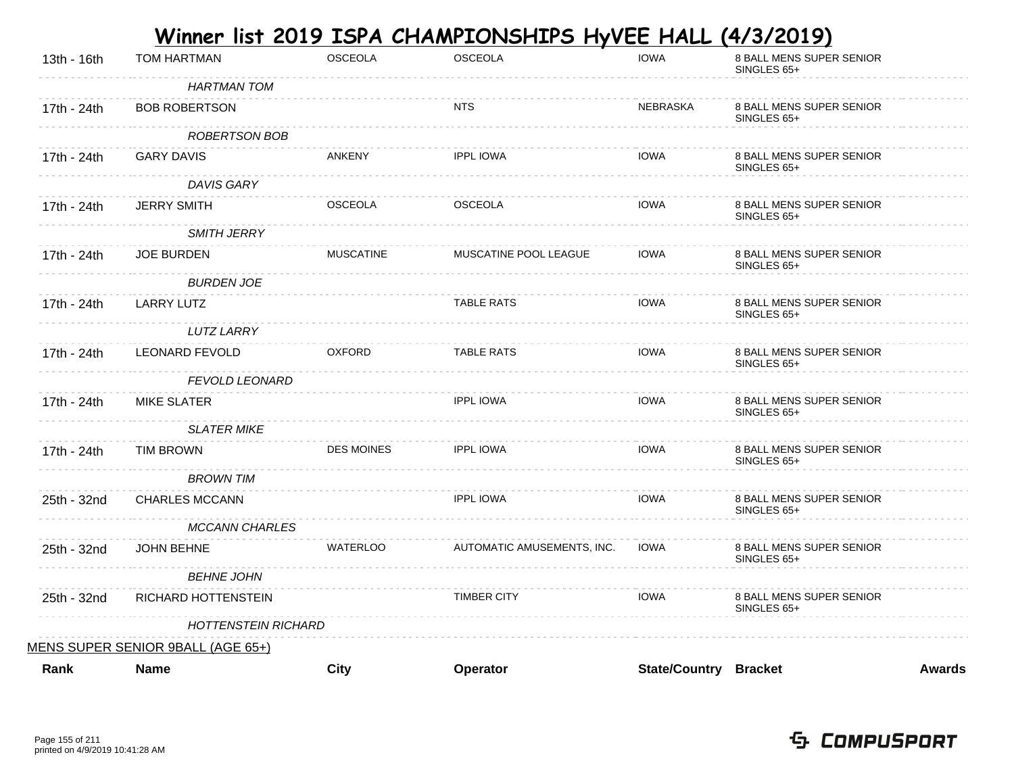|             |                                   |                   | <u>Winner list 2019 ISPA CHAMPIONSHIPS HyVEE HALL (4/3/2019)</u> |                              |                                         |               |
|-------------|-----------------------------------|-------------------|------------------------------------------------------------------|------------------------------|-----------------------------------------|---------------|
| 13th - 16th | <b>TOM HARTMAN</b>                | <b>OSCEOLA</b>    | <b>OSCEOLA</b>                                                   | <b>IOWA</b>                  | 8 BALL MENS SUPER SENIOR<br>SINGLES 65+ |               |
|             | <b>HARTMAN TOM</b>                |                   |                                                                  |                              |                                         |               |
| 17th - 24th | <b>BOB ROBERTSON</b>              |                   | <b>NTS</b>                                                       | <b>NEBRASKA</b>              | 8 BALL MENS SUPER SENIOR<br>SINGLES 65+ |               |
|             | ROBERTSON BOB                     |                   |                                                                  |                              |                                         |               |
| 17th - 24th | <b>GARY DAVIS</b>                 | <b>ANKENY</b>     | <b>IPPL IOWA</b>                                                 | <b>IOWA</b>                  | 8 BALL MENS SUPER SENIOR<br>SINGLES 65+ |               |
|             | DAVIS GARY                        |                   |                                                                  |                              |                                         |               |
| 17th - 24th | <b>JERRY SMITH</b>                | <b>OSCEOLA</b>    | <b>OSCEOLA</b>                                                   | <b>IOWA</b>                  | 8 BALL MENS SUPER SENIOR<br>SINGLES 65+ |               |
|             | <b>SMITH JERRY</b>                |                   |                                                                  |                              |                                         |               |
| 17th - 24th | <b>JOE BURDEN</b>                 | <b>MUSCATINE</b>  | MUSCATINE POOL LEAGUE                                            | <b>IOWA</b>                  | 8 BALL MENS SUPER SENIOR<br>SINGLES 65+ |               |
|             | <b>BURDEN JOE</b>                 |                   |                                                                  |                              |                                         |               |
| 17th - 24th | <b>LARRY LUTZ</b>                 |                   | <b>TABLE RATS</b>                                                | <b>IOWA</b>                  | 8 BALL MENS SUPER SENIOR<br>SINGLES 65+ |               |
|             | <b>LUTZ LARRY</b>                 |                   |                                                                  |                              |                                         |               |
| 17th - 24th | <b>LEONARD FEVOLD</b>             | <b>OXFORD</b>     | <b>TABLE RATS</b>                                                | <b>IOWA</b>                  | 8 BALL MENS SUPER SENIOR<br>SINGLES 65+ |               |
|             | <b>FEVOLD LEONARD</b>             |                   |                                                                  |                              |                                         |               |
| 17th - 24th | <b>MIKE SLATER</b>                |                   | <b>IPPL IOWA</b>                                                 | <b>IOWA</b>                  | 8 BALL MENS SUPER SENIOR<br>SINGLES 65+ |               |
|             | <b>SLATER MIKE</b>                |                   |                                                                  |                              |                                         |               |
| 17th - 24th | <b>TIM BROWN</b>                  | <b>DES MOINES</b> | <b>IPPL IOWA</b>                                                 | <b>IOWA</b>                  | 8 BALL MENS SUPER SENIOR<br>SINGLES 65+ |               |
|             | <b>BROWN TIM</b>                  |                   |                                                                  |                              |                                         |               |
| 25th - 32nd | <b>CHARLES MCCANN</b>             |                   | <b>IPPL IOWA</b>                                                 | <b>IOWA</b>                  | 8 BALL MENS SUPER SENIOR<br>SINGLES 65+ |               |
|             | <b>MCCANN CHARLES</b>             |                   |                                                                  |                              |                                         |               |
| 25th - 32nd | <b>JOHN BEHNE</b>                 | <b>WATERLOO</b>   | AUTOMATIC AMUSEMENTS, INC.                                       | <b>IOWA</b>                  | 8 BALL MENS SUPER SENIOR<br>SINGLES 65+ |               |
|             | <b>BEHNE JOHN</b>                 |                   |                                                                  |                              |                                         |               |
| 25th - 32nd | RICHARD HOTTENSTEIN               |                   | <b>TIMBER CITY</b>                                               | <b>IOWA</b>                  | 8 BALL MENS SUPER SENIOR<br>SINGLES 65+ |               |
|             | <b>HOTTENSTEIN RICHARD</b>        |                   |                                                                  |                              |                                         |               |
|             | MENS SUPER SENIOR 9BALL (AGE 65+) |                   |                                                                  |                              |                                         |               |
| Rank        | <b>Name</b>                       | City              | Operator                                                         | <b>State/Country Bracket</b> |                                         | <b>Awards</b> |

 **Contract Contract**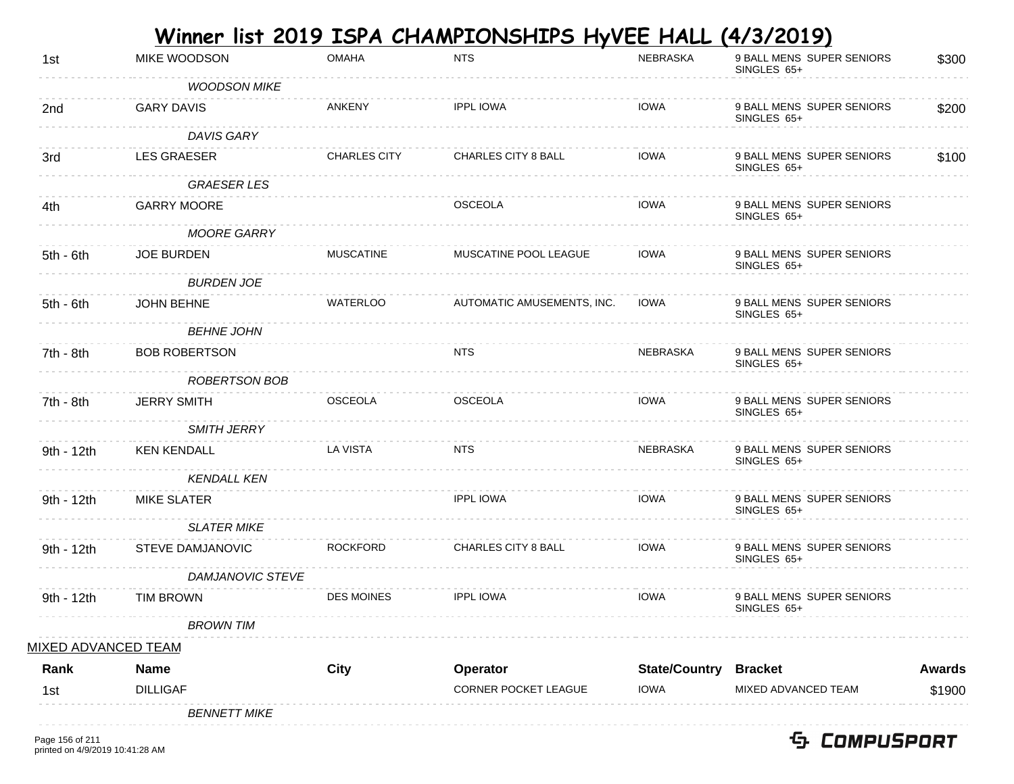|                         |                                                                                    | <b>NTS</b>                                                         | <b>NEBRASKA</b>                                           | 9 BALL MENS SUPER SENIORS<br>SINGLES 65+ | \$300                                                                                      |
|-------------------------|------------------------------------------------------------------------------------|--------------------------------------------------------------------|-----------------------------------------------------------|------------------------------------------|--------------------------------------------------------------------------------------------|
| <b>WOODSON MIKE</b>     |                                                                                    |                                                                    |                                                           |                                          |                                                                                            |
| <b>GARY DAVIS</b>       | ANKENY                                                                             | <b>IPPL IOWA</b>                                                   | <b>IOWA</b>                                               | 9 BALL MENS SUPER SENIORS<br>SINGLES 65+ | \$200                                                                                      |
| DAVIS GARY              |                                                                                    |                                                                    |                                                           |                                          |                                                                                            |
| <b>LES GRAESER</b>      | <b>CHARLES CITY</b>                                                                | <b>CHARLES CITY 8 BALL</b>                                         | <b>IOWA</b>                                               | 9 BALL MENS SUPER SENIORS<br>SINGLES 65+ | \$100                                                                                      |
| <b>GRAESER LES</b>      |                                                                                    |                                                                    |                                                           |                                          |                                                                                            |
| <b>GARRY MOORE</b>      |                                                                                    | <b>OSCEOLA</b>                                                     | <b>IOWA</b>                                               | 9 BALL MENS SUPER SENIORS<br>SINGLES 65+ |                                                                                            |
| <b>MOORE GARRY</b>      |                                                                                    |                                                                    |                                                           |                                          |                                                                                            |
| <b>JOE BURDEN</b>       | <b>MUSCATINE</b>                                                                   | MUSCATINE POOL LEAGUE                                              | <b>IOWA</b>                                               | 9 BALL MENS SUPER SENIORS<br>SINGLES 65+ |                                                                                            |
| <b>BURDEN JOE</b>       |                                                                                    |                                                                    |                                                           |                                          |                                                                                            |
| <b>JOHN BEHNE</b>       | <b>WATERLOO</b>                                                                    | AUTOMATIC AMUSEMENTS, INC.                                         | <b>IOWA</b>                                               | 9 BALL MENS SUPER SENIORS<br>SINGLES 65+ |                                                                                            |
| <b>BEHNE JOHN</b>       |                                                                                    |                                                                    |                                                           |                                          |                                                                                            |
| <b>BOB ROBERTSON</b>    |                                                                                    | <b>NTS</b>                                                         | <b>NEBRASKA</b>                                           | 9 BALL MENS SUPER SENIORS<br>SINGLES 65+ |                                                                                            |
|                         |                                                                                    |                                                                    |                                                           |                                          |                                                                                            |
|                         |                                                                                    |                                                                    |                                                           | SINGLES 65+                              |                                                                                            |
| <b>SMITH JERRY</b>      |                                                                                    |                                                                    |                                                           |                                          |                                                                                            |
| <b>KEN KENDALL</b>      | <b>LA VISTA</b>                                                                    | <b>NTS</b>                                                         | <b>NEBRASKA</b>                                           | 9 BALL MENS SUPER SENIORS<br>SINGLES 65+ |                                                                                            |
| <b>KENDALL KEN</b>      |                                                                                    |                                                                    |                                                           |                                          |                                                                                            |
| <b>MIKE SLATER</b>      |                                                                                    | <b>IPPL IOWA</b>                                                   | <b>IOWA</b>                                               | 9 BALL MENS SUPER SENIORS<br>SINGLES 65+ |                                                                                            |
| <b>SLATER MIKE</b>      |                                                                                    |                                                                    |                                                           |                                          |                                                                                            |
| <b>STEVE DAMJANOVIC</b> | <b>ROCKFORD</b>                                                                    | CHARLES CITY 8 BALL                                                | <b>IOWA</b>                                               | 9 BALL MENS SUPER SENIORS<br>SINGLES 65+ |                                                                                            |
|                         |                                                                                    |                                                                    |                                                           |                                          |                                                                                            |
| <b>TIM BROWN</b>        | <b>DES MOINES</b>                                                                  | <b>IPPL IOWA</b>                                                   | <b>IOWA</b>                                               | 9 BALL MENS SUPER SENIORS<br>SINGLES 65+ |                                                                                            |
| <b>BROWN TIM</b>        |                                                                                    |                                                                    |                                                           |                                          |                                                                                            |
|                         |                                                                                    |                                                                    |                                                           |                                          |                                                                                            |
|                         |                                                                                    |                                                                    |                                                           |                                          | <b>Awards</b>                                                                              |
|                         |                                                                                    |                                                                    |                                                           |                                          | \$1900                                                                                     |
| <b>BENNETT MIKE</b>     |                                                                                    |                                                                    |                                                           |                                          |                                                                                            |
|                         | <b>JERRY SMITH</b><br><b>MIXED ADVANCED TEAM</b><br><b>Name</b><br><b>DILLIGAF</b> | ROBERTSON BOB<br><b>OSCEOLA</b><br>DAMJANOVIC STEVE<br><b>City</b> | <b>OSCEOLA</b><br>Operator<br><b>CORNER POCKET LEAGUE</b> | <b>IOWA</b><br><b>IOWA</b>               | 9 BALL MENS SUPER SENIORS<br><b>State/Country</b><br><b>Bracket</b><br>MIXED ADVANCED TEAM |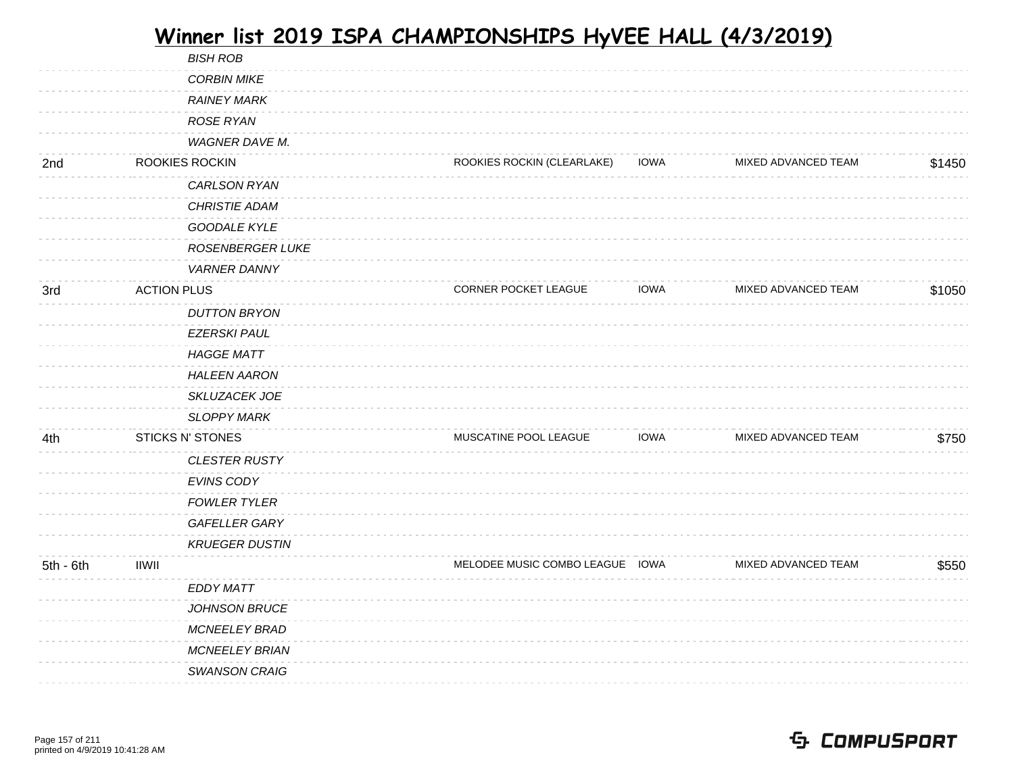|           |                    | <b>BISH ROB</b>         |                                 |             |                     |        |
|-----------|--------------------|-------------------------|---------------------------------|-------------|---------------------|--------|
|           |                    | <b>CORBIN MIKE</b>      |                                 |             |                     |        |
|           |                    | <b>RAINEY MARK</b>      |                                 |             |                     |        |
|           |                    | ROSE RYAN               |                                 |             |                     |        |
|           |                    | WAGNER DAVE M.          |                                 |             |                     |        |
| 2nd       |                    | ROOKIES ROCKIN          | ROOKIES ROCKIN (CLEARLAKE)      | <b>IOWA</b> | MIXED ADVANCED TEAM | \$1450 |
|           |                    | CARLSON RYAN            |                                 |             |                     |        |
|           |                    | <b>CHRISTIE ADAM</b>    |                                 |             |                     |        |
|           |                    | <b>GOODALE KYLE</b>     |                                 |             |                     |        |
|           |                    | <b>ROSENBERGER LUKE</b> |                                 |             |                     |        |
|           |                    | <b>VARNER DANNY</b>     |                                 |             |                     |        |
| 3rd       | <b>ACTION PLUS</b> |                         | CORNER POCKET LEAGUE            | <b>IOWA</b> | MIXED ADVANCED TEAM | \$1050 |
|           |                    | <b>DUTTON BRYON</b>     |                                 |             |                     |        |
|           |                    | <b>EZERSKI PAUL</b>     |                                 |             |                     |        |
|           |                    | <b>HAGGE MATT</b>       |                                 |             |                     |        |
|           |                    | <b>HALEEN AARON</b>     |                                 |             |                     |        |
|           |                    | SKLUZACEK JOE           |                                 |             |                     |        |
|           |                    | <b>SLOPPY MARK</b>      |                                 |             |                     |        |
| 4th       |                    | <b>STICKS N' STONES</b> | MUSCATINE POOL LEAGUE           | <b>IOWA</b> | MIXED ADVANCED TEAM | \$750  |
|           |                    | <b>CLESTER RUSTY</b>    |                                 |             |                     |        |
|           |                    | EVINS CODY              |                                 |             |                     |        |
|           |                    | <b>FOWLER TYLER</b>     |                                 |             |                     |        |
|           |                    | <b>GAFELLER GARY</b>    |                                 |             |                     |        |
|           |                    | <b>KRUEGER DUSTIN</b>   |                                 |             |                     |        |
| 5th - 6th | <b>IIWII</b>       |                         | MELODEE MUSIC COMBO LEAGUE IOWA |             | MIXED ADVANCED TEAM | \$550  |
|           |                    | <b>EDDY MATT</b>        |                                 |             |                     |        |
|           |                    | JOHNSON BRUCE           |                                 |             |                     |        |
|           |                    | <b>MCNEELEY BRAD</b>    |                                 |             |                     |        |
|           |                    | <b>MCNEELEY BRIAN</b>   |                                 |             |                     |        |
|           |                    | <b>SWANSON CRAIG</b>    |                                 |             |                     |        |
|           |                    |                         |                                 |             |                     |        |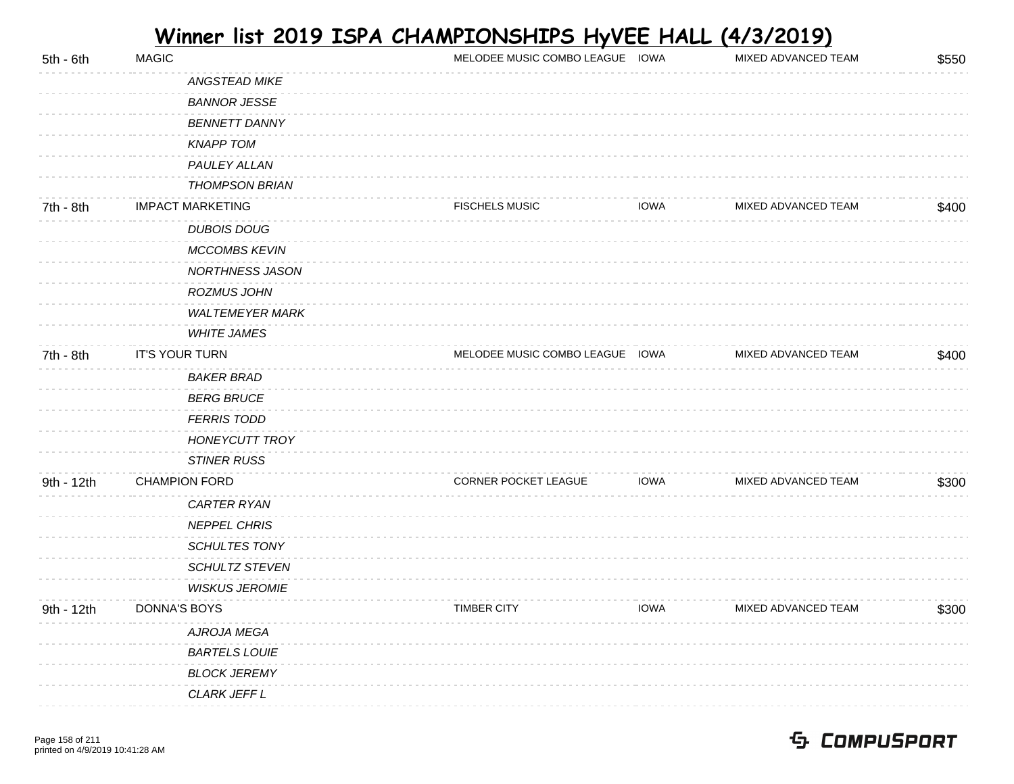| $5th - 6th$ | <b>MAGIC</b>            | MELODEE MUSIC COMBO LEAGUE IOWA |             | MIXED ADVANCED TEAM | \$550 |
|-------------|-------------------------|---------------------------------|-------------|---------------------|-------|
|             | ANGSTEAD MIKE           |                                 |             |                     |       |
|             | <b>BANNOR JESSE</b>     |                                 |             |                     |       |
|             | <b>BENNETT DANNY</b>    |                                 |             |                     |       |
|             | <b>KNAPP TOM</b>        |                                 |             |                     |       |
|             | PAULEY ALLAN            |                                 |             |                     |       |
|             | <b>THOMPSON BRIAN</b>   |                                 |             |                     |       |
| 7th - 8th   | <b>IMPACT MARKETING</b> | <b>FISCHELS MUSIC</b>           | <b>IOWA</b> | MIXED ADVANCED TEAM | \$400 |
|             | <b>DUBOIS DOUG</b>      |                                 |             |                     |       |
|             | MCCOMBS KEVIN           |                                 |             |                     |       |
|             | NORTHNESS JASON         |                                 |             |                     |       |
|             | <b>ROZMUS JOHN</b>      |                                 |             |                     |       |
|             | <b>WALTEMEYER MARK</b>  |                                 |             |                     |       |
|             | <b>WHITE JAMES</b>      |                                 |             |                     |       |
| 7th - 8th   | IT'S YOUR TURN          | MELODEE MUSIC COMBO LEAGUE IOWA |             | MIXED ADVANCED TEAM | \$400 |
|             | <b>BAKER BRAD</b>       |                                 |             |                     |       |
|             | <b>BERG BRUCE</b>       |                                 |             |                     |       |
|             | <b>FERRIS TODD</b>      |                                 |             |                     |       |
|             | <b>HONEYCUTT TROY</b>   |                                 |             |                     |       |
|             | <b>STINER RUSS</b>      |                                 |             |                     |       |
| 9th - 12th  | <b>CHAMPION FORD</b>    | CORNER POCKET LEAGUE            | <b>IOWA</b> | MIXED ADVANCED TEAM | \$300 |
|             | CARTER RYAN             |                                 |             |                     |       |
|             | <b>NEPPEL CHRIS</b>     |                                 |             |                     |       |
|             | <b>SCHULTES TONY</b>    |                                 |             |                     |       |
|             | SCHULTZ STEVEN          |                                 |             |                     |       |
|             | <b>WISKUS JEROMIE</b>   |                                 |             |                     |       |
| 9th - 12th  | DONNA'S BOYS            | <b>TIMBER CITY</b>              | <b>IOWA</b> | MIXED ADVANCED TEAM | \$300 |
|             | AJROJA MEGA             |                                 |             |                     |       |
|             | <b>BARTELS LOUIE</b>    |                                 |             |                     |       |
|             | <b>BLOCK JEREMY</b>     |                                 |             |                     |       |
|             | CLARK JEFF L            |                                 |             |                     |       |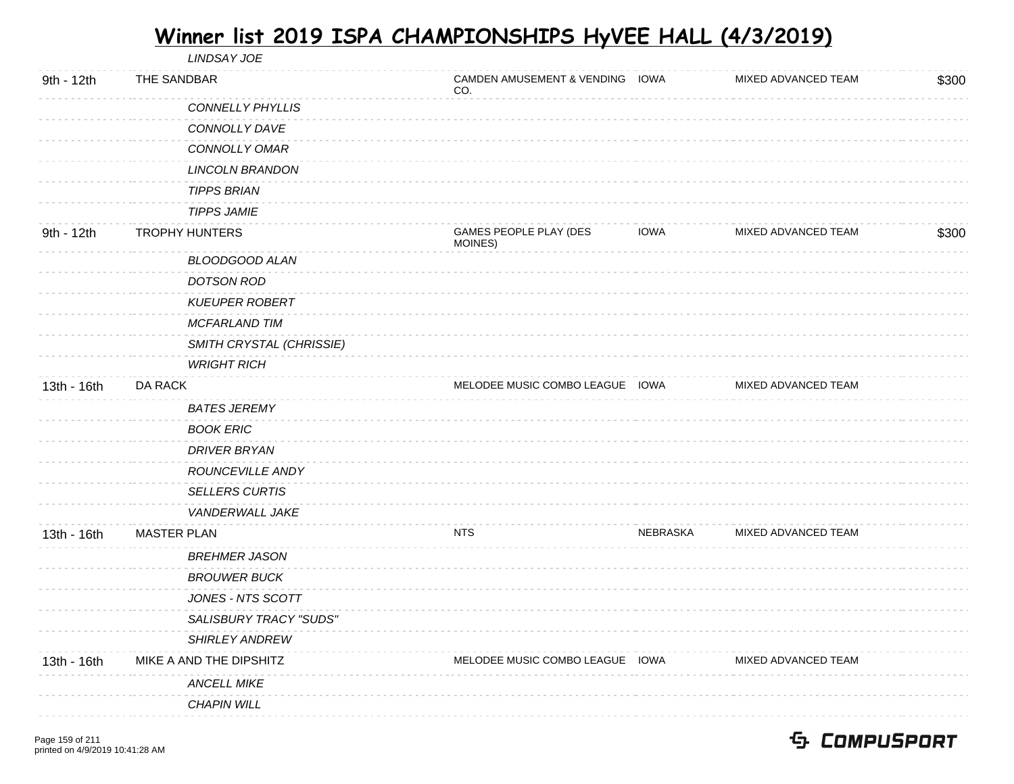LINDSAY JOE

| 9th - 12th  | THE SANDBAR                   | CAMDEN AMUSEMENT & VENDING IOWA<br>CO. |                 | MIXED ADVANCED TEAM | \$300 |
|-------------|-------------------------------|----------------------------------------|-----------------|---------------------|-------|
|             | <b>CONNELLY PHYLLIS</b>       |                                        |                 |                     |       |
|             | CONNOLLY DAVE                 |                                        |                 |                     |       |
|             | CONNOLLY OMAR                 |                                        |                 |                     |       |
|             | <b>LINCOLN BRANDON</b>        |                                        |                 |                     |       |
|             | <b>TIPPS BRIAN</b>            |                                        |                 |                     |       |
|             | <b>TIPPS JAMIE</b>            |                                        |                 |                     |       |
| 9th - 12th  | <b>TROPHY HUNTERS</b>         | GAMES PEOPLE PLAY (DES<br>MOINES)      | IOWA            | MIXED ADVANCED TEAM | \$300 |
|             | <b>BLOODGOOD ALAN</b>         |                                        |                 |                     |       |
|             | <b>DOTSON ROD</b>             |                                        |                 |                     |       |
|             | <b>KUEUPER ROBERT</b>         |                                        |                 |                     |       |
|             | <b>MCFARLAND TIM</b>          |                                        |                 |                     |       |
|             | SMITH CRYSTAL (CHRISSIE)      |                                        |                 |                     |       |
|             | <b>WRIGHT RICH</b>            |                                        |                 |                     |       |
| 13th - 16th | DA RACK                       | MELODEE MUSIC COMBO LEAGUE IOWA        |                 | MIXED ADVANCED TEAM |       |
|             | <b>BATES JEREMY</b>           |                                        |                 |                     |       |
|             | <b>BOOK ERIC</b>              |                                        |                 |                     |       |
|             | <b>DRIVER BRYAN</b>           |                                        |                 |                     |       |
|             | ROUNCEVILLE ANDY              |                                        |                 |                     |       |
|             | <b>SELLERS CURTIS</b>         |                                        |                 |                     |       |
|             | VANDERWALL JAKE               |                                        |                 |                     |       |
| 13th - 16th | <b>MASTER PLAN</b>            | <b>NTS</b>                             | <b>NEBRASKA</b> | MIXED ADVANCED TEAM |       |
|             | <b>BREHMER JASON</b>          |                                        |                 |                     |       |
|             | <b>BROUWER BUCK</b>           |                                        |                 |                     |       |
|             | JONES - NTS SCOTT             |                                        |                 |                     |       |
|             | <b>SALISBURY TRACY "SUDS"</b> |                                        |                 |                     |       |
|             | SHIRLEY ANDREW                |                                        |                 |                     |       |
| 13th - 16th | MIKE A AND THE DIPSHITZ       | MELODEE MUSIC COMBO LEAGUE IOWA        |                 | MIXED ADVANCED TEAM |       |
|             | <b>ANCELL MIKE</b>            |                                        |                 |                     |       |
|             | <b>CHAPIN WILL</b>            |                                        |                 |                     |       |
|             |                               |                                        |                 |                     |       |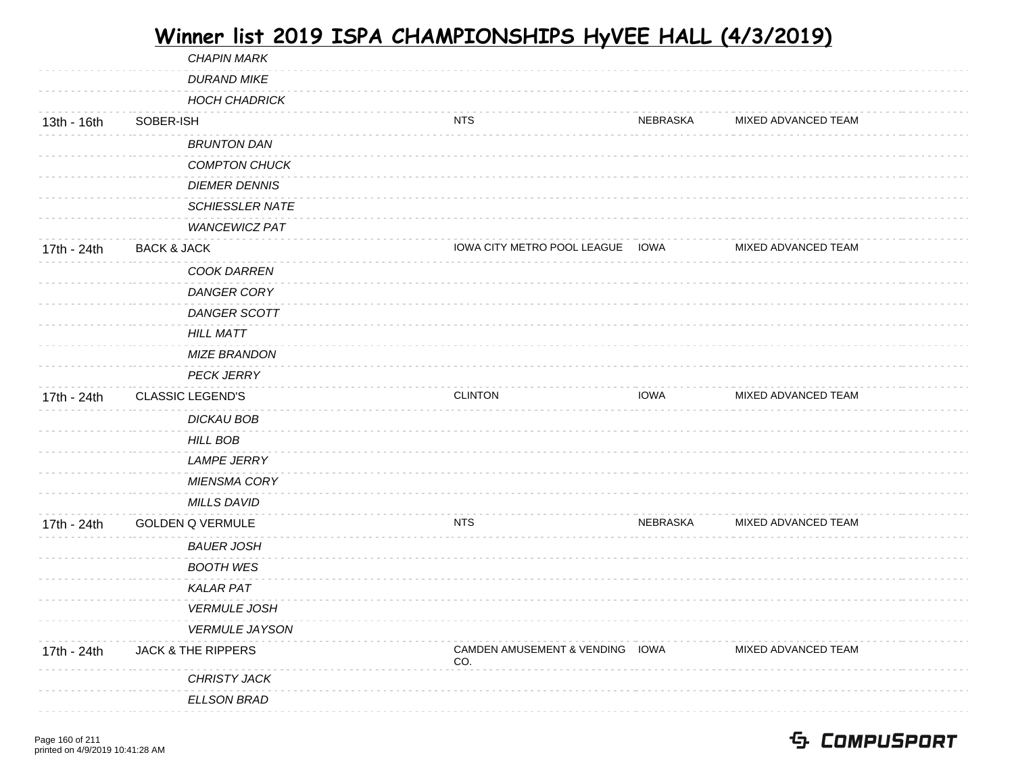| MIXED ADVANCED TEAM |
|---------------------|
|                     |
|                     |
|                     |
|                     |
|                     |
|                     |
|                     |
|                     |
| MIXED ADVANCED TEAM |
|                     |
|                     |
|                     |
|                     |
|                     |
|                     |
| MIXED ADVANCED TEAM |
|                     |
|                     |
|                     |
|                     |
|                     |
|                     |
| MIXED ADVANCED TEAM |
|                     |
|                     |
|                     |
|                     |
|                     |
| MIXED ADVANCED TEAM |
|                     |
|                     |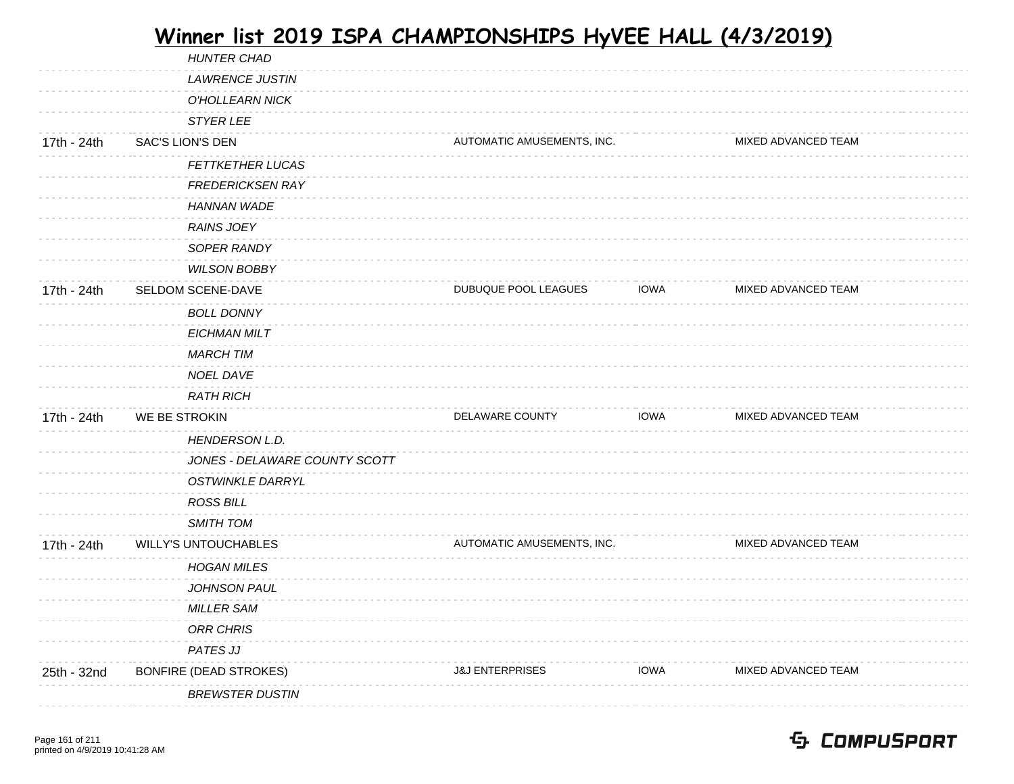| <b>HUNTER CHAD</b>            |                            |             |                            |  |
|-------------------------------|----------------------------|-------------|----------------------------|--|
| <b>LAWRENCE JUSTIN</b>        |                            |             |                            |  |
| <b>O'HOLLEARN NICK</b>        |                            |             |                            |  |
| STYER LEE                     |                            |             |                            |  |
| <b>SAC'S LION'S DEN</b>       |                            |             | MIXED ADVANCED TEAM        |  |
| FETTKETHER LUCAS              |                            |             |                            |  |
| <b>FREDERICKSEN RAY</b>       |                            |             |                            |  |
| <b>HANNAN WADE</b>            |                            |             |                            |  |
| RAINS JOEY                    |                            |             |                            |  |
| <b>SOPER RANDY</b>            |                            |             |                            |  |
| <b>WILSON BOBBY</b>           |                            |             |                            |  |
| SELDOM SCENE-DAVE             | DUBUQUE POOL LEAGUES       | <b>IOWA</b> | MIXED ADVANCED TEAM        |  |
| <b>BOLL DONNY</b>             |                            |             |                            |  |
| <b>EICHMAN MILT</b>           |                            |             |                            |  |
| <b>MARCH TIM</b>              |                            |             |                            |  |
| NOEL DAVE                     |                            |             |                            |  |
| <b>RATH RICH</b>              |                            |             |                            |  |
| WE BE STROKIN                 | DELAWARE COUNTY            | <b>IOWA</b> | MIXED ADVANCED TEAM        |  |
| HENDERSON L.D.                |                            |             |                            |  |
| JONES - DELAWARE COUNTY SCOTT |                            |             |                            |  |
| <b>OSTWINKLE DARRYL</b>       |                            |             |                            |  |
|                               |                            |             |                            |  |
| <b>ROSS BILL</b>              |                            |             |                            |  |
| <b>SMITH TOM</b>              |                            |             |                            |  |
| <b>WILLY'S UNTOUCHABLES</b>   | AUTOMATIC AMUSEMENTS, INC. |             | MIXED ADVANCED TEAM        |  |
| <b>HOGAN MILES</b>            |                            |             |                            |  |
| JOHNSON PAUL                  |                            |             |                            |  |
| <b>MILLER SAM</b>             |                            |             |                            |  |
| <b>ORR CHRIS</b>              |                            |             |                            |  |
| PATES JJ                      |                            |             |                            |  |
| <b>BONFIRE (DEAD STROKES)</b> | <b>J&amp;J ENTERPRISES</b> | <b>IOWA</b> | MIXED ADVANCED TEAM        |  |
|                               |                            |             | AUTOMATIC AMUSEMENTS, INC. |  |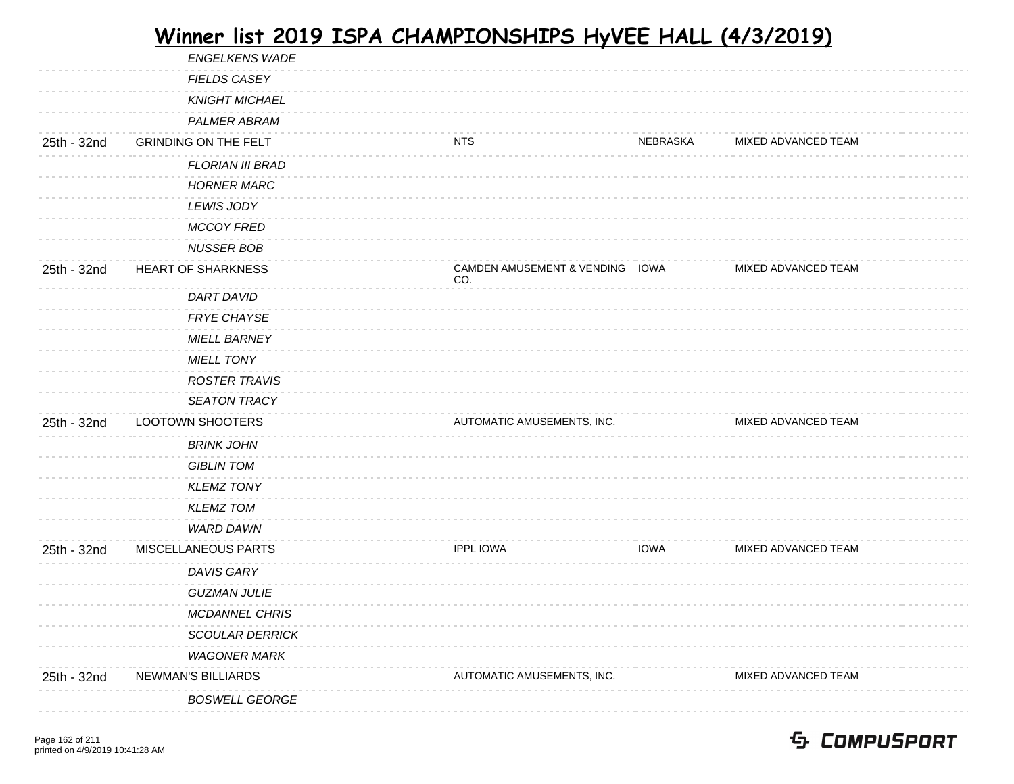|             | DAVIS GARY<br><b>GUZMAN JULIE</b> |                                 |             |                     |  |
|-------------|-----------------------------------|---------------------------------|-------------|---------------------|--|
|             |                                   |                                 |             |                     |  |
| 25th - 32nd | MISCELLANEOUS PARTS               | <b>IPPL IOWA</b>                | <b>IOWA</b> | MIXED ADVANCED TEAM |  |
|             | WARD DAWN                         |                                 |             |                     |  |
|             | <b>KLEMZ TOM</b>                  |                                 |             |                     |  |
|             | <b>KLEMZ TONY</b>                 |                                 |             |                     |  |
|             | <b>GIBLIN TOM</b>                 |                                 |             |                     |  |
|             | <b>BRINK JOHN</b>                 |                                 |             |                     |  |
| 25th - 32nd | <b>LOOTOWN SHOOTERS</b>           | AUTOMATIC AMUSEMENTS, INC.      |             | MIXED ADVANCED TEAM |  |
|             | <b>SEATON TRACY</b>               |                                 |             |                     |  |
|             | <b>ROSTER TRAVIS</b>              |                                 |             |                     |  |
|             | <b>MIELL TONY</b>                 |                                 |             |                     |  |
|             | <b>MIELL BARNEY</b>               |                                 |             |                     |  |
|             | FRYE CHAYSE                       |                                 |             |                     |  |
|             | <b>DART DAVID</b>                 | CO.                             |             |                     |  |
| 25th - 32nd | HEART OF SHARKNESS                | CAMDEN AMUSEMENT & VENDING IOWA |             | MIXED ADVANCED TEAM |  |
|             | <b>NUSSER BOB</b>                 |                                 |             |                     |  |
|             | <b>MCCOY FRED</b>                 |                                 |             |                     |  |
|             | <b>LEWIS JODY</b>                 |                                 |             |                     |  |
|             | <b>HORNER MARC</b>                |                                 |             |                     |  |
|             | <b>FLORIAN III BRAD</b>           |                                 |             |                     |  |
| 25th - 32nd | <b>GRINDING ON THE FELT</b>       | NTS                             | NEBRASKA    | MIXED ADVANCED TEAM |  |
|             | <b>PALMER ABRAM</b>               |                                 |             |                     |  |
|             | <b>KNIGHT MICHAEL</b>             |                                 |             |                     |  |
|             | FIELDS CASEY                      |                                 |             |                     |  |
|             | <b>ENGELKENS WADE</b>             |                                 |             |                     |  |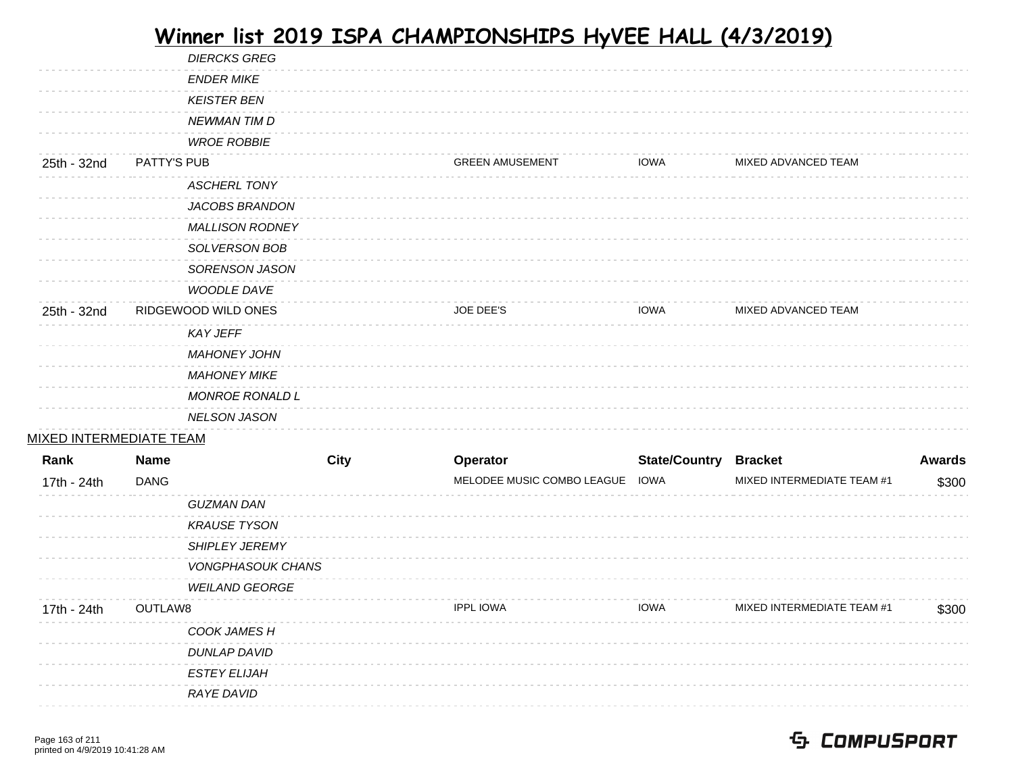|                                |             | <b>DIERCKS GREG</b>      |             |                                 |                              |                            |               |
|--------------------------------|-------------|--------------------------|-------------|---------------------------------|------------------------------|----------------------------|---------------|
|                                |             | <b>ENDER MIKE</b>        |             |                                 |                              |                            |               |
|                                |             | <b>KEISTER BEN</b>       |             |                                 |                              |                            |               |
|                                |             | <b>NEWMAN TIM D</b>      |             |                                 |                              |                            |               |
|                                |             | <b>WROE ROBBIE</b>       |             |                                 |                              |                            |               |
| 25th - 32nd                    | PATTY'S PUB |                          |             | <b>GREEN AMUSEMENT</b>          | <b>IOWA</b>                  | MIXED ADVANCED TEAM        |               |
|                                |             | <b>ASCHERL TONY</b>      |             |                                 |                              |                            |               |
|                                |             | JACOBS BRANDON           |             |                                 |                              |                            |               |
|                                |             | <b>MALLISON RODNEY</b>   |             |                                 |                              |                            |               |
|                                |             | SOLVERSON BOB            |             |                                 |                              |                            |               |
|                                |             | SORENSON JASON           |             |                                 |                              |                            |               |
|                                |             | WOODLE DAVE              |             |                                 |                              |                            |               |
| 25th - 32nd                    |             | RIDGEWOOD WILD ONES      |             | <b>JOE DEE'S</b>                | <b>IOWA</b>                  | MIXED ADVANCED TEAM        |               |
|                                |             | <b>KAY JEFF</b>          |             |                                 |                              |                            |               |
|                                |             | <b>MAHONEY JOHN</b>      |             |                                 |                              |                            |               |
|                                |             | <b>MAHONEY MIKE</b>      |             |                                 |                              |                            |               |
|                                |             | <b>MONROE RONALD L</b>   |             |                                 |                              |                            |               |
|                                |             |                          |             |                                 |                              |                            |               |
|                                |             | <b>NELSON JASON</b>      |             |                                 |                              |                            |               |
| <u>MIXED INTERMEDIATE TEAM</u> |             |                          |             |                                 |                              |                            |               |
| Rank                           | <b>Name</b> |                          | <b>City</b> | Operator                        | <b>State/Country Bracket</b> |                            | <b>Awards</b> |
| 17th - 24th                    | <b>DANG</b> |                          |             | MELODEE MUSIC COMBO LEAGUE IOWA |                              | MIXED INTERMEDIATE TEAM #1 | \$300         |
|                                |             | <b>GUZMAN DAN</b>        |             |                                 |                              |                            |               |
|                                |             | <b>KRAUSE TYSON</b>      |             |                                 |                              |                            |               |
|                                |             | SHIPLEY JEREMY           |             |                                 |                              |                            |               |
|                                |             | <b>VONGPHASOUK CHANS</b> |             |                                 |                              |                            |               |
|                                |             | <b>WEILAND GEORGE</b>    |             |                                 |                              |                            |               |
| 17th - 24th                    | OUTLAW8     |                          |             | <b>IPPL IOWA</b>                | <b>IOWA</b>                  | MIXED INTERMEDIATE TEAM #1 | \$300         |
|                                |             | COOK JAMES H             |             |                                 |                              |                            |               |
|                                |             | <b>DUNLAP DAVID</b>      |             |                                 |                              |                            |               |
|                                |             | <b>ESTEY ELIJAH</b>      |             |                                 |                              |                            |               |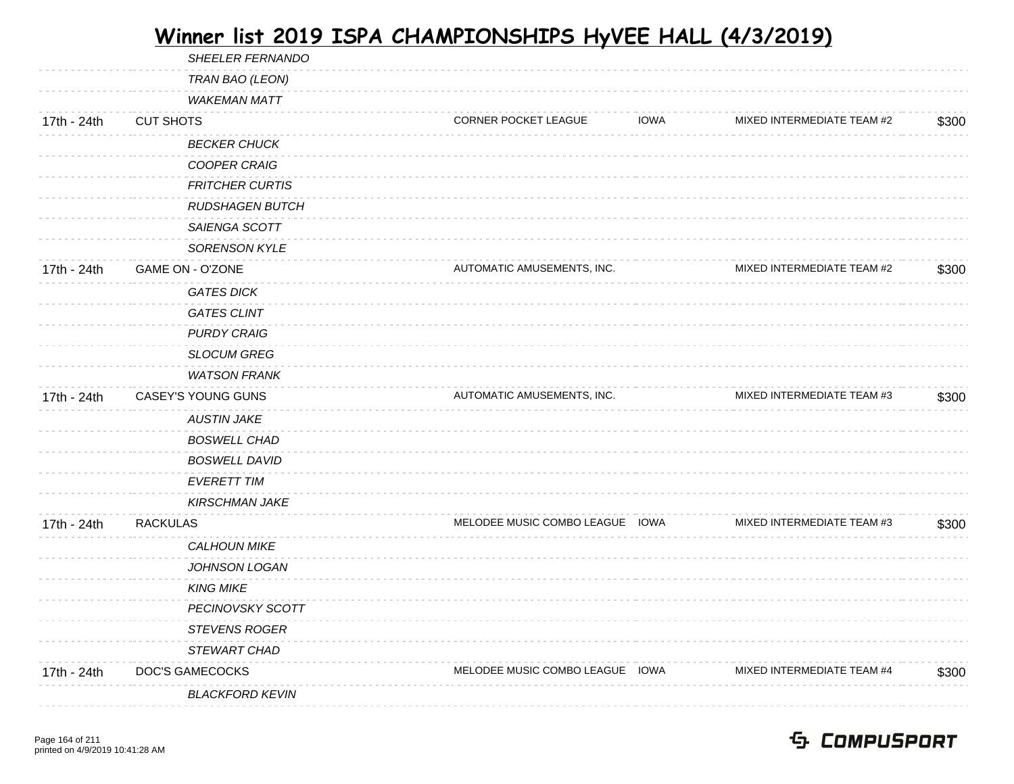|             | SHEELER FERNANDO        |                                 |             |                            |       |
|-------------|-------------------------|---------------------------------|-------------|----------------------------|-------|
|             | TRAN BAO (LEON)         |                                 |             |                            |       |
|             | <b>WAKEMAN MATT</b>     |                                 |             |                            |       |
| 17th - 24th | <b>CUT SHOTS</b>        | <b>CORNER POCKET LEAGUE</b>     | <b>IOWA</b> | MIXED INTERMEDIATE TEAM #2 | \$300 |
|             | <b>BECKER CHUCK</b>     |                                 |             |                            |       |
|             | <b>COOPER CRAIG</b>     |                                 |             |                            |       |
|             | <b>FRITCHER CURTIS</b>  |                                 |             |                            |       |
|             | <b>RUDSHAGEN BUTCH</b>  |                                 |             |                            |       |
|             | SAIENGA SCOTT           |                                 |             |                            |       |
|             | <b>SORENSON KYLE</b>    |                                 |             |                            |       |
| 17th - 24th | <b>GAME ON - O'ZONE</b> | AUTOMATIC AMUSEMENTS, INC.      |             | MIXED INTERMEDIATE TEAM #2 | \$300 |
|             | <b>GATES DICK</b>       |                                 |             |                            |       |
|             | <b>GATES CLINT</b>      |                                 |             |                            |       |
|             | <b>PURDY CRAIG</b>      |                                 |             |                            |       |
|             | <b>SLOCUM GREG</b>      |                                 |             |                            |       |
|             | <b>WATSON FRANK</b>     |                                 |             |                            |       |
| 17th - 24th | CASEY'S YOUNG GUNS      | AUTOMATIC AMUSEMENTS, INC.      |             | MIXED INTERMEDIATE TEAM #3 | \$300 |
|             | <b>AUSTIN JAKE</b>      |                                 |             |                            |       |
|             | <b>BOSWELL CHAD</b>     |                                 |             |                            |       |
|             | <b>BOSWELL DAVID</b>    |                                 |             |                            |       |
|             | <b>EVERETT TIM</b>      |                                 |             |                            |       |
|             | <b>KIRSCHMAN JAKE</b>   |                                 |             |                            |       |
| 17th - 24th | <b>RACKULAS</b>         | MELODEE MUSIC COMBO LEAGUE IOWA |             | MIXED INTERMEDIATE TEAM #3 | \$300 |
|             | <b>CALHOUN MIKE</b>     |                                 |             |                            |       |
|             | JOHNSON LOGAN           |                                 |             |                            |       |
|             | <b>KING MIKE</b>        |                                 |             |                            |       |
|             | <b>PECINOVSKY SCOTT</b> |                                 |             |                            |       |
|             | <b>STEVENS ROGER</b>    |                                 |             |                            |       |
|             | STEWART CHAD            |                                 |             |                            |       |
| 17th - 24th | DOC'S GAMECOCKS         | MELODEE MUSIC COMBO LEAGUE IOWA |             | MIXED INTERMEDIATE TEAM #4 | \$300 |
|             | <b>BLACKFORD KEVIN</b>  |                                 |             |                            |       |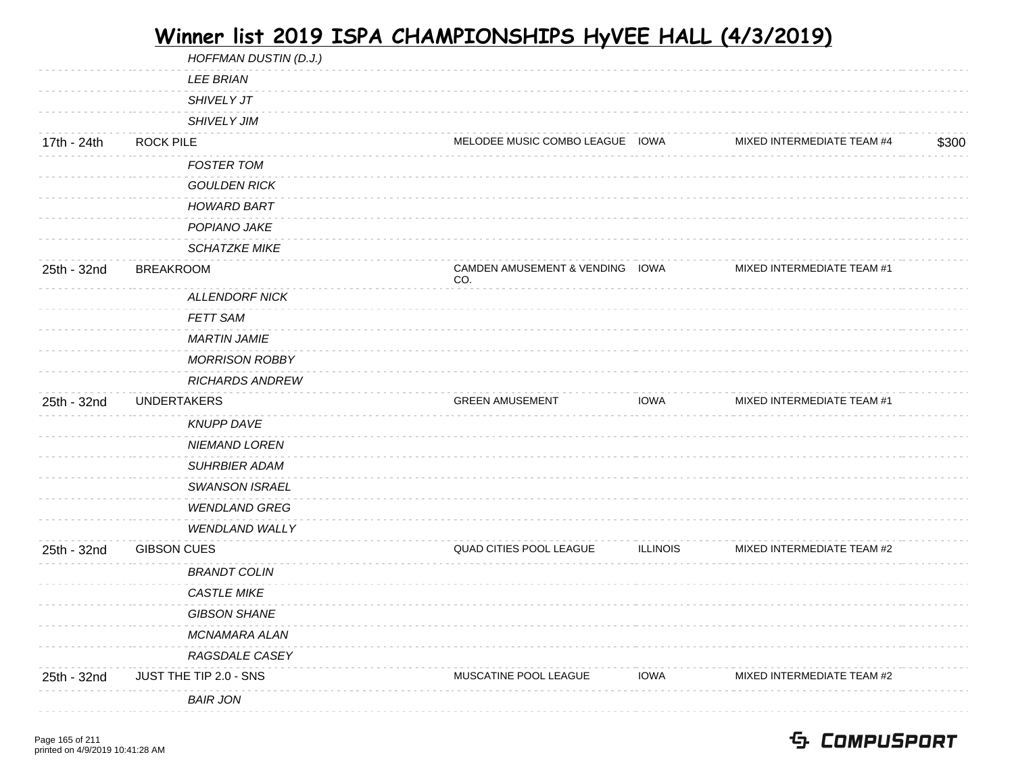|             | HOFFMAN DUSTIN (D.J.)  |                                        |                 |                            |       |
|-------------|------------------------|----------------------------------------|-----------------|----------------------------|-------|
|             | <b>LEE BRIAN</b>       |                                        |                 |                            |       |
|             | <b>SHIVELY JT</b>      |                                        |                 |                            |       |
|             | SHIVELY JIM            |                                        |                 |                            |       |
| 17th - 24th | <b>ROCK PILE</b>       | MELODEE MUSIC COMBO LEAGUE IOWA        |                 | MIXED INTERMEDIATE TEAM #4 | \$300 |
|             | <b>FOSTER TOM</b>      |                                        |                 |                            |       |
|             | <b>GOULDEN RICK</b>    |                                        |                 |                            |       |
|             | <b>HOWARD BART</b>     |                                        |                 |                            |       |
|             | POPIANO JAKE           |                                        |                 |                            |       |
|             | <b>SCHATZKE MIKE</b>   |                                        |                 |                            |       |
| 25th - 32nd | <b>BREAKROOM</b>       | CAMDEN AMUSEMENT & VENDING IOWA<br>CO. |                 | MIXED INTERMEDIATE TEAM #1 |       |
|             | <b>ALLENDORF NICK</b>  |                                        |                 |                            |       |
|             | <b>FETT SAM</b>        |                                        |                 |                            |       |
|             | <b>MARTIN JAMIE</b>    |                                        |                 |                            |       |
|             | <b>MORRISON ROBBY</b>  |                                        |                 |                            |       |
|             | <b>RICHARDS ANDREW</b> |                                        |                 |                            |       |
| 25th - 32nd | <b>UNDERTAKERS</b>     | <b>GREEN AMUSEMENT</b>                 | <b>IOWA</b>     | MIXED INTERMEDIATE TEAM #1 |       |
|             | <b>KNUPP DAVE</b>      |                                        |                 |                            |       |
|             | <b>NIEMAND LOREN</b>   |                                        |                 |                            |       |
|             | <b>SUHRBIER ADAM</b>   |                                        |                 |                            |       |
|             | <b>SWANSON ISRAEL</b>  |                                        |                 |                            |       |
|             | <b>WENDLAND GREG</b>   |                                        |                 |                            |       |
|             | <b>WENDLAND WALLY</b>  |                                        |                 |                            |       |
| 25th - 32nd | <b>GIBSON CUES</b>     | QUAD CITIES POOL LEAGUE                | <b>ILLINOIS</b> | MIXED INTERMEDIATE TEAM #2 |       |
|             | <b>BRANDT COLIN</b>    |                                        |                 |                            |       |
|             | CASTLE MIKE            |                                        |                 |                            |       |
|             | <b>GIBSON SHANE</b>    |                                        |                 |                            |       |
|             | <b>MCNAMARA ALAN</b>   |                                        |                 |                            |       |
|             | RAGSDALE CASEY         |                                        |                 |                            |       |
| 25th - 32nd | JUST THE TIP 2.0 - SNS | MUSCATINE POOL LEAGUE                  | <b>IOWA</b>     | MIXED INTERMEDIATE TEAM #2 |       |
|             | <b>BAIR JON</b>        |                                        |                 |                            |       |
|             |                        |                                        |                 |                            |       |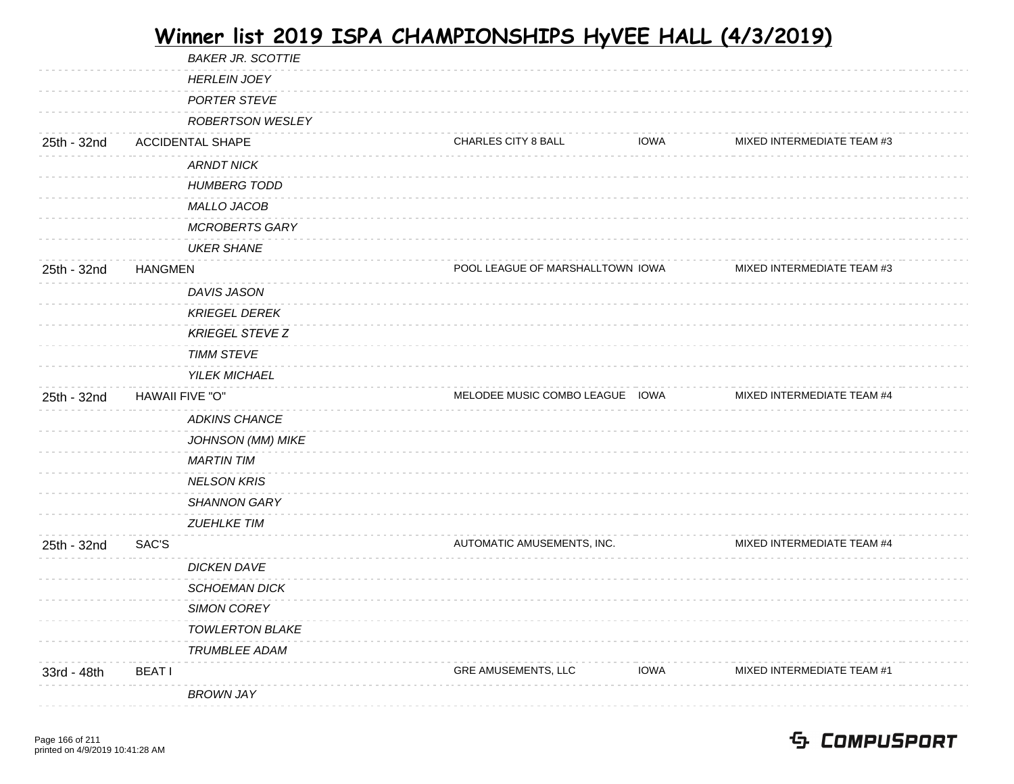|             | <b>BAKER JR. SCOTTIE</b> |                                  |             |                            |  |
|-------------|--------------------------|----------------------------------|-------------|----------------------------|--|
|             | <b>HERLEIN JOEY</b>      |                                  |             |                            |  |
|             | <b>PORTER STEVE</b>      |                                  |             |                            |  |
|             | <b>ROBERTSON WESLEY</b>  |                                  |             |                            |  |
| 25th - 32nd | <b>ACCIDENTAL SHAPE</b>  | CHARLES CITY 8 BALL              | <b>IOWA</b> | MIXED INTERMEDIATE TEAM #3 |  |
|             | <b>ARNDT NICK</b>        |                                  |             |                            |  |
|             | <b>HUMBERG TODD</b>      |                                  |             |                            |  |
|             | MALLO JACOB              |                                  |             |                            |  |
|             | <b>MCROBERTS GARY</b>    |                                  |             |                            |  |
|             | <b>UKER SHANE</b>        |                                  |             |                            |  |
| 25th - 32nd | <b>HANGMEN</b>           | POOL LEAGUE OF MARSHALLTOWN IOWA |             | MIXED INTERMEDIATE TEAM #3 |  |
|             | DAVIS JASON              |                                  |             |                            |  |
|             | <b>KRIEGEL DEREK</b>     |                                  |             |                            |  |
|             | <b>KRIEGEL STEVE Z</b>   |                                  |             |                            |  |
|             | <b>TIMM STEVE</b>        |                                  |             |                            |  |
|             | <b>YILEK MICHAEL</b>     |                                  |             |                            |  |
| 25th - 32nd | HAWAII FIVE "O"          | MELODEE MUSIC COMBO LEAGUE IOWA  |             | MIXED INTERMEDIATE TEAM #4 |  |
|             | <b>ADKINS CHANCE</b>     |                                  |             |                            |  |
|             | JOHNSON (MM) MIKE        |                                  |             |                            |  |
|             | <b>MARTIN TIM</b>        |                                  |             |                            |  |
|             | <b>NELSON KRIS</b>       |                                  |             |                            |  |
|             | <b>SHANNON GARY</b>      |                                  |             |                            |  |
|             | <b>ZUEHLKE TIM</b>       |                                  |             |                            |  |
| 25th - 32nd | SAC'S                    | AUTOMATIC AMUSEMENTS, INC.       |             | MIXED INTERMEDIATE TEAM #4 |  |
|             | <b>DICKEN DAVE</b>       |                                  |             |                            |  |
|             | <b>SCHOEMAN DICK</b>     |                                  |             |                            |  |
|             | <b>SIMON COREY</b>       |                                  |             |                            |  |
|             | <b>TOWLERTON BLAKE</b>   |                                  |             |                            |  |
|             | <b>TRUMBLEE ADAM</b>     |                                  |             |                            |  |
| 33rd - 48th | <b>BEATI</b>             | <b>GRE AMUSEMENTS, LLC</b>       | <b>IOWA</b> | MIXED INTERMEDIATE TEAM #1 |  |
|             | <b>BROWN JAY</b>         |                                  |             |                            |  |
|             |                          |                                  |             |                            |  |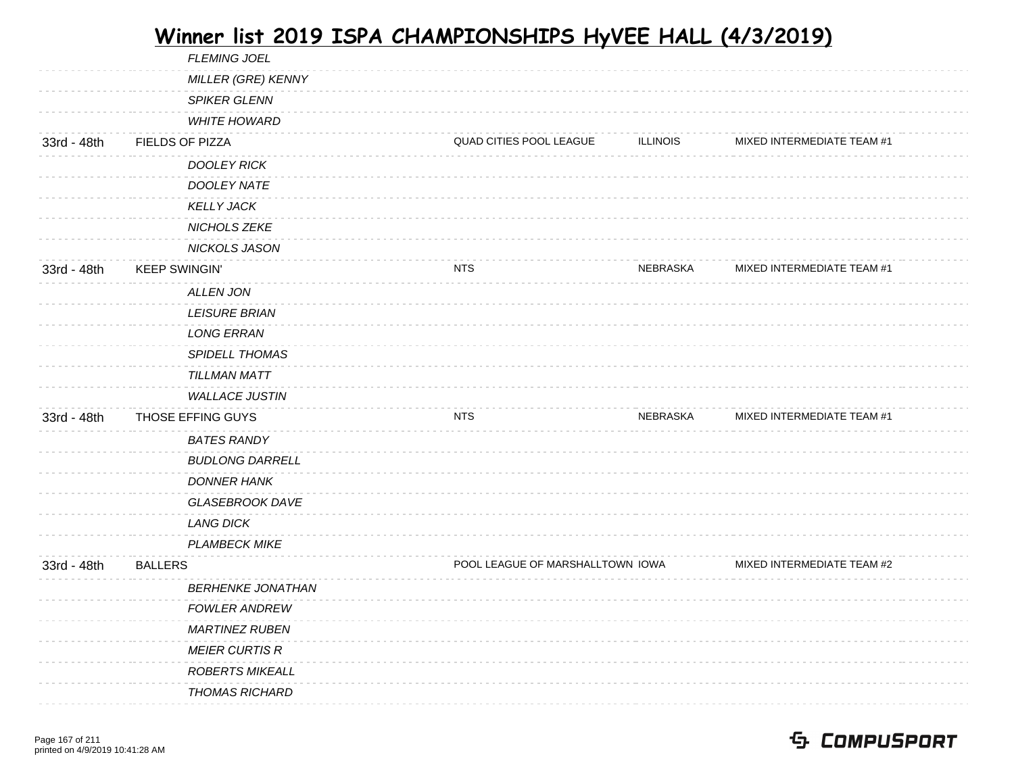|             | <b>FLEMING JOEL</b>      |                                  |                 |                            |  |
|-------------|--------------------------|----------------------------------|-----------------|----------------------------|--|
|             | MILLER (GRE) KENNY       |                                  |                 |                            |  |
|             | <b>SPIKER GLENN</b>      |                                  |                 |                            |  |
|             | <b>WHITE HOWARD</b>      |                                  |                 |                            |  |
| 33rd - 48th | FIELDS OF PIZZA          | QUAD CITIES POOL LEAGUE          | <b>ILLINOIS</b> | MIXED INTERMEDIATE TEAM #1 |  |
|             | <b>DOOLEY RICK</b>       |                                  |                 |                            |  |
|             | DOOLEY NATE              |                                  |                 |                            |  |
|             | <b>KELLY JACK</b>        |                                  |                 |                            |  |
|             | NICHOLS ZEKE             |                                  |                 |                            |  |
|             | NICKOLS JASON            |                                  |                 |                            |  |
| 33rd - 48th | <b>KEEP SWINGIN'</b>     | <b>NTS</b>                       | NEBRASKA        | MIXED INTERMEDIATE TEAM #1 |  |
|             | <b>ALLEN JON</b>         |                                  |                 |                            |  |
|             | <b>LEISURE BRIAN</b>     |                                  |                 |                            |  |
|             | <b>LONG ERRAN</b>        |                                  |                 |                            |  |
|             | <b>SPIDELL THOMAS</b>    |                                  |                 |                            |  |
|             | TILLMAN MATT             |                                  |                 |                            |  |
|             | <b>WALLACE JUSTIN</b>    |                                  |                 |                            |  |
| 33rd - 48th | THOSE EFFING GUYS        | <b>NTS</b>                       | NEBRASKA        | MIXED INTERMEDIATE TEAM #1 |  |
|             | <b>BATES RANDY</b>       |                                  |                 |                            |  |
|             | <b>BUDLONG DARRELL</b>   |                                  |                 |                            |  |
|             | <b>DONNER HANK</b>       |                                  |                 |                            |  |
|             | <b>GLASEBROOK DAVE</b>   |                                  |                 |                            |  |
|             | <b>LANG DICK</b>         |                                  |                 |                            |  |
|             | <b>PLAMBECK MIKE</b>     |                                  |                 |                            |  |
| 33rd - 48th | <b>BALLERS</b>           | POOL LEAGUE OF MARSHALLTOWN IOWA |                 | MIXED INTERMEDIATE TEAM #2 |  |
|             | <b>BERHENKE JONATHAN</b> |                                  |                 |                            |  |
|             | <b>FOWLER ANDREW</b>     |                                  |                 |                            |  |
|             | <b>MARTINEZ RUBEN</b>    |                                  |                 |                            |  |
|             | <b>MEIER CURTIS R</b>    |                                  |                 |                            |  |
|             | <b>ROBERTS MIKEALL</b>   |                                  |                 |                            |  |
|             | <b>THOMAS RICHARD</b>    |                                  |                 |                            |  |
|             |                          |                                  |                 |                            |  |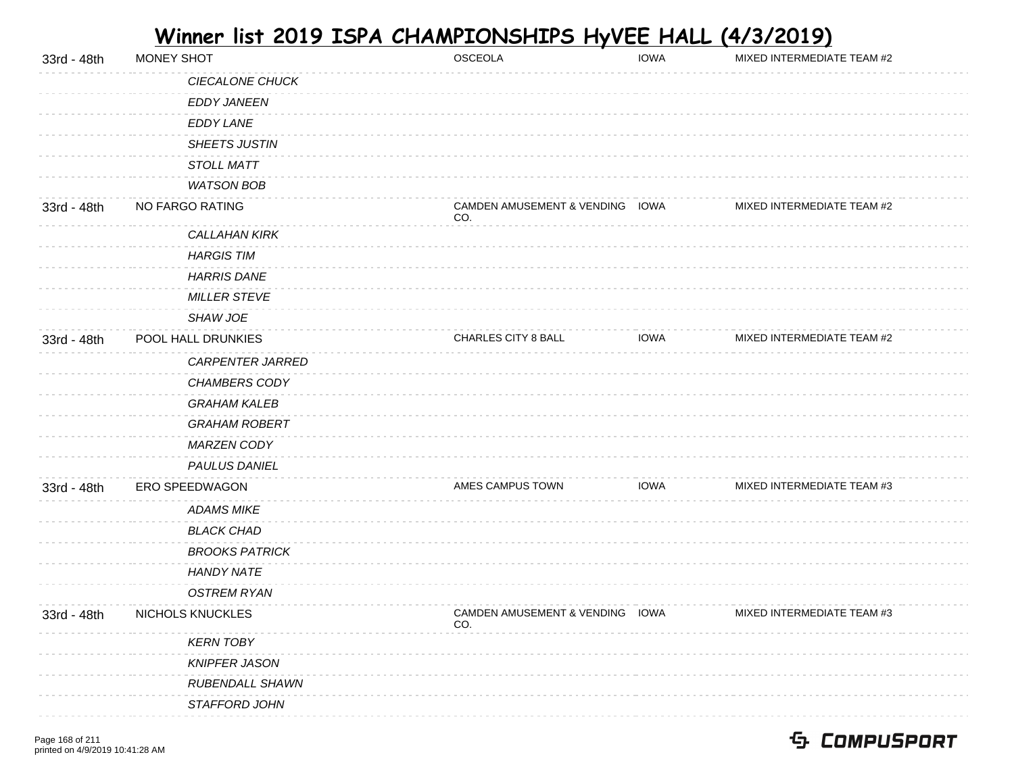| 33rd - 48th | MONEY SHOT            | OSCEOLA                                | <b>IOWA</b> | MIXED INTERMEDIATE TEAM #2 |
|-------------|-----------------------|----------------------------------------|-------------|----------------------------|
|             | CIECALONE CHUCK       |                                        |             |                            |
|             | <b>EDDY JANEEN</b>    |                                        |             |                            |
|             | <b>EDDY LANE</b>      |                                        |             |                            |
|             | <b>SHEETS JUSTIN</b>  |                                        |             |                            |
|             | <b>STOLL MATT</b>     |                                        |             |                            |
|             | <b>WATSON BOB</b>     |                                        |             |                            |
| 33rd - 48th | NO FARGO RATING       | CAMDEN AMUSEMENT & VENDING IOWA<br>CO. |             | MIXED INTERMEDIATE TEAM #2 |
|             | <b>CALLAHAN KIRK</b>  |                                        |             |                            |
|             | <b>HARGIS TIM</b>     |                                        |             |                            |
|             | <b>HARRIS DANE</b>    |                                        |             |                            |
|             | <b>MILLER STEVE</b>   |                                        |             |                            |
|             | SHAW JOE              |                                        |             |                            |
| 33rd - 48th | POOL HALL DRUNKIES    | CHARLES CITY 8 BALL                    | <b>IOWA</b> | MIXED INTERMEDIATE TEAM #2 |
|             | CARPENTER JARRED      |                                        |             |                            |
|             | CHAMBERS CODY         |                                        |             |                            |
|             | <b>GRAHAM KALEB</b>   |                                        |             |                            |
|             | <b>GRAHAM ROBERT</b>  |                                        |             |                            |
|             | MARZEN CODY           |                                        |             |                            |
|             | <b>PAULUS DANIEL</b>  |                                        |             |                            |
| 33rd - 48th | ERO SPEEDWAGON        | AMES CAMPUS TOWN                       | <b>IOWA</b> | MIXED INTERMEDIATE TEAM #3 |
|             | <b>ADAMS MIKE</b>     |                                        |             |                            |
|             | <b>BLACK CHAD</b>     |                                        |             |                            |
|             | <b>BROOKS PATRICK</b> |                                        |             |                            |
|             | <b>HANDY NATE</b>     |                                        |             |                            |
|             | <b>OSTREM RYAN</b>    |                                        |             |                            |
| 33rd - 48th | NICHOLS KNUCKLES      | CAMDEN AMUSEMENT & VENDING IOWA<br>CO. |             | MIXED INTERMEDIATE TEAM #3 |
|             | <b>KERN TOBY</b>      |                                        |             |                            |
|             | <b>KNIPFER JASON</b>  |                                        |             |                            |
|             | RUBENDALL SHAWN       |                                        |             |                            |
|             | STAFFORD JOHN         |                                        |             |                            |
|             |                       |                                        |             |                            |

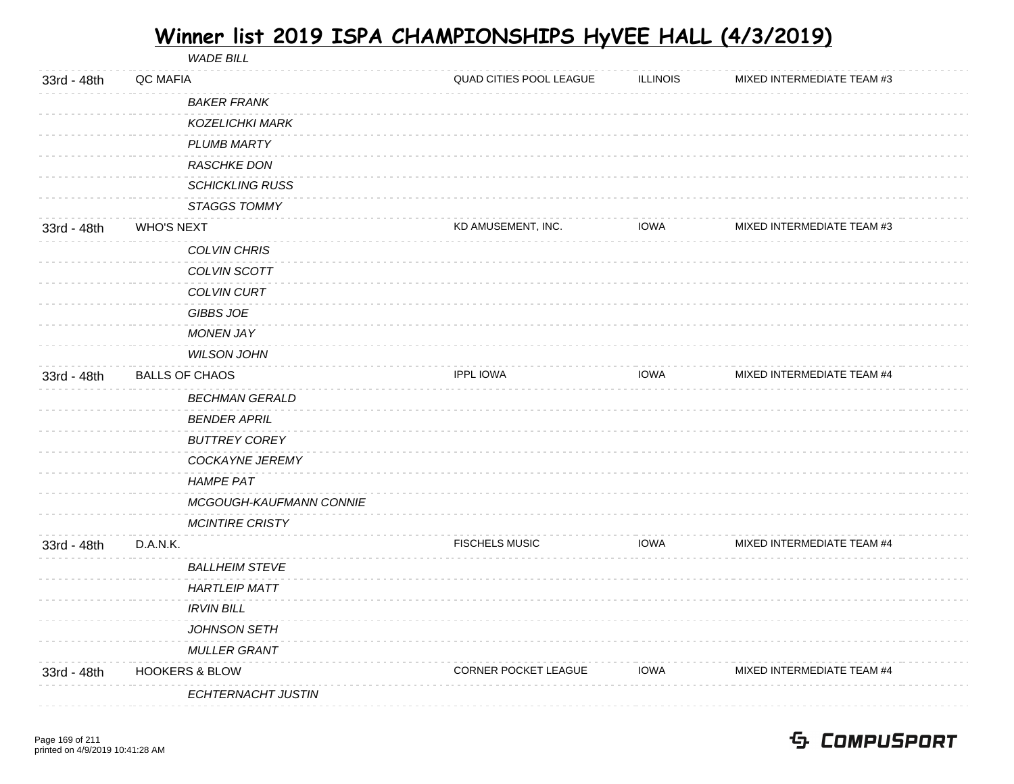WADE BILL 33rd - 48th QC MAFIA CONSTANT CONSULTING A LOCAL QUAD CITIES POOL LEAGUE ILLINOIS MIXED INTERMEDIATE TEAM #3 BAKER FRANK KOZELICHKI MARK PLUMB MARTY RASCHKE DON SCHICKLING RUSS STAGGS TOMMY 33rd - 48th WHO'S NEXT THE RELEASE STATE RELEASE AND SERVICE METALLIC. THE RELEASE INTERMEDIATE TEAM #3 COLVIN CHRIS COLVIN SCOTT COLVIN CURT GIBBS JOE MONEN JAY WILSON JOHN 33rd - 48th BALLS OF CHAOS **ISPENSIATE TEAM #4** IPPL IOWA IOWA IOWA MIXED INTERMEDIATE TEAM #4 BECHMAN GERALD BENDER APRIL BUTTREY COREY COCKAYNE JEREMY HAMPE PAT MCGOUGH-KAUFMANN CONNIE MCINTIRE CRISTY 33rd - 48th D.A.N.K. The State of the State of the State of the FISCHELS MUSIC TOWA MIXED INTERMEDIATE TEAM #4 BALLHEIM STEVE HARTLEIP MATT IRVIN BILL JOHNSON SETH MULLER GRANT 33rd - 48th HOOKERS & BLOW CORNER POCKET LEAGUE IOWA MIXED INTERMEDIATE TEAM #4 ECHTERNACHT JUSTIN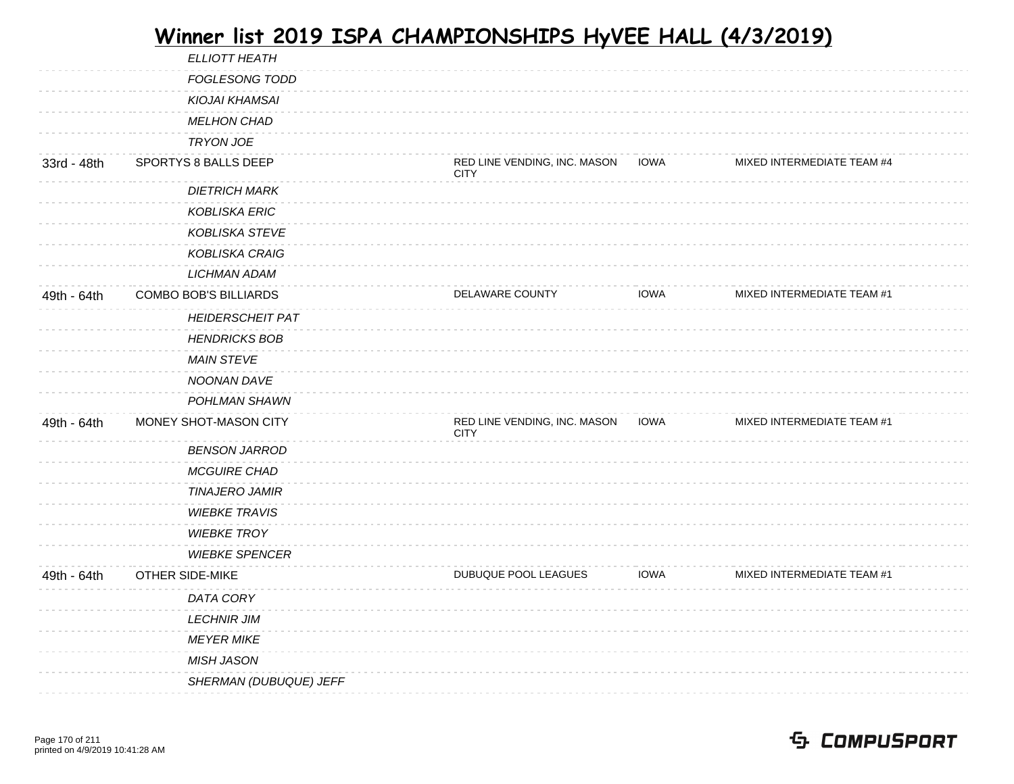|             | ELLIOTT HEATH           |                                             |             |                            |
|-------------|-------------------------|---------------------------------------------|-------------|----------------------------|
|             | <b>FOGLESONG TODD</b>   |                                             |             |                            |
|             | KIOJAI KHAMSAI          |                                             |             |                            |
|             | <b>MELHON CHAD</b>      |                                             |             |                            |
|             | <b>TRYON JOE</b>        |                                             |             |                            |
| 33rd - 48th | SPORTYS 8 BALLS DEEP    | RED LINE VENDING, INC. MASON<br><b>CITY</b> | <b>IOWA</b> | MIXED INTERMEDIATE TEAM #4 |
|             | <b>DIETRICH MARK</b>    |                                             |             |                            |
|             | <b>KOBLISKA ERIC</b>    |                                             |             |                            |
|             | <b>KOBLISKA STEVE</b>   |                                             |             |                            |
|             | KOBLISKA CRAIG          |                                             |             |                            |
|             | <b>LICHMAN ADAM</b>     |                                             |             |                            |
| 49th - 64th | COMBO BOB'S BILLIARDS   | DELAWARE COUNTY                             | <b>IOWA</b> | MIXED INTERMEDIATE TEAM #1 |
|             | <b>HEIDERSCHEIT PAT</b> |                                             |             |                            |
|             | <b>HENDRICKS BOB</b>    |                                             |             |                            |
|             | <b>MAIN STEVE</b>       |                                             |             |                            |
|             | NOONAN DAVE             |                                             |             |                            |
|             | POHLMAN SHAWN           |                                             |             |                            |
| 49th - 64th | MONEY SHOT-MASON CITY   | RED LINE VENDING, INC. MASON<br><b>CITY</b> | IOWA        | MIXED INTERMEDIATE TEAM #1 |
|             | <b>BENSON JARROD</b>    |                                             |             |                            |
|             | <b>MCGUIRE CHAD</b>     |                                             |             |                            |
|             | <b>TINAJERO JAMIR</b>   |                                             |             |                            |
|             | <b>WIEBKE TRAVIS</b>    |                                             |             |                            |
|             | <b>WIEBKE TROY</b>      |                                             |             |                            |
|             | <b>WIEBKE SPENCER</b>   |                                             |             |                            |
| 49th - 64th | OTHER SIDE-MIKE         | DUBUQUE POOL LEAGUES                        | <b>IOWA</b> | MIXED INTERMEDIATE TEAM #1 |
|             | DATA CORY               |                                             |             |                            |
|             | <b>LECHNIR JIM</b>      |                                             |             |                            |
|             | <b>MEYER MIKE</b>       |                                             |             |                            |
|             | <b>MISH JASON</b>       |                                             |             |                            |
|             | SHERMAN (DUBUQUE) JEFF  |                                             |             |                            |
|             |                         |                                             |             |                            |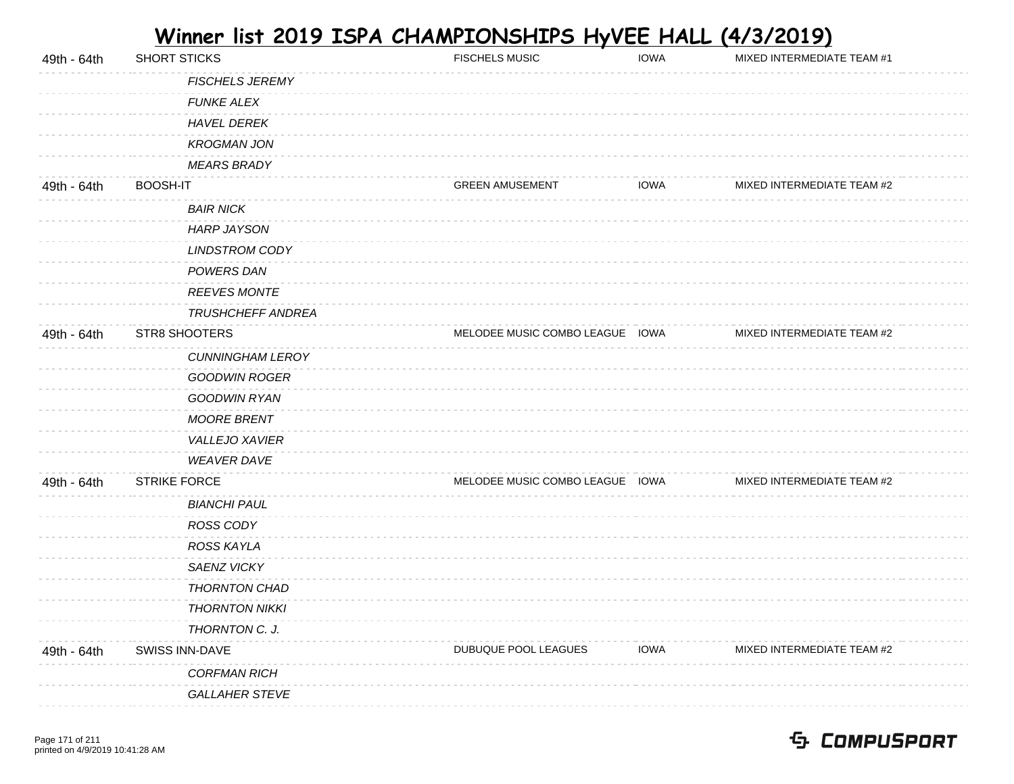| 49th - 64th | SHORT STICKS        |                          | <b>FISCHELS MUSIC</b>           | <b>IOWA</b> | MIXED INTERMEDIATE TEAM #1 |
|-------------|---------------------|--------------------------|---------------------------------|-------------|----------------------------|
|             |                     | <b>FISCHELS JEREMY</b>   |                                 |             |                            |
|             |                     | <b>FUNKE ALEX</b>        |                                 |             |                            |
|             |                     | <b>HAVEL DEREK</b>       |                                 |             |                            |
|             |                     | <b>KROGMAN JON</b>       |                                 |             |                            |
|             |                     | <b>MEARS BRADY</b>       |                                 |             |                            |
| 49th - 64th | BOOSH-IT            |                          | <b>GREEN AMUSEMENT</b>          | <b>IOWA</b> | MIXED INTERMEDIATE TEAM #2 |
|             |                     | <b>BAIR NICK</b>         |                                 |             |                            |
|             |                     | <b>HARP JAYSON</b>       |                                 |             |                            |
|             |                     | <b>LINDSTROM CODY</b>    |                                 |             |                            |
|             |                     | POWERS DAN               |                                 |             |                            |
|             |                     | <b>REEVES MONTE</b>      |                                 |             |                            |
|             |                     | <b>TRUSHCHEFF ANDREA</b> |                                 |             |                            |
| 49th - 64th | STR8 SHOOTERS       |                          | MELODEE MUSIC COMBO LEAGUE IOWA |             | MIXED INTERMEDIATE TEAM #2 |
|             |                     | <b>CUNNINGHAM LEROY</b>  |                                 |             |                            |
|             |                     | <b>GOODWIN ROGER</b>     |                                 |             |                            |
|             |                     | GOODWIN RYAN             |                                 |             |                            |
|             |                     | <b>MOORE BRENT</b>       |                                 |             |                            |
|             |                     | VALLEJO XAVIER           |                                 |             |                            |
|             |                     | <b>WEAVER DAVE</b>       |                                 |             |                            |
| 49th - 64th | <b>STRIKE FORCE</b> |                          | MELODEE MUSIC COMBO LEAGUE IOWA |             | MIXED INTERMEDIATE TEAM #2 |
|             |                     | <b>BIANCHI PAUL</b>      |                                 |             |                            |
|             |                     | ROSS CODY                |                                 |             |                            |
|             |                     | ROSS KAYLA               |                                 |             |                            |
|             |                     | SAENZ VICKY              |                                 |             |                            |
|             |                     | THORNTON CHAD            |                                 |             |                            |
|             |                     | <b>THORNTON NIKKI</b>    |                                 |             |                            |
|             |                     | THORNTON C. J.           |                                 |             |                            |
| 49th - 64th | SWISS INN-DAVE      |                          | DUBUQUE POOL LEAGUES            | <b>IOWA</b> | MIXED INTERMEDIATE TEAM #2 |
|             |                     | <b>CORFMAN RICH</b>      |                                 |             |                            |
|             |                     | <b>GALLAHER STEVE</b>    |                                 |             |                            |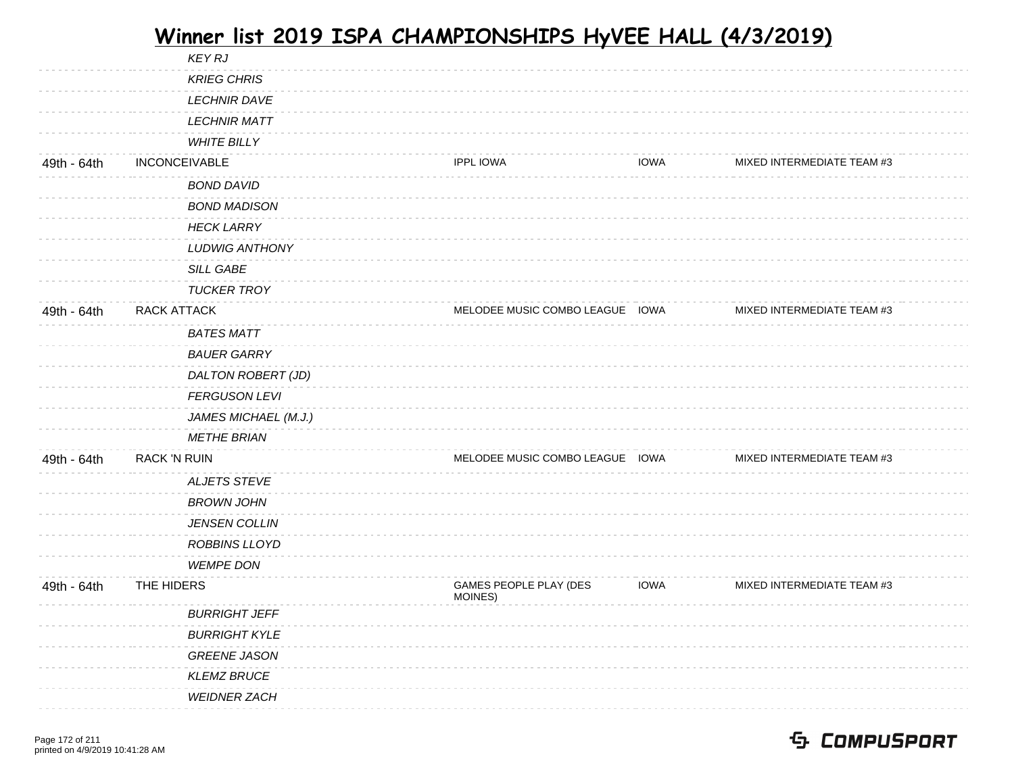|             |                      | <b>KEY RJ</b>         |                                   |             |                            |
|-------------|----------------------|-----------------------|-----------------------------------|-------------|----------------------------|
|             |                      | <b>KRIEG CHRIS</b>    |                                   |             |                            |
|             |                      | <b>LECHNIR DAVE</b>   |                                   |             |                            |
|             |                      | <b>LECHNIR MATT</b>   |                                   |             |                            |
|             |                      | <b>WHITE BILLY</b>    |                                   |             |                            |
| 49th - 64th | <b>INCONCEIVABLE</b> |                       | <b>IPPL IOWA</b>                  | <b>IOWA</b> | MIXED INTERMEDIATE TEAM #3 |
|             |                      | <b>BOND DAVID</b>     |                                   |             |                            |
|             |                      | <b>BOND MADISON</b>   |                                   |             |                            |
|             |                      | <b>HECK LARRY</b>     |                                   |             |                            |
|             |                      | <b>LUDWIG ANTHONY</b> |                                   |             |                            |
|             |                      | <b>SILL GABE</b>      |                                   |             |                            |
|             |                      | <b>TUCKER TROY</b>    |                                   |             |                            |
| 49th - 64th | RACK ATTACK          |                       | MELODEE MUSIC COMBO LEAGUE IOWA   |             | MIXED INTERMEDIATE TEAM #3 |
|             |                      | <b>BATES MATT</b>     |                                   |             |                            |
|             |                      | <b>BAUER GARRY</b>    |                                   |             |                            |
|             |                      | DALTON ROBERT (JD)    |                                   |             |                            |
|             |                      | <b>FERGUSON LEVI</b>  |                                   |             |                            |
|             |                      | JAMES MICHAEL (M.J.)  |                                   |             |                            |
|             |                      | <b>METHE BRIAN</b>    |                                   |             |                            |
| 49th - 64th | <b>RACK 'N RUIN</b>  |                       | MELODEE MUSIC COMBO LEAGUE IOWA   |             | MIXED INTERMEDIATE TEAM #3 |
|             |                      | <b>ALJETS STEVE</b>   |                                   |             |                            |
|             |                      | <b>BROWN JOHN</b>     |                                   |             |                            |
|             |                      | <b>JENSEN COLLIN</b>  |                                   |             |                            |
|             |                      | ROBBINS LLOYD         |                                   |             |                            |
|             |                      | <b>WEMPE DON</b>      |                                   |             |                            |
| 49th - 64th | THE HIDERS           |                       | GAMES PEOPLE PLAY (DES<br>MOINES) | <b>IOWA</b> | MIXED INTERMEDIATE TEAM #3 |
|             |                      | <b>BURRIGHT JEFF</b>  |                                   |             |                            |
|             |                      | <b>BURRIGHT KYLE</b>  |                                   |             |                            |
|             |                      | <b>GREENE JASON</b>   |                                   |             |                            |
|             |                      | <b>KLEMZ BRUCE</b>    |                                   |             |                            |
|             |                      | <b>WEIDNER ZACH</b>   |                                   |             |                            |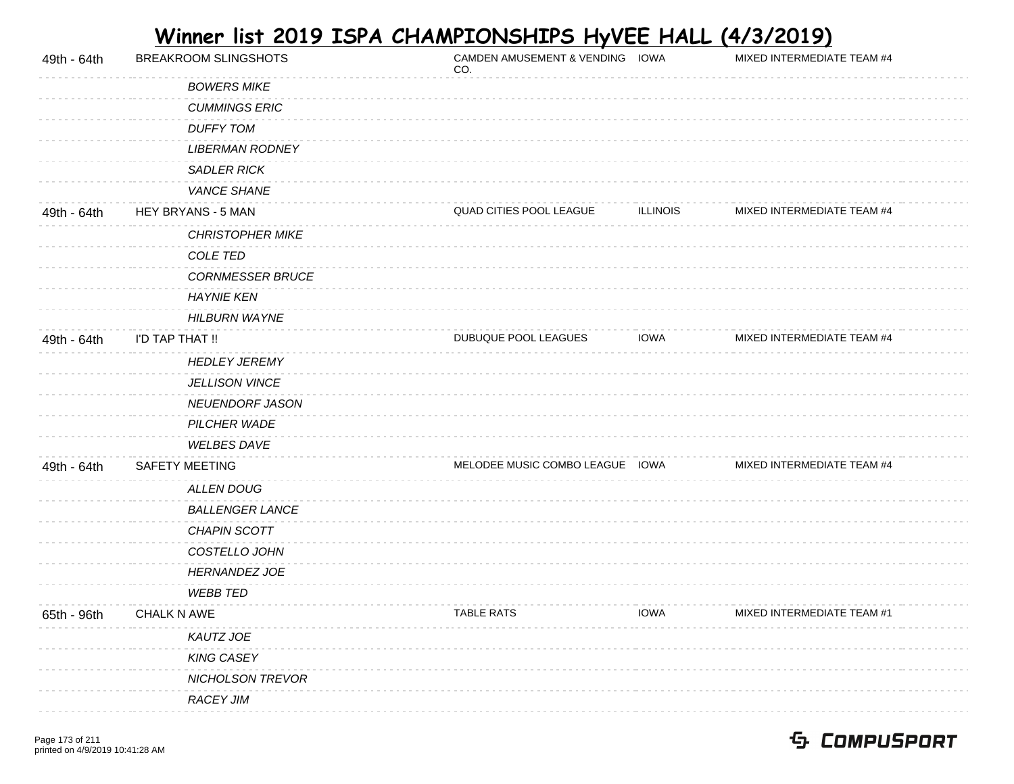| 49th - 64th | BREAKROOM SLINGSHOTS    | CAMDEN AMUSEMENT & VENDING IOWA<br>CO. |                 | MIXED INTERMEDIATE TEAM #4 |
|-------------|-------------------------|----------------------------------------|-----------------|----------------------------|
|             | <b>BOWERS MIKE</b>      |                                        |                 |                            |
|             | <b>CUMMINGS ERIC</b>    |                                        |                 |                            |
|             | <b>DUFFY TOM</b>        |                                        |                 |                            |
|             | <b>LIBERMAN RODNEY</b>  |                                        |                 |                            |
|             | <b>SADLER RICK</b>      |                                        |                 |                            |
|             | VANCE SHANE             |                                        |                 |                            |
| 49th - 64th | HEY BRYANS - 5 MAN      | QUAD CITIES POOL LEAGUE                | <b>ILLINOIS</b> | MIXED INTERMEDIATE TEAM #4 |
|             | <b>CHRISTOPHER MIKE</b> |                                        |                 |                            |
|             | COLE TED                |                                        |                 |                            |
|             | <b>CORNMESSER BRUCE</b> |                                        |                 |                            |
|             | <b>HAYNIE KEN</b>       |                                        |                 |                            |
|             | <b>HILBURN WAYNE</b>    |                                        |                 |                            |
| 49th - 64th | I'D TAP THAT !!         | DUBUQUE POOL LEAGUES                   | <b>IOWA</b>     | MIXED INTERMEDIATE TEAM #4 |
|             | <b>HEDLEY JEREMY</b>    |                                        |                 |                            |
|             | <b>JELLISON VINCE</b>   |                                        |                 |                            |
|             | NEUENDORF JASON         |                                        |                 |                            |
|             | PILCHER WADE            |                                        |                 |                            |
|             | <b>WELBES DAVE</b>      |                                        |                 |                            |
| 49th - 64th | SAFETY MEETING          | MELODEE MUSIC COMBO LEAGUE IOWA        |                 | MIXED INTERMEDIATE TEAM #4 |
|             | <b>ALLEN DOUG</b>       |                                        |                 |                            |
|             | <b>BALLENGER LANCE</b>  |                                        |                 |                            |
|             | CHAPIN SCOTT            |                                        |                 |                            |
|             | COSTELLO JOHN           |                                        |                 |                            |
|             | <b>HERNANDEZ JOE</b>    |                                        |                 |                            |
|             | <b>WEBB TED</b>         |                                        |                 |                            |
| 65th - 96th | CHALK N AWE             | <b>TABLE RATS</b>                      | <b>IOWA</b>     | MIXED INTERMEDIATE TEAM #1 |
|             | KAUTZ JOE               |                                        |                 |                            |
|             | <b>KING CASEY</b>       |                                        |                 |                            |
|             | NICHOLSON TREVOR        |                                        |                 |                            |
|             | <b>RACEY JIM</b>        |                                        |                 |                            |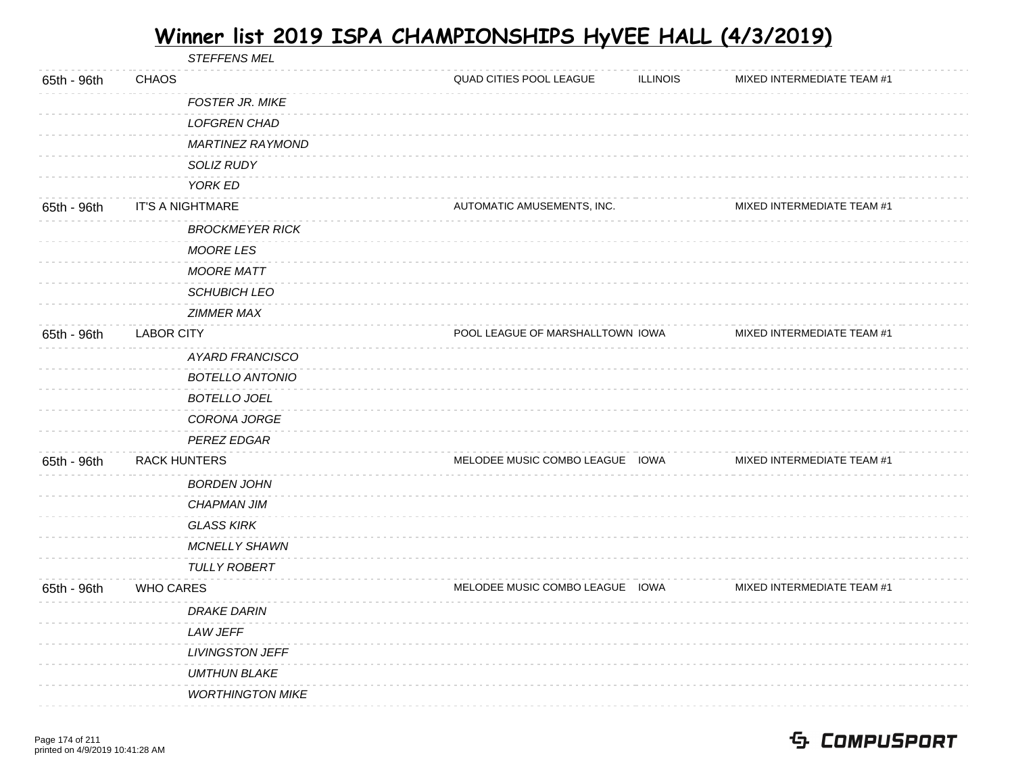STEFFENS MEL

| 65th - 96th | <b>CHAOS</b>            | QUAD CITIES POOL LEAGUE          | <b>ILLINOIS</b> | MIXED INTERMEDIATE TEAM #1 |  |
|-------------|-------------------------|----------------------------------|-----------------|----------------------------|--|
|             | FOSTER JR. MIKE         |                                  |                 |                            |  |
|             | <b>LOFGREN CHAD</b>     |                                  |                 |                            |  |
|             | <b>MARTINEZ RAYMOND</b> |                                  |                 |                            |  |
|             | SOLIZ RUDY              |                                  |                 |                            |  |
|             | YORK ED                 |                                  |                 |                            |  |
| 65th - 96th | <b>IT'S A NIGHTMARE</b> | AUTOMATIC AMUSEMENTS, INC.       |                 | MIXED INTERMEDIATE TEAM #1 |  |
|             | <b>BROCKMEYER RICK</b>  |                                  |                 |                            |  |
|             | <b>MOORE LES</b>        |                                  |                 |                            |  |
|             | <b>MOORE MATT</b>       |                                  |                 |                            |  |
|             | <b>SCHUBICH LEO</b>     |                                  |                 |                            |  |
|             | <b>ZIMMER MAX</b>       |                                  |                 |                            |  |
| 65th - 96th | <b>LABOR CITY</b>       | POOL LEAGUE OF MARSHALLTOWN IOWA |                 | MIXED INTERMEDIATE TEAM #1 |  |
|             | AYARD FRANCISCO         |                                  |                 |                            |  |
|             | <b>BOTELLO ANTONIO</b>  |                                  |                 |                            |  |
|             | <b>BOTELLO JOEL</b>     |                                  |                 |                            |  |
|             | CORONA JORGE            |                                  |                 |                            |  |
|             | <b>PEREZ EDGAR</b>      |                                  |                 |                            |  |
| 65th - 96th | <b>RACK HUNTERS</b>     | MELODEE MUSIC COMBO LEAGUE IOWA  |                 | MIXED INTERMEDIATE TEAM #1 |  |
|             | <b>BORDEN JOHN</b>      |                                  |                 |                            |  |
|             | <b>CHAPMAN JIM</b>      |                                  |                 |                            |  |
|             | <b>GLASS KIRK</b>       |                                  |                 |                            |  |
|             | <b>MCNELLY SHAWN</b>    |                                  |                 |                            |  |
|             | <b>TULLY ROBERT</b>     |                                  |                 |                            |  |
| 65th - 96th | <b>WHO CARES</b>        | MELODEE MUSIC COMBO LEAGUE IOWA  |                 | MIXED INTERMEDIATE TEAM #1 |  |
|             | <b>DRAKE DARIN</b>      |                                  |                 |                            |  |
|             | LAW JEFF                |                                  |                 |                            |  |
|             | <b>LIVINGSTON JEFF</b>  |                                  |                 |                            |  |
|             | <b>UMTHUN BLAKE</b>     |                                  |                 |                            |  |
|             | <b>WORTHINGTON MIKE</b> |                                  |                 |                            |  |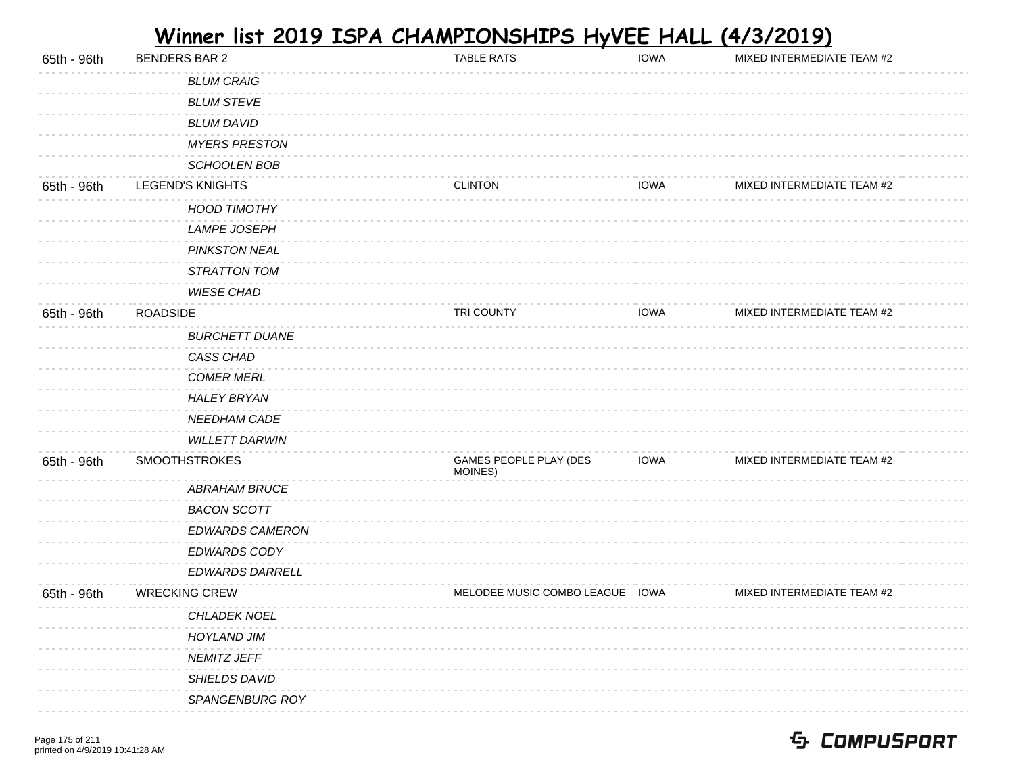| 65th - 96th | <b>BENDERS BAR 2</b>    | <b>TABLE RATS</b>                 | <b>IOWA</b> | MIXED INTERMEDIATE TEAM #2 |
|-------------|-------------------------|-----------------------------------|-------------|----------------------------|
|             | <b>BLUM CRAIG</b>       |                                   |             |                            |
|             | <b>BLUM STEVE</b>       |                                   |             |                            |
|             | <b>BLUM DAVID</b>       |                                   |             |                            |
|             | <b>MYERS PRESTON</b>    |                                   |             |                            |
|             | SCHOOLEN BOB            |                                   |             |                            |
| 65th - 96th | <b>LEGEND'S KNIGHTS</b> | <b>CLINTON</b>                    | <b>IOWA</b> | MIXED INTERMEDIATE TEAM #2 |
|             | <b>HOOD TIMOTHY</b>     |                                   |             |                            |
|             | <b>LAMPE JOSEPH</b>     |                                   |             |                            |
|             | <b>PINKSTON NEAL</b>    |                                   |             |                            |
|             | STRATTON TOM            |                                   |             |                            |
|             | <b>WIESE CHAD</b>       |                                   |             |                            |
| 65th - 96th | <b>ROADSIDE</b>         | TRI COUNTY                        | <b>IOWA</b> | MIXED INTERMEDIATE TEAM #2 |
|             | <b>BURCHETT DUANE</b>   |                                   |             |                            |
|             | CASS CHAD               |                                   |             |                            |
|             | <b>COMER MERL</b>       |                                   |             |                            |
|             | <b>HALEY BRYAN</b>      |                                   |             |                            |
|             | NEEDHAM CADE            |                                   |             |                            |
|             | WILLETT DARWIN          |                                   |             |                            |
| 65th - 96th | <b>SMOOTHSTROKES</b>    | GAMES PEOPLE PLAY (DES<br>MOINES) | <b>IOWA</b> | MIXED INTERMEDIATE TEAM #2 |
|             | <b>ABRAHAM BRUCE</b>    |                                   |             |                            |
|             | <b>BACON SCOTT</b>      |                                   |             |                            |
|             | EDWARDS CAMERON         |                                   |             |                            |
|             | EDWARDS CODY            |                                   |             |                            |
|             | EDWARDS DARRELL         |                                   |             |                            |
| 65th - 96th | <b>WRECKING CREW</b>    | MELODEE MUSIC COMBO LEAGUE IOWA   |             | MIXED INTERMEDIATE TEAM #2 |
|             | CHLADEK NOEL            |                                   |             |                            |
|             | <b>HOYLAND JIM</b>      |                                   |             |                            |
|             | NEMITZ JEFF             |                                   |             |                            |
|             | SHIELDS DAVID           |                                   |             |                            |
|             | SPANGENBURG ROY         |                                   |             |                            |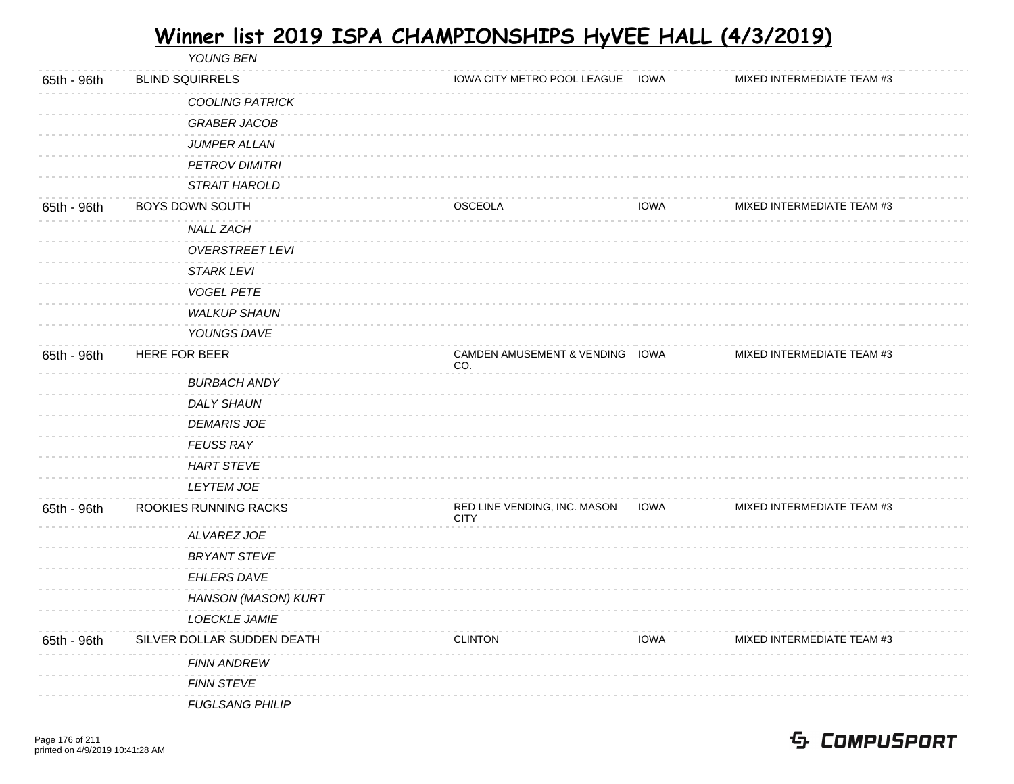|             | YOUNG BEN                  |                                             |             |                            |  |
|-------------|----------------------------|---------------------------------------------|-------------|----------------------------|--|
| 65th - 96th | <b>BLIND SQUIRRELS</b>     | IOWA CITY METRO POOL LEAGUE                 | <b>IOWA</b> | MIXED INTERMEDIATE TEAM #3 |  |
|             | <b>COOLING PATRICK</b>     |                                             |             |                            |  |
|             | <b>GRABER JACOB</b>        |                                             |             |                            |  |
|             | JUMPER ALLAN               |                                             |             |                            |  |
|             | <b>PETROV DIMITRI</b>      |                                             |             |                            |  |
|             | STRAIT HAROLD              |                                             |             |                            |  |
| 65th - 96th | BOYS DOWN SOUTH            | <b>OSCEOLA</b>                              | <b>IOWA</b> | MIXED INTERMEDIATE TEAM #3 |  |
|             | <b>NALL ZACH</b>           |                                             |             |                            |  |
|             | <b>OVERSTREET LEVI</b>     |                                             |             |                            |  |
|             | <b>STARK LEVI</b>          |                                             |             |                            |  |
|             | <b>VOGEL PETE</b>          |                                             |             |                            |  |
|             | <b>WALKUP SHAUN</b>        |                                             |             |                            |  |
|             | YOUNGS DAVE                |                                             |             |                            |  |
| 65th - 96th | HERE FOR BEER              | CAMDEN AMUSEMENT & VENDING IOWA<br>CO.      |             | MIXED INTERMEDIATE TEAM #3 |  |
|             | <b>BURBACH ANDY</b>        |                                             |             |                            |  |
|             | <b>DALY SHAUN</b>          |                                             |             |                            |  |
|             | <b>DEMARIS JOE</b>         |                                             |             |                            |  |
|             | <b>FEUSS RAY</b>           |                                             |             |                            |  |
|             | <b>HART STEVE</b>          |                                             |             |                            |  |
|             | <b>LEYTEM JOE</b>          |                                             |             |                            |  |
| 65th - 96th | ROOKIES RUNNING RACKS      | RED LINE VENDING, INC. MASON<br><b>CITY</b> | <b>IOWA</b> | MIXED INTERMEDIATE TEAM #3 |  |
|             | ALVAREZ JOE                |                                             |             |                            |  |
|             | <b>BRYANT STEVE</b>        |                                             |             |                            |  |
|             | EHLERS DAVE                |                                             |             |                            |  |
|             | HANSON (MASON) KURT        |                                             |             |                            |  |
|             | <b>LOECKLE JAMIE</b>       |                                             |             |                            |  |
| 65th - 96th | SILVER DOLLAR SUDDEN DEATH | <b>CLINTON</b>                              | <b>IOWA</b> | MIXED INTERMEDIATE TEAM #3 |  |
|             | <b>FINN ANDREW</b>         |                                             |             |                            |  |
|             | <b>FINN STEVE</b>          |                                             |             |                            |  |
|             | <b>FUGLSANG PHILIP</b>     |                                             |             |                            |  |
|             |                            |                                             |             |                            |  |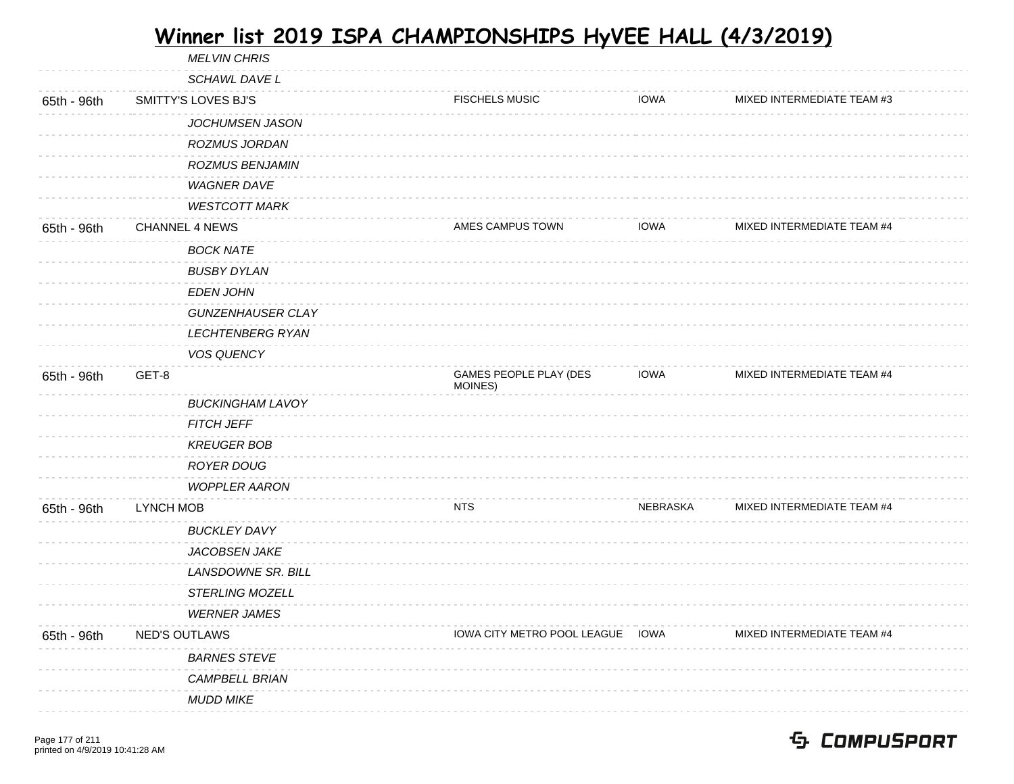MELVIN CHRIS SCHAWL DAVE L 65th - 96th SMITTY'S LOVES BJ'S FISCHELS MUSIC IOWA MIXED INTERMEDIATE TEAM #3 JOCHUMSEN JASON ROZMUS JORDAN ROZMUS BENJAMIN WAGNER DAVE WESTCOTT MARK 65th - 96th CHANNEL 4 NEWS AMES CAMPUS TOWN AMES CAMPUS TOWN IOWA MIXED INTERMEDIATE TEAM #4 BOCK NATE BUSBY DYLAN EDEN JOHN GUNZENHAUSER CLAY LECHTENBERG RYAN VOS QUENCY 65th - 96th GET-8 GAMES PEOPLE PLAY (DES MOINES) IOWA MIXED INTERMEDIATE TEAM #4 BUCKINGHAM LAVOY FITCH JEFF KREUGER BOB ROYER DOUG WOPPLER AARON 65th - 96th LYNCH MOB NTS NEBRASKA MIXED INTERMEDIATE TEAM #4 BUCKLEY DAVY JACOBSEN JAKE LANSDOWNE SR. BILL STERLING MOZELL WERNER JAMES 65th - 96th NED'S OUTLAWS **Internal Communist COVENTS IOWA CITY METRO POOL LEAGUE IOWA** MIXED INTERMEDIATE TEAM #4 BARNES STEVE CAMPBELL BRIAN MUDD MIKE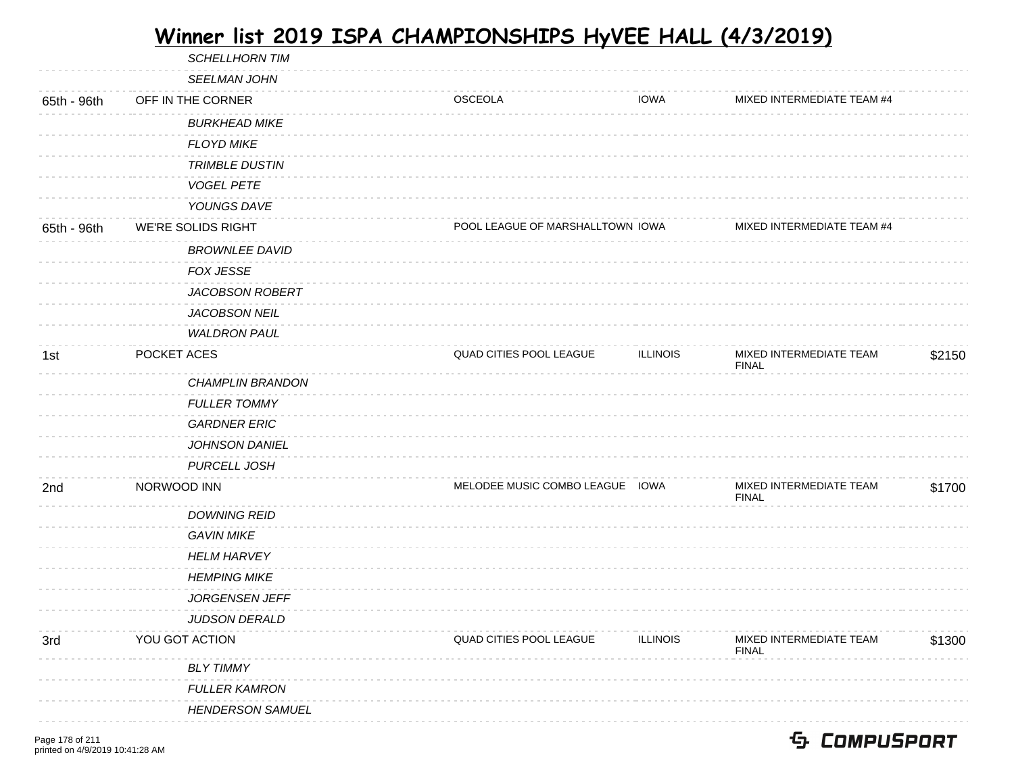| \$2150 |
|--------|
|        |
|        |
|        |
|        |
|        |
| \$1700 |
|        |
|        |
|        |
|        |
|        |
|        |
| \$1300 |
|        |
|        |
|        |
|        |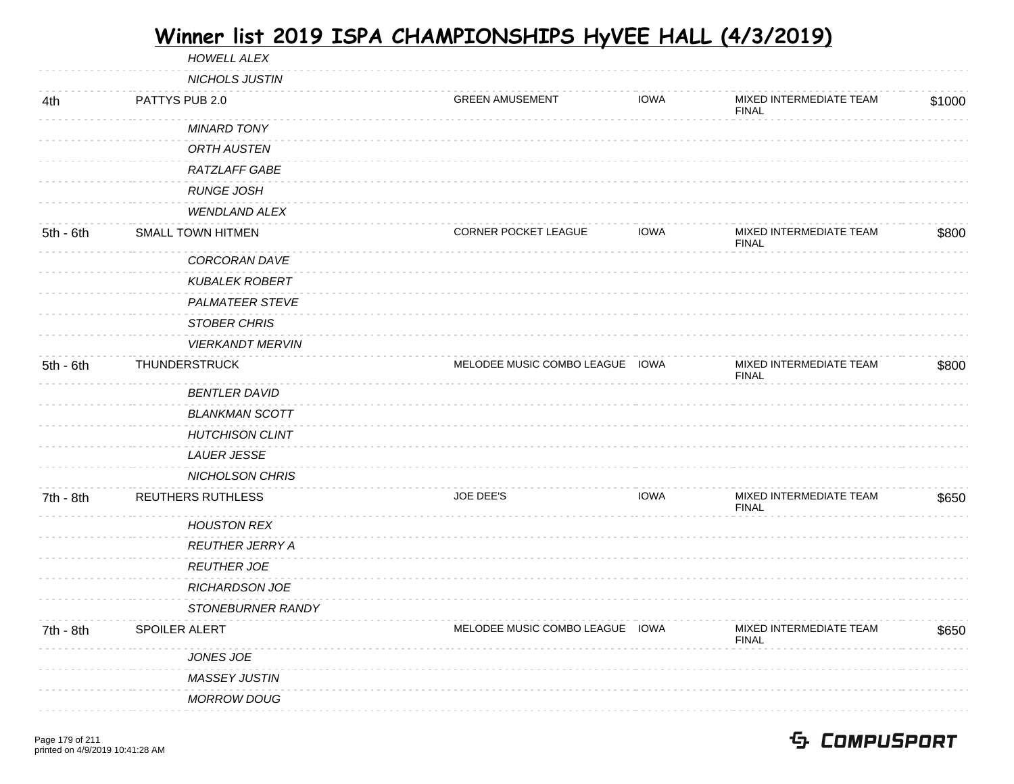|             | <b>MASSEY JUSTIN</b><br><b>MORROW DOUG</b>       |                                 |             |                                         |        |
|-------------|--------------------------------------------------|---------------------------------|-------------|-----------------------------------------|--------|
|             | JONES JOE                                        |                                 |             |                                         |        |
| 7th - 8th   | SPOILER ALERT                                    | MELODEE MUSIC COMBO LEAGUE IOWA |             | MIXED INTERMEDIATE TEAM<br><b>FINAL</b> | \$650  |
|             | STONEBURNER RANDY                                |                                 |             |                                         |        |
|             | <b>RICHARDSON JOE</b>                            |                                 |             |                                         |        |
|             | <b>REUTHER JOE</b>                               |                                 |             |                                         |        |
|             | <b>REUTHER JERRY A</b>                           |                                 |             |                                         |        |
|             | <b>HOUSTON REX</b>                               |                                 |             |                                         |        |
| 7th - 8th   | REUTHERS RUTHLESS                                | JOE DEE'S                       | <b>IOWA</b> | MIXED INTERMEDIATE TEAM<br><b>FINAL</b> | \$650  |
|             | <b>NICHOLSON CHRIS</b>                           |                                 |             |                                         |        |
|             | <b>LAUER JESSE</b>                               |                                 |             |                                         |        |
|             | <b>HUTCHISON CLINT</b>                           |                                 |             |                                         |        |
|             | <b>BLANKMAN SCOTT</b>                            |                                 |             |                                         |        |
|             | <b>BENTLER DAVID</b>                             |                                 |             |                                         |        |
|             |                                                  |                                 |             | <b>FINAL</b>                            |        |
| 5th - 6th   | <b>VIERKANDT MERVIN</b><br>THUNDERSTRUCK         | MELODEE MUSIC COMBO LEAGUE IOWA |             | MIXED INTERMEDIATE TEAM                 | \$800  |
|             | <b>STOBER CHRIS</b>                              |                                 |             |                                         |        |
|             | <b>PALMATEER STEVE</b>                           |                                 |             |                                         |        |
|             | <b>KUBALEK ROBERT</b>                            |                                 |             |                                         |        |
|             | CORCORAN DAVE                                    |                                 |             |                                         |        |
|             |                                                  |                                 |             | <b>FINAL</b>                            |        |
| $5th - 6th$ | <b>WENDLAND ALEX</b><br><b>SMALL TOWN HITMEN</b> | <b>CORNER POCKET LEAGUE</b>     | <b>IOWA</b> | MIXED INTERMEDIATE TEAM                 | \$800  |
|             | <b>RUNGE JOSH</b>                                |                                 |             |                                         |        |
|             | <b>RATZLAFF GABE</b>                             |                                 |             |                                         |        |
|             | <b>ORTH AUSTEN</b>                               |                                 |             |                                         |        |
|             | <b>MINARD TONY</b>                               |                                 |             |                                         |        |
|             |                                                  |                                 |             | <b>FINAL</b>                            |        |
| 4th         | PATTYS PUB 2.0                                   | <b>GREEN AMUSEMENT</b>          | <b>IOWA</b> | MIXED INTERMEDIATE TEAM                 | \$1000 |
|             | NICHOLS JUSTIN                                   |                                 |             |                                         |        |
|             | HOWELL ALEX                                      |                                 |             |                                         |        |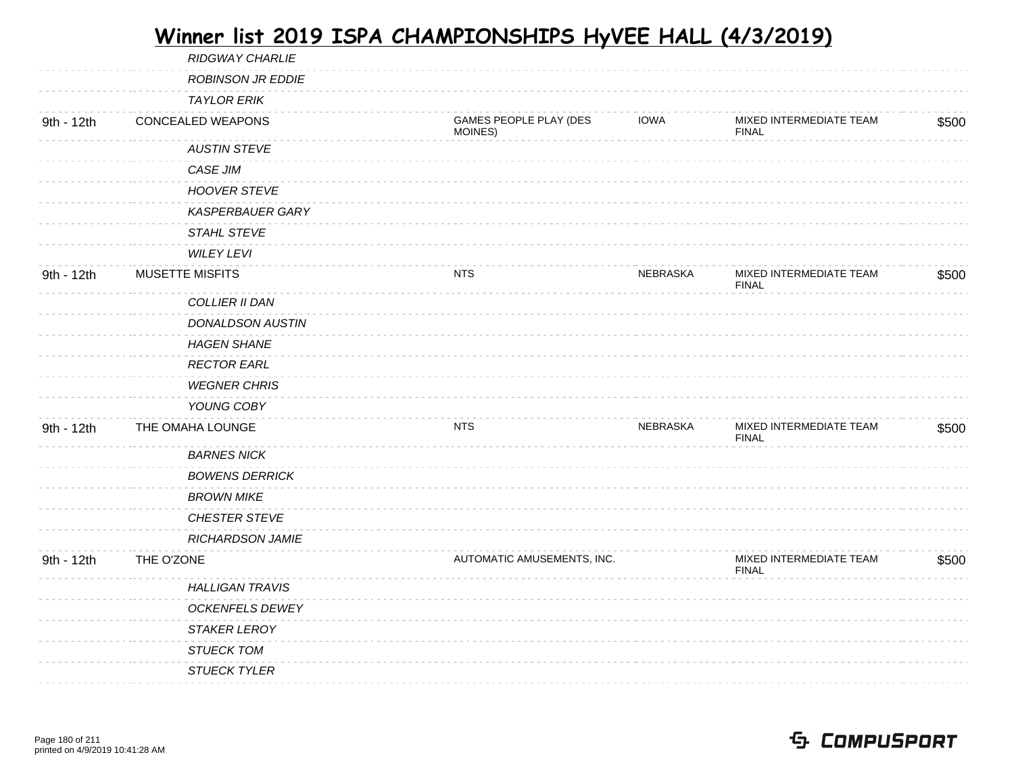|            | <b>RIDGWAY CHARLIE</b>   |                                   |             |                                         |       |
|------------|--------------------------|-----------------------------------|-------------|-----------------------------------------|-------|
|            | <b>ROBINSON JR EDDIE</b> |                                   |             |                                         |       |
|            | <b>TAYLOR ERIK</b>       |                                   |             |                                         |       |
| 9th - 12th | CONCEALED WEAPONS        | GAMES PEOPLE PLAY (DES<br>MOINES) | <b>IOWA</b> | MIXED INTERMEDIATE TEAM<br><b>FINAL</b> | \$500 |
|            | <b>AUSTIN STEVE</b>      |                                   |             |                                         |       |
|            | CASE JIM                 |                                   |             |                                         |       |
|            | <b>HOOVER STEVE</b>      |                                   |             |                                         |       |
|            | <b>KASPERBAUER GARY</b>  |                                   |             |                                         |       |
|            | STAHL STEVE              |                                   |             |                                         |       |
|            | <b>WILEY LEVI</b>        |                                   |             |                                         |       |
| 9th - 12th | <b>MUSETTE MISFITS</b>   | <b>NTS</b>                        | NEBRASKA    | MIXED INTERMEDIATE TEAM<br><b>FINAL</b> | \$500 |
|            | COLLIER II DAN           |                                   |             |                                         |       |
|            | <b>DONALDSON AUSTIN</b>  |                                   |             |                                         |       |
|            | <b>HAGEN SHANE</b>       |                                   |             |                                         |       |
|            | <b>RECTOR EARL</b>       |                                   |             |                                         |       |
|            | <b>WEGNER CHRIS</b>      |                                   |             |                                         |       |
|            | YOUNG COBY               |                                   |             |                                         |       |
| 9th - 12th | THE OMAHA LOUNGE         | <b>NTS</b>                        | NEBRASKA    | MIXED INTERMEDIATE TEAM<br><b>FINAL</b> | \$500 |
|            | <b>BARNES NICK</b>       |                                   |             |                                         |       |
|            | <b>BOWENS DERRICK</b>    |                                   |             |                                         |       |
|            | <b>BROWN MIKE</b>        |                                   |             |                                         |       |
|            | CHESTER STEVE            |                                   |             |                                         |       |
|            | RICHARDSON JAMIE         |                                   |             |                                         |       |
| 9th - 12th | THE O'ZONE               | AUTOMATIC AMUSEMENTS, INC.        |             | MIXED INTERMEDIATE TEAM<br><b>FINAL</b> | \$500 |
|            | <b>HALLIGAN TRAVIS</b>   |                                   |             |                                         |       |
|            | <b>OCKENFELS DEWEY</b>   |                                   |             |                                         |       |
|            | STAKER LEROY             |                                   |             |                                         |       |
|            | <b>STUECK TOM</b>        |                                   |             |                                         |       |
|            | <b>STUECK TYLER</b>      |                                   |             |                                         |       |
|            |                          |                                   |             |                                         |       |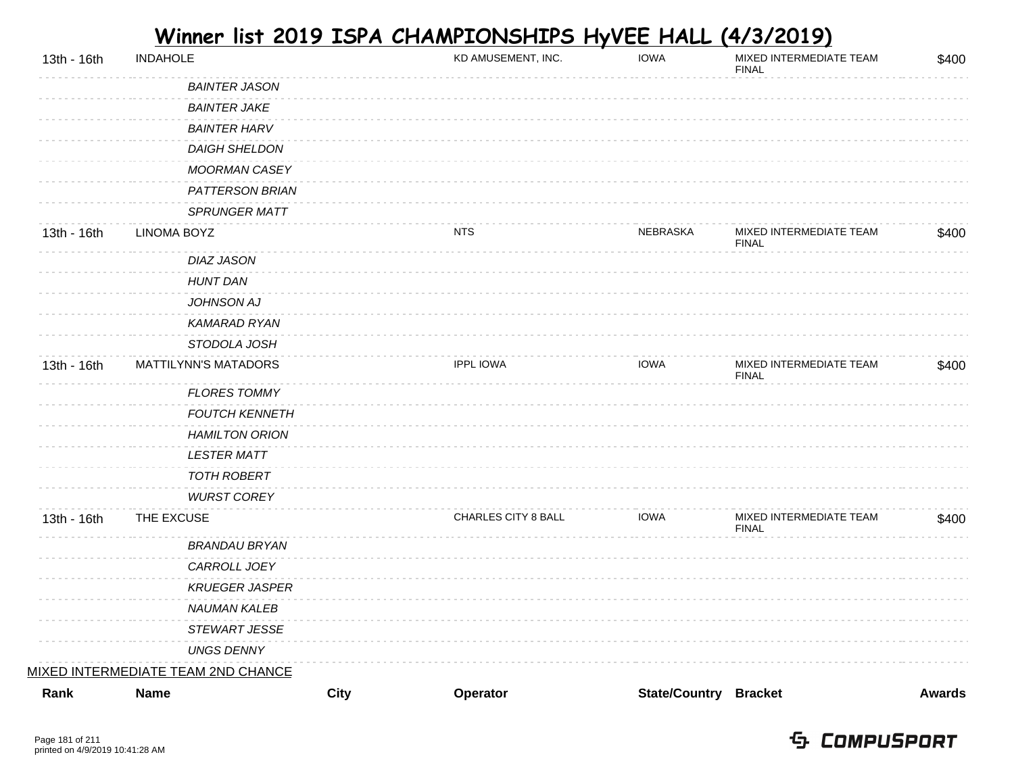| 13th - 16th | <b>INDAHOLE</b>                    |             | KD AMUSEMENT, INC.  | <b>IOWA</b>                  | MIXED INTERMEDIATE TEAM<br><b>FINAL</b> | \$400         |
|-------------|------------------------------------|-------------|---------------------|------------------------------|-----------------------------------------|---------------|
|             | <b>BAINTER JASON</b>               |             |                     |                              |                                         |               |
|             | <b>BAINTER JAKE</b>                |             |                     |                              |                                         |               |
|             | <b>BAINTER HARV</b>                |             |                     |                              |                                         |               |
|             | <b>DAIGH SHELDON</b>               |             |                     |                              |                                         |               |
|             | MOORMAN CASEY                      |             |                     |                              |                                         |               |
|             | PATTERSON BRIAN                    |             |                     |                              |                                         |               |
|             | SPRUNGER MATT                      |             |                     |                              |                                         |               |
| 13th - 16th | <b>LINOMA BOYZ</b>                 |             | <b>NTS</b>          | NEBRASKA                     | MIXED INTERMEDIATE TEAM<br><b>FINAL</b> | \$400         |
|             | <b>DIAZ JASON</b>                  |             |                     |                              |                                         |               |
|             | <b>HUNT DAN</b>                    |             |                     |                              |                                         |               |
|             | JOHNSON AJ                         |             |                     |                              |                                         |               |
|             | <b>KAMARAD RYAN</b>                |             |                     |                              |                                         |               |
|             | STODOLA JOSH                       |             |                     |                              |                                         |               |
| 13th - 16th | <b>MATTILYNN'S MATADORS</b>        |             | <b>IPPL IOWA</b>    | <b>IOWA</b>                  | MIXED INTERMEDIATE TEAM<br><b>FINAL</b> | \$400         |
|             | <b>FLORES TOMMY</b>                |             |                     |                              |                                         |               |
|             | <b>FOUTCH KENNETH</b>              |             |                     |                              |                                         |               |
|             | <b>HAMILTON ORION</b>              |             |                     |                              |                                         |               |
|             | <b>LESTER MATT</b>                 |             |                     |                              |                                         |               |
|             | <b>TOTH ROBERT</b>                 |             |                     |                              |                                         |               |
|             | <b>WURST COREY</b>                 |             |                     |                              |                                         |               |
| 13th - 16th | THE EXCUSE                         |             | CHARLES CITY 8 BALL | <b>IOWA</b>                  | MIXED INTERMEDIATE TEAM<br><b>FINAL</b> | \$400         |
|             | <b>BRANDAU BRYAN</b>               |             |                     |                              |                                         |               |
|             | CARROLL JOEY                       |             |                     |                              |                                         |               |
|             | <b>KRUEGER JASPER</b>              |             |                     |                              |                                         |               |
|             | <b>NAUMAN KALEB</b>                |             |                     |                              |                                         |               |
|             | STEWART JESSE                      |             |                     |                              |                                         |               |
|             | <b>UNGS DENNY</b>                  |             |                     |                              |                                         |               |
|             | MIXED INTERMEDIATE TEAM 2ND CHANCE |             |                     |                              |                                         |               |
| Rank        | <b>Name</b>                        | <b>City</b> | Operator            | <b>State/Country Bracket</b> |                                         | <b>Awards</b> |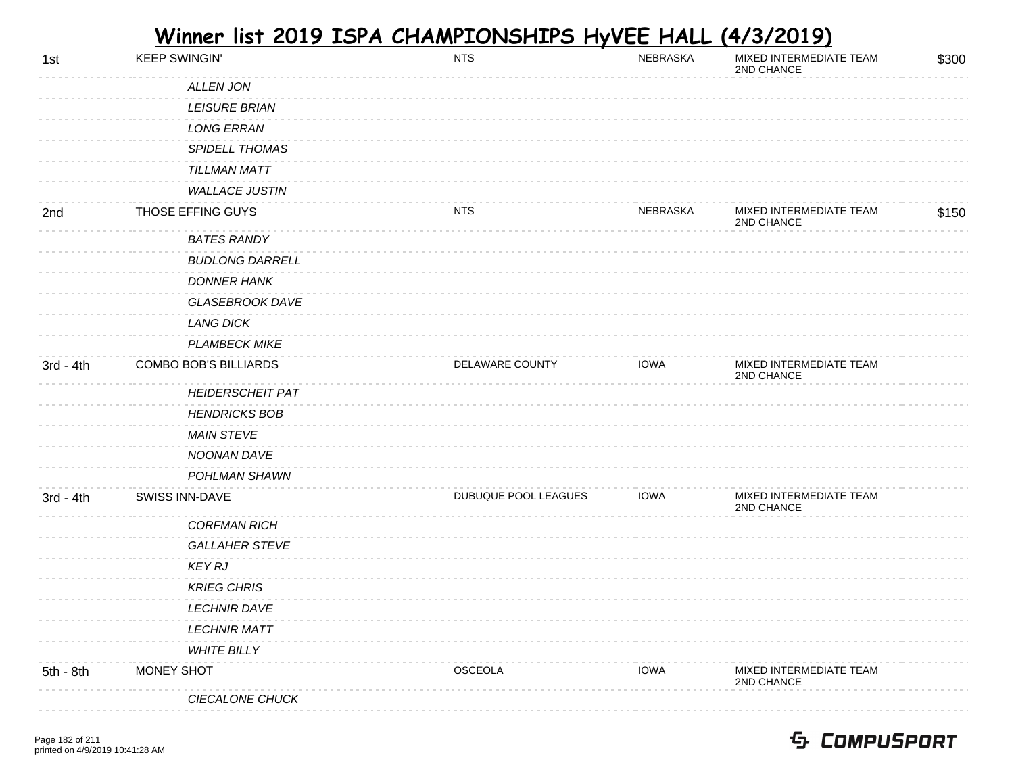| 1st         | <b>KEEP SWINGIN'</b>    | <b>NTS</b>           | NEBRASKA    | MIXED INTERMEDIATE TEAM<br>2ND CHANCE | \$300 |
|-------------|-------------------------|----------------------|-------------|---------------------------------------|-------|
|             | <b>ALLEN JON</b>        |                      |             |                                       |       |
|             | <b>LEISURE BRIAN</b>    |                      |             |                                       |       |
|             | <b>LONG ERRAN</b>       |                      |             |                                       |       |
|             | <b>SPIDELL THOMAS</b>   |                      |             |                                       |       |
|             | TILLMAN MATT            |                      |             |                                       |       |
|             | <b>WALLACE JUSTIN</b>   |                      |             |                                       |       |
| 2nd         | THOSE EFFING GUYS       | <b>NTS</b>           | NEBRASKA    | MIXED INTERMEDIATE TEAM<br>2ND CHANCE | \$150 |
|             | <b>BATES RANDY</b>      |                      |             |                                       |       |
|             | <b>BUDLONG DARRELL</b>  |                      |             |                                       |       |
|             | <b>DONNER HANK</b>      |                      |             |                                       |       |
|             | <b>GLASEBROOK DAVE</b>  |                      |             |                                       |       |
|             | <b>LANG DICK</b>        |                      |             |                                       |       |
|             | <b>PLAMBECK MIKE</b>    |                      |             |                                       |       |
| $3rd - 4th$ | COMBO BOB'S BILLIARDS   | DELAWARE COUNTY      | <b>IOWA</b> | MIXED INTERMEDIATE TEAM<br>2ND CHANCE |       |
|             | <b>HEIDERSCHEIT PAT</b> |                      |             |                                       |       |
|             | <b>HENDRICKS BOB</b>    |                      |             |                                       |       |
|             | <b>MAIN STEVE</b>       |                      |             |                                       |       |
|             | NOONAN DAVE             |                      |             |                                       |       |
|             | POHLMAN SHAWN           |                      |             |                                       |       |
| $3rd - 4th$ | SWISS INN-DAVE          | DUBUQUE POOL LEAGUES | <b>IOWA</b> | MIXED INTERMEDIATE TEAM<br>2ND CHANCE |       |
|             | <b>CORFMAN RICH</b>     |                      |             |                                       |       |
|             | <b>GALLAHER STEVE</b>   |                      |             |                                       |       |
|             | KEY RJ                  |                      |             |                                       |       |
|             | <b>KRIEG CHRIS</b>      |                      |             |                                       |       |
|             | <b>LECHNIR DAVE</b>     |                      |             |                                       |       |
|             | <b>LECHNIR MATT</b>     |                      |             |                                       |       |
|             | <b>WHITE BILLY</b>      |                      |             |                                       |       |
| 5th - 8th   | MONEY SHOT              | <b>OSCEOLA</b>       | <b>IOWA</b> | MIXED INTERMEDIATE TEAM<br>2ND CHANCE |       |
|             | CIECALONE CHUCK         |                      |             |                                       |       |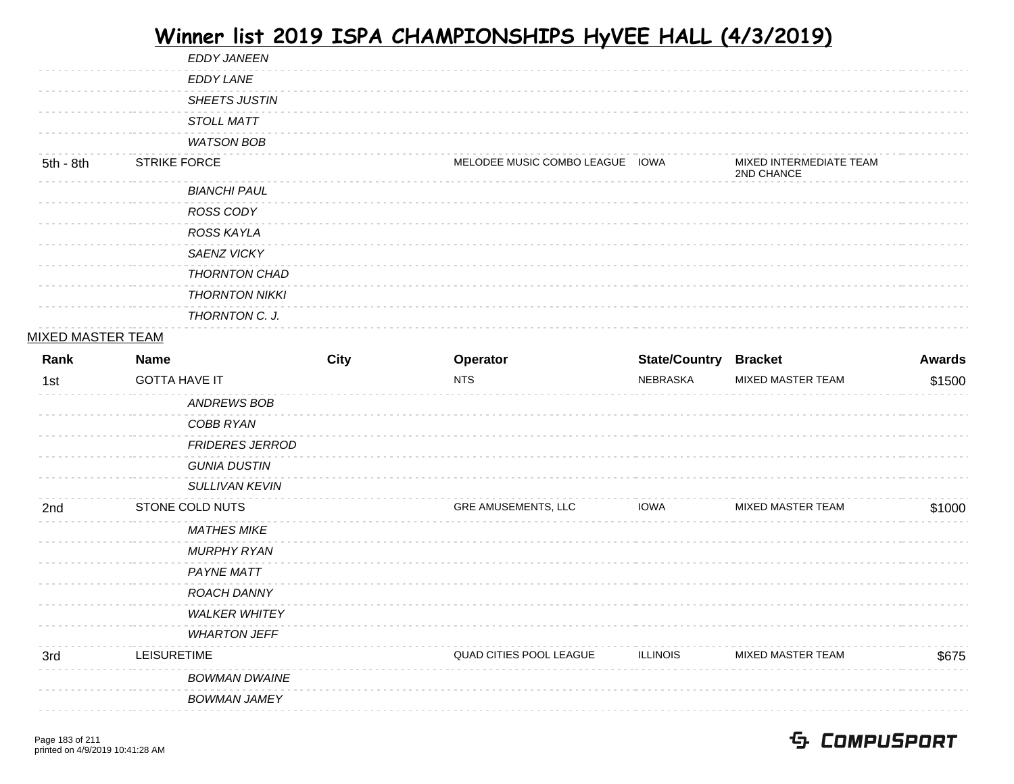|           | <b>EDDY JANEEN</b>    |                                 |                                       |
|-----------|-----------------------|---------------------------------|---------------------------------------|
|           | <b>EDDY LANE</b>      |                                 |                                       |
|           | <b>SHEETS JUSTIN</b>  |                                 |                                       |
|           | <b>STOLL MATT</b>     |                                 |                                       |
|           | <b>WATSON BOB</b>     |                                 |                                       |
| 5th - 8th | <b>STRIKE FORCE</b>   | MELODEE MUSIC COMBO LEAGUE IOWA | MIXED INTERMEDIATE TEAM<br>2ND CHANCE |
|           | <b>BIANCHI PAUL</b>   |                                 |                                       |
|           | ROSS CODY             |                                 |                                       |
|           | ROSS KAYLA            |                                 |                                       |
|           | <b>SAENZ VICKY</b>    |                                 |                                       |
|           | THORNTON CHAD         |                                 |                                       |
|           | <b>THORNTON NIKKI</b> |                                 |                                       |
|           | THORNTON C. J.        |                                 |                                       |
|           |                       |                                 |                                       |

#### MIXED MASTER TEAM

| Rank | Name                   | City | Operator                       | <b>State/Country</b> | <b>Bracket</b>           | <b>Awards</b> |
|------|------------------------|------|--------------------------------|----------------------|--------------------------|---------------|
| 1st  | <b>GOTTA HAVE IT</b>   |      | <b>NTS</b>                     | NEBRASKA             | MIXED MASTER TEAM        | \$1500        |
|      | ANDREWS BOB            |      |                                |                      |                          |               |
|      | COBB RYAN              |      |                                |                      |                          |               |
|      | <b>FRIDERES JERROD</b> |      |                                |                      |                          |               |
|      | <b>GUNIA DUSTIN</b>    |      |                                |                      |                          |               |
|      | <b>SULLIVAN KEVIN</b>  |      |                                |                      |                          |               |
| 2nd  | STONE COLD NUTS        |      | <b>GRE AMUSEMENTS, LLC</b>     | IOWA                 | MIXED MASTER TEAM        | \$1000        |
|      | <b>MATHES MIKE</b>     |      |                                |                      |                          |               |
|      | <b>MURPHY RYAN</b>     |      |                                |                      |                          |               |
|      | PAYNE MATT             |      |                                |                      |                          |               |
|      | ROACH DANNY            |      |                                |                      |                          |               |
|      | <b>WALKER WHITEY</b>   |      |                                |                      |                          |               |
|      | <b>WHARTON JEFF</b>    |      |                                |                      |                          |               |
| 3rd  | <b>LEISURETIME</b>     |      | <b>QUAD CITIES POOL LEAGUE</b> | <b>ILLINOIS</b>      | <b>MIXED MASTER TEAM</b> | \$675         |
|      | <b>BOWMAN DWAINE</b>   |      |                                |                      |                          |               |
|      | <b>BOWMAN JAMEY</b>    |      |                                |                      |                          |               |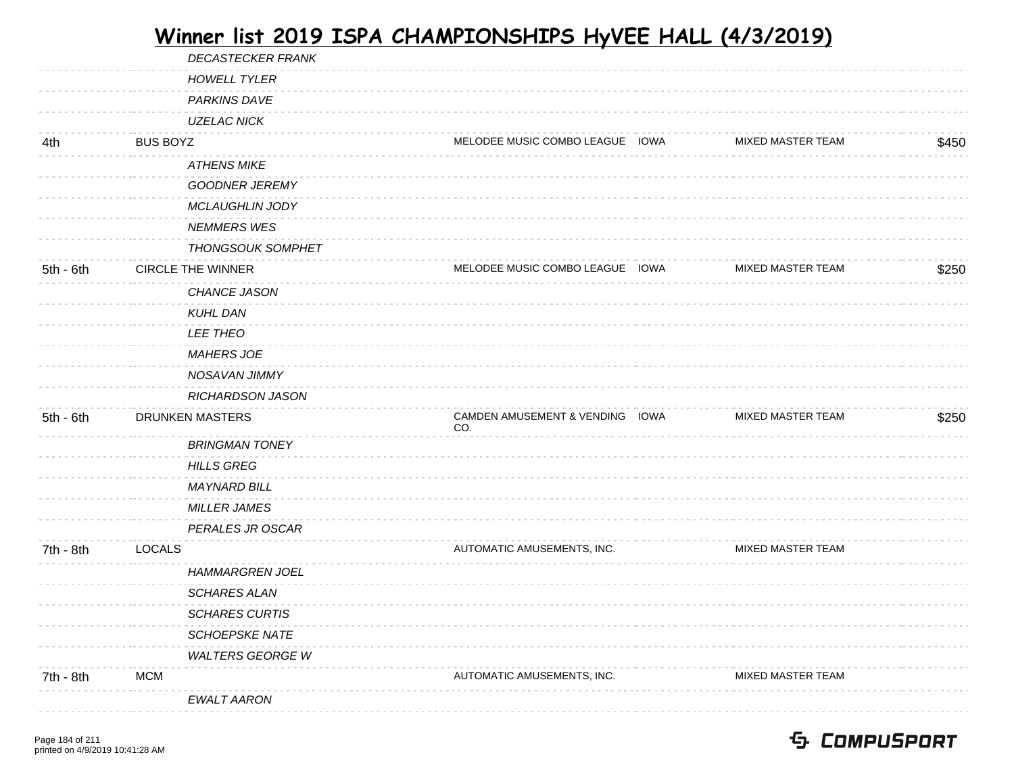|             | <b>DECASTECKER FRANK</b> |                                        |                          |       |
|-------------|--------------------------|----------------------------------------|--------------------------|-------|
|             | <b>HOWELL TYLER</b>      |                                        |                          |       |
|             | PARKINS DAVE             |                                        |                          |       |
|             | UZELAC NICK              |                                        |                          |       |
| 4th         | <b>BUS BOYZ</b>          | MELODEE MUSIC COMBO LEAGUE IOWA        | <b>MIXED MASTER TEAM</b> | \$450 |
|             | <b>ATHENS MIKE</b>       |                                        |                          |       |
|             | <b>GOODNER JEREMY</b>    |                                        |                          |       |
|             | <b>MCLAUGHLIN JODY</b>   |                                        |                          |       |
|             | <b>NEMMERS WES</b>       |                                        |                          |       |
|             | <b>THONGSOUK SOMPHET</b> |                                        |                          |       |
| $5th - 6th$ | <b>CIRCLE THE WINNER</b> | MELODEE MUSIC COMBO LEAGUE IOWA        | MIXED MASTER TEAM        | \$250 |
|             | CHANCE JASON             |                                        |                          |       |
|             | <b>KUHL DAN</b>          |                                        |                          |       |
|             | <b>LEE THEO</b>          |                                        |                          |       |
|             | <b>MAHERS JOE</b>        |                                        |                          |       |
|             | NOSAVAN JIMMY            |                                        |                          |       |
|             | RICHARDSON JASON         |                                        |                          |       |
| 5th - 6th   | <b>DRUNKEN MASTERS</b>   | CAMDEN AMUSEMENT & VENDING IOWA<br>CO. | <b>MIXED MASTER TEAM</b> | \$250 |
|             | <b>BRINGMAN TONEY</b>    |                                        |                          |       |
|             | <b>HILLS GREG</b>        |                                        |                          |       |
|             | <b>MAYNARD BILL</b>      |                                        |                          |       |
|             | <b>MILLER JAMES</b>      |                                        |                          |       |
|             | PERALES JR OSCAR         |                                        |                          |       |
| 7th - 8th   | <b>LOCALS</b>            | AUTOMATIC AMUSEMENTS, INC.             | MIXED MASTER TEAM        |       |
|             | <b>HAMMARGREN JOEL</b>   |                                        |                          |       |
|             | <b>SCHARES ALAN</b>      |                                        |                          |       |
|             | <b>SCHARES CURTIS</b>    |                                        |                          |       |
|             | <b>SCHOEPSKE NATE</b>    |                                        |                          |       |
|             | <b>WALTERS GEORGE W</b>  |                                        |                          |       |
| 7th - 8th   | <b>MCM</b>               | AUTOMATIC AMUSEMENTS, INC.             | MIXED MASTER TEAM        |       |
|             | <b>EWALT AARON</b>       |                                        |                          |       |
|             |                          |                                        |                          |       |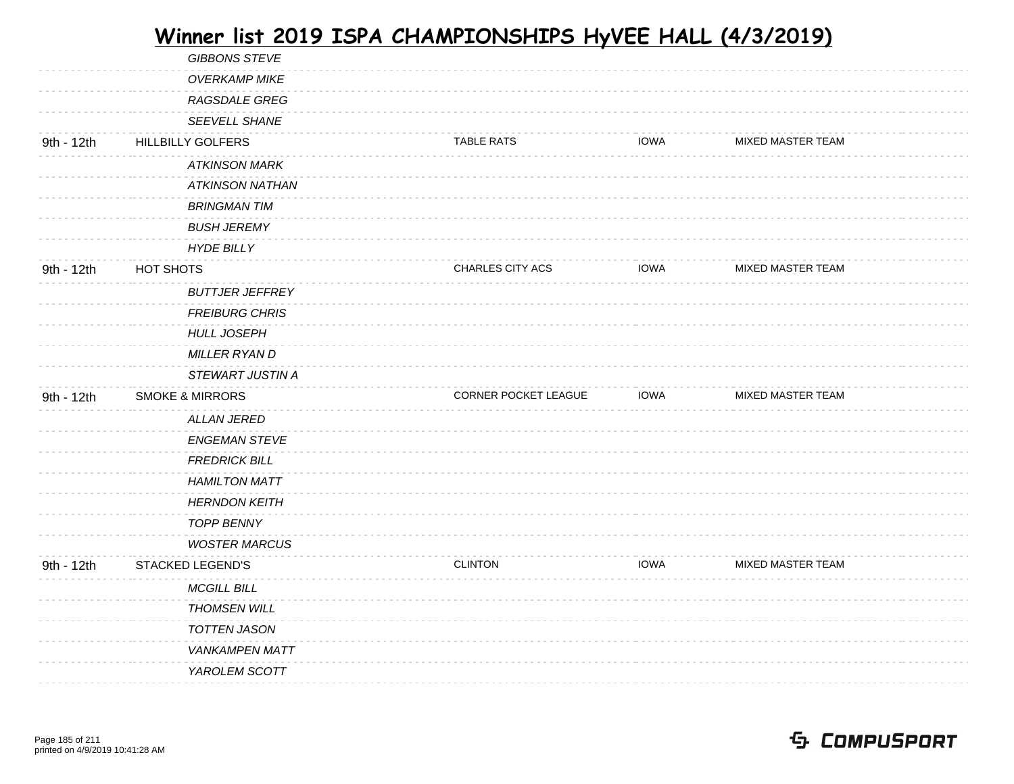|            | <b>GIBBONS STEVE</b>       |                      |             |                          |  |
|------------|----------------------------|----------------------|-------------|--------------------------|--|
|            | <b>OVERKAMP MIKE</b>       |                      |             |                          |  |
|            | RAGSDALE GREG              |                      |             |                          |  |
|            | SEEVELL SHANE              |                      |             |                          |  |
| 9th - 12th | <b>HILLBILLY GOLFERS</b>   | <b>TABLE RATS</b>    | <b>IOWA</b> | MIXED MASTER TEAM        |  |
|            | <b>ATKINSON MARK</b>       |                      |             |                          |  |
|            | <b>ATKINSON NATHAN</b>     |                      |             |                          |  |
|            | <b>BRINGMAN TIM</b>        |                      |             |                          |  |
|            | <b>BUSH JEREMY</b>         |                      |             |                          |  |
|            | <b>HYDE BILLY</b>          |                      |             |                          |  |
| 9th - 12th | HOT SHOTS                  | CHARLES CITY ACS     | <b>IOWA</b> | <b>MIXED MASTER TEAM</b> |  |
|            | <b>BUTTJER JEFFREY</b>     |                      |             |                          |  |
|            | <b>FREIBURG CHRIS</b>      |                      |             |                          |  |
|            | <b>HULL JOSEPH</b>         |                      |             |                          |  |
|            | <b>MILLER RYAN D</b>       |                      |             |                          |  |
|            | <b>STEWART JUSTIN A</b>    |                      |             |                          |  |
|            |                            |                      | <b>IOWA</b> | MIXED MASTER TEAM        |  |
| 9th - 12th | <b>SMOKE &amp; MIRRORS</b> | CORNER POCKET LEAGUE |             |                          |  |
|            | <b>ALLAN JERED</b>         |                      |             |                          |  |
|            | <b>ENGEMAN STEVE</b>       |                      |             |                          |  |
|            | <b>FREDRICK BILL</b>       |                      |             |                          |  |
|            | <b>HAMILTON MATT</b>       |                      |             |                          |  |
|            | <b>HERNDON KEITH</b>       |                      |             |                          |  |
|            | <b>TOPP BENNY</b>          |                      |             |                          |  |
|            | <b>WOSTER MARCUS</b>       |                      |             |                          |  |
| 9th - 12th | <b>STACKED LEGEND'S</b>    | <b>CLINTON</b>       | <b>IOWA</b> | MIXED MASTER TEAM        |  |
|            | <b>MCGILL BILL</b>         |                      |             |                          |  |
|            | <b>THOMSEN WILL</b>        |                      |             |                          |  |
|            | TOTTEN JASON               |                      |             |                          |  |
|            | <b>VANKAMPEN MATT</b>      |                      |             |                          |  |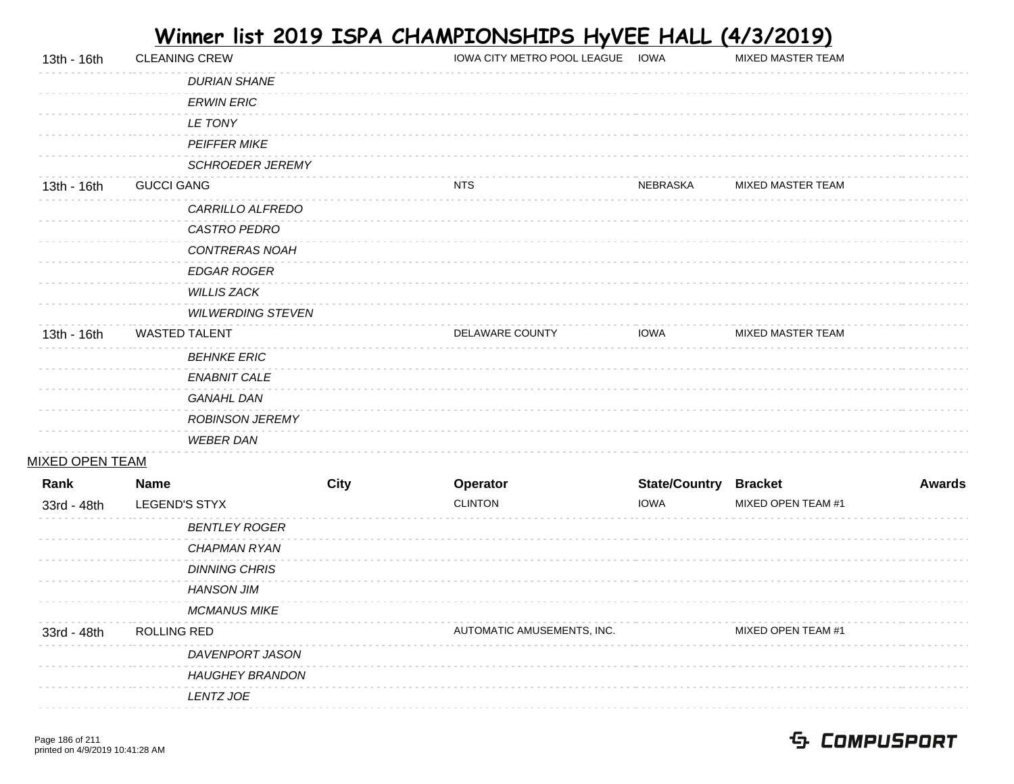| 13th - 16th            | <b>CLEANING CREW</b>     |             | IOWA CITY METRO POOL LEAGUE IOWA |                              | MIXED MASTER TEAM        |               |
|------------------------|--------------------------|-------------|----------------------------------|------------------------------|--------------------------|---------------|
|                        | <b>DURIAN SHANE</b>      |             |                                  |                              |                          |               |
|                        | <b>ERWIN ERIC</b>        |             |                                  |                              |                          |               |
|                        | LE TONY                  |             |                                  |                              |                          |               |
|                        | PEIFFER MIKE             |             |                                  |                              |                          |               |
|                        | <b>SCHROEDER JEREMY</b>  |             |                                  |                              |                          |               |
| 13th - 16th            | <b>GUCCI GANG</b>        |             | <b>NTS</b>                       | NEBRASKA                     | <b>MIXED MASTER TEAM</b> |               |
|                        | CARRILLO ALFREDO         |             |                                  |                              |                          |               |
|                        | CASTRO PEDRO             |             |                                  |                              |                          |               |
|                        | CONTRERAS NOAH           |             |                                  |                              |                          |               |
|                        | <b>EDGAR ROGER</b>       |             |                                  |                              |                          |               |
|                        | <b>WILLIS ZACK</b>       |             |                                  |                              |                          |               |
|                        | <b>WILWERDING STEVEN</b> |             |                                  |                              |                          |               |
| 13th - 16th            | <b>WASTED TALENT</b>     |             | DELAWARE COUNTY                  | <b>IOWA</b>                  | MIXED MASTER TEAM        |               |
|                        | <b>BEHNKE ERIC</b>       |             |                                  |                              |                          |               |
|                        | ENABNIT CALE             |             |                                  |                              |                          |               |
|                        | <b>GANAHL DAN</b>        |             |                                  |                              |                          |               |
|                        | <b>ROBINSON JEREMY</b>   |             |                                  |                              |                          |               |
|                        | <b>WEBER DAN</b>         |             |                                  |                              |                          |               |
| <b>MIXED OPEN TEAM</b> |                          |             |                                  |                              |                          |               |
| Rank                   | <b>Name</b>              | <b>City</b> | Operator                         | <b>State/Country Bracket</b> |                          | <b>Awards</b> |
| 33rd - 48th            | LEGEND'S STYX            |             | <b>CLINTON</b>                   | <b>IOWA</b>                  | MIXED OPEN TEAM #1       |               |
|                        | <b>BENTLEY ROGER</b>     |             |                                  |                              |                          |               |
|                        | CHAPMAN RYAN             |             |                                  |                              |                          |               |
|                        | <b>DINNING CHRIS</b>     |             |                                  |                              |                          |               |
|                        | <b>HANSON JIM</b>        |             |                                  |                              |                          |               |
|                        | <b>MCMANUS MIKE</b>      |             |                                  |                              |                          |               |
| 33rd - 48th            | <b>ROLLING RED</b>       |             | AUTOMATIC AMUSEMENTS, INC.       |                              | MIXED OPEN TEAM #1       |               |
|                        | DAVENPORT JASON          |             |                                  |                              |                          |               |
|                        | <b>HAUGHEY BRANDON</b>   |             |                                  |                              |                          |               |
|                        | LENTZ JOE                |             |                                  |                              |                          |               |
|                        |                          |             |                                  |                              |                          |               |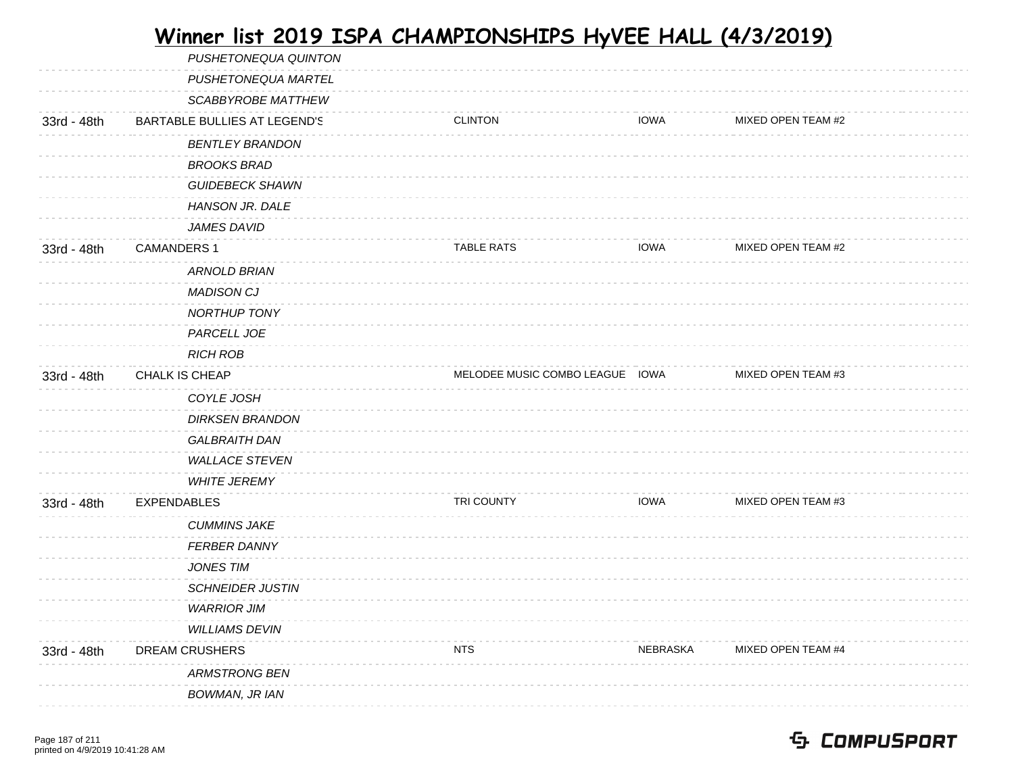|             | PUSHETONEQUA QUINTON         |                                 |             |                    |  |
|-------------|------------------------------|---------------------------------|-------------|--------------------|--|
|             | PUSHETONEQUA MARTEL          |                                 |             |                    |  |
|             | SCABBYROBE MATTHEW           |                                 |             |                    |  |
| 33rd - 48th | BARTABLE BULLIES AT LEGEND'S | <b>CLINTON</b>                  | <b>IOWA</b> | MIXED OPEN TEAM #2 |  |
|             | <b>BENTLEY BRANDON</b>       |                                 |             |                    |  |
|             | <b>BROOKS BRAD</b>           |                                 |             |                    |  |
|             | <b>GUIDEBECK SHAWN</b>       |                                 |             |                    |  |
|             | HANSON JR. DALE              |                                 |             |                    |  |
|             | <i>JAMES DAVID</i>           |                                 |             |                    |  |
| 33rd - 48th | <b>CAMANDERS 1</b>           | <b>TABLE RATS</b>               | <b>IOWA</b> | MIXED OPEN TEAM #2 |  |
|             | ARNOLD BRIAN                 |                                 |             |                    |  |
|             | <b>MADISON CJ</b>            |                                 |             |                    |  |
|             | NORTHUP TONY                 |                                 |             |                    |  |
|             | PARCELL JOE                  |                                 |             |                    |  |
|             | <b>RICH ROB</b>              |                                 |             |                    |  |
| 33rd - 48th | CHALK IS CHEAP               | MELODEE MUSIC COMBO LEAGUE IOWA |             | MIXED OPEN TEAM #3 |  |
|             | COYLE JOSH                   |                                 |             |                    |  |
|             | <b>DIRKSEN BRANDON</b>       |                                 |             |                    |  |
|             | <b>GALBRAITH DAN</b>         |                                 |             |                    |  |
|             | <b>WALLACE STEVEN</b>        |                                 |             |                    |  |
|             | <b>WHITE JEREMY</b>          |                                 |             |                    |  |
| 33rd - 48th | <b>EXPENDABLES</b>           | TRI COUNTY                      | <b>IOWA</b> | MIXED OPEN TEAM #3 |  |
|             | <b>CUMMINS JAKE</b>          |                                 |             |                    |  |
|             | <b>FERBER DANNY</b>          |                                 |             |                    |  |
|             | <b>JONES TIM</b>             |                                 |             |                    |  |
|             | <b>SCHNEIDER JUSTIN</b>      |                                 |             |                    |  |
|             | <b>WARRIOR JIM</b>           |                                 |             |                    |  |
|             | <b>WILLIAMS DEVIN</b>        |                                 |             |                    |  |
| 33rd - 48th | DREAM CRUSHERS               | <b>NTS</b>                      | NEBRASKA    | MIXED OPEN TEAM #4 |  |
|             | <b>ARMSTRONG BEN</b>         |                                 |             |                    |  |
|             | BOWMAN, JR IAN               |                                 |             |                    |  |
|             |                              |                                 |             |                    |  |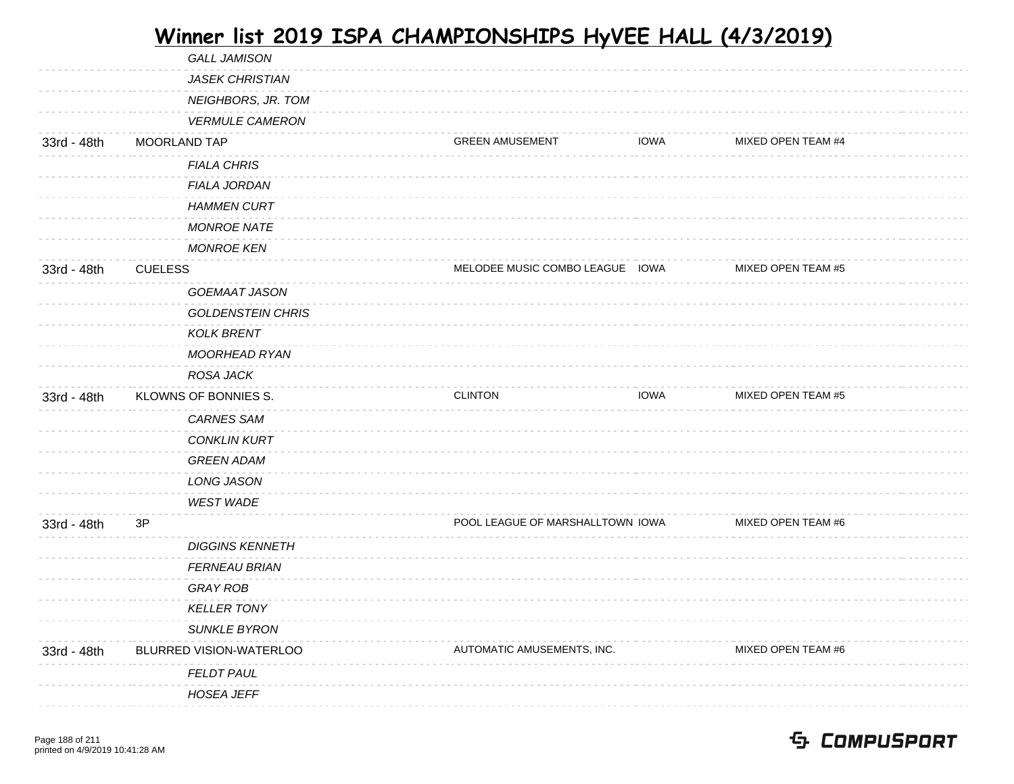|             | <b>GALL JAMISON</b>      |                                  |             |                    |  |
|-------------|--------------------------|----------------------------------|-------------|--------------------|--|
|             | <b>JASEK CHRISTIAN</b>   |                                  |             |                    |  |
|             | NEIGHBORS, JR. TOM       |                                  |             |                    |  |
|             | <b>VERMULE CAMERON</b>   |                                  |             |                    |  |
| 33rd - 48th | MOORLAND TAP             | <b>GREEN AMUSEMENT</b>           | <b>IOWA</b> | MIXED OPEN TEAM #4 |  |
|             | <b>FIALA CHRIS</b>       |                                  |             |                    |  |
|             | <b>FIALA JORDAN</b>      |                                  |             |                    |  |
|             | <b>HAMMEN CURT</b>       |                                  |             |                    |  |
|             | <b>MONROE NATE</b>       |                                  |             |                    |  |
|             | <b>MONROE KEN</b>        |                                  |             |                    |  |
| 33rd - 48th | <b>CUELESS</b>           | MELODEE MUSIC COMBO LEAGUE IOWA  |             | MIXED OPEN TEAM #5 |  |
|             | GOEMAAT JASON            |                                  |             |                    |  |
|             | <b>GOLDENSTEIN CHRIS</b> |                                  |             |                    |  |
|             | <b>KOLK BRENT</b>        |                                  |             |                    |  |
|             | MOORHEAD RYAN            |                                  |             |                    |  |
|             | ROSA JACK                |                                  |             |                    |  |
| 33rd - 48th | KLOWNS OF BONNIES S.     | <b>CLINTON</b>                   | <b>IOWA</b> | MIXED OPEN TEAM #5 |  |
|             | <b>CARNES SAM</b>        |                                  |             |                    |  |
|             | <b>CONKLIN KURT</b>      |                                  |             |                    |  |
|             | <b>GREEN ADAM</b>        |                                  |             |                    |  |
|             | LONG JASON               |                                  |             |                    |  |
|             | <b>WEST WADE</b>         |                                  |             |                    |  |
| 33rd - 48th | 3P                       | POOL LEAGUE OF MARSHALLTOWN IOWA |             | MIXED OPEN TEAM #6 |  |
|             | <b>DIGGINS KENNETH</b>   |                                  |             |                    |  |
|             | <b>FERNEAU BRIAN</b>     |                                  |             |                    |  |
|             | <b>GRAY ROB</b>          |                                  |             |                    |  |
|             | <b>KELLER TONY</b>       |                                  |             |                    |  |
|             | <b>SUNKLE BYRON</b>      |                                  |             |                    |  |
| 33rd - 48th | BLURRED VISION-WATERLOO  | AUTOMATIC AMUSEMENTS, INC.       |             | MIXED OPEN TEAM #6 |  |
|             | <b>FELDT PAUL</b>        |                                  |             |                    |  |
|             | <b>HOSEA JEFF</b>        |                                  |             |                    |  |
|             |                          |                                  |             |                    |  |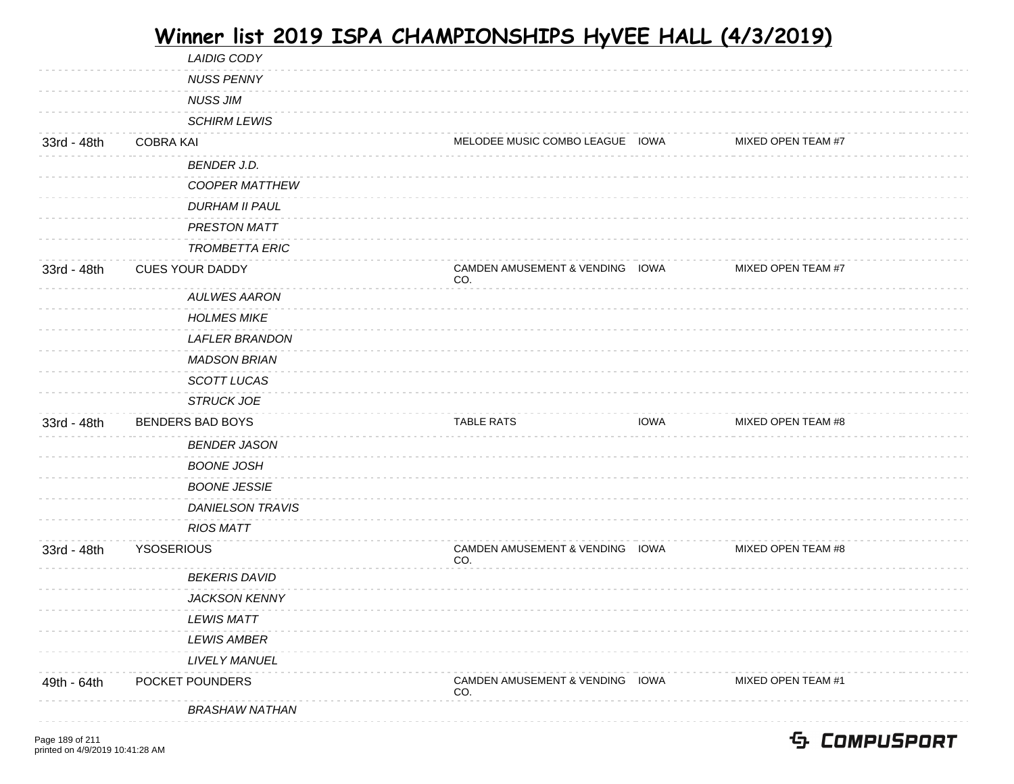|             | <b>LAIDIG CODY</b>      |                                        |             |                    |
|-------------|-------------------------|----------------------------------------|-------------|--------------------|
|             | <b>NUSS PENNY</b>       |                                        |             |                    |
|             | <b>NUSS JIM</b>         |                                        |             |                    |
|             | <b>SCHIRM LEWIS</b>     |                                        |             |                    |
| 33rd - 48th | <b>COBRA KAI</b>        | MELODEE MUSIC COMBO LEAGUE IOWA        |             | MIXED OPEN TEAM #7 |
|             | <b>BENDER J.D.</b>      |                                        |             |                    |
|             | <b>COOPER MATTHEW</b>   |                                        |             |                    |
|             | <b>DURHAM II PAUL</b>   |                                        |             |                    |
|             | PRESTON MATT            |                                        |             |                    |
|             | <b>TROMBETTA ERIC</b>   |                                        |             |                    |
| 33rd - 48th | <b>CUES YOUR DADDY</b>  | CAMDEN AMUSEMENT & VENDING IOWA<br>CO. |             | MIXED OPEN TEAM #7 |
|             | <b>AULWES AARON</b>     |                                        |             |                    |
|             | <b>HOLMES MIKE</b>      |                                        |             |                    |
|             | <b>LAFLER BRANDON</b>   |                                        |             |                    |
|             | <b>MADSON BRIAN</b>     |                                        |             |                    |
|             | SCOTT LUCAS             |                                        |             |                    |
|             | <b>STRUCK JOE</b>       |                                        |             |                    |
| 33rd - 48th | <b>BENDERS BAD BOYS</b> | <b>TABLE RATS</b>                      | <b>IOWA</b> | MIXED OPEN TEAM #8 |
|             | <b>BENDER JASON</b>     |                                        |             |                    |
|             |                         |                                        |             |                    |
|             | <b>BOONE JOSH</b>       |                                        |             |                    |
|             | <b>BOONE JESSIE</b>     |                                        |             |                    |
|             | <b>DANIELSON TRAVIS</b> |                                        |             |                    |
|             | <b>RIOS MATT</b>        |                                        |             |                    |
| 33rd - 48th | <b>YSOSERIOUS</b>       | CAMDEN AMUSEMENT & VENDING IOWA<br>CO. |             | MIXED OPEN TEAM #8 |
|             | <b>BEKERIS DAVID</b>    |                                        |             |                    |
|             | <b>JACKSON KENNY</b>    |                                        |             |                    |
|             | <b>LEWIS MATT</b>       |                                        |             |                    |
|             | <b>LEWIS AMBER</b>      |                                        |             |                    |
|             | LIVELY MANUEL           |                                        |             |                    |
| 49th - 64th | POCKET POUNDERS         | CAMDEN AMUSEMENT & VENDING IOWA<br>CO. |             | MIXED OPEN TEAM #1 |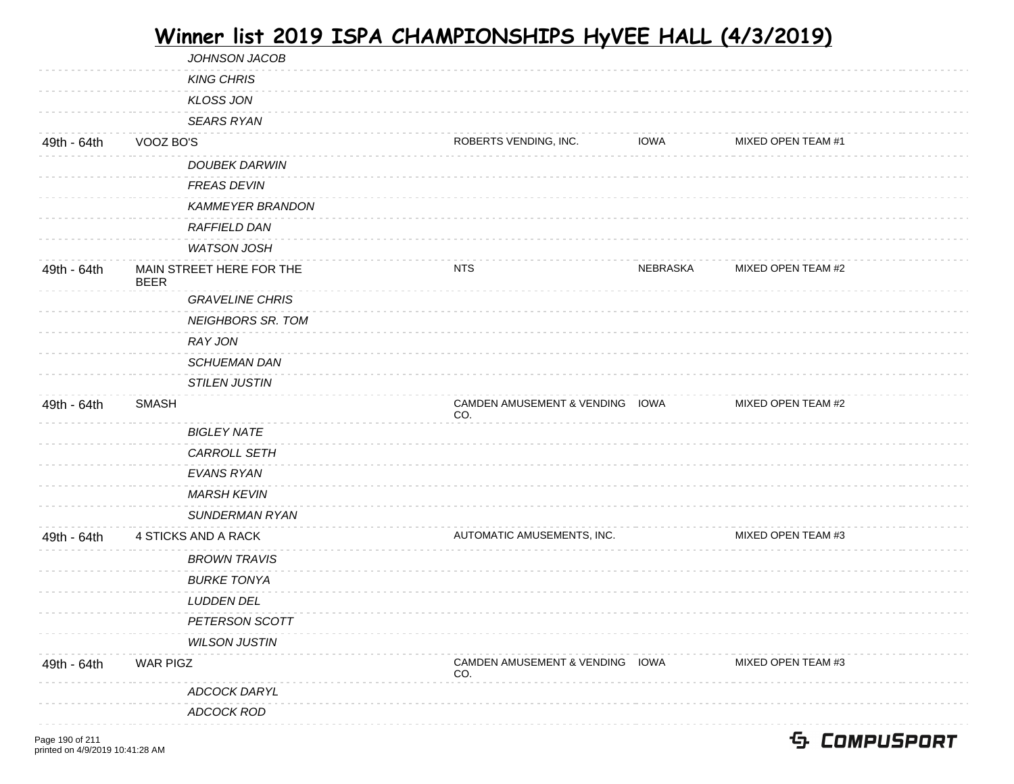|             | JOHNSON JACOB                           |                                        |             |                    |  |
|-------------|-----------------------------------------|----------------------------------------|-------------|--------------------|--|
|             | <b>KING CHRIS</b>                       |                                        |             |                    |  |
|             | <b>KLOSS JON</b>                        |                                        |             |                    |  |
|             | <b>SEARS RYAN</b>                       |                                        |             |                    |  |
| 49th - 64th | VOOZ BO'S                               | ROBERTS VENDING, INC.                  | <b>IOWA</b> | MIXED OPEN TEAM #1 |  |
|             | DOUBEK DARWIN                           |                                        |             |                    |  |
|             | <b>FREAS DEVIN</b>                      |                                        |             |                    |  |
|             | <b>KAMMEYER BRANDON</b>                 |                                        |             |                    |  |
|             | RAFFIELD DAN                            |                                        |             |                    |  |
|             | <b>WATSON JOSH</b>                      |                                        |             |                    |  |
| 49th - 64th | MAIN STREET HERE FOR THE<br><b>BEER</b> | <b>NTS</b>                             | NEBRASKA    | MIXED OPEN TEAM #2 |  |
|             | <b>GRAVELINE CHRIS</b>                  |                                        |             |                    |  |
|             | <b>NEIGHBORS SR. TOM</b>                |                                        |             |                    |  |
|             | <b>RAY JON</b>                          |                                        |             |                    |  |
|             | SCHUEMAN DAN                            |                                        |             |                    |  |
|             | <b>STILEN JUSTIN</b>                    |                                        |             |                    |  |
| 49th - 64th | <b>SMASH</b>                            | CAMDEN AMUSEMENT & VENDING IOWA<br>CO. |             | MIXED OPEN TEAM #2 |  |
|             | <b>BIGLEY NATE</b>                      |                                        |             |                    |  |
|             | CARROLL SETH                            |                                        |             |                    |  |
|             | EVANS RYAN                              |                                        |             |                    |  |
|             | <b>MARSH KEVIN</b>                      |                                        |             |                    |  |
|             | <b>SUNDERMAN RYAN</b>                   |                                        |             |                    |  |
| 49th - 64th | 4 STICKS AND A RACK                     | AUTOMATIC AMUSEMENTS, INC.             |             | MIXED OPEN TEAM #3 |  |
|             | <b>BROWN TRAVIS</b>                     |                                        |             |                    |  |
|             | <b>BURKE TONYA</b>                      |                                        |             |                    |  |
|             | <b>LUDDEN DEL</b>                       |                                        |             |                    |  |
|             | PETERSON SCOTT                          |                                        |             |                    |  |
|             | <b>WILSON JUSTIN</b>                    |                                        |             |                    |  |
| 49th - 64th | <b>WAR PIGZ</b>                         | CAMDEN AMUSEMENT & VENDING IOWA<br>CO. |             | MIXED OPEN TEAM #3 |  |
|             | ADCOCK DARYL                            |                                        |             |                    |  |
|             | ADCOCK ROD                              |                                        |             |                    |  |
|             |                                         |                                        |             |                    |  |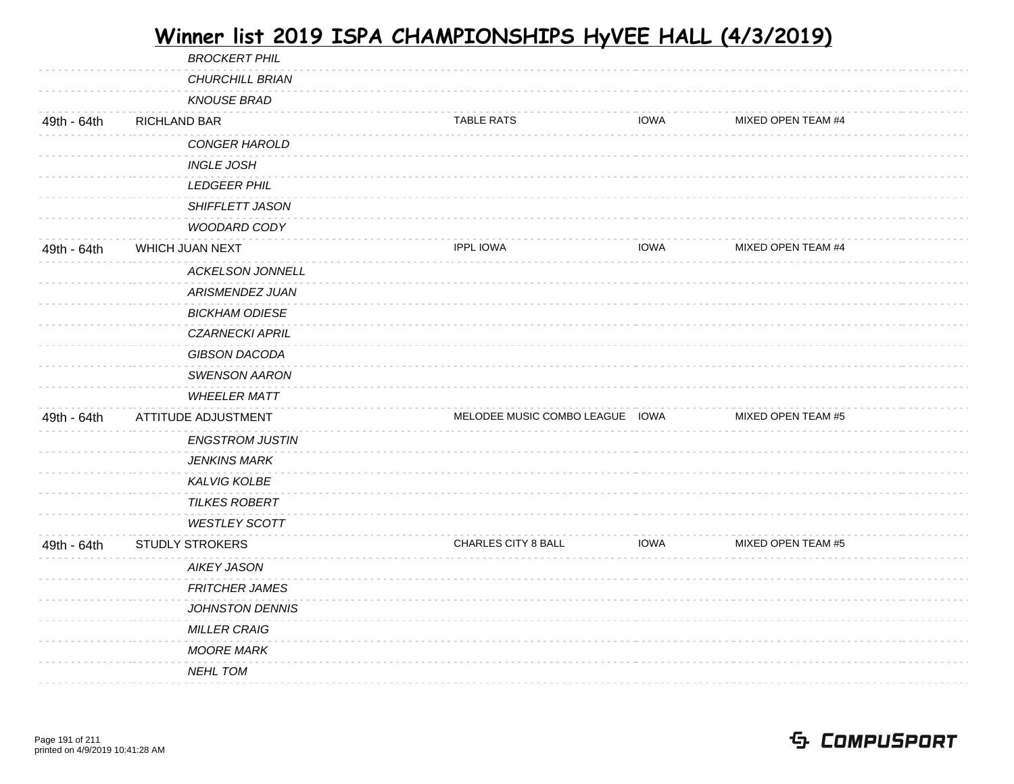|             | <b>BROCKERT PHIL</b>    |                                 |             |                    |  |
|-------------|-------------------------|---------------------------------|-------------|--------------------|--|
|             | <b>CHURCHILL BRIAN</b>  |                                 |             |                    |  |
|             | <b>KNOUSE BRAD</b>      |                                 |             |                    |  |
| 49th - 64th | RICHLAND BAR            | <b>TABLE RATS</b>               | <b>IOWA</b> | MIXED OPEN TEAM #4 |  |
|             | CONGER HAROLD           |                                 |             |                    |  |
|             | <b>INGLE JOSH</b>       |                                 |             |                    |  |
|             | <b>LEDGEER PHIL</b>     |                                 |             |                    |  |
|             | <b>SHIFFLETT JASON</b>  |                                 |             |                    |  |
|             | <b>WOODARD CODY</b>     |                                 |             |                    |  |
| 49th - 64th | WHICH JUAN NEXT         | <b>IPPL IOWA</b>                | <b>IOWA</b> | MIXED OPEN TEAM #4 |  |
|             | <b>ACKELSON JONNELL</b> |                                 |             |                    |  |
|             | <b>ARISMENDEZ JUAN</b>  |                                 |             |                    |  |
|             | <b>BICKHAM ODIESE</b>   |                                 |             |                    |  |
|             | <b>CZARNECKI APRIL</b>  |                                 |             |                    |  |
|             | GIBSON DACODA           |                                 |             |                    |  |
|             | <b>SWENSON AARON</b>    |                                 |             |                    |  |
|             | <b>WHEELER MATT</b>     |                                 |             |                    |  |
| 49th - 64th | ATTITUDE ADJUSTMENT     | MELODEE MUSIC COMBO LEAGUE IOWA |             | MIXED OPEN TEAM #5 |  |
|             | <b>ENGSTROM JUSTIN</b>  |                                 |             |                    |  |
|             | <b>JENKINS MARK</b>     |                                 |             |                    |  |
|             | <b>KALVIG KOLBE</b>     |                                 |             |                    |  |
|             | <b>TILKES ROBERT</b>    |                                 |             |                    |  |
|             | <b>WESTLEY SCOTT</b>    |                                 |             |                    |  |
| 49th - 64th | <b>STUDLY STROKERS</b>  | CHARLES CITY 8 BALL             | <b>IOWA</b> | MIXED OPEN TEAM #5 |  |
|             | <b>AIKEY JASON</b>      |                                 |             |                    |  |
|             | <b>FRITCHER JAMES</b>   |                                 |             |                    |  |
|             | <b>JOHNSTON DENNIS</b>  |                                 |             |                    |  |
|             | <b>MILLER CRAIG</b>     |                                 |             |                    |  |
|             | <b>MOORE MARK</b>       |                                 |             |                    |  |
|             | <b>NEHL TOM</b>         |                                 |             |                    |  |
|             |                         |                                 |             |                    |  |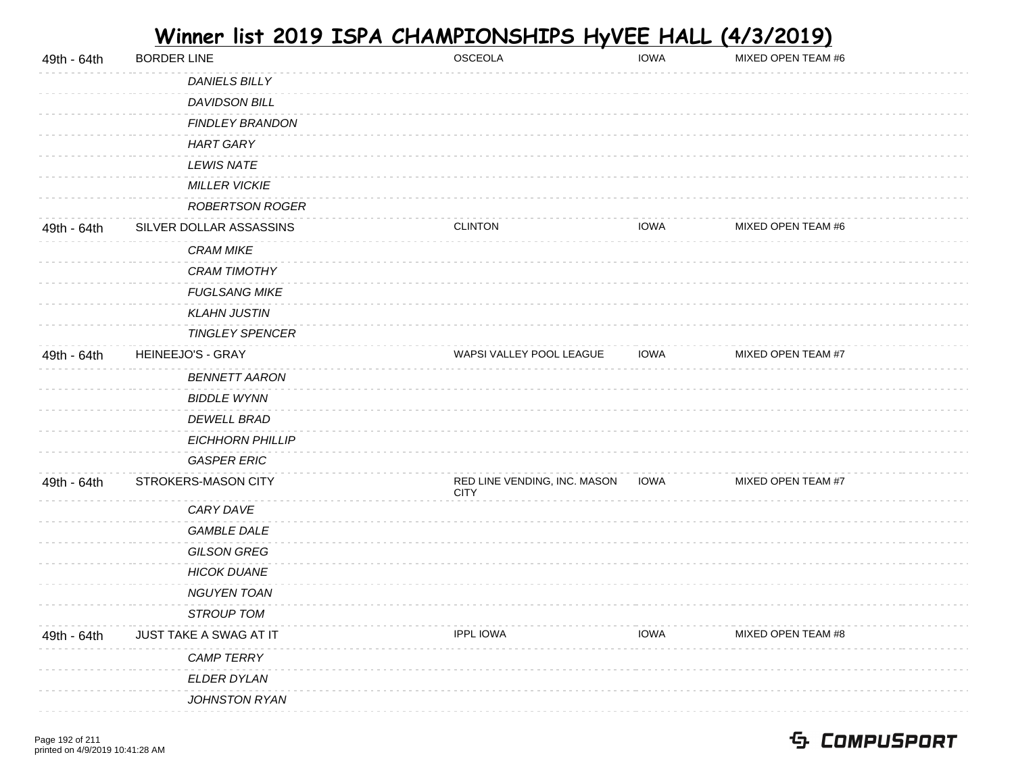| DANIELS BILLY<br>DAVIDSON BILL<br><b>FINDLEY BRANDON</b><br><b>HART GARY</b><br><b>LEWIS NATE</b><br><b>MILLER VICKIE</b><br><b>ROBERTSON ROGER</b><br>SILVER DOLLAR ASSASSINS<br>MIXED OPEN TEAM #6<br>49th - 64th<br><b>CLINTON</b><br>IOWA<br><b>CRAM MIKE</b><br><b>CRAM TIMOTHY</b><br><b>FUGLSANG MIKE</b><br><b>KLAHN JUSTIN</b><br><b>TINGLEY SPENCER</b><br>HEINEEJO'S - GRAY<br>WAPSI VALLEY POOL LEAGUE<br><b>IOWA</b><br>MIXED OPEN TEAM #7<br>49th - 64th<br><b>BENNETT AARON</b><br><b>BIDDLE WYNN</b><br><b>DEWELL BRAD</b><br><b>EICHHORN PHILLIP</b><br><b>GASPER ERIC</b><br>RED LINE VENDING, INC. MASON<br>MIXED OPEN TEAM #7<br>STROKERS-MASON CITY<br><b>IOWA</b><br>49th - 64th<br><b>CITY</b><br>CARY DAVE<br><b>GAMBLE DALE</b><br><b>GILSON GREG</b><br><b>HICOK DUANE</b><br><b>NGUYEN TOAN</b><br><b>STROUP TOM</b><br>49th - 64th<br>JUST TAKE A SWAG AT IT<br><b>IPPL IOWA</b><br><b>IOWA</b><br>MIXED OPEN TEAM #8<br><b>CAMP TERRY</b><br>ELDER DYLAN<br>JOHNSTON RYAN | 49th - 64th | <b>BORDER LINE</b> | OSCEOLA | <b>IOWA</b> | MIXED OPEN TEAM #6 |
|--------------------------------------------------------------------------------------------------------------------------------------------------------------------------------------------------------------------------------------------------------------------------------------------------------------------------------------------------------------------------------------------------------------------------------------------------------------------------------------------------------------------------------------------------------------------------------------------------------------------------------------------------------------------------------------------------------------------------------------------------------------------------------------------------------------------------------------------------------------------------------------------------------------------------------------------------------------------------------------------------------|-------------|--------------------|---------|-------------|--------------------|
|                                                                                                                                                                                                                                                                                                                                                                                                                                                                                                                                                                                                                                                                                                                                                                                                                                                                                                                                                                                                        |             |                    |         |             |                    |
|                                                                                                                                                                                                                                                                                                                                                                                                                                                                                                                                                                                                                                                                                                                                                                                                                                                                                                                                                                                                        |             |                    |         |             |                    |
|                                                                                                                                                                                                                                                                                                                                                                                                                                                                                                                                                                                                                                                                                                                                                                                                                                                                                                                                                                                                        |             |                    |         |             |                    |
|                                                                                                                                                                                                                                                                                                                                                                                                                                                                                                                                                                                                                                                                                                                                                                                                                                                                                                                                                                                                        |             |                    |         |             |                    |
|                                                                                                                                                                                                                                                                                                                                                                                                                                                                                                                                                                                                                                                                                                                                                                                                                                                                                                                                                                                                        |             |                    |         |             |                    |
|                                                                                                                                                                                                                                                                                                                                                                                                                                                                                                                                                                                                                                                                                                                                                                                                                                                                                                                                                                                                        |             |                    |         |             |                    |
|                                                                                                                                                                                                                                                                                                                                                                                                                                                                                                                                                                                                                                                                                                                                                                                                                                                                                                                                                                                                        |             |                    |         |             |                    |
|                                                                                                                                                                                                                                                                                                                                                                                                                                                                                                                                                                                                                                                                                                                                                                                                                                                                                                                                                                                                        |             |                    |         |             |                    |
|                                                                                                                                                                                                                                                                                                                                                                                                                                                                                                                                                                                                                                                                                                                                                                                                                                                                                                                                                                                                        |             |                    |         |             |                    |
|                                                                                                                                                                                                                                                                                                                                                                                                                                                                                                                                                                                                                                                                                                                                                                                                                                                                                                                                                                                                        |             |                    |         |             |                    |
|                                                                                                                                                                                                                                                                                                                                                                                                                                                                                                                                                                                                                                                                                                                                                                                                                                                                                                                                                                                                        |             |                    |         |             |                    |
|                                                                                                                                                                                                                                                                                                                                                                                                                                                                                                                                                                                                                                                                                                                                                                                                                                                                                                                                                                                                        |             |                    |         |             |                    |
|                                                                                                                                                                                                                                                                                                                                                                                                                                                                                                                                                                                                                                                                                                                                                                                                                                                                                                                                                                                                        |             |                    |         |             |                    |
|                                                                                                                                                                                                                                                                                                                                                                                                                                                                                                                                                                                                                                                                                                                                                                                                                                                                                                                                                                                                        |             |                    |         |             |                    |
|                                                                                                                                                                                                                                                                                                                                                                                                                                                                                                                                                                                                                                                                                                                                                                                                                                                                                                                                                                                                        |             |                    |         |             |                    |
|                                                                                                                                                                                                                                                                                                                                                                                                                                                                                                                                                                                                                                                                                                                                                                                                                                                                                                                                                                                                        |             |                    |         |             |                    |
|                                                                                                                                                                                                                                                                                                                                                                                                                                                                                                                                                                                                                                                                                                                                                                                                                                                                                                                                                                                                        |             |                    |         |             |                    |
|                                                                                                                                                                                                                                                                                                                                                                                                                                                                                                                                                                                                                                                                                                                                                                                                                                                                                                                                                                                                        |             |                    |         |             |                    |
|                                                                                                                                                                                                                                                                                                                                                                                                                                                                                                                                                                                                                                                                                                                                                                                                                                                                                                                                                                                                        |             |                    |         |             |                    |
|                                                                                                                                                                                                                                                                                                                                                                                                                                                                                                                                                                                                                                                                                                                                                                                                                                                                                                                                                                                                        |             |                    |         |             |                    |
|                                                                                                                                                                                                                                                                                                                                                                                                                                                                                                                                                                                                                                                                                                                                                                                                                                                                                                                                                                                                        |             |                    |         |             |                    |
|                                                                                                                                                                                                                                                                                                                                                                                                                                                                                                                                                                                                                                                                                                                                                                                                                                                                                                                                                                                                        |             |                    |         |             |                    |
|                                                                                                                                                                                                                                                                                                                                                                                                                                                                                                                                                                                                                                                                                                                                                                                                                                                                                                                                                                                                        |             |                    |         |             |                    |
|                                                                                                                                                                                                                                                                                                                                                                                                                                                                                                                                                                                                                                                                                                                                                                                                                                                                                                                                                                                                        |             |                    |         |             |                    |
|                                                                                                                                                                                                                                                                                                                                                                                                                                                                                                                                                                                                                                                                                                                                                                                                                                                                                                                                                                                                        |             |                    |         |             |                    |
|                                                                                                                                                                                                                                                                                                                                                                                                                                                                                                                                                                                                                                                                                                                                                                                                                                                                                                                                                                                                        |             |                    |         |             |                    |
|                                                                                                                                                                                                                                                                                                                                                                                                                                                                                                                                                                                                                                                                                                                                                                                                                                                                                                                                                                                                        |             |                    |         |             |                    |
|                                                                                                                                                                                                                                                                                                                                                                                                                                                                                                                                                                                                                                                                                                                                                                                                                                                                                                                                                                                                        |             |                    |         |             |                    |
|                                                                                                                                                                                                                                                                                                                                                                                                                                                                                                                                                                                                                                                                                                                                                                                                                                                                                                                                                                                                        |             |                    |         |             |                    |
|                                                                                                                                                                                                                                                                                                                                                                                                                                                                                                                                                                                                                                                                                                                                                                                                                                                                                                                                                                                                        |             |                    |         |             |                    |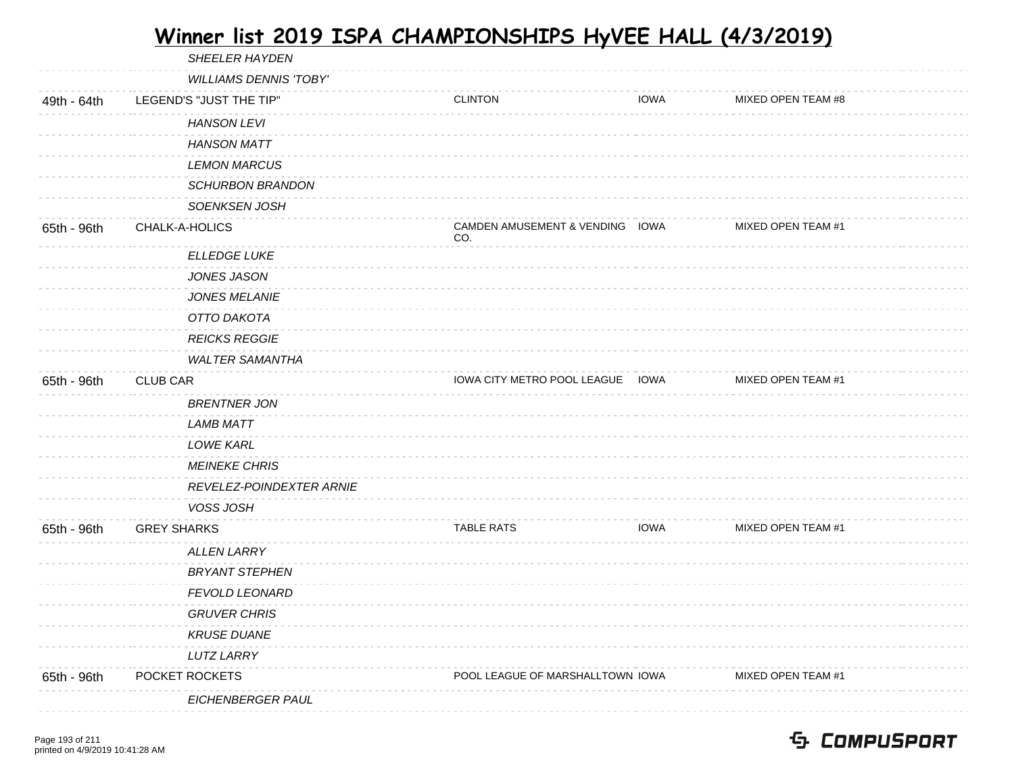|             | SHEELER HAYDEN                |                                        |             |                    |
|-------------|-------------------------------|----------------------------------------|-------------|--------------------|
|             | <b>WILLIAMS DENNIS 'TOBY'</b> |                                        |             |                    |
| 49th - 64th | LEGEND'S "JUST THE TIP"       | <b>CLINTON</b>                         | <b>IOWA</b> | MIXED OPEN TEAM #8 |
|             | <b>HANSON LEVI</b>            |                                        |             |                    |
|             | <b>HANSON MATT</b>            |                                        |             |                    |
|             | <b>LEMON MARCUS</b>           |                                        |             |                    |
|             | <b>SCHURBON BRANDON</b>       |                                        |             |                    |
|             | SOENKSEN JOSH                 |                                        |             |                    |
| 65th - 96th | CHALK-A-HOLICS                | CAMDEN AMUSEMENT & VENDING IOWA<br>CO. |             | MIXED OPEN TEAM #1 |
|             | <b>ELLEDGE LUKE</b>           |                                        |             |                    |
|             | <b>JONES JASON</b>            |                                        |             |                    |
|             | <b>JONES MELANIE</b>          |                                        |             |                    |
|             | OTTO DAKOTA                   |                                        |             |                    |
|             | <b>REICKS REGGIE</b>          |                                        |             |                    |
|             | <b>WALTER SAMANTHA</b>        |                                        |             |                    |
| 65th - 96th | <b>CLUB CAR</b>               | IOWA CITY METRO POOL LEAGUE IOWA       |             | MIXED OPEN TEAM #1 |
|             | <b>BRENTNER JON</b>           |                                        |             |                    |
|             | LAMB MATT                     |                                        |             |                    |
|             | <b>LOWE KARL</b>              |                                        |             |                    |
|             | <b>MEINEKE CHRIS</b>          |                                        |             |                    |
|             | REVELEZ-POINDEXTER ARNIE      |                                        |             |                    |
|             | VOSS JOSH                     |                                        |             |                    |
| 65th - 96th | <b>GREY SHARKS</b>            | <b>TABLE RATS</b>                      | <b>IOWA</b> | MIXED OPEN TEAM #1 |
|             | <b>ALLEN LARRY</b>            |                                        |             |                    |
|             | <b>BRYANT STEPHEN</b>         |                                        |             |                    |
|             | <b>FEVOLD LEONARD</b>         |                                        |             |                    |
|             | <b>GRUVER CHRIS</b>           |                                        |             |                    |
|             | <b>KRUSE DUANE</b>            |                                        |             |                    |
|             | <b>LUTZ LARRY</b>             |                                        |             |                    |
| 65th - 96th | POCKET ROCKETS                | POOL LEAGUE OF MARSHALLTOWN IOWA       |             | MIXED OPEN TEAM #1 |
|             | EICHENBERGER PAUL             |                                        |             |                    |
|             |                               |                                        |             |                    |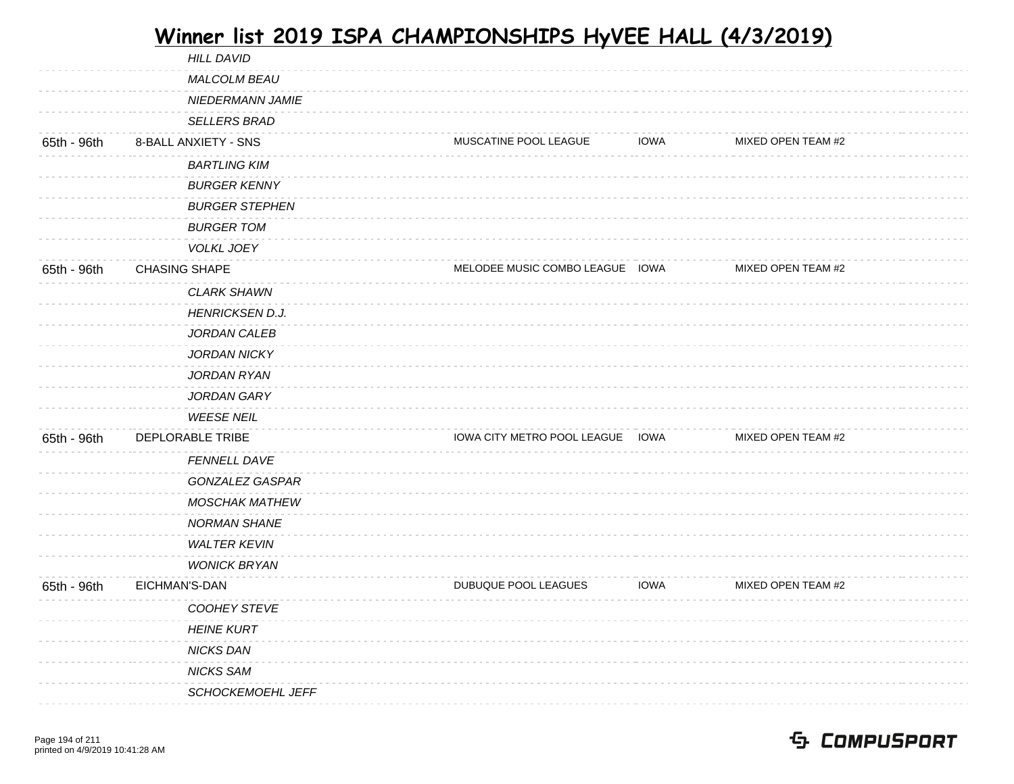|             | <b>HILL DAVID</b>        |                                  |             |                    |  |
|-------------|--------------------------|----------------------------------|-------------|--------------------|--|
|             | MALCOLM BEAU             |                                  |             |                    |  |
|             | <b>NIEDERMANN JAMIE</b>  |                                  |             |                    |  |
|             | <b>SELLERS BRAD</b>      |                                  |             |                    |  |
| 65th - 96th | 8-BALL ANXIETY - SNS     | MUSCATINE POOL LEAGUE            | <b>IOWA</b> | MIXED OPEN TEAM #2 |  |
|             | <b>BARTLING KIM</b>      |                                  |             |                    |  |
|             | <b>BURGER KENNY</b>      |                                  |             |                    |  |
|             | <b>BURGER STEPHEN</b>    |                                  |             |                    |  |
|             | <b>BURGER TOM</b>        |                                  |             |                    |  |
|             | <b>VOLKL JOEY</b>        |                                  |             |                    |  |
| 65th - 96th | <b>CHASING SHAPE</b>     | MELODEE MUSIC COMBO LEAGUE IOWA  |             | MIXED OPEN TEAM #2 |  |
|             | <b>CLARK SHAWN</b>       |                                  |             |                    |  |
|             | <b>HENRICKSEN D.J.</b>   |                                  |             |                    |  |
|             | JORDAN CALEB             |                                  |             |                    |  |
|             | <b>JORDAN NICKY</b>      |                                  |             |                    |  |
|             | JORDAN RYAN              |                                  |             |                    |  |
|             | JORDAN GARY              |                                  |             |                    |  |
|             | <b>WEESE NEIL</b>        |                                  |             |                    |  |
| 65th - 96th | DEPLORABLE TRIBE         | IOWA CITY METRO POOL LEAGUE IOWA |             | MIXED OPEN TEAM #2 |  |
|             | FENNELL DAVE             |                                  |             |                    |  |
|             | GONZALEZ GASPAR          |                                  |             |                    |  |
|             | <b>MOSCHAK MATHEW</b>    |                                  |             |                    |  |
|             | <b>NORMAN SHANE</b>      |                                  |             |                    |  |
|             | <b>WALTER KEVIN</b>      |                                  |             |                    |  |
|             | <b>WONICK BRYAN</b>      |                                  |             |                    |  |
| 65th - 96th | EICHMAN'S-DAN            | DUBUQUE POOL LEAGUES             | <b>IOWA</b> | MIXED OPEN TEAM #2 |  |
|             | COOHEY STEVE             |                                  |             |                    |  |
|             | <b>HEINE KURT</b>        |                                  |             |                    |  |
|             | <b>NICKS DAN</b>         |                                  |             |                    |  |
|             | <b>NICKS SAM</b>         |                                  |             |                    |  |
|             | <b>SCHOCKEMOEHL JEFF</b> |                                  |             |                    |  |
|             |                          |                                  |             |                    |  |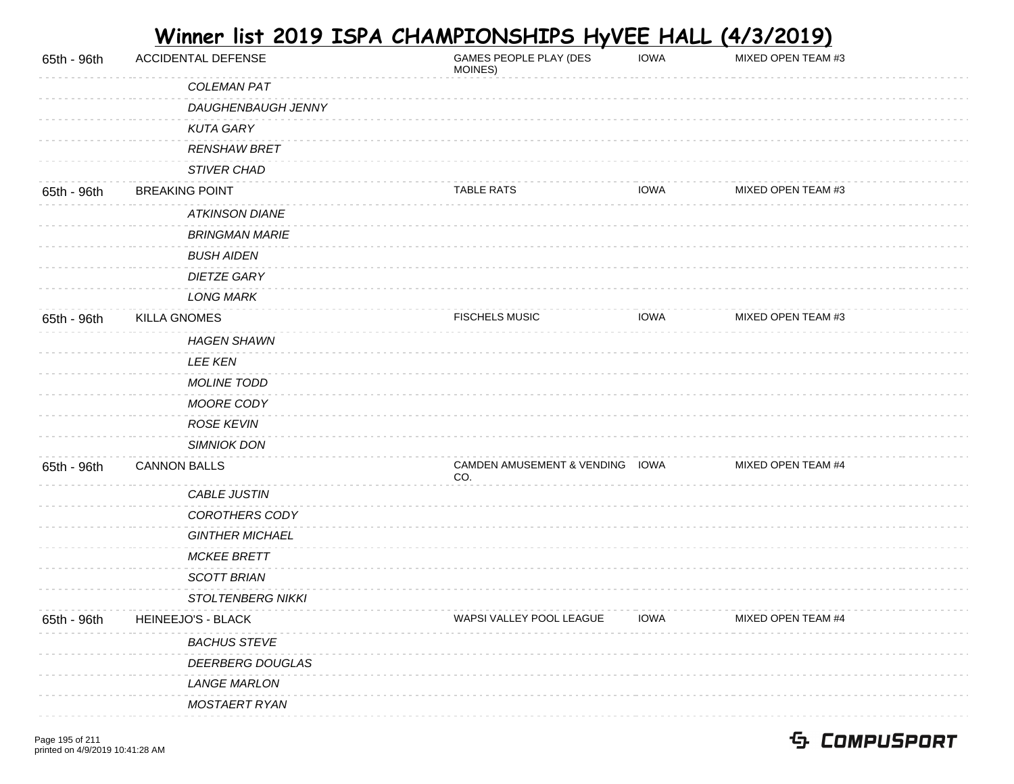| 65th - 96th | <b>ACCIDENTAL DEFENSE</b> | GAMES PEOPLE PLAY (DES<br>MOINES)      | <b>IOWA</b> | MIXED OPEN TEAM #3 |  |
|-------------|---------------------------|----------------------------------------|-------------|--------------------|--|
|             | COLEMAN PAT               |                                        |             |                    |  |
|             | DAUGHENBAUGH JENNY        |                                        |             |                    |  |
|             | <b>KUTA GARY</b>          |                                        |             |                    |  |
|             | <b>RENSHAW BRET</b>       |                                        |             |                    |  |
|             | STIVER CHAD               |                                        |             |                    |  |
| 65th - 96th | <b>BREAKING POINT</b>     | <b>TABLE RATS</b>                      | <b>IOWA</b> | MIXED OPEN TEAM #3 |  |
|             | <b>ATKINSON DIANE</b>     |                                        |             |                    |  |
|             | <b>BRINGMAN MARIE</b>     |                                        |             |                    |  |
|             | <b>BUSH AIDEN</b>         |                                        |             |                    |  |
|             | <b>DIETZE GARY</b>        |                                        |             |                    |  |
|             | <b>LONG MARK</b>          |                                        |             |                    |  |
| 65th - 96th | <b>KILLA GNOMES</b>       | <b>FISCHELS MUSIC</b>                  | <b>IOWA</b> | MIXED OPEN TEAM #3 |  |
|             | <b>HAGEN SHAWN</b>        |                                        |             |                    |  |
|             | <b>LEE KEN</b>            |                                        |             |                    |  |
|             | <b>MOLINE TODD</b>        |                                        |             |                    |  |
|             | MOORE CODY                |                                        |             |                    |  |
|             | <b>ROSE KEVIN</b>         |                                        |             |                    |  |
|             | <b>SIMNIOK DON</b>        |                                        |             |                    |  |
| 65th - 96th | <b>CANNON BALLS</b>       | CAMDEN AMUSEMENT & VENDING IOWA<br>CO. |             | MIXED OPEN TEAM #4 |  |
|             | CABLE JUSTIN              |                                        |             |                    |  |
|             | COROTHERS CODY            |                                        |             |                    |  |
|             | <b>GINTHER MICHAEL</b>    |                                        |             |                    |  |
|             | <b>MCKEE BRETT</b>        |                                        |             |                    |  |
|             | <b>SCOTT BRIAN</b>        |                                        |             |                    |  |
|             | <b>STOLTENBERG NIKKI</b>  |                                        |             |                    |  |
| 65th - 96th | HEINEEJO'S - BLACK        | WAPSI VALLEY POOL LEAGUE               | <b>IOWA</b> | MIXED OPEN TEAM #4 |  |
|             | <b>BACHUS STEVE</b>       |                                        |             |                    |  |
|             | DEERBERG DOUGLAS          |                                        |             |                    |  |
|             | <b>LANGE MARLON</b>       |                                        |             |                    |  |
|             | MOSTAERT RYAN             |                                        |             |                    |  |

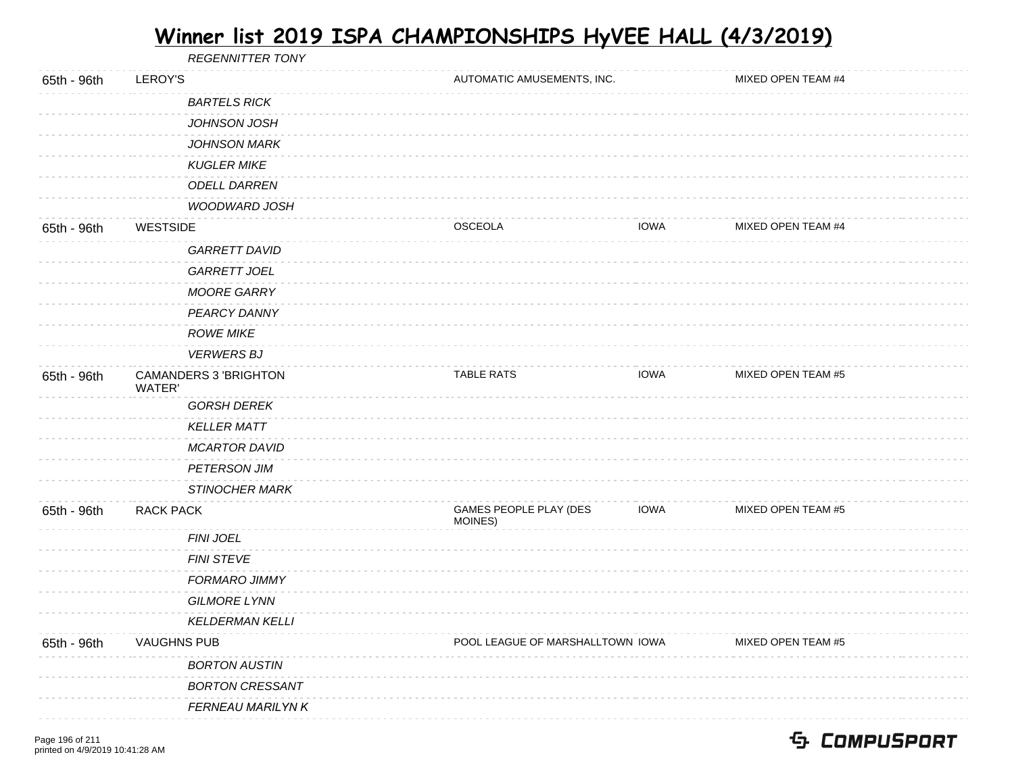REGENNITTER TONY 65th - 96th LEROY'S **AUTOMATIC AMUSEMENTS, INC.** MIXED OPEN TEAM #4 BARTELS RICK JOHNSON JOSH JOHNSON MARK KUGLER MIKE ODELL DARREN WOODWARD JOSH 65th - 96th WESTSIDE OSCEOLA IOWA MIXED OPEN TEAM #4 GARRETT DAVID GARRETT JOEL MOORE GARRY PEARCY DANNY ROWE MIKE VERWERS BJ 65th - 96th CAMANDERS 3 'BRIGHTON WATER' TABLE RATS **IOWA** MIXED OPEN TEAM #5 GORSH DEREK KELLER MATT MCARTOR DAVID PETERSON JIM STINOCHER MARK 65th - 96th RACK PACK GAMES PEOPLE PLAY (DES MOINES) IOWA MIXED OPEN TEAM #5 FINI JOEL FINI STEVE FORMARO JIMMY GILMORE LYNN KELDERMAN KELLI 65th - 96th VAUGHNS PUB **POOL LEAGUE OF MARSHALLTOWN IOWA** MIXED OPEN TEAM #5 BORTON AUSTIN BORTON CRESSANT *FERNEAU MARILYN K*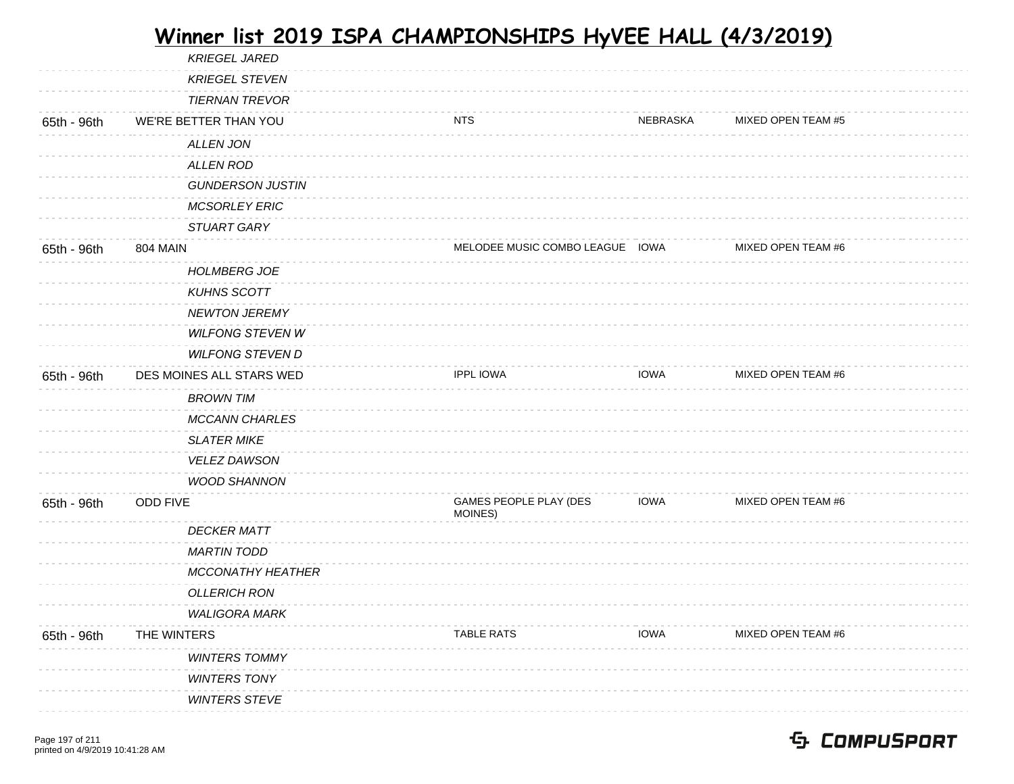| <b>KRIEGEL JARED</b>     |                                   |             |                                 |
|--------------------------|-----------------------------------|-------------|---------------------------------|
| <b>KRIEGEL STEVEN</b>    |                                   |             |                                 |
| <b>TIERNAN TREVOR</b>    |                                   |             |                                 |
| WE'RE BETTER THAN YOU    | <b>NTS</b>                        | NEBRASKA    | MIXED OPEN TEAM #5              |
| <b>ALLEN JON</b>         |                                   |             |                                 |
| <b>ALLEN ROD</b>         |                                   |             |                                 |
| <b>GUNDERSON JUSTIN</b>  |                                   |             |                                 |
| <b>MCSORLEY ERIC</b>     |                                   |             |                                 |
| STUART GARY              |                                   |             |                                 |
| <b>804 MAIN</b>          |                                   |             | MIXED OPEN TEAM #6              |
| <b>HOLMBERG JOE</b>      |                                   |             |                                 |
| <b>KUHNS SCOTT</b>       |                                   |             |                                 |
| <b>NEWTON JEREMY</b>     |                                   |             |                                 |
| <b>WILFONG STEVEN W</b>  |                                   |             |                                 |
| <b>WILFONG STEVEN D</b>  |                                   |             |                                 |
| DES MOINES ALL STARS WED | <b>IPPL IOWA</b>                  | <b>IOWA</b> | MIXED OPEN TEAM #6              |
| <b>BROWN TIM</b>         |                                   |             |                                 |
| <b>MCCANN CHARLES</b>    |                                   |             |                                 |
| <b>SLATER MIKE</b>       |                                   |             |                                 |
| <b>VELEZ DAWSON</b>      |                                   |             |                                 |
| <b>WOOD SHANNON</b>      |                                   |             |                                 |
| <b>ODD FIVE</b>          | GAMES PEOPLE PLAY (DES<br>MOINES) | <b>IOWA</b> | MIXED OPEN TEAM #6              |
| <b>DECKER MATT</b>       |                                   |             |                                 |
| <b>MARTIN TODD</b>       |                                   |             |                                 |
| <b>MCCONATHY HEATHER</b> |                                   |             |                                 |
| <b>OLLERICH RON</b>      |                                   |             |                                 |
| <b>WALIGORA MARK</b>     |                                   |             |                                 |
| THE WINTERS              | <b>TABLE RATS</b>                 | <b>IOWA</b> | MIXED OPEN TEAM #6              |
| <b>WINTERS TOMMY</b>     |                                   |             |                                 |
| <b>WINTERS TONY</b>      |                                   |             |                                 |
| <b>WINTERS STEVE</b>     |                                   |             |                                 |
|                          |                                   |             | MELODEE MUSIC COMBO LEAGUE IOWA |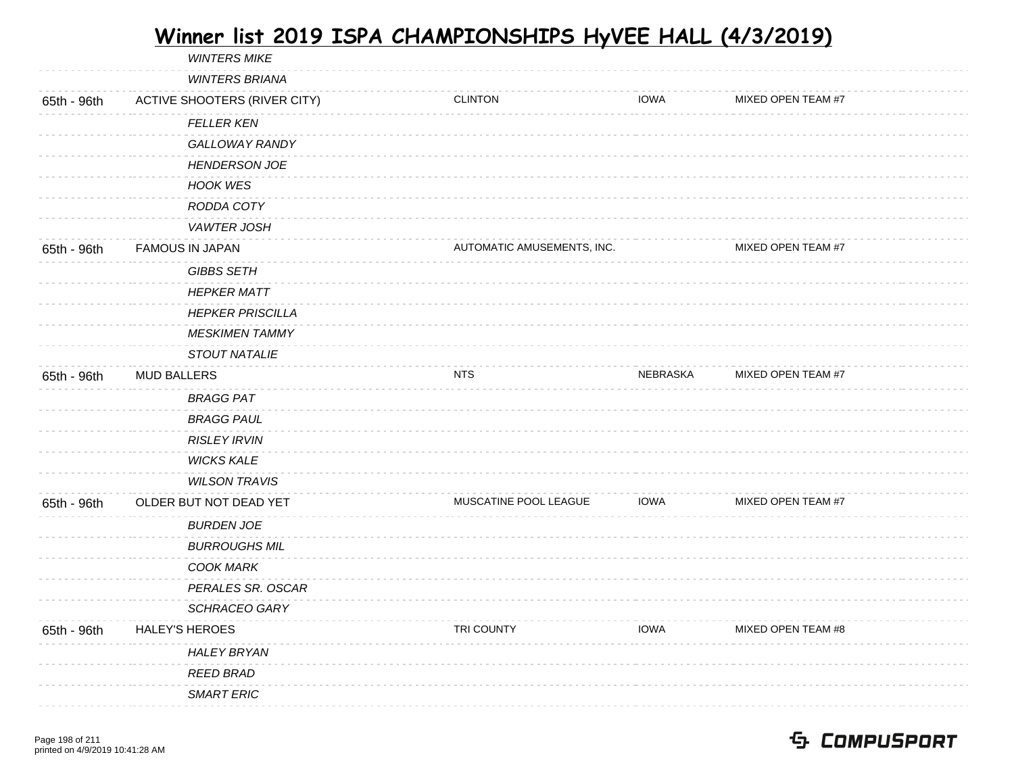|             | <b>WINTERS MIKE</b>                 |                            |             |                    |
|-------------|-------------------------------------|----------------------------|-------------|--------------------|
|             | <b>WINTERS BRIANA</b>               |                            |             |                    |
| 65th - 96th | <b>ACTIVE SHOOTERS (RIVER CITY)</b> | <b>CLINTON</b>             | <b>IOWA</b> | MIXED OPEN TEAM #7 |
|             | <b>FELLER KEN</b>                   |                            |             |                    |
|             | GALLOWAY RANDY                      |                            |             |                    |
|             | <b>HENDERSON JOE</b>                |                            |             |                    |
|             | <b>HOOK WES</b>                     |                            |             |                    |
|             | RODDA COTY                          |                            |             |                    |
|             | <b>VAWTER JOSH</b>                  |                            |             |                    |
| 65th - 96th | <b>FAMOUS IN JAPAN</b>              | AUTOMATIC AMUSEMENTS, INC. |             | MIXED OPEN TEAM #7 |
|             | <b>GIBBS SETH</b>                   |                            |             |                    |
|             | <b>HEPKER MATT</b>                  |                            |             |                    |
|             | <b>HEPKER PRISCILLA</b>             |                            |             |                    |
|             | <b>MESKIMEN TAMMY</b>               |                            |             |                    |
|             | STOUT NATALIE                       |                            |             |                    |
| 65th - 96th | <b>MUD BALLERS</b>                  | <b>NTS</b>                 | NEBRASKA    | MIXED OPEN TEAM #7 |
|             | <b>BRAGG PAT</b>                    |                            |             |                    |
|             | <b>BRAGG PAUL</b>                   |                            |             |                    |
|             | <b>RISLEY IRVIN</b>                 |                            |             |                    |
|             | <b>WICKS KALE</b>                   |                            |             |                    |
|             | <b>WILSON TRAVIS</b>                |                            |             |                    |
| 65th - 96th | OLDER BUT NOT DEAD YET              | MUSCATINE POOL LEAGUE      | <b>IOWA</b> | MIXED OPEN TEAM #7 |
|             | <b>BURDEN JOE</b>                   |                            |             |                    |
|             | <b>BURROUGHS MIL</b>                |                            |             |                    |
|             | <b>COOK MARK</b>                    |                            |             |                    |
|             | PERALES SR. OSCAR                   |                            |             |                    |
|             | SCHRACEO GARY                       |                            |             |                    |
| 65th - 96th | <b>HALEY'S HEROES</b>               | TRI COUNTY                 | <b>IOWA</b> | MIXED OPEN TEAM #8 |
|             | <b>HALEY BRYAN</b>                  |                            |             |                    |
|             | <b>REED BRAD</b>                    |                            |             |                    |
|             | <b>SMART ERIC</b>                   |                            |             |                    |
|             |                                     |                            |             |                    |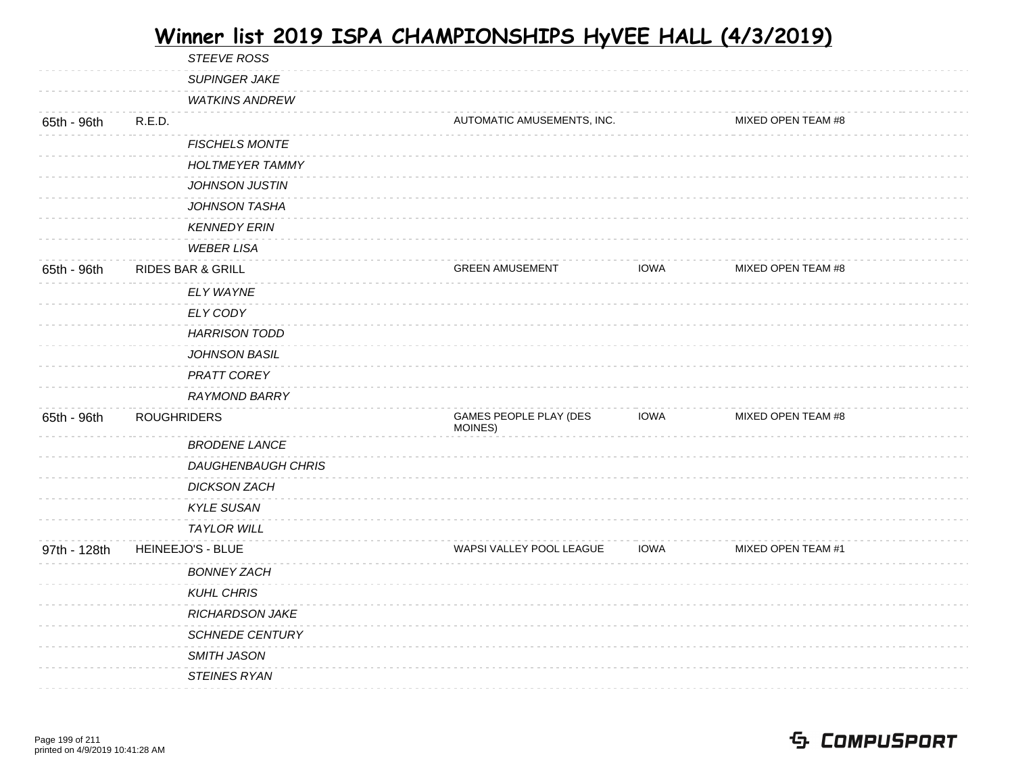|              | STEEVE ROSS                  |                                   |             |                           |  |
|--------------|------------------------------|-----------------------------------|-------------|---------------------------|--|
|              | <b>SUPINGER JAKE</b>         |                                   |             |                           |  |
|              | <b>WATKINS ANDREW</b>        |                                   |             |                           |  |
| 65th - 96th  | R.E.D.                       | AUTOMATIC AMUSEMENTS, INC.        |             | MIXED OPEN TEAM #8        |  |
|              | <b>FISCHELS MONTE</b>        |                                   |             |                           |  |
|              | <b>HOLTMEYER TAMMY</b>       |                                   |             |                           |  |
|              | <b>JOHNSON JUSTIN</b>        |                                   |             |                           |  |
|              | <b>JOHNSON TASHA</b>         |                                   |             |                           |  |
|              | <b>KENNEDY ERIN</b>          |                                   |             |                           |  |
|              | <b>WEBER LISA</b>            |                                   |             |                           |  |
| 65th - 96th  | <b>RIDES BAR &amp; GRILL</b> | <b>GREEN AMUSEMENT</b>            | <b>IOWA</b> | MIXED OPEN TEAM #8        |  |
|              | ELY WAYNE                    |                                   |             |                           |  |
|              | ELY CODY                     |                                   |             |                           |  |
|              | <b>HARRISON TODD</b>         |                                   |             |                           |  |
|              | JOHNSON BASIL                |                                   |             |                           |  |
|              | PRATT COREY                  |                                   |             |                           |  |
|              | <b>RAYMOND BARRY</b>         |                                   |             |                           |  |
| 65th - 96th  | <b>ROUGHRIDERS</b>           | GAMES PEOPLE PLAY (DES<br>MOINES) | <b>IOWA</b> | MIXED OPEN TEAM #8        |  |
|              | <b>BRODENE LANCE</b>         |                                   |             |                           |  |
|              | <b>DAUGHENBAUGH CHRIS</b>    |                                   |             |                           |  |
|              | <b>DICKSON ZACH</b>          |                                   |             |                           |  |
|              | <b>KYLE SUSAN</b>            |                                   |             |                           |  |
|              | <b>TAYLOR WILL</b>           |                                   |             |                           |  |
| 97th - 128th | HEINEEJO'S - BLUE            | WAPSI VALLEY POOL LEAGUE          | <b>IOWA</b> | <b>MIXED OPEN TEAM #1</b> |  |
|              | <b>BONNEY ZACH</b>           |                                   |             |                           |  |
|              | <b>KUHL CHRIS</b>            |                                   |             |                           |  |
|              | <b>RICHARDSON JAKE</b>       |                                   |             |                           |  |
|              | <b>SCHNEDE CENTURY</b>       |                                   |             |                           |  |
|              | SMITH JASON                  |                                   |             |                           |  |
|              | <b>STEINES RYAN</b>          |                                   |             |                           |  |
|              |                              |                                   |             |                           |  |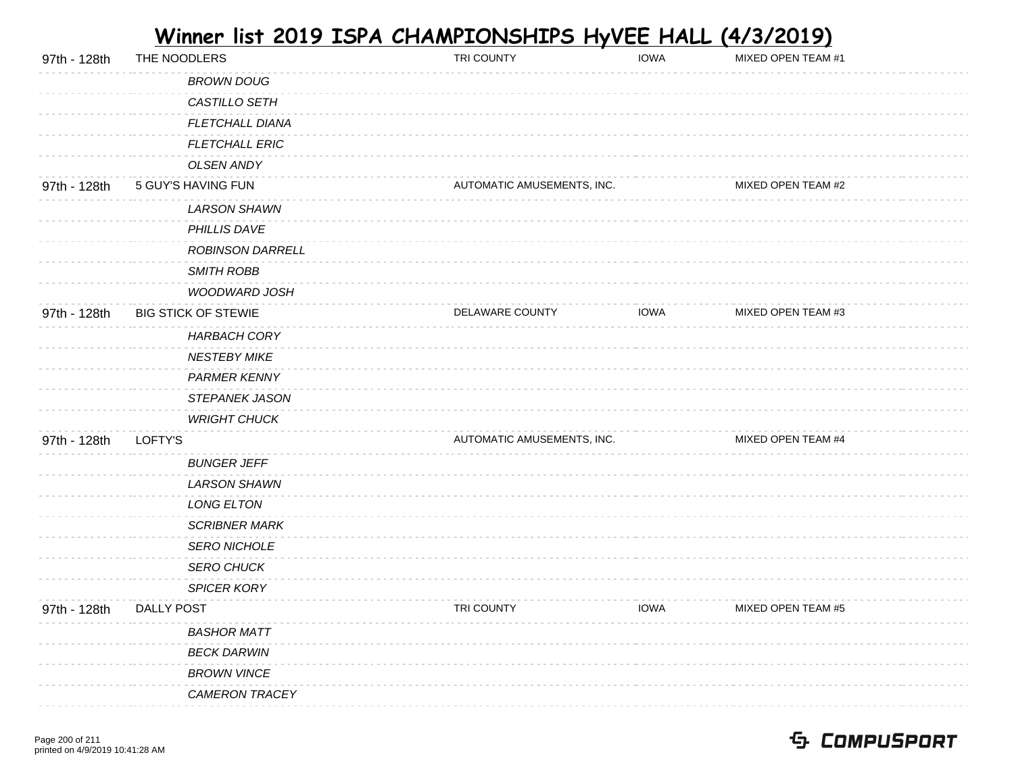| 97th - 128th | THE NOODLERS               | TRI COUNTY                 | <b>IOWA</b> | MIXED OPEN TEAM #1 |  |
|--------------|----------------------------|----------------------------|-------------|--------------------|--|
|              | <b>BROWN DOUG</b>          |                            |             |                    |  |
|              | CASTILLO SETH              |                            |             |                    |  |
|              | FLETCHALL DIANA            |                            |             |                    |  |
|              | <b>FLETCHALL ERIC</b>      |                            |             |                    |  |
|              | <b>OLSEN ANDY</b>          |                            |             |                    |  |
| 97th - 128th | 5 GUY'S HAVING FUN         | AUTOMATIC AMUSEMENTS, INC. |             | MIXED OPEN TEAM #2 |  |
|              | <b>LARSON SHAWN</b>        |                            |             |                    |  |
|              | PHILLIS DAVE               |                            |             |                    |  |
|              | <b>ROBINSON DARRELL</b>    |                            |             |                    |  |
|              | <b>SMITH ROBB</b>          |                            |             |                    |  |
|              | WOODWARD JOSH              |                            |             |                    |  |
| 97th - 128th | <b>BIG STICK OF STEWIE</b> | DELAWARE COUNTY            | <b>IOWA</b> | MIXED OPEN TEAM #3 |  |
|              | <b>HARBACH CORY</b>        |                            |             |                    |  |
|              | <b>NESTEBY MIKE</b>        |                            |             |                    |  |
|              | PARMER KENNY               |                            |             |                    |  |
|              | STEPANEK JASON             |                            |             |                    |  |
|              | <b>WRIGHT CHUCK</b>        |                            |             |                    |  |
| 97th - 128th | LOFTY'S                    | AUTOMATIC AMUSEMENTS, INC. |             | MIXED OPEN TEAM #4 |  |
|              | <b>BUNGER JEFF</b>         |                            |             |                    |  |
|              | <b>LARSON SHAWN</b>        |                            |             |                    |  |
|              | LONG ELTON                 |                            |             |                    |  |
|              | <b>SCRIBNER MARK</b>       |                            |             |                    |  |
|              | <b>SERO NICHOLE</b>        |                            |             |                    |  |
|              | <b>SERO CHUCK</b>          |                            |             |                    |  |
|              | SPICER KORY                |                            |             |                    |  |
| 97th - 128th | <b>DALLY POST</b>          | TRI COUNTY                 | <b>IOWA</b> | MIXED OPEN TEAM #5 |  |
|              | <b>BASHOR MATT</b>         |                            |             |                    |  |
|              | <b>BECK DARWIN</b>         |                            |             |                    |  |
|              | <b>BROWN VINCE</b>         |                            |             |                    |  |
|              | <b>CAMERON TRACEY</b>      |                            |             |                    |  |
|              |                            |                            |             |                    |  |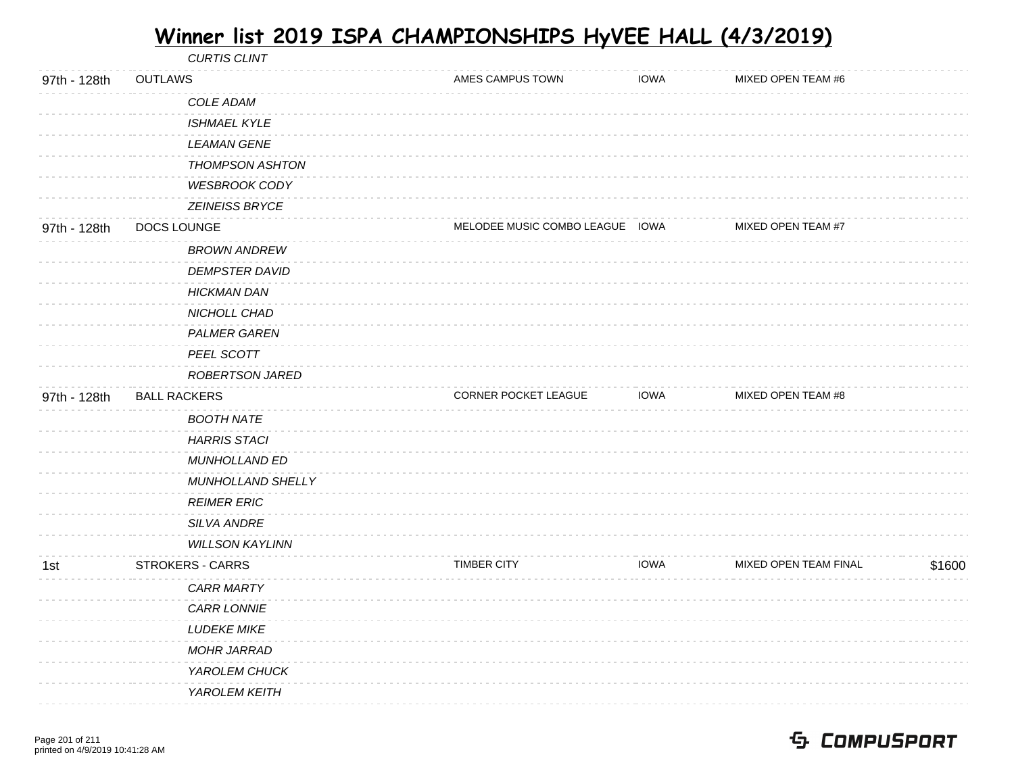|              |                     | <b>CURTIS CLINT</b>            |                                 |             |                       |        |
|--------------|---------------------|--------------------------------|---------------------------------|-------------|-----------------------|--------|
| 97th - 128th | <b>OUTLAWS</b>      |                                | AMES CAMPUS TOWN                | <b>IOWA</b> | MIXED OPEN TEAM #6    |        |
|              |                     | COLE ADAM                      |                                 |             |                       |        |
|              |                     | <b>ISHMAEL KYLE</b>            |                                 |             |                       |        |
|              |                     | <b>LEAMAN GENE</b>             |                                 |             |                       |        |
|              |                     | THOMPSON ASHTON                |                                 |             |                       |        |
|              |                     | <b>WESBROOK CODY</b>           |                                 |             |                       |        |
|              |                     | ZEINEISS BRYCE                 |                                 |             |                       |        |
| 97th - 128th | DOCS LOUNGE         |                                | MELODEE MUSIC COMBO LEAGUE IOWA |             | MIXED OPEN TEAM #7    |        |
|              |                     | <b>BROWN ANDREW</b>            |                                 |             |                       |        |
|              |                     | <b>DEMPSTER DAVID</b>          |                                 |             |                       |        |
|              |                     | <b>HICKMAN DAN</b>             |                                 |             |                       |        |
|              |                     | NICHOLL CHAD                   |                                 |             |                       |        |
|              |                     | <b>PALMER GAREN</b>            |                                 |             |                       |        |
|              |                     | PEEL SCOTT                     |                                 |             |                       |        |
|              |                     | ROBERTSON JARED                |                                 |             |                       |        |
| 97th - 128th | <b>BALL RACKERS</b> |                                | CORNER POCKET LEAGUE            | <b>IOWA</b> | MIXED OPEN TEAM #8    |        |
|              |                     | <b>BOOTH NATE</b>              |                                 |             |                       |        |
|              |                     | <b>HARRIS STACI</b>            |                                 |             |                       |        |
|              |                     | MUNHOLLAND ED                  |                                 |             |                       |        |
|              |                     | MUNHOLLAND SHELLY              |                                 |             |                       |        |
|              |                     | <b>REIMER ERIC</b>             |                                 |             |                       |        |
|              |                     | SILVA ANDRE                    |                                 |             |                       |        |
|              |                     | <b>WILLSON KAYLINN</b>         |                                 |             |                       |        |
| 1st          |                     | <b>STROKERS - CARRS</b>        | <b>TIMBER CITY</b>              | <b>IOWA</b> | MIXED OPEN TEAM FINAL | \$1600 |
|              |                     | <b>CARR MARTY</b>              |                                 |             |                       |        |
|              |                     | CARR LONNIE                    |                                 |             |                       |        |
|              |                     | <b>LUDEKE MIKE</b>             |                                 |             |                       |        |
|              |                     |                                |                                 |             |                       |        |
|              |                     | <b>MOHR JARRAD</b>             |                                 |             |                       |        |
|              |                     | YAROLEM CHUCK<br>YAROLEM KEITH |                                 |             |                       |        |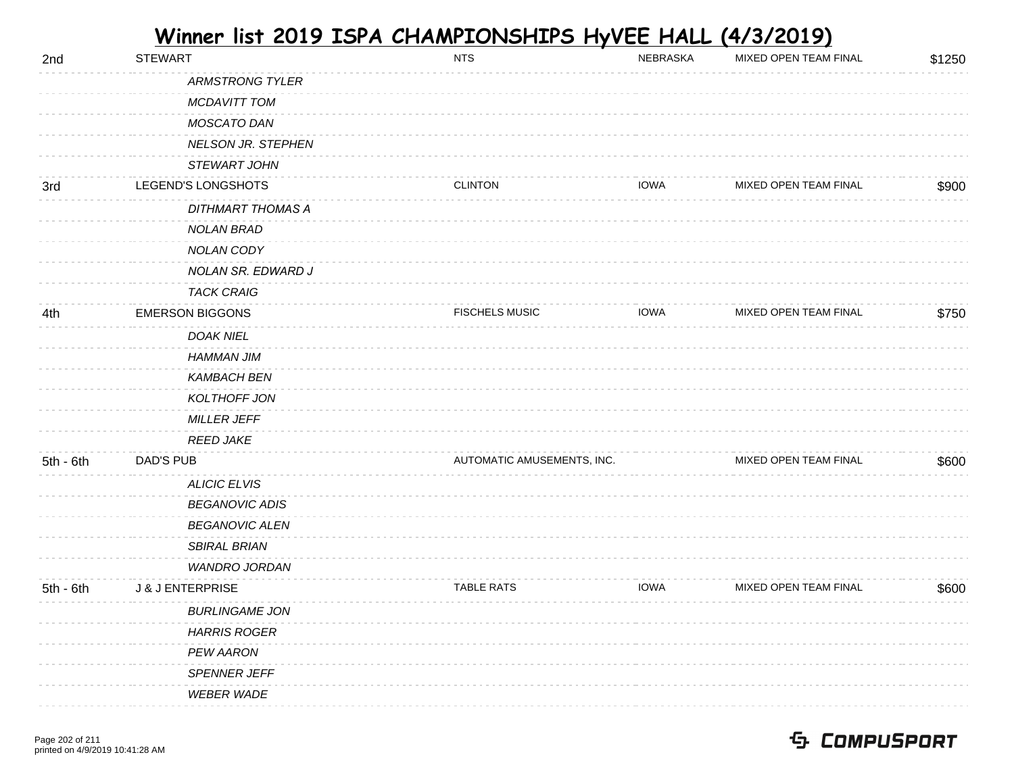| 2nd         | <b>STEWART</b>              |                          | <b>NTS</b>                 | NEBRASKA    | MIXED OPEN TEAM FINAL | \$1250 |
|-------------|-----------------------------|--------------------------|----------------------------|-------------|-----------------------|--------|
|             |                             | <b>ARMSTRONG TYLER</b>   |                            |             |                       |        |
|             |                             | MCDAVITT TOM             |                            |             |                       |        |
|             |                             | MOSCATO DAN              |                            |             |                       |        |
|             |                             | NELSON JR. STEPHEN       |                            |             |                       |        |
|             |                             | STEWART JOHN             |                            |             |                       |        |
| 3rd         | LEGEND'S LONGSHOTS          |                          | <b>CLINTON</b>             | <b>IOWA</b> | MIXED OPEN TEAM FINAL | \$900  |
|             |                             | <b>DITHMART THOMAS A</b> |                            |             |                       |        |
|             |                             | <b>NOLAN BRAD</b>        |                            |             |                       |        |
|             |                             | NOLAN CODY               |                            |             |                       |        |
|             |                             | NOLAN SR. EDWARD J       |                            |             |                       |        |
|             |                             | <b>TACK CRAIG</b>        |                            |             |                       |        |
| 4th         | <b>EMERSON BIGGONS</b>      |                          | <b>FISCHELS MUSIC</b>      | <b>IOWA</b> | MIXED OPEN TEAM FINAL | \$750  |
|             |                             | DOAK NIEL                |                            |             |                       |        |
|             |                             | <b>HAMMAN JIM</b>        |                            |             |                       |        |
|             |                             | <b>KAMBACH BEN</b>       |                            |             |                       |        |
|             |                             | KOLTHOFF JON             |                            |             |                       |        |
|             |                             | MILLER JEFF              |                            |             |                       |        |
|             |                             | <b>REED JAKE</b>         |                            |             |                       |        |
| $5th - 6th$ | DAD'S PUB                   |                          | AUTOMATIC AMUSEMENTS, INC. |             | MIXED OPEN TEAM FINAL | \$600  |
|             |                             | <b>ALICIC ELVIS</b>      |                            |             |                       |        |
|             |                             | <b>BEGANOVIC ADIS</b>    |                            |             |                       |        |
|             |                             | <b>BEGANOVIC ALEN</b>    |                            |             |                       |        |
|             |                             | <b>SBIRAL BRIAN</b>      |                            |             |                       |        |
|             |                             | WANDRO JORDAN            |                            |             |                       |        |
| $5th - 6th$ | <b>J &amp; J ENTERPRISE</b> |                          | <b>TABLE RATS</b>          | <b>IOWA</b> | MIXED OPEN TEAM FINAL | \$600  |
|             |                             | <b>BURLINGAME JON</b>    |                            |             |                       |        |
|             |                             | <b>HARRIS ROGER</b>      |                            |             |                       |        |
|             |                             | PEW AARON                |                            |             |                       |        |
|             |                             | SPENNER JEFF             |                            |             |                       |        |
|             |                             | <b>WEBER WADE</b>        |                            |             |                       |        |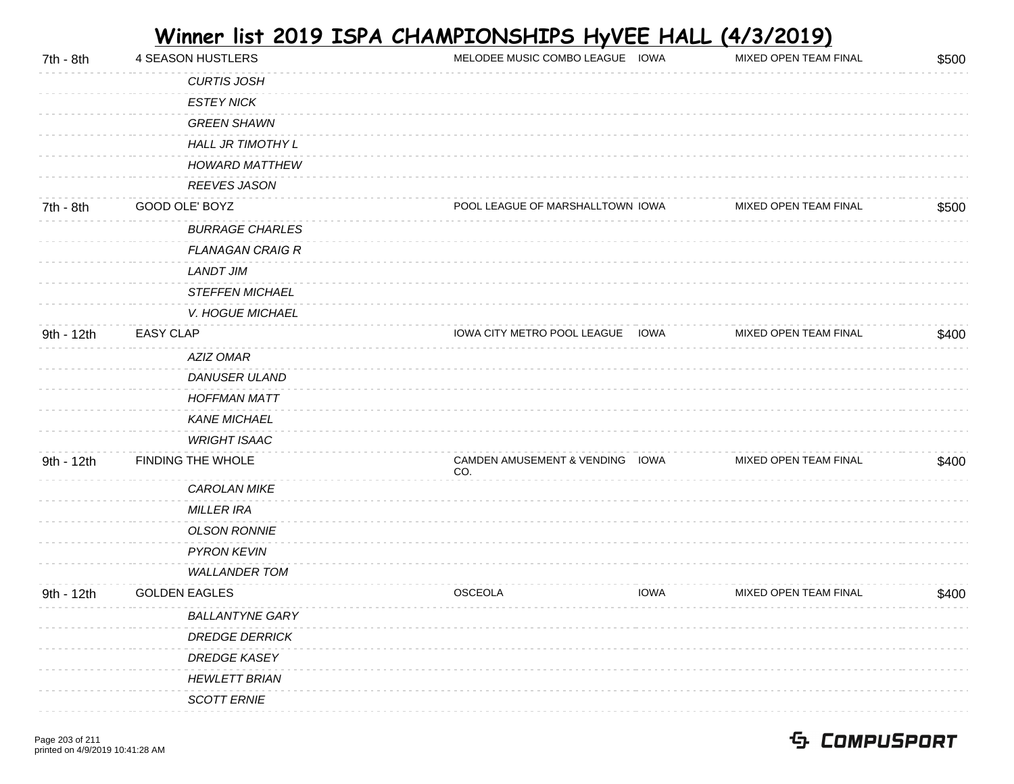| 7th - 8th  | 4 SEASON HUSTLERS       | MELODEE MUSIC COMBO LEAGUE IOWA        | MIXED OPEN TEAM FINAL | \$500 |
|------------|-------------------------|----------------------------------------|-----------------------|-------|
|            | <b>CURTIS JOSH</b>      |                                        |                       |       |
|            | <b>ESTEY NICK</b>       |                                        |                       |       |
|            | <b>GREEN SHAWN</b>      |                                        |                       |       |
|            | HALL JR TIMOTHY L       |                                        |                       |       |
|            | <b>HOWARD MATTHEW</b>   |                                        |                       |       |
|            | <b>REEVES JASON</b>     |                                        |                       |       |
| 7th - 8th  | GOOD OLE' BOYZ          | POOL LEAGUE OF MARSHALLTOWN IOWA       | MIXED OPEN TEAM FINAL | \$500 |
|            | <b>BURRAGE CHARLES</b>  |                                        |                       |       |
|            | <b>FLANAGAN CRAIG R</b> |                                        |                       |       |
|            | <b>LANDT JIM</b>        |                                        |                       |       |
|            | <b>STEFFEN MICHAEL</b>  |                                        |                       |       |
|            | V. HOGUE MICHAEL        |                                        |                       |       |
| 9th - 12th | <b>EASY CLAP</b>        | IOWA CITY METRO POOL LEAGUE IOWA       | MIXED OPEN TEAM FINAL | \$400 |
|            | AZIZ OMAR               |                                        |                       |       |
|            | <b>DANUSER ULAND</b>    |                                        |                       |       |
|            | <b>HOFFMAN MATT</b>     |                                        |                       |       |
|            | <b>KANE MICHAEL</b>     |                                        |                       |       |
|            | <b>WRIGHT ISAAC</b>     |                                        |                       |       |
| 9th - 12th | FINDING THE WHOLE       | CAMDEN AMUSEMENT & VENDING IOWA<br>CO. | MIXED OPEN TEAM FINAL | \$400 |
|            | CAROLAN MIKE            |                                        |                       |       |
|            | <b>MILLER IRA</b>       |                                        |                       |       |
|            | <b>OLSON RONNIE</b>     |                                        |                       |       |
|            | PYRON KEVIN             |                                        |                       |       |
|            | <b>WALLANDER TOM</b>    |                                        |                       |       |
| 9th - 12th | <b>GOLDEN EAGLES</b>    | <b>OSCEOLA</b><br><b>IOWA</b>          | MIXED OPEN TEAM FINAL | \$400 |
|            | <b>BALLANTYNE GARY</b>  |                                        |                       |       |
|            | <b>DREDGE DERRICK</b>   |                                        |                       |       |
|            | <b>DREDGE KASEY</b>     |                                        |                       |       |
|            | <b>HEWLETT BRIAN</b>    |                                        |                       |       |
|            | <b>SCOTT ERNIE</b>      |                                        |                       |       |
|            |                         |                                        |                       |       |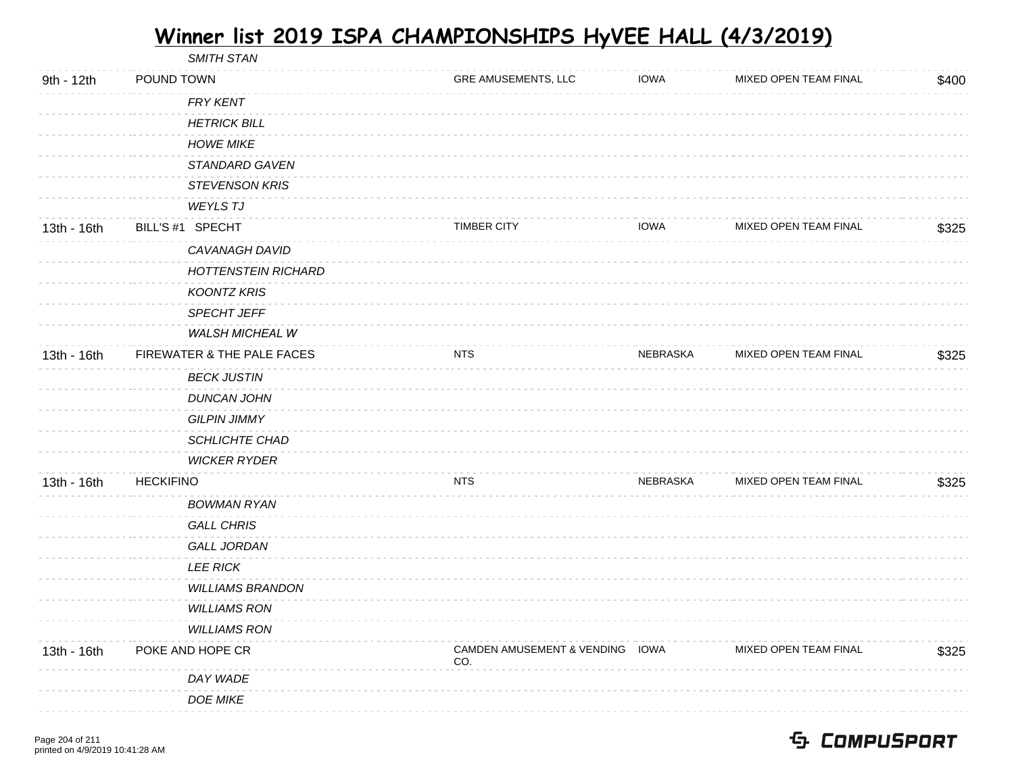SMITH STAN 9th - 12th POUND TOWN GRE AMUSEMENTS, LLC IOWA MIXED OPEN TEAM FINAL \$400 FRY KENT **HETRICK BILL** HOWE MIKE STANDARD GAVEN STEVENSON KRIS WEYLS T.I 13th - 16th BILL'S #1 SPECHT TIMBER CITY MIXED OPEN TEAM FINAL \$325 CAVANAGH DAVID HOTTENSTEIN RICHARD KOONTZ KRIS SPECHT JEFF *WALSH MICHEAL W* 13th - 16th FIREWATER & THE PALE FACES NESSET THE STATE RESERVE AND REBRASKA MIXED OPEN TEAM FINAL \$325 BECK JUSTIN DUNCAN JOHN GILPIN JIMMY SCHLICHTE CHAD WICKER RYDER 13th - 16th HECKIFINO NTS NEBRASKA MIXED OPEN TEAM FINAL \$325 BOWMAN RYAN GALL CHRIS GALL JORDAN LEE RICK WILLIAMS BRANDON WILLIAMS RON WILLIAMS RON 13th - 16th POKE AND HOPE CR CAMDEN AMUSEMENT & VENDING IOWA CO. MIXED OPEN TEAM FINAL \$325 DAY WADE DOE MIKE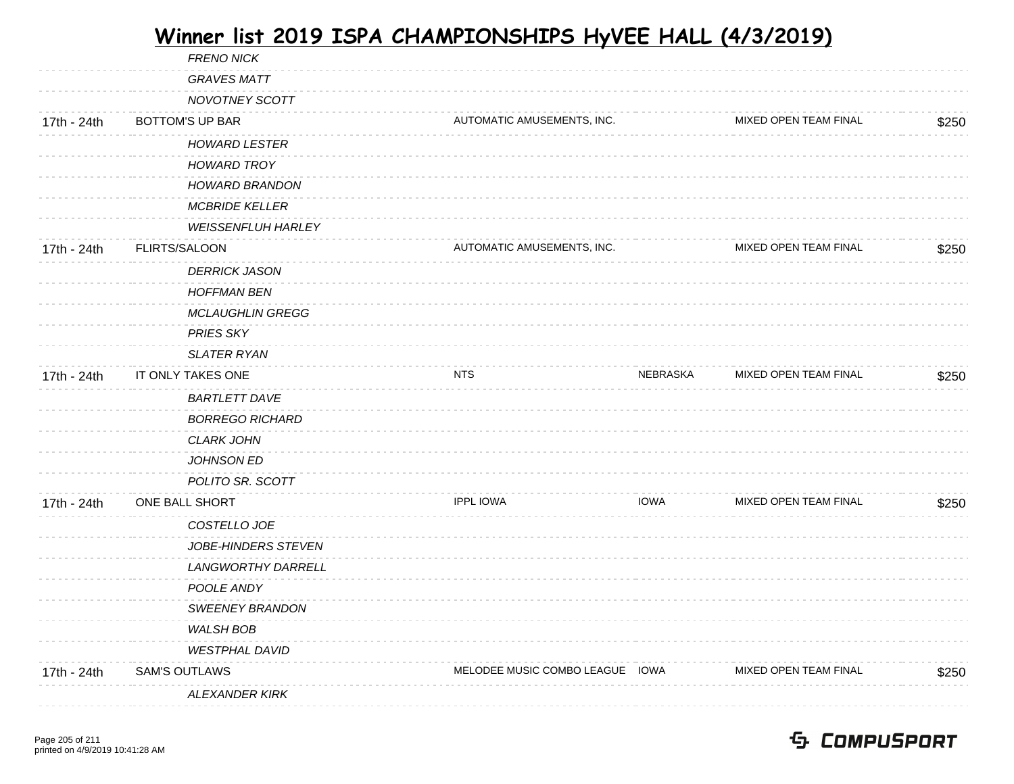|             | <b>FRENO NICK</b>         |                                 |             |                       |       |
|-------------|---------------------------|---------------------------------|-------------|-----------------------|-------|
|             | <b>GRAVES MATT</b>        |                                 |             |                       |       |
|             | NOVOTNEY SCOTT            |                                 |             |                       |       |
| 17th - 24th | <b>BOTTOM'S UP BAR</b>    | AUTOMATIC AMUSEMENTS, INC.      |             | MIXED OPEN TEAM FINAL | \$250 |
|             | <b>HOWARD LESTER</b>      |                                 |             |                       |       |
|             | <b>HOWARD TROY</b>        |                                 |             |                       |       |
|             | <b>HOWARD BRANDON</b>     |                                 |             |                       |       |
|             | <b>MCBRIDE KELLER</b>     |                                 |             |                       |       |
|             | <b>WEISSENFLUH HARLEY</b> |                                 |             |                       |       |
| 17th - 24th | FLIRTS/SALOON             | AUTOMATIC AMUSEMENTS, INC.      |             | MIXED OPEN TEAM FINAL | \$250 |
|             | <b>DERRICK JASON</b>      |                                 |             |                       |       |
|             | <b>HOFFMAN BEN</b>        |                                 |             |                       |       |
|             | <b>MCLAUGHLIN GREGG</b>   |                                 |             |                       |       |
|             | <b>PRIES SKY</b>          |                                 |             |                       |       |
|             | <b>SLATER RYAN</b>        |                                 |             |                       |       |
| 17th - 24th | IT ONLY TAKES ONE         | NTS                             | NEBRASKA    | MIXED OPEN TEAM FINAL | \$250 |
|             | <b>BARTLETT DAVE</b>      |                                 |             |                       |       |
|             | <b>BORREGO RICHARD</b>    |                                 |             |                       |       |
|             | <b>CLARK JOHN</b>         |                                 |             |                       |       |
|             | JOHNSON ED                |                                 |             |                       |       |
|             | POLITO SR. SCOTT          |                                 |             |                       |       |
| 17th - 24th | ONE BALL SHORT            | <b>IPPL IOWA</b>                | <b>IOWA</b> | MIXED OPEN TEAM FINAL | \$250 |
|             | COSTELLO JOE              |                                 |             |                       |       |
|             | JOBE-HINDERS STEVEN       |                                 |             |                       |       |
|             | LANGWORTHY DARRELL        |                                 |             |                       |       |
|             | POOLE ANDY                |                                 |             |                       |       |
|             | <b>SWEENEY BRANDON</b>    |                                 |             |                       |       |
|             | <b>WALSH BOB</b>          |                                 |             |                       |       |
|             | <b>WESTPHAL DAVID</b>     |                                 |             |                       |       |
| 17th - 24th | <b>SAM'S OUTLAWS</b>      | MELODEE MUSIC COMBO LEAGUE IOWA |             | MIXED OPEN TEAM FINAL | \$250 |
|             | <b>ALEXANDER KIRK</b>     |                                 |             |                       |       |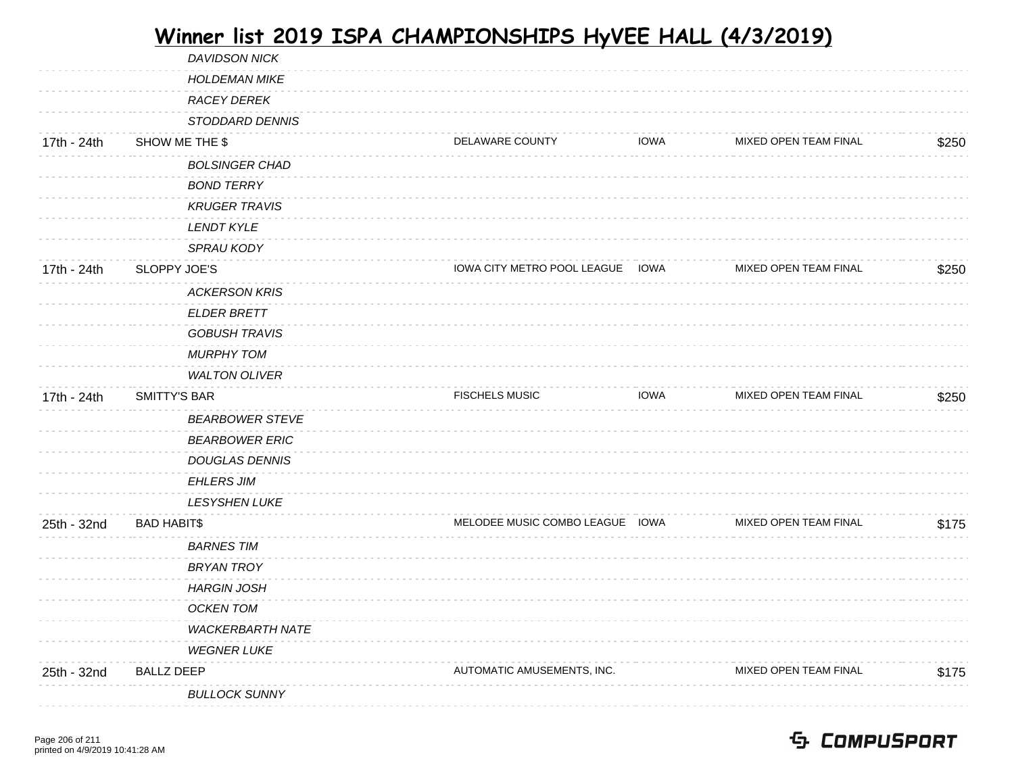|             | <b>DAVIDSON NICK</b>    |                                  |             |                              |       |
|-------------|-------------------------|----------------------------------|-------------|------------------------------|-------|
|             | <b>HOLDEMAN MIKE</b>    |                                  |             |                              |       |
|             | <b>RACEY DEREK</b>      |                                  |             |                              |       |
|             | STODDARD DENNIS         |                                  |             |                              |       |
| 17th - 24th | SHOW ME THE \$          | DELAWARE COUNTY                  | <b>IOWA</b> | MIXED OPEN TEAM FINAL        | \$250 |
|             | <b>BOLSINGER CHAD</b>   |                                  |             |                              |       |
|             | <b>BOND TERRY</b>       |                                  |             |                              |       |
|             | <b>KRUGER TRAVIS</b>    |                                  |             |                              |       |
|             | <b>LENDT KYLE</b>       |                                  |             |                              |       |
|             | <b>SPRAU KODY</b>       |                                  |             |                              |       |
| 17th - 24th | SLOPPY JOE'S            | IOWA CITY METRO POOL LEAGUE IOWA |             | MIXED OPEN TEAM FINAL        | \$250 |
|             | <b>ACKERSON KRIS</b>    |                                  |             |                              |       |
|             | <b>ELDER BRETT</b>      |                                  |             |                              |       |
|             | <b>GOBUSH TRAVIS</b>    |                                  |             |                              |       |
|             | <b>MURPHY TOM</b>       |                                  |             |                              |       |
|             | <b>WALTON OLIVER</b>    |                                  |             |                              |       |
| 17th - 24th | <b>SMITTY'S BAR</b>     | <b>FISCHELS MUSIC</b>            | <b>IOWA</b> | MIXED OPEN TEAM FINAL        | \$250 |
|             | <b>BEARBOWER STEVE</b>  |                                  |             |                              |       |
|             | <b>BEARBOWER ERIC</b>   |                                  |             |                              |       |
|             | <b>DOUGLAS DENNIS</b>   |                                  |             |                              |       |
|             | <b>EHLERS JIM</b>       |                                  |             |                              |       |
|             | LESYSHEN LUKE           |                                  |             |                              |       |
| 25th - 32nd | <b>BAD HABIT\$</b>      | MELODEE MUSIC COMBO LEAGUE IOWA  |             | <b>MIXED OPEN TEAM FINAL</b> | \$175 |
|             | <b>BARNES TIM</b>       |                                  |             |                              |       |
|             |                         |                                  |             |                              |       |
|             | <b>BRYAN TROY</b>       |                                  |             |                              |       |
|             | <b>HARGIN JOSH</b>      |                                  |             |                              |       |
|             | <b>OCKEN TOM</b>        |                                  |             |                              |       |
|             | <b>WACKERBARTH NATE</b> |                                  |             |                              |       |
|             | <b>WEGNER LUKE</b>      |                                  |             |                              |       |
| 25th - 32nd | <b>BALLZ DEEP</b>       | AUTOMATIC AMUSEMENTS, INC.       |             | MIXED OPEN TEAM FINAL        | \$175 |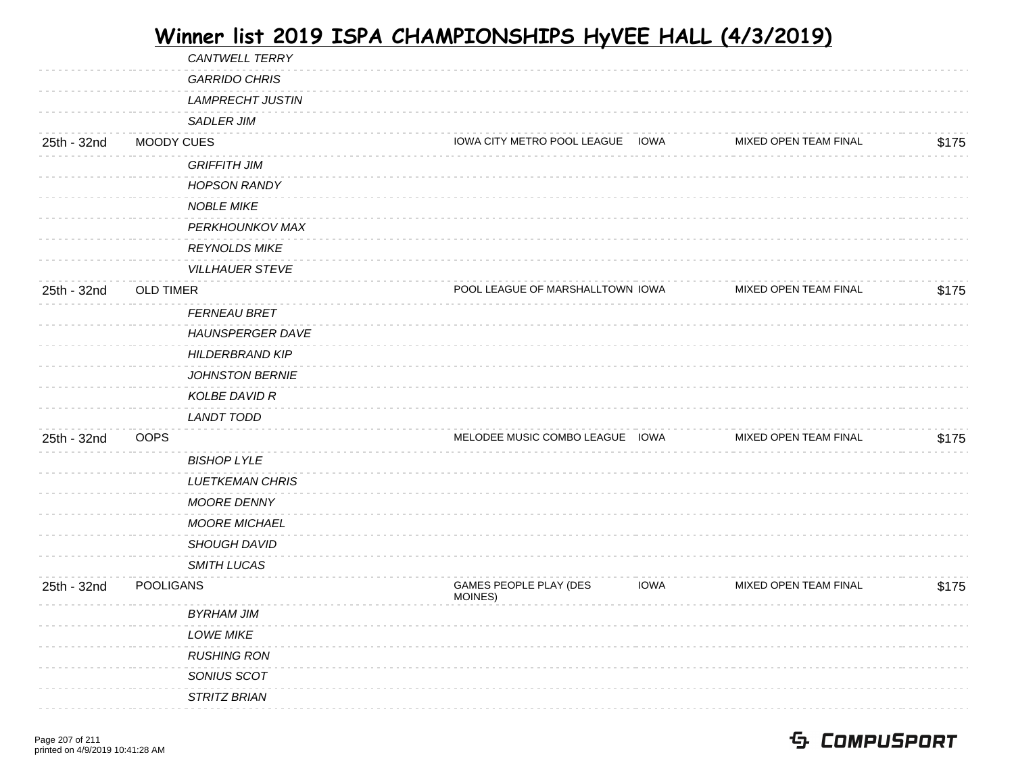|             | CANTWELL TERRY          |                                   |             |                       |       |
|-------------|-------------------------|-----------------------------------|-------------|-----------------------|-------|
|             | <b>GARRIDO CHRIS</b>    |                                   |             |                       |       |
|             | <b>LAMPRECHT JUSTIN</b> |                                   |             |                       |       |
|             | SADLER JIM              |                                   |             |                       |       |
| 25th - 32nd | MOODY CUES              | IOWA CITY METRO POOL LEAGUE IOWA  |             | MIXED OPEN TEAM FINAL | \$175 |
|             | <b>GRIFFITH JIM</b>     |                                   |             |                       |       |
|             | <b>HOPSON RANDY</b>     |                                   |             |                       |       |
|             | <b>NOBLE MIKE</b>       |                                   |             |                       |       |
|             | PERKHOUNKOV MAX         |                                   |             |                       |       |
|             | <b>REYNOLDS MIKE</b>    |                                   |             |                       |       |
|             | <b>VILLHAUER STEVE</b>  |                                   |             |                       |       |
| 25th - 32nd | <b>OLD TIMER</b>        | POOL LEAGUE OF MARSHALLTOWN IOWA  |             | MIXED OPEN TEAM FINAL | \$175 |
|             | <b>FERNEAU BRET</b>     |                                   |             |                       |       |
|             | <b>HAUNSPERGER DAVE</b> |                                   |             |                       |       |
|             | <b>HILDERBRAND KIP</b>  |                                   |             |                       |       |
|             | <b>JOHNSTON BERNIE</b>  |                                   |             |                       |       |
|             | KOLBE DAVID R           |                                   |             |                       |       |
|             | <b>LANDT TODD</b>       |                                   |             |                       |       |
| 25th - 32nd | <b>OOPS</b>             | MELODEE MUSIC COMBO LEAGUE IOWA   |             | MIXED OPEN TEAM FINAL | \$175 |
|             | <b>BISHOP LYLE</b>      |                                   |             |                       |       |
|             | <b>LUETKEMAN CHRIS</b>  |                                   |             |                       |       |
|             | MOORE DENNY             |                                   |             |                       |       |
|             | <b>MOORE MICHAEL</b>    |                                   |             |                       |       |
|             | <b>SHOUGH DAVID</b>     |                                   |             |                       |       |
|             | SMITH LUCAS             |                                   |             |                       |       |
| 25th - 32nd | <b>POOLIGANS</b>        | GAMES PEOPLE PLAY (DES<br>MOINES) | <b>IOWA</b> | MIXED OPEN TEAM FINAL | \$175 |
|             | <b>BYRHAM JIM</b>       |                                   |             |                       |       |
|             | <b>LOWE MIKE</b>        |                                   |             |                       |       |
|             | <b>RUSHING RON</b>      |                                   |             |                       |       |
|             | SONIUS SCOT             |                                   |             |                       |       |
|             | STRITZ BRIAN            |                                   |             |                       |       |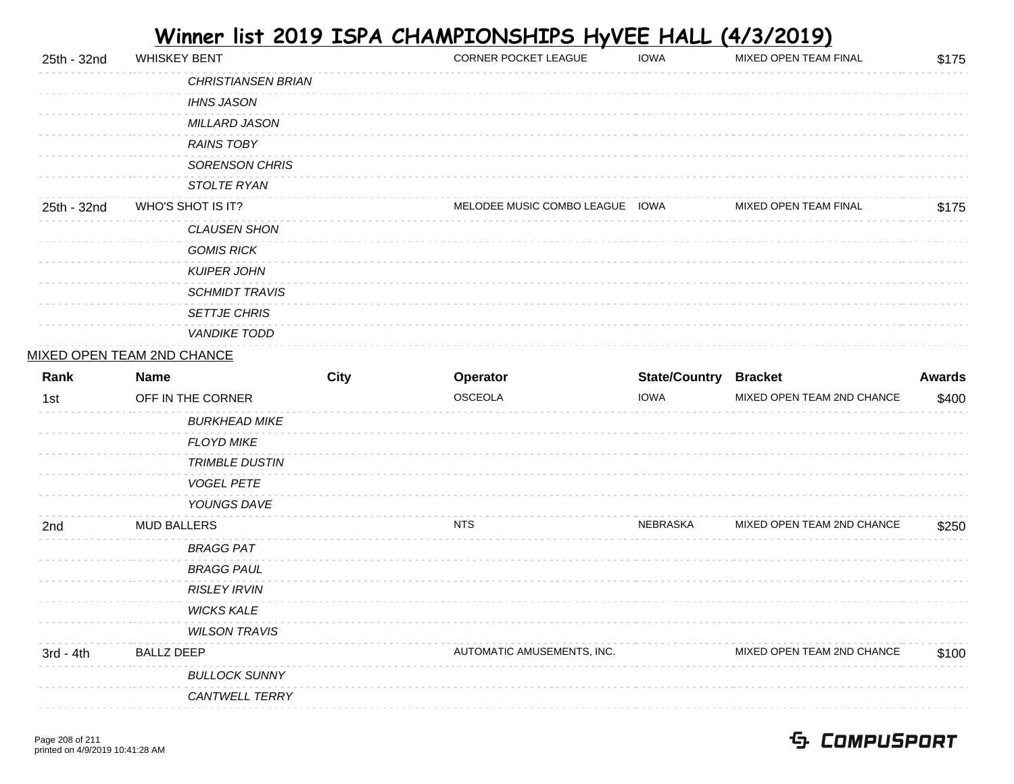| 25th - 32nd | <b>WHISKEY BENT</b>       | <b>CORNER POCKET LEAGUE</b> | <b>IOWA</b> | <b>MIXED OPEN TEAM FINAL</b> | \$175 |
|-------------|---------------------------|-----------------------------|-------------|------------------------------|-------|
|             | <b>CHRISTIANSEN BRIAN</b> |                             |             |                              |       |
|             | <b>IHNS JASON</b>         |                             |             |                              |       |
|             | <b>MILLARD JASON</b>      |                             |             |                              |       |
|             | <b>RAINS TOBY</b>         |                             |             |                              |       |
|             | <b>SORENSON CHRIS</b>     |                             |             |                              |       |
|             | STOLTE RYAN               |                             |             |                              |       |
| 25th - 32nd | WHO'S SHOT IS IT?         | MELODEE MUSIC COMBO LEAGUE  | IOWA        | <b>MIXED OPEN TEAM FINAL</b> | \$175 |
|             | <b>CLAUSEN SHON</b>       |                             |             |                              |       |
|             | <b>GOMIS RICK</b>         |                             |             |                              |       |
|             | <b>KUIPER JOHN</b>        |                             |             |                              |       |
|             | <i>SCHMIDT TRAVIS</i>     |                             |             |                              |       |
|             | <b>SETTJE CHRIS</b>       |                             |             |                              |       |
|             | <b>VANDIKE TODD</b>       |                             |             |                              |       |

#### MIXED OPEN TEAM 2ND CHANCE

| Rank        | <b>Name</b>           | <b>City</b> | Operator                   | <b>State/Country</b> | <b>Bracket</b>             | <b>Awards</b> |
|-------------|-----------------------|-------------|----------------------------|----------------------|----------------------------|---------------|
| 1st         | OFF IN THE CORNER     |             | OSCEOLA                    | <b>IOWA</b>          | MIXED OPEN TEAM 2ND CHANCE | \$400         |
|             | <b>BURKHEAD MIKE</b>  |             |                            |                      |                            |               |
|             | <b>FLOYD MIKE</b>     |             |                            |                      |                            |               |
|             | <b>TRIMBLE DUSTIN</b> |             |                            |                      |                            |               |
|             | <b>VOGEL PETE</b>     |             |                            |                      |                            |               |
|             | YOUNGS DAVE           |             |                            |                      |                            |               |
| 2nd         | <b>MUD BALLERS</b>    |             | <b>NTS</b>                 | NEBRASKA             | MIXED OPEN TEAM 2ND CHANCE | \$250         |
|             | <b>BRAGG PAT</b>      |             |                            |                      |                            |               |
|             | <b>BRAGG PAUL</b>     |             |                            |                      |                            |               |
|             | <b>RISLEY IRVIN</b>   |             |                            |                      |                            |               |
|             | <b>WICKS KALE</b>     |             |                            |                      |                            |               |
|             | <b>WILSON TRAVIS</b>  |             |                            |                      |                            |               |
| $3rd - 4th$ | <b>BALLZ DEEP</b>     |             | AUTOMATIC AMUSEMENTS, INC. |                      | MIXED OPEN TEAM 2ND CHANCE | \$100         |
|             | <b>BULLOCK SUNNY</b>  |             |                            |                      |                            |               |
|             | <b>CANTWELL TERRY</b> |             |                            |                      |                            |               |
|             |                       |             |                            |                      |                            |               |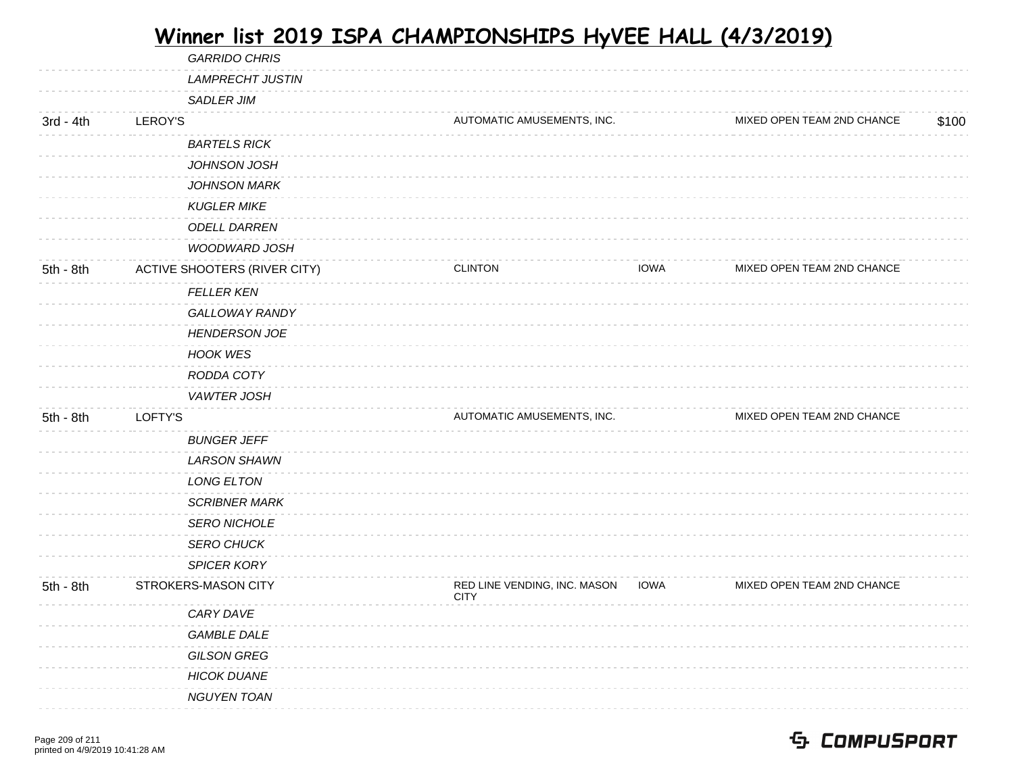|             | <b>GARRIDO CHRIS</b>         |                                             |                                           |
|-------------|------------------------------|---------------------------------------------|-------------------------------------------|
|             | <b>LAMPRECHT JUSTIN</b>      |                                             |                                           |
|             | <b>SADLER JIM</b>            |                                             |                                           |
| $3rd - 4th$ | LEROY'S                      | AUTOMATIC AMUSEMENTS, INC.                  | MIXED OPEN TEAM 2ND CHANCE<br>\$100       |
|             | <b>BARTELS RICK</b>          |                                             |                                           |
|             | JOHNSON JOSH                 |                                             |                                           |
|             | <b>JOHNSON MARK</b>          |                                             |                                           |
|             | <b>KUGLER MIKE</b>           |                                             |                                           |
|             | <b>ODELL DARREN</b>          |                                             |                                           |
|             | <b>WOODWARD JOSH</b>         |                                             |                                           |
| 5th - 8th   | ACTIVE SHOOTERS (RIVER CITY) | <b>CLINTON</b>                              | <b>IOWA</b><br>MIXED OPEN TEAM 2ND CHANCE |
|             | <b>FELLER KEN</b>            |                                             |                                           |
|             | GALLOWAY RANDY               |                                             |                                           |
|             | <b>HENDERSON JOE</b>         |                                             |                                           |
|             | <b>HOOK WES</b>              |                                             |                                           |
|             | RODDA COTY                   |                                             |                                           |
|             | VAWTER JOSH                  |                                             |                                           |
| $5th - 8th$ | LOFTY'S                      | AUTOMATIC AMUSEMENTS, INC.                  | MIXED OPEN TEAM 2ND CHANCE                |
|             | <b>BUNGER JEFF</b>           |                                             |                                           |
|             | <b>LARSON SHAWN</b>          |                                             |                                           |
|             | LONG ELTON                   |                                             |                                           |
|             | <b>SCRIBNER MARK</b>         |                                             |                                           |
|             | <b>SERO NICHOLE</b>          |                                             |                                           |
|             | <b>SERO CHUCK</b>            |                                             |                                           |
|             | <b>SPICER KORY</b>           |                                             |                                           |
| 5th - 8th   | STROKERS-MASON CITY          | RED LINE VENDING, INC. MASON<br><b>CITY</b> | MIXED OPEN TEAM 2ND CHANCE<br><b>IOWA</b> |
|             | CARY DAVE                    |                                             |                                           |
|             | <b>GAMBLE DALE</b>           |                                             |                                           |
|             | <b>GILSON GREG</b>           |                                             |                                           |
|             | <b>HICOK DUANE</b>           |                                             |                                           |
|             | <b>NGUYEN TOAN</b>           |                                             |                                           |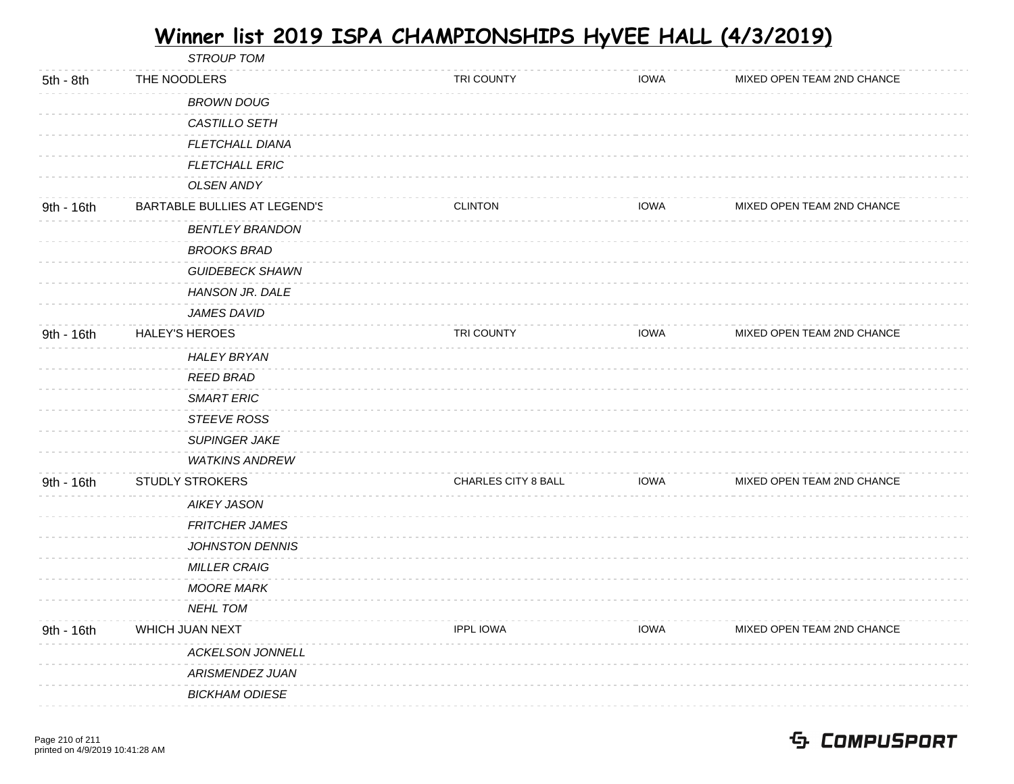|            | <b>STROUP TOM</b>            |                            |             |                            |  |
|------------|------------------------------|----------------------------|-------------|----------------------------|--|
| 5th - 8th  | THE NOODLERS                 | TRI COUNTY                 | <b>IOWA</b> | MIXED OPEN TEAM 2ND CHANCE |  |
|            | <b>BROWN DOUG</b>            |                            |             |                            |  |
|            | CASTILLO SETH                |                            |             |                            |  |
|            | <b>FLETCHALL DIANA</b>       |                            |             |                            |  |
|            | <b>FLETCHALL ERIC</b>        |                            |             |                            |  |
|            | <b>OLSEN ANDY</b>            |                            |             |                            |  |
| 9th - 16th | BARTABLE BULLIES AT LEGEND'S | <b>CLINTON</b>             | <b>IOWA</b> | MIXED OPEN TEAM 2ND CHANCE |  |
|            | <b>BENTLEY BRANDON</b>       |                            |             |                            |  |
|            | <b>BROOKS BRAD</b>           |                            |             |                            |  |
|            | <b>GUIDEBECK SHAWN</b>       |                            |             |                            |  |
|            | HANSON JR. DALE              |                            |             |                            |  |
|            | <b>JAMES DAVID</b>           |                            |             |                            |  |
| 9th - 16th | <b>HALEY'S HEROES</b>        | TRI COUNTY                 | <b>IOWA</b> | MIXED OPEN TEAM 2ND CHANCE |  |
|            | <b>HALEY BRYAN</b>           |                            |             |                            |  |
|            | <b>REED BRAD</b>             |                            |             |                            |  |
|            | <b>SMART ERIC</b>            |                            |             |                            |  |
|            | <b>STEEVE ROSS</b>           |                            |             |                            |  |
|            | <b>SUPINGER JAKE</b>         |                            |             |                            |  |
|            | <b>WATKINS ANDREW</b>        |                            |             |                            |  |
| 9th - 16th | <b>STUDLY STROKERS</b>       | <b>CHARLES CITY 8 BALL</b> | <b>IOWA</b> | MIXED OPEN TEAM 2ND CHANCE |  |
|            | <b>AIKEY JASON</b>           |                            |             |                            |  |
|            | <b>FRITCHER JAMES</b>        |                            |             |                            |  |
|            | <b>JOHNSTON DENNIS</b>       |                            |             |                            |  |
|            | <b>MILLER CRAIG</b>          |                            |             |                            |  |
|            | <b>MOORE MARK</b>            |                            |             |                            |  |
|            | <b>NEHL TOM</b>              |                            |             |                            |  |
| 9th - 16th | WHICH JUAN NEXT              | <b>IPPL IOWA</b>           | <b>IOWA</b> | MIXED OPEN TEAM 2ND CHANCE |  |
|            | <b>ACKELSON JONNELL</b>      |                            |             |                            |  |
|            | ARISMENDEZ JUAN              |                            |             |                            |  |
|            | <b>BICKHAM ODIESE</b>        |                            |             |                            |  |